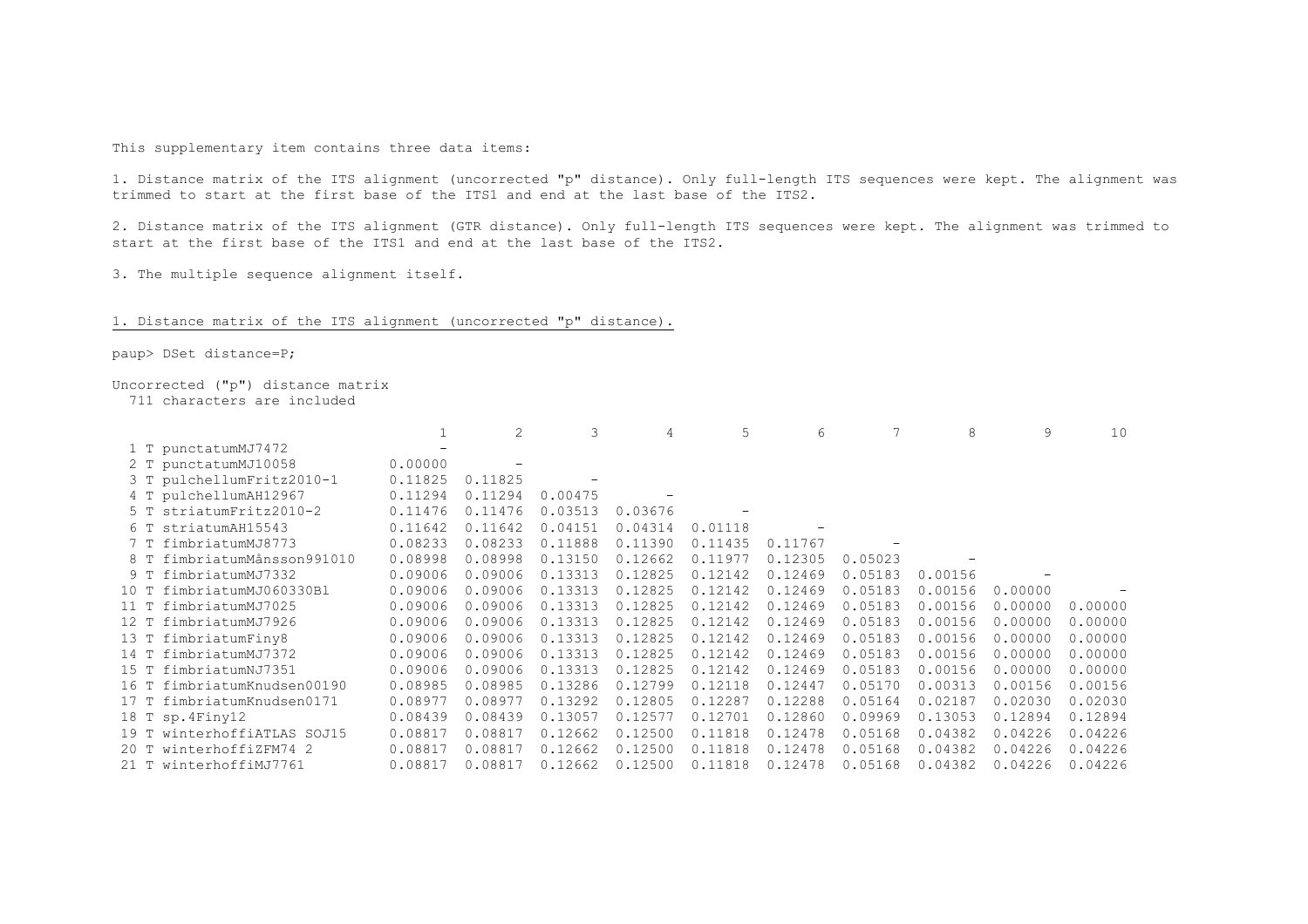This supplementary item contains three data items:

1. Distance matrix of the ITS alignment (uncorrected "p" distance). Only full-length ITS sequences were kept. The alignment was trimmed to start at the first base of the ITS1 and end at the last base of the ITS2.

2. Distance matrix of the ITS alignment (GTR distance). Only full-length ITS sequences were kept. The alignment was trimmed to start at the first base of the ITS1 and end at the last base of the ITS2.

3. The multiple sequence alignment itself.

## 1. Distance matrix of the ITS alignment (uncorrected "p" distance).

paup> DSet distance=P;

## Uncorrected ("p") distance matrix

711 characters are included

|      |                         |         | 2       | 3       | 4       | 5       | 6       |         |         | 9       | 10      |
|------|-------------------------|---------|---------|---------|---------|---------|---------|---------|---------|---------|---------|
|      | 1 T punctatumMJ7472     |         |         |         |         |         |         |         |         |         |         |
|      | 2 T punctatumMJ10058    | 0.00000 |         |         |         |         |         |         |         |         |         |
| 3 T  | pulchellumFritz2010-1   | 0.11825 | 0.11825 |         |         |         |         |         |         |         |         |
|      | 4 T pulchellumAH12967   | 0.11294 | 0.11294 | 0.00475 |         |         |         |         |         |         |         |
| 5 T  | striatumFritz2010-2     | 0.11476 | 0.11476 | 0.03513 | 0.03676 |         |         |         |         |         |         |
| 6т   | striatumAH15543         | 0.11642 | 0.11642 | 0.04151 | 0.04314 | 0.01118 |         |         |         |         |         |
| 7 T  | fimbriatumMJ8773        | 0.08233 | 0.08233 | 0.11888 | 0.11390 | 0.11435 | 0.11767 |         |         |         |         |
| 8 T  | fimbriatumMånsson991010 | 0.08998 | 0.08998 | 0.13150 | 0.12662 | 0.11977 | 0.12305 | 0.05023 |         |         |         |
| 9 T  | fimbriatumMJ7332        | 0.09006 | 0.09006 | 0.13313 | 0.12825 | 0.12142 | 0.12469 | 0.05183 | 0.00156 |         |         |
| 10 T | fimbriatumMJ060330Bl    | 0.09006 | 0.09006 | 0.13313 | 0.12825 | 0.12142 | 0.12469 | 0.05183 | 0.00156 | 0.00000 |         |
| 11T  | fimbriatumMJ7025        | 0.09006 | 0.09006 | 0.13313 | 0.12825 | 0.12142 | 0.12469 | 0.05183 | 0.00156 | 0.00000 | 0.00000 |
| 12 T | fimbriatumMJ7926        | 0.09006 | 0.09006 | 0.13313 | 0.12825 | 0.12142 | 0.12469 | 0.05183 | 0.00156 | 0.00000 | 0.00000 |
| 13 T | fimbriatumFiny8         | 0.09006 | 0.09006 | 0.13313 | 0.12825 | 0.12142 | 0.12469 | 0.05183 | 0.00156 | 0.00000 | 0.00000 |
| 14 T | fimbriatumMJ7372        | 0.09006 | 0.09006 | 0.13313 | 0.12825 | 0.12142 | 0.12469 | 0.05183 | 0.00156 | 0.00000 | 0.00000 |
| 15 T | fimbriatumNJ7351        | 0.09006 | 0.09006 | 0.13313 | 0.12825 | 0.12142 | 0.12469 | 0.05183 | 0.00156 | 0.00000 | 0.00000 |
| 16 T | fimbriatumKnudsen00190  | 0.08985 | 0.08985 | 0.13286 | 0.12799 | 0.12118 | 0.12447 | 0.05170 | 0.00313 | 0.00156 | 0.00156 |
| 17 T | fimbriatumKnudsen0171   | 0.08977 | 0.08977 | 0.13292 | 0.12805 | 0.12287 | 0.12288 | 0.05164 | 0.02187 | 0.02030 | 0.02030 |
|      | 18 T sp. 4Finy12        | 0.08439 | 0.08439 | 0.13057 | 0.12577 | 0.12701 | 0.12860 | 0.09969 | 0.13053 | 0.12894 | 0.12894 |
| 19 T | winterhoffiaTLAS SOJ15  | 0.08817 | 0.08817 | 0.12662 | 0.12500 | 0.11818 | 0.12478 | 0.05168 | 0.04382 | 0.04226 | 0.04226 |
| 20T  | winterhoffiZFM74 2      | 0.08817 | 0.08817 | 0.12662 | 0.12500 | 0.11818 | 0.12478 | 0.05168 | 0.04382 | 0.04226 | 0.04226 |
|      | 21 T winterhoffiMJ7761  | 0.08817 | 0.08817 | 0.12662 | 0.12500 | 0.11818 | 0.12478 | 0.05168 | 0.04382 | 0.04226 | 0.04226 |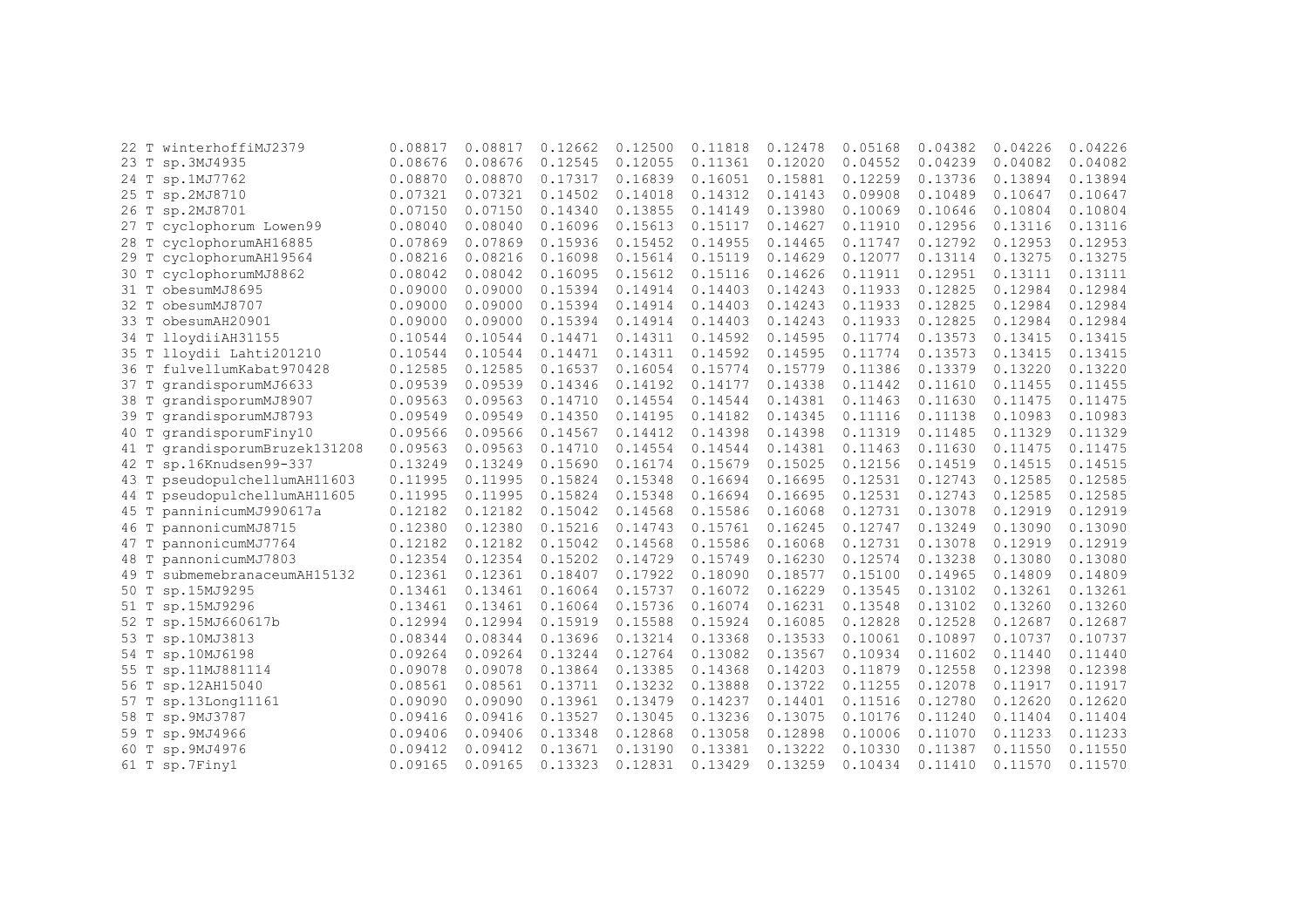| 22T  | winterhoffiMJ2379        | 0.08817 | 0.08817 | 0.12662 | 0.12500 | 0.11818 | 0.12478 | 0.05168 | 0.04382 | 0.04226 | 0.04226 |
|------|--------------------------|---------|---------|---------|---------|---------|---------|---------|---------|---------|---------|
| 23 T | sp.3MJ4935               | 0.08676 | 0.08676 | 0.12545 | 0.12055 | 0.11361 | 0.12020 | 0.04552 | 0.04239 | 0.04082 | 0.04082 |
| 24 T | sp.1MJ7762               | 0.08870 | 0.08870 | 0.17317 | 0.16839 | 0.16051 | 0.15881 | 0.12259 | 0.13736 | 0.13894 | 0.13894 |
| 25 T | sp.2MJ8710               | 0.07321 | 0.07321 | 0.14502 | 0.14018 | 0.14312 | 0.14143 | 0.09908 | 0.10489 | 0.10647 | 0.10647 |
| 26 T | sp.2MJ8701               | 0.07150 | 0.07150 | 0.14340 | 0.13855 | 0.14149 | 0.13980 | 0.10069 | 0.10646 | 0.10804 | 0.10804 |
| 27 T | cyclophorum Lowen99      | 0.08040 | 0.08040 | 0.16096 | 0.15613 | 0.15117 | 0.14627 | 0.11910 | 0.12956 | 0.13116 | 0.13116 |
| 28 T | cyclophorumAH16885       | 0.07869 | 0.07869 | 0.15936 | 0.15452 | 0.14955 | 0.14465 | 0.11747 | 0.12792 | 0.12953 | 0.12953 |
| 29 T | cyclophorumAH19564       | 0.08216 | 0.08216 | 0.16098 | 0.15614 | 0.15119 | 0.14629 | 0.12077 | 0.13114 | 0.13275 | 0.13275 |
| 30 T | cyclophorumMJ8862        | 0.08042 | 0.08042 | 0.16095 | 0.15612 | 0.15116 | 0.14626 | 0.11911 | 0.12951 | 0.13111 | 0.13111 |
| 31 T | obesumMJ8695             | 0.09000 | 0.09000 | 0.15394 | 0.14914 | 0.14403 | 0.14243 | 0.11933 | 0.12825 | 0.12984 | 0.12984 |
| 32 T | obesumMJ8707             | 0.09000 | 0.09000 | 0.15394 | 0.14914 | 0.14403 | 0.14243 | 0.11933 | 0.12825 | 0.12984 | 0.12984 |
| 33 T | obesumAH20901            | 0.09000 | 0.09000 | 0.15394 | 0.14914 | 0.14403 | 0.14243 | 0.11933 | 0.12825 | 0.12984 | 0.12984 |
| 34 T | lloydiiAH31155           | 0.10544 | 0.10544 | 0.14471 | 0.14311 | 0.14592 | 0.14595 | 0.11774 | 0.13573 | 0.13415 | 0.13415 |
| 35 T | lloydii Lahti201210      | 0.10544 | 0.10544 | 0.14471 | 0.14311 | 0.14592 | 0.14595 | 0.11774 | 0.13573 | 0.13415 | 0.13415 |
| 36 T | fulvellumKabat970428     | 0.12585 | 0.12585 | 0.16537 | 0.16054 | 0.15774 | 0.15779 | 0.11386 | 0.13379 | 0.13220 | 0.13220 |
| 37 T | qrandisporumMJ6633       | 0.09539 | 0.09539 | 0.14346 | 0.14192 | 0.14177 | 0.14338 | 0.11442 | 0.11610 | 0.11455 | 0.11455 |
| 38 T | grandisporumMJ8907       | 0.09563 | 0.09563 | 0.14710 | 0.14554 | 0.14544 | 0.14381 | 0.11463 | 0.11630 | 0.11475 | 0.11475 |
| 39 T | grandisporumMJ8793       | 0.09549 | 0.09549 | 0.14350 | 0.14195 | 0.14182 | 0.14345 | 0.11116 | 0.11138 | 0.10983 | 0.10983 |
| 40 T | grandisporumFiny10       | 0.09566 | 0.09566 | 0.14567 | 0.14412 | 0.14398 | 0.14398 | 0.11319 | 0.11485 | 0.11329 | 0.11329 |
| 41 T | grandisporumBruzek131208 | 0.09563 | 0.09563 | 0.14710 | 0.14554 | 0.14544 | 0.14381 | 0.11463 | 0.11630 | 0.11475 | 0.11475 |
| 42 T | sp.16Knudsen99-337       | 0.13249 | 0.13249 | 0.15690 | 0.16174 | 0.15679 | 0.15025 | 0.12156 | 0.14519 | 0.14515 | 0.14515 |
| 43 T | pseudopulchellumAH11603  | 0.11995 | 0.11995 | 0.15824 | 0.15348 | 0.16694 | 0.16695 | 0.12531 | 0.12743 | 0.12585 | 0.12585 |
| 44 T | pseudopulchellumAH11605  | 0.11995 | 0.11995 | 0.15824 | 0.15348 | 0.16694 | 0.16695 | 0.12531 | 0.12743 | 0.12585 | 0.12585 |
| 45 T | panninicumMJ990617a      | 0.12182 | 0.12182 | 0.15042 | 0.14568 | 0.15586 | 0.16068 | 0.12731 | 0.13078 | 0.12919 | 0.12919 |
| 46 T | pannonicumMJ8715         | 0.12380 | 0.12380 | 0.15216 | 0.14743 | 0.15761 | 0.16245 | 0.12747 | 0.13249 | 0.13090 | 0.13090 |
| 47 T | pannonicumMJ7764         | 0.12182 | 0.12182 | 0.15042 | 0.14568 | 0.15586 | 0.16068 | 0.12731 | 0.13078 | 0.12919 | 0.12919 |
| 48 T | pannonicumMJ7803         | 0.12354 | 0.12354 | 0.15202 | 0.14729 | 0.15749 | 0.16230 | 0.12574 | 0.13238 | 0.13080 | 0.13080 |
| 49 T | submemebranaceumAH15132  | 0.12361 | 0.12361 | 0.18407 | 0.17922 | 0.18090 | 0.18577 | 0.15100 | 0.14965 | 0.14809 | 0.14809 |
| 50 T | sp.15MJ9295              | 0.13461 | 0.13461 | 0.16064 | 0.15737 | 0.16072 | 0.16229 | 0.13545 | 0.13102 | 0.13261 | 0.13261 |
| 51 T | sp.15MJ9296              | 0.13461 | 0.13461 | 0.16064 | 0.15736 | 0.16074 | 0.16231 | 0.13548 | 0.13102 | 0.13260 | 0.13260 |
| 52 T | sp.15MJ660617b           | 0.12994 | 0.12994 | 0.15919 | 0.15588 | 0.15924 | 0.16085 | 0.12828 | 0.12528 | 0.12687 | 0.12687 |
| 53 T | sp.10MJ3813              | 0.08344 | 0.08344 | 0.13696 | 0.13214 | 0.13368 | 0.13533 | 0.10061 | 0.10897 | 0.10737 | 0.10737 |
| 54 T | sp.10MJ6198              | 0.09264 | 0.09264 | 0.13244 | 0.12764 | 0.13082 | 0.13567 | 0.10934 | 0.11602 | 0.11440 | 0.11440 |
| 55 T | sp.11MJ881114            | 0.09078 | 0.09078 | 0.13864 | 0.13385 | 0.14368 | 0.14203 | 0.11879 | 0.12558 | 0.12398 | 0.12398 |
| 56 T | sp.12AH15040             | 0.08561 | 0.08561 | 0.13711 | 0.13232 | 0.13888 | 0.13722 | 0.11255 | 0.12078 | 0.11917 | 0.11917 |
| 57 T | sp.13Long11161           | 0.09090 | 0.09090 | 0.13961 | 0.13479 | 0.14237 | 0.14401 | 0.11516 | 0.12780 | 0.12620 | 0.12620 |
| 58 T | sp.9MJ3787               | 0.09416 | 0.09416 | 0.13527 | 0.13045 | 0.13236 | 0.13075 | 0.10176 | 0.11240 | 0.11404 | 0.11404 |
| 59 T | sp.9MJ4966               | 0.09406 | 0.09406 | 0.13348 | 0.12868 | 0.13058 | 0.12898 | 0.10006 | 0.11070 | 0.11233 | 0.11233 |
| 60 T | sp.9MJ4976               | 0.09412 | 0.09412 | 0.13671 | 0.13190 | 0.13381 | 0.13222 | 0.10330 | 0.11387 | 0.11550 | 0.11550 |
|      | 61 T sp.7Finy1           | 0.09165 | 0.09165 | 0.13323 | 0.12831 | 0.13429 | 0.13259 | 0.10434 | 0.11410 | 0.11570 | 0.11570 |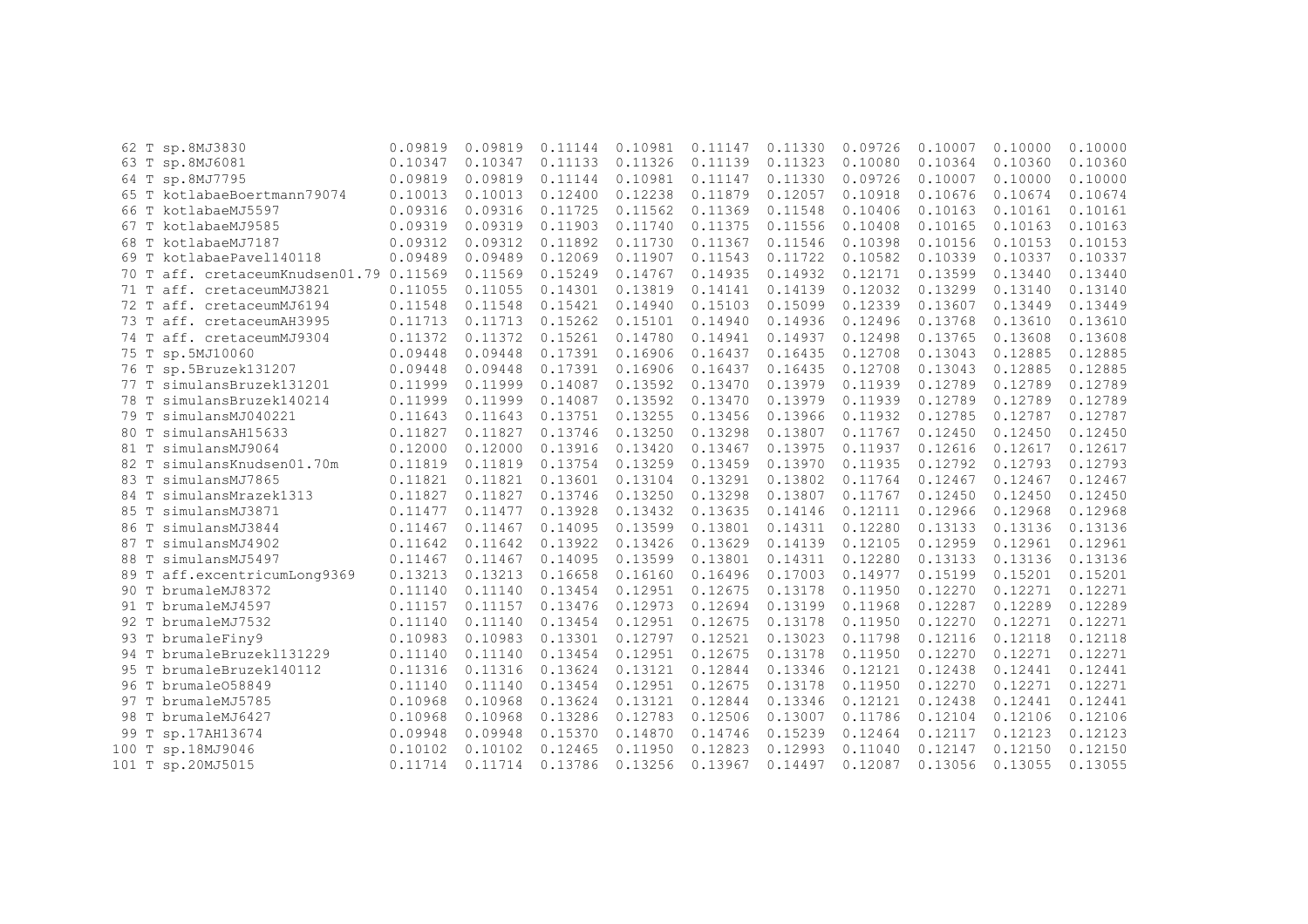|       | 62 T sp.8MJ3830                         | 0.09819 | 0.09819 | 0.11144 | 0.10981 | 0.11147 | 0.11330 | 0.09726 | 0.10007 | 0.10000 | 0.10000 |
|-------|-----------------------------------------|---------|---------|---------|---------|---------|---------|---------|---------|---------|---------|
|       | 63 T sp.8MJ6081                         | 0.10347 | 0.10347 | 0.11133 | 0.11326 | 0.11139 | 0.11323 | 0.10080 | 0.10364 | 0.10360 | 0.10360 |
|       | 64 T sp.8MJ7795                         | 0.09819 | 0.09819 | 0.11144 | 0.10981 | 0.11147 | 0.11330 | 0.09726 | 0.10007 | 0.10000 | 0.10000 |
|       | 65 T kotlabaeBoertmann79074             | 0.10013 | 0.10013 | 0.12400 | 0.12238 | 0.11879 | 0.12057 | 0.10918 | 0.10676 | 0.10674 | 0.10674 |
|       | 66 T kotlabaeMJ5597                     | 0.09316 | 0.09316 | 0.11725 | 0.11562 | 0.11369 | 0.11548 | 0.10406 | 0.10163 | 0.10161 | 0.10161 |
|       | 67 T kotlabaeMJ9585                     | 0.09319 | 0.09319 | 0.11903 | 0.11740 | 0.11375 | 0.11556 | 0.10408 | 0.10165 | 0.10163 | 0.10163 |
|       | 68 T kotlabaeMJ7187                     | 0.09312 | 0.09312 | 0.11892 | 0.11730 | 0.11367 | 0.11546 | 0.10398 | 0.10156 | 0.10153 | 0.10153 |
| 69 T  | kotlabaePavel140118                     | 0.09489 | 0.09489 | 0.12069 | 0.11907 | 0.11543 | 0.11722 | 0.10582 | 0.10339 | 0.10337 | 0.10337 |
|       | 70 T aff. cretaceumKnudsen01.79 0.11569 |         | 0.11569 | 0.15249 | 0.14767 | 0.14935 | 0.14932 | 0.12171 | 0.13599 | 0.13440 | 0.13440 |
| 71 T  | aff. cretaceumMJ3821                    | 0.11055 | 0.11055 | 0.14301 | 0.13819 | 0.14141 | 0.14139 | 0.12032 | 0.13299 | 0.13140 | 0.13140 |
| 72 T  | aff. cretaceumMJ6194                    | 0.11548 | 0.11548 | 0.15421 | 0.14940 | 0.15103 | 0.15099 | 0.12339 | 0.13607 | 0.13449 | 0.13449 |
|       | 73 T aff. cretaceumAH3995               | 0.11713 | 0.11713 | 0.15262 | 0.15101 | 0.14940 | 0.14936 | 0.12496 | 0.13768 | 0.13610 | 0.13610 |
|       | 74 T aff. cretaceumMJ9304               | 0.11372 | 0.11372 | 0.15261 | 0.14780 | 0.14941 | 0.14937 | 0.12498 | 0.13765 | 0.13608 | 0.13608 |
|       | 75 T sp.5MJ10060                        | 0.09448 | 0.09448 | 0.17391 | 0.16906 | 0.16437 | 0.16435 | 0.12708 | 0.13043 | 0.12885 | 0.12885 |
|       | 76 T sp.5Bruzek131207                   | 0.09448 | 0.09448 | 0.17391 | 0.16906 | 0.16437 | 0.16435 | 0.12708 | 0.13043 | 0.12885 | 0.12885 |
|       | 77 T simulansBruzek131201               | 0.11999 | 0.11999 | 0.14087 | 0.13592 | 0.13470 | 0.13979 | 0.11939 | 0.12789 | 0.12789 | 0.12789 |
|       | 78 T simulansBruzek140214               | 0.11999 | 0.11999 | 0.14087 | 0.13592 | 0.13470 | 0.13979 | 0.11939 | 0.12789 | 0.12789 | 0.12789 |
| 79 T  | simulansMJ040221                        | 0.11643 | 0.11643 | 0.13751 | 0.13255 | 0.13456 | 0.13966 | 0.11932 | 0.12785 | 0.12787 | 0.12787 |
| 80 T  | simulansAH15633                         | 0.11827 | 0.11827 | 0.13746 | 0.13250 | 0.13298 | 0.13807 | 0.11767 | 0.12450 | 0.12450 | 0.12450 |
|       | 81 T simulansMJ9064                     | 0.12000 | 0.12000 | 0.13916 | 0.13420 | 0.13467 | 0.13975 | 0.11937 | 0.12616 | 0.12617 | 0.12617 |
|       | 82 T simulansKnudsen01.70m              | 0.11819 | 0.11819 | 0.13754 | 0.13259 | 0.13459 | 0.13970 | 0.11935 | 0.12792 | 0.12793 | 0.12793 |
|       | 83 T simulansMJ7865                     | 0.11821 | 0.11821 | 0.13601 | 0.13104 | 0.13291 | 0.13802 | 0.11764 | 0.12467 | 0.12467 | 0.12467 |
| 84 T  | simulansMrazek1313                      | 0.11827 | 0.11827 | 0.13746 | 0.13250 | 0.13298 | 0.13807 | 0.11767 | 0.12450 | 0.12450 | 0.12450 |
| 85 T  | simulansMJ3871                          | 0.11477 | 0.11477 | 0.13928 | 0.13432 | 0.13635 | 0.14146 | 0.12111 | 0.12966 | 0.12968 | 0.12968 |
| 86 T  | simulansMJ3844                          | 0.11467 | 0.11467 | 0.14095 | 0.13599 | 0.13801 | 0.14311 | 0.12280 | 0.13133 | 0.13136 | 0.13136 |
| 87 T  | simulansMJ4902                          | 0.11642 | 0.11642 | 0.13922 | 0.13426 | 0.13629 | 0.14139 | 0.12105 | 0.12959 | 0.12961 | 0.12961 |
| 88 T  | simulansMJ5497                          | 0.11467 | 0.11467 | 0.14095 | 0.13599 | 0.13801 | 0.14311 | 0.12280 | 0.13133 | 0.13136 | 0.13136 |
|       | 89 T aff.excentricumLong9369            | 0.13213 | 0.13213 | 0.16658 | 0.16160 | 0.16496 | 0.17003 | 0.14977 | 0.15199 | 0.15201 | 0.15201 |
|       | 90 T brumaleMJ8372                      | 0.11140 | 0.11140 | 0.13454 | 0.12951 | 0.12675 | 0.13178 | 0.11950 | 0.12270 | 0.12271 | 0.12271 |
|       | 91 T brumaleMJ4597                      | 0.11157 | 0.11157 | 0.13476 | 0.12973 | 0.12694 | 0.13199 | 0.11968 | 0.12287 | 0.12289 | 0.12289 |
| 92 T  | brumaleMJ7532                           | 0.11140 | 0.11140 | 0.13454 | 0.12951 | 0.12675 | 0.13178 | 0.11950 | 0.12270 | 0.12271 | 0.12271 |
|       | 93 T brumaleFiny9                       | 0.10983 | 0.10983 | 0.13301 | 0.12797 | 0.12521 | 0.13023 | 0.11798 | 0.12116 | 0.12118 | 0.12118 |
|       | 94 T brumaleBruzek1131229               | 0.11140 | 0.11140 | 0.13454 | 0.12951 | 0.12675 | 0.13178 | 0.11950 | 0.12270 | 0.12271 | 0.12271 |
|       | 95 T brumaleBruzek140112                | 0.11316 | 0.11316 | 0.13624 | 0.13121 | 0.12844 | 0.13346 | 0.12121 | 0.12438 | 0.12441 | 0.12441 |
|       | 96 T brumale058849                      | 0.11140 | 0.11140 | 0.13454 | 0.12951 | 0.12675 | 0.13178 | 0.11950 | 0.12270 | 0.12271 | 0.12271 |
|       | 97 T brumaleMJ5785                      | 0.10968 | 0.10968 | 0.13624 | 0.13121 | 0.12844 | 0.13346 | 0.12121 | 0.12438 | 0.12441 | 0.12441 |
|       | 98 T brumaleMJ6427                      | 0.10968 | 0.10968 | 0.13286 | 0.12783 | 0.12506 | 0.13007 | 0.11786 | 0.12104 | 0.12106 | 0.12106 |
| 99 T  | sp.17AH13674                            | 0.09948 | 0.09948 | 0.15370 | 0.14870 | 0.14746 | 0.15239 | 0.12464 | 0.12117 | 0.12123 | 0.12123 |
| 100 T | sp.18MJ9046                             | 0.10102 | 0.10102 | 0.12465 | 0.11950 | 0.12823 | 0.12993 | 0.11040 | 0.12147 | 0.12150 | 0.12150 |
|       | 101 T sp.20MJ5015                       | 0.11714 | 0.11714 | 0.13786 | 0.13256 | 0.13967 | 0.14497 | 0.12087 | 0.13056 | 0.13055 | 0.13055 |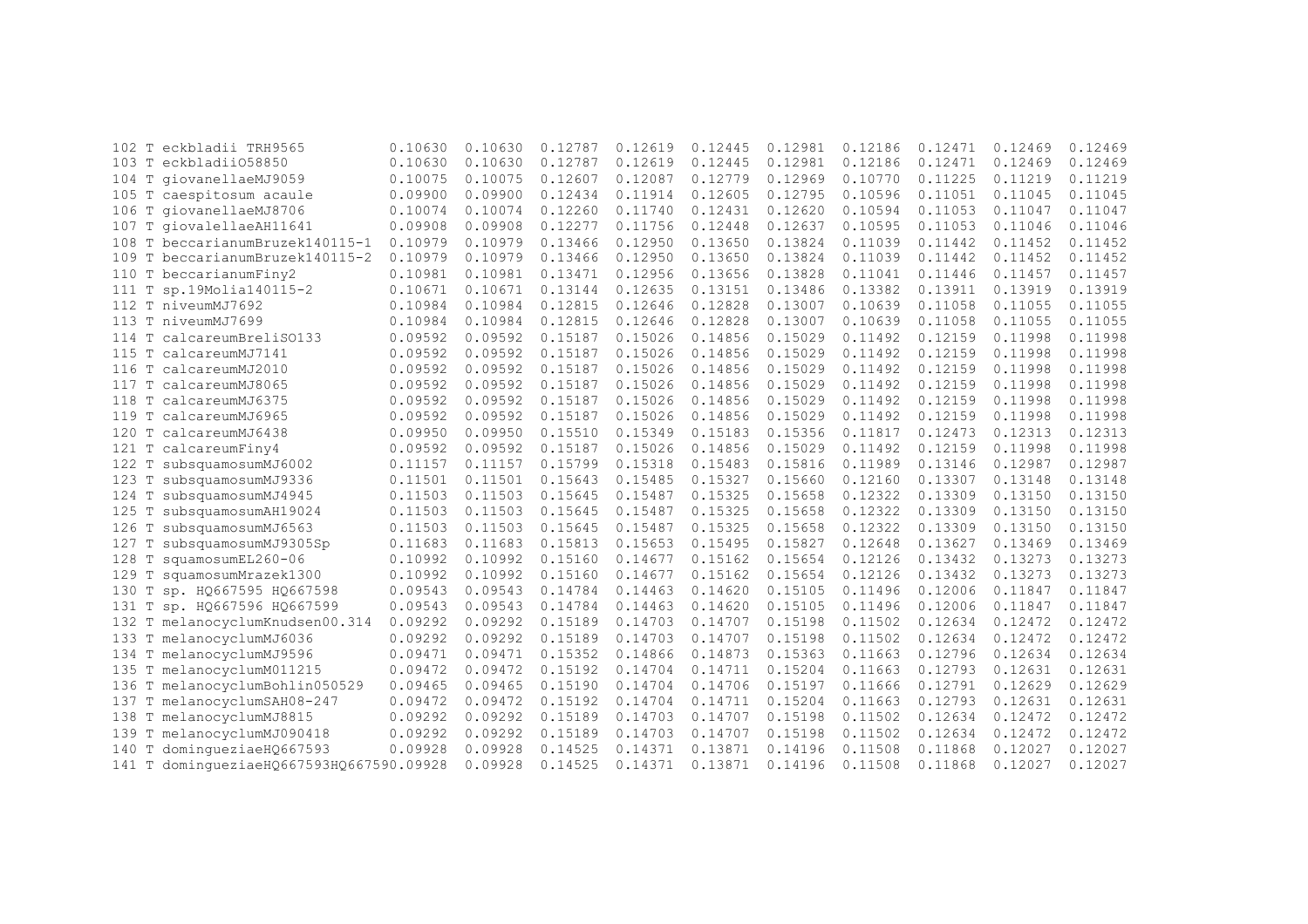| eckbladii TRH9565<br>T<br>102               | 0.10630 | 0.10630 | 0.12787 | 0.12619 | 0.12445 | 0.12981 | 0.12186 | 0.12471 | 0.12469 | 0.12469 |
|---------------------------------------------|---------|---------|---------|---------|---------|---------|---------|---------|---------|---------|
| 103 T eckbladii058850                       | 0.10630 | 0.10630 | 0.12787 | 0.12619 | 0.12445 | 0.12981 | 0.12186 | 0.12471 | 0.12469 | 0.12469 |
| 104 T<br>qiovanellaeMJ9059                  | 0.10075 | 0.10075 | 0.12607 | 0.12087 | 0.12779 | 0.12969 | 0.10770 | 0.11225 | 0.11219 | 0.11219 |
| 105 T caespitosum acaule                    | 0.09900 | 0.09900 | 0.12434 | 0.11914 | 0.12605 | 0.12795 | 0.10596 | 0.11051 | 0.11045 | 0.11045 |
| 106 T giovanellaeMJ8706                     | 0.10074 | 0.10074 | 0.12260 | 0.11740 | 0.12431 | 0.12620 | 0.10594 | 0.11053 | 0.11047 | 0.11047 |
| T giovalellaeAH11641<br>107                 | 0.09908 | 0.09908 | 0.12277 | 0.11756 | 0.12448 | 0.12637 | 0.10595 | 0.11053 | 0.11046 | 0.11046 |
| T<br>beccarianumBruzek140115-1<br>108       | 0.10979 | 0.10979 | 0.13466 | 0.12950 | 0.13650 | 0.13824 | 0.11039 | 0.11442 | 0.11452 | 0.11452 |
| T<br>beccarianumBruzek140115-2<br>109       | 0.10979 | 0.10979 | 0.13466 | 0.12950 | 0.13650 | 0.13824 | 0.11039 | 0.11442 | 0.11452 | 0.11452 |
| T<br>beccarianumFiny2<br>110                | 0.10981 | 0.10981 | 0.13471 | 0.12956 | 0.13656 | 0.13828 | 0.11041 | 0.11446 | 0.11457 | 0.11457 |
| sp.19Molia140115-2<br>T<br>111              | 0.10671 | 0.10671 | 0.13144 | 0.12635 | 0.13151 | 0.13486 | 0.13382 | 0.13911 | 0.13919 | 0.13919 |
| T niveumMJ7692<br>112                       | 0.10984 | 0.10984 | 0.12815 | 0.12646 | 0.12828 | 0.13007 | 0.10639 | 0.11058 | 0.11055 | 0.11055 |
| T niveumMJ7699<br>113                       | 0.10984 | 0.10984 | 0.12815 | 0.12646 | 0.12828 | 0.13007 | 0.10639 | 0.11058 | 0.11055 | 0.11055 |
| calcareumBreliS0133<br>114<br>T             | 0.09592 | 0.09592 | 0.15187 | 0.15026 | 0.14856 | 0.15029 | 0.11492 | 0.12159 | 0.11998 | 0.11998 |
| T<br>calcareumMJ7141<br>115                 | 0.09592 | 0.09592 | 0.15187 | 0.15026 | 0.14856 | 0.15029 | 0.11492 | 0.12159 | 0.11998 | 0.11998 |
| 116<br>T<br>calcareumMJ2010                 | 0.09592 | 0.09592 | 0.15187 | 0.15026 | 0.14856 | 0.15029 | 0.11492 | 0.12159 | 0.11998 | 0.11998 |
| T<br>117<br>calcareumMJ8065                 | 0.09592 | 0.09592 | 0.15187 | 0.15026 | 0.14856 | 0.15029 | 0.11492 | 0.12159 | 0.11998 | 0.11998 |
| $\mathbf T$<br>118<br>calcareumMJ6375       | 0.09592 | 0.09592 | 0.15187 | 0.15026 | 0.14856 | 0.15029 | 0.11492 | 0.12159 | 0.11998 | 0.11998 |
| T<br>calcareumMJ6965<br>119                 | 0.09592 | 0.09592 | 0.15187 | 0.15026 | 0.14856 | 0.15029 | 0.11492 | 0.12159 | 0.11998 | 0.11998 |
| T<br>calcareumMJ6438<br>120                 | 0.09950 | 0.09950 | 0.15510 | 0.15349 | 0.15183 | 0.15356 | 0.11817 | 0.12473 | 0.12313 | 0.12313 |
| 121 T calcareumFiny4                        | 0.09592 | 0.09592 | 0.15187 | 0.15026 | 0.14856 | 0.15029 | 0.11492 | 0.12159 | 0.11998 | 0.11998 |
| 122<br>T<br>subsquamosumMJ6002              | 0.11157 | 0.11157 | 0.15799 | 0.15318 | 0.15483 | 0.15816 | 0.11989 | 0.13146 | 0.12987 | 0.12987 |
| T<br>subsquamosumMJ9336<br>123              | 0.11501 | 0.11501 | 0.15643 | 0.15485 | 0.15327 | 0.15660 | 0.12160 | 0.13307 | 0.13148 | 0.13148 |
| subsquamosumMJ4945<br>124                   | 0.11503 | 0.11503 | 0.15645 | 0.15487 | 0.15325 | 0.15658 | 0.12322 | 0.13309 | 0.13150 | 0.13150 |
| T<br>subsquamosumAH19024<br>125             | 0.11503 | 0.11503 | 0.15645 | 0.15487 | 0.15325 | 0.15658 | 0.12322 | 0.13309 | 0.13150 | 0.13150 |
| $\mathbb T$<br>126<br>subsquamosumMJ6563    | 0.11503 | 0.11503 | 0.15645 | 0.15487 | 0.15325 | 0.15658 | 0.12322 | 0.13309 | 0.13150 | 0.13150 |
| $\mathbb T$<br>127<br>subsquamosumMJ9305Sp  | 0.11683 | 0.11683 | 0.15813 | 0.15653 | 0.15495 | 0.15827 | 0.12648 | 0.13627 | 0.13469 | 0.13469 |
| squamosumEL260-06<br>128<br>Т               | 0.10992 | 0.10992 | 0.15160 | 0.14677 | 0.15162 | 0.15654 | 0.12126 | 0.13432 | 0.13273 | 0.13273 |
| squamosumMrazek1300<br>129<br>Т             | 0.10992 | 0.10992 | 0.15160 | 0.14677 | 0.15162 | 0.15654 | 0.12126 | 0.13432 | 0.13273 | 0.13273 |
| Т<br>sp. HQ667595 HQ667598<br>130           | 0.09543 | 0.09543 | 0.14784 | 0.14463 | 0.14620 | 0.15105 | 0.11496 | 0.12006 | 0.11847 | 0.11847 |
| sp. HQ667596 HQ667599<br>T<br>131           | 0.09543 | 0.09543 | 0.14784 | 0.14463 | 0.14620 | 0.15105 | 0.11496 | 0.12006 | 0.11847 | 0.11847 |
| T melanocyclumKnudsen00.314<br>132          | 0.09292 | 0.09292 | 0.15189 | 0.14703 | 0.14707 | 0.15198 | 0.11502 | 0.12634 | 0.12472 | 0.12472 |
| T<br>melanocyclumMJ6036<br>133              | 0.09292 | 0.09292 | 0.15189 | 0.14703 | 0.14707 | 0.15198 | 0.11502 | 0.12634 | 0.12472 | 0.12472 |
| T<br>melanocyclumMJ9596<br>134              | 0.09471 | 0.09471 | 0.15352 | 0.14866 | 0.14873 | 0.15363 | 0.11663 | 0.12796 | 0.12634 | 0.12634 |
| T melanocyclumM011215<br>135                | 0.09472 | 0.09472 | 0.15192 | 0.14704 | 0.14711 | 0.15204 | 0.11663 | 0.12793 | 0.12631 | 0.12631 |
| 136 T melanocyclumBohlin050529              | 0.09465 | 0.09465 | 0.15190 | 0.14704 | 0.14706 | 0.15197 | 0.11666 | 0.12791 | 0.12629 | 0.12629 |
| T melanocyclumSAH08-247<br>137              | 0.09472 | 0.09472 | 0.15192 | 0.14704 | 0.14711 | 0.15204 | 0.11663 | 0.12793 | 0.12631 | 0.12631 |
| T melanocyclumMJ8815<br>138                 | 0.09292 | 0.09292 | 0.15189 | 0.14703 | 0.14707 | 0.15198 | 0.11502 | 0.12634 | 0.12472 | 0.12472 |
| melanocyclumMJ090418<br>$\mathbb T$<br>139  | 0.09292 | 0.09292 | 0.15189 | 0.14703 | 0.14707 | 0.15198 | 0.11502 | 0.12634 | 0.12472 | 0.12472 |
| $\mathbb{T}$<br>dominqueziaeHQ667593<br>140 | 0.09928 | 0.09928 | 0.14525 | 0.14371 | 0.13871 | 0.14196 | 0.11508 | 0.11868 | 0.12027 | 0.12027 |
| dominqueziaeH0667593H0667590.09928<br>141 T |         | 0.09928 | 0.14525 | 0.14371 | 0.13871 | 0.14196 | 0.11508 | 0.11868 | 0.12027 | 0.12027 |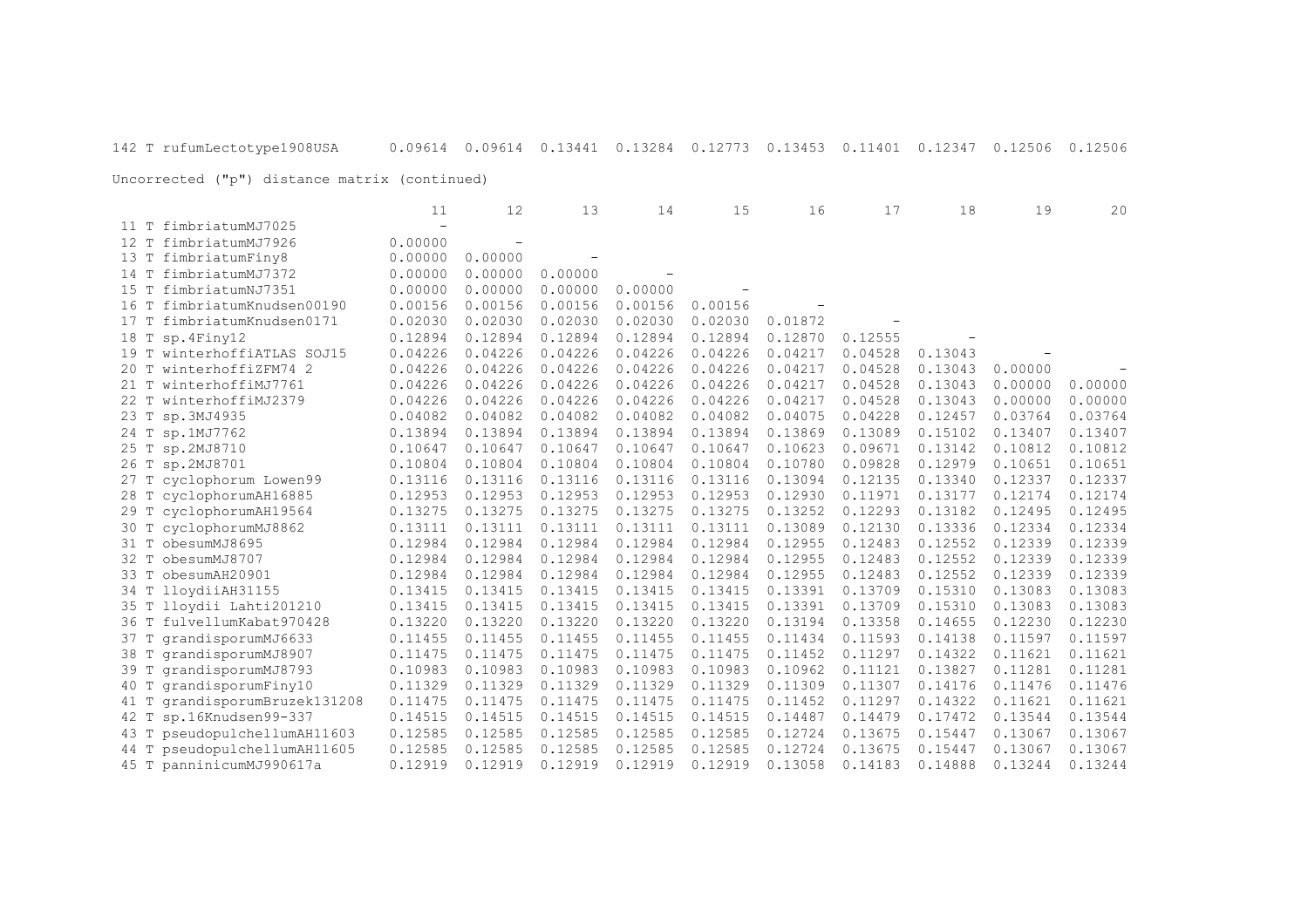|                                  | 11      | 12                       | 13                       | 14      | 15      | 16      | 17      | 18      | 19      | 20      |
|----------------------------------|---------|--------------------------|--------------------------|---------|---------|---------|---------|---------|---------|---------|
| 11 T fimbriatumMJ7025            |         |                          |                          |         |         |         |         |         |         |         |
| 12 T<br>fimbriatumMJ7926         | 0.00000 | $\overline{\phantom{a}}$ |                          |         |         |         |         |         |         |         |
| fimbriatumFiny8<br>13 T          | 0.00000 | 0.00000                  | $\overline{\phantom{m}}$ |         |         |         |         |         |         |         |
| fimbriatumMJ7372<br>14 T         | 0.00000 | 0.00000                  | 0.00000                  |         |         |         |         |         |         |         |
| 15 T<br>fimbriatumNJ7351         | 0.00000 | 0.00000                  | 0.00000                  | 0.00000 |         |         |         |         |         |         |
| 16 T<br>fimbriatumKnudsen00190   | 0.00156 | 0.00156                  | 0.00156                  | 0.00156 | 0.00156 |         |         |         |         |         |
| 17 T<br>fimbriatumKnudsen0171    | 0.02030 | 0.02030                  | 0.02030                  | 0.02030 | 0.02030 | 0.01872 |         |         |         |         |
| 18 T<br>sp.4Finy12               | 0.12894 | 0.12894                  | 0.12894                  | 0.12894 | 0.12894 | 0.12870 | 0.12555 |         |         |         |
| winterhoffiATLAS SOJ15<br>19 T   | 0.04226 | 0.04226                  | 0.04226                  | 0.04226 | 0.04226 | 0.04217 | 0.04528 | 0.13043 |         |         |
| winterhoffiZFM74 2<br>20T        | 0.04226 | 0.04226                  | 0.04226                  | 0.04226 | 0.04226 | 0.04217 | 0.04528 | 0.13043 | 0.00000 |         |
| winterhoffiMJ7761<br>$21$ T      | 0.04226 | 0.04226                  | 0.04226                  | 0.04226 | 0.04226 | 0.04217 | 0.04528 | 0.13043 | 0.00000 | 0.00000 |
| winterhoffiMJ2379<br>22 T        | 0.04226 | 0.04226                  | 0.04226                  | 0.04226 | 0.04226 | 0.04217 | 0.04528 | 0.13043 | 0.00000 | 0.00000 |
| 23 T<br>sp.3MJ4935               | 0.04082 | 0.04082                  | 0.04082                  | 0.04082 | 0.04082 | 0.04075 | 0.04228 | 0.12457 | 0.03764 | 0.03764 |
| 24 T sp.1MJ7762                  | 0.13894 | 0.13894                  | 0.13894                  | 0.13894 | 0.13894 | 0.13869 | 0.13089 | 0.15102 | 0.13407 | 0.13407 |
| 25 T sp.2MJ8710                  | 0.10647 | 0.10647                  | 0.10647                  | 0.10647 | 0.10647 | 0.10623 | 0.09671 | 0.13142 | 0.10812 | 0.10812 |
| sp.2MJ8701<br>26 T               | 0.10804 | 0.10804                  | 0.10804                  | 0.10804 | 0.10804 | 0.10780 | 0.09828 | 0.12979 | 0.10651 | 0.10651 |
| 27 T cyclophorum Lowen99         | 0.13116 | 0.13116                  | 0.13116                  | 0.13116 | 0.13116 | 0.13094 | 0.12135 | 0.13340 | 0.12337 | 0.12337 |
| 28 T cyclophorumAH16885          | 0.12953 | 0.12953                  | 0.12953                  | 0.12953 | 0.12953 | 0.12930 | 0.11971 | 0.13177 | 0.12174 | 0.12174 |
| cyclophorumAH19564<br>29 T       | 0.13275 | 0.13275                  | 0.13275                  | 0.13275 | 0.13275 | 0.13252 | 0.12293 | 0.13182 | 0.12495 | 0.12495 |
| cyclophorumMJ8862<br>30 T        | 0.13111 | 0.13111                  | 0.13111                  | 0.13111 | 0.13111 | 0.13089 | 0.12130 | 0.13336 | 0.12334 | 0.12334 |
| obesumMJ8695<br>31 T             | 0.12984 | 0.12984                  | 0.12984                  | 0.12984 | 0.12984 | 0.12955 | 0.12483 | 0.12552 | 0.12339 | 0.12339 |
| obesumMJ8707<br>32 T             | 0.12984 | 0.12984                  | 0.12984                  | 0.12984 | 0.12984 | 0.12955 | 0.12483 | 0.12552 | 0.12339 | 0.12339 |
| 33 T<br>obesumAH20901            | 0.12984 | 0.12984                  | 0.12984                  | 0.12984 | 0.12984 | 0.12955 | 0.12483 | 0.12552 | 0.12339 | 0.12339 |
| 34 T<br>lloydiiAH31155           | 0.13415 | 0.13415                  | 0.13415                  | 0.13415 | 0.13415 | 0.13391 | 0.13709 | 0.15310 | 0.13083 | 0.13083 |
| 35 T<br>lloydii Lahti201210      | 0.13415 | 0.13415                  | 0.13415                  | 0.13415 | 0.13415 | 0.13391 | 0.13709 | 0.15310 | 0.13083 | 0.13083 |
| 36 T<br>fulvellumKabat970428     | 0.13220 | 0.13220                  | 0.13220                  | 0.13220 | 0.13220 | 0.13194 | 0.13358 | 0.14655 | 0.12230 | 0.12230 |
| qrandisporumMJ6633<br>37 T       | 0.11455 | 0.11455                  | 0.11455                  | 0.11455 | 0.11455 | 0.11434 | 0.11593 | 0.14138 | 0.11597 | 0.11597 |
| grandisporumMJ8907<br>38 T       | 0.11475 | 0.11475                  | 0.11475                  | 0.11475 | 0.11475 | 0.11452 | 0.11297 | 0.14322 | 0.11621 | 0.11621 |
| grandisporumMJ8793<br>39 T       | 0.10983 | 0.10983                  | 0.10983                  | 0.10983 | 0.10983 | 0.10962 | 0.11121 | 0.13827 | 0.11281 | 0.11281 |
| grandisporumFiny10<br>40 T       | 0.11329 | 0.11329                  | 0.11329                  | 0.11329 | 0.11329 | 0.11309 | 0.11307 | 0.14176 | 0.11476 | 0.11476 |
| grandisporumBruzek131208<br>41 T | 0.11475 | 0.11475                  | 0.11475                  | 0.11475 | 0.11475 | 0.11452 | 0.11297 | 0.14322 | 0.11621 | 0.11621 |
| sp.16Knudsen99-337<br>42 T       | 0.14515 | 0.14515                  | 0.14515                  | 0.14515 | 0.14515 | 0.14487 | 0.14479 | 0.17472 | 0.13544 | 0.13544 |
| pseudopulchellumAH11603<br>43 T  | 0.12585 | 0.12585                  | 0.12585                  | 0.12585 | 0.12585 | 0.12724 | 0.13675 | 0.15447 | 0.13067 | 0.13067 |
| pseudopulchellumAH11605<br>44 T  | 0.12585 | 0.12585                  | 0.12585                  | 0.12585 | 0.12585 | 0.12724 | 0.13675 | 0.15447 | 0.13067 | 0.13067 |
| 45 T panninicumMJ990617a         | 0.12919 | 0.12919                  | 0.12919                  | 0.12919 | 0.12919 | 0.13058 | 0.14183 | 0.14888 | 0.13244 | 0.13244 |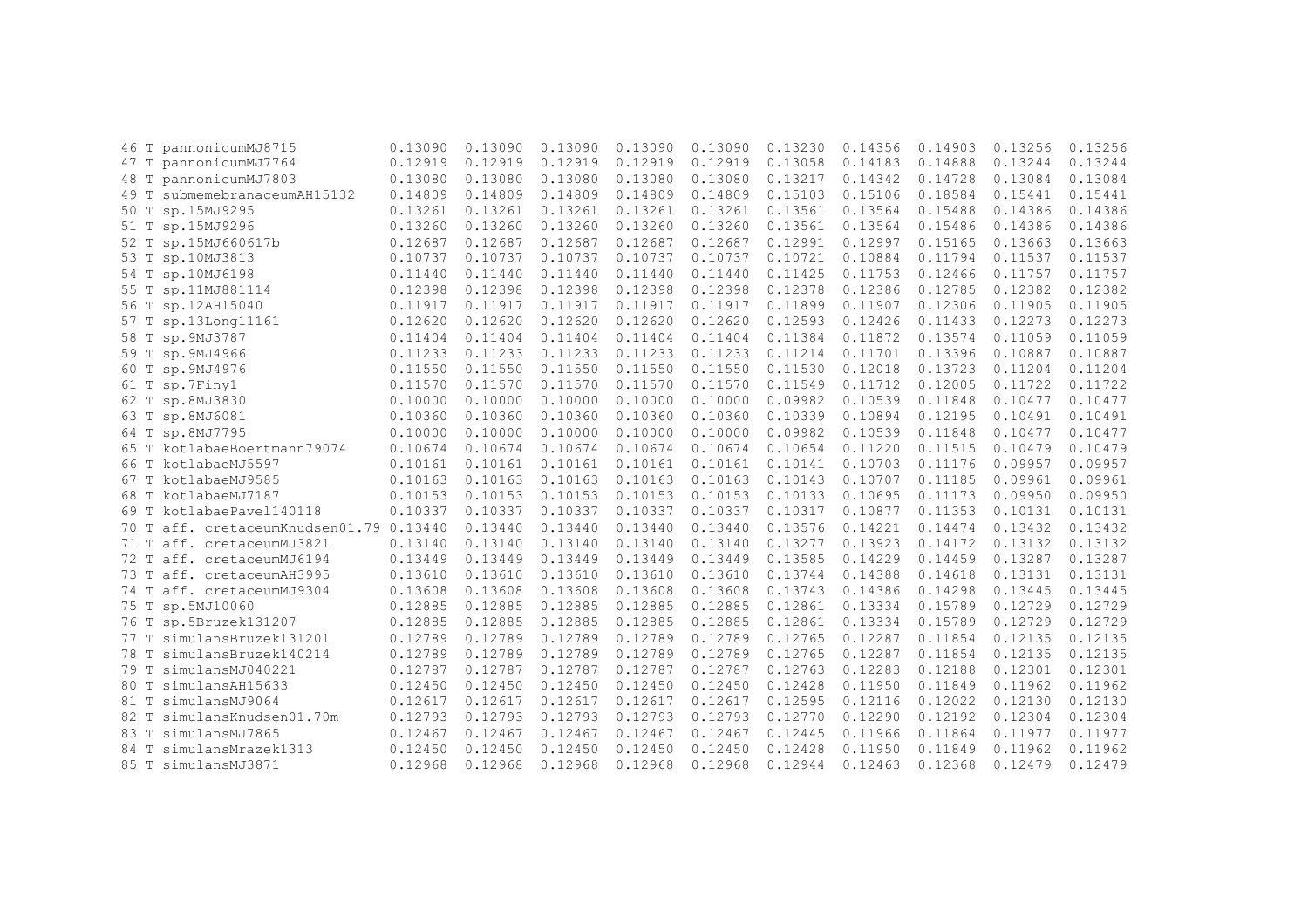| 46 T | pannonicumMJ8715                   | 0.13090 | 0.13090 | 0.13090 | 0.13090 | 0.13090 | 0.13230 | 0.14356 | 0.14903 | 0.13256 | 0.13256 |
|------|------------------------------------|---------|---------|---------|---------|---------|---------|---------|---------|---------|---------|
|      | 47 T pannonicumMJ7764              | 0.12919 | 0.12919 | 0.12919 | 0.12919 | 0.12919 | 0.13058 | 0.14183 | 0.14888 | 0.13244 | 0.13244 |
| 48 T | pannonicumMJ7803                   | 0.13080 | 0.13080 | 0.13080 | 0.13080 | 0.13080 | 0.13217 | 0.14342 | 0.14728 | 0.13084 | 0.13084 |
| 49 T | submemebranaceumAH15132            | 0.14809 | 0.14809 | 0.14809 | 0.14809 | 0.14809 | 0.15103 | 0.15106 | 0.18584 | 0.15441 | 0.15441 |
| 50 T | sp.15MJ9295                        | 0.13261 | 0.13261 | 0.13261 | 0.13261 | 0.13261 | 0.13561 | 0.13564 | 0.15488 | 0.14386 | 0.14386 |
| 51 T | sp.15MJ9296                        | 0.13260 | 0.13260 | 0.13260 | 0.13260 | 0.13260 | 0.13561 | 0.13564 | 0.15486 | 0.14386 | 0.14386 |
| 52 T | sp.15MJ660617b                     | 0.12687 | 0.12687 | 0.12687 | 0.12687 | 0.12687 | 0.12991 | 0.12997 | 0.15165 | 0.13663 | 0.13663 |
| 53 T | sp.10MJ3813                        | 0.10737 | 0.10737 | 0.10737 | 0.10737 | 0.10737 | 0.10721 | 0.10884 | 0.11794 | 0.11537 | 0.11537 |
|      | 54 T sp.10MJ6198                   | 0.11440 | 0.11440 | 0.11440 | 0.11440 | 0.11440 | 0.11425 | 0.11753 | 0.12466 | 0.11757 | 0.11757 |
| 55 T | sp.11MJ881114                      | 0.12398 | 0.12398 | 0.12398 | 0.12398 | 0.12398 | 0.12378 | 0.12386 | 0.12785 | 0.12382 | 0.12382 |
| 56 T | sp.12AH15040                       | 0.11917 | 0.11917 | 0.11917 | 0.11917 | 0.11917 | 0.11899 | 0.11907 | 0.12306 | 0.11905 | 0.11905 |
| 57 T | sp.13Long11161                     | 0.12620 | 0.12620 | 0.12620 | 0.12620 | 0.12620 | 0.12593 | 0.12426 | 0.11433 | 0.12273 | 0.12273 |
| 58 T | sp.9MJ3787                         | 0.11404 | 0.11404 | 0.11404 | 0.11404 | 0.11404 | 0.11384 | 0.11872 | 0.13574 | 0.11059 | 0.11059 |
| 59 T | sp.9MJ4966                         | 0.11233 | 0.11233 | 0.11233 | 0.11233 | 0.11233 | 0.11214 | 0.11701 | 0.13396 | 0.10887 | 0.10887 |
| 60 T | sp.9MJ4976                         | 0.11550 | 0.11550 | 0.11550 | 0.11550 | 0.11550 | 0.11530 | 0.12018 | 0.13723 | 0.11204 | 0.11204 |
| 61 T | sp.7Finy1                          | 0.11570 | 0.11570 | 0.11570 | 0.11570 | 0.11570 | 0.11549 | 0.11712 | 0.12005 | 0.11722 | 0.11722 |
| 62 T | sp.8MJ3830                         | 0.10000 | 0.10000 | 0.10000 | 0.10000 | 0.10000 | 0.09982 | 0.10539 | 0.11848 | 0.10477 | 0.10477 |
| 63 T | sp.8MJ6081                         | 0.10360 | 0.10360 | 0.10360 | 0.10360 | 0.10360 | 0.10339 | 0.10894 | 0.12195 | 0.10491 | 0.10491 |
| 64 T | sp.8MJ7795                         | 0.10000 | 0.10000 | 0.10000 | 0.10000 | 0.10000 | 0.09982 | 0.10539 | 0.11848 | 0.10477 | 0.10477 |
|      | 65 T kotlabaeBoertmann79074        | 0.10674 | 0.10674 | 0.10674 | 0.10674 | 0.10674 | 0.10654 | 0.11220 | 0.11515 | 0.10479 | 0.10479 |
| 66 T | kotlabaeMJ5597                     | 0.10161 | 0.10161 | 0.10161 | 0.10161 | 0.10161 | 0.10141 | 0.10703 | 0.11176 | 0.09957 | 0.09957 |
| 67 T | kotlabaeMJ9585                     | 0.10163 | 0.10163 | 0.10163 | 0.10163 | 0.10163 | 0.10143 | 0.10707 | 0.11185 | 0.09961 | 0.09961 |
| 68 T | kotlabaeMJ7187                     | 0.10153 | 0.10153 | 0.10153 | 0.10153 | 0.10153 | 0.10133 | 0.10695 | 0.11173 | 0.09950 | 0.09950 |
| 69 T | kotlabaePavel140118                | 0.10337 | 0.10337 | 0.10337 | 0.10337 | 0.10337 | 0.10317 | 0.10877 | 0.11353 | 0.10131 | 0.10131 |
| 70 T | aff. cretaceumKnudsen01.79 0.13440 |         | 0.13440 | 0.13440 | 0.13440 | 0.13440 | 0.13576 | 0.14221 | 0.14474 | 0.13432 | 0.13432 |
| 71 T | aff. cretaceumMJ3821               | 0.13140 | 0.13140 | 0.13140 | 0.13140 | 0.13140 | 0.13277 | 0.13923 | 0.14172 | 0.13132 | 0.13132 |
| 72 T | aff. cretaceumMJ6194               | 0.13449 | 0.13449 | 0.13449 | 0.13449 | 0.13449 | 0.13585 | 0.14229 | 0.14459 | 0.13287 | 0.13287 |
| 73 T | aff. cretaceumAH3995               | 0.13610 | 0.13610 | 0.13610 | 0.13610 | 0.13610 | 0.13744 | 0.14388 | 0.14618 | 0.13131 | 0.13131 |
|      | 74 T aff. cretaceumMJ9304          | 0.13608 | 0.13608 | 0.13608 | 0.13608 | 0.13608 | 0.13743 | 0.14386 | 0.14298 | 0.13445 | 0.13445 |
|      | 75 T sp.5MJ10060                   | 0.12885 | 0.12885 | 0.12885 | 0.12885 | 0.12885 | 0.12861 | 0.13334 | 0.15789 | 0.12729 | 0.12729 |
| 76 T | sp.5Bruzek131207                   | 0.12885 | 0.12885 | 0.12885 | 0.12885 | 0.12885 | 0.12861 | 0.13334 | 0.15789 | 0.12729 | 0.12729 |
| 77 T | simulansBruzek131201               | 0.12789 | 0.12789 | 0.12789 | 0.12789 | 0.12789 | 0.12765 | 0.12287 | 0.11854 | 0.12135 | 0.12135 |
| 78 T | simulansBruzek140214               | 0.12789 | 0.12789 | 0.12789 | 0.12789 | 0.12789 | 0.12765 | 0.12287 | 0.11854 | 0.12135 | 0.12135 |
| 79 T | simulansMJ040221                   | 0.12787 | 0.12787 | 0.12787 | 0.12787 | 0.12787 | 0.12763 | 0.12283 | 0.12188 | 0.12301 | 0.12301 |
| 80 T | simulansAH15633                    | 0.12450 | 0.12450 | 0.12450 | 0.12450 | 0.12450 | 0.12428 | 0.11950 | 0.11849 | 0.11962 | 0.11962 |
| 81 T | simulansMJ9064                     | 0.12617 | 0.12617 | 0.12617 | 0.12617 | 0.12617 | 0.12595 | 0.12116 | 0.12022 | 0.12130 | 0.12130 |
| 82 T | simulansKnudsen01.70m              | 0.12793 | 0.12793 | 0.12793 | 0.12793 | 0.12793 | 0.12770 | 0.12290 | 0.12192 | 0.12304 | 0.12304 |
| 83 T | simulansMJ7865                     | 0.12467 | 0.12467 | 0.12467 | 0.12467 | 0.12467 | 0.12445 | 0.11966 | 0.11864 | 0.11977 | 0.11977 |
| 84 T | simulansMrazek1313                 | 0.12450 | 0.12450 | 0.12450 | 0.12450 | 0.12450 | 0.12428 | 0.11950 | 0.11849 | 0.11962 | 0.11962 |
| 85 T | simulansMJ3871                     | 0.12968 | 0.12968 | 0.12968 | 0.12968 | 0.12968 | 0.12944 | 0.12463 | 0.12368 | 0.12479 | 0.12479 |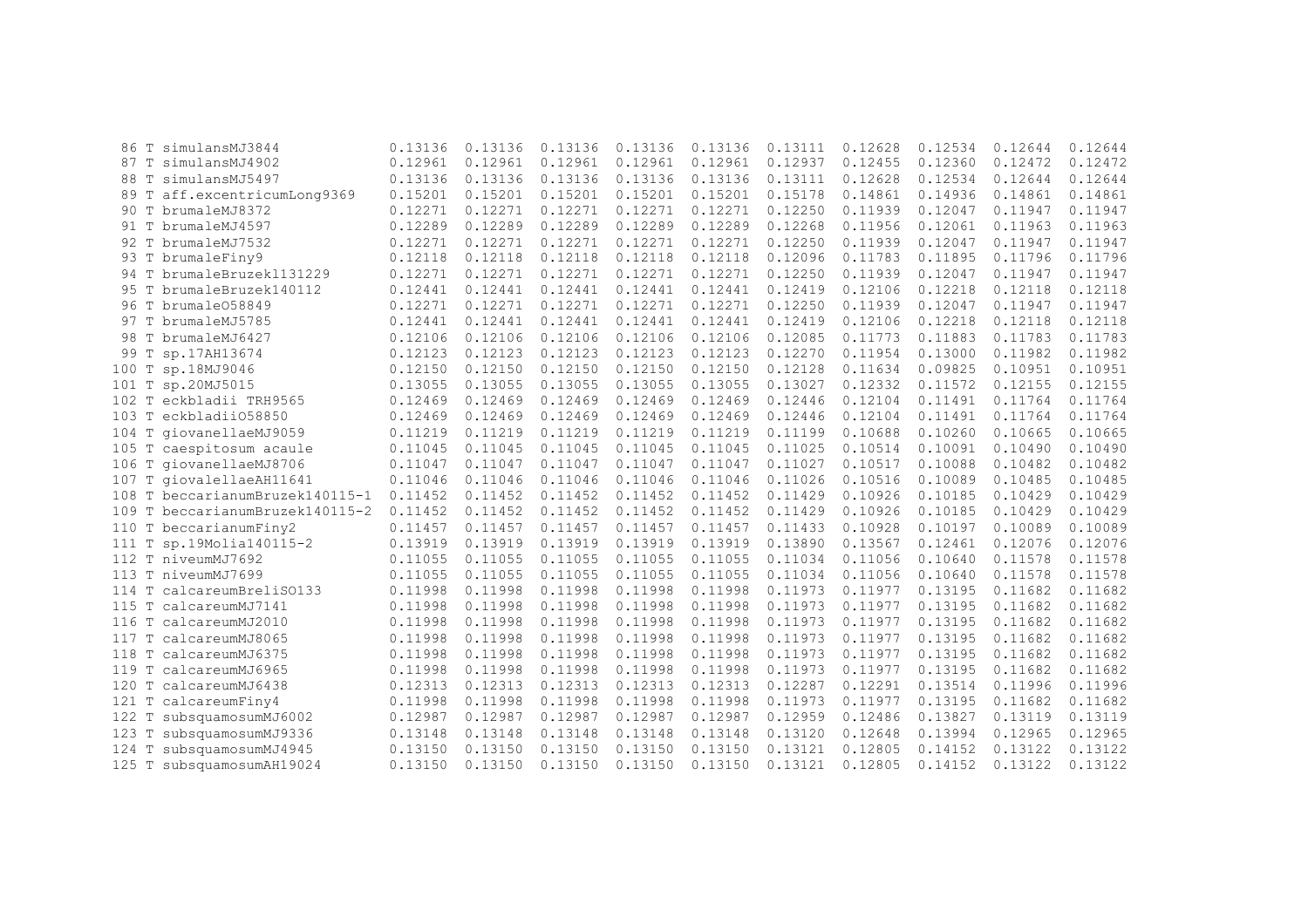| 86                 | T simulansMJ3844                | 0.13136 | 0.13136 | 0.13136 | 0.13136 | 0.13136 | 0.13111 | 0.12628 | 0.12534 | 0.12644 | 0.12644 |
|--------------------|---------------------------------|---------|---------|---------|---------|---------|---------|---------|---------|---------|---------|
|                    | 87 T simulansMJ4902             | 0.12961 | 0.12961 | 0.12961 | 0.12961 | 0.12961 | 0.12937 | 0.12455 | 0.12360 | 0.12472 | 0.12472 |
| 88                 | T simulansMJ5497                | 0.13136 | 0.13136 | 0.13136 | 0.13136 | 0.13136 | 0.13111 | 0.12628 | 0.12534 | 0.12644 | 0.12644 |
| 89                 | T aff.excentricumLong9369       | 0.15201 | 0.15201 | 0.15201 | 0.15201 | 0.15201 | 0.15178 | 0.14861 | 0.14936 | 0.14861 | 0.14861 |
| 90                 | T brumaleMJ8372                 | 0.12271 | 0.12271 | 0.12271 | 0.12271 | 0.12271 | 0.12250 | 0.11939 | 0.12047 | 0.11947 | 0.11947 |
| T<br>91            | brumaleMJ4597                   | 0.12289 | 0.12289 | 0.12289 | 0.12289 | 0.12289 | 0.12268 | 0.11956 | 0.12061 | 0.11963 | 0.11963 |
| 92                 | T brumaleMJ7532                 | 0.12271 | 0.12271 | 0.12271 | 0.12271 | 0.12271 | 0.12250 | 0.11939 | 0.12047 | 0.11947 | 0.11947 |
| 93                 | T brumaleFiny9                  | 0.12118 | 0.12118 | 0.12118 | 0.12118 | 0.12118 | 0.12096 | 0.11783 | 0.11895 | 0.11796 | 0.11796 |
|                    | 94 T brumaleBruzek1131229       | 0.12271 | 0.12271 | 0.12271 | 0.12271 | 0.12271 | 0.12250 | 0.11939 | 0.12047 | 0.11947 | 0.11947 |
|                    | 95 T brumaleBruzek140112        | 0.12441 | 0.12441 | 0.12441 | 0.12441 | 0.12441 | 0.12419 | 0.12106 | 0.12218 | 0.12118 | 0.12118 |
|                    | 96 T brumale058849              | 0.12271 | 0.12271 | 0.12271 | 0.12271 | 0.12271 | 0.12250 | 0.11939 | 0.12047 | 0.11947 | 0.11947 |
|                    | 97 T brumaleMJ5785              | 0.12441 | 0.12441 | 0.12441 | 0.12441 | 0.12441 | 0.12419 | 0.12106 | 0.12218 | 0.12118 | 0.12118 |
| 98                 | T brumaleMJ6427                 | 0.12106 | 0.12106 | 0.12106 | 0.12106 | 0.12106 | 0.12085 | 0.11773 | 0.11883 | 0.11783 | 0.11783 |
| 99                 | T sp.17AH13674                  | 0.12123 | 0.12123 | 0.12123 | 0.12123 | 0.12123 | 0.12270 | 0.11954 | 0.13000 | 0.11982 | 0.11982 |
| 100                | T sp.18MJ9046                   | 0.12150 | 0.12150 | 0.12150 | 0.12150 | 0.12150 | 0.12128 | 0.11634 | 0.09825 | 0.10951 | 0.10951 |
|                    | 101 T sp.20MJ5015               | 0.13055 | 0.13055 | 0.13055 | 0.13055 | 0.13055 | 0.13027 | 0.12332 | 0.11572 | 0.12155 | 0.12155 |
|                    | 102 T eckbladii TRH9565         | 0.12469 | 0.12469 | 0.12469 | 0.12469 | 0.12469 | 0.12446 | 0.12104 | 0.11491 | 0.11764 | 0.11764 |
|                    | 103 T eckbladii058850           | 0.12469 | 0.12469 | 0.12469 | 0.12469 | 0.12469 | 0.12446 | 0.12104 | 0.11491 | 0.11764 | 0.11764 |
|                    | 104 T giovanellaeMJ9059         | 0.11219 | 0.11219 | 0.11219 | 0.11219 | 0.11219 | 0.11199 | 0.10688 | 0.10260 | 0.10665 | 0.10665 |
|                    | 105 T caespitosum acaule        | 0.11045 | 0.11045 | 0.11045 | 0.11045 | 0.11045 | 0.11025 | 0.10514 | 0.10091 | 0.10490 | 0.10490 |
|                    | 106 T giovanellaeMJ8706         | 0.11047 | 0.11047 | 0.11047 | 0.11047 | 0.11047 | 0.11027 | 0.10517 | 0.10088 | 0.10482 | 0.10482 |
| 107                | T giovalellaeAH11641            | 0.11046 | 0.11046 | 0.11046 | 0.11046 | 0.11046 | 0.11026 | 0.10516 | 0.10089 | 0.10485 | 0.10485 |
|                    | 108 T beccarianumBruzek140115-1 | 0.11452 | 0.11452 | 0.11452 | 0.11452 | 0.11452 | 0.11429 | 0.10926 | 0.10185 | 0.10429 | 0.10429 |
|                    | 109 T beccarianumBruzek140115-2 | 0.11452 | 0.11452 | 0.11452 | 0.11452 | 0.11452 | 0.11429 | 0.10926 | 0.10185 | 0.10429 | 0.10429 |
| 110                | T beccarianumFiny2              | 0.11457 | 0.11457 | 0.11457 | 0.11457 | 0.11457 | 0.11433 | 0.10928 | 0.10197 | 0.10089 | 0.10089 |
| 111                | T sp.19Molia140115-2            | 0.13919 | 0.13919 | 0.13919 | 0.13919 | 0.13919 | 0.13890 | 0.13567 | 0.12461 | 0.12076 | 0.12076 |
| 112                | T niveumMJ7692                  | 0.11055 | 0.11055 | 0.11055 | 0.11055 | 0.11055 | 0.11034 | 0.11056 | 0.10640 | 0.11578 | 0.11578 |
| 113                | T niveumMJ7699                  | 0.11055 | 0.11055 | 0.11055 | 0.11055 | 0.11055 | 0.11034 | 0.11056 | 0.10640 | 0.11578 | 0.11578 |
| T<br>114           | calcareumBreliS0133             | 0.11998 | 0.11998 | 0.11998 | 0.11998 | 0.11998 | 0.11973 | 0.11977 | 0.13195 | 0.11682 | 0.11682 |
|                    | 115 T calcareumMJ7141           | 0.11998 | 0.11998 | 0.11998 | 0.11998 | 0.11998 | 0.11973 | 0.11977 | 0.13195 | 0.11682 | 0.11682 |
|                    | 116 T calcareumMJ2010           | 0.11998 | 0.11998 | 0.11998 | 0.11998 | 0.11998 | 0.11973 | 0.11977 | 0.13195 | 0.11682 | 0.11682 |
| 117                | T calcareumMJ8065               | 0.11998 | 0.11998 | 0.11998 | 0.11998 | 0.11998 | 0.11973 | 0.11977 | 0.13195 | 0.11682 | 0.11682 |
| 118<br>T           | calcareumMJ6375                 | 0.11998 | 0.11998 | 0.11998 | 0.11998 | 0.11998 | 0.11973 | 0.11977 | 0.13195 | 0.11682 | 0.11682 |
| T<br>119           | calcareumMJ6965                 | 0.11998 | 0.11998 | 0.11998 | 0.11998 | 0.11998 | 0.11973 | 0.11977 | 0.13195 | 0.11682 | 0.11682 |
| $\mathbb T$<br>120 | calcareumMJ6438                 | 0.12313 | 0.12313 | 0.12313 | 0.12313 | 0.12313 | 0.12287 | 0.12291 | 0.13514 | 0.11996 | 0.11996 |
| 121<br>T           | calcareumFiny4                  | 0.11998 | 0.11998 | 0.11998 | 0.11998 | 0.11998 | 0.11973 | 0.11977 | 0.13195 | 0.11682 | 0.11682 |
| 122<br>T           | subsquamosumMJ6002              | 0.12987 | 0.12987 | 0.12987 | 0.12987 | 0.12987 | 0.12959 | 0.12486 | 0.13827 | 0.13119 | 0.13119 |
| 123<br>$\mathbb T$ | subsquamosumMJ9336              | 0.13148 | 0.13148 | 0.13148 | 0.13148 | 0.13148 | 0.13120 | 0.12648 | 0.13994 | 0.12965 | 0.12965 |
| 124<br>T           | subsquamosumMJ4945              | 0.13150 | 0.13150 | 0.13150 | 0.13150 | 0.13150 | 0.13121 | 0.12805 | 0.14152 | 0.13122 | 0.13122 |
|                    | 125 T subsquamosumAH19024       | 0.13150 | 0.13150 | 0.13150 | 0.13150 | 0.13150 | 0.13121 | 0.12805 | 0.14152 | 0.13122 | 0.13122 |
|                    |                                 |         |         |         |         |         |         |         |         |         |         |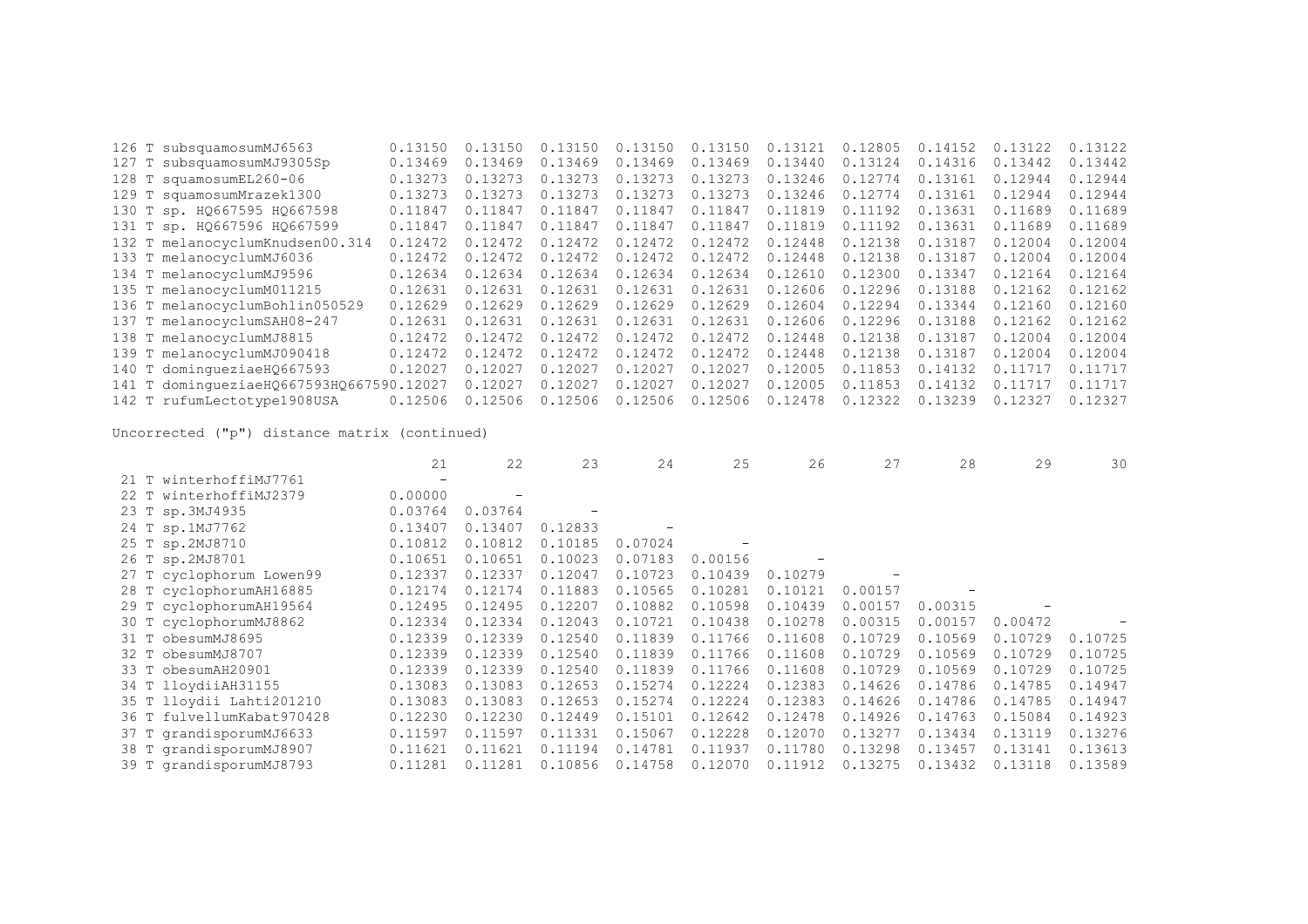| 126 T subsquamosumMJ6563                 | 0.13150 | 0.13150 | 0.13150 | 0.13150 | 0.13150 | 0.13121 | 0.12805 | 0.14152 | 0.13122 | 0.13122 |
|------------------------------------------|---------|---------|---------|---------|---------|---------|---------|---------|---------|---------|
| 127 T subsquamosumMJ9305Sp               | 0.13469 | 0.13469 | 0.13469 | 0.13469 | 0.13469 | 0.13440 | 0.13124 | 0.14316 | 0.13442 | 0.13442 |
| 128 T squamosumEL260-06                  | 0.13273 | 0.13273 | 0.13273 | 0.13273 | 0.13273 | 0.13246 | 0.12774 | 0.13161 | 0.12944 | 0.12944 |
| 129 T squamosumMrazek1300                | 0.13273 | 0.13273 | 0.13273 | 0.13273 | 0.13273 | 0.13246 | 0.12774 | 0.13161 | 0.12944 | 0.12944 |
| 130 T sp. HQ667595 HQ667598              | 0.11847 | 0.11847 | 0.11847 | 0.11847 | 0.11847 | 0.11819 | 0.11192 | 0.13631 | 0.11689 | 0.11689 |
| 131 T sp. HQ667596 HQ667599              | 0.11847 | 0.11847 | 0.11847 | 0.11847 | 0.11847 | 0.11819 | 0.11192 | 0.13631 | 0.11689 | 0.11689 |
| 132 T melanocyclumKnudsen00.314          | 0.12472 | 0.12472 | 0.12472 | 0.12472 | 0.12472 | 0.12448 | 0.12138 | 0.13187 | 0.12004 | 0.12004 |
| 133 T melanocyclumMJ6036                 | 0.12472 | 0.12472 | 0.12472 | 0.12472 | 0.12472 | 0.12448 | 0.12138 | 0.13187 | 0.12004 | 0.12004 |
| 134 T melanocyclumMJ9596                 | 0.12634 | 0.12634 | 0.12634 | 0.12634 | 0.12634 | 0.12610 | 0.12300 | 0.13347 | 0.12164 | 0.12164 |
| 135 T melanocyclumM011215                | 0.12631 | 0.12631 | 0.12631 | 0.12631 | 0.12631 | 0.12606 | 0.12296 | 0.13188 | 0.12162 | 0,12162 |
| 136 T melanocyclumBohlin050529           | 0.12629 | 0.12629 | 0.12629 | 0.12629 | 0.12629 | 0.12604 | 0.12294 | 0.13344 | 0.12160 | 0.12160 |
| 137 T melanocyclumSAH08-247              | 0.12631 | 0.12631 | 0.12631 | 0.12631 | 0.12631 | 0.12606 | 0.12296 | 0.13188 | 0.12162 | 0.12162 |
| 138 T melanocyclumMJ8815                 | 0.12472 | 0.12472 | 0.12472 | 0.12472 | 0.12472 | 0.12448 | 0.12138 | 0.13187 | 0.12004 | 0.12004 |
| 139 T melanocyclumMJ090418               | 0.12472 | 0.12472 | 0.12472 | 0.12472 | 0.12472 | 0.12448 | 0.12138 | 0.13187 | 0.12004 | 0.12004 |
| 140 T domingueziaeH0667593               | 0.12027 | 0.12027 | 0.12027 | 0.12027 | 0.12027 | 0.12005 | 0.11853 | 0.14132 | 0.11717 | 0.11717 |
| 141 T dominqueziaeHQ667593HQ667590.12027 |         | 0.12027 | 0.12027 | 0.12027 | 0.12027 | 0.12005 | 0.11853 | 0.14132 | 0.11717 | 0.11717 |
| 142 T rufumLectotype1908USA              | 0.12506 | 0.12506 | 0.12506 | 0.12506 | 0.12506 | 0.12478 | 0.12322 | 0.13239 | 0.12327 | 0.12327 |

|                           | 21                | 22      | 23                       | 24      | 25      | 26      | 27      | 28      | 29      | 30      |
|---------------------------|-------------------|---------|--------------------------|---------|---------|---------|---------|---------|---------|---------|
| 21 T winterhoffiMJ7761    | $\qquad \qquad =$ |         |                          |         |         |         |         |         |         |         |
| 22 T winterhoffiMJ2379    | 0.00000           |         |                          |         |         |         |         |         |         |         |
| 23 T sp.3MJ4935           | 0.03764           | 0.03764 | $\overline{\phantom{0}}$ |         |         |         |         |         |         |         |
| 24 T sp.1MJ7762           | 0.13407           | 0.13407 | 0.12833                  |         |         |         |         |         |         |         |
| 25 T sp.2MJ8710           | 0.10812           | 0.10812 | 0.10185                  | 0.07024 |         |         |         |         |         |         |
| 26 T sp.2MJ8701           | 0.10651           | 0.10651 | 0.10023                  | 0.07183 | 0.00156 |         |         |         |         |         |
| 27 T cyclophorum Lowen99  | 0.12337           | 0.12337 | 0.12047                  | 0.10723 | 0.10439 | 0.10279 |         |         |         |         |
| 28 T cyclophorumAH16885   | 0.12174           | 0.12174 | 0.11883                  | 0.10565 | 0.10281 | 0.10121 | 0.00157 |         |         |         |
| 29 T cyclophorumAH19564   | 0.12495           | 0.12495 | 0.12207                  | 0.10882 | 0.10598 | 0.10439 | 0.00157 | 0.00315 |         |         |
| 30 T cyclophorumMJ8862    | 0.12334           | 0.12334 | 0.12043                  | 0.10721 | 0.10438 | 0.10278 | 0.00315 | 0.00157 | 0.00472 |         |
| 31 T obesumMJ8695         | 0.12339           | 0.12339 | 0.12540                  | 0.11839 | 0.11766 | 0.11608 | 0.10729 | 0.10569 | 0.10729 | 0.10725 |
| 32 T obesumMJ8707         | 0.12339           | 0.12339 | 0.12540                  | 0.11839 | 0.11766 | 0.11608 | 0.10729 | 0.10569 | 0.10729 | 0.10725 |
| 33 T obesumAH20901        | 0.12339           | 0.12339 | 0.12540                  | 0.11839 | 0.11766 | 0.11608 | 0.10729 | 0.10569 | 0.10729 | 0.10725 |
| 34 T lloydiiAH31155       | 0.13083           | 0.13083 | 0.12653                  | 0.15274 | 0.12224 | 0.12383 | 0.14626 | 0.14786 | 0.14785 | 0.14947 |
| 35 T lloydii Lahti201210  | 0.13083           | 0.13083 | 0.12653                  | 0.15274 | 0.12224 | 0.12383 | 0.14626 | 0.14786 | 0.14785 | 0.14947 |
| 36 T fulvellumKabat970428 | 0.12230           | 0.12230 | 0.12449                  | 0.15101 | 0.12642 | 0.12478 | 0.14926 | 0.14763 | 0.15084 | 0.14923 |
| 37 T grandisporumMJ6633   | 0.11597           | 0.11597 | 0.11331                  | 0.15067 | 0.12228 | 0.12070 | 0.13277 | 0.13434 | 0.13119 | 0.13276 |
| 38 T grandisporumMJ8907   | 0.11621           | 0.11621 | 0.11194                  | 0.14781 | 0.11937 | 0.11780 | 0.13298 | 0.13457 | 0.13141 | 0.13613 |
| 39 T grandisporumMJ8793   | 0.11281           | 0.11281 | 0.10856                  | 0.14758 | 0.12070 | 0.11912 | 0.13275 | 0.13432 | 0.13118 | 0.13589 |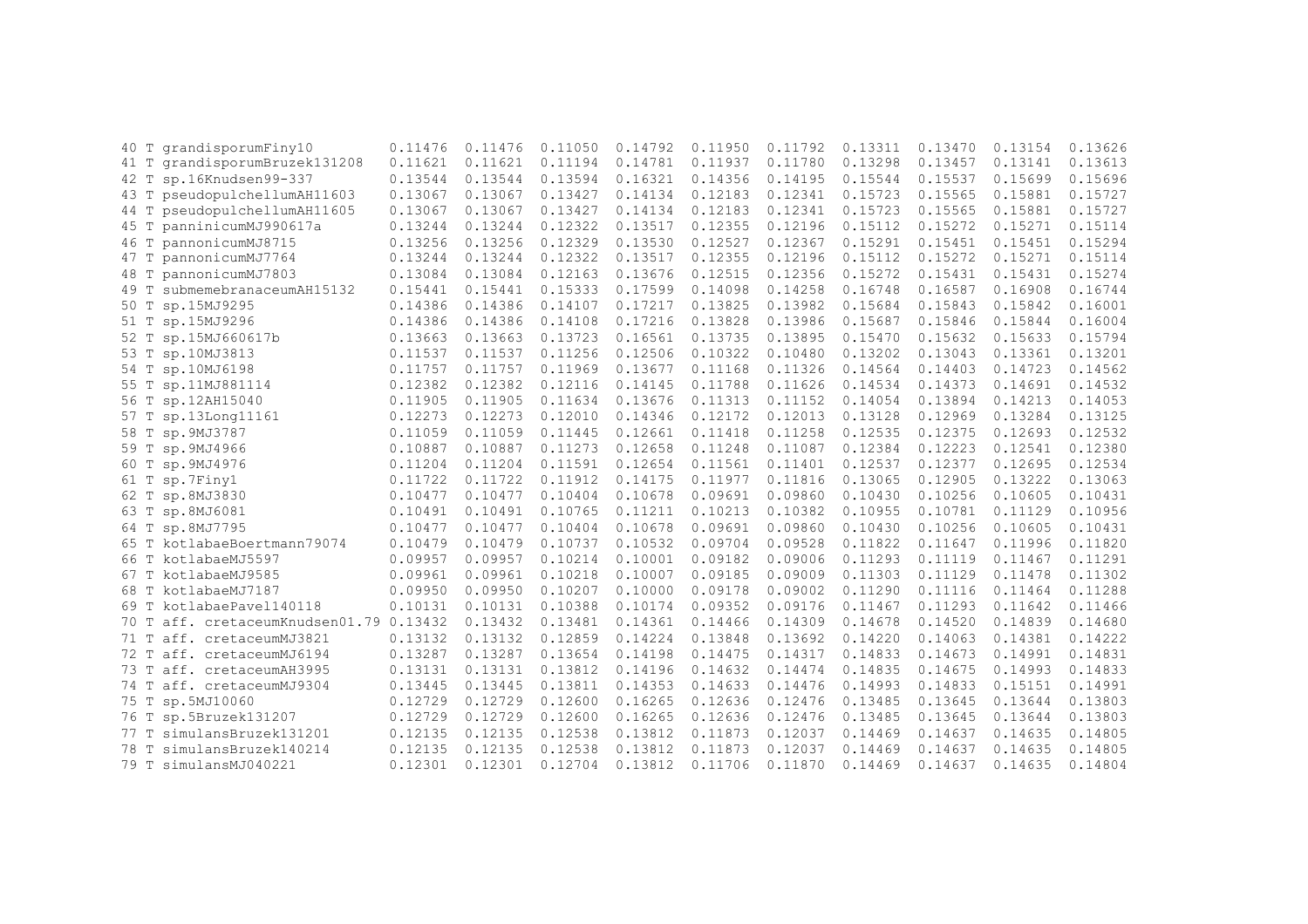| 40 T | grandisporumFiny10                 | 0.11476 | 0.11476 | 0.11050 | 0.14792 | 0.11950 | 0.11792 | 0.13311 | 0.13470 | 0.13154 | 0.13626 |
|------|------------------------------------|---------|---------|---------|---------|---------|---------|---------|---------|---------|---------|
| 41 T | grandisporumBruzek131208           | 0.11621 | 0.11621 | 0.11194 | 0.14781 | 0.11937 | 0.11780 | 0.13298 | 0.13457 | 0.13141 | 0.13613 |
| 42 T | sp.16Knudsen99-337                 | 0.13544 | 0.13544 | 0.13594 | 0.16321 | 0.14356 | 0.14195 | 0.15544 | 0.15537 | 0.15699 | 0.15696 |
| 43 T | pseudopulchellumAH11603            | 0.13067 | 0.13067 | 0.13427 | 0.14134 | 0.12183 | 0.12341 | 0.15723 | 0.15565 | 0.15881 | 0.15727 |
| 44 T | pseudopulchellumAH11605            | 0.13067 | 0.13067 | 0.13427 | 0.14134 | 0.12183 | 0.12341 | 0.15723 | 0.15565 | 0.15881 | 0.15727 |
| 45 T | panninicumMJ990617a                | 0.13244 | 0.13244 | 0.12322 | 0.13517 | 0.12355 | 0.12196 | 0.15112 | 0.15272 | 0.15271 | 0.15114 |
| 46 T | pannonicumMJ8715                   | 0.13256 | 0.13256 | 0.12329 | 0.13530 | 0.12527 | 0.12367 | 0.15291 | 0.15451 | 0.15451 | 0.15294 |
| 47 T | pannonicumMJ7764                   | 0.13244 | 0.13244 | 0.12322 | 0.13517 | 0.12355 | 0.12196 | 0.15112 | 0.15272 | 0.15271 | 0.15114 |
| 48 T | pannonicumMJ7803                   | 0.13084 | 0.13084 | 0.12163 | 0.13676 | 0.12515 | 0.12356 | 0.15272 | 0.15431 | 0.15431 | 0.15274 |
| 49 T | submemebranaceumAH15132            | 0.15441 | 0.15441 | 0.15333 | 0.17599 | 0.14098 | 0.14258 | 0.16748 | 0.16587 | 0.16908 | 0.16744 |
| 50 T | sp.15MJ9295                        | 0.14386 | 0.14386 | 0.14107 | 0.17217 | 0.13825 | 0.13982 | 0.15684 | 0.15843 | 0.15842 | 0.16001 |
| 51 T | sp.15MJ9296                        | 0.14386 | 0.14386 | 0.14108 | 0.17216 | 0.13828 | 0.13986 | 0.15687 | 0.15846 | 0.15844 | 0.16004 |
| 52 T | sp.15MJ660617b                     | 0.13663 | 0.13663 | 0.13723 | 0.16561 | 0.13735 | 0.13895 | 0.15470 | 0.15632 | 0.15633 | 0.15794 |
| 53 T | sp.10MJ3813                        | 0.11537 | 0.11537 | 0.11256 | 0.12506 | 0.10322 | 0.10480 | 0.13202 | 0.13043 | 0.13361 | 0.13201 |
| 54 T | sp.10MJ6198                        | 0.11757 | 0.11757 | 0.11969 | 0.13677 | 0.11168 | 0.11326 | 0.14564 | 0.14403 | 0.14723 | 0.14562 |
| 55 T | sp.11MJ881114                      | 0.12382 | 0.12382 | 0.12116 | 0.14145 | 0.11788 | 0.11626 | 0.14534 | 0.14373 | 0.14691 | 0.14532 |
| 56 T | sp.12AH15040                       | 0.11905 | 0.11905 | 0.11634 | 0.13676 | 0.11313 | 0.11152 | 0.14054 | 0.13894 | 0.14213 | 0.14053 |
| 57 T | sp.13Long11161                     | 0.12273 | 0.12273 | 0.12010 | 0.14346 | 0.12172 | 0.12013 | 0.13128 | 0.12969 | 0.13284 | 0.13125 |
| 58 T | sp.9MJ3787                         | 0.11059 | 0.11059 | 0.11445 | 0.12661 | 0.11418 | 0.11258 | 0.12535 | 0.12375 | 0.12693 | 0.12532 |
| 59 T | sp.9MJ4966                         | 0.10887 | 0.10887 | 0.11273 | 0.12658 | 0.11248 | 0.11087 | 0.12384 | 0.12223 | 0.12541 | 0.12380 |
| 60 T | sp.9MJ4976                         | 0.11204 | 0.11204 | 0.11591 | 0.12654 | 0.11561 | 0.11401 | 0.12537 | 0.12377 | 0.12695 | 0.12534 |
| 61 T | sp.7Finy1                          | 0.11722 | 0.11722 | 0.11912 | 0.14175 | 0.11977 | 0.11816 | 0.13065 | 0.12905 | 0.13222 | 0.13063 |
| 62 T | sp.8MJ3830                         | 0.10477 | 0.10477 | 0.10404 | 0.10678 | 0.09691 | 0.09860 | 0.10430 | 0.10256 | 0.10605 | 0.10431 |
| 63 T | sp.8MJ6081                         | 0.10491 | 0.10491 | 0.10765 | 0.11211 | 0.10213 | 0.10382 | 0.10955 | 0.10781 | 0.11129 | 0.10956 |
|      | 64 T sp.8MJ7795                    | 0.10477 | 0.10477 | 0.10404 | 0.10678 | 0.09691 | 0.09860 | 0.10430 | 0.10256 | 0.10605 | 0.10431 |
| 65 T | kotlabaeBoertmann79074             | 0.10479 | 0.10479 | 0.10737 | 0.10532 | 0.09704 | 0.09528 | 0.11822 | 0.11647 | 0.11996 | 0.11820 |
| 66 T | kotlabaeMJ5597                     | 0.09957 | 0.09957 | 0.10214 | 0.10001 | 0.09182 | 0.09006 | 0.11293 | 0.11119 | 0.11467 | 0.11291 |
|      | 67 T kotlabaeMJ9585                | 0.09961 | 0.09961 | 0.10218 | 0.10007 | 0.09185 | 0.09009 | 0.11303 | 0.11129 | 0.11478 | 0.11302 |
| 68 T | kotlabaeMJ7187                     | 0.09950 | 0.09950 | 0.10207 | 0.10000 | 0.09178 | 0.09002 | 0.11290 | 0.11116 | 0.11464 | 0.11288 |
| 69 T | kotlabaePavel140118                | 0.10131 | 0.10131 | 0.10388 | 0.10174 | 0.09352 | 0.09176 | 0.11467 | 0.11293 | 0.11642 | 0.11466 |
| 70 T | aff. cretaceumKnudsen01.79 0.13432 |         | 0.13432 | 0.13481 | 0.14361 | 0.14466 | 0.14309 | 0.14678 | 0.14520 | 0.14839 | 0.14680 |
| 71 T | aff. cretaceumMJ3821               | 0.13132 | 0.13132 | 0.12859 | 0.14224 | 0.13848 | 0.13692 | 0.14220 | 0.14063 | 0.14381 | 0.14222 |
| 72 T | aff. cretaceumMJ6194               | 0.13287 | 0.13287 | 0.13654 | 0.14198 | 0.14475 | 0.14317 | 0.14833 | 0.14673 | 0.14991 | 0.14831 |
| 73 T | aff. cretaceumAH3995               | 0.13131 | 0.13131 | 0.13812 | 0.14196 | 0.14632 | 0.14474 | 0.14835 | 0.14675 | 0.14993 | 0.14833 |
| 74 T | aff. cretaceumMJ9304               | 0.13445 | 0.13445 | 0.13811 | 0.14353 | 0.14633 | 0.14476 | 0.14993 | 0.14833 | 0.15151 | 0.14991 |
| 75 T | sp.5MJ10060                        | 0.12729 | 0.12729 | 0.12600 | 0.16265 | 0.12636 | 0.12476 | 0.13485 | 0.13645 | 0.13644 | 0.13803 |
| 76 T | sp.5Bruzek131207                   | 0.12729 | 0.12729 | 0.12600 | 0.16265 | 0.12636 | 0.12476 | 0.13485 | 0.13645 | 0.13644 | 0.13803 |
| 77 T | simulansBruzek131201               | 0.12135 | 0.12135 | 0.12538 | 0.13812 | 0.11873 | 0.12037 | 0.14469 | 0.14637 | 0.14635 | 0.14805 |
| 78 T | simulansBruzek140214               | 0.12135 | 0.12135 | 0.12538 | 0.13812 | 0.11873 | 0.12037 | 0.14469 | 0.14637 | 0.14635 | 0.14805 |
| 79 T | simulansMJ040221                   | 0.12301 | 0.12301 | 0.12704 | 0.13812 | 0.11706 | 0.11870 | 0.14469 | 0.14637 | 0.14635 | 0.14804 |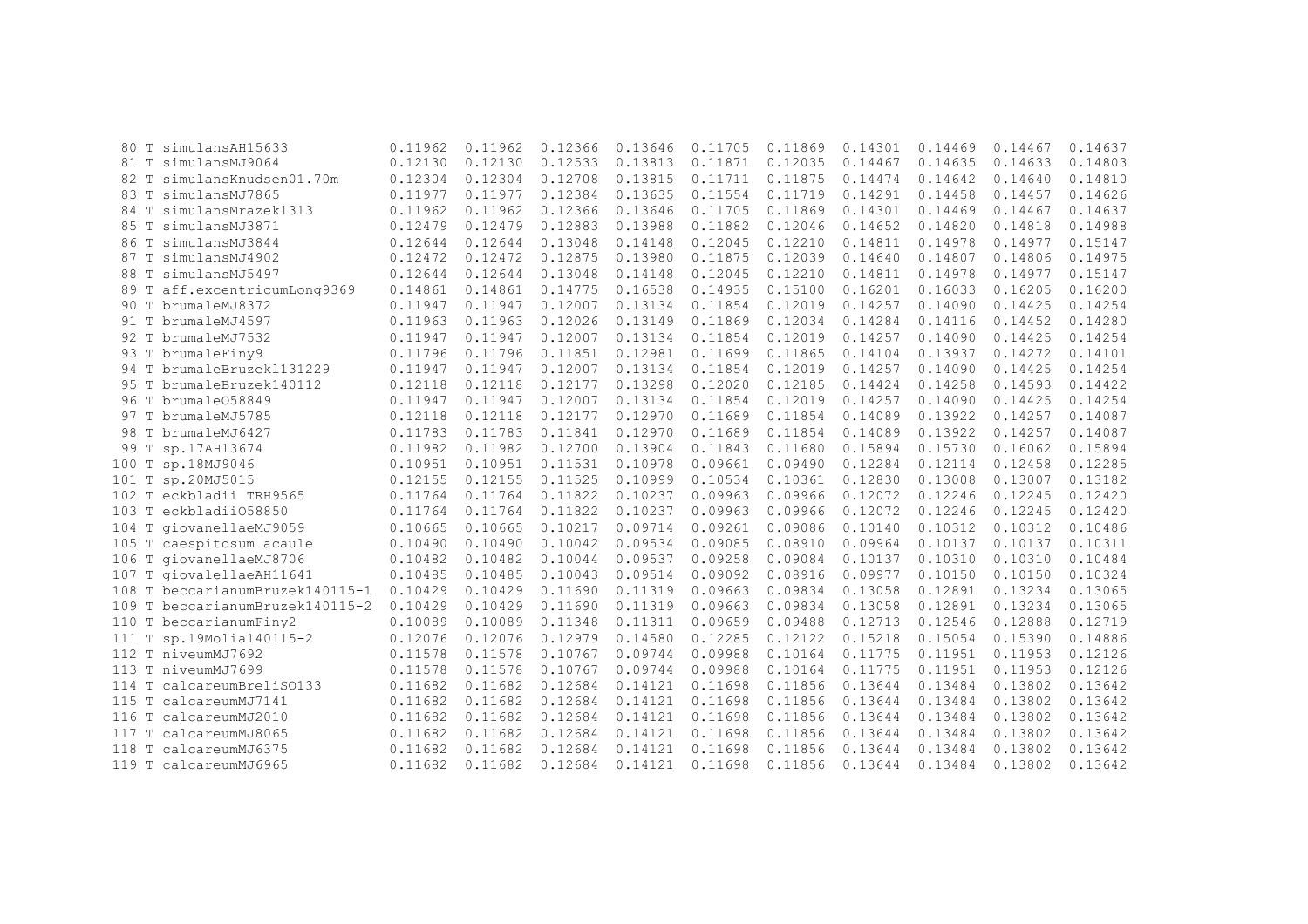| 80 T  | simulansAH15633                 | 0.11962 | 0.11962 | 0.12366 | 0.13646 | 0.11705 | 0.11869 | 0.14301 | 0.14469 | 0.14467 | 0.14637 |
|-------|---------------------------------|---------|---------|---------|---------|---------|---------|---------|---------|---------|---------|
|       | 81 T simulansMJ9064             | 0.12130 | 0.12130 | 0.12533 | 0.13813 | 0.11871 | 0.12035 | 0.14467 | 0.14635 | 0.14633 | 0.14803 |
| 82 T  | simulansKnudsen01.70m           | 0.12304 | 0.12304 | 0.12708 | 0.13815 | 0.11711 | 0.11875 | 0.14474 | 0.14642 | 0.14640 | 0.14810 |
|       | 83 T simulansMJ7865             | 0.11977 | 0.11977 | 0.12384 | 0.13635 | 0.11554 | 0.11719 | 0.14291 | 0.14458 | 0.14457 | 0.14626 |
| 84 T  | simulansMrazek1313              | 0.11962 | 0.11962 | 0.12366 | 0.13646 | 0.11705 | 0.11869 | 0.14301 | 0.14469 | 0.14467 | 0.14637 |
| 85 T  | simulansMJ3871                  | 0.12479 | 0.12479 | 0.12883 | 0.13988 | 0.11882 | 0.12046 | 0.14652 | 0.14820 | 0.14818 | 0.14988 |
| 86 T  | simulansMJ3844                  | 0.12644 | 0.12644 | 0.13048 | 0.14148 | 0.12045 | 0.12210 | 0.14811 | 0.14978 | 0.14977 | 0.15147 |
| 87 T  | simulansMJ4902                  | 0.12472 | 0.12472 | 0.12875 | 0.13980 | 0.11875 | 0.12039 | 0.14640 | 0.14807 | 0.14806 | 0.14975 |
| 88 T  | simulansMJ5497                  | 0.12644 | 0.12644 | 0.13048 | 0.14148 | 0.12045 | 0.12210 | 0.14811 | 0.14978 | 0.14977 | 0.15147 |
|       | 89 T aff.excentricumLong9369    | 0.14861 | 0.14861 | 0.14775 | 0.16538 | 0.14935 | 0.15100 | 0.16201 | 0.16033 | 0.16205 | 0.16200 |
|       | 90 T brumaleMJ8372              | 0.11947 | 0.11947 | 0.12007 | 0.13134 | 0.11854 | 0.12019 | 0.14257 | 0.14090 | 0.14425 | 0.14254 |
|       | 91 T brumaleMJ4597              | 0.11963 | 0.11963 | 0.12026 | 0.13149 | 0.11869 | 0.12034 | 0.14284 | 0.14116 | 0.14452 | 0.14280 |
|       | 92 T brumaleMJ7532              | 0.11947 | 0.11947 | 0.12007 | 0.13134 | 0.11854 | 0.12019 | 0.14257 | 0.14090 | 0.14425 | 0.14254 |
|       | 93 T brumaleFiny9               | 0.11796 | 0.11796 | 0.11851 | 0.12981 | 0.11699 | 0.11865 | 0.14104 | 0.13937 | 0.14272 | 0.14101 |
|       | 94 T brumaleBruzek1131229       | 0.11947 | 0.11947 | 0.12007 | 0.13134 | 0.11854 | 0.12019 | 0.14257 | 0.14090 | 0.14425 | 0.14254 |
|       | 95 T brumaleBruzek140112        | 0.12118 | 0.12118 | 0.12177 | 0.13298 | 0.12020 | 0.12185 | 0.14424 | 0.14258 | 0.14593 | 0.14422 |
|       | 96 T brumale058849              | 0.11947 | 0.11947 | 0.12007 | 0.13134 | 0.11854 | 0.12019 | 0.14257 | 0.14090 | 0.14425 | 0.14254 |
|       | 97 T brumaleMJ5785              | 0.12118 | 0.12118 | 0.12177 | 0.12970 | 0.11689 | 0.11854 | 0.14089 | 0.13922 | 0.14257 | 0.14087 |
|       | 98 T brumaleMJ6427              | 0.11783 | 0.11783 | 0.11841 | 0.12970 | 0.11689 | 0.11854 | 0.14089 | 0.13922 | 0.14257 | 0.14087 |
| 99 T  | sp.17AH13674                    | 0.11982 | 0.11982 | 0.12700 | 0.13904 | 0.11843 | 0.11680 | 0.15894 | 0.15730 | 0.16062 | 0.15894 |
| 100 T | sp.18MJ9046                     | 0.10951 | 0.10951 | 0.11531 | 0.10978 | 0.09661 | 0.09490 | 0.12284 | 0.12114 | 0.12458 | 0.12285 |
| 101 T | sp.20MJ5015                     | 0.12155 | 0.12155 | 0.11525 | 0.10999 | 0.10534 | 0.10361 | 0.12830 | 0.13008 | 0.13007 | 0.13182 |
| 102 T | eckbladii TRH9565               | 0.11764 | 0.11764 | 0.11822 | 0.10237 | 0.09963 | 0.09966 | 0.12072 | 0.12246 | 0.12245 | 0.12420 |
|       | 103 T eckbladii058850           | 0.11764 | 0.11764 | 0.11822 | 0.10237 | 0.09963 | 0.09966 | 0.12072 | 0.12246 | 0.12245 | 0.12420 |
|       | 104 T giovanellaeMJ9059         | 0.10665 | 0.10665 | 0.10217 | 0.09714 | 0.09261 | 0.09086 | 0.10140 | 0.10312 | 0.10312 | 0.10486 |
|       | 105 T caespitosum acaule        | 0.10490 | 0.10490 | 0.10042 | 0.09534 | 0.09085 | 0.08910 | 0.09964 | 0.10137 | 0.10137 | 0.10311 |
|       | 106 T giovanellaeMJ8706         | 0.10482 | 0.10482 | 0.10044 | 0.09537 | 0.09258 | 0.09084 | 0.10137 | 0.10310 | 0.10310 | 0.10484 |
|       | 107 T giovalellaeAH11641        | 0.10485 | 0.10485 | 0.10043 | 0.09514 | 0.09092 | 0.08916 | 0.09977 | 0.10150 | 0.10150 | 0.10324 |
|       | 108 T beccarianumBruzek140115-1 | 0.10429 | 0.10429 | 0.11690 | 0.11319 | 0.09663 | 0.09834 | 0.13058 | 0.12891 | 0.13234 | 0.13065 |
| 109 T | beccarianumBruzek140115-2       | 0.10429 | 0.10429 | 0.11690 | 0.11319 | 0.09663 | 0.09834 | 0.13058 | 0.12891 | 0.13234 | 0.13065 |
|       | 110 T beccarianumFiny2          | 0.10089 | 0.10089 | 0.11348 | 0.11311 | 0.09659 | 0.09488 | 0.12713 | 0.12546 | 0.12888 | 0.12719 |
|       | 111 T sp.19Molia140115-2        | 0.12076 | 0.12076 | 0.12979 | 0.14580 | 0.12285 | 0.12122 | 0.15218 | 0.15054 | 0.15390 | 0.14886 |
|       | 112 T niveumMJ7692              | 0.11578 | 0.11578 | 0.10767 | 0.09744 | 0.09988 | 0.10164 | 0.11775 | 0.11951 | 0.11953 | 0.12126 |
|       | 113 T niveumMJ7699              | 0.11578 | 0.11578 | 0.10767 | 0.09744 | 0.09988 | 0.10164 | 0.11775 | 0.11951 | 0.11953 | 0.12126 |
|       | 114 T calcareumBreliS0133       | 0.11682 | 0.11682 | 0.12684 | 0.14121 | 0.11698 | 0.11856 | 0.13644 | 0.13484 | 0.13802 | 0.13642 |
|       | 115 T calcareumMJ7141           | 0.11682 | 0.11682 | 0.12684 | 0.14121 | 0.11698 | 0.11856 | 0.13644 | 0.13484 | 0.13802 | 0.13642 |
|       | 116 T calcareumMJ2010           | 0.11682 | 0.11682 | 0.12684 | 0.14121 | 0.11698 | 0.11856 | 0.13644 | 0.13484 | 0.13802 | 0.13642 |
| 117 T | calcareumMJ8065                 | 0.11682 | 0.11682 | 0.12684 | 0.14121 | 0.11698 | 0.11856 | 0.13644 | 0.13484 | 0.13802 | 0.13642 |
| 118 T | calcareumMJ6375                 | 0.11682 | 0.11682 | 0.12684 | 0.14121 | 0.11698 | 0.11856 | 0.13644 | 0.13484 | 0.13802 | 0.13642 |
|       | 119 T calcareumMJ6965           | 0.11682 | 0.11682 | 0.12684 | 0.14121 | 0.11698 | 0.11856 | 0.13644 | 0.13484 | 0.13802 | 0.13642 |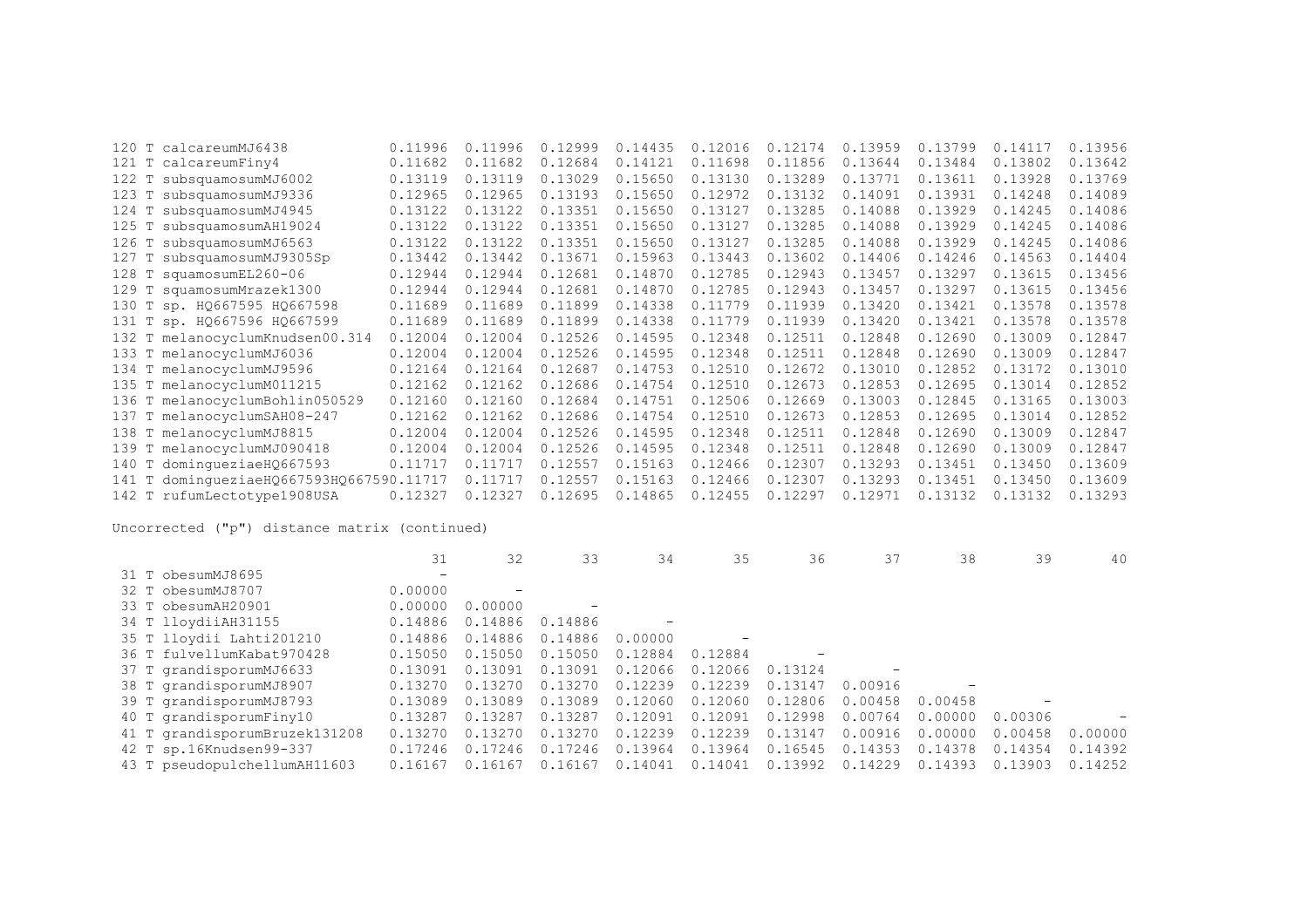|       | 120 T calcareumMJ6438              | 0.11996 | 0.11996 | 0.12999 | 0.14435 | 0.12016 | 0.12174 | 0.13959 | 0.13799 | 0.14117 | 0.13956 |
|-------|------------------------------------|---------|---------|---------|---------|---------|---------|---------|---------|---------|---------|
| 121 T | calcareumFiny4                     | 0.11682 | 0.11682 | 0.12684 | 0.14121 | 0.11698 | 0.11856 | 0.13644 | 0.13484 | 0.13802 | 0.13642 |
|       | 122 T subsquamosumMJ6002           | 0.13119 | 0.13119 | 0.13029 | 0.15650 | 0.13130 | 0.13289 | 0.13771 | 0.13611 | 0.13928 | 0.13769 |
|       | 123 T subsquamosumMJ9336           | 0.12965 | 0.12965 | 0.13193 | 0.15650 | 0.12972 | 0.13132 | 0.14091 | 0.13931 | 0.14248 | 0.14089 |
| 124 T | subsquamosumMJ4945                 | 0.13122 | 0.13122 | 0.13351 | 0.15650 | 0.13127 | 0.13285 | 0.14088 | 0.13929 | 0.14245 | 0.14086 |
| 125 T | subsquamosumAH19024                | 0.13122 | 0.13122 | 0.13351 | 0.15650 | 0.13127 | 0.13285 | 0.14088 | 0.13929 | 0.14245 | 0.14086 |
|       | 126 T subsquamosumMJ6563           | 0.13122 | 0.13122 | 0.13351 | 0.15650 | 0.13127 | 0.13285 | 0.14088 | 0.13929 | 0.14245 | 0.14086 |
| 127 T | subsquamosumMJ9305Sp               | 0.13442 | 0.13442 | 0.13671 | 0.15963 | 0.13443 | 0.13602 | 0.14406 | 0.14246 | 0.14563 | 0.14404 |
|       | 128 T squamosumEL260-06            | 0.12944 | 0.12944 | 0.12681 | 0.14870 | 0.12785 | 0.12943 | 0.13457 | 0.13297 | 0.13615 | 0.13456 |
|       | 129 T squamosumMrazek1300          | 0.12944 | 0.12944 | 0.12681 | 0.14870 | 0.12785 | 0.12943 | 0.13457 | 0.13297 | 0.13615 | 0.13456 |
|       | 130 T sp. HQ667595 HQ667598        | 0.11689 | 0.11689 | 0.11899 | 0.14338 | 0.11779 | 0.11939 | 0.13420 | 0.13421 | 0.13578 | 0.13578 |
|       | 131 T sp. HQ667596 HQ667599        | 0.11689 | 0.11689 | 0.11899 | 0.14338 | 0.11779 | 0.11939 | 0.13420 | 0.13421 | 0.13578 | 0.13578 |
|       | 132 T melanocyclumKnudsen00.314    | 0.12004 | 0.12004 | 0.12526 | 0.14595 | 0.12348 | 0.12511 | 0.12848 | 0.12690 | 0.13009 | 0.12847 |
|       | 133 T melanocyclumMJ6036           | 0.12004 | 0.12004 | 0.12526 | 0.14595 | 0.12348 | 0.12511 | 0.12848 | 0.12690 | 0.13009 | 0.12847 |
|       | 134 T melanocyclumMJ9596           | 0.12164 | 0.12164 | 0.12687 | 0.14753 | 0.12510 | 0.12672 | 0.13010 | 0.12852 | 0.13172 | 0.13010 |
|       | 135 T melanocyclumM011215          | 0.12162 | 0.12162 | 0.12686 | 0.14754 | 0.12510 | 0.12673 | 0.12853 | 0.12695 | 0.13014 | 0.12852 |
|       | 136 T melanocyclumBohlin050529     | 0.12160 | 0.12160 | 0.12684 | 0.14751 | 0.12506 | 0.12669 | 0.13003 | 0.12845 | 0.13165 | 0.13003 |
|       | 137 T melanocyclumSAH08-247        | 0.12162 | 0.12162 | 0.12686 | 0.14754 | 0.12510 | 0.12673 | 0.12853 | 0.12695 | 0.13014 | 0.12852 |
|       | 138 T melanocyclumMJ8815           | 0.12004 | 0.12004 | 0.12526 | 0.14595 | 0.12348 | 0.12511 | 0.12848 | 0.12690 | 0.13009 | 0.12847 |
|       | 139 T melanocyclumMJ090418         | 0.12004 | 0.12004 | 0.12526 | 0.14595 | 0.12348 | 0.12511 | 0.12848 | 0.12690 | 0.13009 | 0.12847 |
|       | 140 T dominqueziaeHQ667593         | 0.11717 | 0.11717 | 0.12557 | 0.15163 | 0.12466 | 0.12307 | 0.13293 | 0.13451 | 0.13450 | 0.13609 |
| 141 T | dominqueziaeH0667593H0667590.11717 |         | 0.11717 | 0.12557 | 0.15163 | 0.12466 | 0.12307 | 0.13293 | 0.13451 | 0.13450 | 0.13609 |
|       | 142 T rufumLectotype1908USA        | 0.12327 | 0.12327 | 0.12695 | 0.14865 | 0.12455 | 0.12297 | 0.12971 | 0.13132 | 0.13132 | 0.13293 |

|                               | 31                       | 32          | 33                       | 34      | 35      | 36      | 37      | 38      | 39      | 40      |
|-------------------------------|--------------------------|-------------|--------------------------|---------|---------|---------|---------|---------|---------|---------|
| 31 T obesumMJ8695             | $\overline{\phantom{0}}$ |             |                          |         |         |         |         |         |         |         |
| 32 T obesumMJ8707             | 0.00000                  |             |                          |         |         |         |         |         |         |         |
| 33 T obesumAH20901            | 0.00000                  | 0.00000     | $\overline{\phantom{m}}$ |         |         |         |         |         |         |         |
| 34 T lloydiiAH31155           | 0.14886                  | 0.14886     | 0.14886                  |         |         |         |         |         |         |         |
| 35 T lloydii Lahti201210      | 0.14886                  | 0.14886     | 0.14886                  | 0.00000 |         |         |         |         |         |         |
| 36 T fulvellumKabat970428     | 0.15050                  | 0.15050     | 0.15050                  | 0.12884 | 0.12884 |         |         |         |         |         |
| 37 T grandisporumMJ6633       | 0.13091                  | 0.13091     | 0.13091                  | 0.12066 | 0.12066 | 0.13124 |         |         |         |         |
| 38 T grandisporumMJ8907       | 0.13270                  | 0.13270     | 0.13270                  | 0.12239 | 0.12239 | 0.13147 | 0.00916 |         |         |         |
| 39 T grandisporumMJ8793       | 0.13089                  | 0.13089     | 0.13089                  | 0.12060 | 0.12060 | 0.12806 | 0.00458 | 0.00458 |         |         |
| 40 T grandisporumFiny10       | 0.13287                  | 0.13287     | 0.13287                  | 0.12091 | 0.12091 | 0.12998 | 0.00764 | 0.00000 | 0.00306 |         |
| 41 T grandisporumBruzek131208 | 0.13270                  | 0.13270     | 0.13270                  | 0.12239 | 0.12239 | 0.13147 | 0.00916 | 0.00000 | 0.00458 | 0.00000 |
| 42 T sp.16Knudsen99-337       | 0.17246                  | 7246<br>0.1 | 0.17246                  | 0.13964 | 0.13964 | 0.16545 | 0.14353 | 0.14378 | 0.14354 | 0.14392 |
| 43 T pseudopulchellumAH11603  | 0.16167                  | 0.16167     | 0.16167                  | 0.14041 | 0.14041 | 0.13992 | 0.14229 | 0.14393 | 0.13903 | 0.14252 |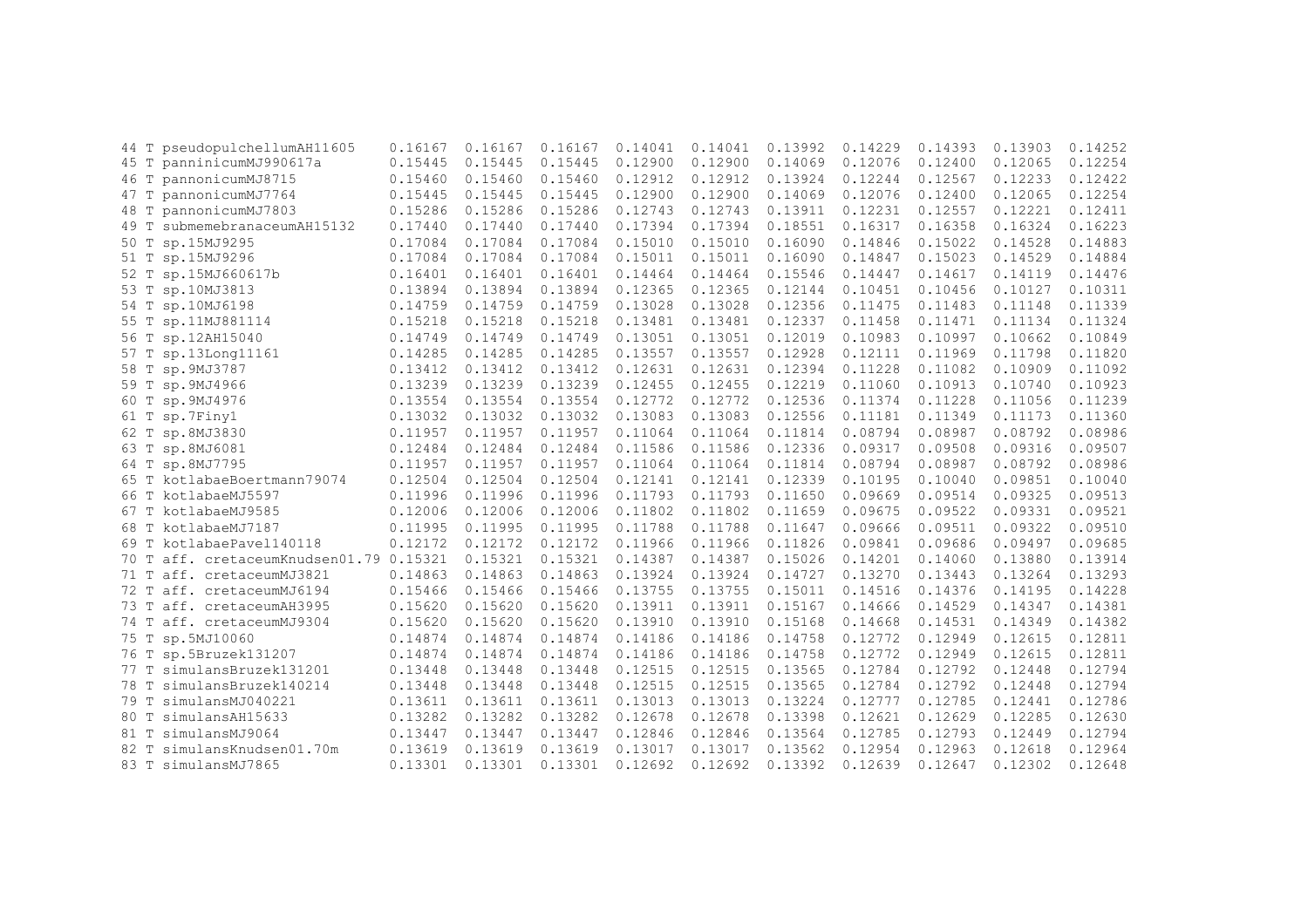| 44 T | pseudopulchellumAH11605            | 0.16167 | 0.16167 | 0.16167 | 0.14041 | 0.14041 | 0.13992 | 0.14229 | 0.14393 | 0.13903 | 0.14252 |
|------|------------------------------------|---------|---------|---------|---------|---------|---------|---------|---------|---------|---------|
| 45 T | panninicumMJ990617a                | 0.15445 | 0.15445 | 0.15445 | 0.12900 | 0.12900 | 0.14069 | 0.12076 | 0.12400 | 0.12065 | 0.12254 |
| 46 T | pannonicumMJ8715                   | 0.15460 | 0.15460 | 0.15460 | 0.12912 | 0.12912 | 0.13924 | 0.12244 | 0.12567 | 0.12233 | 0.12422 |
| 47 T | pannonicumMJ7764                   | 0.15445 | 0.15445 | 0.15445 | 0.12900 | 0.12900 | 0.14069 | 0.12076 | 0.12400 | 0.12065 | 0.12254 |
| 48 T | pannonicumMJ7803                   | 0.15286 | 0.15286 | 0.15286 | 0.12743 | 0.12743 | 0.13911 | 0.12231 | 0.12557 | 0.12221 | 0.12411 |
| 49 T | submemebranaceumAH15132            | 0.17440 | 0.17440 | 0.17440 | 0.17394 | 0.17394 | 0.18551 | 0.16317 | 0.16358 | 0.16324 | 0.16223 |
| 50 T | sp.15MJ9295                        | 0.17084 | 0.17084 | 0.17084 | 0.15010 | 0.15010 | 0.16090 | 0.14846 | 0.15022 | 0.14528 | 0.14883 |
| 51 T | sp.15MJ9296                        | 0.17084 | 0.17084 | 0.17084 | 0.15011 | 0.15011 | 0.16090 | 0.14847 | 0.15023 | 0.14529 | 0.14884 |
|      | 52 T sp.15MJ660617b                | 0.16401 | 0.16401 | 0.16401 | 0.14464 | 0.14464 | 0.15546 | 0.14447 | 0.14617 | 0.14119 | 0.14476 |
| 53 T | sp.10MJ3813                        | 0.13894 | 0.13894 | 0.13894 | 0.12365 | 0.12365 | 0.12144 | 0.10451 | 0.10456 | 0.10127 | 0.10311 |
| 54 T | sp.10MJ6198                        | 0.14759 | 0.14759 | 0.14759 | 0.13028 | 0.13028 | 0.12356 | 0.11475 | 0.11483 | 0.11148 | 0.11339 |
| 55 T | sp.11MJ881114                      | 0.15218 | 0.15218 | 0.15218 | 0.13481 | 0.13481 | 0.12337 | 0.11458 | 0.11471 | 0.11134 | 0.11324 |
| 56 T | sp.12AH15040                       | 0.14749 | 0.14749 | 0.14749 | 0.13051 | 0.13051 | 0.12019 | 0.10983 | 0.10997 | 0.10662 | 0.10849 |
| 57 T | sp.13Long11161                     | 0.14285 | 0.14285 | 0.14285 | 0.13557 | 0.13557 | 0.12928 | 0.12111 | 0.11969 | 0.11798 | 0.11820 |
| 58 T | sp.9MJ3787                         | 0.13412 | 0.13412 | 0.13412 | 0.12631 | 0.12631 | 0.12394 | 0.11228 | 0.11082 | 0.10909 | 0.11092 |
| 59 T | sp.9MJ4966                         | 0.13239 | 0.13239 | 0.13239 | 0.12455 | 0.12455 | 0.12219 | 0.11060 | 0.10913 | 0.10740 | 0.10923 |
| 60 T | sp.9MJ4976                         | 0.13554 | 0.13554 | 0.13554 | 0.12772 | 0.12772 | 0.12536 | 0.11374 | 0.11228 | 0.11056 | 0.11239 |
| 61 T | sp.7Finy1                          | 0.13032 | 0.13032 | 0.13032 | 0.13083 | 0.13083 | 0.12556 | 0.11181 | 0.11349 | 0.11173 | 0.11360 |
| 62 T | sp.8MJ3830                         | 0.11957 | 0.11957 | 0.11957 | 0.11064 | 0.11064 | 0.11814 | 0.08794 | 0.08987 | 0.08792 | 0.08986 |
| 63 T | sp.8MJ6081                         | 0.12484 | 0.12484 | 0.12484 | 0.11586 | 0.11586 | 0.12336 | 0.09317 | 0.09508 | 0.09316 | 0.09507 |
|      | 64 T sp.8MJ7795                    | 0.11957 | 0.11957 | 0.11957 | 0.11064 | 0.11064 | 0.11814 | 0.08794 | 0.08987 | 0.08792 | 0.08986 |
|      | 65 T kotlabaeBoertmann79074        | 0.12504 | 0.12504 | 0.12504 | 0.12141 | 0.12141 | 0.12339 | 0.10195 | 0.10040 | 0.09851 | 0.10040 |
|      | 66 T kotlabaeMJ5597                | 0.11996 | 0.11996 | 0.11996 | 0.11793 | 0.11793 | 0.11650 | 0.09669 | 0.09514 | 0.09325 | 0.09513 |
|      | 67 T kotlabaeMJ9585                | 0.12006 | 0.12006 | 0.12006 | 0.11802 | 0.11802 | 0.11659 | 0.09675 | 0.09522 | 0.09331 | 0.09521 |
| 68 T | kotlabaeMJ7187                     | 0.11995 | 0.11995 | 0.11995 | 0.11788 | 0.11788 | 0.11647 | 0.09666 | 0.09511 | 0.09322 | 0.09510 |
| 69 T | kotlabaePavel140118                | 0.12172 | 0.12172 | 0.12172 | 0.11966 | 0.11966 | 0.11826 | 0.09841 | 0.09686 | 0.09497 | 0.09685 |
| 70 T | aff. cretaceumKnudsen01.79 0.15321 |         | 0.15321 | 0.15321 | 0.14387 | 0.14387 | 0.15026 | 0.14201 | 0.14060 | 0.13880 | 0.13914 |
| 71 T | aff. cretaceumMJ3821               | 0.14863 | 0.14863 | 0.14863 | 0.13924 | 0.13924 | 0.14727 | 0.13270 | 0.13443 | 0.13264 | 0.13293 |
| 72 T | aff. cretaceumMJ6194               | 0.15466 | 0.15466 | 0.15466 | 0.13755 | 0.13755 | 0.15011 | 0.14516 | 0.14376 | 0.14195 | 0.14228 |
| 73 T | aff. cretaceumAH3995               | 0.15620 | 0.15620 | 0.15620 | 0.13911 | 0.13911 | 0.15167 | 0.14666 | 0.14529 | 0.14347 | 0.14381 |
| 74 T | aff. cretaceumMJ9304               | 0.15620 | 0.15620 | 0.15620 | 0.13910 | 0.13910 | 0.15168 | 0.14668 | 0.14531 | 0.14349 | 0.14382 |
| 75 T | sp.5MJ10060                        | 0.14874 | 0.14874 | 0.14874 | 0.14186 | 0.14186 | 0.14758 | 0.12772 | 0.12949 | 0.12615 | 0.12811 |
|      | 76 T sp.5Bruzek131207              | 0.14874 | 0.14874 | 0.14874 | 0.14186 | 0.14186 | 0.14758 | 0.12772 | 0.12949 | 0.12615 | 0.12811 |
| 77 T | simulansBruzek131201               | 0.13448 | 0.13448 | 0.13448 | 0.12515 | 0.12515 | 0.13565 | 0.12784 | 0.12792 | 0.12448 | 0.12794 |
| 78 T | simulansBruzek140214               | 0.13448 | 0.13448 | 0.13448 | 0.12515 | 0.12515 | 0.13565 | 0.12784 | 0.12792 | 0.12448 | 0.12794 |
| 79 T | simulansMJ040221                   | 0.13611 | 0.13611 | 0.13611 | 0.13013 | 0.13013 | 0.13224 | 0.12777 | 0.12785 | 0.12441 | 0.12786 |
| 80 T | simulansAH15633                    | 0.13282 | 0.13282 | 0.13282 | 0.12678 | 0.12678 | 0.13398 | 0.12621 | 0.12629 | 0.12285 | 0.12630 |
| 81 T | simulansMJ9064                     | 0.13447 | 0.13447 | 0.13447 | 0.12846 | 0.12846 | 0.13564 | 0.12785 | 0.12793 | 0.12449 | 0.12794 |
| 82 T | simulansKnudsen01.70m              | 0.13619 | 0.13619 | 0.13619 | 0.13017 | 0.13017 | 0.13562 | 0.12954 | 0.12963 | 0.12618 | 0.12964 |
| 83 T | simulansMJ7865                     | 0.13301 | 0.13301 | 0.13301 | 0.12692 | 0.12692 | 0.13392 | 0.12639 | 0.12647 | 0.12302 | 0.12648 |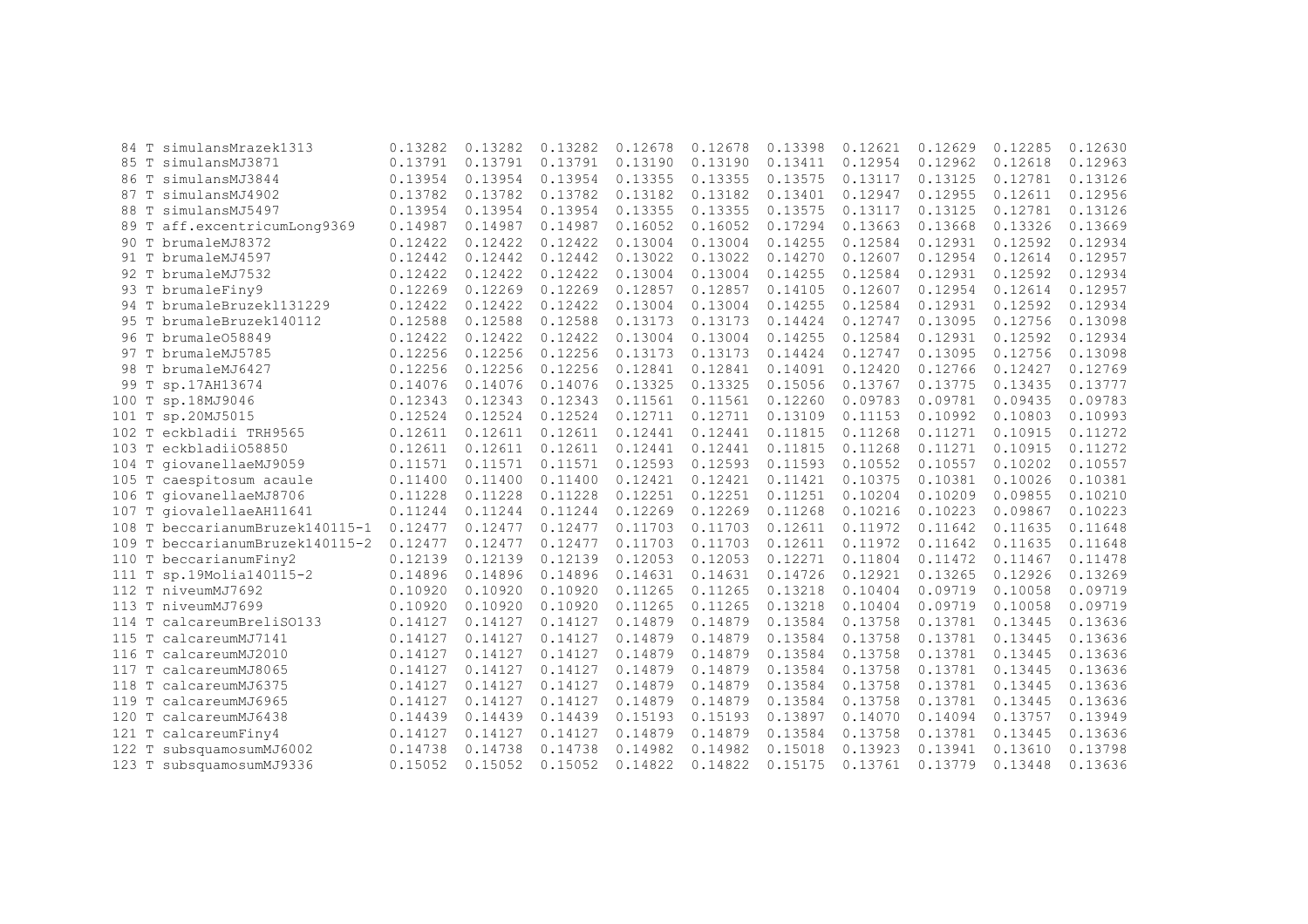|       | 84 T simulansMrazek1313         | 0.13282 | 0.13282 | 0.13282 | 0.12678 | 0.12678 | 0.13398 | 0.12621 | 0.12629 | 0.12285 | 0.12630 |
|-------|---------------------------------|---------|---------|---------|---------|---------|---------|---------|---------|---------|---------|
|       | 85 T simulansMJ3871             | 0.13791 | 0.13791 | 0.13791 | 0.13190 | 0.13190 | 0.13411 | 0.12954 | 0.12962 | 0.12618 | 0.12963 |
| 86 T  | simulansMJ3844                  | 0.13954 | 0.13954 | 0.13954 | 0.13355 | 0.13355 | 0.13575 | 0.13117 | 0.13125 | 0.12781 | 0.13126 |
|       | 87 T simulansMJ4902             | 0.13782 | 0.13782 | 0.13782 | 0.13182 | 0.13182 | 0.13401 | 0.12947 | 0.12955 | 0.12611 | 0.12956 |
|       | 88 T simulansMJ5497             | 0.13954 | 0.13954 | 0.13954 | 0.13355 | 0.13355 | 0.13575 | 0.13117 | 0.13125 | 0.12781 | 0.13126 |
|       | 89 T aff.excentricumLong9369    | 0.14987 | 0.14987 | 0.14987 | 0.16052 | 0.16052 | 0.17294 | 0.13663 | 0.13668 | 0.13326 | 0.13669 |
|       | 90 T brumaleMJ8372              | 0.12422 | 0.12422 | 0.12422 | 0.13004 | 0.13004 | 0.14255 | 0.12584 | 0.12931 | 0.12592 | 0.12934 |
|       | 91 T brumaleMJ4597              | 0.12442 | 0.12442 | 0.12442 | 0.13022 | 0.13022 | 0.14270 | 0.12607 | 0.12954 | 0.12614 | 0.12957 |
|       | 92 T brumaleMJ7532              | 0.12422 | 0.12422 | 0.12422 | 0.13004 | 0.13004 | 0.14255 | 0.12584 | 0.12931 | 0.12592 | 0.12934 |
|       | 93 T brumaleFiny9               | 0.12269 | 0.12269 | 0.12269 | 0.12857 | 0.12857 | 0.14105 | 0.12607 | 0.12954 | 0.12614 | 0.12957 |
|       | 94 T brumaleBruzek1131229       | 0.12422 | 0.12422 | 0.12422 | 0.13004 | 0.13004 | 0.14255 | 0.12584 | 0.12931 | 0.12592 | 0.12934 |
|       | 95 T brumaleBruzek140112        | 0.12588 | 0.12588 | 0.12588 | 0.13173 | 0.13173 | 0.14424 | 0.12747 | 0.13095 | 0.12756 | 0.13098 |
|       | 96 T brumale058849              | 0.12422 | 0.12422 | 0.12422 | 0.13004 | 0.13004 | 0.14255 | 0.12584 | 0.12931 | 0.12592 | 0.12934 |
| 97 T  | brumaleMJ5785                   | 0.12256 | 0.12256 | 0.12256 | 0.13173 | 0.13173 | 0.14424 | 0.12747 | 0.13095 | 0.12756 | 0.13098 |
| 98 T  | brumaleMJ6427                   | 0.12256 | 0.12256 | 0.12256 | 0.12841 | 0.12841 | 0.14091 | 0.12420 | 0.12766 | 0.12427 | 0.12769 |
| 99 T  | sp.17AH13674                    | 0.14076 | 0.14076 | 0.14076 | 0.13325 | 0.13325 | 0.15056 | 0.13767 | 0.13775 | 0.13435 | 0.13777 |
|       | 100 T sp.18MJ9046               | 0.12343 | 0.12343 | 0.12343 | 0.11561 | 0.11561 | 0.12260 | 0.09783 | 0.09781 | 0.09435 | 0.09783 |
|       | 101 T sp.20MJ5015               | 0.12524 | 0.12524 | 0.12524 | 0.12711 | 0.12711 | 0.13109 | 0.11153 | 0.10992 | 0.10803 | 0.10993 |
|       | 102 T eckbladii TRH9565         | 0.12611 | 0.12611 | 0.12611 | 0.12441 | 0.12441 | 0.11815 | 0.11268 | 0.11271 | 0.10915 | 0.11272 |
|       | 103 T eckbladii058850           | 0.12611 | 0.12611 | 0.12611 | 0.12441 | 0.12441 | 0.11815 | 0.11268 | 0.11271 | 0.10915 | 0.11272 |
|       | 104 T giovanellaeMJ9059         | 0.11571 | 0.11571 | 0.11571 | 0.12593 | 0.12593 | 0.11593 | 0.10552 | 0.10557 | 0.10202 | 0.10557 |
|       | 105 T caespitosum acaule        | 0.11400 | 0.11400 | 0.11400 | 0.12421 | 0.12421 | 0.11421 | 0.10375 | 0.10381 | 0.10026 | 0.10381 |
|       | 106 T giovanellaeMJ8706         | 0.11228 | 0.11228 | 0.11228 | 0.12251 | 0.12251 | 0.11251 | 0.10204 | 0.10209 | 0.09855 | 0.10210 |
|       | 107 T giovalellaeAH11641        | 0.11244 | 0.11244 | 0.11244 | 0.12269 | 0.12269 | 0.11268 | 0.10216 | 0.10223 | 0.09867 | 0.10223 |
|       | 108 T beccarianumBruzek140115-1 | 0.12477 | 0.12477 | 0.12477 | 0.11703 | 0.11703 | 0.12611 | 0.11972 | 0.11642 | 0.11635 | 0.11648 |
|       | 109 T beccarianumBruzek140115-2 | 0.12477 | 0.12477 | 0.12477 | 0.11703 | 0.11703 | 0.12611 | 0.11972 | 0.11642 | 0.11635 | 0.11648 |
|       | 110 T beccarianumFiny2          | 0.12139 | 0.12139 | 0.12139 | 0.12053 | 0.12053 | 0.12271 | 0.11804 | 0.11472 | 0.11467 | 0.11478 |
|       | 111 T sp.19Molia140115-2        | 0.14896 | 0.14896 | 0.14896 | 0.14631 | 0.14631 | 0.14726 | 0.12921 | 0.13265 | 0.12926 | 0.13269 |
|       | 112 T niveumMJ7692              | 0.10920 | 0.10920 | 0.10920 | 0.11265 | 0.11265 | 0.13218 | 0.10404 | 0.09719 | 0.10058 | 0.09719 |
|       | 113 T niveumMJ7699              | 0.10920 | 0.10920 | 0.10920 | 0.11265 | 0.11265 | 0.13218 | 0.10404 | 0.09719 | 0.10058 | 0.09719 |
|       | 114 T calcareumBreliS0133       | 0.14127 | 0.14127 | 0.14127 | 0.14879 | 0.14879 | 0.13584 | 0.13758 | 0.13781 | 0.13445 | 0.13636 |
|       | 115 T calcareumMJ7141           | 0.14127 | 0.14127 | 0.14127 | 0.14879 | 0.14879 | 0.13584 | 0.13758 | 0.13781 | 0.13445 | 0.13636 |
|       | 116 T calcareumMJ2010           | 0.14127 | 0.14127 | 0.14127 | 0.14879 | 0.14879 | 0.13584 | 0.13758 | 0.13781 | 0.13445 | 0.13636 |
|       | 117 T calcareumMJ8065           | 0.14127 | 0.14127 | 0.14127 | 0.14879 | 0.14879 | 0.13584 | 0.13758 | 0.13781 | 0.13445 | 0.13636 |
|       | 118 T calcareumMJ6375           | 0.14127 | 0.14127 | 0.14127 | 0.14879 | 0.14879 | 0.13584 | 0.13758 | 0.13781 | 0.13445 | 0.13636 |
|       | 119 T calcareumMJ6965           | 0.14127 | 0.14127 | 0.14127 | 0.14879 | 0.14879 | 0.13584 | 0.13758 | 0.13781 | 0.13445 | 0.13636 |
|       | 120 T calcareumMJ6438           | 0.14439 | 0.14439 | 0.14439 | 0.15193 | 0.15193 | 0.13897 | 0.14070 | 0.14094 | 0.13757 | 0.13949 |
|       | 121 T calcareumFiny4            | 0.14127 | 0.14127 | 0.14127 | 0.14879 | 0.14879 | 0.13584 | 0.13758 | 0.13781 | 0.13445 | 0.13636 |
| 122 T | subsquamosumMJ6002              | 0.14738 | 0.14738 | 0.14738 | 0.14982 | 0.14982 | 0.15018 | 0.13923 | 0.13941 | 0.13610 | 0.13798 |
|       | 123 T subsquamosumMJ9336        | 0.15052 | 0.15052 | 0.15052 | 0.14822 | 0.14822 | 0.15175 | 0.13761 | 0.13779 | 0.13448 | 0.13636 |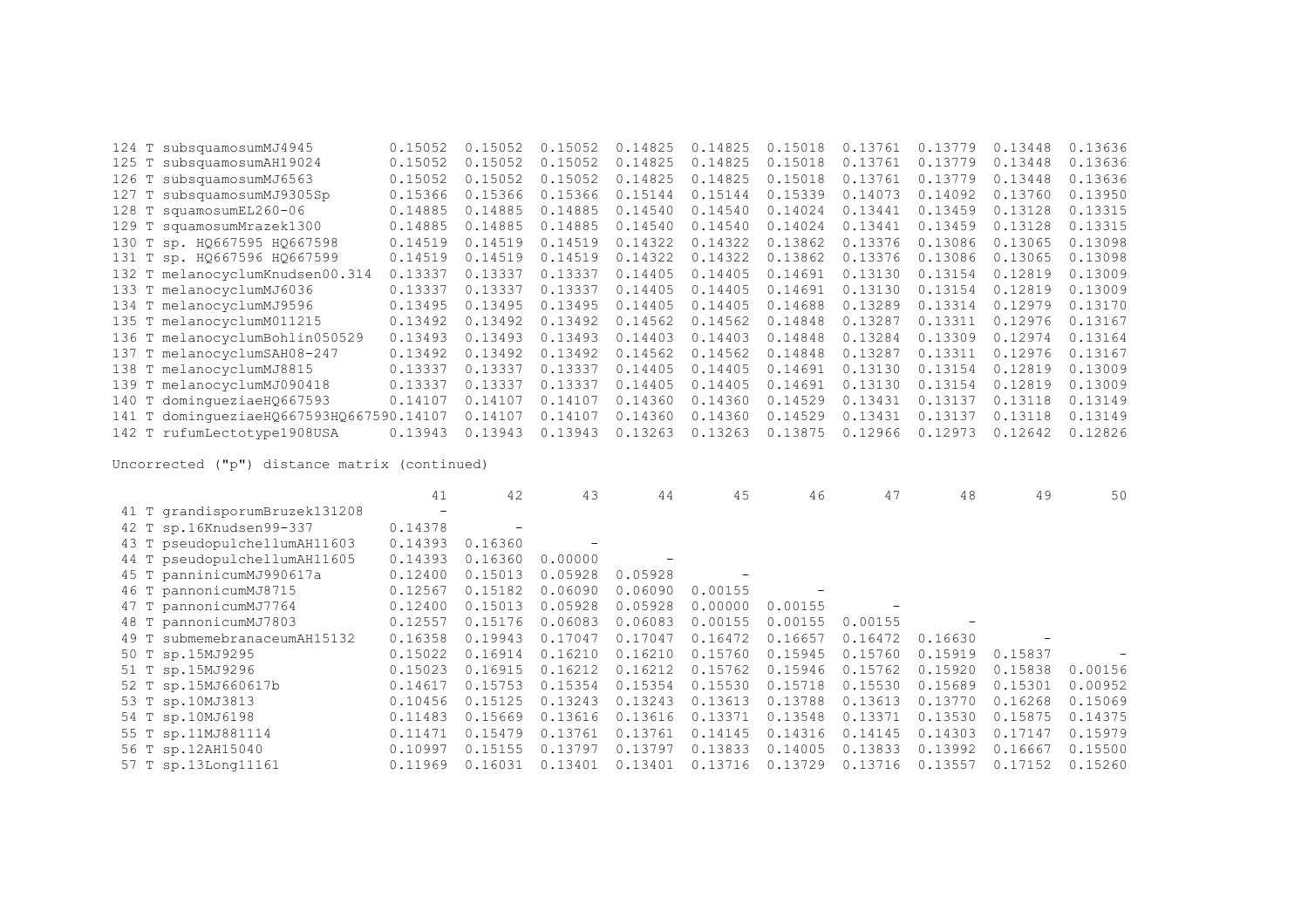| 124 T subsquamosumMJ4945                 | 0.15052 | 0.15052 | 0.15052 | 0.14825 | 0.14825 | 0.15018 | 0.13761 | 0.13779 | 0.13448 | 0.13636 |
|------------------------------------------|---------|---------|---------|---------|---------|---------|---------|---------|---------|---------|
| 125 T subsquamosumAH19024                | 0.15052 | 0.15052 | 0.15052 | 0.14825 | 0.14825 | 0.15018 | 0.13761 | 0.13779 | 0.13448 | 0.13636 |
| 126 T subsquamosumMJ6563                 | 0.15052 | 0.15052 | 0.15052 | 0.14825 | 0.14825 | 0.15018 | 0.13761 | 0.13779 | 0.13448 | 0.13636 |
| 127 T subsquamosumMJ9305Sp               | 0.15366 | 0.15366 | 0.15366 | 0.15144 | 0.15144 | 0.15339 | 0.14073 | 0.14092 | 0.13760 | 0.13950 |
| 128 T squamosumEL260-06                  | 0.14885 | 0.14885 | 0.14885 | 0.14540 | 0.14540 | 0.14024 | 0.13441 | 0.13459 | 0.13128 | 0.13315 |
| 129 T squamosumMrazek1300                | 0.14885 | 0.14885 | 0.14885 | 0.14540 | 0.14540 | 0.14024 | 0.13441 | 0.13459 | 0.13128 | 0.13315 |
| 130 Т sp. HQ667595 HQ667598              | 0.14519 | 0.14519 | 0.14519 | 0.14322 | 0.14322 | 0.13862 | 0.13376 | 0.13086 | 0.13065 | 0.13098 |
| 131 T sp. H0667596 H0667599              | 0.14519 | 0.14519 | 0.14519 | 0.14322 | 0.14322 | 0.13862 | 0.13376 | 0.13086 | 0.13065 | 0.13098 |
| 132 T melanocyclumKnudsen00.314          | 0.13337 | 0.13337 | 0.13337 | 0.14405 | 0.14405 | 0.14691 | 0.13130 | 0.13154 | 0.12819 | 0.13009 |
| 133 T melanocyclumMJ6036                 | 0.13337 | 0.13337 | 0.13337 | 0.14405 | 0.14405 | 0.14691 | 0.13130 | 0.13154 | 0.12819 | 0.13009 |
| 134 T melanocyclumMJ9596                 | 0.13495 | 0.13495 | 0.13495 | 0.14405 | 0.14405 | 0.14688 | 0.13289 | 0.13314 | 0.12979 | 0.13170 |
| 135 T melanocyclumM011215                | 0.13492 | 0.13492 | 0.13492 | 0.14562 | 0.14562 | 0.14848 | 0.13287 | 0.13311 | 0.12976 | 0.13167 |
| 136 T melanocyclumBohlin050529           | 0.13493 | 0.13493 | 0.13493 | 0.14403 | 0.14403 | 0.14848 | 0.13284 | 0.13309 | 0.12974 | 0.13164 |
| 137 T melanocyclumSAH08-247              | 0.13492 | 0.13492 | 0.13492 | 0.14562 | 0.14562 | 0.14848 | 0.13287 | 0.13311 | 0.12976 | 0.13167 |
| 138 T melanocyclumMJ8815                 | 0.13337 | 0.13337 | 0.13337 | 0.14405 | 0.14405 | 0.14691 | 0.13130 | 0.13154 | 0.12819 | 0.13009 |
| 139 T melanocyclumMJ090418               | 0.13337 | 0.13337 | 0.13337 | 0.14405 | 0.14405 | 0.14691 | 0.13130 | 0.13154 | 0.12819 | 0.13009 |
| 140 T dominqueziaeH0667593               | 0.14107 | 0.14107 | 0.14107 | 0.14360 | 0.14360 | 0.14529 | 0.13431 | 0.13137 | 0.13118 | 0.13149 |
| 141 T domingueziaeHQ667593HQ667590.14107 |         | 0.14107 | 0.14107 | 0.14360 | 0.14360 | 0.14529 | 0.13431 | 0.13137 | 0.13118 | 0.13149 |
| 142 T rufumLectotype1908USA              | 0.13943 | 0.13943 | 0.13943 | 0.13263 | 0.13263 | 0.13875 | 0.12966 | 0.12973 | 0.12642 | 0.12826 |

|                                 | 41      | 42      | 43      | 44      | 45                       | 46      | 47      | 48          | 49      | 50      |
|---------------------------------|---------|---------|---------|---------|--------------------------|---------|---------|-------------|---------|---------|
| 41 T grandisporumBruzek131208   |         |         |         |         |                          |         |         |             |         |         |
| 42 T sp.16Knudsen99-337         | 0.14378 |         |         |         |                          |         |         |             |         |         |
| 43 T pseudopulchellumAH11603    | 0.14393 | 0.16360 |         |         |                          |         |         |             |         |         |
| 44 T pseudopulchellumAH11605    | 0.14393 | 0.16360 | 0.00000 |         |                          |         |         |             |         |         |
| 45 T panninicumMJ990617a        | 0.12400 | 0.15013 | 0.05928 | 0.05928 | $\overline{\phantom{a}}$ |         |         |             |         |         |
| 46 T pannonicumMJ8715           | 0.12567 | 0.15182 | 0.06090 | 0.06090 | 0.00155                  |         |         |             |         |         |
| 47 T pannonicumMJ7764           | 0.12400 | 0.15013 | 0.05928 | 0.05928 | 0.00000                  | 0.00155 |         |             |         |         |
| 48 T pannonicumMJ7803           | 0.12557 | 0.15176 | 0.06083 | 0.06083 | 0.00155                  | 0.00155 | 0.00155 |             |         |         |
| submemebranaceumAH15132<br>49 T | 0.16358 | 0.19943 | 0.17047 | 0.17047 | 0.16472                  | 0.16657 | 0.16472 | 0.16630     |         |         |
| 50 T sp.15MJ9295                | 0.15022 | 0.16914 | 0.16210 | 0.16210 | 0.15760                  | 0.15945 | 0.15760 | 0.15919     | 0.15837 |         |
| 51 T sp.15MJ9296                | 0.15023 | 0.16915 | 0.16212 | 0.16212 | 0.15762                  | 0.15946 | 0.15762 | 0.15920     | 0.15838 | 0.00156 |
| 52 T sp.15MJ660617b             | 0.14617 | 0.15753 | 0.15354 | 0.15354 | 0.15530                  | 0.15718 | 0.15530 | 0.15689     | 0.15301 | 0.00952 |
| 53 T sp.10MJ3813                | 0.10456 | 0.15125 | 0.13243 | 0.13243 | 0.13613                  | 0.13788 | 0.13613 | 0.13770     | 0.16268 | 0.15069 |
| 54 T sp.10MJ6198                | 0.11483 | 0.15669 | 0.13616 | 0.13616 | 0.13371                  | 0.13548 | 0.13371 | 0.13530     | 0.15875 | 0.14375 |
| 55 T sp.11MJ881114              | 0.11471 | 0.15479 | 0.13761 | 0.13761 | 0.14145                  | 0.14316 | 0.14145 | 0.14303     | 0.17147 | 0.15979 |
| 56 T sp.12AH15040               | 0.10997 | 0.15155 | 0.13797 | 0.13797 | 0.13833                  | 0.14005 | 0.13833 | 0.13992     | 0.16667 | 0.15500 |
| 57 T sp.13Long11161             | 0.11969 | 0.16031 | 0.13401 | 0.13401 | 0.13716                  | 0.13729 | 0.13716 | 0.1<br>3557 | 0.17152 | 0.15260 |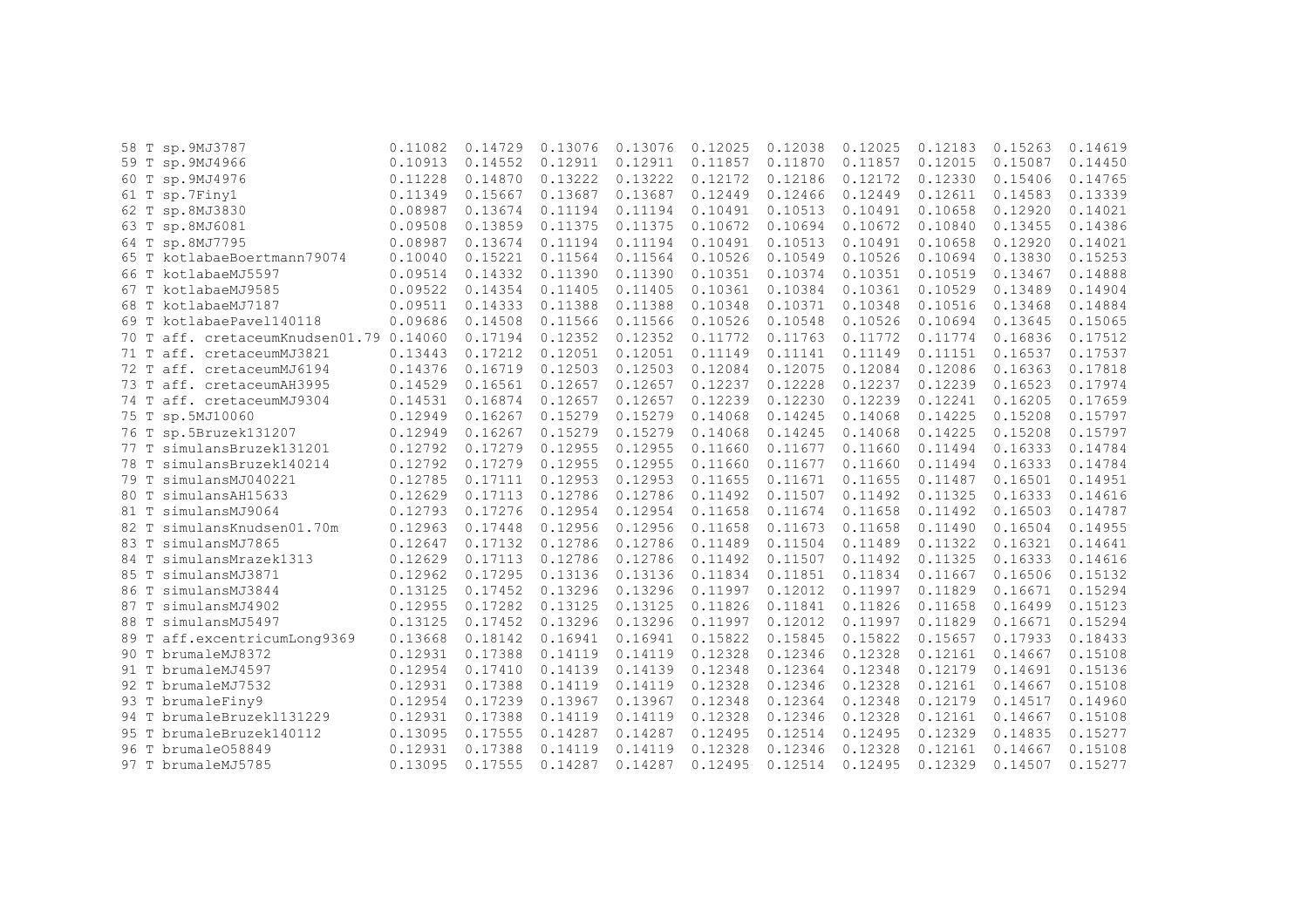|      | 58 T sp. 9MJ3787                   | 0.11082 | 0.14729 | 0.13076 | 0.13076 | 0.12025 | 0.12038 | 0.12025 | 0.12183 | 0.15263 | 0.14619 |
|------|------------------------------------|---------|---------|---------|---------|---------|---------|---------|---------|---------|---------|
|      | 59 T sp. 9MJ4966                   | 0.10913 | 0.14552 | 0.12911 | 0.12911 | 0.11857 | 0.11870 | 0.11857 | 0.12015 | 0.15087 | 0.14450 |
|      | 60 T sp. 9MJ4976                   | 0.11228 | 0.14870 | 0.13222 | 0.13222 | 0.12172 | 0.12186 | 0.12172 | 0.12330 | 0.15406 | 0.14765 |
|      | 61 T sp.7Finy1                     | 0.11349 | 0.15667 | 0.13687 | 0.13687 | 0.12449 | 0.12466 | 0.12449 | 0.12611 | 0.14583 | 0.13339 |
|      | 62 T sp.8MJ3830                    | 0.08987 | 0.13674 | 0.11194 | 0.11194 | 0.10491 | 0.10513 | 0.10491 | 0.10658 | 0.12920 | 0.14021 |
|      | 63 T sp.8MJ6081                    | 0.09508 | 0.13859 | 0.11375 | 0.11375 | 0.10672 | 0.10694 | 0.10672 | 0.10840 | 0.13455 | 0.14386 |
|      | 64 T sp.8MJ7795                    | 0.08987 | 0.13674 | 0.11194 | 0.11194 | 0.10491 | 0.10513 | 0.10491 | 0.10658 | 0.12920 | 0.14021 |
|      | 65 T kotlabaeBoertmann79074        | 0.10040 | 0.15221 | 0.11564 | 0.11564 | 0.10526 | 0.10549 | 0.10526 | 0.10694 | 0.13830 | 0.15253 |
|      | 66 T kotlabaeMJ5597                | 0.09514 | 0.14332 | 0.11390 | 0.11390 | 0.10351 | 0.10374 | 0.10351 | 0.10519 | 0.13467 | 0.14888 |
| 67 T | kotlabaeMJ9585                     | 0.09522 | 0.14354 | 0.11405 | 0.11405 | 0.10361 | 0.10384 | 0.10361 | 0.10529 | 0.13489 | 0.14904 |
| 68 T | kotlabaeMJ7187                     | 0.09511 | 0.14333 | 0.11388 | 0.11388 | 0.10348 | 0.10371 | 0.10348 | 0.10516 | 0.13468 | 0.14884 |
| 69 T | kotlabaePavel140118                | 0.09686 | 0.14508 | 0.11566 | 0.11566 | 0.10526 | 0.10548 | 0.10526 | 0.10694 | 0.13645 | 0.15065 |
| 70 T | aff. cretaceumKnudsen01.79 0.14060 |         | 0.17194 | 0.12352 | 0.12352 | 0.11772 | 0.11763 | 0.11772 | 0.11774 | 0.16836 | 0.17512 |
| 71 T | aff. cretaceumMJ3821               | 0.13443 | 0.17212 | 0.12051 | 0.12051 | 0.11149 | 0.11141 | 0.11149 | 0.11151 | 0.16537 | 0.17537 |
| 72 T | aff. cretaceumMJ6194               | 0.14376 | 0.16719 | 0.12503 | 0.12503 | 0.12084 | 0.12075 | 0.12084 | 0.12086 | 0.16363 | 0.17818 |
| 73 T | aff. cretaceumAH3995               | 0.14529 | 0.16561 | 0.12657 | 0.12657 | 0.12237 | 0.12228 | 0.12237 | 0.12239 | 0.16523 | 0.17974 |
| 74 T | aff. cretaceumMJ9304               | 0.14531 | 0.16874 | 0.12657 | 0.12657 | 0.12239 | 0.12230 | 0.12239 | 0.12241 | 0.16205 | 0.17659 |
| 75 T | sp.5MJ10060                        | 0.12949 | 0.16267 | 0.15279 | 0.15279 | 0.14068 | 0.14245 | 0.14068 | 0.14225 | 0.15208 | 0.15797 |
| 76 T | sp.5Bruzek131207                   | 0.12949 | 0.16267 | 0.15279 | 0.15279 | 0.14068 | 0.14245 | 0.14068 | 0.14225 | 0.15208 | 0.15797 |
|      | 77 T simulansBruzek131201          | 0.12792 | 0.17279 | 0.12955 | 0.12955 | 0.11660 | 0.11677 | 0.11660 | 0.11494 | 0.16333 | 0.14784 |
| 78 T | simulansBruzek140214               | 0.12792 | 0.17279 | 0.12955 | 0.12955 | 0.11660 | 0.11677 | 0.11660 | 0.11494 | 0.16333 | 0.14784 |
| 79 T | simulansMJ040221                   | 0.12785 | 0.17111 | 0.12953 | 0.12953 | 0.11655 | 0.11671 | 0.11655 | 0.11487 | 0.16501 | 0.14951 |
| 80 T | simulansAH15633                    | 0.12629 | 0.17113 | 0.12786 | 0.12786 | 0.11492 | 0.11507 | 0.11492 | 0.11325 | 0.16333 | 0.14616 |
| 81 T | simulansMJ9064                     | 0.12793 | 0.17276 | 0.12954 | 0.12954 | 0.11658 | 0.11674 | 0.11658 | 0.11492 | 0.16503 | 0.14787 |
| 82 T | simulansKnudsen01.70m              | 0.12963 | 0.17448 | 0.12956 | 0.12956 | 0.11658 | 0.11673 | 0.11658 | 0.11490 | 0.16504 | 0.14955 |
| 83 T | simulansMJ7865                     | 0.12647 | 0.17132 | 0.12786 | 0.12786 | 0.11489 | 0.11504 | 0.11489 | 0.11322 | 0.16321 | 0.14641 |
| 84 T | simulansMrazek1313                 | 0.12629 | 0.17113 | 0.12786 | 0.12786 | 0.11492 | 0.11507 | 0.11492 | 0.11325 | 0.16333 | 0.14616 |
| 85 T | simulansMJ3871                     | 0.12962 | 0.17295 | 0.13136 | 0.13136 | 0.11834 | 0.11851 | 0.11834 | 0.11667 | 0.16506 | 0.15132 |
| 86 T | simulansMJ3844                     | 0.13125 | 0.17452 | 0.13296 | 0.13296 | 0.11997 | 0.12012 | 0.11997 | 0.11829 | 0.16671 | 0.15294 |
| 87 T | simulansMJ4902                     | 0.12955 | 0.17282 | 0.13125 | 0.13125 | 0.11826 | 0.11841 | 0.11826 | 0.11658 | 0.16499 | 0.15123 |
| 88 T | simulansMJ5497                     | 0.13125 | 0.17452 | 0.13296 | 0.13296 | 0.11997 | 0.12012 | 0.11997 | 0.11829 | 0.16671 | 0.15294 |
| 89 T | aff.excentricumLong9369            | 0.13668 | 0.18142 | 0.16941 | 0.16941 | 0.15822 | 0.15845 | 0.15822 | 0.15657 | 0.17933 | 0.18433 |
| 90 T | brumaleMJ8372                      | 0.12931 | 0.17388 | 0.14119 | 0.14119 | 0.12328 | 0.12346 | 0.12328 | 0.12161 | 0.14667 | 0.15108 |
| 91 T | brumaleMJ4597                      | 0.12954 | 0.17410 | 0.14139 | 0.14139 | 0.12348 | 0.12364 | 0.12348 | 0.12179 | 0.14691 | 0.15136 |
|      | 92 T brumaleMJ7532                 | 0.12931 | 0.17388 | 0.14119 | 0.14119 | 0.12328 | 0.12346 | 0.12328 | 0.12161 | 0.14667 | 0.15108 |
|      | 93 T brumaleFiny9                  | 0.12954 | 0.17239 | 0.13967 | 0.13967 | 0.12348 | 0.12364 | 0.12348 | 0.12179 | 0.14517 | 0.14960 |
|      | 94 T brumaleBruzek1131229          | 0.12931 | 0.17388 | 0.14119 | 0.14119 | 0.12328 | 0.12346 | 0.12328 | 0.12161 | 0.14667 | 0.15108 |
| 95 T | brumaleBruzek140112                | 0.13095 | 0.17555 | 0.14287 | 0.14287 | 0.12495 | 0.12514 | 0.12495 | 0.12329 | 0.14835 | 0.15277 |
| 96 T | brumale058849                      | 0.12931 | 0.17388 | 0.14119 | 0.14119 | 0.12328 | 0.12346 | 0.12328 | 0.12161 | 0.14667 | 0.15108 |
|      | 97 T brumaleMJ5785                 | 0.13095 | 0.17555 | 0.14287 | 0.14287 | 0.12495 | 0.12514 | 0.12495 | 0.12329 | 0.14507 | 0.15277 |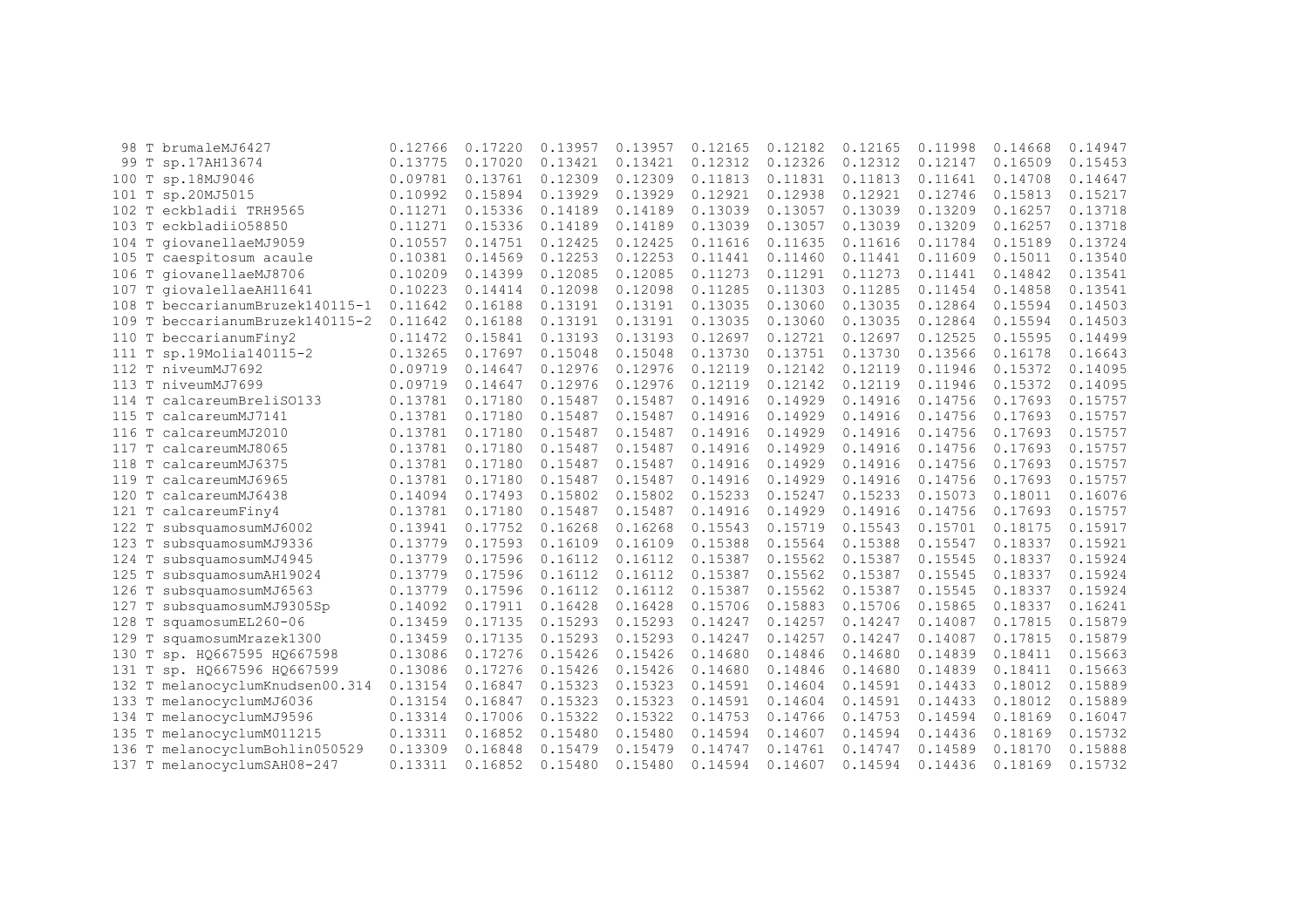|                    | 98 T brumaleMJ6427              | 0.12766 | 0.17220 | 0.13957 | 0.13957 | 0.12165 | 0.12182 | 0.12165 | 0.11998 | 0.14668 | 0.14947 |
|--------------------|---------------------------------|---------|---------|---------|---------|---------|---------|---------|---------|---------|---------|
|                    | 99 T sp.17AH13674               | 0.13775 | 0.17020 | 0.13421 | 0.13421 | 0.12312 | 0.12326 | 0.12312 | 0.12147 | 0.16509 | 0.15453 |
| $\mathbb T$<br>100 | sp.18MJ9046                     | 0.09781 | 0.13761 | 0.12309 | 0.12309 | 0.11813 | 0.11831 | 0.11813 | 0.11641 | 0.14708 | 0.14647 |
| Т<br>101           | sp.20MJ5015                     | 0.10992 | 0.15894 | 0.13929 | 0.13929 | 0.12921 | 0.12938 | 0.12921 | 0.12746 | 0.15813 | 0.15217 |
| T<br>102           | eckbladii TRH9565               | 0.11271 | 0.15336 | 0.14189 | 0.14189 | 0.13039 | 0.13057 | 0.13039 | 0.13209 | 0.16257 | 0.13718 |
| 103 T              | eckbladii058850                 | 0.11271 | 0.15336 | 0.14189 | 0.14189 | 0.13039 | 0.13057 | 0.13039 | 0.13209 | 0.16257 | 0.13718 |
| $104$ T            | qiovanellaeMJ9059               | 0.10557 | 0.14751 | 0.12425 | 0.12425 | 0.11616 | 0.11635 | 0.11616 | 0.11784 | 0.15189 | 0.13724 |
| 105 T              | caespitosum acaule              | 0.10381 | 0.14569 | 0.12253 | 0.12253 | 0.11441 | 0.11460 | 0.11441 | 0.11609 | 0.15011 | 0.13540 |
|                    | 106 T giovanellaeMJ8706         | 0.10209 | 0.14399 | 0.12085 | 0.12085 | 0.11273 | 0.11291 | 0.11273 | 0.11441 | 0.14842 | 0.13541 |
| 107 T              | qiovalellaeAH11641              | 0.10223 | 0.14414 | 0.12098 | 0.12098 | 0.11285 | 0.11303 | 0.11285 | 0.11454 | 0.14858 | 0.13541 |
|                    | 108 T beccarianumBruzek140115-1 | 0.11642 | 0.16188 | 0.13191 | 0.13191 | 0.13035 | 0.13060 | 0.13035 | 0.12864 | 0.15594 | 0.14503 |
|                    | 109 T beccarianumBruzek140115-2 | 0.11642 | 0.16188 | 0.13191 | 0.13191 | 0.13035 | 0.13060 | 0.13035 | 0.12864 | 0.15594 | 0.14503 |
|                    | 110 T beccarianumFiny2          | 0.11472 | 0.15841 | 0.13193 | 0.13193 | 0.12697 | 0.12721 | 0.12697 | 0.12525 | 0.15595 | 0.14499 |
| T<br>111           | sp.19Molia140115-2              | 0.13265 | 0.17697 | 0.15048 | 0.15048 | 0.13730 | 0.13751 | 0.13730 | 0.13566 | 0.16178 | 0.16643 |
| 112 T              | niveumMJ7692                    | 0.09719 | 0.14647 | 0.12976 | 0.12976 | 0.12119 | 0.12142 | 0.12119 | 0.11946 | 0.15372 | 0.14095 |
| T<br>113           | niveumMJ7699                    | 0.09719 | 0.14647 | 0.12976 | 0.12976 | 0.12119 | 0.12142 | 0.12119 | 0.11946 | 0.15372 | 0.14095 |
| $\mathbb T$<br>114 | calcareumBreliS0133             | 0.13781 | 0.17180 | 0.15487 | 0.15487 | 0.14916 | 0.14929 | 0.14916 | 0.14756 | 0.17693 | 0.15757 |
| T<br>115           | calcareumMJ7141                 | 0.13781 | 0.17180 | 0.15487 | 0.15487 | 0.14916 | 0.14929 | 0.14916 | 0.14756 | 0.17693 | 0.15757 |
| 116 T              | calcareumMJ2010                 | 0.13781 | 0.17180 | 0.15487 | 0.15487 | 0.14916 | 0.14929 | 0.14916 | 0.14756 | 0.17693 | 0.15757 |
| 117<br>T           | calcareumMJ8065                 | 0.13781 | 0.17180 | 0.15487 | 0.15487 | 0.14916 | 0.14929 | 0.14916 | 0.14756 | 0.17693 | 0.15757 |
| 118<br>T           | calcareumMJ6375                 | 0.13781 | 0.17180 | 0.15487 | 0.15487 | 0.14916 | 0.14929 | 0.14916 | 0.14756 | 0.17693 | 0.15757 |
| $\mathbb T$<br>119 | calcareumMJ6965                 | 0.13781 | 0.17180 | 0.15487 | 0.15487 | 0.14916 | 0.14929 | 0.14916 | 0.14756 | 0.17693 | 0.15757 |
| $\mathbb T$<br>120 | calcareumMJ6438                 | 0.14094 | 0.17493 | 0.15802 | 0.15802 | 0.15233 | 0.15247 | 0.15233 | 0.15073 | 0.18011 | 0.16076 |
| Т<br>121           | calcareumFiny4                  | 0.13781 | 0.17180 | 0.15487 | 0.15487 | 0.14916 | 0.14929 | 0.14916 | 0.14756 | 0.17693 | 0.15757 |
| 122 T              | subsquamosumMJ6002              | 0.13941 | 0.17752 | 0.16268 | 0.16268 | 0.15543 | 0.15719 | 0.15543 | 0.15701 | 0.18175 | 0.15917 |
| $\mathbb T$<br>123 | subsquamosumMJ9336              | 0.13779 | 0.17593 | 0.16109 | 0.16109 | 0.15388 | 0.15564 | 0.15388 | 0.15547 | 0.18337 | 0.15921 |
| 124 T              | subsquamosumMJ4945              | 0.13779 | 0.17596 | 0.16112 | 0.16112 | 0.15387 | 0.15562 | 0.15387 | 0.15545 | 0.18337 | 0.15924 |
| 125<br>Т           | subsquamosumAH19024             | 0.13779 | 0.17596 | 0.16112 | 0.16112 | 0.15387 | 0.15562 | 0.15387 | 0.15545 | 0.18337 | 0.15924 |
| Т<br>126           | subsquamosumMJ6563              | 0.13779 | 0.17596 | 0.16112 | 0.16112 | 0.15387 | 0.15562 | 0.15387 | 0.15545 | 0.18337 | 0.15924 |
| 127<br>T           | subsquamosumMJ9305Sp            | 0.14092 | 0.17911 | 0.16428 | 0.16428 | 0.15706 | 0.15883 | 0.15706 | 0.15865 | 0.18337 | 0.16241 |
| 128                | squamosumEL260-06               | 0.13459 | 0.17135 | 0.15293 | 0.15293 | 0.14247 | 0.14257 | 0.14247 | 0.14087 | 0.17815 | 0.15879 |
| $\mathbb T$<br>129 | squamosumMrazek1300             | 0.13459 | 0.17135 | 0.15293 | 0.15293 | 0.14247 | 0.14257 | 0.14247 | 0.14087 | 0.17815 | 0.15879 |
| $\mathbb T$<br>130 | sp. HQ667595 HQ667598           | 0.13086 | 0.17276 | 0.15426 | 0.15426 | 0.14680 | 0.14846 | 0.14680 | 0.14839 | 0.18411 | 0.15663 |
| Т<br>131           | sp. HQ667596 HQ667599           | 0.13086 | 0.17276 | 0.15426 | 0.15426 | 0.14680 | 0.14846 | 0.14680 | 0.14839 | 0.18411 | 0.15663 |
|                    | 132 T melanocyclumKnudsen00.314 | 0.13154 | 0.16847 | 0.15323 | 0.15323 | 0.14591 | 0.14604 | 0.14591 | 0.14433 | 0.18012 | 0.15889 |
|                    | 133 T melanocyclumMJ6036        | 0.13154 | 0.16847 | 0.15323 | 0.15323 | 0.14591 | 0.14604 | 0.14591 | 0.14433 | 0.18012 | 0.15889 |
| 134 T              | melanocyclumMJ9596              | 0.13314 | 0.17006 | 0.15322 | 0.15322 | 0.14753 | 0.14766 | 0.14753 | 0.14594 | 0.18169 | 0.16047 |
| 135 T              | melanocyclumM011215             | 0.13311 | 0.16852 | 0.15480 | 0.15480 | 0.14594 | 0.14607 | 0.14594 | 0.14436 | 0.18169 | 0.15732 |
| 136 T              | melanocyclumBohlin050529        | 0.13309 | 0.16848 | 0.15479 | 0.15479 | 0.14747 | 0.14761 | 0.14747 | 0.14589 | 0.18170 | 0.15888 |
|                    | 137 T melanocyclumSAH08-247     | 0.13311 | 0.16852 | 0.15480 | 0.15480 | 0.14594 | 0.14607 | 0.14594 | 0.14436 | 0.18169 | 0.15732 |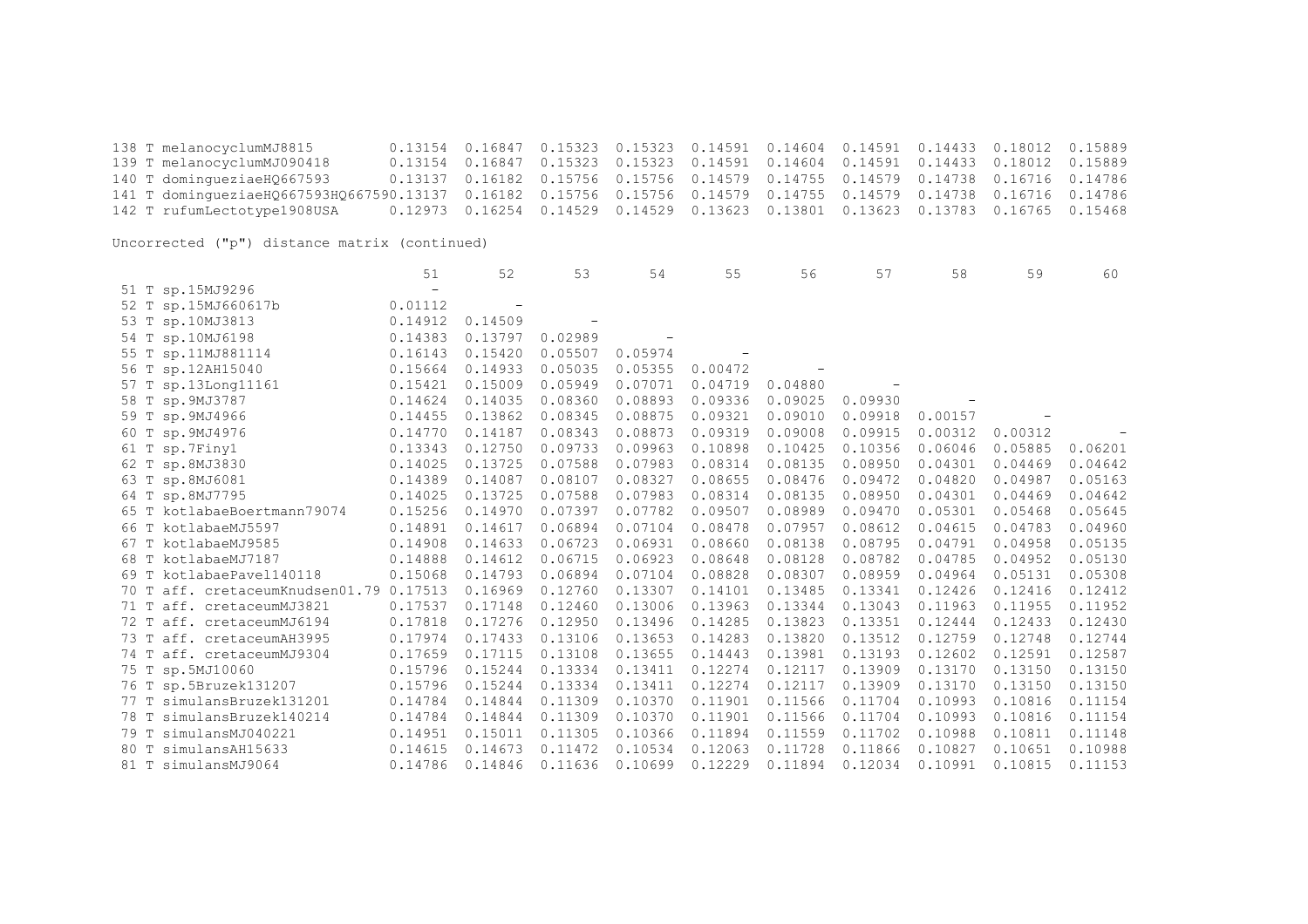138 T melanocyclumMJ8815 0.13154 0.16847 0.15323 0.15323 0.14591 0.14604 0.14591 0.14433 0.18012 0.15889 139 T melanocyclumMJ090418 0.13154 0.16847 0.15323 0.15323 0.14591 0.14604 0.14591 0.14433 0.18012 0.15889 0.13137 0.16182 0.15756 0.15756 0.14579 0.14755 0.14579 0.14738 0.16716 0.14786 141 T domingueziaeHQ667593HQ667590.13137 0.16182 0.15756 0.15756 0.14579 0.14755 0.14579 0.14738 0.16716 0.14786 0.12973 0.16254 0.14529 0.14529 0.13623 0.13801 0.13623 0.13783 0.16765 0.15468

|                                            | 51                       | 52      | 53      | 54      | 55      | 56      | 57      | 58      | 59      | 60      |
|--------------------------------------------|--------------------------|---------|---------|---------|---------|---------|---------|---------|---------|---------|
| 51 T sp.15MJ9296                           | $\overline{\phantom{m}}$ |         |         |         |         |         |         |         |         |         |
| 52 T sp.15MJ660617b                        | 0.01112                  |         |         |         |         |         |         |         |         |         |
| 53 T sp.10MJ3813                           | 0.14912                  | 0.14509 |         |         |         |         |         |         |         |         |
| 54 T sp.10MJ6198                           | 0.14383                  | 0.13797 | 0.02989 |         |         |         |         |         |         |         |
| 55 T sp.11MJ881114                         | 0.16143                  | 0.15420 | 0.05507 | 0.05974 |         |         |         |         |         |         |
| 56 T sp.12AH15040                          | 0.15664                  | 0.14933 | 0.05035 | 0.05355 | 0.00472 |         |         |         |         |         |
| 57 T sp.13Long11161                        | 0.15421                  | 0.15009 | 0.05949 | 0.07071 | 0.04719 | 0.04880 |         |         |         |         |
| 58 T sp. 9MJ3787                           | 0.14624                  | 0.14035 | 0.08360 | 0.08893 | 0.09336 | 0.09025 | 0.09930 |         |         |         |
| 59 T sp. 9MJ4966                           | 0.14455                  | 0.13862 | 0.08345 | 0.08875 | 0.09321 | 0.09010 | 0.09918 | 0.00157 |         |         |
| 60 T sp. 9MJ4976                           | 0.14770                  | 0.14187 | 0.08343 | 0.08873 | 0.09319 | 0.09008 | 0.09915 | 0.00312 | 0.00312 |         |
| 61 T sp.7Finy1                             | 0.13343                  | 0.12750 | 0.09733 | 0.09963 | 0.10898 | 0.10425 | 0.10356 | 0.06046 | 0.05885 | 0.06201 |
| 62 T sp.8MJ3830                            | 0.14025                  | 0.13725 | 0.07588 | 0.07983 | 0.08314 | 0.08135 | 0.08950 | 0.04301 | 0.04469 | 0.04642 |
| 63 T sp.8MJ6081                            | 0.14389                  | 0.14087 | 0.08107 | 0.08327 | 0.08655 | 0.08476 | 0.09472 | 0.04820 | 0.04987 | 0.05163 |
| 64 T sp.8MJ7795                            | 0.14025                  | 0.13725 | 0.07588 | 0.07983 | 0.08314 | 0.08135 | 0.08950 | 0.04301 | 0.04469 | 0.04642 |
| 65 T kotlabaeBoertmann79074                | 0.15256                  | 0.14970 | 0.07397 | 0.07782 | 0.09507 | 0.08989 | 0.09470 | 0.05301 | 0.05468 | 0.05645 |
| 66 T kotlabaeMJ5597                        | 0.14891                  | 0.14617 | 0.06894 | 0.07104 | 0.08478 | 0.07957 | 0.08612 | 0.04615 | 0.04783 | 0.04960 |
| 67 T kotlabaeMJ9585                        | 0.14908                  | 0.14633 | 0.06723 | 0.06931 | 0.08660 | 0.08138 | 0.08795 | 0.04791 | 0.04958 | 0.05135 |
| 68 T kotlabaeMJ7187                        | 0.14888                  | 0.14612 | 0.06715 | 0.06923 | 0.08648 | 0.08128 | 0.08782 | 0.04785 | 0.04952 | 0.05130 |
| 69 T kotlabaePavel140118                   | 0.15068                  | 0.14793 | 0.06894 | 0.07104 | 0.08828 | 0.08307 | 0.08959 | 0.04964 | 0.05131 | 0.05308 |
| aff. cretaceumKnudsen01.79 0.17513<br>70 T |                          | 0.16969 | 0.12760 | 0.13307 | 0.14101 | 0.13485 | 0.13341 | 0.12426 | 0.12416 | 0.12412 |
| 71 T aff. cretaceumMJ3821                  | 0.17537                  | 0.17148 | 0.12460 | 0.13006 | 0.13963 | 0.13344 | 0.13043 | 0.11963 | 0.11955 | 0.11952 |
| aff. cretaceumMJ6194<br>72 T               | 0.17818                  | 0.17276 | 0.12950 | 0.13496 | 0.14285 | 0.13823 | 0.13351 | 0.12444 | 0.12433 | 0.12430 |
| 73 T aff. cretaceumAH3995                  | 0.17974                  | 0.17433 | 0.13106 | 0.13653 | 0.14283 | 0.13820 | 0.13512 | 0.12759 | 0.12748 | 0.12744 |
| 74 T aff. cretaceumMJ9304                  | 0.17659                  | 0.17115 | 0.13108 | 0.13655 | 0.14443 | 0.13981 | 0.13193 | 0.12602 | 0.12591 | 0.12587 |
| 75 T sp.5MJ10060                           | 0.15796                  | 0.15244 | 0.13334 | 0.13411 | 0.12274 | 0.12117 | 0.13909 | 0.13170 | 0.13150 | 0.13150 |
| 76 T sp.5Bruzek131207                      | 0.15796                  | 0.15244 | 0.13334 | 0.13411 | 0.12274 | 0.12117 | 0.13909 | 0.13170 | 0.13150 | 0.13150 |
| 77 T simulansBruzek131201                  | 0.14784                  | 0.14844 | 0.11309 | 0.10370 | 0.11901 | 0.11566 | 0.11704 | 0.10993 | 0.10816 | 0.11154 |
| 78 T simulansBruzek140214                  | 0.14784                  | 0.14844 | 0.11309 | 0.10370 | 0.11901 | 0.11566 | 0.11704 | 0.10993 | 0.10816 | 0.11154 |
| simulansMJ040221<br>79 T                   | 0.14951                  | 0.15011 | 0.11305 | 0.10366 | 0.11894 | 0.11559 | 0.11702 | 0.10988 | 0.10811 | 0.11148 |
| 80 T<br>simulansAH15633                    | 0.14615                  | 0.14673 | 0.11472 | 0.10534 | 0.12063 | 0.11728 | 0.11866 | 0.10827 | 0.10651 | 0.10988 |
| 81 T simulansMJ9064                        | 0.14786                  | 0.14846 | 0.11636 | 0.10699 | 0.12229 | 0.11894 | 0.12034 | 0.10991 | 0.10815 | 0.11153 |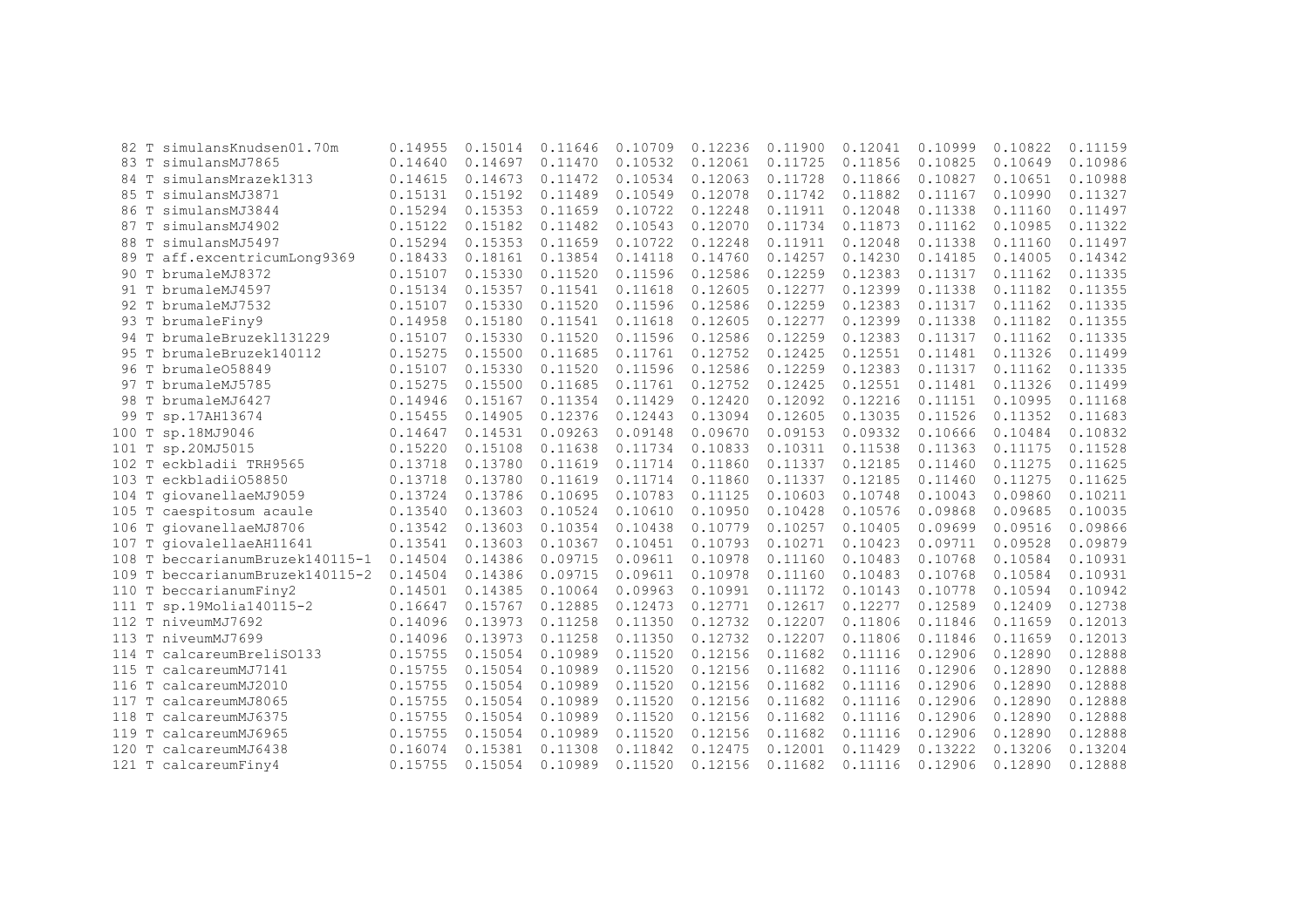| 82 T  | simulansKnudsen01.70m           | 0.14955 | 0.15014 | 0.11646 | 0.10709 | 0.12236 | 0.11900 | 0.12041 | 0.10999 | 0.10822 | 0.11159 |
|-------|---------------------------------|---------|---------|---------|---------|---------|---------|---------|---------|---------|---------|
|       | 83 T simulansMJ7865             | 0.14640 | 0.14697 | 0.11470 | 0.10532 | 0.12061 | 0.11725 | 0.11856 | 0.10825 | 0.10649 | 0.10986 |
|       | 84 T simulansMrazek1313         | 0.14615 | 0.14673 | 0.11472 | 0.10534 | 0.12063 | 0.11728 | 0.11866 | 0.10827 | 0.10651 | 0.10988 |
| 85 T  | simulansMJ3871                  | 0.15131 | 0.15192 | 0.11489 | 0.10549 | 0.12078 | 0.11742 | 0.11882 | 0.11167 | 0.10990 | 0.11327 |
| 86 T  | simulansMJ3844                  | 0.15294 | 0.15353 | 0.11659 | 0.10722 | 0.12248 | 0.11911 | 0.12048 | 0.11338 | 0.11160 | 0.11497 |
| 87 T  | simulansMJ4902                  | 0.15122 | 0.15182 | 0.11482 | 0.10543 | 0.12070 | 0.11734 | 0.11873 | 0.11162 | 0.10985 | 0.11322 |
| 88 T  | simulansMJ5497                  | 0.15294 | 0.15353 | 0.11659 | 0.10722 | 0.12248 | 0.11911 | 0.12048 | 0.11338 | 0.11160 | 0.11497 |
|       | 89 T aff.excentricumLong9369    | 0.18433 | 0.18161 | 0.13854 | 0.14118 | 0.14760 | 0.14257 | 0.14230 | 0.14185 | 0.14005 | 0.14342 |
|       | 90 T brumaleMJ8372              | 0.15107 | 0.15330 | 0.11520 | 0.11596 | 0.12586 | 0.12259 | 0.12383 | 0.11317 | 0.11162 | 0.11335 |
|       | 91 T brumaleMJ4597              | 0.15134 | 0.15357 | 0.11541 | 0.11618 | 0.12605 | 0.12277 | 0.12399 | 0.11338 | 0.11182 | 0.11355 |
| 92 T  | brumaleMJ7532                   | 0.15107 | 0.15330 | 0.11520 | 0.11596 | 0.12586 | 0.12259 | 0.12383 | 0.11317 | 0.11162 | 0.11335 |
|       | 93 T brumaleFiny9               | 0.14958 | 0.15180 | 0.11541 | 0.11618 | 0.12605 | 0.12277 | 0.12399 | 0.11338 | 0.11182 | 0.11355 |
|       | 94 T brumaleBruzek1131229       | 0.15107 | 0.15330 | 0.11520 | 0.11596 | 0.12586 | 0.12259 | 0.12383 | 0.11317 | 0.11162 | 0.11335 |
| 95 T  | brumaleBruzek140112             | 0.15275 | 0.15500 | 0.11685 | 0.11761 | 0.12752 | 0.12425 | 0.12551 | 0.11481 | 0.11326 | 0.11499 |
|       | 96 T brumale058849              | 0.15107 | 0.15330 | 0.11520 | 0.11596 | 0.12586 | 0.12259 | 0.12383 | 0.11317 | 0.11162 | 0.11335 |
|       | 97 T brumaleMJ5785              | 0.15275 | 0.15500 | 0.11685 | 0.11761 | 0.12752 | 0.12425 | 0.12551 | 0.11481 | 0.11326 | 0.11499 |
|       | 98 T brumaleMJ6427              | 0.14946 | 0.15167 | 0.11354 | 0.11429 | 0.12420 | 0.12092 | 0.12216 | 0.11151 | 0.10995 | 0.11168 |
| 99 T  | sp.17AH13674                    | 0.15455 | 0.14905 | 0.12376 | 0.12443 | 0.13094 | 0.12605 | 0.13035 | 0.11526 | 0.11352 | 0.11683 |
| 100 T | sp.18MJ9046                     | 0.14647 | 0.14531 | 0.09263 | 0.09148 | 0.09670 | 0.09153 | 0.09332 | 0.10666 | 0.10484 | 0.10832 |
|       | 101 T sp.20MJ5015               | 0.15220 | 0.15108 | 0.11638 | 0.11734 | 0.10833 | 0.10311 | 0.11538 | 0.11363 | 0.11175 | 0.11528 |
|       | 102 T eckbladii TRH9565         | 0.13718 | 0.13780 | 0.11619 | 0.11714 | 0.11860 | 0.11337 | 0.12185 | 0.11460 | 0.11275 | 0.11625 |
|       | 103 T eckbladii058850           | 0.13718 | 0.13780 | 0.11619 | 0.11714 | 0.11860 | 0.11337 | 0.12185 | 0.11460 | 0.11275 | 0.11625 |
|       | 104 T giovanellaeMJ9059         | 0.13724 | 0.13786 | 0.10695 | 0.10783 | 0.11125 | 0.10603 | 0.10748 | 0.10043 | 0.09860 | 0.10211 |
|       | 105 T caespitosum acaule        | 0.13540 | 0.13603 | 0.10524 | 0.10610 | 0.10950 | 0.10428 | 0.10576 | 0.09868 | 0.09685 | 0.10035 |
|       | 106 T giovanellaeMJ8706         | 0.13542 | 0.13603 | 0.10354 | 0.10438 | 0.10779 | 0.10257 | 0.10405 | 0.09699 | 0.09516 | 0.09866 |
|       | 107 T giovalellaeAH11641        | 0.13541 | 0.13603 | 0.10367 | 0.10451 | 0.10793 | 0.10271 | 0.10423 | 0.09711 | 0.09528 | 0.09879 |
|       | 108 T beccarianumBruzek140115-1 | 0.14504 | 0.14386 | 0.09715 | 0.09611 | 0.10978 | 0.11160 | 0.10483 | 0.10768 | 0.10584 | 0.10931 |
|       | 109 T beccarianumBruzek140115-2 | 0.14504 | 0.14386 | 0.09715 | 0.09611 | 0.10978 | 0.11160 | 0.10483 | 0.10768 | 0.10584 | 0.10931 |
|       | 110 T beccarianumFiny2          | 0.14501 | 0.14385 | 0.10064 | 0.09963 | 0.10991 | 0.11172 | 0.10143 | 0.10778 | 0.10594 | 0.10942 |
|       | 111 T sp.19Molia140115-2        | 0.16647 | 0.15767 | 0.12885 | 0.12473 | 0.12771 | 0.12617 | 0.12277 | 0.12589 | 0.12409 | 0.12738 |
|       | 112 T niveumMJ7692              | 0.14096 | 0.13973 | 0.11258 | 0.11350 | 0.12732 | 0.12207 | 0.11806 | 0.11846 | 0.11659 | 0.12013 |
|       | 113 T niveumMJ7699              | 0.14096 | 0.13973 | 0.11258 | 0.11350 | 0.12732 | 0.12207 | 0.11806 | 0.11846 | 0.11659 | 0.12013 |
|       | 114 T calcareumBreliSO133       | 0.15755 | 0.15054 | 0.10989 | 0.11520 | 0.12156 | 0.11682 | 0.11116 | 0.12906 | 0.12890 | 0.12888 |
|       | 115 T calcareumMJ7141           | 0.15755 | 0.15054 | 0.10989 | 0.11520 | 0.12156 | 0.11682 | 0.11116 | 0.12906 | 0.12890 | 0.12888 |
|       | 116 T calcareumMJ2010           | 0.15755 | 0.15054 | 0.10989 | 0.11520 | 0.12156 | 0.11682 | 0.11116 | 0.12906 | 0.12890 | 0.12888 |
|       | 117 T calcareumMJ8065           | 0.15755 | 0.15054 | 0.10989 | 0.11520 | 0.12156 | 0.11682 | 0.11116 | 0.12906 | 0.12890 | 0.12888 |
|       | 118 T calcareumMJ6375           | 0.15755 | 0.15054 | 0.10989 | 0.11520 | 0.12156 | 0.11682 | 0.11116 | 0.12906 | 0.12890 | 0.12888 |
|       | 119 T calcareumMJ6965           | 0.15755 | 0.15054 | 0.10989 | 0.11520 | 0.12156 | 0.11682 | 0.11116 | 0.12906 | 0.12890 | 0.12888 |
| 120 T | calcareumMJ6438                 | 0.16074 | 0.15381 | 0.11308 | 0.11842 | 0.12475 | 0.12001 | 0.11429 | 0.13222 | 0.13206 | 0.13204 |
|       | 121 T calcareumFiny4            | 0.15755 | 0.15054 | 0.10989 | 0.11520 | 0.12156 | 0.11682 | 0.11116 | 0.12906 | 0.12890 | 0.12888 |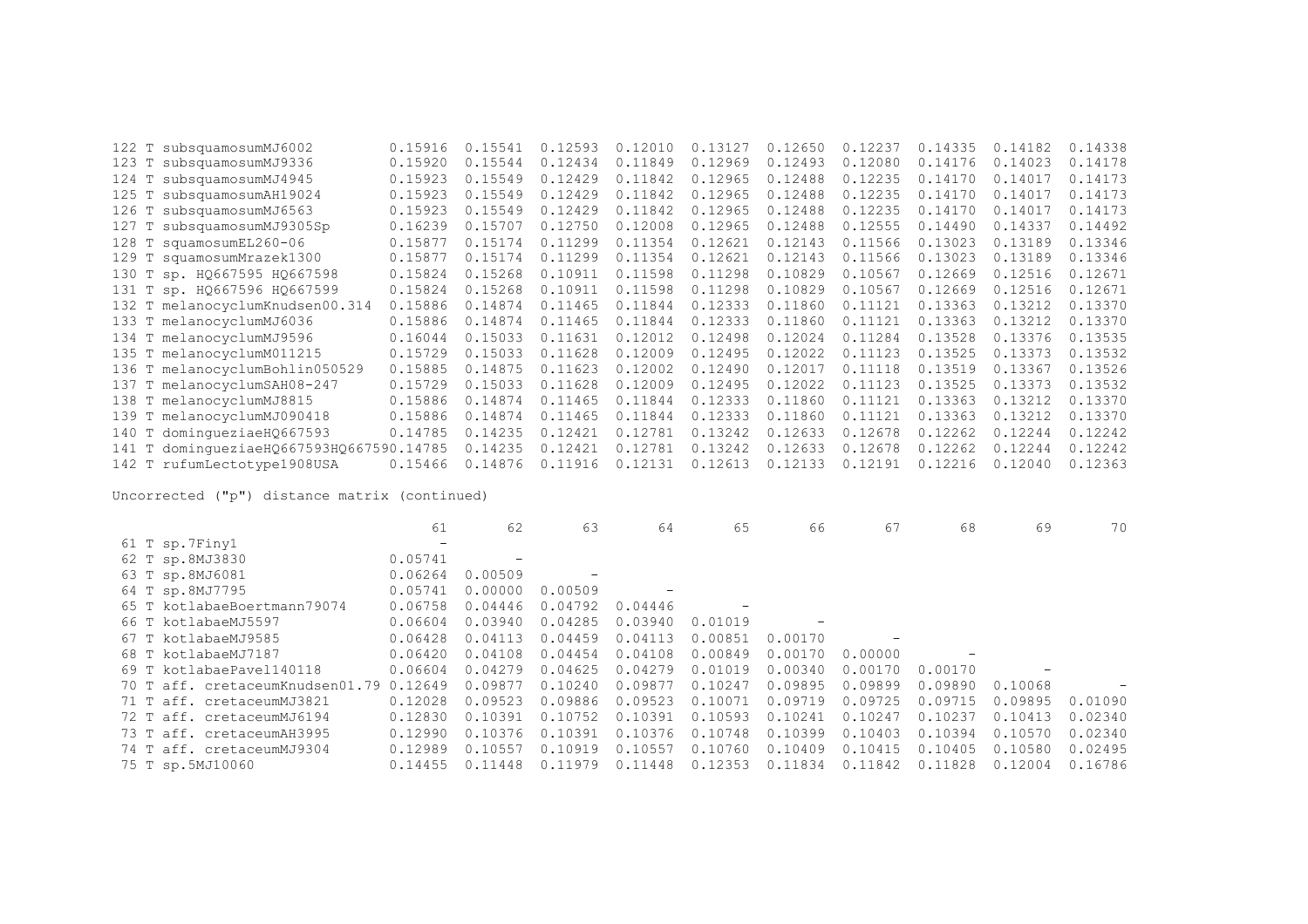|       | 122 T subsquamosumMJ6002                 | 0.15916 | 0.15541 | 0.12593 | 0.12010 | 0.13127 | 0.12650 | 0.12237 | 0.14335 | 0.14182 | 0.14338 |
|-------|------------------------------------------|---------|---------|---------|---------|---------|---------|---------|---------|---------|---------|
|       | 123 T subsquamosumMJ9336                 | 0.15920 | 0.15544 | 0.12434 | 0.11849 | 0.12969 | 0.12493 | 0.12080 | 0.14176 | 0.14023 | 0.14178 |
| 124 T | subsquamosumMJ4945                       | 0.15923 | 0.15549 | 0.12429 | 0.11842 | 0.12965 | 0.12488 | 0.12235 | 0.14170 | 0.14017 | 0.14173 |
| 125 T | subsquamosumAH19024                      | 0.15923 | 0.15549 | 0.12429 | 0.11842 | 0.12965 | 0.12488 | 0.12235 | 0.14170 | 0.14017 | 0.14173 |
|       | 126 T subsquamosumMJ6563                 | 0.15923 | 0.15549 | 0.12429 | 0.11842 | 0.12965 | 0.12488 | 0.12235 | 0.14170 | 0.14017 | 0.14173 |
|       | 127 T subsquamosumMJ9305Sp               | 0.16239 | 0.15707 | 0.12750 | 0.12008 | 0.12965 | 0.12488 | 0.12555 | 0.14490 | 0.14337 | 0.14492 |
|       | 128 T squamosumEL260-06                  | 0.15877 | 0.15174 | 0.11299 | 0.11354 | 0.12621 | 0.12143 | 0.11566 | 0.13023 | 0.13189 | 0.13346 |
|       | 129 T squamosumMrazek1300                | 0.15877 | 0.15174 | 0.11299 | 0.11354 | 0.12621 | 0.12143 | 0.11566 | 0.13023 | 0.13189 | 0.13346 |
|       | 130 T sp. HQ667595 HQ667598              | 0.15824 | 0.15268 | 0.10911 | 0.11598 | 0.11298 | 0.10829 | 0.10567 | 0.12669 | 0.12516 | 0.12671 |
|       | 131 Т sp. HQ667596 HQ667599              | 0.15824 | 0.15268 | 0.10911 | 0.11598 | 0.11298 | 0.10829 | 0.10567 | 0.12669 | 0.12516 | 0.12671 |
|       | 132 T melanocyclumKnudsen00.314          | 0.15886 | 0.14874 | 0.11465 | 0.11844 | 0.12333 | 0.11860 | 0.11121 | 0.13363 | 0.13212 | 0.13370 |
|       | 133 T melanocyclumMJ6036                 | 0.15886 | 0.14874 | 0.11465 | 0.11844 | 0.12333 | 0.11860 | 0.11121 | 0.13363 | 0.13212 | 0.13370 |
|       | 134 T melanocyclumMJ9596                 | 0.16044 | 0.15033 | 0.11631 | 0.12012 | 0.12498 | 0.12024 | 0.11284 | 0.13528 | 0.13376 | 0.13535 |
|       | 135 T melanocyclumM011215                | 0.15729 | 0.15033 | 0.11628 | 0.12009 | 0.12495 | 0.12022 | 0.11123 | 0.13525 | 0.13373 | 0.13532 |
|       | 136 T melanocyclumBohlin050529           | 0.15885 | 0.14875 | 0.11623 | 0.12002 | 0.12490 | 0.12017 | 0.11118 | 0.13519 | 0.13367 | 0.13526 |
|       | 137 T melanocyclumSAH08-247              | 0.15729 | 0.15033 | 0.11628 | 0.12009 | 0.12495 | 0.12022 | 0.11123 | 0.13525 | 0.13373 | 0.13532 |
|       | 138 T melanocyclumMJ8815                 | 0.15886 | 0.14874 | 0.11465 | 0.11844 | 0.12333 | 0.11860 | 0.11121 | 0.13363 | 0.13212 | 0.13370 |
|       | 139 T melanocyclumMJ090418               | 0.15886 | 0.14874 | 0.11465 | 0.11844 | 0.12333 | 0.11860 | 0.11121 | 0.13363 | 0.13212 | 0.13370 |
|       | 140 T dominqueziaeH0667593               | 0.14785 | 0.14235 | 0.12421 | 0.12781 | 0.13242 | 0.12633 | 0.12678 | 0.12262 | 0.12244 | 0.12242 |
|       | 141 T dominqueziaeHQ667593HQ667590.14785 |         | 0.14235 | 0.12421 | 0.12781 | 0.13242 | 0.12633 | 0.12678 | 0.12262 | 0.12244 | 0.12242 |
|       | 142 T rufumLectotype1908USA              | 0.15466 | 0.14876 | 0.11916 | 0.12131 | 0.12613 | 0.12133 | 0.12191 | 0.12216 | 0.12040 | 0.12363 |

|                                         | 61                | 62      | 63      | 64      | 65      | 66      | 67      | 68      | 69      | 70      |
|-----------------------------------------|-------------------|---------|---------|---------|---------|---------|---------|---------|---------|---------|
| 61 T sp.7Finy1                          | $\qquad \qquad -$ |         |         |         |         |         |         |         |         |         |
| 62 T sp.8MJ3830                         | 0.05741           |         |         |         |         |         |         |         |         |         |
| 63 T sp.8MJ6081                         | 0.06264           | 0.00509 |         |         |         |         |         |         |         |         |
| 64 T sp.8MJ7795                         | 0.05741           | 0.00000 | 0.00509 |         |         |         |         |         |         |         |
| 65 T kotlabaeBoertmann79074             | 0.06758           | 0.04446 | 0.04792 | 0.04446 |         |         |         |         |         |         |
| 66 T kotlabaeMJ5597                     | 0.06604           | 0.03940 | 0.04285 | 0.03940 | 0.01019 |         |         |         |         |         |
| 67 T kotlabaeMJ9585                     | 0.06428           | 0.04113 | 0.04459 | 0.04113 | 0.00851 | 0.00170 |         |         |         |         |
| 68 T kotlabaeMJ7187                     | 0.06420           | 0.04108 | 0.04454 | 0.04108 | 0.00849 | 0.00170 | 0.00000 |         |         |         |
| 69 T kotlabaePavel140118                | 0.06604           | 0.04279 | 0.04625 | 0.04279 | 0.01019 | 0.00340 | 0.00170 | 0.00170 |         |         |
| 70 T aff. cretaceumKnudsen01.79 0.12649 |                   | 0.09877 | 0.10240 | 0.09877 | 0.10247 | 0.09895 | 0.09899 | 0.09890 | 0.10068 |         |
| 71 T aff. cretaceumMJ3821               | 0.12028           | 0.09523 | 0.09886 | 0.09523 | 0.10071 | 0.09719 | 0.09725 | 0.09715 | 0.09895 | 0.01090 |
| 72 T aff. cretaceumMJ6194               | 0.12830           | 0.10391 | 0.10752 | 0.10391 | 0.10593 | 0.10241 | 0.10247 | 0.10237 | 0.10413 | 0.02340 |
| 73 T aff. cretaceumAH3995               | 0.12990           | 0.10376 | 0.10391 | 0.10376 | 0.10748 | 0.10399 | 0.10403 | 0.10394 | 0.10570 | 0.02340 |
| 74 T aff. cretaceumMJ9304               | 0.12989           | 0.10557 | 0.10919 | 0.10557 | 0.10760 | 0.10409 | 0.10415 | 0.10405 | 0.10580 | 0.02495 |
| 75 T sp.5MJ10060                        | 0.14455           | 0.11448 | 0.11979 | 0.11448 | 0.12353 | 0.11834 | 0.11842 | 0.11828 | 0.12004 | 0.16786 |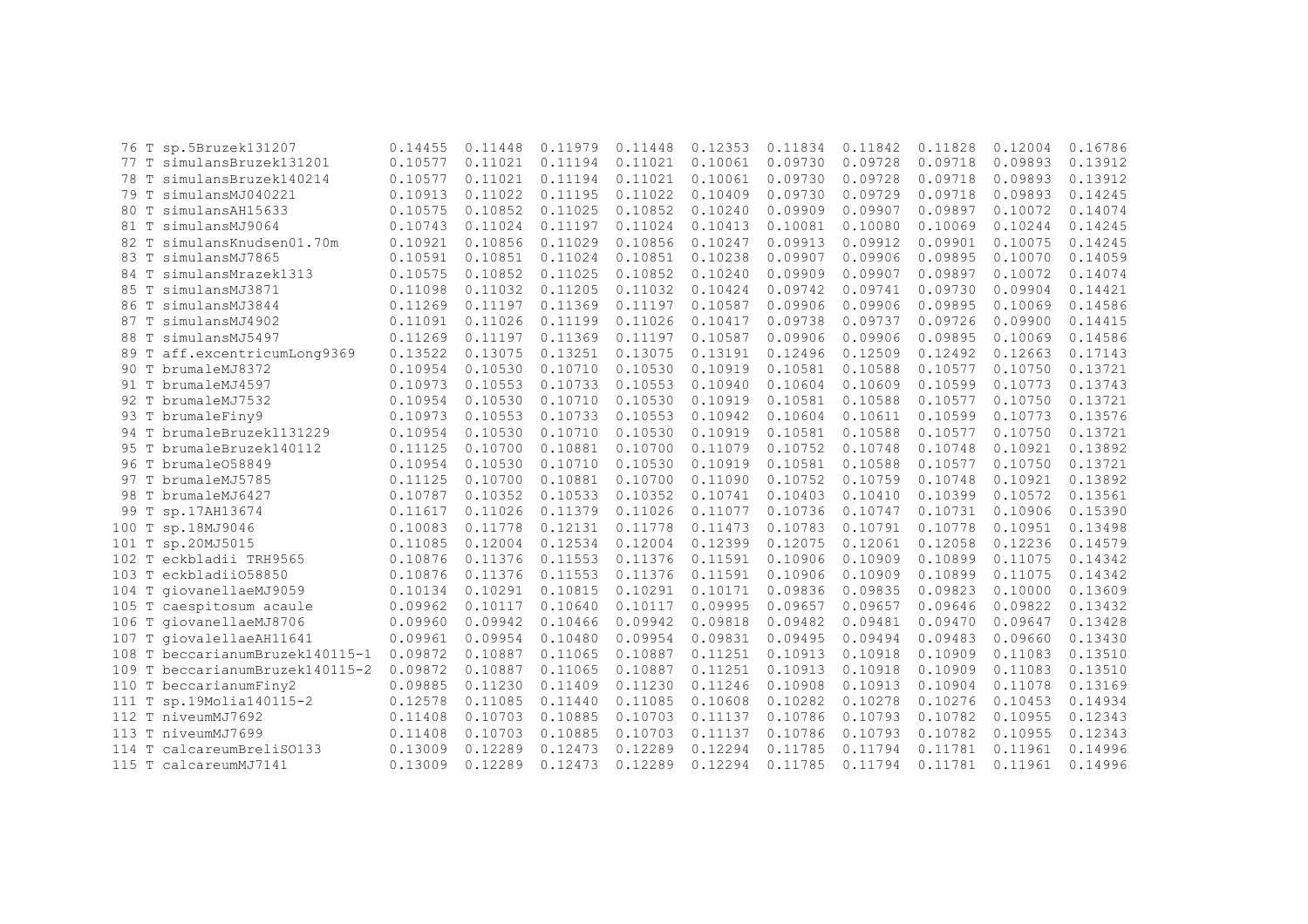|      | 76 T sp.5Bruzek131207           | 0.14455 | 0.11448 | 0.11979 | 0.11448 | 0.12353 | 0.11834 | 0.11842 | 0.11828 | 0.12004 | 0.16786 |
|------|---------------------------------|---------|---------|---------|---------|---------|---------|---------|---------|---------|---------|
|      | 77 T simulansBruzek131201       | 0.10577 | 0.11021 | 0.11194 | 0.11021 | 0.10061 | 0.09730 | 0.09728 | 0.09718 | 0.09893 | 0.13912 |
| 78 T | simulansBruzek140214            | 0.10577 | 0.11021 | 0.11194 | 0.11021 | 0.10061 | 0.09730 | 0.09728 | 0.09718 | 0.09893 | 0.13912 |
|      | 79 T simulansMJ040221           | 0.10913 | 0.11022 | 0.11195 | 0.11022 | 0.10409 | 0.09730 | 0.09729 | 0.09718 | 0.09893 | 0.14245 |
|      | 80 T simulansAH15633            | 0.10575 | 0.10852 | 0.11025 | 0.10852 | 0.10240 | 0.09909 | 0.09907 | 0.09897 | 0.10072 | 0.14074 |
|      | 81 T simulansMJ9064             | 0.10743 | 0.11024 | 0.11197 | 0.11024 | 0.10413 | 0.10081 | 0.10080 | 0.10069 | 0.10244 | 0.14245 |
| 82 T | simulansKnudsen01.70m           | 0.10921 | 0.10856 | 0.11029 | 0.10856 | 0.10247 | 0.09913 | 0.09912 | 0.09901 | 0.10075 | 0.14245 |
| 83 T | simulansMJ7865                  | 0.10591 | 0.10851 | 0.11024 | 0.10851 | 0.10238 | 0.09907 | 0.09906 | 0.09895 | 0.10070 | 0.14059 |
|      | 84 T simulansMrazek1313         | 0.10575 | 0.10852 | 0.11025 | 0.10852 | 0.10240 | 0.09909 | 0.09907 | 0.09897 | 0.10072 | 0.14074 |
|      | 85 T simulansMJ3871             | 0.11098 | 0.11032 | 0.11205 | 0.11032 | 0.10424 | 0.09742 | 0.09741 | 0.09730 | 0.09904 | 0.14421 |
|      | 86 T simulansMJ3844             | 0.11269 | 0.11197 | 0.11369 | 0.11197 | 0.10587 | 0.09906 | 0.09906 | 0.09895 | 0.10069 | 0.14586 |
|      | 87 T simulansMJ4902             | 0.11091 | 0.11026 | 0.11199 | 0.11026 | 0.10417 | 0.09738 | 0.09737 | 0.09726 | 0.09900 | 0.14415 |
|      | 88 T simulansMJ5497             | 0.11269 | 0.11197 | 0.11369 | 0.11197 | 0.10587 | 0.09906 | 0.09906 | 0.09895 | 0.10069 | 0.14586 |
|      | 89 T aff.excentricumLong9369    | 0.13522 | 0.13075 | 0.13251 | 0.13075 | 0.13191 | 0.12496 | 0.12509 | 0.12492 | 0.12663 | 0.17143 |
|      | 90 T brumaleMJ8372              | 0.10954 | 0.10530 | 0.10710 | 0.10530 | 0.10919 | 0.10581 | 0.10588 | 0.10577 | 0.10750 | 0.13721 |
|      | 91 T brumaleMJ4597              | 0.10973 | 0.10553 | 0.10733 | 0.10553 | 0.10940 | 0.10604 | 0.10609 | 0.10599 | 0.10773 | 0.13743 |
|      | 92 T brumaleMJ7532              | 0.10954 | 0.10530 | 0.10710 | 0.10530 | 0.10919 | 0.10581 | 0.10588 | 0.10577 | 0.10750 | 0.13721 |
|      | 93 T brumaleFiny9               | 0.10973 | 0.10553 | 0.10733 | 0.10553 | 0.10942 | 0.10604 | 0.10611 | 0.10599 | 0.10773 | 0.13576 |
|      | 94 T brumaleBruzek1131229       | 0.10954 | 0.10530 | 0.10710 | 0.10530 | 0.10919 | 0.10581 | 0.10588 | 0.10577 | 0.10750 | 0.13721 |
|      | 95 T brumaleBruzek140112        | 0.11125 | 0.10700 | 0.10881 | 0.10700 | 0.11079 | 0.10752 | 0.10748 | 0.10748 | 0.10921 | 0.13892 |
|      | 96 T brumale058849              | 0.10954 | 0.10530 | 0.10710 | 0.10530 | 0.10919 | 0.10581 | 0.10588 | 0.10577 | 0.10750 | 0.13721 |
|      | 97 T brumaleMJ5785              | 0.11125 | 0.10700 | 0.10881 | 0.10700 | 0.11090 | 0.10752 | 0.10759 | 0.10748 | 0.10921 | 0.13892 |
|      | 98 T brumaleMJ6427              | 0.10787 | 0.10352 | 0.10533 | 0.10352 | 0.10741 | 0.10403 | 0.10410 | 0.10399 | 0.10572 | 0.13561 |
|      | 99 T sp.17AH13674               | 0.11617 | 0.11026 | 0.11379 | 0.11026 | 0.11077 | 0.10736 | 0.10747 | 0.10731 | 0.10906 | 0.15390 |
|      | 100 T sp.18MJ9046               | 0.10083 | 0.11778 | 0.12131 | 0.11778 | 0.11473 | 0.10783 | 0.10791 | 0.10778 | 0.10951 | 0.13498 |
|      | 101 T sp.20MJ5015               | 0.11085 | 0.12004 | 0.12534 | 0.12004 | 0.12399 | 0.12075 | 0.12061 | 0.12058 | 0.12236 | 0.14579 |
|      | 102 T eckbladii TRH9565         | 0.10876 | 0.11376 | 0.11553 | 0.11376 | 0.11591 | 0.10906 | 0.10909 | 0.10899 | 0.11075 | 0.14342 |
|      | 103 T eckbladii058850           | 0.10876 | 0.11376 | 0.11553 | 0.11376 | 0.11591 | 0.10906 | 0.10909 | 0.10899 | 0.11075 | 0.14342 |
|      | 104 T giovanellaeMJ9059         | 0.10134 | 0.10291 | 0.10815 | 0.10291 | 0.10171 | 0.09836 | 0.09835 | 0.09823 | 0.10000 | 0.13609 |
|      | 105 T caespitosum acaule        | 0.09962 | 0.10117 | 0.10640 | 0.10117 | 0.09995 | 0.09657 | 0.09657 | 0.09646 | 0.09822 | 0.13432 |
|      | 106 T giovanellaeMJ8706         | 0.09960 | 0.09942 | 0.10466 | 0.09942 | 0.09818 | 0.09482 | 0.09481 | 0.09470 | 0.09647 | 0.13428 |
|      | 107 T giovalellaeAH11641        | 0.09961 | 0.09954 | 0.10480 | 0.09954 | 0.09831 | 0.09495 | 0.09494 | 0.09483 | 0.09660 | 0.13430 |
|      | 108 T beccarianumBruzek140115-1 | 0.09872 | 0.10887 | 0.11065 | 0.10887 | 0.11251 | 0.10913 | 0.10918 | 0.10909 | 0.11083 | 0.13510 |
|      | 109 T beccarianumBruzek140115-2 | 0.09872 | 0.10887 | 0.11065 | 0.10887 | 0.11251 | 0.10913 | 0.10918 | 0.10909 | 0.11083 | 0.13510 |
|      | 110 T beccarianumFiny2          | 0.09885 | 0.11230 | 0.11409 | 0.11230 | 0.11246 | 0.10908 | 0.10913 | 0.10904 | 0.11078 | 0.13169 |
|      | 111 T sp.19Molia140115-2        | 0.12578 | 0.11085 | 0.11440 | 0.11085 | 0.10608 | 0.10282 | 0.10278 | 0.10276 | 0.10453 | 0.14934 |
|      | 112 T niveumMJ7692              | 0.11408 | 0.10703 | 0.10885 | 0.10703 | 0.11137 | 0.10786 | 0.10793 | 0.10782 | 0.10955 | 0.12343 |
|      | 113 T niveumMJ7699              | 0.11408 | 0.10703 | 0.10885 | 0.10703 | 0.11137 | 0.10786 | 0.10793 | 0.10782 | 0.10955 | 0.12343 |
|      | 114 T calcareumBreliSO133       | 0.13009 | 0.12289 | 0.12473 | 0.12289 | 0.12294 | 0.11785 | 0.11794 | 0.11781 | 0.11961 | 0.14996 |
|      | 115 T calcareumMJ7141           | 0.13009 | 0.12289 | 0.12473 | 0.12289 | 0.12294 | 0.11785 | 0.11794 | 0.11781 | 0.11961 | 0.14996 |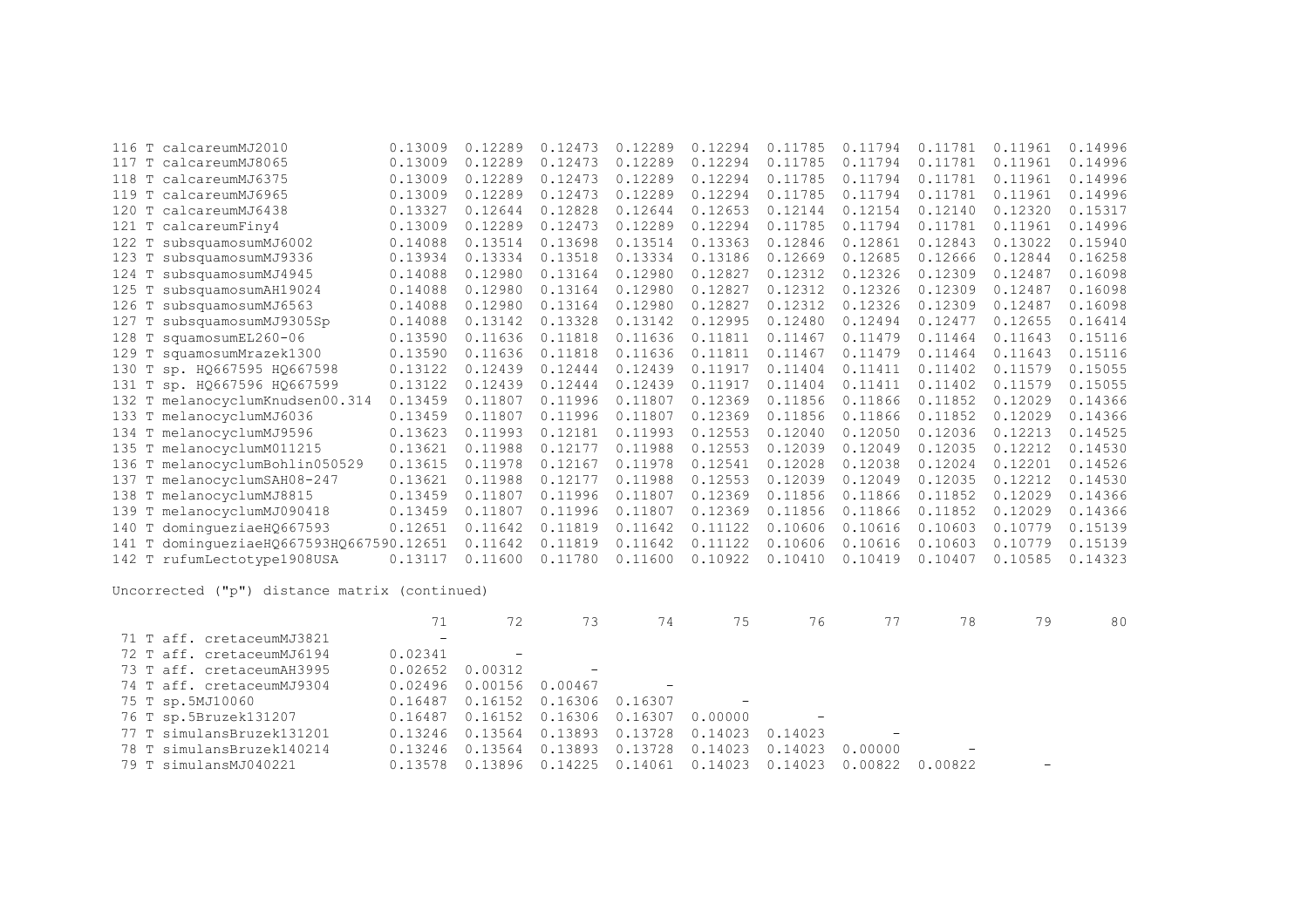| T<br>116 | calcareumMJ2010                    | 0.13009 | 0.12289 | 0.12473 | 0.12289 | 0.12294 | 0.11785 | 0.11794 | 0.11781 | 0.11961 | 0.14996 |
|----------|------------------------------------|---------|---------|---------|---------|---------|---------|---------|---------|---------|---------|
| 117<br>T | calcareumMJ8065                    | 0.13009 | 0.12289 | 0.12473 | 0.12289 | 0.12294 | 0.11785 | 0.11794 | 0.11781 | 0.11961 | 0.14996 |
| T<br>118 | calcareumMJ6375                    | 0.13009 | 0.12289 | 0.12473 | 0.12289 | 0.12294 | 0.11785 | 0.11794 | 0.11781 | 0.11961 | 0.14996 |
| 119 T    | calcareumMJ6965                    | 0.13009 | 0.12289 | 0.12473 | 0.12289 | 0.12294 | 0.11785 | 0.11794 | 0.11781 | 0.11961 | 0.14996 |
| 120      | T calcareumMJ6438                  | 0.13327 | 0.12644 | 0.12828 | 0.12644 | 0.12653 | 0.12144 | 0.12154 | 0.12140 | 0.12320 | 0.15317 |
| 121      | T calcareumFiny4                   | 0.13009 | 0.12289 | 0.12473 | 0.12289 | 0.12294 | 0.11785 | 0.11794 | 0.11781 | 0.11961 | 0.14996 |
| 122<br>T | subsquamosumMJ6002                 | 0.14088 | 0.13514 | 0.13698 | 0.13514 | 0.13363 | 0.12846 | 0.12861 | 0.12843 | 0.13022 | 0.15940 |
| 123<br>т | subsquamosumMJ9336                 | 0.13934 | 0.13334 | 0.13518 | 0.13334 | 0.13186 | 0.12669 | 0.12685 | 0.12666 | 0.12844 | 0.16258 |
| 124<br>T | subsquamosumMJ4945                 | 0.14088 | 0.12980 | 0.13164 | 0.12980 | 0.12827 | 0.12312 | 0.12326 | 0.12309 | 0.12487 | 0.16098 |
| 125<br>Т | subsquamosumAH19024                | 0.14088 | 0.12980 | 0.13164 | 0.12980 | 0.12827 | 0.12312 | 0.12326 | 0.12309 | 0.12487 | 0.16098 |
| 126<br>T | subsquamosumMJ6563                 | 0.14088 | 0.12980 | 0.13164 | 0.12980 | 0.12827 | 0.12312 | 0.12326 | 0.12309 | 0.12487 | 0.16098 |
| 127<br>т | subsquamosumMJ9305Sp               | 0.14088 | 0.13142 | 0.13328 | 0.13142 | 0.12995 | 0.12480 | 0.12494 | 0.12477 | 0.12655 | 0.16414 |
| 128<br>T | squamosumEL260-06                  | 0.13590 | 0.11636 | 0.11818 | 0.11636 | 0.11811 | 0.11467 | 0.11479 | 0.11464 | 0.11643 | 0.15116 |
|          | 129 T squamosumMrazek1300          | 0.13590 | 0.11636 | 0.11818 | 0.11636 | 0.11811 | 0.11467 | 0.11479 | 0.11464 | 0.11643 | 0.15116 |
| 130      | T sp. HQ667595 HQ667598            | 0.13122 | 0.12439 | 0.12444 | 0.12439 | 0.11917 | 0.11404 | 0.11411 | 0.11402 | 0.11579 | 0.15055 |
|          | 131 T sp. HQ667596 HQ667599        | 0.13122 | 0.12439 | 0.12444 | 0.12439 | 0.11917 | 0.11404 | 0.11411 | 0.11402 | 0.11579 | 0.15055 |
|          | 132 T melanocyclumKnudsen00.314    | 0.13459 | 0.11807 | 0.11996 | 0.11807 | 0.12369 | 0.11856 | 0.11866 | 0.11852 | 0.12029 | 0.14366 |
|          | 133 T melanocyclumMJ6036           | 0.13459 | 0.11807 | 0.11996 | 0.11807 | 0.12369 | 0.11856 | 0.11866 | 0.11852 | 0.12029 | 0.14366 |
|          | 134 T melanocyclumMJ9596           | 0.13623 | 0.11993 | 0.12181 | 0.11993 | 0.12553 | 0.12040 | 0.12050 | 0.12036 | 0.12213 | 0.14525 |
| 135      | T melanocyclumM011215              | 0.13621 | 0.11988 | 0.12177 | 0.11988 | 0.12553 | 0.12039 | 0.12049 | 0.12035 | 0.12212 | 0.14530 |
| 136      | T melanocyclumBohlin050529         | 0.13615 | 0.11978 | 0.12167 | 0.11978 | 0.12541 | 0.12028 | 0.12038 | 0.12024 | 0.12201 | 0.14526 |
| 137<br>Т | melanocyclumSAH08-247              | 0.13621 | 0.11988 | 0.12177 | 0.11988 | 0.12553 | 0.12039 | 0.12049 | 0.12035 | 0.12212 | 0.14530 |
| 138 T    | melanocyclumMJ8815                 | 0.13459 | 0.11807 | 0.11996 | 0.11807 | 0.12369 | 0.11856 | 0.11866 | 0.11852 | 0.12029 | 0.14366 |
| 139      | T melanocyclumMJ090418             | 0.13459 | 0.11807 | 0.11996 | 0.11807 | 0.12369 | 0.11856 | 0.11866 | 0.11852 | 0.12029 | 0.14366 |
| 140<br>T | domingueziaeHQ667593               | 0.12651 | 0.11642 | 0.11819 | 0.11642 | 0.11122 | 0.10606 | 0.10616 | 0.10603 | 0.10779 | 0.15139 |
| 141<br>T | dominqueziaeHQ667593HQ667590.12651 |         | 0.11642 | 0.11819 | 0.11642 | 0.11122 | 0.10606 | 0.10616 | 0.10603 | 0.10779 | 0.15139 |
| 142 T    | rufumLectotvpe1908USA              | 0.13117 | 0.11600 | 0.11780 | 0.11600 | 0.10922 | 0.10410 | 0.10419 | 0.10407 | 0.10585 | 0.14323 |

|                           | 71                |                          | 73                       | 74                                | 75                       | 76                       |                 | 78                | 79 | 80 |
|---------------------------|-------------------|--------------------------|--------------------------|-----------------------------------|--------------------------|--------------------------|-----------------|-------------------|----|----|
| 71 T aff. cretaceumMJ3821 | $\qquad \qquad -$ |                          |                          |                                   |                          |                          |                 |                   |    |    |
| 72 T aff. cretaceumMJ6194 | 0.02341           | $\overline{\phantom{m}}$ |                          |                                   |                          |                          |                 |                   |    |    |
| 73 T aff. cretaceumAH3995 | 0.02652           | 0.00312                  | $\overline{\phantom{m}}$ |                                   |                          |                          |                 |                   |    |    |
| 74 T aff. cretaceumMJ9304 | 0.02496           | 0.00156 0.00467          |                          |                                   |                          |                          |                 |                   |    |    |
| 75 T sp.5MJ10060          | 0.16487           | 0.16152                  | 0.16306                  | 0.16307                           | $\overline{\phantom{a}}$ |                          |                 |                   |    |    |
| 76 T sp.5Bruzek131207     | 0.16487           |                          |                          | $0.16152$ 0.16306 0.16307 0.00000 |                          | $\overline{\phantom{m}}$ |                 |                   |    |    |
| 77 T simulansBruzek131201 | 0.13246           | 0.13564                  | 0.13893                  | 0.13728                           | 0.14023                  | 0.14023                  |                 |                   |    |    |
| 78 T simulansBruzek140214 | 0.13246           | 0.13564                  | 0.13893                  | 0.13728                           | 0.14023                  |                          | 0.14023 0.00000 | $\qquad \qquad -$ |    |    |
| 79 T simulansMJ040221     | 0.13578           | 0.13896                  | 0.14225                  | 0.14061                           | 0.14023                  | 0.14023                  | 0.00822         | 0.00822           |    |    |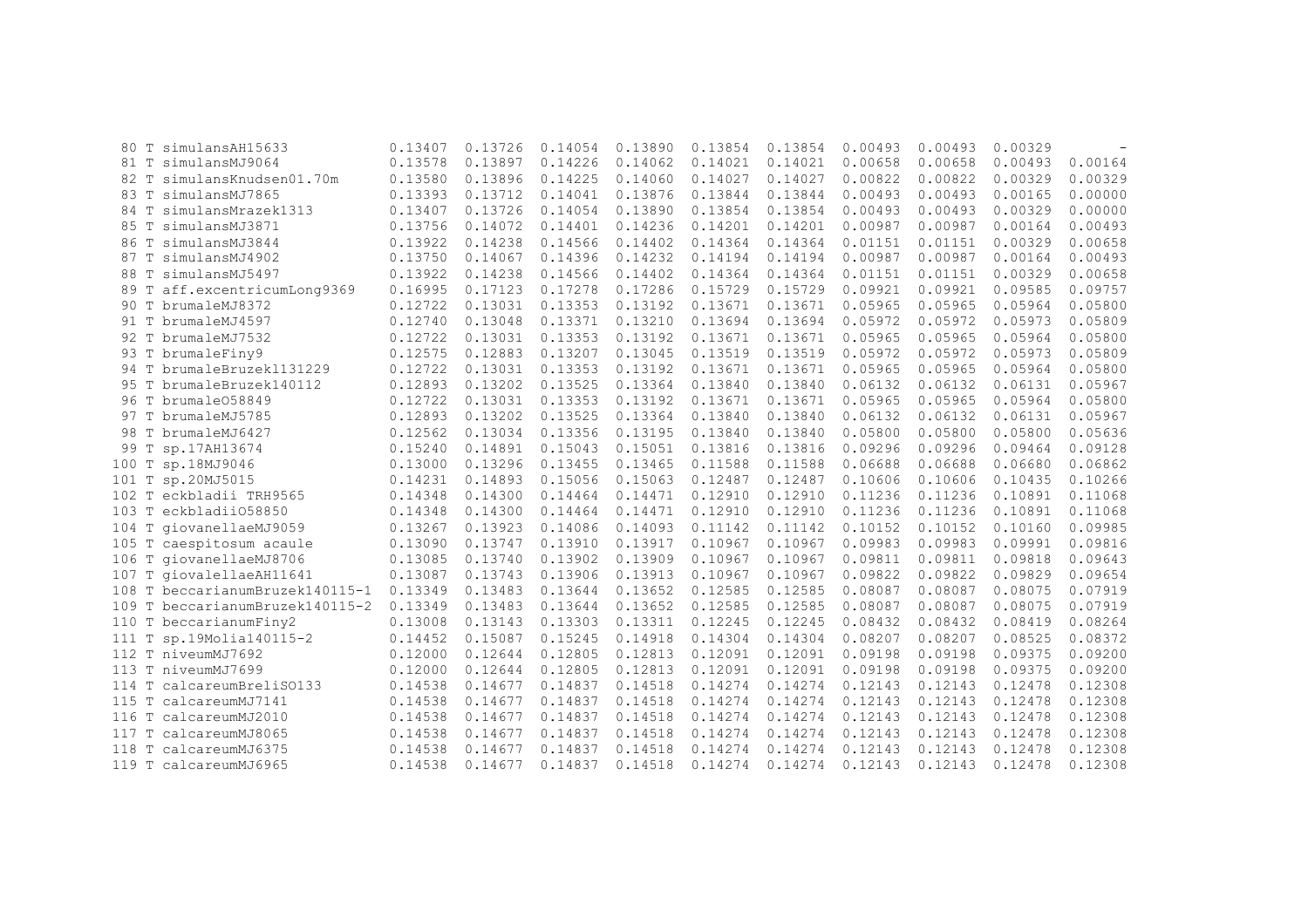| 80 T  | simulansAH15633                 | 0.13407 | 0.13726 | 0.14054 | 0.13890 | 0.13854 | 0.13854 | 0.00493 | 0.00493 | 0.00329 |         |
|-------|---------------------------------|---------|---------|---------|---------|---------|---------|---------|---------|---------|---------|
| 81 T  | simulansMJ9064                  | 0.13578 | 0.13897 | 0.14226 | 0.14062 | 0.14021 | 0.14021 | 0.00658 | 0.00658 | 0.00493 | 0.00164 |
| 82 T  | simulansKnudsen01.70m           | 0.13580 | 0.13896 | 0.14225 | 0.14060 | 0.14027 | 0.14027 | 0.00822 | 0.00822 | 0.00329 | 0.00329 |
| 83 T  | simulansMJ7865                  | 0.13393 | 0.13712 | 0.14041 | 0.13876 | 0.13844 | 0.13844 | 0.00493 | 0.00493 | 0.00165 | 0.00000 |
| 84 T  | simulansMrazek1313              | 0.13407 | 0.13726 | 0.14054 | 0.13890 | 0.13854 | 0.13854 | 0.00493 | 0.00493 | 0.00329 | 0.00000 |
| 85 T  | simulansMJ3871                  | 0.13756 | 0.14072 | 0.14401 | 0.14236 | 0.14201 | 0.14201 | 0.00987 | 0.00987 | 0.00164 | 0.00493 |
| 86 T  | simulansMJ3844                  | 0.13922 | 0.14238 | 0.14566 | 0.14402 | 0.14364 | 0.14364 | 0.01151 | 0.01151 | 0.00329 | 0.00658 |
| 87 T  | simulansMJ4902                  | 0.13750 | 0.14067 | 0.14396 | 0.14232 | 0.14194 | 0.14194 | 0.00987 | 0.00987 | 0.00164 | 0.00493 |
| 88 T  | simulansMJ5497                  | 0.13922 | 0.14238 | 0.14566 | 0.14402 | 0.14364 | 0.14364 | 0.01151 | 0.01151 | 0.00329 | 0.00658 |
|       | 89 T aff.excentricumLong9369    | 0.16995 | 0.17123 | 0.17278 | 0.17286 | 0.15729 | 0.15729 | 0.09921 | 0.09921 | 0.09585 | 0.09757 |
|       | 90 T brumaleMJ8372              | 0.12722 | 0.13031 | 0.13353 | 0.13192 | 0.13671 | 0.13671 | 0.05965 | 0.05965 | 0.05964 | 0.05800 |
|       | 91 T brumaleMJ4597              | 0.12740 | 0.13048 | 0.13371 | 0.13210 | 0.13694 | 0.13694 | 0.05972 | 0.05972 | 0.05973 | 0.05809 |
|       | 92 T brumaleMJ7532              | 0.12722 | 0.13031 | 0.13353 | 0.13192 | 0.13671 | 0.13671 | 0.05965 | 0.05965 | 0.05964 | 0.05800 |
|       | 93 T brumaleFiny9               | 0.12575 | 0.12883 | 0.13207 | 0.13045 | 0.13519 | 0.13519 | 0.05972 | 0.05972 | 0.05973 | 0.05809 |
| 94 T  | brumaleBruzek1131229            | 0.12722 | 0.13031 | 0.13353 | 0.13192 | 0.13671 | 0.13671 | 0.05965 | 0.05965 | 0.05964 | 0.05800 |
|       | 95 T brumaleBruzek140112        | 0.12893 | 0.13202 | 0.13525 | 0.13364 | 0.13840 | 0.13840 | 0.06132 | 0.06132 | 0.06131 | 0.05967 |
|       | 96 T brumale058849              | 0.12722 | 0.13031 | 0.13353 | 0.13192 | 0.13671 | 0.13671 | 0.05965 | 0.05965 | 0.05964 | 0.05800 |
|       | 97 T brumaleMJ5785              | 0.12893 | 0.13202 | 0.13525 | 0.13364 | 0.13840 | 0.13840 | 0.06132 | 0.06132 | 0.06131 | 0.05967 |
|       | 98 T brumaleMJ6427              | 0.12562 | 0.13034 | 0.13356 | 0.13195 | 0.13840 | 0.13840 | 0.05800 | 0.05800 | 0.05800 | 0.05636 |
| 99 T  | sp.17AH13674                    | 0.15240 | 0.14891 | 0.15043 | 0.15051 | 0.13816 | 0.13816 | 0.09296 | 0.09296 | 0.09464 | 0.09128 |
| 100 T | sp.18MJ9046                     | 0.13000 | 0.13296 | 0.13455 | 0.13465 | 0.11588 | 0.11588 | 0.06688 | 0.06688 | 0.06680 | 0.06862 |
| 101 T | sp.20MJ5015                     | 0.14231 | 0.14893 | 0.15056 | 0.15063 | 0.12487 | 0.12487 | 0.10606 | 0.10606 | 0.10435 | 0.10266 |
| 102 T | eckbladii TRH9565               | 0.14348 | 0.14300 | 0.14464 | 0.14471 | 0.12910 | 0.12910 | 0.11236 | 0.11236 | 0.10891 | 0.11068 |
|       | 103 T eckbladii058850           | 0.14348 | 0.14300 | 0.14464 | 0.14471 | 0.12910 | 0.12910 | 0.11236 | 0.11236 | 0.10891 | 0.11068 |
|       | 104 T giovanellaeMJ9059         | 0.13267 | 0.13923 | 0.14086 | 0.14093 | 0.11142 | 0.11142 | 0.10152 | 0.10152 | 0.10160 | 0.09985 |
|       | 105 T caespitosum acaule        | 0.13090 | 0.13747 | 0.13910 | 0.13917 | 0.10967 | 0.10967 | 0.09983 | 0.09983 | 0.09991 | 0.09816 |
| 106 T | qiovanellaeMJ8706               | 0.13085 | 0.13740 | 0.13902 | 0.13909 | 0.10967 | 0.10967 | 0.09811 | 0.09811 | 0.09818 | 0.09643 |
|       | 107 T giovalellaeAH11641        | 0.13087 | 0.13743 | 0.13906 | 0.13913 | 0.10967 | 0.10967 | 0.09822 | 0.09822 | 0.09829 | 0.09654 |
|       | 108 T beccarianumBruzek140115-1 | 0.13349 | 0.13483 | 0.13644 | 0.13652 | 0.12585 | 0.12585 | 0.08087 | 0.08087 | 0.08075 | 0.07919 |
| 109 T | beccarianumBruzek140115-2       | 0.13349 | 0.13483 | 0.13644 | 0.13652 | 0.12585 | 0.12585 | 0.08087 | 0.08087 | 0.08075 | 0.07919 |
| 110 T | beccarianumFiny2                | 0.13008 | 0.13143 | 0.13303 | 0.13311 | 0.12245 | 0.12245 | 0.08432 | 0.08432 | 0.08419 | 0.08264 |
|       | 111 T sp.19Molia140115-2        | 0.14452 | 0.15087 | 0.15245 | 0.14918 | 0.14304 | 0.14304 | 0.08207 | 0.08207 | 0.08525 | 0.08372 |
|       | 112 T niveumMJ7692              | 0.12000 | 0.12644 | 0.12805 | 0.12813 | 0.12091 | 0.12091 | 0.09198 | 0.09198 | 0.09375 | 0.09200 |
|       | 113 T niveumMJ7699              | 0.12000 | 0.12644 | 0.12805 | 0.12813 | 0.12091 | 0.12091 | 0.09198 | 0.09198 | 0.09375 | 0.09200 |
|       | 114 T calcareumBreliSO133       | 0.14538 | 0.14677 | 0.14837 | 0.14518 | 0.14274 | 0.14274 | 0.12143 | 0.12143 | 0.12478 | 0.12308 |
|       | 115 T calcareumMJ7141           | 0.14538 | 0.14677 | 0.14837 | 0.14518 | 0.14274 | 0.14274 | 0.12143 | 0.12143 | 0.12478 | 0.12308 |
| 116 T | calcareumMJ2010                 | 0.14538 | 0.14677 | 0.14837 | 0.14518 | 0.14274 | 0.14274 | 0.12143 | 0.12143 | 0.12478 | 0.12308 |
| 117 T | calcareumMJ8065                 | 0.14538 | 0.14677 | 0.14837 | 0.14518 | 0.14274 | 0.14274 | 0.12143 | 0.12143 | 0.12478 | 0.12308 |
| 118 T | calcareumMJ6375                 | 0.14538 | 0.14677 | 0.14837 | 0.14518 | 0.14274 | 0.14274 | 0.12143 | 0.12143 | 0.12478 | 0.12308 |
|       | 119 T calcareumMJ6965           | 0.14538 | 0.14677 | 0.14837 | 0.14518 | 0.14274 | 0.14274 | 0.12143 | 0.12143 | 0.12478 | 0.12308 |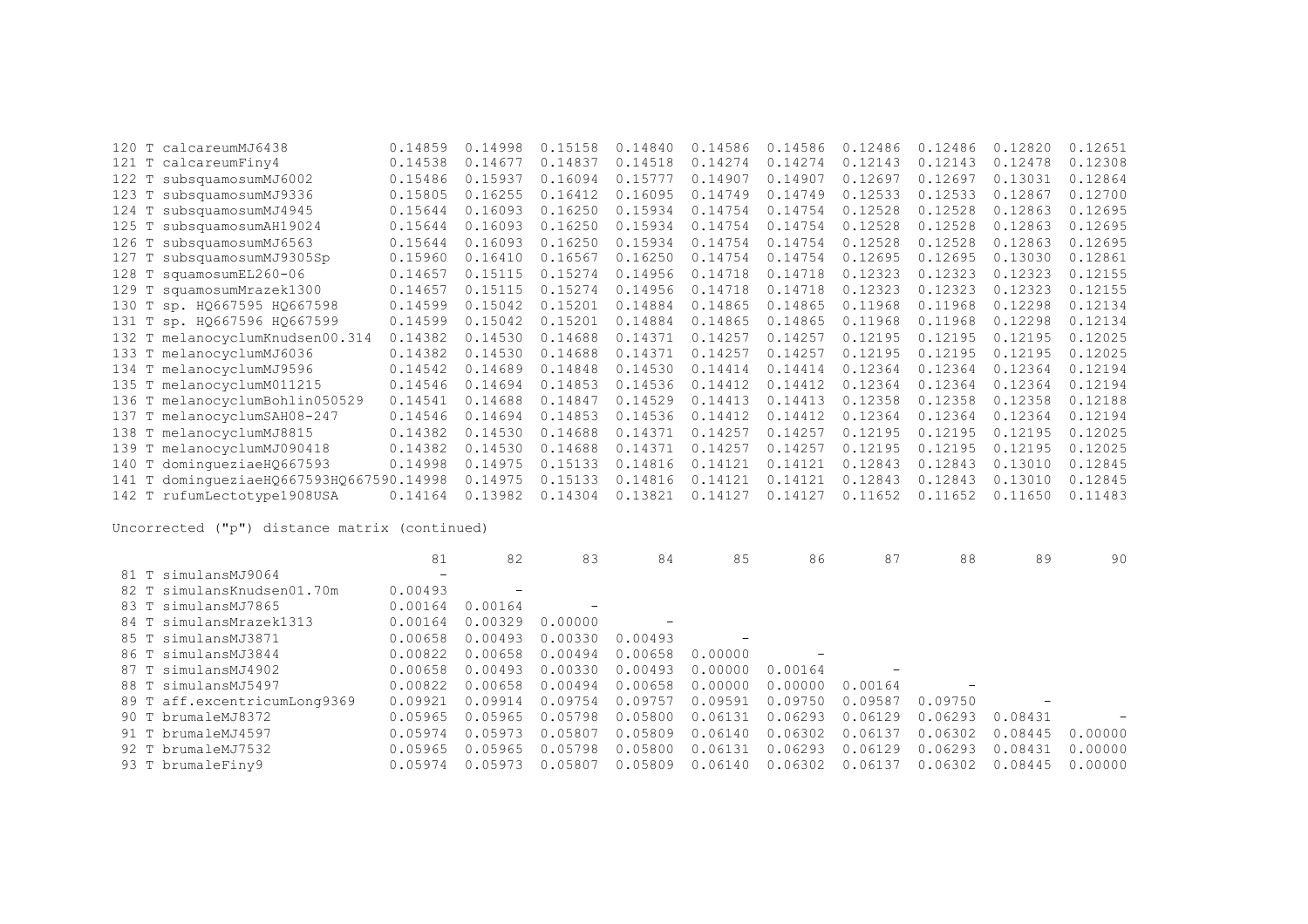|       | 120 T calcareumMJ6438              | 0.14859 | 0.14998 | 0.15158 | 0.14840 | 0.14586 | 0.14586 | 0.12486 | 0.12486 | 0.12820 | 0.12651 |
|-------|------------------------------------|---------|---------|---------|---------|---------|---------|---------|---------|---------|---------|
| 121 T | calcareumFiny4                     | 0.14538 | 0.14677 | 0.14837 | 0.14518 | 0.14274 | 0.14274 | 0.12143 | 0.12143 | 0.12478 | 0.12308 |
| 122 T | subsquamosumMJ6002                 | 0.15486 | 0.15937 | 0.16094 | 0.15777 | 0.14907 | 0.14907 | 0.12697 | 0.12697 | 0.13031 | 0.12864 |
|       | 123 T subsquamosumMJ9336           | 0.15805 | 0.16255 | 0.16412 | 0.16095 | 0.14749 | 0.14749 | 0.12533 | 0.12533 | 0.12867 | 0.12700 |
| 124 T | subsquamosumMJ4945                 | 0.15644 | 0.16093 | 0.16250 | 0.15934 | 0.14754 | 0.14754 | 0.12528 | 0.12528 | 0.12863 | 0.12695 |
| 125 T | subsquamosumAH19024                | 0.15644 | 0.16093 | 0.16250 | 0.15934 | 0.14754 | 0.14754 | 0.12528 | 0.12528 | 0.12863 | 0.12695 |
|       | 126 T subsquamosumMJ6563           | 0.15644 | 0.16093 | 0.16250 | 0.15934 | 0.14754 | 0.14754 | 0.12528 | 0.12528 | 0.12863 | 0.12695 |
| 127 T | subsquamosumMJ9305Sp               | 0.15960 | 0.16410 | 0.16567 | 0.16250 | 0.14754 | 0.14754 | 0.12695 | 0.12695 | 0.13030 | 0.12861 |
|       | 128 T squamosumEL260-06            | 0.14657 | 0.15115 | 0.15274 | 0.14956 | 0.14718 | 0.14718 | 0.12323 | 0.12323 | 0.12323 | 0.12155 |
|       | 129 T squamosumMrazek1300          | 0.14657 | 0.15115 | 0.15274 | 0.14956 | 0.14718 | 0.14718 | 0.12323 | 0.12323 | 0.12323 | 0.12155 |
|       | 130 T sp. HQ667595 HQ667598        | 0.14599 | 0.15042 | 0.15201 | 0.14884 | 0.14865 | 0.14865 | 0.11968 | 0.11968 | 0.12298 | 0.12134 |
|       | 131 T sp. HQ667596 HQ667599        | 0.14599 | 0.15042 | 0.15201 | 0.14884 | 0.14865 | 0.14865 | 0.11968 | 0.11968 | 0.12298 | 0.12134 |
|       | 132 T melanocyclumKnudsen00.314    | 0.14382 | 0.14530 | 0.14688 | 0.14371 | 0.14257 | 0.14257 | 0.12195 | 0.12195 | 0.12195 | 0.12025 |
|       | 133 T melanocyclumMJ6036           | 0.14382 | 0.14530 | 0.14688 | 0.14371 | 0.14257 | 0.14257 | 0.12195 | 0.12195 | 0.12195 | 0.12025 |
|       | 134 T melanocyclumMJ9596           | 0.14542 | 0.14689 | 0.14848 | 0.14530 | 0.14414 | 0.14414 | 0.12364 | 0.12364 | 0.12364 | 0.12194 |
|       | 135 T melanocyclumM011215          | 0.14546 | 0.14694 | 0.14853 | 0.14536 | 0.14412 | 0.14412 | 0.12364 | 0.12364 | 0.12364 | 0.12194 |
|       | 136 T melanocyclumBohlin050529     | 0.14541 | 0.14688 | 0.14847 | 0.14529 | 0.14413 | 0.14413 | 0.12358 | 0.12358 | 0.12358 | 0.12188 |
|       | 137 T melanocyclumSAH08-247        | 0.14546 | 0.14694 | 0.14853 | 0.14536 | 0.14412 | 0.14412 | 0.12364 | 0.12364 | 0.12364 | 0.12194 |
|       | 138 T melanocyclumMJ8815           | 0.14382 | 0.14530 | 0.14688 | 0.14371 | 0.14257 | 0.14257 | 0.12195 | 0.12195 | 0.12195 | 0.12025 |
|       | 139 T melanocyclumMJ090418         | 0.14382 | 0.14530 | 0.14688 | 0.14371 | 0.14257 | 0.14257 | 0.12195 | 0.12195 | 0.12195 | 0.12025 |
| 140 T | dominqueziaeHQ667593               | 0.14998 | 0.14975 | 0.15133 | 0.14816 | 0.14121 | 0.14121 | 0.12843 | 0.12843 | 0.13010 | 0.12845 |
| 141 T | dominqueziaeH0667593H0667590.14998 |         | 0.14975 | 0.15133 | 0.14816 | 0.14121 | 0.14121 | 0.12843 | 0.12843 | 0.13010 | 0.12845 |
|       | 142 T rufumLectotype1908USA        | 0.14164 | 0.13982 | 0.14304 | 0.13821 | 0.14127 | 0.14127 | 0.11652 | 0.11652 | 0.11650 | 0.11483 |

|                              | 81                       | 82      | 83      | 84      | 85      | 86      | 87                       | 88      | 89      | 90      |
|------------------------------|--------------------------|---------|---------|---------|---------|---------|--------------------------|---------|---------|---------|
| 81 T simulansMJ9064          | $\overline{\phantom{0}}$ |         |         |         |         |         |                          |         |         |         |
| 82 T simulansKnudsen01.70m   | 0.00493                  |         |         |         |         |         |                          |         |         |         |
| 83 T simulansMJ7865          | 0.00164                  | 0.00164 |         |         |         |         |                          |         |         |         |
| 84 T simulansMrazek1313      | 0.00164                  | 0.00329 | 0.00000 |         |         |         |                          |         |         |         |
| 85 T simulansMJ3871          | 0.00658                  | 0.00493 | 0.00330 | 0.00493 |         |         |                          |         |         |         |
| 86 T simulansMJ3844          | 0.00822                  | 0.00658 | 0.00494 | 0.00658 | 0.00000 |         |                          |         |         |         |
| 87 T simulansMJ4902          | 0.00658                  | 0.00493 | 0.00330 | 0.00493 | 0.00000 | 0.00164 | $\overline{\phantom{0}}$ |         |         |         |
| 88 T simulansMJ5497          | 0.00822                  | 0.00658 | 0.00494 | 0.00658 | 0.00000 | 0.00000 | 0.00164                  |         |         |         |
| 89 T aff.excentricumLong9369 | 0.09921                  | 0.09914 | 0.09754 | 0.09757 | 0.09591 | 0.09750 | 0.09587                  | 0.09750 |         |         |
| 90 T brumaleMJ8372           | 0.05965                  | 0.05965 | 0.05798 | 0.05800 | 0.06131 | 0.06293 | 0.06129                  | 0.06293 | 0.08431 |         |
| 91 T brumaleMJ4597           | 0.05974                  | 0.05973 | 0.05807 | 0.05809 | 0.06140 | 0.06302 | 0.06137                  | 0.06302 | 0.08445 | 0.00000 |
| 92 T brumaleMJ7532           | 0.05965                  | 0.05965 | 0.05798 | 0.05800 | 0.06131 | 0.06293 | 0.06129                  | 0.06293 | 0.08431 | 0.00000 |
| 93 T brumaleFiny9            | 0.05974                  | 0.05973 | 0.05807 | 0.05809 | 0.06140 | 0.06302 | 0.06137                  | 0.06302 | 0.08445 | 0.00000 |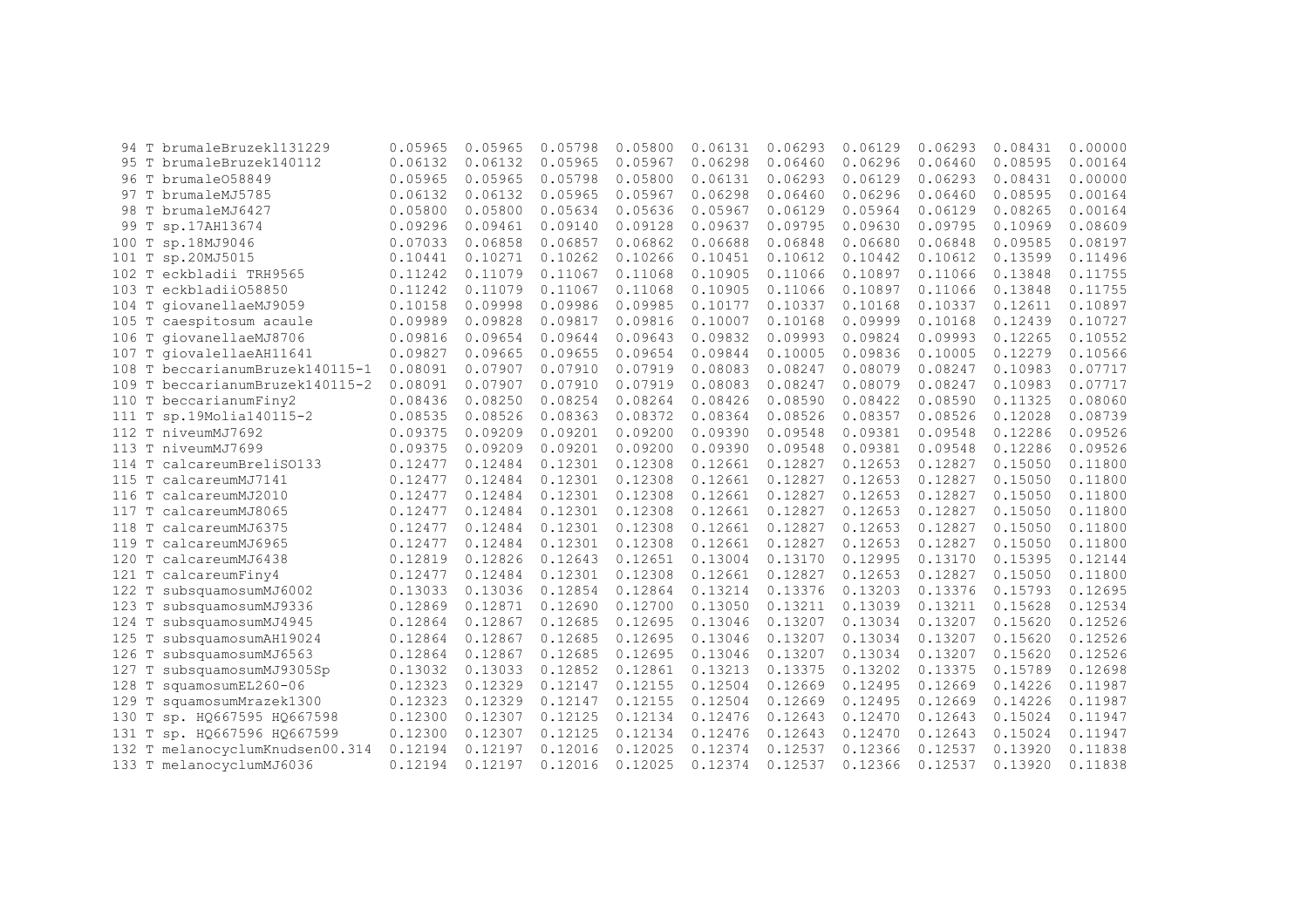| 94    | T           | brumaleBruzek1131229      | 0.05965 | 0.05965 | 0.05798 | 0.05800 | 0.06131 | 0.06293 | 0.06129 | 0.06293 | 0.08431 | 0.00000 |
|-------|-------------|---------------------------|---------|---------|---------|---------|---------|---------|---------|---------|---------|---------|
|       |             | 95 T brumaleBruzek140112  | 0.06132 | 0.06132 | 0.05965 | 0.05967 | 0.06298 | 0.06460 | 0.06296 | 0.06460 | 0.08595 | 0.00164 |
|       |             | 96 T brumale058849        | 0.05965 | 0.05965 | 0.05798 | 0.05800 | 0.06131 | 0.06293 | 0.06129 | 0.06293 | 0.08431 | 0.00000 |
| 97    |             | T brumaleMJ5785           | 0.06132 | 0.06132 | 0.05965 | 0.05967 | 0.06298 | 0.06460 | 0.06296 | 0.06460 | 0.08595 | 0.00164 |
|       |             | 98 T brumaleMJ6427        | 0.05800 | 0.05800 | 0.05634 | 0.05636 | 0.05967 | 0.06129 | 0.05964 | 0.06129 | 0.08265 | 0.00164 |
| 99    |             | sp.17AH13674              | 0.09296 | 0.09461 | 0.09140 | 0.09128 | 0.09637 | 0.09795 | 0.09630 | 0.09795 | 0.10969 | 0.08609 |
| 100   |             | sp.18MJ9046               | 0.07033 | 0.06858 | 0.06857 | 0.06862 | 0.06688 | 0.06848 | 0.06680 | 0.06848 | 0.09585 | 0.08197 |
| 101   | Т           | sp.20MJ5015               | 0.10441 | 0.10271 | 0.10262 | 0.10266 | 0.10451 | 0.10612 | 0.10442 | 0.10612 | 0.13599 | 0.11496 |
| 102   | T           | eckbladii TRH9565         | 0.11242 | 0.11079 | 0.11067 | 0.11068 | 0.10905 | 0.11066 | 0.10897 | 0.11066 | 0.13848 | 0.11755 |
| 103   | T           | eckbladii058850           | 0.11242 | 0.11079 | 0.11067 | 0.11068 | 0.10905 | 0.11066 | 0.10897 | 0.11066 | 0.13848 | 0.11755 |
| 104   | T           | qiovanellaeMJ9059         | 0.10158 | 0.09998 | 0.09986 | 0.09985 | 0.10177 | 0.10337 | 0.10168 | 0.10337 | 0.12611 | 0.10897 |
| 105 T |             | caespitosum acaule        | 0.09989 | 0.09828 | 0.09817 | 0.09816 | 0.10007 | 0.10168 | 0.09999 | 0.10168 | 0.12439 | 0.10727 |
| 106   | $\mathbb T$ | qiovanellaeMJ8706         | 0.09816 | 0.09654 | 0.09644 | 0.09643 | 0.09832 | 0.09993 | 0.09824 | 0.09993 | 0.12265 | 0.10552 |
| 107   | T           | qiovalellaeAH11641        | 0.09827 | 0.09665 | 0.09655 | 0.09654 | 0.09844 | 0.10005 | 0.09836 | 0.10005 | 0.12279 | 0.10566 |
| 108   |             | beccarianumBruzek140115-1 | 0.08091 | 0.07907 | 0.07910 | 0.07919 | 0.08083 | 0.08247 | 0.08079 | 0.08247 | 0.10983 | 0.07717 |
| 109   | T           | beccarianumBruzek140115-2 | 0.08091 | 0.07907 | 0.07910 | 0.07919 | 0.08083 | 0.08247 | 0.08079 | 0.08247 | 0.10983 | 0.07717 |
| 110   | T           | beccarianumFiny2          | 0.08436 | 0.08250 | 0.08254 | 0.08264 | 0.08426 | 0.08590 | 0.08422 | 0.08590 | 0.11325 | 0.08060 |
| 111   | Т           | sp.19Molia140115-2        | 0.08535 | 0.08526 | 0.08363 | 0.08372 | 0.08364 | 0.08526 | 0.08357 | 0.08526 | 0.12028 | 0.08739 |
|       |             | 112 T niveumMJ7692        | 0.09375 | 0.09209 | 0.09201 | 0.09200 | 0.09390 | 0.09548 | 0.09381 | 0.09548 | 0.12286 | 0.09526 |
| 113 T |             | niveumMJ7699              | 0.09375 | 0.09209 | 0.09201 | 0.09200 | 0.09390 | 0.09548 | 0.09381 | 0.09548 | 0.12286 | 0.09526 |
| 114   | T           | calcareumBreliS0133       | 0.12477 | 0.12484 | 0.12301 | 0.12308 | 0.12661 | 0.12827 | 0.12653 | 0.12827 | 0.15050 | 0.11800 |
| 115   | T           | calcareumMJ7141           | 0.12477 | 0.12484 | 0.12301 | 0.12308 | 0.12661 | 0.12827 | 0.12653 | 0.12827 | 0.15050 | 0.11800 |
| 116   | T           | calcareumMJ2010           | 0.12477 | 0.12484 | 0.12301 | 0.12308 | 0.12661 | 0.12827 | 0.12653 | 0.12827 | 0.15050 | 0.11800 |
| 117   | T           | calcareumMJ8065           | 0.12477 | 0.12484 | 0.12301 | 0.12308 | 0.12661 | 0.12827 | 0.12653 | 0.12827 | 0.15050 | 0.11800 |
| 118   | T           | calcareumMJ6375           | 0.12477 | 0.12484 | 0.12301 | 0.12308 | 0.12661 | 0.12827 | 0.12653 | 0.12827 | 0.15050 | 0.11800 |
| 119 T |             | calcareumMJ6965           | 0.12477 | 0.12484 | 0.12301 | 0.12308 | 0.12661 | 0.12827 | 0.12653 | 0.12827 | 0.15050 | 0.11800 |
| 120 T |             | calcareumMJ6438           | 0.12819 | 0.12826 | 0.12643 | 0.12651 | 0.13004 | 0.13170 | 0.12995 | 0.13170 | 0.15395 | 0.12144 |
| 121   | Т           | calcareumFiny4            | 0.12477 | 0.12484 | 0.12301 | 0.12308 | 0.12661 | 0.12827 | 0.12653 | 0.12827 | 0.15050 | 0.11800 |
| 122   | Т           | subsquamosumMJ6002        | 0.13033 | 0.13036 | 0.12854 | 0.12864 | 0.13214 | 0.13376 | 0.13203 | 0.13376 | 0.15793 | 0.12695 |
| 123   | Т           | subsquamosumMJ9336        | 0.12869 | 0.12871 | 0.12690 | 0.12700 | 0.13050 | 0.13211 | 0.13039 | 0.13211 | 0.15628 | 0.12534 |
| 124   |             | subsquamosumMJ4945        | 0.12864 | 0.12867 | 0.12685 | 0.12695 | 0.13046 | 0.13207 | 0.13034 | 0.13207 | 0.15620 | 0.12526 |
| 125   | T           | subsquamosumAH19024       | 0.12864 | 0.12867 | 0.12685 | 0.12695 | 0.13046 | 0.13207 | 0.13034 | 0.13207 | 0.15620 | 0.12526 |
| 126   | Т           | subsquamosumMJ6563        | 0.12864 | 0.12867 | 0.12685 | 0.12695 | 0.13046 | 0.13207 | 0.13034 | 0.13207 | 0.15620 | 0.12526 |
| 127   | T           | subsquamosumMJ9305Sp      | 0.13032 | 0.13033 | 0.12852 | 0.12861 | 0.13213 | 0.13375 | 0.13202 | 0.13375 | 0.15789 | 0.12698 |
| 128   | Т           | squamosumEL260-06         | 0.12323 | 0.12329 | 0.12147 | 0.12155 | 0.12504 | 0.12669 | 0.12495 | 0.12669 | 0.14226 | 0.11987 |
| 129   | Т           | squamosumMrazek1300       | 0.12323 | 0.12329 | 0.12147 | 0.12155 | 0.12504 | 0.12669 | 0.12495 | 0.12669 | 0.14226 | 0.11987 |
| 130   | Т           | sp. HQ667595 HQ667598     | 0.12300 | 0.12307 | 0.12125 | 0.12134 | 0.12476 | 0.12643 | 0.12470 | 0.12643 | 0.15024 | 0.11947 |
| 131   | T           | sp. HQ667596 HQ667599     | 0.12300 | 0.12307 | 0.12125 | 0.12134 | 0.12476 | 0.12643 | 0.12470 | 0.12643 | 0.15024 | 0.11947 |
| 132   |             | melanocyclumKnudsen00.314 | 0.12194 | 0.12197 | 0.12016 | 0.12025 | 0.12374 | 0.12537 | 0.12366 | 0.12537 | 0.13920 | 0.11838 |
|       |             | 133 T melanocyclumMJ6036  | 0.12194 | 0.12197 | 0.12016 | 0.12025 | 0.12374 | 0.12537 | 0.12366 | 0.12537 | 0.13920 | 0.11838 |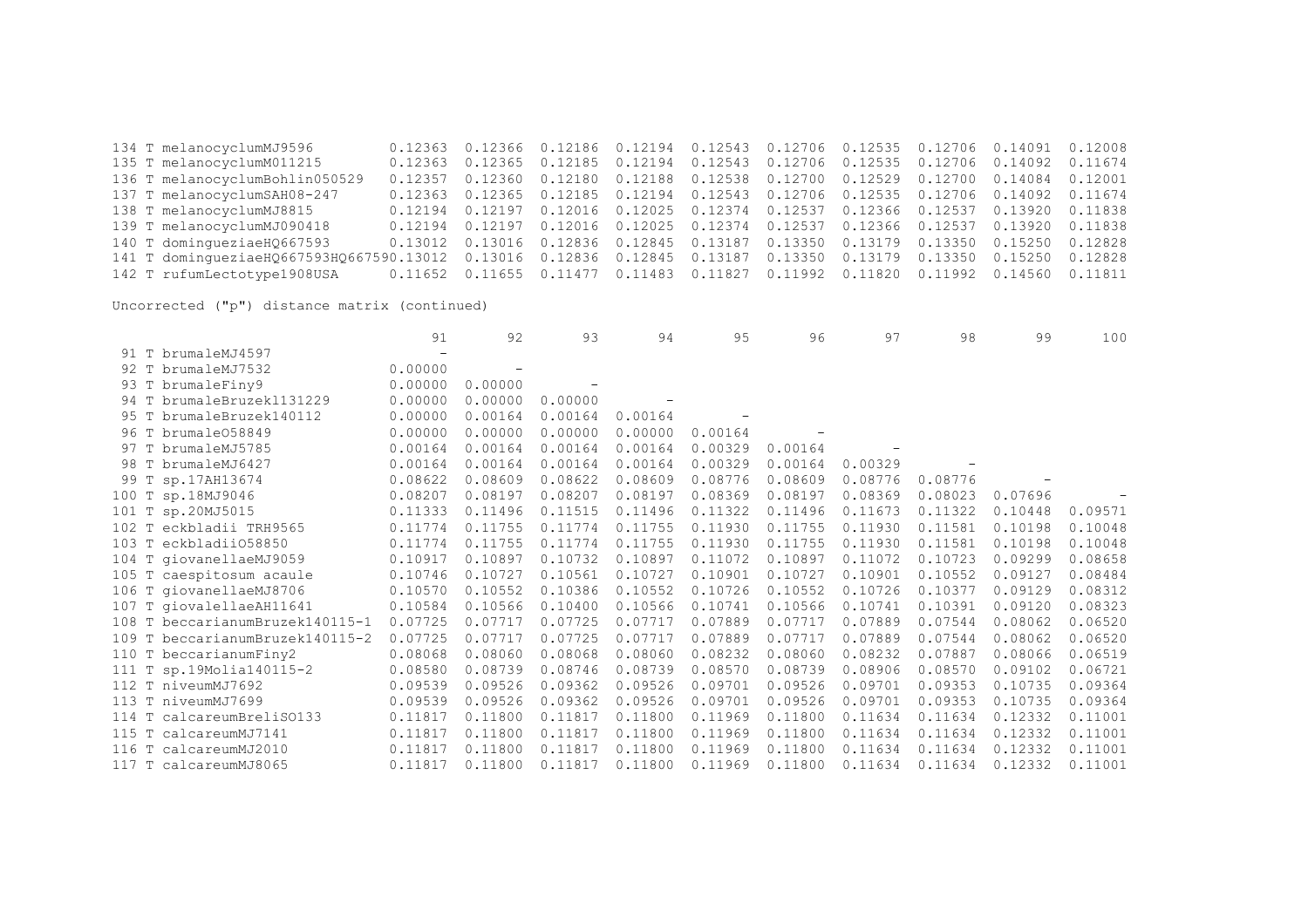134 T melanocyclumMJ9596 0.12363 0.12366 0.12186 0.12194 0.12543 0.12706 0.12535 0.12706 0.14091 0.12008 0.12363 0.12365 0.12185 0.12194 0.12543 0.12706 0.12535 0.12706 0.14092 0.11674 136 T melanocyclumBohlin050529 0.12357 0.12360 0.12180 0.12188 0.12538 0.12700 0.12529 0.12700 0.14084 0.12001 137 T melanocyclumSAH08-247 0.12363 0.12365 0.12185 0.12194 0.12543 0.12706 0.12535 0.12706 0.14092 0.11674 138 T melanocyclumMJ8815 0.12194 0.12197 0.12016 0.12025 0.12374 0.12537 0.12366 0.12537 0.13920 0.11838 139 T melanocyclumMJ090418 0.12194 0.12197 0.12016 0.12025 0.12374 0.12537 0.12366 0.12537 0.13920 0.11838 140 T domingueziaeHQ667593 0.13012 0.13016 0.12836 0.12845 0.13187 0.13350 0.13179 0.13350 0.15250 0.12828 141 T domingueziaeHQ667593HQ667590.13012 0.13016 0.12836 0.12845 0.13187 0.13350 0.13179 0.13350 0.15250 0.12828 142 T rufumLectotype1908USA 0.11652 0.11655 0.11477 0.11483 0.11827 0.11992 0.11820 0.11992 0.14560 0.11811

|  |                                 | 91      | 92      | 93      | 94      | 95      | 96      | 97      | 98      | 99      | 100     |
|--|---------------------------------|---------|---------|---------|---------|---------|---------|---------|---------|---------|---------|
|  | 91 T brumaleMJ4597              |         |         |         |         |         |         |         |         |         |         |
|  | 92 T brumaleMJ7532              | 0.00000 |         |         |         |         |         |         |         |         |         |
|  | 93 T brumaleFiny9               | 0.00000 | 0.00000 |         |         |         |         |         |         |         |         |
|  | 94 T brumaleBruzek1131229       | 0.00000 | 0.00000 | 0.00000 |         |         |         |         |         |         |         |
|  | 95 T brumaleBruzek140112        | 0.00000 | 0.00164 | 0.00164 | 0.00164 |         |         |         |         |         |         |
|  | 96 T brumale058849              | 0.00000 | 0.00000 | 0.00000 | 0.00000 | 0.00164 |         |         |         |         |         |
|  | 97 T brumaleMJ5785              | 0.00164 | 0.00164 | 0.00164 | 0.00164 | 0.00329 | 0.00164 |         |         |         |         |
|  | 98 T brumaleMJ6427              | 0.00164 | 0.00164 | 0.00164 | 0.00164 | 0.00329 | 0.00164 | 0.00329 |         |         |         |
|  | 99 T sp.17AH13674               | 0.08622 | 0.08609 | 0.08622 | 0.08609 | 0.08776 | 0.08609 | 0.08776 | 0.08776 |         |         |
|  | 100 T sp.18MJ9046               | 0.08207 | 0.08197 | 0.08207 | 0.08197 | 0.08369 | 0.08197 | 0.08369 | 0.08023 | 0.07696 |         |
|  | 101 T sp.20MJ5015               | 0.11333 | 0.11496 | 0.11515 | 0.11496 | 0.11322 | 0.11496 | 0.11673 | 0.11322 | 0.10448 | 0.09571 |
|  | 102 T eckbladii TRH9565         | 0.11774 | 0.11755 | 0.11774 | 0.11755 | 0.11930 | 0.11755 | 0.11930 | 0.11581 | 0.10198 | 0.10048 |
|  | 103 T eckbladii058850           | 0.11774 | 0.11755 | 0.11774 | 0.11755 | 0.11930 | 0.11755 | 0.11930 | 0.11581 | 0.10198 | 0.10048 |
|  | 104 T giovanellaeMJ9059         | 0.10917 | 0.10897 | 0.10732 | 0.10897 | 0.11072 | 0.10897 | 0.11072 | 0.10723 | 0.09299 | 0.08658 |
|  | 105 T caespitosum acaule        | 0.10746 | 0.10727 | 0.10561 | 0.10727 | 0.10901 | 0.10727 | 0.10901 | 0.10552 | 0.09127 | 0.08484 |
|  | 106 T giovanellaeMJ8706         | 0.10570 | 0.10552 | 0.10386 | 0.10552 | 0.10726 | 0.10552 | 0.10726 | 0.10377 | 0.09129 | 0.08312 |
|  | 107 T giovalellaeAH11641        | 0.10584 | 0.10566 | 0.10400 | 0.10566 | 0.10741 | 0.10566 | 0.10741 | 0.10391 | 0.09120 | 0.08323 |
|  | 108 T beccarianumBruzek140115-1 | 0.07725 | 0.07717 | 0.07725 | 0.07717 | 0.07889 | 0.07717 | 0.07889 | 0.07544 | 0.08062 | 0.06520 |
|  | 109 T beccarianumBruzek140115-2 | 0.07725 | 0.07717 | 0.07725 | 0.07717 | 0.07889 | 0.07717 | 0.07889 | 0.07544 | 0.08062 | 0.06520 |
|  | 110 T beccarianumFiny2          | 0.08068 | 0.08060 | 0.08068 | 0.08060 | 0.08232 | 0.08060 | 0.08232 | 0.07887 | 0.08066 | 0.06519 |
|  | 111 T sp.19Molia140115-2        | 0.08580 | 0.08739 | 0.08746 | 0.08739 | 0.08570 | 0.08739 | 0.08906 | 0.08570 | 0.09102 | 0.06721 |
|  | 112 T niveumMJ7692              | 0.09539 | 0.09526 | 0.09362 | 0.09526 | 0.09701 | 0.09526 | 0.09701 | 0.09353 | 0.10735 | 0.09364 |
|  | 113 T niveumMJ7699              | 0.09539 | 0.09526 | 0.09362 | 0.09526 | 0.09701 | 0.09526 | 0.09701 | 0.09353 | 0.10735 | 0.09364 |
|  | 114 T calcareumBreliS0133       | 0.11817 | 0.11800 | 0.11817 | 0.11800 | 0.11969 | 0.11800 | 0.11634 | 0.11634 | 0.12332 | 0.11001 |
|  | 115 T calcareumMJ7141           | 0.11817 | 0.11800 | 0.11817 | 0.11800 | 0.11969 | 0.11800 | 0.11634 | 0.11634 | 0.12332 | 0.11001 |
|  | 116 T calcareumMJ2010           | 0.11817 | 0.11800 | 0.11817 | 0.11800 | 0.11969 | 0.11800 | 0.11634 | 0.11634 | 0.12332 | 0.11001 |
|  | 117 T calcareumMJ8065           | 0.11817 | 0.11800 | 0.11817 | 0.11800 | 0.11969 | 0.11800 | 0.11634 | 0.11634 | 0.12332 | 0.11001 |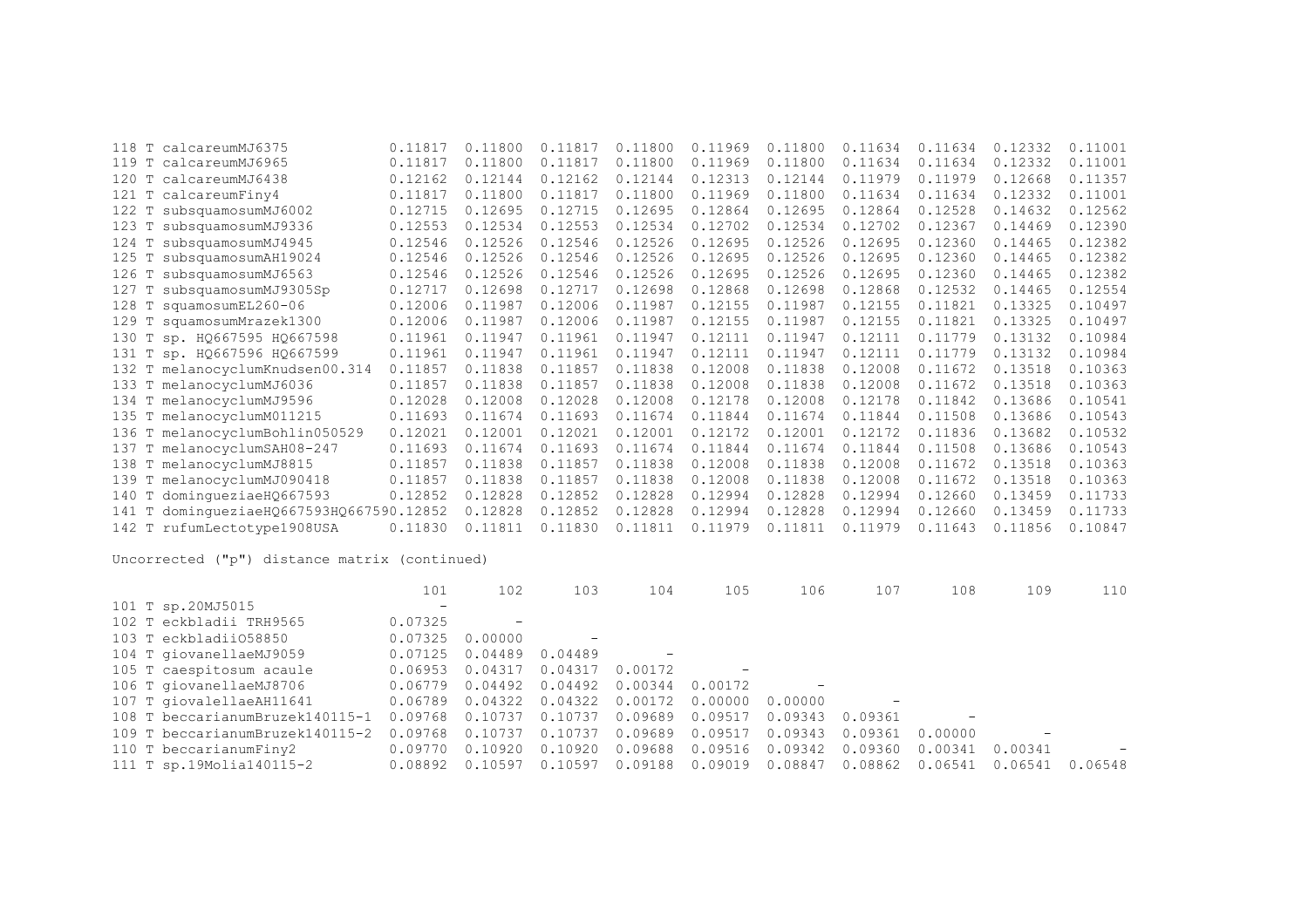|          | 118 T calcareumMJ6375              | 0.11817 | 0.11800 | 0.11817 | 0.11800 | 0.11969 | 0.11800 | 0.11634 | 0.11634 | 0.12332 | 0.11001 |
|----------|------------------------------------|---------|---------|---------|---------|---------|---------|---------|---------|---------|---------|
| 119<br>T | calcareumMJ6965                    | 0.11817 | 0.11800 | 0.11817 | 0.11800 | 0.11969 | 0.11800 | 0.11634 | 0.11634 | 0.12332 | 0.11001 |
|          | 120 T calcareumMJ6438              | 0.12162 | 0.12144 | 0.12162 | 0.12144 | 0.12313 | 0.12144 | 0.11979 | 0.11979 | 0.12668 | 0.11357 |
|          | 121 T calcareumFiny4               | 0.11817 | 0.11800 | 0.11817 | 0.11800 | 0.11969 | 0.11800 | 0.11634 | 0.11634 | 0.12332 | 0.11001 |
|          | 122 T subsquamosumMJ6002           | 0.12715 | 0.12695 | 0.12715 | 0.12695 | 0.12864 | 0.12695 | 0.12864 | 0.12528 | 0.14632 | 0.12562 |
| 123<br>T | subsquamosumMJ9336                 | 0.12553 | 0.12534 | 0.12553 | 0.12534 | 0.12702 | 0.12534 | 0.12702 | 0.12367 | 0.14469 | 0.12390 |
|          | 124 T subsquamosumMJ4945           | 0.12546 | 0.12526 | 0.12546 | 0.12526 | 0.12695 | 0.12526 | 0.12695 | 0.12360 | 0.14465 | 0.12382 |
| 125<br>T | subsquamosumAH19024                | 0.12546 | 0.12526 | 0.12546 | 0.12526 | 0.12695 | 0.12526 | 0.12695 | 0.12360 | 0.14465 | 0.12382 |
| 126      | T subsquamosumMJ6563               | 0.12546 | 0.12526 | 0.12546 | 0.12526 | 0.12695 | 0.12526 | 0.12695 | 0.12360 | 0.14465 | 0.12382 |
| 127<br>Т | subsquamosumMJ9305Sp               | 0.12717 | 0.12698 | 0.12717 | 0.12698 | 0.12868 | 0.12698 | 0.12868 | 0.12532 | 0.14465 | 0.12554 |
|          | 128 T squamosumEL260-06            | 0.12006 | 0.11987 | 0.12006 | 0.11987 | 0.12155 | 0.11987 | 0.12155 | 0.11821 | 0.13325 | 0.10497 |
| 129      | T squamosumMrazek1300              | 0.12006 | 0.11987 | 0.12006 | 0.11987 | 0.12155 | 0.11987 | 0.12155 | 0.11821 | 0.13325 | 0.10497 |
| 130      | T sp. HQ667595 HQ667598            | 0.11961 | 0.11947 | 0.11961 | 0.11947 | 0.12111 | 0.11947 | 0.12111 | 0.11779 | 0.13132 | 0.10984 |
|          | 131 Т sp. HQ667596 HQ667599        | 0.11961 | 0.11947 | 0.11961 | 0.11947 | 0.12111 | 0.11947 | 0.12111 | 0.11779 | 0.13132 | 0.10984 |
|          | 132 T melanocyclumKnudsen00.314    | 0.11857 | 0.11838 | 0.11857 | 0.11838 | 0.12008 | 0.11838 | 0.12008 | 0.11672 | 0.13518 | 0.10363 |
|          | 133 T melanocyclumMJ6036           | 0.11857 | 0.11838 | 0.11857 | 0.11838 | 0.12008 | 0.11838 | 0.12008 | 0.11672 | 0.13518 | 0.10363 |
|          | 134 T melanocyclumMJ9596           | 0.12028 | 0.12008 | 0.12028 | 0.12008 | 0.12178 | 0.12008 | 0.12178 | 0.11842 | 0.13686 | 0.10541 |
|          | 135 T melanocyclumM011215          | 0.11693 | 0.11674 | 0.11693 | 0.11674 | 0.11844 | 0.11674 | 0.11844 | 0.11508 | 0.13686 | 0.10543 |
| 136<br>T | melanocyclumBohlin050529           | 0.12021 | 0.12001 | 0.12021 | 0.12001 | 0.12172 | 0.12001 | 0.12172 | 0.11836 | 0.13682 | 0.10532 |
| 137<br>T | melanocyclumSAH08-247              | 0.11693 | 0.11674 | 0.11693 | 0.11674 | 0.11844 | 0.11674 | 0.11844 | 0.11508 | 0.13686 | 0.10543 |
| 138<br>T | melanocyclumMJ8815                 | 0.11857 | 0.11838 | 0.11857 | 0.11838 | 0.12008 | 0.11838 | 0.12008 | 0.11672 | 0.13518 | 0.10363 |
| 139<br>T | melanocyclumMJ090418               | 0.11857 | 0.11838 | 0.11857 | 0.11838 | 0.12008 | 0.11838 | 0.12008 | 0.11672 | 0.13518 | 0.10363 |
| T<br>140 | dominqueziaeH0667593               | 0.12852 | 0.12828 | 0.12852 | 0.12828 | 0.12994 | 0.12828 | 0.12994 | 0.12660 | 0.13459 | 0.11733 |
| T<br>141 | dominqueziaeHQ667593HQ667590.12852 |         | 0.12828 | 0.12852 | 0.12828 | 0.12994 | 0.12828 | 0.12994 | 0.12660 | 0.13459 | 0.11733 |
|          | 142 T rufumLectotype1908USA        | 0.11830 | 0.11811 | 0.11830 | 0.11811 | 0.11979 | 0.11811 | 0.11979 | 0.11643 | 0.11856 | 0.10847 |
|          |                                    |         |         |         |         |         |         |         |         |         |         |

|                          |                                 | 101                      | 102     | 103     | 104     | 105     | 106     | 107     | 108     | 109     | 110               |
|--------------------------|---------------------------------|--------------------------|---------|---------|---------|---------|---------|---------|---------|---------|-------------------|
| 101 T sp.20MJ5015        |                                 | $\overline{\phantom{m}}$ |         |         |         |         |         |         |         |         |                   |
| 102 T eckbladii TRH9565  |                                 | 0.07325                  |         |         |         |         |         |         |         |         |                   |
| 103 T eckbladii058850    |                                 | 0.07325                  | 0.00000 |         |         |         |         |         |         |         |                   |
| 104 T giovanellaeMJ9059  |                                 | 0.07125                  | 0.04489 | 0.04489 |         |         |         |         |         |         |                   |
| 105 T caespitosum acaule |                                 | 0.06953                  | 0.04317 | 0.04317 | 0.00172 |         |         |         |         |         |                   |
| 106 T giovanellaeMJ8706  |                                 | 0.06779                  | 0.04492 | 0.04492 | 0.00344 | 0.00172 |         |         |         |         |                   |
| 107 T giovalellaeAH11641 |                                 | 0.06789                  | 0.04322 | 0.04322 | 0.00172 | 0.00000 | 0.00000 |         |         |         |                   |
|                          | 108 T beccarianumBruzek140115-1 | 0.09768                  | 0.10737 | 0.10737 | 0.09689 | 0.09517 | 0.09343 | 0.09361 |         |         |                   |
|                          | 109 T beccarianumBruzek140115-2 | 0.09768                  | 0.10737 | 0.10737 | 0.09689 | 0.09517 | 0.09343 | 0.09361 | 0.00000 |         |                   |
| 110 T beccarianumFiny2   |                                 | 0.09770                  | 0.10920 | 0.10920 | 0.09688 | 0.09516 | 0.09342 | 0.09360 | 0.00341 | 0.00341 | $\qquad \qquad -$ |
|                          | 111 T sp.19Molia140115-2        | 0.08892                  | 0.10597 | 0.10597 | 0.09188 | 0.09019 | 0.08847 | 0.08862 | 0.06541 | 0.06541 | 0.06548           |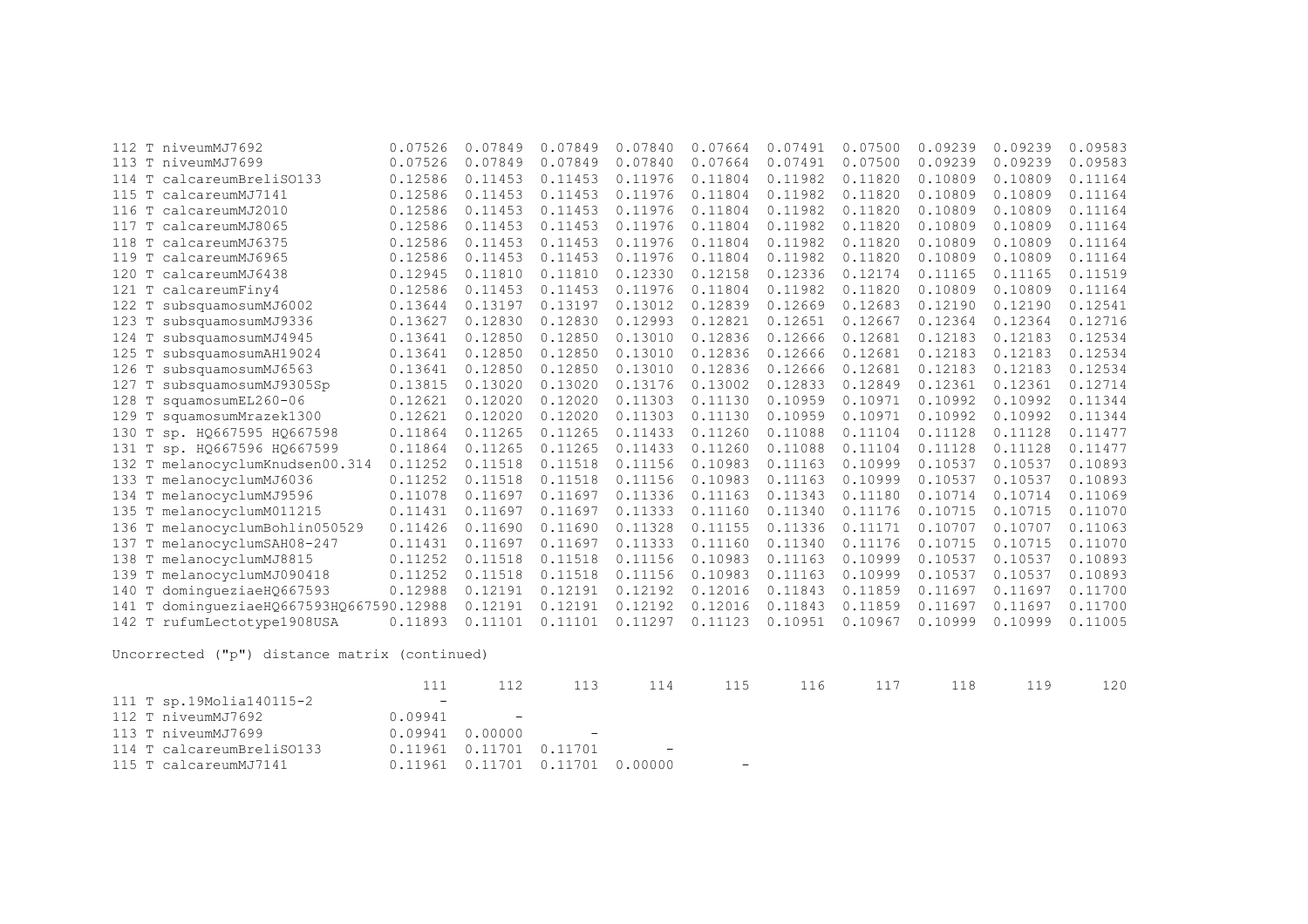| 112                | T niveumMJ7692                     | 0.07526 | 0.07849 | 0.07849 | 0.07840 | 0.07664 | 0.07491 | 0.07500 | 0.09239 | 0.09239 | 0.09583 |
|--------------------|------------------------------------|---------|---------|---------|---------|---------|---------|---------|---------|---------|---------|
|                    | 113 T niveumMJ7699                 | 0.07526 | 0.07849 | 0.07849 | 0.07840 | 0.07664 | 0.07491 | 0.07500 | 0.09239 | 0.09239 | 0.09583 |
| 114<br>T           | calcareumBreliSO133                | 0.12586 | 0.11453 | 0.11453 | 0.11976 | 0.11804 | 0.11982 | 0.11820 | 0.10809 | 0.10809 | 0.11164 |
| 115<br>T           | calcareumMJ7141                    | 0.12586 | 0.11453 | 0.11453 | 0.11976 | 0.11804 | 0.11982 | 0.11820 | 0.10809 | 0.10809 | 0.11164 |
| T<br>116           | calcareumMJ2010                    | 0.12586 | 0.11453 | 0.11453 | 0.11976 | 0.11804 | 0.11982 | 0.11820 | 0.10809 | 0.10809 | 0.11164 |
| 117<br>T           | calcareumMJ8065                    | 0.12586 | 0.11453 | 0.11453 | 0.11976 | 0.11804 | 0.11982 | 0.11820 | 0.10809 | 0.10809 | 0.11164 |
| $\mathbb T$<br>118 | calcareumMJ6375                    | 0.12586 | 0.11453 | 0.11453 | 0.11976 | 0.11804 | 0.11982 | 0.11820 | 0.10809 | 0.10809 | 0.11164 |
| 119<br>T           | calcareumMJ6965                    | 0.12586 | 0.11453 | 0.11453 | 0.11976 | 0.11804 | 0.11982 | 0.11820 | 0.10809 | 0.10809 | 0.11164 |
| 120<br>T           | calcareumMJ6438                    | 0.12945 | 0.11810 | 0.11810 | 0.12330 | 0.12158 | 0.12336 | 0.12174 | 0.11165 | 0.11165 | 0.11519 |
| Т<br>121           | calcareumFiny4                     | 0.12586 | 0.11453 | 0.11453 | 0.11976 | 0.11804 | 0.11982 | 0.11820 | 0.10809 | 0.10809 | 0.11164 |
| 122<br>т           | subsquamosumMJ6002                 | 0.13644 | 0.13197 | 0.13197 | 0.13012 | 0.12839 | 0.12669 | 0.12683 | 0.12190 | 0.12190 | 0.12541 |
| Т<br>123           | subsquamosumMJ9336                 | 0.13627 | 0.12830 | 0.12830 | 0.12993 | 0.12821 | 0.12651 | 0.12667 | 0.12364 | 0.12364 | 0.12716 |
| 124<br>T           | subsquamosumMJ4945                 | 0.13641 | 0.12850 | 0.12850 | 0.13010 | 0.12836 | 0.12666 | 0.12681 | 0.12183 | 0.12183 | 0.12534 |
| 125<br>Т           | subsquamosumAH19024                | 0.13641 | 0.12850 | 0.12850 | 0.13010 | 0.12836 | 0.12666 | 0.12681 | 0.12183 | 0.12183 | 0.12534 |
| 126<br>Т           | subsquamosumMJ6563                 | 0.13641 | 0.12850 | 0.12850 | 0.13010 | 0.12836 | 0.12666 | 0.12681 | 0.12183 | 0.12183 | 0.12534 |
| 127                | subsquamosumMJ9305Sp               | 0.13815 | 0.13020 | 0.13020 | 0.13176 | 0.13002 | 0.12833 | 0.12849 | 0.12361 | 0.12361 | 0.12714 |
| 128<br>$\mathbb T$ | squamosumEL260-06                  | 0.12621 | 0.12020 | 0.12020 | 0.11303 | 0.11130 | 0.10959 | 0.10971 | 0.10992 | 0.10992 | 0.11344 |
| 129<br>T           | squamosumMrazek1300                | 0.12621 | 0.12020 | 0.12020 | 0.11303 | 0.11130 | 0.10959 | 0.10971 | 0.10992 | 0.10992 | 0.11344 |
| 130<br>T           | sp. H0667595 H0667598              | 0.11864 | 0.11265 | 0.11265 | 0.11433 | 0.11260 | 0.11088 | 0.11104 | 0.11128 | 0.11128 | 0.11477 |
| Т<br>131           | sp. HQ667596 HQ667599              | 0.11864 | 0.11265 | 0.11265 | 0.11433 | 0.11260 | 0.11088 | 0.11104 | 0.11128 | 0.11128 | 0.11477 |
|                    | 132 T melanocyclumKnudsen00.314    | 0.11252 | 0.11518 | 0.11518 | 0.11156 | 0.10983 | 0.11163 | 0.10999 | 0.10537 | 0.10537 | 0.10893 |
|                    | 133 T melanocyclumMJ6036           | 0.11252 | 0.11518 | 0.11518 | 0.11156 | 0.10983 | 0.11163 | 0.10999 | 0.10537 | 0.10537 | 0.10893 |
|                    | 134 T melanocyclumMJ9596           | 0.11078 | 0.11697 | 0.11697 | 0.11336 | 0.11163 | 0.11343 | 0.11180 | 0.10714 | 0.10714 | 0.11069 |
|                    | 135 T melanocyclumM011215          | 0.11431 | 0.11697 | 0.11697 | 0.11333 | 0.11160 | 0.11340 | 0.11176 | 0.10715 | 0.10715 | 0.11070 |
| 136<br>Т           | melanocyclumBohlin050529           | 0.11426 | 0.11690 | 0.11690 | 0.11328 | 0.11155 | 0.11336 | 0.11171 | 0.10707 | 0.10707 | 0.11063 |
| 137<br>т           | melanocyclumSAH08-247              | 0.11431 | 0.11697 | 0.11697 | 0.11333 | 0.11160 | 0.11340 | 0.11176 | 0.10715 | 0.10715 | 0.11070 |
| 138<br>Т           | melanocyclumMJ8815                 | 0.11252 | 0.11518 | 0.11518 | 0.11156 | 0.10983 | 0.11163 | 0.10999 | 0.10537 | 0.10537 | 0.10893 |
| 139<br>Т           | melanocyclumMJ090418               | 0.11252 | 0.11518 | 0.11518 | 0.11156 | 0.10983 | 0.11163 | 0.10999 | 0.10537 | 0.10537 | 0.10893 |
| 140<br>T           | dominqueziaeH0667593               | 0.12988 | 0.12191 | 0.12191 | 0.12192 | 0.12016 | 0.11843 | 0.11859 | 0.11697 | 0.11697 | 0.11700 |
| 141<br>Т           | dominqueziaeH0667593H0667590.12988 |         | 0.12191 | 0.12191 | 0.12192 | 0.12016 | 0.11843 | 0.11859 | 0.11697 | 0.11697 | 0.11700 |
|                    | 142 T rufumLectotype1908USA        | 0.11893 | 0.11101 | 0.11101 | 0.11297 | 0.11123 | 0.10951 | 0.10967 | 0.10999 | 0.10999 | 0.11005 |
|                    |                                    |         |         |         |         |         |         |         |         |         |         |

|                           |                          | 112                                     | 113                        | 114                           | 115               | 116 117 | 118 | 119 | 120 |
|---------------------------|--------------------------|-----------------------------------------|----------------------------|-------------------------------|-------------------|---------|-----|-----|-----|
| 111 T sp.19Molia140115-2  | $\overline{\phantom{a}}$ |                                         |                            |                               |                   |         |     |     |     |
| 112 T niveumMJ7692        | 0.09941                  | and the state of the state of the       |                            |                               |                   |         |     |     |     |
| 113 T niveumMJ7699        | 0.09941                  | 0.00000                                 | and the state of the state |                               |                   |         |     |     |     |
| 114 T calcareumBreliSO133 |                          | $0.11961$ $0.11701$ $0.11701$           |                            | and the state of the state of |                   |         |     |     |     |
| 115 T calcareumMJ7141     |                          | $0.11961$ $0.11701$ $0.11701$ $0.00000$ |                            |                               | $\qquad \qquad -$ |         |     |     |     |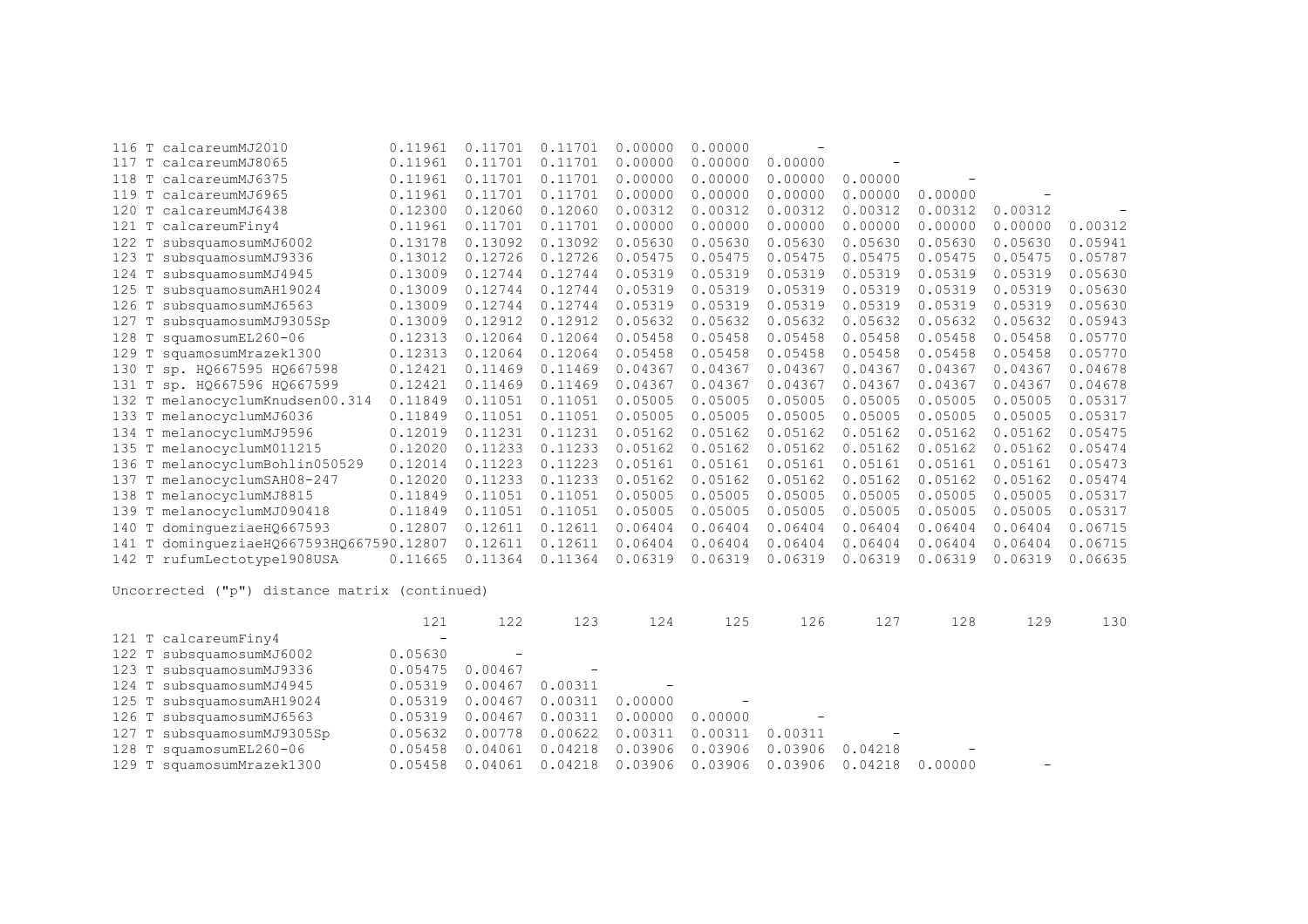| calcareumMJ2010<br>T<br>116                    | 0.11961 | 0.11701 | 0.11701 | 0.00000 | 0.00000 |         |                          |         |         |         |
|------------------------------------------------|---------|---------|---------|---------|---------|---------|--------------------------|---------|---------|---------|
| 117<br>T<br>calcareumMJ8065                    | 0.11961 | 0.11701 | 0.11701 | 0.00000 | 0.00000 | 0.00000 | $\overline{\phantom{a}}$ |         |         |         |
| T<br>118<br>calcareumMJ6375                    | 0.11961 | 0.11701 | 0.11701 | 0.00000 | 0.00000 | 0.00000 | 0.00000                  |         |         |         |
| 119<br>T<br>calcareumMJ6965                    | 0.11961 | 0.11701 | 0.11701 | 0.00000 | 0.00000 | 0.00000 | 0.00000                  | 0.00000 |         |         |
| 120<br>T<br>calcareumMJ6438                    | 0.12300 | 0.12060 | 0.12060 | 0.00312 | 0.00312 | 0.00312 | 0.00312                  | 0.00312 | 0.00312 |         |
| 121<br>T calcareumFiny4                        | 0.11961 | 0.11701 | 0.11701 | 0.00000 | 0.00000 | 0.00000 | 0.00000                  | 0.00000 | 0.00000 | 0.00312 |
| 122<br>T<br>subsquamosumMJ6002                 | 0.13178 | 0.13092 | 0.13092 | 0.05630 | 0.05630 | 0.05630 | 0.05630                  | 0.05630 | 0.05630 | 0.05941 |
| 123<br>subsquamosumMJ9336<br>т                 | 0.13012 | 0.12726 | 0.12726 | 0.05475 | 0.05475 | 0.05475 | 0.05475                  | 0.05475 | 0.05475 | 0.05787 |
| T<br>subsquamosumMJ4945<br>124                 | 0.13009 | 0.12744 | 0.12744 | 0.05319 | 0.05319 | 0.05319 | 0.05319                  | 0.05319 | 0.05319 | 0.05630 |
| 125<br>T<br>subsquamosumAH19024                | 0.13009 | 0.12744 | 0.12744 | 0.05319 | 0.05319 | 0.05319 | 0.05319                  | 0.05319 | 0.05319 | 0.05630 |
| 126<br>subsquamosumMJ6563<br>T                 | 0.13009 | 0.12744 | 0.12744 | 0.05319 | 0.05319 | 0.05319 | 0.05319                  | 0.05319 | 0.05319 | 0.05630 |
| subsquamosumMJ9305Sp<br>127<br>т               | 0.13009 | 0.12912 | 0.12912 | 0.05632 | 0.05632 | 0.05632 | 0.05632                  | 0.05632 | 0.05632 | 0.05943 |
| 128<br>squamosumEL260-06<br>т                  | 0.12313 | 0.12064 | 0.12064 | 0.05458 | 0.05458 | 0.05458 | 0.05458                  | 0.05458 | 0.05458 | 0.05770 |
| squamosumMrazek1300<br>129 T                   | 0.12313 | 0.12064 | 0.12064 | 0.05458 | 0.05458 | 0.05458 | 0.05458                  | 0.05458 | 0.05458 | 0.05770 |
| sp. HQ667595 HQ667598<br>130<br>T              | 0.12421 | 0.11469 | 0.11469 | 0.04367 | 0.04367 | 0.04367 | 0.04367                  | 0.04367 | 0.04367 | 0.04678 |
| 131 T sp. HQ667596 HQ667599                    | 0.12421 | 0.11469 | 0.11469 | 0.04367 | 0.04367 | 0.04367 | 0.04367                  | 0.04367 | 0.04367 | 0.04678 |
| 132 T melanocyclumKnudsen00.314                | 0.11849 | 0.11051 | 0.11051 | 0.05005 | 0.05005 | 0.05005 | 0.05005                  | 0.05005 | 0.05005 | 0.05317 |
| 133 T melanocyclumMJ6036                       | 0.11849 | 0.11051 | 0.11051 | 0.05005 | 0.05005 | 0.05005 | 0.05005                  | 0.05005 | 0.05005 | 0.05317 |
| 134 T melanocyclumMJ9596                       | 0.12019 | 0.11231 | 0.11231 | 0.05162 | 0.05162 | 0.05162 | 0.05162                  | 0.05162 | 0.05162 | 0.05475 |
| 135 T melanocyclumM011215                      | 0.12020 | 0.11233 | 0.11233 | 0.05162 | 0.05162 | 0.05162 | 0.05162                  | 0.05162 | 0.05162 | 0.05474 |
| T melanocyclumBohlin050529<br>136              | 0.12014 | 0.11223 | 0.11223 | 0.05161 | 0.05161 | 0.05161 | 0.05161                  | 0.05161 | 0.05161 | 0.05473 |
| T melanocyclumSAH08-247<br>137                 | 0.12020 | 0.11233 | 0.11233 | 0.05162 | 0.05162 | 0.05162 | 0.05162                  | 0.05162 | 0.05162 | 0.05474 |
| T<br>melanocyclumMJ8815<br>138                 | 0.11849 | 0.11051 | 0.11051 | 0.05005 | 0.05005 | 0.05005 | 0.05005                  | 0.05005 | 0.05005 | 0.05317 |
| 139<br>T melanocyclumMJ090418                  | 0.11849 | 0.11051 | 0.11051 | 0.05005 | 0.05005 | 0.05005 | 0.05005                  | 0.05005 | 0.05005 | 0.05317 |
| domingueziaeHQ667593<br>140<br>T               | 0.12807 | 0.12611 | 0.12611 | 0.06404 | 0.06404 | 0.06404 | 0.06404                  | 0.06404 | 0.06404 | 0.06715 |
| dominqueziaeHQ667593HQ667590.12807<br>141<br>T |         | 0.12611 | 0.12611 | 0.06404 | 0.06404 | 0.06404 | 0.06404                  | 0.06404 | 0.06404 | 0.06715 |
| 142 T rufumLectotype1908USA                    | 0.11665 | 0.11364 | 0.11364 | 0.06319 | 0.06319 | 0.06319 | 0.06319                  | 0.06319 | 0.06319 | 0.06635 |

|                            | 121                      | 122               | 123                      | 124     | 125               | 126               | 127     | 128                      | 129 | 130 |
|----------------------------|--------------------------|-------------------|--------------------------|---------|-------------------|-------------------|---------|--------------------------|-----|-----|
| 121 T calcareumFiny4       | $\overline{\phantom{m}}$ |                   |                          |         |                   |                   |         |                          |     |     |
| 122 T subsquamosumMJ6002   | 0.05630                  | $\qquad \qquad -$ |                          |         |                   |                   |         |                          |     |     |
| 123 T subsquamosumMJ9336   | 0.05475                  | 0.00467           | $\overline{\phantom{m}}$ |         |                   |                   |         |                          |     |     |
| 124 T subsquamosumMJ4945   | 0.05319                  | 0.00467           | 0.00311                  |         |                   |                   |         |                          |     |     |
| 125 T subsquamosumAH19024  | 0.05319                  | 0.00467           | 0.00311                  | 0.00000 | $\qquad \qquad -$ |                   |         |                          |     |     |
| 126 T subsquamosumMJ6563   | 0.05319                  | 0.00467           | 0.00311                  | 0.00000 | 0.00000           | $\qquad \qquad -$ |         |                          |     |     |
| 127 T subsquamosumMJ9305Sp | 0.05632                  | 0.00778           | 0.00622                  | 0.00311 | 0.00311           | 0.00311           |         |                          |     |     |
| 128 T squamosumEL260-06    | 0.05458                  | 0.04061           | 0.04218                  | 0.03906 | 0.03906           | 0.03906           | 0.04218 | $\overline{\phantom{m}}$ |     |     |
| 129 T squamosumMrazek1300  | 0.05458                  | 0.04061           | 0.04218                  | 0.03906 | 0.03906           | 0.03906           | 0.04218 | 0.00000                  |     |     |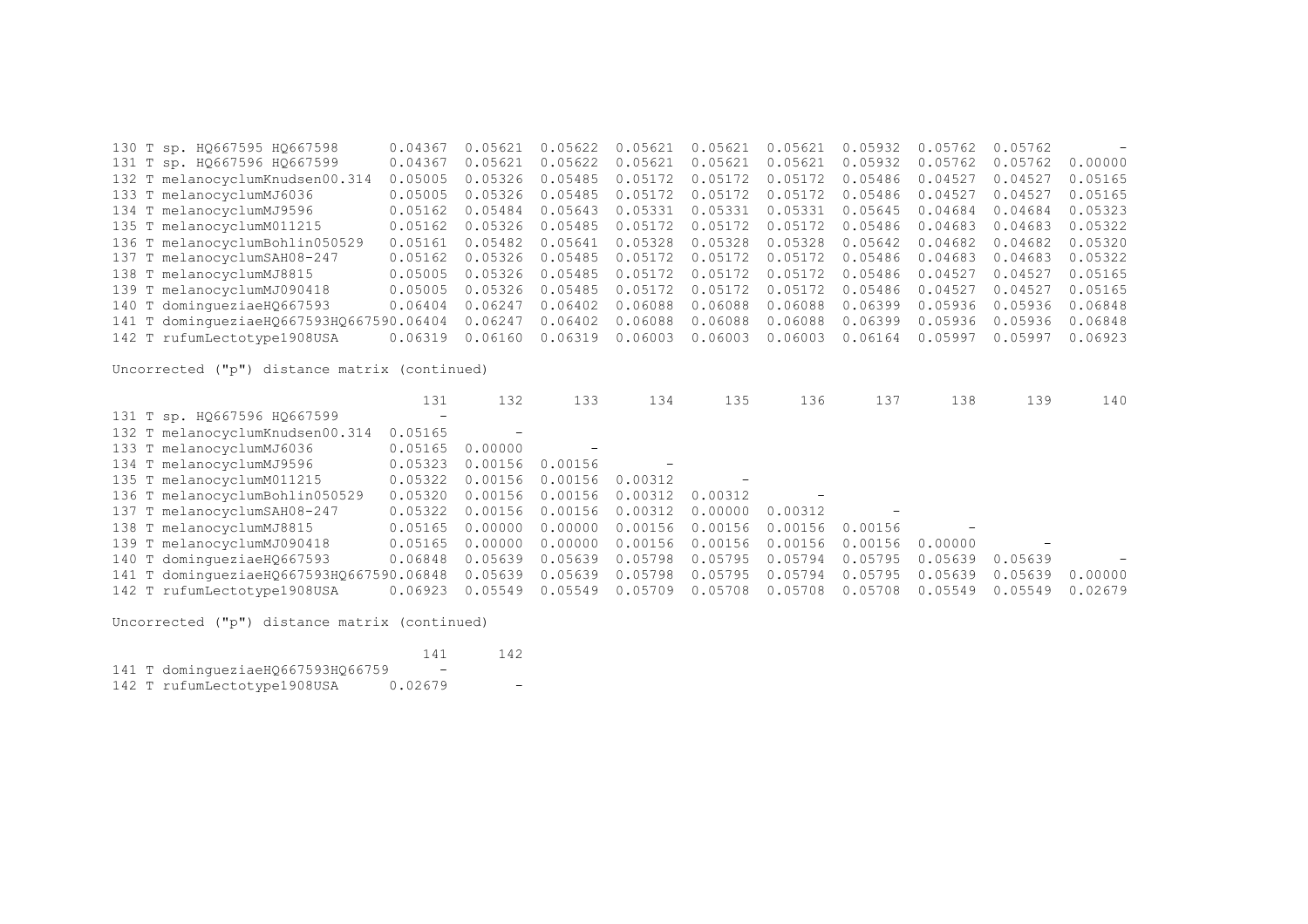130 T sp. HQ667595 HQ667598 0.04367 0.05621 0.05622 0.05621 0.05621 0.05621 0.05932 0.05762 0.05762 - 131 T sp. HQ667596 HQ667599 0.04367 0.05621 0.05622 0.05621 0.05621 0.05621 0.05932 0.05762 0.05762 0.00000 132 T melanocyclumKnudsen00.314 0.05005 0.05326 0.05485 0.05172 0.05172 0.05172 0.05486 0.04527 0.04527 0.05165 133 T melanocyclumMJ6036 0.05005 0.05326 0.05485 0.05172 0.05172 0.05172 0.05486 0.04527 0.04527 0.05165 134 T melanocyclumMJ9596 0.05162 0.05484 0.05643 0.05331 0.05331 0.05331 0.05645 0.04684 0.04684 0.05323 135 T melanocyclumM011215 0.05162 0.05326 0.05485 0.05172 0.05172 0.05172 0.05486 0.04683 0.04683 0.05322 136 T melanocyclumBohlin050529 0.05161 0.05482 0.05641 0.05328 0.05328 0.05328 0.05642 0.04682 0.04682 0.05320 0.05162 0.05326 0.05485 0.05172 0.05172 0.05172 0.05486 0.04683 0.04683 0.05322 138 T melanocyclumMJ8815 0.05005 0.05326 0.05485 0.05172 0.05172 0.05172 0.05486 0.04527 0.04527 0.05165 0.05005 0.05326 0.05485 0.05172 0.05172 0.05172 0.05486 0.04527 0.04527 0.05165 140 T domingueziaeHQ667593 0.06404 0.06247 0.06402 0.06088 0.06088 0.06088 0.06399 0.05936 0.05936 0.06848 141 T domingueziaeHQ667593HQ667590.06404 0.06247 0.06402 0.06088 0.06088 0.06088 0.06399 0.05936 0.05936 0.06848 142 T rufumLectotype1908USA 0.06319 0.06160 0.06319 0.06003 0.06003 0.06003 0.06164 0.05997 0.05997 0.06923

Uncorrected ("p") distance matrix (continued)

|                                          | 131                      | 132     | 133     | 134     | 135                      | 136     | 137     | 138     | 139     | 140     |
|------------------------------------------|--------------------------|---------|---------|---------|--------------------------|---------|---------|---------|---------|---------|
| 131 T sp. HQ667596 HQ667599              | $\overline{\phantom{0}}$ |         |         |         |                          |         |         |         |         |         |
| 132 T melanocyclumKnudsen00.314          | 0.05165                  |         |         |         |                          |         |         |         |         |         |
| 133 T melanocyclumMJ6036                 | 0.05165                  | 0.00000 |         |         |                          |         |         |         |         |         |
| 134 T melanocyclumMJ9596                 | 0.05323                  | 0.00156 | 0.00156 |         |                          |         |         |         |         |         |
| 135 T melanocyclumM011215                | 0.05322                  | 0.00156 | 0.00156 | 0.00312 | $\overline{\phantom{0}}$ |         |         |         |         |         |
| 136 T melanocyclumBohlin050529           | 0.05320                  | 0.00156 | 0.00156 | 0.00312 | 0.00312                  |         |         |         |         |         |
| 137 T melanocyclumSAH08-247              | 0.05322                  | 0.00156 | 0.00156 | 0.00312 | 0.00000                  | 0.00312 |         |         |         |         |
| 138 T melanocyclumMJ8815                 | 0.05165                  | 0.00000 | 0.00000 | 0.00156 | 0.00156                  | 0.00156 | 0.00156 |         |         |         |
| 139 T melanocyclumMJ090418               | 0.05165                  | 0.00000 | 0.00000 | 0.00156 | 0.00156                  | 0.00156 | 0.00156 | 0.00000 |         |         |
| 140 T dominqueziaeHQ667593               | 0.06848                  | 0.05639 | 0.05639 | 0.05798 | 0.05795                  | 0.05794 | 0.05795 | 0.05639 | 0.05639 |         |
| 141 T dominqueziaeHQ667593HQ667590.06848 |                          | 0.05639 | 0.05639 | 0.05798 | 0.05795                  | 0.05794 | 0.05795 | 0.05639 | 0.05639 | 0.00000 |
| 142 T rufumLectotype1908USA              | 0.06923                  | 0.05549 | 0.05549 | 0.05709 | 0.05708                  | 0.05708 | 0.05708 | 0.05549 | 0.05549 | 0.02679 |

|  |                                   | 141     | 142 |
|--|-----------------------------------|---------|-----|
|  | 141 T domingueziaeHQ667593HQ66759 |         |     |
|  | 142 T rufumLectotype1908USA       | 0.02679 | -   |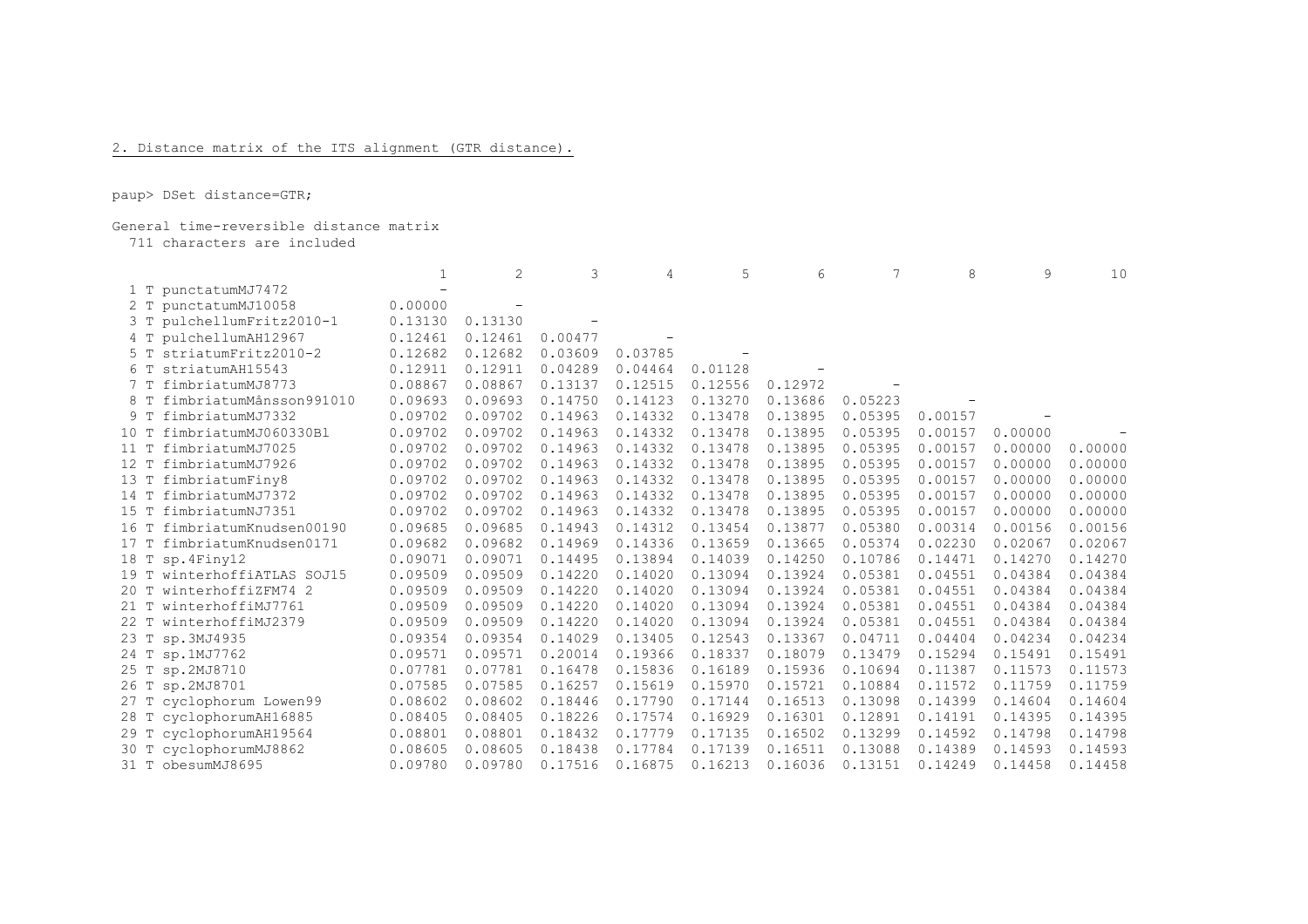## 2. Distance matrix of the ITS alignment (GTR distance).

paup> DSet distance=GTR;

## General time-reversible distance matrix

711 characters are included

|                |                          |         | 2       | 3       | 4       | 5       | 6       |         | 8       | 9       | 10      |
|----------------|--------------------------|---------|---------|---------|---------|---------|---------|---------|---------|---------|---------|
|                | 1 T punctatumMJ7472      |         |         |         |         |         |         |         |         |         |         |
| 2 T            | punctatumMJ10058         | 0.00000 |         |         |         |         |         |         |         |         |         |
| 3 <sub>T</sub> | pulchellumFritz2010-1    | 0.13130 | 0.13130 |         |         |         |         |         |         |         |         |
|                | pulchellumAH12967        | 0.12461 | 0.12461 | 0.00477 |         |         |         |         |         |         |         |
|                | striatumFritz2010-2      | 0.12682 | 0.12682 | 0.03609 | 0.03785 |         |         |         |         |         |         |
| 6 T            | striatumAH15543          | 0.12911 | 0.12911 | 0.04289 | 0.04464 | 0.01128 |         |         |         |         |         |
| 7 <sub>T</sub> | fimbriatumMJ8773         | 0.08867 | 0.08867 | 0.13137 | 0.12515 | 0.12556 | 0.12972 |         |         |         |         |
| 8 T            | fimbriatumMånsson991010  | 0.09693 | 0.09693 | 0.14750 | 0.14123 | 0.13270 | 0.13686 | 0.05223 |         |         |         |
| 9 T            | fimbriatumMJ7332         | 0.09702 | 0.09702 | 0.14963 | 0.14332 | 0.13478 | 0.13895 | 0.05395 | 0.00157 |         |         |
| 10T            | fimbriatumMJ060330Bl     | 0.09702 | 0.09702 | 0.14963 | 0.14332 | 0.13478 | 0.13895 | 0.05395 | 0.00157 | 0.00000 |         |
| 11T            | fimbriatumMJ7025         | 0.09702 | 0.09702 | 0.14963 | 0.14332 | 0.13478 | 0.13895 | 0.05395 | 0.00157 | 0.00000 | 0.00000 |
| 12T            | fimbriatumMJ7926         | 0.09702 | 0.09702 | 0.14963 | 0.14332 | 0.13478 | 0.13895 | 0.05395 | 0.00157 | 0.00000 | 0.00000 |
| 13 T           | fimbriatumFiny8          | 0.09702 | 0.09702 | 0.14963 | 0.14332 | 0.13478 | 0.13895 | 0.05395 | 0.00157 | 0.00000 | 0.00000 |
| $14$ T         | fimbriatumMJ7372         | 0.09702 | 0.09702 | 0.14963 | 0.14332 | 0.13478 | 0.13895 | 0.05395 | 0.00157 | 0.00000 | 0.00000 |
| 15 T           | fimbriatumNJ7351         | 0.09702 | 0.09702 | 0.14963 | 0.14332 | 0.13478 | 0.13895 | 0.05395 | 0.00157 | 0.00000 | 0.00000 |
| 16 T           | fimbriatumKnudsen00190   | 0.09685 | 0.09685 | 0.14943 | 0.14312 | 0.13454 | 0.13877 | 0.05380 | 0.00314 | 0.00156 | 0.00156 |
| 17 T           | fimbriatumKnudsen0171    | 0.09682 | 0.09682 | 0.14969 | 0.14336 | 0.13659 | 0.13665 | 0.05374 | 0.02230 | 0.02067 | 0.02067 |
| 18 T           | sp.4Finy12               | 0.09071 | 0.09071 | 0.14495 | 0.13894 | 0.14039 | 0.14250 | 0.10786 | 0.14471 | 0.14270 | 0.14270 |
| 19 T           | winterhoffiATLAS SOJ15   | 0.09509 | 0.09509 | 0.14220 | 0.14020 | 0.13094 | 0.13924 | 0.05381 | 0.04551 | 0.04384 | 0.04384 |
| 20 T           | winterhoffiZFM74 2       | 0.09509 | 0.09509 | 0.14220 | 0.14020 | 0.13094 | 0.13924 | 0.05381 | 0.04551 | 0.04384 | 0.04384 |
| $21$ T         | winterhoffiMJ7761        | 0.09509 | 0.09509 | 0.14220 | 0.14020 | 0.13094 | 0.13924 | 0.05381 | 0.04551 | 0.04384 | 0.04384 |
| 22 T           | winterhoffiMJ2379        | 0.09509 | 0.09509 | 0.14220 | 0.14020 | 0.13094 | 0.13924 | 0.05381 | 0.04551 | 0.04384 | 0.04384 |
| 23 T           | sp.3MJ4935               | 0.09354 | 0.09354 | 0.14029 | 0.13405 | 0.12543 | 0.13367 | 0.04711 | 0.04404 | 0.04234 | 0.04234 |
| 24 T           | sp.1MJ7762               | 0.09571 | 0.09571 | 0.20014 | 0.19366 | 0.18337 | 0.18079 | 0.13479 | 0.15294 | 0.15491 | 0.15491 |
|                | 25 T sp.2MJ8710          | 0.07781 | 0.07781 | 0.16478 | 0.15836 | 0.16189 | 0.15936 | 0.10694 | 0.11387 | 0.11573 | 0.11573 |
|                | 26 T sp.2MJ8701          | 0.07585 | 0.07585 | 0.16257 | 0.15619 | 0.15970 | 0.15721 | 0.10884 | 0.11572 | 0.11759 | 0.11759 |
|                | 27 T cyclophorum Lowen99 | 0.08602 | 0.08602 | 0.18446 | 0.17790 | 0.17144 | 0.16513 | 0.13098 | 0.14399 | 0.14604 | 0.14604 |
|                | 28 T cyclophorumAH16885  | 0.08405 | 0.08405 | 0.18226 | 0.17574 | 0.16929 | 0.16301 | 0.12891 | 0.14191 | 0.14395 | 0.14395 |
| 29 T           | cyclophorumAH19564       | 0.08801 | 0.08801 | 0.18432 | 0.17779 | 0.17135 | 0.16502 | 0.13299 | 0.14592 | 0.14798 | 0.14798 |
|                | 30 T cyclophorumMJ8862   | 0.08605 | 0.08605 | 0.18438 | 0.17784 | 0.17139 | 0.16511 | 0.13088 | 0.14389 | 0.14593 | 0.14593 |
|                | 31 T obesumMJ8695        | 0.09780 | 0.09780 | 0.17516 | 0.16875 | 0.16213 | 0.16036 | 0.13151 | 0.14249 | 0.14458 | 0.14458 |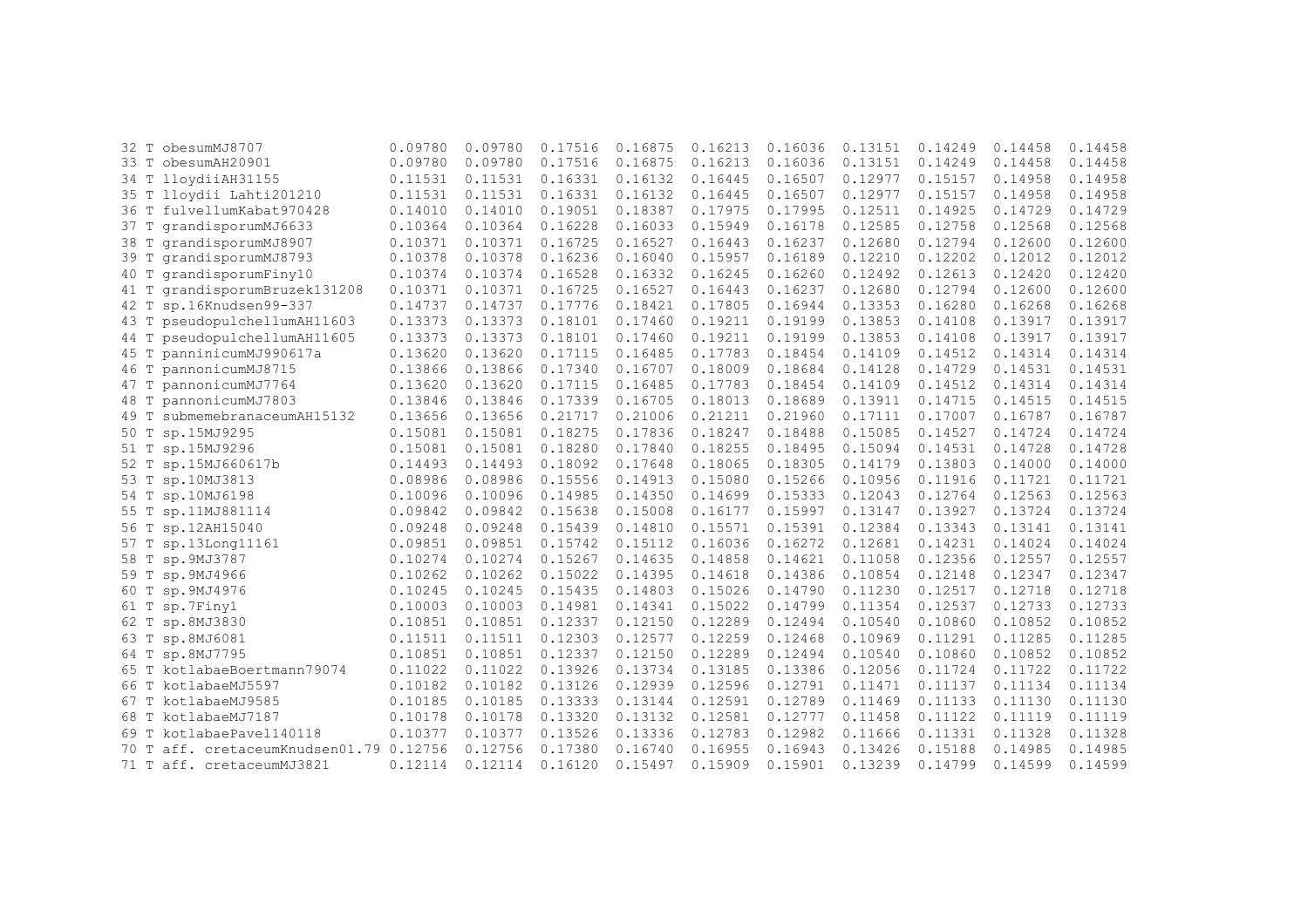| 32 T | obesumMJ8707                       | 0.09780 | 0.09780 | 0.17516 | 0.16875 | 0.16213 | 0.16036 | 0.13151 | 0.14249 | 0.14458 | 0.14458 |
|------|------------------------------------|---------|---------|---------|---------|---------|---------|---------|---------|---------|---------|
| 33 T | obesumAH20901                      | 0.09780 | 0.09780 | 0.17516 | 0.16875 | 0.16213 | 0.16036 | 0.13151 | 0.14249 | 0.14458 | 0.14458 |
| 34 T | lloydiiAH31155                     | 0.11531 | 0.11531 | 0.16331 | 0.16132 | 0.16445 | 0.16507 | 0.12977 | 0.15157 | 0.14958 | 0.14958 |
|      | 35 T lloydii Lahti201210           | 0.11531 | 0.11531 | 0.16331 | 0.16132 | 0.16445 | 0.16507 | 0.12977 | 0.15157 | 0.14958 | 0.14958 |
| 36 T | fulvellumKabat970428               | 0.14010 | 0.14010 | 0.19051 | 0.18387 | 0.17975 | 0.17995 | 0.12511 | 0.14925 | 0.14729 | 0.14729 |
| 37 T | qrandisporumMJ6633                 | 0.10364 | 0.10364 | 0.16228 | 0.16033 | 0.15949 | 0.16178 | 0.12585 | 0.12758 | 0.12568 | 0.12568 |
| 38 T | qrandisporumMJ8907                 | 0.10371 | 0.10371 | 0.16725 | 0.16527 | 0.16443 | 0.16237 | 0.12680 | 0.12794 | 0.12600 | 0.12600 |
| 39 T | grandisporumMJ8793                 | 0.10378 | 0.10378 | 0.16236 | 0.16040 | 0.15957 | 0.16189 | 0.12210 | 0.12202 | 0.12012 | 0.12012 |
| 40 T | qrandisporumFiny10                 | 0.10374 | 0.10374 | 0.16528 | 0.16332 | 0.16245 | 0.16260 | 0.12492 | 0.12613 | 0.12420 | 0.12420 |
| 41 T | grandisporumBruzek131208           | 0.10371 | 0.10371 | 0.16725 | 0.16527 | 0.16443 | 0.16237 | 0.12680 | 0.12794 | 0.12600 | 0.12600 |
| 42 T | sp.16Knudsen99-337                 | 0.14737 | 0.14737 | 0.17776 | 0.18421 | 0.17805 | 0.16944 | 0.13353 | 0.16280 | 0.16268 | 0.16268 |
| 43 T | pseudopulchellumAH11603            | 0.13373 | 0.13373 | 0.18101 | 0.17460 | 0.19211 | 0.19199 | 0.13853 | 0.14108 | 0.13917 | 0.13917 |
| 44 T | pseudopulchellumAH11605            | 0.13373 | 0.13373 | 0.18101 | 0.17460 | 0.19211 | 0.19199 | 0.13853 | 0.14108 | 0.13917 | 0.13917 |
| 45 T | panninicumMJ990617a                | 0.13620 | 0.13620 | 0.17115 | 0.16485 | 0.17783 | 0.18454 | 0.14109 | 0.14512 | 0.14314 | 0.14314 |
| 46 T | pannonicumMJ8715                   | 0.13866 | 0.13866 | 0.17340 | 0.16707 | 0.18009 | 0.18684 | 0.14128 | 0.14729 | 0.14531 | 0.14531 |
| 47 T | pannonicumMJ7764                   | 0.13620 | 0.13620 | 0.17115 | 0.16485 | 0.17783 | 0.18454 | 0.14109 | 0.14512 | 0.14314 | 0.14314 |
| 48 T | pannonicumMJ7803                   | 0.13846 | 0.13846 | 0.17339 | 0.16705 | 0.18013 | 0.18689 | 0.13911 | 0.14715 | 0.14515 | 0.14515 |
| 49 T | submemebranaceumAH15132            | 0.13656 | 0.13656 | 0.21717 | 0.21006 | 0.21211 | 0.21960 | 0.17111 | 0.17007 | 0.16787 | 0.16787 |
| 50 T | sp.15MJ9295                        | 0.15081 | 0.15081 | 0.18275 | 0.17836 | 0.18247 | 0.18488 | 0.15085 | 0.14527 | 0.14724 | 0.14724 |
| 51 T | sp.15MJ9296                        | 0.15081 | 0.15081 | 0.18280 | 0.17840 | 0.18255 | 0.18495 | 0.15094 | 0.14531 | 0.14728 | 0.14728 |
| 52 T | sp.15MJ660617b                     | 0.14493 | 0.14493 | 0.18092 | 0.17648 | 0.18065 | 0.18305 | 0.14179 | 0.13803 | 0.14000 | 0.14000 |
| 53 T | sp.10MJ3813                        | 0.08986 | 0.08986 | 0.15556 | 0.14913 | 0.15080 | 0.15266 | 0.10956 | 0.11916 | 0.11721 | 0.11721 |
| 54 T | sp.10MJ6198                        | 0.10096 | 0.10096 | 0.14985 | 0.14350 | 0.14699 | 0.15333 | 0.12043 | 0.12764 | 0.12563 | 0.12563 |
| 55 T | sp.11MJ881114                      | 0.09842 | 0.09842 | 0.15638 | 0.15008 | 0.16177 | 0.15997 | 0.13147 | 0.13927 | 0.13724 | 0.13724 |
| 56 T | sp.12AH15040                       | 0.09248 | 0.09248 | 0.15439 | 0.14810 | 0.15571 | 0.15391 | 0.12384 | 0.13343 | 0.13141 | 0.13141 |
| 57 T | sp.13Long11161                     | 0.09851 | 0.09851 | 0.15742 | 0.15112 | 0.16036 | 0.16272 | 0.12681 | 0.14231 | 0.14024 | 0.14024 |
| 58 T | sp.9MJ3787                         | 0.10274 | 0.10274 | 0.15267 | 0.14635 | 0.14858 | 0.14621 | 0.11058 | 0.12356 | 0.12557 | 0.12557 |
| 59 T | sp.9MJ4966                         | 0.10262 | 0.10262 | 0.15022 | 0.14395 | 0.14618 | 0.14386 | 0.10854 | 0.12148 | 0.12347 | 0.12347 |
| 60 T | sp.9MJ4976                         | 0.10245 | 0.10245 | 0.15435 | 0.14803 | 0.15026 | 0.14790 | 0.11230 | 0.12517 | 0.12718 | 0.12718 |
| 61 T | sp.7Finy1                          | 0.10003 | 0.10003 | 0.14981 | 0.14341 | 0.15022 | 0.14799 | 0.11354 | 0.12537 | 0.12733 | 0.12733 |
| 62 T | sp.8MJ3830                         | 0.10851 | 0.10851 | 0.12337 | 0.12150 | 0.12289 | 0.12494 | 0.10540 | 0.10860 | 0.10852 | 0.10852 |
| 63 T | sp.8MJ6081                         | 0.11511 | 0.11511 | 0.12303 | 0.12577 | 0.12259 | 0.12468 | 0.10969 | 0.11291 | 0.11285 | 0.11285 |
| 64 T | sp.8MJ7795                         | 0.10851 | 0.10851 | 0.12337 | 0.12150 | 0.12289 | 0.12494 | 0.10540 | 0.10860 | 0.10852 | 0.10852 |
| 65 T | kotlabaeBoertmann79074             | 0.11022 | 0.11022 | 0.13926 | 0.13734 | 0.13185 | 0.13386 | 0.12056 | 0.11724 | 0.11722 | 0.11722 |
| 66 T | kotlabaeMJ5597                     | 0.10182 | 0.10182 | 0.13126 | 0.12939 | 0.12596 | 0.12791 | 0.11471 | 0.11137 | 0.11134 | 0.11134 |
| 67 T | kotlabaeMJ9585                     | 0.10185 | 0.10185 | 0.13333 | 0.13144 | 0.12591 | 0.12789 | 0.11469 | 0.11133 | 0.11130 | 0.11130 |
| 68 T | kotlabaeMJ7187                     | 0.10178 | 0.10178 | 0.13320 | 0.13132 | 0.12581 | 0.12777 | 0.11458 | 0.11122 | 0.11119 | 0.11119 |
| 69 T | kotlabaePavel140118                | 0.10377 | 0.10377 | 0.13526 | 0.13336 | 0.12783 | 0.12982 | 0.11666 | 0.11331 | 0.11328 | 0.11328 |
| 70 T | aff. cretaceumKnudsen01.79 0.12756 |         | 0.12756 | 0.17380 | 0.16740 | 0.16955 | 0.16943 | 0.13426 | 0.15188 | 0.14985 | 0.14985 |
| 71 T | aff. cretaceumMJ3821               | 0.12114 | 0.12114 | 0.16120 | 0.15497 | 0.15909 | 0.15901 | 0.13239 | 0.14799 | 0.14599 | 0.14599 |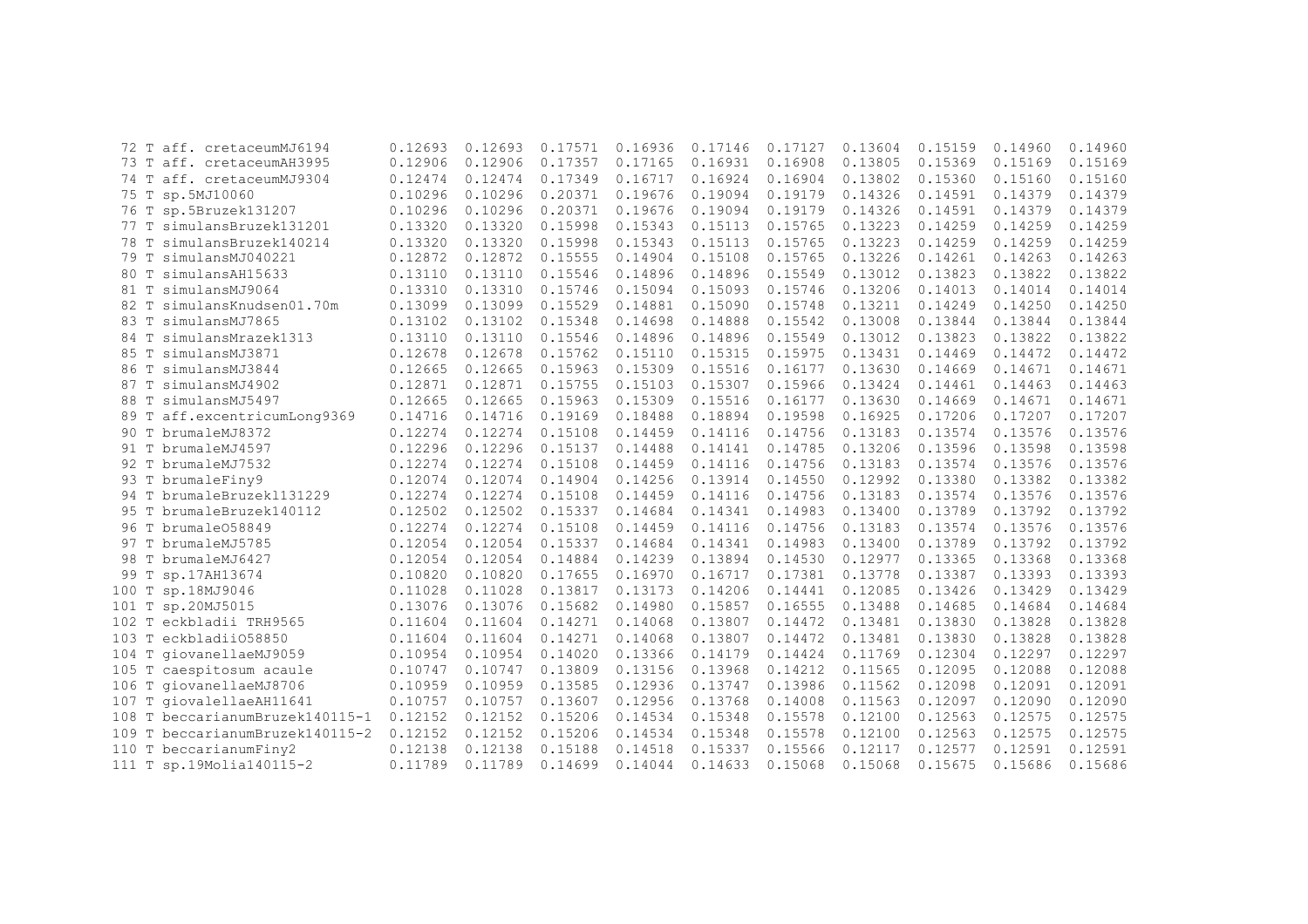|      | 72 T aff. cretaceumMJ6194       | 0.12693 | 0.12693 | 0.17571 | 0.16936 | 0.17146 | 0.17127 | 0.13604 | 0.15159 | 0.14960 | 0.14960 |
|------|---------------------------------|---------|---------|---------|---------|---------|---------|---------|---------|---------|---------|
|      | 73 T aff. cretaceumAH3995       | 0.12906 | 0.12906 | 0.17357 | 0.17165 | 0.16931 | 0.16908 | 0.13805 | 0.15369 | 0.15169 | 0.15169 |
|      | 74 T aff. cretaceumMJ9304       | 0.12474 | 0.12474 | 0.17349 | 0.16717 | 0.16924 | 0.16904 | 0.13802 | 0.15360 | 0.15160 | 0.15160 |
|      | 75 T sp.5MJ10060                | 0.10296 | 0.10296 | 0.20371 | 0.19676 | 0.19094 | 0.19179 | 0.14326 | 0.14591 | 0.14379 | 0.14379 |
|      | 76 T sp.5Bruzek131207           | 0.10296 | 0.10296 | 0.20371 | 0.19676 | 0.19094 | 0.19179 | 0.14326 | 0.14591 | 0.14379 | 0.14379 |
|      | 77 T simulansBruzek131201       | 0.13320 | 0.13320 | 0.15998 | 0.15343 | 0.15113 | 0.15765 | 0.13223 | 0.14259 | 0.14259 | 0.14259 |
|      | 78 T simulansBruzek140214       | 0.13320 | 0.13320 | 0.15998 | 0.15343 | 0.15113 | 0.15765 | 0.13223 | 0.14259 | 0.14259 | 0.14259 |
| 79 T | simulansMJ040221                | 0.12872 | 0.12872 | 0.15555 | 0.14904 | 0.15108 | 0.15765 | 0.13226 | 0.14261 | 0.14263 | 0.14263 |
| 80 T | simulansAH15633                 | 0.13110 | 0.13110 | 0.15546 | 0.14896 | 0.14896 | 0.15549 | 0.13012 | 0.13823 | 0.13822 | 0.13822 |
| 81 T | simulansMJ9064                  | 0.13310 | 0.13310 | 0.15746 | 0.15094 | 0.15093 | 0.15746 | 0.13206 | 0.14013 | 0.14014 | 0.14014 |
| 82 T | simulansKnudsen01.70m           | 0.13099 | 0.13099 | 0.15529 | 0.14881 | 0.15090 | 0.15748 | 0.13211 | 0.14249 | 0.14250 | 0.14250 |
|      | 83 T simulansMJ7865             | 0.13102 | 0.13102 | 0.15348 | 0.14698 | 0.14888 | 0.15542 | 0.13008 | 0.13844 | 0.13844 | 0.13844 |
|      | 84 T simulansMrazek1313         | 0.13110 | 0.13110 | 0.15546 | 0.14896 | 0.14896 | 0.15549 | 0.13012 | 0.13823 | 0.13822 | 0.13822 |
| 85 T | simulansMJ3871                  | 0.12678 | 0.12678 | 0.15762 | 0.15110 | 0.15315 | 0.15975 | 0.13431 | 0.14469 | 0.14472 | 0.14472 |
|      | 86 T simulansMJ3844             | 0.12665 | 0.12665 | 0.15963 | 0.15309 | 0.15516 | 0.16177 | 0.13630 | 0.14669 | 0.14671 | 0.14671 |
|      | 87 T simulansMJ4902             | 0.12871 | 0.12871 | 0.15755 | 0.15103 | 0.15307 | 0.15966 | 0.13424 | 0.14461 | 0.14463 | 0.14463 |
|      | 88 T simulansMJ5497             | 0.12665 | 0.12665 | 0.15963 | 0.15309 | 0.15516 | 0.16177 | 0.13630 | 0.14669 | 0.14671 | 0.14671 |
|      | 89 T aff.excentricumLong9369    | 0.14716 | 0.14716 | 0.19169 | 0.18488 | 0.18894 | 0.19598 | 0.16925 | 0.17206 | 0.17207 | 0.17207 |
|      | 90 T brumaleMJ8372              | 0.12274 | 0.12274 | 0.15108 | 0.14459 | 0.14116 | 0.14756 | 0.13183 | 0.13574 | 0.13576 | 0.13576 |
|      | 91 T brumaleMJ4597              | 0.12296 | 0.12296 | 0.15137 | 0.14488 | 0.14141 | 0.14785 | 0.13206 | 0.13596 | 0.13598 | 0.13598 |
|      | 92 T brumaleMJ7532              | 0.12274 | 0.12274 | 0.15108 | 0.14459 | 0.14116 | 0.14756 | 0.13183 | 0.13574 | 0.13576 | 0.13576 |
|      | 93 T brumaleFiny9               | 0.12074 | 0.12074 | 0.14904 | 0.14256 | 0.13914 | 0.14550 | 0.12992 | 0.13380 | 0.13382 | 0.13382 |
|      | 94 T brumaleBruzek1131229       | 0.12274 | 0.12274 | 0.15108 | 0.14459 | 0.14116 | 0.14756 | 0.13183 | 0.13574 | 0.13576 | 0.13576 |
|      | 95 T brumaleBruzek140112        | 0.12502 | 0.12502 | 0.15337 | 0.14684 | 0.14341 | 0.14983 | 0.13400 | 0.13789 | 0.13792 | 0.13792 |
|      | 96 T brumale058849              | 0.12274 | 0.12274 | 0.15108 | 0.14459 | 0.14116 | 0.14756 | 0.13183 | 0.13574 | 0.13576 | 0.13576 |
|      | 97 T brumaleMJ5785              | 0.12054 | 0.12054 | 0.15337 | 0.14684 | 0.14341 | 0.14983 | 0.13400 | 0.13789 | 0.13792 | 0.13792 |
|      | 98 T brumaleMJ6427              | 0.12054 | 0.12054 | 0.14884 | 0.14239 | 0.13894 | 0.14530 | 0.12977 | 0.13365 | 0.13368 | 0.13368 |
| 99 T | sp.17AH13674                    | 0.10820 | 0.10820 | 0.17655 | 0.16970 | 0.16717 | 0.17381 | 0.13778 | 0.13387 | 0.13393 | 0.13393 |
|      | 100 T sp.18MJ9046               | 0.11028 | 0.11028 | 0.13817 | 0.13173 | 0.14206 | 0.14441 | 0.12085 | 0.13426 | 0.13429 | 0.13429 |
|      | 101 T sp.20MJ5015               | 0.13076 | 0.13076 | 0.15682 | 0.14980 | 0.15857 | 0.16555 | 0.13488 | 0.14685 | 0.14684 | 0.14684 |
|      | 102 T eckbladii TRH9565         | 0.11604 | 0.11604 | 0.14271 | 0.14068 | 0.13807 | 0.14472 | 0.13481 | 0.13830 | 0.13828 | 0.13828 |
|      | 103 T eckbladii058850           | 0.11604 | 0.11604 | 0.14271 | 0.14068 | 0.13807 | 0.14472 | 0.13481 | 0.13830 | 0.13828 | 0.13828 |
|      | 104 T giovanellaeMJ9059         | 0.10954 | 0.10954 | 0.14020 | 0.13366 | 0.14179 | 0.14424 | 0.11769 | 0.12304 | 0.12297 | 0.12297 |
|      | 105 T caespitosum acaule        | 0.10747 | 0.10747 | 0.13809 | 0.13156 | 0.13968 | 0.14212 | 0.11565 | 0.12095 | 0.12088 | 0.12088 |
|      | 106 T giovanellaeMJ8706         | 0.10959 | 0.10959 | 0.13585 | 0.12936 | 0.13747 | 0.13986 | 0.11562 | 0.12098 | 0.12091 | 0.12091 |
|      | 107 T giovalellaeAH11641        | 0.10757 | 0.10757 | 0.13607 | 0.12956 | 0.13768 | 0.14008 | 0.11563 | 0.12097 | 0.12090 | 0.12090 |
|      | 108 T beccarianumBruzek140115-1 | 0.12152 | 0.12152 | 0.15206 | 0.14534 | 0.15348 | 0.15578 | 0.12100 | 0.12563 | 0.12575 | 0.12575 |
|      | 109 T beccarianumBruzek140115-2 | 0.12152 | 0.12152 | 0.15206 | 0.14534 | 0.15348 | 0.15578 | 0.12100 | 0.12563 | 0.12575 | 0.12575 |
|      | 110 T beccarianumFiny2          | 0.12138 | 0.12138 | 0.15188 | 0.14518 | 0.15337 | 0.15566 | 0.12117 | 0.12577 | 0.12591 | 0.12591 |
|      | 111 T sp.19Molia140115-2        | 0.11789 | 0.11789 | 0.14699 | 0.14044 | 0.14633 | 0.15068 | 0.15068 | 0.15675 | 0.15686 | 0.15686 |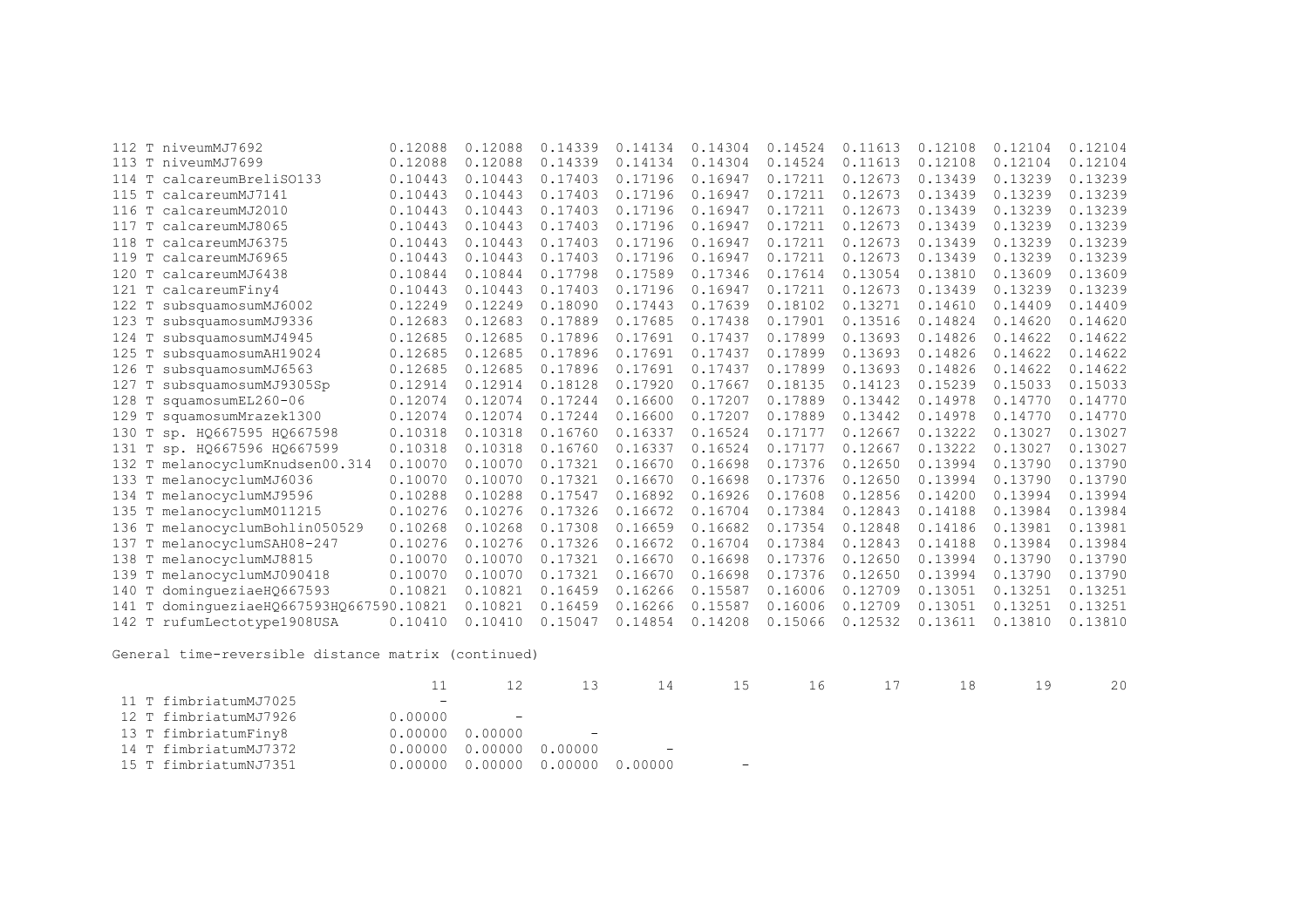| 112      | T niveumMJ7692                     | 0.12088 | 0.12088 | 0.14339 | 0.14134 | 0.14304 | 0.14524 | 0.11613 | 0.12108 | 0.12104 | 0.12104 |
|----------|------------------------------------|---------|---------|---------|---------|---------|---------|---------|---------|---------|---------|
|          | 113 T niveumMJ7699                 | 0.12088 | 0.12088 | 0.14339 | 0.14134 | 0.14304 | 0.14524 | 0.11613 | 0.12108 | 0.12104 | 0.12104 |
| 114<br>T | calcareumBreliSO133                | 0.10443 | 0.10443 | 0.17403 | 0.17196 | 0.16947 | 0.17211 | 0.12673 | 0.13439 | 0.13239 | 0.13239 |
| T<br>115 | calcareumMJ7141                    | 0.10443 | 0.10443 | 0.17403 | 0.17196 | 0.16947 | 0.17211 | 0.12673 | 0.13439 | 0.13239 | 0.13239 |
| T<br>116 | calcareumMJ2010                    | 0.10443 | 0.10443 | 0.17403 | 0.17196 | 0.16947 | 0.17211 | 0.12673 | 0.13439 | 0.13239 | 0.13239 |
| 117      | T calcareumMJ8065                  | 0.10443 | 0.10443 | 0.17403 | 0.17196 | 0.16947 | 0.17211 | 0.12673 | 0.13439 | 0.13239 | 0.13239 |
| T<br>118 | calcareumMJ6375                    | 0.10443 | 0.10443 | 0.17403 | 0.17196 | 0.16947 | 0.17211 | 0.12673 | 0.13439 | 0.13239 | 0.13239 |
| 119<br>T | calcareumMJ6965                    | 0.10443 | 0.10443 | 0.17403 | 0.17196 | 0.16947 | 0.17211 | 0.12673 | 0.13439 | 0.13239 | 0.13239 |
| 120<br>T | calcareumMJ6438                    | 0.10844 | 0.10844 | 0.17798 | 0.17589 | 0.17346 | 0.17614 | 0.13054 | 0.13810 | 0.13609 | 0.13609 |
| 121<br>T | calcareumFiny4                     | 0.10443 | 0.10443 | 0.17403 | 0.17196 | 0.16947 | 0.17211 | 0.12673 | 0.13439 | 0.13239 | 0.13239 |
| 122<br>Т | subsquamosumMJ6002                 | 0.12249 | 0.12249 | 0.18090 | 0.17443 | 0.17639 | 0.18102 | 0.13271 | 0.14610 | 0.14409 | 0.14409 |
| Т<br>123 | subsquamosumMJ9336                 | 0.12683 | 0.12683 | 0.17889 | 0.17685 | 0.17438 | 0.17901 | 0.13516 | 0.14824 | 0.14620 | 0.14620 |
| 124<br>T | subsquamosumMJ4945                 | 0.12685 | 0.12685 | 0.17896 | 0.17691 | 0.17437 | 0.17899 | 0.13693 | 0.14826 | 0.14622 | 0.14622 |
| 125      | subsquamosumAH19024                | 0.12685 | 0.12685 | 0.17896 | 0.17691 | 0.17437 | 0.17899 | 0.13693 | 0.14826 | 0.14622 | 0.14622 |
| 126<br>Т | subsquamosumMJ6563                 | 0.12685 | 0.12685 | 0.17896 | 0.17691 | 0.17437 | 0.17899 | 0.13693 | 0.14826 | 0.14622 | 0.14622 |
| 127<br>Т | subsquamosumMJ9305Sp               | 0.12914 | 0.12914 | 0.18128 | 0.17920 | 0.17667 | 0.18135 | 0.14123 | 0.15239 | 0.15033 | 0.15033 |
| 128<br>Т | squamosumEL260-06                  | 0.12074 | 0.12074 | 0.17244 | 0.16600 | 0.17207 | 0.17889 | 0.13442 | 0.14978 | 0.14770 | 0.14770 |
| 129<br>T | squamosumMrazek1300                | 0.12074 | 0.12074 | 0.17244 | 0.16600 | 0.17207 | 0.17889 | 0.13442 | 0.14978 | 0.14770 | 0.14770 |
| 130<br>T | sp. HQ667595 HQ667598              | 0.10318 | 0.10318 | 0.16760 | 0.16337 | 0.16524 | 0.17177 | 0.12667 | 0.13222 | 0.13027 | 0.13027 |
| 131<br>T | sp. H0667596 H0667599              | 0.10318 | 0.10318 | 0.16760 | 0.16337 | 0.16524 | 0.17177 | 0.12667 | 0.13222 | 0.13027 | 0.13027 |
|          | 132 T melanocyclumKnudsen00.314    | 0.10070 | 0.10070 | 0.17321 | 0.16670 | 0.16698 | 0.17376 | 0.12650 | 0.13994 | 0.13790 | 0.13790 |
| 133      | T melanocyclumMJ6036               | 0.10070 | 0.10070 | 0.17321 | 0.16670 | 0.16698 | 0.17376 | 0.12650 | 0.13994 | 0.13790 | 0.13790 |
|          | 134 T melanocyclumMJ9596           | 0.10288 | 0.10288 | 0.17547 | 0.16892 | 0.16926 | 0.17608 | 0.12856 | 0.14200 | 0.13994 | 0.13994 |
| 135      | T melanocyclumM011215              | 0.10276 | 0.10276 | 0.17326 | 0.16672 | 0.16704 | 0.17384 | 0.12843 | 0.14188 | 0.13984 | 0.13984 |
| 136      | T melanocyclumBohlin050529         | 0.10268 | 0.10268 | 0.17308 | 0.16659 | 0.16682 | 0.17354 | 0.12848 | 0.14186 | 0.13981 | 0.13981 |
| 137<br>Т | melanocyclumSAH08-247              | 0.10276 | 0.10276 | 0.17326 | 0.16672 | 0.16704 | 0.17384 | 0.12843 | 0.14188 | 0.13984 | 0.13984 |
| Т<br>138 | melanocyclumMJ8815                 | 0.10070 | 0.10070 | 0.17321 | 0.16670 | 0.16698 | 0.17376 | 0.12650 | 0.13994 | 0.13790 | 0.13790 |
| 139      | melanocyclumMJ090418               | 0.10070 | 0.10070 | 0.17321 | 0.16670 | 0.16698 | 0.17376 | 0.12650 | 0.13994 | 0.13790 | 0.13790 |
| 140<br>Т | dominqueziaeH0667593               | 0.10821 | 0.10821 | 0.16459 | 0.16266 | 0.15587 | 0.16006 | 0.12709 | 0.13051 | 0.13251 | 0.13251 |
| 141      | dominqueziaeHQ667593HQ667590.10821 |         | 0.10821 | 0.16459 | 0.16266 | 0.15587 | 0.16006 | 0.12709 | 0.13051 | 0.13251 | 0.13251 |
|          | 142 T rufumLectotype1908USA        | 0.10410 | 0.10410 | 0.15047 | 0.14854 | 0.14208 | 0.15066 | 0.12532 | 0.13611 | 0.13810 | 0.13810 |
|          |                                    |         |         |         |         |         |         |         |         |         |         |

General time-reversible distance matrix (continued)

|                       |         |                                   |            | 14                            | 15  | 16 17 | 18 | 1 Q | 20 |
|-----------------------|---------|-----------------------------------|------------|-------------------------------|-----|-------|----|-----|----|
| 11 T fimbriatumMJ7025 | $-$     |                                   |            |                               |     |       |    |     |    |
| 12 T fimbriatumMJ7926 | 0.00000 | <b>Contract Contract Contract</b> |            |                               |     |       |    |     |    |
| 13 T fimbriatumFiny8  |         | $0.00000$ $0.00000$               | $\sim$ $-$ |                               |     |       |    |     |    |
| 14 T fimbriatumMJ7372 |         | $0.00000$ $0.00000$ $0.00000$     |            | and the state of the state of |     |       |    |     |    |
| 15 T fimbriatumNJ7351 |         | 0.00000 0.00000 0.00000 0.00000   |            |                               | $-$ |       |    |     |    |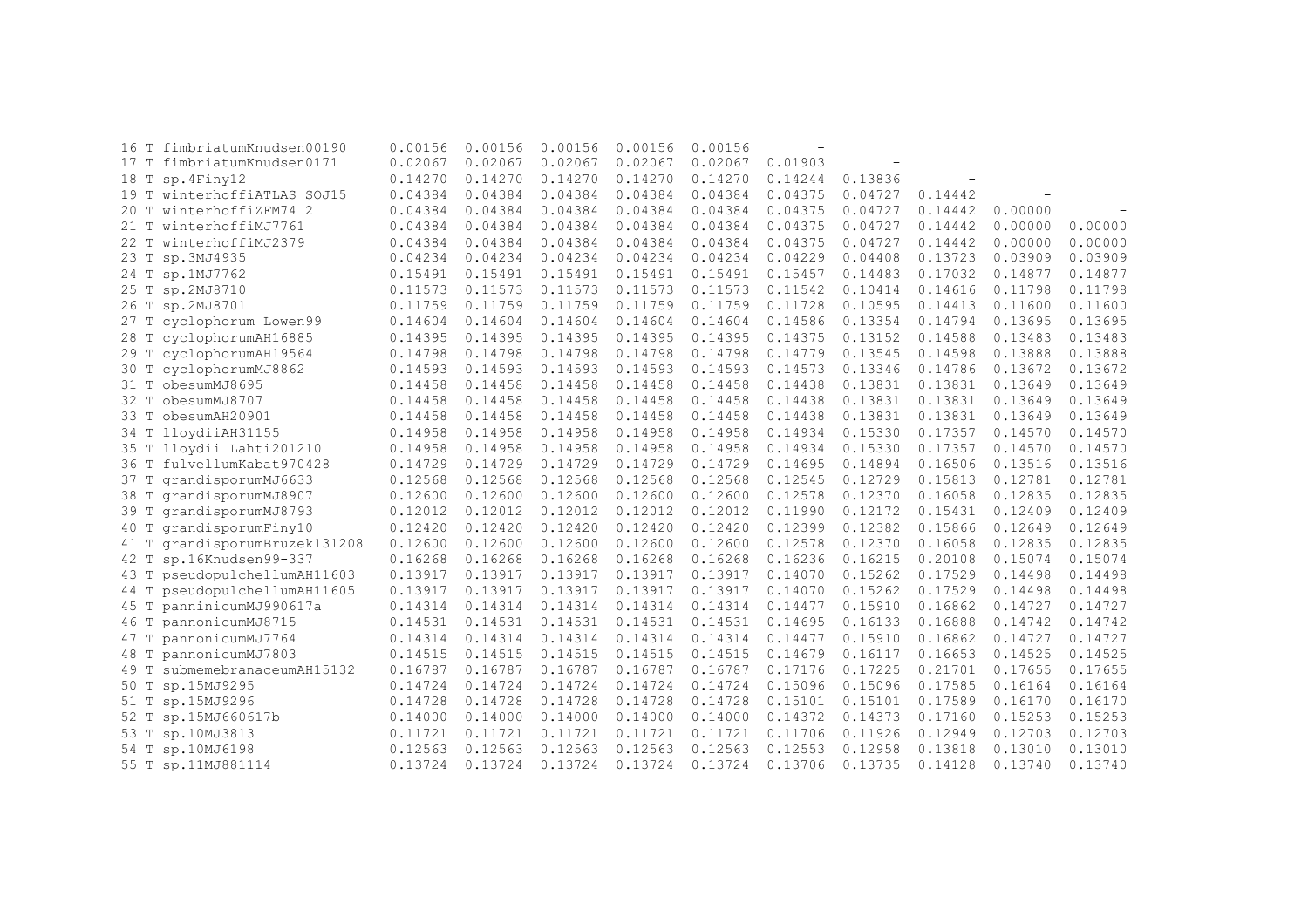| 16 T | fimbriatumKnudsen00190   | 0.00156 | 0.00156 | 0.00156 | 0.00156 | 0.00156 |         |         |         |         |         |
|------|--------------------------|---------|---------|---------|---------|---------|---------|---------|---------|---------|---------|
| 17T  | fimbriatumKnudsen0171    | 0.02067 | 0.02067 | 0.02067 | 0.02067 | 0.02067 | 0.01903 |         |         |         |         |
| 18 T | sp.4Finy12               | 0.14270 | 0.14270 | 0.14270 | 0.14270 | 0.14270 | 0.14244 | 0.13836 |         |         |         |
| 19 T | winterhoffiATLAS SOJ15   | 0.04384 | 0.04384 | 0.04384 | 0.04384 | 0.04384 | 0.04375 | 0.04727 | 0.14442 |         |         |
| 20T  | winterhoffiZFM74 2       | 0.04384 | 0.04384 | 0.04384 | 0.04384 | 0.04384 | 0.04375 | 0.04727 | 0.14442 | 0.00000 |         |
| 21 T | winterhoffiMJ7761        | 0.04384 | 0.04384 | 0.04384 | 0.04384 | 0.04384 | 0.04375 | 0.04727 | 0.14442 | 0.00000 | 0.00000 |
| 22 T | winterhoffiMJ2379        | 0.04384 | 0.04384 | 0.04384 | 0.04384 | 0.04384 | 0.04375 | 0.04727 | 0.14442 | 0.00000 | 0.00000 |
| 23 T | sp.3MJ4935               | 0.04234 | 0.04234 | 0.04234 | 0.04234 | 0.04234 | 0.04229 | 0.04408 | 0.13723 | 0.03909 | 0.03909 |
| 24 T | sp.1MJ7762               | 0.15491 | 0.15491 | 0.15491 | 0.15491 | 0.15491 | 0.15457 | 0.14483 | 0.17032 | 0.14877 | 0.14877 |
| 25 T | sp.2MJ8710               | 0.11573 | 0.11573 | 0.11573 | 0.11573 | 0.11573 | 0.11542 | 0.10414 | 0.14616 | 0.11798 | 0.11798 |
| 26 T | sp.2MJ8701               | 0.11759 | 0.11759 | 0.11759 | 0.11759 | 0.11759 | 0.11728 | 0.10595 | 0.14413 | 0.11600 | 0.11600 |
| 27 T | cyclophorum Lowen99      | 0.14604 | 0.14604 | 0.14604 | 0.14604 | 0.14604 | 0.14586 | 0.13354 | 0.14794 | 0.13695 | 0.13695 |
| 28 T | cyclophorumAH16885       | 0.14395 | 0.14395 | 0.14395 | 0.14395 | 0.14395 | 0.14375 | 0.13152 | 0.14588 | 0.13483 | 0.13483 |
| 29 T | cyclophorumAH19564       | 0.14798 | 0.14798 | 0.14798 | 0.14798 | 0.14798 | 0.14779 | 0.13545 | 0.14598 | 0.13888 | 0.13888 |
| 30 T | cyclophorumMJ8862        | 0.14593 | 0.14593 | 0.14593 | 0.14593 | 0.14593 | 0.14573 | 0.13346 | 0.14786 | 0.13672 | 0.13672 |
| 31 T | obesumMJ8695             | 0.14458 | 0.14458 | 0.14458 | 0.14458 | 0.14458 | 0.14438 | 0.13831 | 0.13831 | 0.13649 | 0.13649 |
| 32 T | obesumMJ8707             | 0.14458 | 0.14458 | 0.14458 | 0.14458 | 0.14458 | 0.14438 | 0.13831 | 0.13831 | 0.13649 | 0.13649 |
| 33 T | obesumAH20901            | 0.14458 | 0.14458 | 0.14458 | 0.14458 | 0.14458 | 0.14438 | 0.13831 | 0.13831 | 0.13649 | 0.13649 |
| 34 T | lloydiiAH31155           | 0.14958 | 0.14958 | 0.14958 | 0.14958 | 0.14958 | 0.14934 | 0.15330 | 0.17357 | 0.14570 | 0.14570 |
| 35 T | lloydii Lahti201210      | 0.14958 | 0.14958 | 0.14958 | 0.14958 | 0.14958 | 0.14934 | 0.15330 | 0.17357 | 0.14570 | 0.14570 |
| 36 T | fulvellumKabat970428     | 0.14729 | 0.14729 | 0.14729 | 0.14729 | 0.14729 | 0.14695 | 0.14894 | 0.16506 | 0.13516 | 0.13516 |
| 37 T | qrandisporumMJ6633       | 0.12568 | 0.12568 | 0.12568 | 0.12568 | 0.12568 | 0.12545 | 0.12729 | 0.15813 | 0.12781 | 0.12781 |
| 38 T | grandisporumMJ8907       | 0.12600 | 0.12600 | 0.12600 | 0.12600 | 0.12600 | 0.12578 | 0.12370 | 0.16058 | 0.12835 | 0.12835 |
| 39 T | grandisporumMJ8793       | 0.12012 | 0.12012 | 0.12012 | 0.12012 | 0.12012 | 0.11990 | 0.12172 | 0.15431 | 0.12409 | 0.12409 |
| 40 T | grandisporumFiny10       | 0.12420 | 0.12420 | 0.12420 | 0.12420 | 0.12420 | 0.12399 | 0.12382 | 0.15866 | 0.12649 | 0.12649 |
| 41 T | grandisporumBruzek131208 | 0.12600 | 0.12600 | 0.12600 | 0.12600 | 0.12600 | 0.12578 | 0.12370 | 0.16058 | 0.12835 | 0.12835 |
| 42 T | sp.16Knudsen99-337       | 0.16268 | 0.16268 | 0.16268 | 0.16268 | 0.16268 | 0.16236 | 0.16215 | 0.20108 | 0.15074 | 0.15074 |
| 43 T | pseudopulchellumAH11603  | 0.13917 | 0.13917 | 0.13917 | 0.13917 | 0.13917 | 0.14070 | 0.15262 | 0.17529 | 0.14498 | 0.14498 |
| 44 T | pseudopulchellumAH11605  | 0.13917 | 0.13917 | 0.13917 | 0.13917 | 0.13917 | 0.14070 | 0.15262 | 0.17529 | 0.14498 | 0.14498 |
| 45 T | panninicumMJ990617a      | 0.14314 | 0.14314 | 0.14314 | 0.14314 | 0.14314 | 0.14477 | 0.15910 | 0.16862 | 0.14727 | 0.14727 |
| 46 T | pannonicumMJ8715         | 0.14531 | 0.14531 | 0.14531 | 0.14531 | 0.14531 | 0.14695 | 0.16133 | 0.16888 | 0.14742 | 0.14742 |
| 47 T | pannonicumMJ7764         | 0.14314 | 0.14314 | 0.14314 | 0.14314 | 0.14314 | 0.14477 | 0.15910 | 0.16862 | 0.14727 | 0.14727 |
| 48 T | pannonicumMJ7803         | 0.14515 | 0.14515 | 0.14515 | 0.14515 | 0.14515 | 0.14679 | 0.16117 | 0.16653 | 0.14525 | 0.14525 |
| 49 T | submemebranaceumAH15132  | 0.16787 | 0.16787 | 0.16787 | 0.16787 | 0.16787 | 0.17176 | 0.17225 | 0.21701 | 0.17655 | 0.17655 |
| 50 T | sp.15MJ9295              | 0.14724 | 0.14724 | 0.14724 | 0.14724 | 0.14724 | 0.15096 | 0.15096 | 0.17585 | 0.16164 | 0.16164 |
| 51 T | sp.15MJ9296              | 0.14728 | 0.14728 | 0.14728 | 0.14728 | 0.14728 | 0.15101 | 0.15101 | 0.17589 | 0.16170 | 0.16170 |
| 52 T | sp.15MJ660617b           | 0.14000 | 0.14000 | 0.14000 | 0.14000 | 0.14000 | 0.14372 | 0.14373 | 0.17160 | 0.15253 | 0.15253 |
| 53 T | sp.10MJ3813              | 0.11721 | 0.11721 | 0.11721 | 0.11721 | 0.11721 | 0.11706 | 0.11926 | 0.12949 | 0.12703 | 0.12703 |
| 54 T | sp.10MJ6198              | 0.12563 | 0.12563 | 0.12563 | 0.12563 | 0.12563 | 0.12553 | 0.12958 | 0.13818 | 0.13010 | 0.13010 |
| 55 T | sp.11MJ881114            | 0.13724 | 0.13724 | 0.13724 | 0.13724 | 0.13724 | 0.13706 | 0.13735 | 0.14128 | 0.13740 | 0.13740 |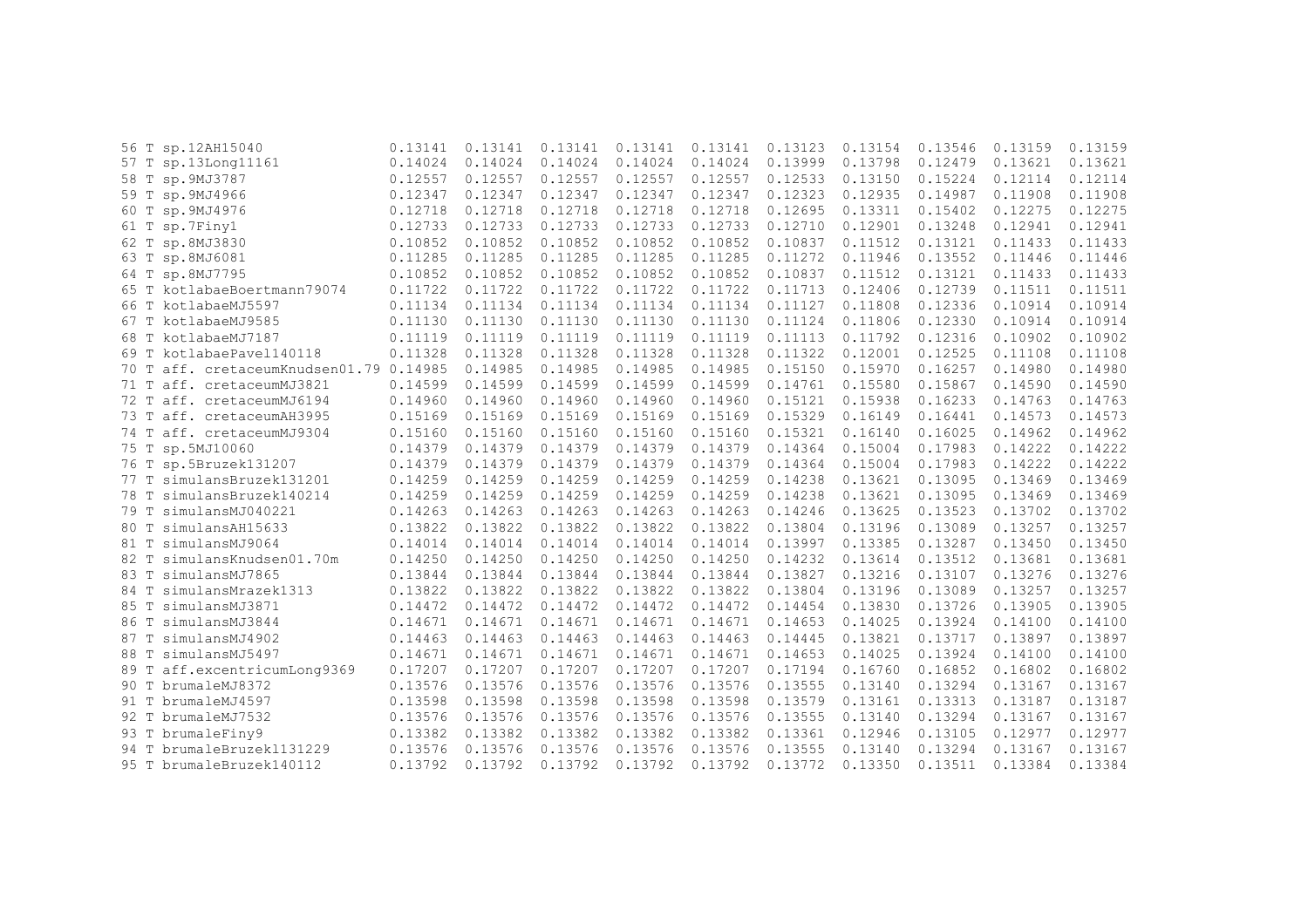|      | 56 T sp.12AH15040                  | 0.13141 | 0.13141 | 0.13141 | 0.13141 | 0.13141 | 0.13123 | 0.13154 | 0.13546 | 0.13159 | 0.13159 |
|------|------------------------------------|---------|---------|---------|---------|---------|---------|---------|---------|---------|---------|
|      | 57 T sp.13Long11161                | 0.14024 | 0.14024 | 0.14024 | 0.14024 | 0.14024 | 0.13999 | 0.13798 | 0.12479 | 0.13621 | 0.13621 |
|      | 58 T sp. 9MJ3787                   | 0.12557 | 0.12557 | 0.12557 | 0.12557 | 0.12557 | 0.12533 | 0.13150 | 0.15224 | 0.12114 | 0.12114 |
|      | 59 T sp. 9MJ4966                   | 0.12347 | 0.12347 | 0.12347 | 0.12347 | 0.12347 | 0.12323 | 0.12935 | 0.14987 | 0.11908 | 0.11908 |
|      | 60 T sp. 9MJ4976                   | 0.12718 | 0.12718 | 0.12718 | 0.12718 | 0.12718 | 0.12695 | 0.13311 | 0.15402 | 0.12275 | 0.12275 |
| 61 T | sp.7Finy1                          | 0.12733 | 0.12733 | 0.12733 | 0.12733 | 0.12733 | 0.12710 | 0.12901 | 0.13248 | 0.12941 | 0.12941 |
| 62 T | sp.8MJ3830                         | 0.10852 | 0.10852 | 0.10852 | 0.10852 | 0.10852 | 0.10837 | 0.11512 | 0.13121 | 0.11433 | 0.11433 |
|      | 63 T sp.8MJ6081                    | 0.11285 | 0.11285 | 0.11285 | 0.11285 | 0.11285 | 0.11272 | 0.11946 | 0.13552 | 0.11446 | 0.11446 |
|      | 64 T sp.8MJ7795                    | 0.10852 | 0.10852 | 0.10852 | 0.10852 | 0.10852 | 0.10837 | 0.11512 | 0.13121 | 0.11433 | 0.11433 |
|      | 65 T kotlabaeBoertmann79074        | 0.11722 | 0.11722 | 0.11722 | 0.11722 | 0.11722 | 0.11713 | 0.12406 | 0.12739 | 0.11511 | 0.11511 |
| 66 T | kotlabaeMJ5597                     | 0.11134 | 0.11134 | 0.11134 | 0.11134 | 0.11134 | 0.11127 | 0.11808 | 0.12336 | 0.10914 | 0.10914 |
|      | 67 T kotlabaeMJ9585                | 0.11130 | 0.11130 | 0.11130 | 0.11130 | 0.11130 | 0.11124 | 0.11806 | 0.12330 | 0.10914 | 0.10914 |
| 68 T | kotlabaeMJ7187                     | 0.11119 | 0.11119 | 0.11119 | 0.11119 | 0.11119 | 0.11113 | 0.11792 | 0.12316 | 0.10902 | 0.10902 |
| 69 T | kotlabaePavel140118                | 0.11328 | 0.11328 | 0.11328 | 0.11328 | 0.11328 | 0.11322 | 0.12001 | 0.12525 | 0.11108 | 0.11108 |
| 70 T | aff. cretaceumKnudsen01.79 0.14985 |         | 0.14985 | 0.14985 | 0.14985 | 0.14985 | 0.15150 | 0.15970 | 0.16257 | 0.14980 | 0.14980 |
| 71 T | aff. cretaceumMJ3821               | 0.14599 | 0.14599 | 0.14599 | 0.14599 | 0.14599 | 0.14761 | 0.15580 | 0.15867 | 0.14590 | 0.14590 |
| 72 T | aff. cretaceumMJ6194               | 0.14960 | 0.14960 | 0.14960 | 0.14960 | 0.14960 | 0.15121 | 0.15938 | 0.16233 | 0.14763 | 0.14763 |
| 73 T | aff. cretaceumAH3995               | 0.15169 | 0.15169 | 0.15169 | 0.15169 | 0.15169 | 0.15329 | 0.16149 | 0.16441 | 0.14573 | 0.14573 |
| 74 T | aff. cretaceumMJ9304               | 0.15160 | 0.15160 | 0.15160 | 0.15160 | 0.15160 | 0.15321 | 0.16140 | 0.16025 | 0.14962 | 0.14962 |
|      | 75 T sp.5MJ10060                   | 0.14379 | 0.14379 | 0.14379 | 0.14379 | 0.14379 | 0.14364 | 0.15004 | 0.17983 | 0.14222 | 0.14222 |
|      | 76 T sp.5Bruzek131207              | 0.14379 | 0.14379 | 0.14379 | 0.14379 | 0.14379 | 0.14364 | 0.15004 | 0.17983 | 0.14222 | 0.14222 |
|      | 77 T simulansBruzek131201          | 0.14259 | 0.14259 | 0.14259 | 0.14259 | 0.14259 | 0.14238 | 0.13621 | 0.13095 | 0.13469 | 0.13469 |
| 78 T | simulansBruzek140214               | 0.14259 | 0.14259 | 0.14259 | 0.14259 | 0.14259 | 0.14238 | 0.13621 | 0.13095 | 0.13469 | 0.13469 |
| 79 T | simulansMJ040221                   | 0.14263 | 0.14263 | 0.14263 | 0.14263 | 0.14263 | 0.14246 | 0.13625 | 0.13523 | 0.13702 | 0.13702 |
| 80 T | simulansAH15633                    | 0.13822 | 0.13822 | 0.13822 | 0.13822 | 0.13822 | 0.13804 | 0.13196 | 0.13089 | 0.13257 | 0.13257 |
| 81 T | simulansMJ9064                     | 0.14014 | 0.14014 | 0.14014 | 0.14014 | 0.14014 | 0.13997 | 0.13385 | 0.13287 | 0.13450 | 0.13450 |
| 82 T | simulansKnudsen01.70m              | 0.14250 | 0.14250 | 0.14250 | 0.14250 | 0.14250 | 0.14232 | 0.13614 | 0.13512 | 0.13681 | 0.13681 |
| 83 T | simulansMJ7865                     | 0.13844 | 0.13844 | 0.13844 | 0.13844 | 0.13844 | 0.13827 | 0.13216 | 0.13107 | 0.13276 | 0.13276 |
| 84 T | simulansMrazek1313                 | 0.13822 | 0.13822 | 0.13822 | 0.13822 | 0.13822 | 0.13804 | 0.13196 | 0.13089 | 0.13257 | 0.13257 |
| 85 T | simulansMJ3871                     | 0.14472 | 0.14472 | 0.14472 | 0.14472 | 0.14472 | 0.14454 | 0.13830 | 0.13726 | 0.13905 | 0.13905 |
| 86 T | simulansMJ3844                     | 0.14671 | 0.14671 | 0.14671 | 0.14671 | 0.14671 | 0.14653 | 0.14025 | 0.13924 | 0.14100 | 0.14100 |
| 87 T | simulansMJ4902                     | 0.14463 | 0.14463 | 0.14463 | 0.14463 | 0.14463 | 0.14445 | 0.13821 | 0.13717 | 0.13897 | 0.13897 |
| 88 T | simulansMJ5497                     | 0.14671 | 0.14671 | 0.14671 | 0.14671 | 0.14671 | 0.14653 | 0.14025 | 0.13924 | 0.14100 | 0.14100 |
| 89 T | aff.excentricumLong9369            | 0.17207 | 0.17207 | 0.17207 | 0.17207 | 0.17207 | 0.17194 | 0.16760 | 0.16852 | 0.16802 | 0.16802 |
| 90 T | brumaleMJ8372                      | 0.13576 | 0.13576 | 0.13576 | 0.13576 | 0.13576 | 0.13555 | 0.13140 | 0.13294 | 0.13167 | 0.13167 |
|      | 91 T brumaleMJ4597                 | 0.13598 | 0.13598 | 0.13598 | 0.13598 | 0.13598 | 0.13579 | 0.13161 | 0.13313 | 0.13187 | 0.13187 |
| 92 T | brumaleMJ7532                      | 0.13576 | 0.13576 | 0.13576 | 0.13576 | 0.13576 | 0.13555 | 0.13140 | 0.13294 | 0.13167 | 0.13167 |
|      | 93 T brumaleFiny9                  | 0.13382 | 0.13382 | 0.13382 | 0.13382 | 0.13382 | 0.13361 | 0.12946 | 0.13105 | 0.12977 | 0.12977 |
| 94 T | brumaleBruzek1131229               | 0.13576 | 0.13576 | 0.13576 | 0.13576 | 0.13576 | 0.13555 | 0.13140 | 0.13294 | 0.13167 | 0.13167 |
|      | 95 T brumaleBruzek140112           | 0.13792 | 0.13792 | 0.13792 | 0.13792 | 0.13792 | 0.13772 | 0.13350 | 0.13511 | 0.13384 | 0.13384 |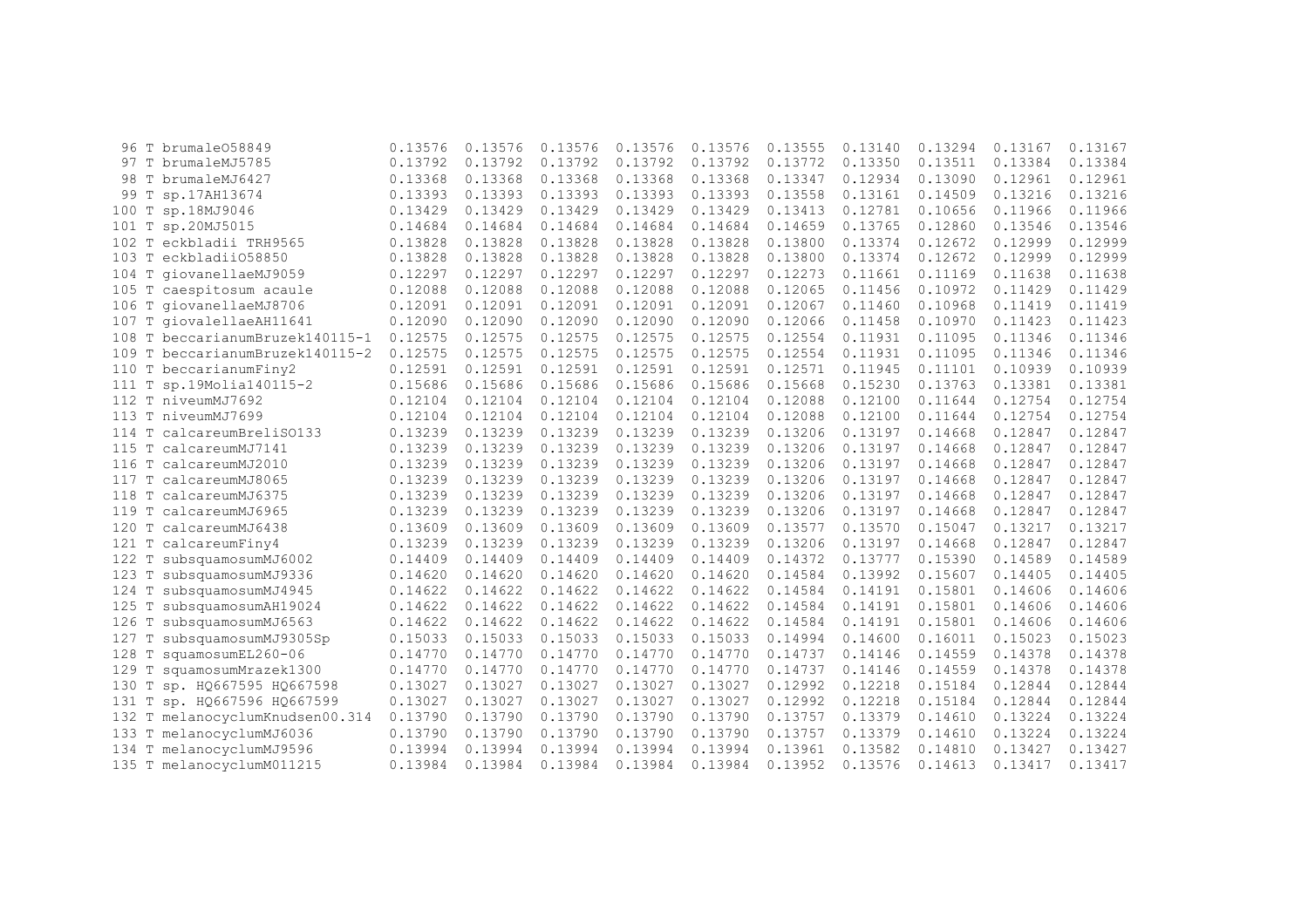|                    | 96 T brumale058849              | 0.13576 | 0.13576 | 0.13576 | 0.13576 | 0.13576 | 0.13555 | 0.13140 | 0.13294 | 0.13167 | 0.13167 |
|--------------------|---------------------------------|---------|---------|---------|---------|---------|---------|---------|---------|---------|---------|
|                    | 97 T brumaleMJ5785              | 0.13792 | 0.13792 | 0.13792 | 0.13792 | 0.13792 | 0.13772 | 0.13350 | 0.13511 | 0.13384 | 0.13384 |
| 98                 | T brumaleMJ6427                 | 0.13368 | 0.13368 | 0.13368 | 0.13368 | 0.13368 | 0.13347 | 0.12934 | 0.13090 | 0.12961 | 0.12961 |
| T<br>99            | sp.17AH13674                    | 0.13393 | 0.13393 | 0.13393 | 0.13393 | 0.13393 | 0.13558 | 0.13161 | 0.14509 | 0.13216 | 0.13216 |
| Т<br>100           | sp.18MJ9046                     | 0.13429 | 0.13429 | 0.13429 | 0.13429 | 0.13429 | 0.13413 | 0.12781 | 0.10656 | 0.11966 | 0.11966 |
| T<br>101           | sp.20MJ5015                     | 0.14684 | 0.14684 | 0.14684 | 0.14684 | 0.14684 | 0.14659 | 0.13765 | 0.12860 | 0.13546 | 0.13546 |
| $102$ T            | eckbladii TRH9565               | 0.13828 | 0.13828 | 0.13828 | 0.13828 | 0.13828 | 0.13800 | 0.13374 | 0.12672 | 0.12999 | 0.12999 |
| 103 T              | eckbladii058850                 | 0.13828 | 0.13828 | 0.13828 | 0.13828 | 0.13828 | 0.13800 | 0.13374 | 0.12672 | 0.12999 | 0.12999 |
| 104 T              | qiovanellaeMJ9059               | 0.12297 | 0.12297 | 0.12297 | 0.12297 | 0.12297 | 0.12273 | 0.11661 | 0.11169 | 0.11638 | 0.11638 |
| 105 T              | caespitosum acaule              | 0.12088 | 0.12088 | 0.12088 | 0.12088 | 0.12088 | 0.12065 | 0.11456 | 0.10972 | 0.11429 | 0.11429 |
| 106 T              | qiovanellaeMJ8706               | 0.12091 | 0.12091 | 0.12091 | 0.12091 | 0.12091 | 0.12067 | 0.11460 | 0.10968 | 0.11419 | 0.11419 |
| 107                | T qiovalellaeAH11641            | 0.12090 | 0.12090 | 0.12090 | 0.12090 | 0.12090 | 0.12066 | 0.11458 | 0.10970 | 0.11423 | 0.11423 |
|                    | 108 T beccarianumBruzek140115-1 | 0.12575 | 0.12575 | 0.12575 | 0.12575 | 0.12575 | 0.12554 | 0.11931 | 0.11095 | 0.11346 | 0.11346 |
| $\mathbb T$<br>109 | beccarianumBruzek140115-2       | 0.12575 | 0.12575 | 0.12575 | 0.12575 | 0.12575 | 0.12554 | 0.11931 | 0.11095 | 0.11346 | 0.11346 |
|                    | 110 T beccarianumFiny2          | 0.12591 | 0.12591 | 0.12591 | 0.12591 | 0.12591 | 0.12571 | 0.11945 | 0.11101 | 0.10939 | 0.10939 |
| 111                | T sp.19Molia140115-2            | 0.15686 | 0.15686 | 0.15686 | 0.15686 | 0.15686 | 0.15668 | 0.15230 | 0.13763 | 0.13381 | 0.13381 |
|                    | 112 T niveumMJ7692              | 0.12104 | 0.12104 | 0.12104 | 0.12104 | 0.12104 | 0.12088 | 0.12100 | 0.11644 | 0.12754 | 0.12754 |
| 113 T              | niveumMJ7699                    | 0.12104 | 0.12104 | 0.12104 | 0.12104 | 0.12104 | 0.12088 | 0.12100 | 0.11644 | 0.12754 | 0.12754 |
| 114 T              | calcareumBreliS0133             | 0.13239 | 0.13239 | 0.13239 | 0.13239 | 0.13239 | 0.13206 | 0.13197 | 0.14668 | 0.12847 | 0.12847 |
| T<br>115           | calcareumMJ7141                 | 0.13239 | 0.13239 | 0.13239 | 0.13239 | 0.13239 | 0.13206 | 0.13197 | 0.14668 | 0.12847 | 0.12847 |
| $\mathbb T$<br>116 | calcareumMJ2010                 | 0.13239 | 0.13239 | 0.13239 | 0.13239 | 0.13239 | 0.13206 | 0.13197 | 0.14668 | 0.12847 | 0.12847 |
| T<br>117           | calcareumMJ8065                 | 0.13239 | 0.13239 | 0.13239 | 0.13239 | 0.13239 | 0.13206 | 0.13197 | 0.14668 | 0.12847 | 0.12847 |
| 118<br>T           | calcareumMJ6375                 | 0.13239 | 0.13239 | 0.13239 | 0.13239 | 0.13239 | 0.13206 | 0.13197 | 0.14668 | 0.12847 | 0.12847 |
| T<br>119           | calcareumMJ6965                 | 0.13239 | 0.13239 | 0.13239 | 0.13239 | 0.13239 | 0.13206 | 0.13197 | 0.14668 | 0.12847 | 0.12847 |
| $\mathbb T$<br>120 | calcareumMJ6438                 | 0.13609 | 0.13609 | 0.13609 | 0.13609 | 0.13609 | 0.13577 | 0.13570 | 0.15047 | 0.13217 | 0.13217 |
| $\mathbb T$<br>121 | calcareumFiny4                  | 0.13239 | 0.13239 | 0.13239 | 0.13239 | 0.13239 | 0.13206 | 0.13197 | 0.14668 | 0.12847 | 0.12847 |
| 122 T              | subsquamosumMJ6002              | 0.14409 | 0.14409 | 0.14409 | 0.14409 | 0.14409 | 0.14372 | 0.13777 | 0.15390 | 0.14589 | 0.14589 |
| Т<br>123           | subsquamosumMJ9336              | 0.14620 | 0.14620 | 0.14620 | 0.14620 | 0.14620 | 0.14584 | 0.13992 | 0.15607 | 0.14405 | 0.14405 |
| T<br>124           | subsquamosumMJ4945              | 0.14622 | 0.14622 | 0.14622 | 0.14622 | 0.14622 | 0.14584 | 0.14191 | 0.15801 | 0.14606 | 0.14606 |
| 125<br>T           | subsquamosumAH19024             | 0.14622 | 0.14622 | 0.14622 | 0.14622 | 0.14622 | 0.14584 | 0.14191 | 0.15801 | 0.14606 | 0.14606 |
| 126                | subsquamosumMJ6563              | 0.14622 | 0.14622 | 0.14622 | 0.14622 | 0.14622 | 0.14584 | 0.14191 | 0.15801 | 0.14606 | 0.14606 |
| 127<br>Т           | subsquamosumMJ9305Sp            | 0.15033 | 0.15033 | 0.15033 | 0.15033 | 0.15033 | 0.14994 | 0.14600 | 0.16011 | 0.15023 | 0.15023 |
| T<br>128           | squamosumEL260-06               | 0.14770 | 0.14770 | 0.14770 | 0.14770 | 0.14770 | 0.14737 | 0.14146 | 0.14559 | 0.14378 | 0.14378 |
| T<br>129           | squamosumMrazek1300             | 0.14770 | 0.14770 | 0.14770 | 0.14770 | 0.14770 | 0.14737 | 0.14146 | 0.14559 | 0.14378 | 0.14378 |
| 130<br>Т           | sp. HQ667595 HQ667598           | 0.13027 | 0.13027 | 0.13027 | 0.13027 | 0.13027 | 0.12992 | 0.12218 | 0.15184 | 0.12844 | 0.12844 |
| T<br>131           | sp. HQ667596 HQ667599           | 0.13027 | 0.13027 | 0.13027 | 0.13027 | 0.13027 | 0.12992 | 0.12218 | 0.15184 | 0.12844 | 0.12844 |
| 132<br>Т           | melanocyclumKnudsen00.314       | 0.13790 | 0.13790 | 0.13790 | 0.13790 | 0.13790 | 0.13757 | 0.13379 | 0.14610 | 0.13224 | 0.13224 |
| 133 T              | melanocyclumMJ6036              | 0.13790 | 0.13790 | 0.13790 | 0.13790 | 0.13790 | 0.13757 | 0.13379 | 0.14610 | 0.13224 | 0.13224 |
| 134 T              | melanocyclumMJ9596              | 0.13994 | 0.13994 | 0.13994 | 0.13994 | 0.13994 | 0.13961 | 0.13582 | 0.14810 | 0.13427 | 0.13427 |
|                    | 135 T melanocyclumM011215       | 0.13984 | 0.13984 | 0.13984 | 0.13984 | 0.13984 | 0.13952 | 0.13576 | 0.14613 | 0.13417 | 0.13417 |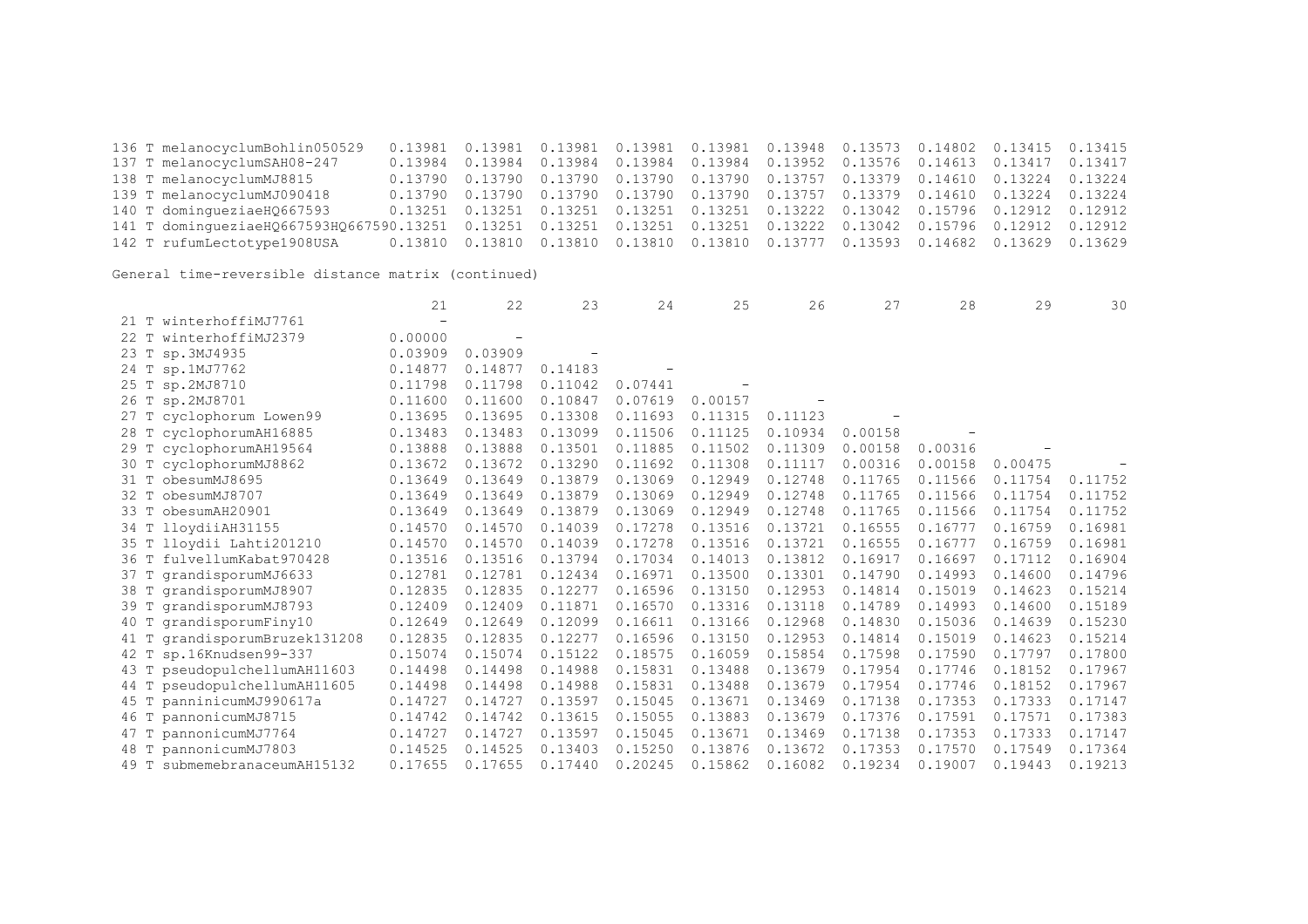136 T melanocyclumBohlin050529 0.13981 0.13981 0.13981 0.13981 0.13981 0.13948 0.13573 0.14802 0.13415 0.13415 0.13984 0.13984 0.13984 0.13984 0.13984 0.13952 0.13576 0.14613 0.13417 0.13417 138 T melanocyclumMJ8815 0.13790 0.13790 0.13790 0.13790 0.13790 0.13757 0.13379 0.14610 0.13224 0.13224 139 T melanocyclumMJ090418 0.13790 0.13790 0.13790 0.13790 0.13790 0.13757 0.13379 0.14610 0.13224 0.13224 140 T domingueziaeHQ667593 0.13251 0.13251 0.13251 0.13251 0.13251 0.13222 0.13042 0.15796 0.12912 0.12912 141 T domingueziaeHQ667593HQ667590.13251 0.13251 0.13251 0.13251 0.13251 0.13222 0.13042 0.15796 0.12912 0.12912 142 T rufumLectotype1908USA 0.13810 0.13810 0.13810 0.13810 0.13810 0.13777 0.13593 0.14682 0.13629 0.13629

|                                 | 21                       | 22      | 23      | 24      | 25      | 26      | 27      | 28      | 29      | 30      |
|---------------------------------|--------------------------|---------|---------|---------|---------|---------|---------|---------|---------|---------|
| 21 T winterhoffiMJ7761          | $\overline{\phantom{0}}$ |         |         |         |         |         |         |         |         |         |
| winterhoffiMJ2379<br>22T        | 0.00000                  |         |         |         |         |         |         |         |         |         |
| sp.3MJ4935<br>23 T              | 0.03909                  | 0.03909 |         |         |         |         |         |         |         |         |
| 24 T sp.1MJ7762                 | 0.14877                  | 0.14877 | 0.14183 |         |         |         |         |         |         |         |
| 25 T<br>sp.2MJ8710              | 0.11798                  | 0.11798 | 0.11042 | 0.07441 |         |         |         |         |         |         |
| 26 T sp.2MJ8701                 | 0.11600                  | 0.11600 | 0.10847 | 0.07619 | 0.00157 |         |         |         |         |         |
| 27 T cyclophorum Lowen99        | 0.13695                  | 0.13695 | 0.13308 | 0.11693 | 0.11315 | 0.11123 |         |         |         |         |
| 28 T cyclophorumAH16885         | 0.13483                  | 0.13483 | 0.13099 | 0.11506 | 0.11125 | 0.10934 | 0.00158 |         |         |         |
| 29 T cyclophorumAH19564         | 0.13888                  | 0.13888 | 0.13501 | 0.11885 | 0.11502 | 0.11309 | 0.00158 | 0.00316 |         |         |
| 30 T cyclophorumMJ8862          | 0.13672                  | 0.13672 | 0.13290 | 0.11692 | 0.11308 | 0.11117 | 0.00316 | 0.00158 | 0.00475 |         |
| 31 T obesumMJ8695               | 0.13649                  | 0.13649 | 0.13879 | 0.13069 | 0.12949 | 0.12748 | 0.11765 | 0.11566 | 0.11754 | 0.11752 |
| obesumMJ8707<br>32T             | 0.13649                  | 0.13649 | 0.13879 | 0.13069 | 0.12949 | 0.12748 | 0.11765 | 0.11566 | 0.11754 | 0.11752 |
| 33 T<br>obesumAH20901           | 0.13649                  | 0.13649 | 0.13879 | 0.13069 | 0.12949 | 0.12748 | 0.11765 | 0.11566 | 0.11754 | 0.11752 |
| 34 T lloydiiAH31155             | 0.14570                  | 0.14570 | 0.14039 | 0.17278 | 0.13516 | 0.13721 | 0.16555 | 0.16777 | 0.16759 | 0.16981 |
| 35 T lloydii Lahti201210        | 0.14570                  | 0.14570 | 0.14039 | 0.17278 | 0.13516 | 0.13721 | 0.16555 | 0.16777 | 0.16759 | 0.16981 |
| fulvellumKabat970428<br>36 T    | 0.13516                  | 0.13516 | 0.13794 | 0.17034 | 0.14013 | 0.13812 | 0.16917 | 0.16697 | 0.17112 | 0.16904 |
| grandisporumMJ6633<br>37 T      | 0.12781                  | 0.12781 | 0.12434 | 0.16971 | 0.13500 | 0.13301 | 0.14790 | 0.14993 | 0.14600 | 0.14796 |
| 38 T grandisporumMJ8907         | 0.12835                  | 0.12835 | 0.12277 | 0.16596 | 0.13150 | 0.12953 | 0.14814 | 0.15019 | 0.14623 | 0.15214 |
| 39 T grandisporumMJ8793         | 0.12409                  | 0.12409 | 0.11871 | 0.16570 | 0.13316 | 0.13118 | 0.14789 | 0.14993 | 0.14600 | 0.15189 |
| grandisporumFiny10<br>40 T      | 0.12649                  | 0.12649 | 0.12099 | 0.16611 | 0.13166 | 0.12968 | 0.14830 | 0.15036 | 0.14639 | 0.15230 |
| 41 T grandisporumBruzek131208   | 0.12835                  | 0.12835 | 0.12277 | 0.16596 | 0.13150 | 0.12953 | 0.14814 | 0.15019 | 0.14623 | 0.15214 |
| 42 T sp.16Knudsen99-337         | 0.15074                  | 0.15074 | 0.15122 | 0.18575 | 0.16059 | 0.15854 | 0.17598 | 0.17590 | 0.17797 | 0.17800 |
| pseudopulchellumAH11603<br>43 T | 0.14498                  | 0.14498 | 0.14988 | 0.15831 | 0.13488 | 0.13679 | 0.17954 | 0.17746 | 0.18152 | 0.17967 |
| pseudopulchellumAH11605<br>44 T | 0.14498                  | 0.14498 | 0.14988 | 0.15831 | 0.13488 | 0.13679 | 0.17954 | 0.17746 | 0.18152 | 0.17967 |
| panninicumMJ990617a<br>45 T     | 0.14727                  | 0.14727 | 0.13597 | 0.15045 | 0.13671 | 0.13469 | 0.17138 | 0.17353 | 0.17333 | 0.17147 |
| pannonicumMJ8715<br>46 T        | 0.14742                  | 0.14742 | 0.13615 | 0.15055 | 0.13883 | 0.13679 | 0.17376 | 0.17591 | 0.17571 | 0.17383 |
| pannonicumMJ7764<br>47 T        | 0.14727                  | 0.14727 | 0.13597 | 0.15045 | 0.13671 | 0.13469 | 0.17138 | 0.17353 | 0.17333 | 0.17147 |
| pannonicumMJ7803<br>48 T        | 0.14525                  | 0.14525 | 0.13403 | 0.15250 | 0.13876 | 0.13672 | 0.17353 | 0.17570 | 0.17549 | 0.17364 |
| submemebranaceumAH15132<br>49 T | 0.17655                  | 0.17655 | 0.17440 | 0.20245 | 0.15862 | 0.16082 | 0.19234 | 0.19007 | 0.19443 | 0.19213 |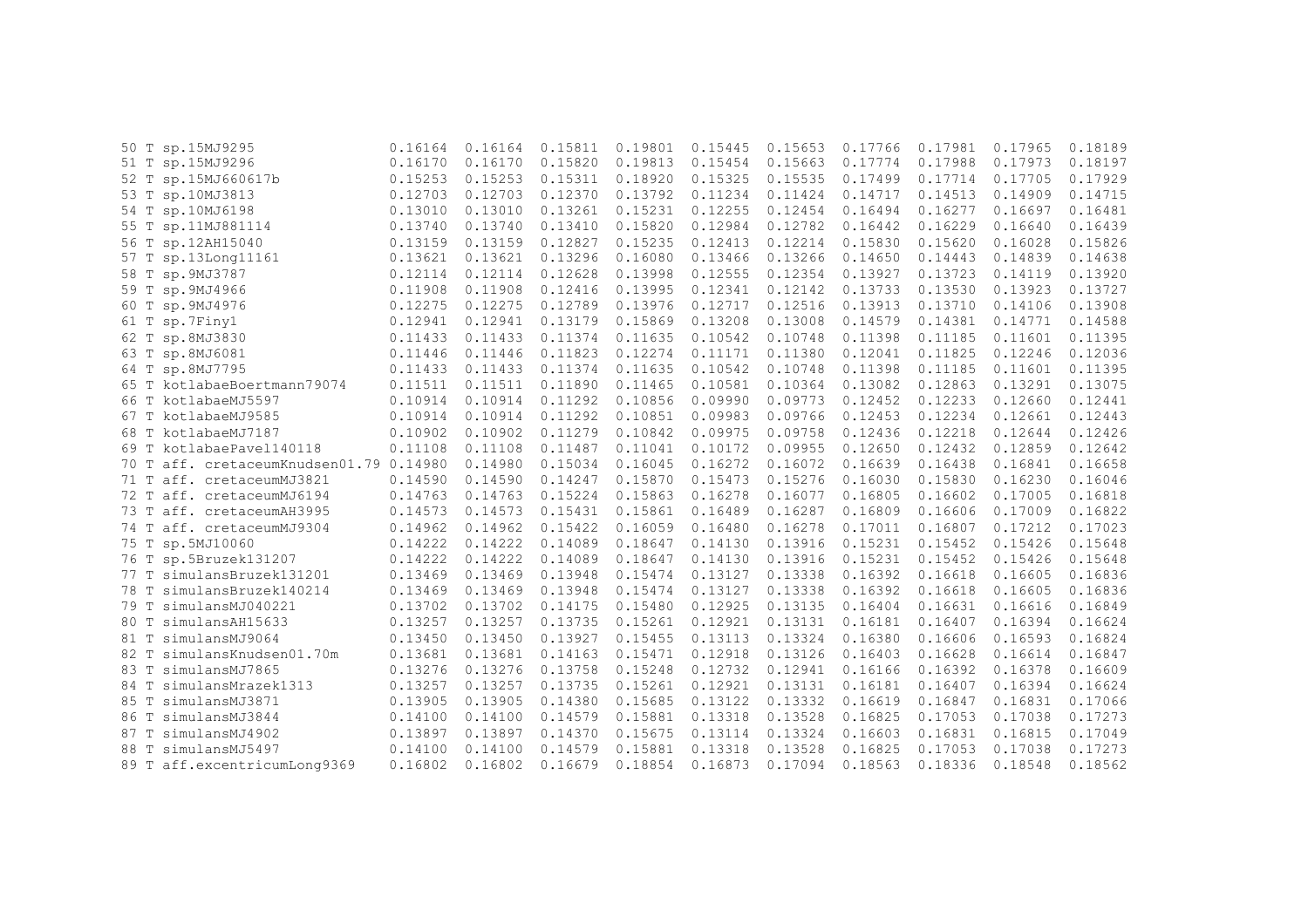|      | 50 T sp.15MJ9295                   | 0.16164 | 0.16164 | 0.15811 | 0.19801 | 0.15445 | 0.15653 | 0.17766 | 0.17981 | 0.17965 | 0.18189 |
|------|------------------------------------|---------|---------|---------|---------|---------|---------|---------|---------|---------|---------|
|      | 51 T sp.15MJ9296                   | 0.16170 | 0.16170 | 0.15820 | 0.19813 | 0.15454 | 0.15663 | 0.17774 | 0.17988 | 0.17973 | 0.18197 |
|      | 52 T sp.15MJ660617b                | 0.15253 | 0.15253 | 0.15311 | 0.18920 | 0.15325 | 0.15535 | 0.17499 | 0.17714 | 0.17705 | 0.17929 |
|      | 53 T sp.10MJ3813                   | 0.12703 | 0.12703 | 0.12370 | 0.13792 | 0.11234 | 0.11424 | 0.14717 | 0.14513 | 0.14909 | 0.14715 |
|      | 54 T sp.10MJ6198                   | 0.13010 | 0.13010 | 0.13261 | 0.15231 | 0.12255 | 0.12454 | 0.16494 | 0.16277 | 0.16697 | 0.16481 |
| 55 T | sp.11MJ881114                      | 0.13740 | 0.13740 | 0.13410 | 0.15820 | 0.12984 | 0.12782 | 0.16442 | 0.16229 | 0.16640 | 0.16439 |
|      | 56 T sp.12AH15040                  | 0.13159 | 0.13159 | 0.12827 | 0.15235 | 0.12413 | 0.12214 | 0.15830 | 0.15620 | 0.16028 | 0.15826 |
|      | 57 T sp.13Long11161                | 0.13621 | 0.13621 | 0.13296 | 0.16080 | 0.13466 | 0.13266 | 0.14650 | 0.14443 | 0.14839 | 0.14638 |
|      | 58 T sp. 9MJ3787                   | 0.12114 | 0.12114 | 0.12628 | 0.13998 | 0.12555 | 0.12354 | 0.13927 | 0.13723 | 0.14119 | 0.13920 |
|      | 59 T sp. 9MJ4966                   | 0.11908 | 0.11908 | 0.12416 | 0.13995 | 0.12341 | 0.12142 | 0.13733 | 0.13530 | 0.13923 | 0.13727 |
| 60 T | sp.9MJ4976                         | 0.12275 | 0.12275 | 0.12789 | 0.13976 | 0.12717 | 0.12516 | 0.13913 | 0.13710 | 0.14106 | 0.13908 |
|      | 61 T sp.7Finy1                     | 0.12941 | 0.12941 | 0.13179 | 0.15869 | 0.13208 | 0.13008 | 0.14579 | 0.14381 | 0.14771 | 0.14588 |
|      | 62 T sp.8MJ3830                    | 0.11433 | 0.11433 | 0.11374 | 0.11635 | 0.10542 | 0.10748 | 0.11398 | 0.11185 | 0.11601 | 0.11395 |
|      | 63 T sp.8MJ6081                    | 0.11446 | 0.11446 | 0.11823 | 0.12274 | 0.11171 | 0.11380 | 0.12041 | 0.11825 | 0.12246 | 0.12036 |
|      | 64 T sp.8MJ7795                    | 0.11433 | 0.11433 | 0.11374 | 0.11635 | 0.10542 | 0.10748 | 0.11398 | 0.11185 | 0.11601 | 0.11395 |
|      | 65 T kotlabaeBoertmann79074        | 0.11511 | 0.11511 | 0.11890 | 0.11465 | 0.10581 | 0.10364 | 0.13082 | 0.12863 | 0.13291 | 0.13075 |
| 66 T | kotlabaeMJ5597                     | 0.10914 | 0.10914 | 0.11292 | 0.10856 | 0.09990 | 0.09773 | 0.12452 | 0.12233 | 0.12660 | 0.12441 |
| 67 T | kotlabaeMJ9585                     | 0.10914 | 0.10914 | 0.11292 | 0.10851 | 0.09983 | 0.09766 | 0.12453 | 0.12234 | 0.12661 | 0.12443 |
| 68 T | kotlabaeMJ7187                     | 0.10902 | 0.10902 | 0.11279 | 0.10842 | 0.09975 | 0.09758 | 0.12436 | 0.12218 | 0.12644 | 0.12426 |
| 69 T | kotlabaePavel140118                | 0.11108 | 0.11108 | 0.11487 | 0.11041 | 0.10172 | 0.09955 | 0.12650 | 0.12432 | 0.12859 | 0.12642 |
| 70 T | aff. cretaceumKnudsen01.79 0.14980 |         | 0.14980 | 0.15034 | 0.16045 | 0.16272 | 0.16072 | 0.16639 | 0.16438 | 0.16841 | 0.16658 |
|      | 71 T aff. cretaceumMJ3821          | 0.14590 | 0.14590 | 0.14247 | 0.15870 | 0.15473 | 0.15276 | 0.16030 | 0.15830 | 0.16230 | 0.16046 |
| 72 T | aff. cretaceumMJ6194               | 0.14763 | 0.14763 | 0.15224 | 0.15863 | 0.16278 | 0.16077 | 0.16805 | 0.16602 | 0.17005 | 0.16818 |
|      | 73 T aff. cretaceumAH3995          | 0.14573 | 0.14573 | 0.15431 | 0.15861 | 0.16489 | 0.16287 | 0.16809 | 0.16606 | 0.17009 | 0.16822 |
|      | 74 T aff. cretaceumMJ9304          | 0.14962 | 0.14962 | 0.15422 | 0.16059 | 0.16480 | 0.16278 | 0.17011 | 0.16807 | 0.17212 | 0.17023 |
|      | 75 T sp.5MJ10060                   | 0.14222 | 0.14222 | 0.14089 | 0.18647 | 0.14130 | 0.13916 | 0.15231 | 0.15452 | 0.15426 | 0.15648 |
| 76 T | sp.5Bruzek131207                   | 0.14222 | 0.14222 | 0.14089 | 0.18647 | 0.14130 | 0.13916 | 0.15231 | 0.15452 | 0.15426 | 0.15648 |
|      | 77 T simulansBruzek131201          | 0.13469 | 0.13469 | 0.13948 | 0.15474 | 0.13127 | 0.13338 | 0.16392 | 0.16618 | 0.16605 | 0.16836 |
|      | 78 T simulansBruzek140214          | 0.13469 | 0.13469 | 0.13948 | 0.15474 | 0.13127 | 0.13338 | 0.16392 | 0.16618 | 0.16605 | 0.16836 |
| 79 T | simulansMJ040221                   | 0.13702 | 0.13702 | 0.14175 | 0.15480 | 0.12925 | 0.13135 | 0.16404 | 0.16631 | 0.16616 | 0.16849 |
| 80 T | simulansAH15633                    | 0.13257 | 0.13257 | 0.13735 | 0.15261 | 0.12921 | 0.13131 | 0.16181 | 0.16407 | 0.16394 | 0.16624 |
| 81 T | simulansMJ9064                     | 0.13450 | 0.13450 | 0.13927 | 0.15455 | 0.13113 | 0.13324 | 0.16380 | 0.16606 | 0.16593 | 0.16824 |
| 82 T | simulansKnudsen01.70m              | 0.13681 | 0.13681 | 0.14163 | 0.15471 | 0.12918 | 0.13126 | 0.16403 | 0.16628 | 0.16614 | 0.16847 |
| 83 T | simulansMJ7865                     | 0.13276 | 0.13276 | 0.13758 | 0.15248 | 0.12732 | 0.12941 | 0.16166 | 0.16392 | 0.16378 | 0.16609 |
| 84 T | simulansMrazek1313                 | 0.13257 | 0.13257 | 0.13735 | 0.15261 | 0.12921 | 0.13131 | 0.16181 | 0.16407 | 0.16394 | 0.16624 |
| 85 T | simulansMJ3871                     | 0.13905 | 0.13905 | 0.14380 | 0.15685 | 0.13122 | 0.13332 | 0.16619 | 0.16847 | 0.16831 | 0.17066 |
| 86 T | simulansMJ3844                     | 0.14100 | 0.14100 | 0.14579 | 0.15881 | 0.13318 | 0.13528 | 0.16825 | 0.17053 | 0.17038 | 0.17273 |
| 87 T | simulansMJ4902                     | 0.13897 | 0.13897 | 0.14370 | 0.15675 | 0.13114 | 0.13324 | 0.16603 | 0.16831 | 0.16815 | 0.17049 |
| 88 T | simulansMJ5497                     | 0.14100 | 0.14100 | 0.14579 | 0.15881 | 0.13318 | 0.13528 | 0.16825 | 0.17053 | 0.17038 | 0.17273 |
|      | 89 T aff.excentricumLong9369       | 0.16802 | 0.16802 | 0.16679 | 0.18854 | 0.16873 | 0.17094 | 0.18563 | 0.18336 | 0.18548 | 0.18562 |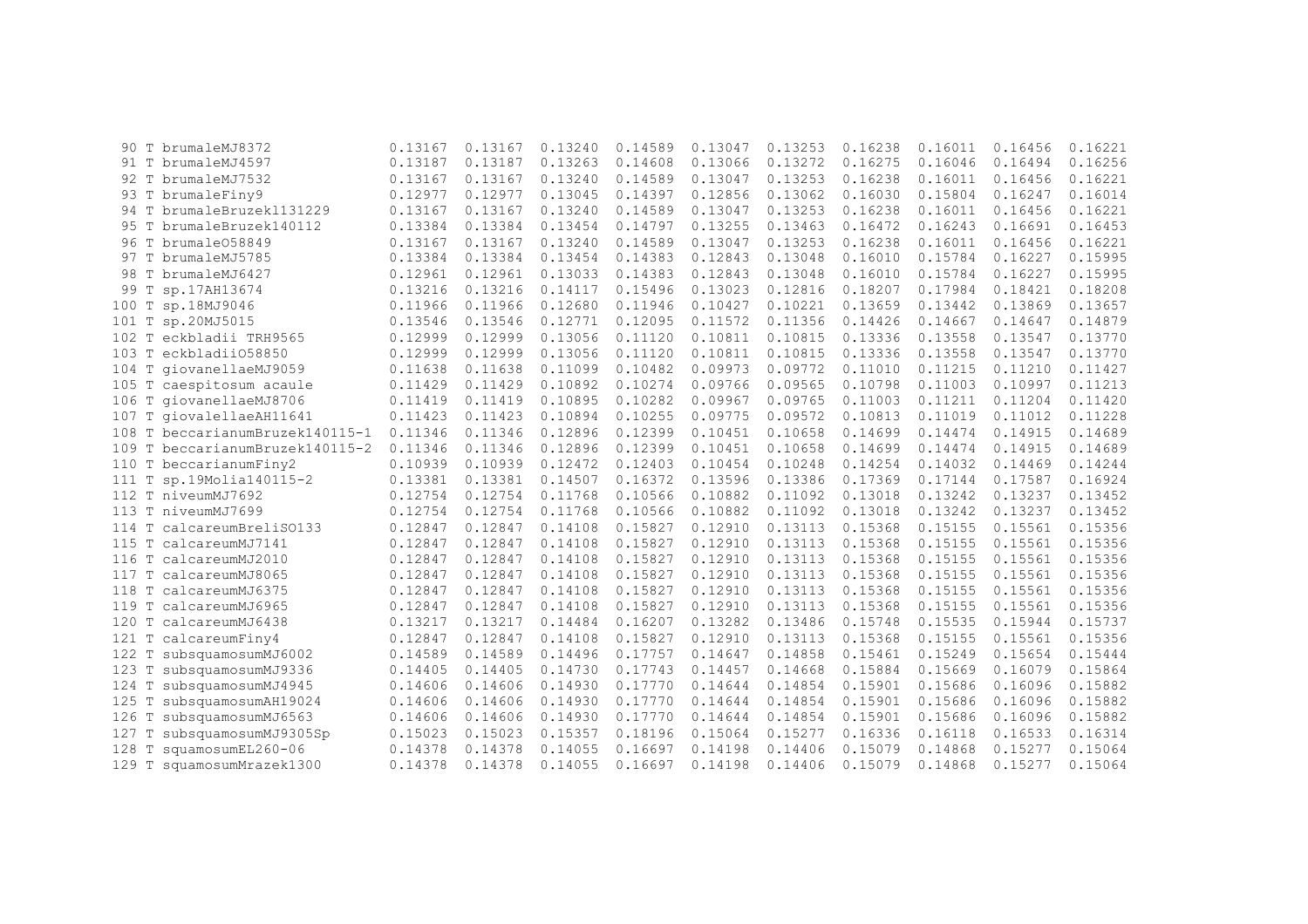| 90.     |   | T brumaleMJ8372                 | 0.13167 | 0.13167 | 0.13240 | 0.14589 | 0.13047 | 0.13253 | 0.16238 | 0.16011 | 0.16456 | 0.16221 |
|---------|---|---------------------------------|---------|---------|---------|---------|---------|---------|---------|---------|---------|---------|
|         |   | 91 T brumaleMJ4597              | 0.13187 | 0.13187 | 0.13263 | 0.14608 | 0.13066 | 0.13272 | 0.16275 | 0.16046 | 0.16494 | 0.16256 |
|         |   | 92 T brumaleMJ7532              | 0.13167 | 0.13167 | 0.13240 | 0.14589 | 0.13047 | 0.13253 | 0.16238 | 0.16011 | 0.16456 | 0.16221 |
|         |   | 93 T brumaleFiny9               | 0.12977 | 0.12977 | 0.13045 | 0.14397 | 0.12856 | 0.13062 | 0.16030 | 0.15804 | 0.16247 | 0.16014 |
|         |   | 94 T brumaleBruzek1131229       | 0.13167 | 0.13167 | 0.13240 | 0.14589 | 0.13047 | 0.13253 | 0.16238 | 0.16011 | 0.16456 | 0.16221 |
| 95 T    |   | brumaleBruzek140112             | 0.13384 | 0.13384 | 0.13454 | 0.14797 | 0.13255 | 0.13463 | 0.16472 | 0.16243 | 0.16691 | 0.16453 |
| 96 T    |   | brumale058849                   | 0.13167 | 0.13167 | 0.13240 | 0.14589 | 0.13047 | 0.13253 | 0.16238 | 0.16011 | 0.16456 | 0.16221 |
|         |   | 97 T brumaleMJ5785              | 0.13384 | 0.13384 | 0.13454 | 0.14383 | 0.12843 | 0.13048 | 0.16010 | 0.15784 | 0.16227 | 0.15995 |
|         |   | 98 T brumaleMJ6427              | 0.12961 | 0.12961 | 0.13033 | 0.14383 | 0.12843 | 0.13048 | 0.16010 | 0.15784 | 0.16227 | 0.15995 |
| 99 T    |   | sp.17AH13674                    | 0.13216 | 0.13216 | 0.14117 | 0.15496 | 0.13023 | 0.12816 | 0.18207 | 0.17984 | 0.18421 | 0.18208 |
| 100     | T | sp.18MJ9046                     | 0.11966 | 0.11966 | 0.12680 | 0.11946 | 0.10427 | 0.10221 | 0.13659 | 0.13442 | 0.13869 | 0.13657 |
| 101 T   |   | sp.20MJ5015                     | 0.13546 | 0.13546 | 0.12771 | 0.12095 | 0.11572 | 0.11356 | 0.14426 | 0.14667 | 0.14647 | 0.14879 |
| $102$ T |   | eckbladii TRH9565               | 0.12999 | 0.12999 | 0.13056 | 0.11120 | 0.10811 | 0.10815 | 0.13336 | 0.13558 | 0.13547 | 0.13770 |
| 103 T   |   | eckbladii058850                 | 0.12999 | 0.12999 | 0.13056 | 0.11120 | 0.10811 | 0.10815 | 0.13336 | 0.13558 | 0.13547 | 0.13770 |
| $104$ T |   | qiovanellaeMJ9059               | 0.11638 | 0.11638 | 0.11099 | 0.10482 | 0.09973 | 0.09772 | 0.11010 | 0.11215 | 0.11210 | 0.11427 |
|         |   | 105 T caespitosum acaule        | 0.11429 | 0.11429 | 0.10892 | 0.10274 | 0.09766 | 0.09565 | 0.10798 | 0.11003 | 0.10997 | 0.11213 |
|         |   | 106 T giovanellaeMJ8706         | 0.11419 | 0.11419 | 0.10895 | 0.10282 | 0.09967 | 0.09765 | 0.11003 | 0.11211 | 0.11204 | 0.11420 |
| 107 T   |   | qiovalellaeAH11641              | 0.11423 | 0.11423 | 0.10894 | 0.10255 | 0.09775 | 0.09572 | 0.10813 | 0.11019 | 0.11012 | 0.11228 |
|         |   | 108 T beccarianumBruzek140115-1 | 0.11346 | 0.11346 | 0.12896 | 0.12399 | 0.10451 | 0.10658 | 0.14699 | 0.14474 | 0.14915 | 0.14689 |
|         |   | 109 T beccarianumBruzek140115-2 | 0.11346 | 0.11346 | 0.12896 | 0.12399 | 0.10451 | 0.10658 | 0.14699 | 0.14474 | 0.14915 | 0.14689 |
|         |   | 110 T beccarianumFiny2          | 0.10939 | 0.10939 | 0.12472 | 0.12403 | 0.10454 | 0.10248 | 0.14254 | 0.14032 | 0.14469 | 0.14244 |
| 111 T   |   | sp.19Molia140115-2              | 0.13381 | 0.13381 | 0.14507 | 0.16372 | 0.13596 | 0.13386 | 0.17369 | 0.17144 | 0.17587 | 0.16924 |
| 112 T   |   | niveumMJ7692                    | 0.12754 | 0.12754 | 0.11768 | 0.10566 | 0.10882 | 0.11092 | 0.13018 | 0.13242 | 0.13237 | 0.13452 |
| 113 T   |   | niveumMJ7699                    | 0.12754 | 0.12754 | 0.11768 | 0.10566 | 0.10882 | 0.11092 | 0.13018 | 0.13242 | 0.13237 | 0.13452 |
| 114 T   |   | calcareumBreliS0133             | 0.12847 | 0.12847 | 0.14108 | 0.15827 | 0.12910 | 0.13113 | 0.15368 | 0.15155 | 0.15561 | 0.15356 |
| 115 T   |   | calcareumMJ7141                 | 0.12847 | 0.12847 | 0.14108 | 0.15827 | 0.12910 | 0.13113 | 0.15368 | 0.15155 | 0.15561 | 0.15356 |
| 116 T   |   | calcareumMJ2010                 | 0.12847 | 0.12847 | 0.14108 | 0.15827 | 0.12910 | 0.13113 | 0.15368 | 0.15155 | 0.15561 | 0.15356 |
|         |   | 117 T calcareumMJ8065           | 0.12847 | 0.12847 | 0.14108 | 0.15827 | 0.12910 | 0.13113 | 0.15368 | 0.15155 | 0.15561 | 0.15356 |
| 118 T   |   | calcareumMJ6375                 | 0.12847 | 0.12847 | 0.14108 | 0.15827 | 0.12910 | 0.13113 | 0.15368 | 0.15155 | 0.15561 | 0.15356 |
| 119 T   |   | calcareumMJ6965                 | 0.12847 | 0.12847 | 0.14108 | 0.15827 | 0.12910 | 0.13113 | 0.15368 | 0.15155 | 0.15561 | 0.15356 |
| 120 T   |   | calcareumMJ6438                 | 0.13217 | 0.13217 | 0.14484 | 0.16207 | 0.13282 | 0.13486 | 0.15748 | 0.15535 | 0.15944 | 0.15737 |
| 121 T   |   | calcareumFiny4                  | 0.12847 | 0.12847 | 0.14108 | 0.15827 | 0.12910 | 0.13113 | 0.15368 | 0.15155 | 0.15561 | 0.15356 |
| 122 T   |   | subsquamosumMJ6002              | 0.14589 | 0.14589 | 0.14496 | 0.17757 | 0.14647 | 0.14858 | 0.15461 | 0.15249 | 0.15654 | 0.15444 |
| 123 T   |   | subsquamosumMJ9336              | 0.14405 | 0.14405 | 0.14730 | 0.17743 | 0.14457 | 0.14668 | 0.15884 | 0.15669 | 0.16079 | 0.15864 |
| 124 T   |   | subsquamosumMJ4945              | 0.14606 | 0.14606 | 0.14930 | 0.17770 | 0.14644 | 0.14854 | 0.15901 | 0.15686 | 0.16096 | 0.15882 |
| 125 T   |   | subsquamosumAH19024             | 0.14606 | 0.14606 | 0.14930 | 0.17770 | 0.14644 | 0.14854 | 0.15901 | 0.15686 | 0.16096 | 0.15882 |
| 126     |   | subsquamosumMJ6563              | 0.14606 | 0.14606 | 0.14930 | 0.17770 | 0.14644 | 0.14854 | 0.15901 | 0.15686 | 0.16096 | 0.15882 |
| 127     |   | subsquamosumMJ9305Sp            | 0.15023 | 0.15023 | 0.15357 | 0.18196 | 0.15064 | 0.15277 | 0.16336 | 0.16118 | 0.16533 | 0.16314 |
| 128     |   | squamosumEL260-06               | 0.14378 | 0.14378 | 0.14055 | 0.16697 | 0.14198 | 0.14406 | 0.15079 | 0.14868 | 0.15277 | 0.15064 |
| 129 T   |   | squamosumMrazek1300             | 0.14378 | 0.14378 | 0.14055 | 0.16697 | 0.14198 | 0.14406 | 0.15079 | 0.14868 | 0.15277 | 0.15064 |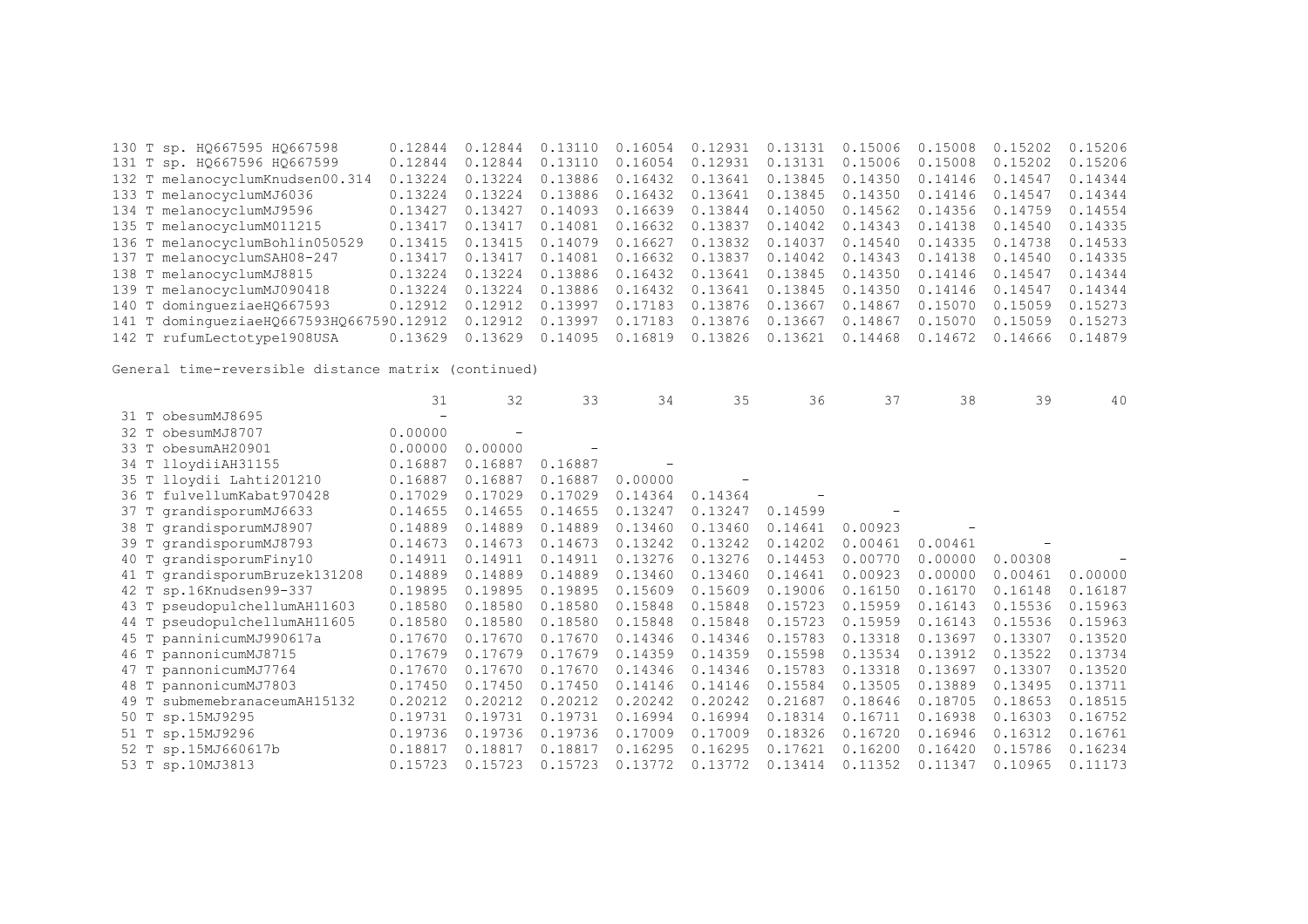|  | 130 T sp. HQ667595 HQ667598              | 0.12844 | 0.12844         | 0.13110                                   |                 | $0.16054$ 0.12931 0.13131 0.15006       |                           |         | 0.15008         | 0.15202 | 0.15206 |
|--|------------------------------------------|---------|-----------------|-------------------------------------------|-----------------|-----------------------------------------|---------------------------|---------|-----------------|---------|---------|
|  | 131 T sp. HQ667596 HQ667599              | 0.12844 | 0.12844         | 0.13110                                   | 0.16054         | 0.12931                                 | 0.13131                   | 0.15006 | 0.15008         | 0.15202 | 0.15206 |
|  | 132 T melanocyclumKnudsen00.314          | 0.13224 | 0.13224         | 0.13886                                   | 0.16432 0.13641 |                                         | 0.13845                   | 0.14350 | 0.14146         | 0.14547 | 0.14344 |
|  | 133 T melanocyclumMJ6036                 | 0.13224 | 0.13224         | 0.13886                                   | 0.16432 0.13641 |                                         | 0.13845 0.14350           |         | 0.14146         | 0.14547 | 0.14344 |
|  | 134 T melanocyclumMJ9596                 | 0.13427 | 0.13427 0.14093 |                                           | 0.16639 0.13844 |                                         | 0.14050 0.14562           |         | 0.14356 0.14759 |         | 0.14554 |
|  | 135 T melanocyclumM011215                | 0.13417 | 0.13417 0.14081 |                                           |                 | $0.16632$ $0.13837$ $0.14042$ $0.14343$ |                           |         | 0.14138         | 0.14540 | 0.14335 |
|  | 136 T melanocyclumBohlin050529           | 0.13415 | 0.13415 0.14079 |                                           | 0.16627 0.13832 |                                         | 0.14037                   | 0.14540 | 0.14335         | 0.14738 | 0.14533 |
|  | 137 T melanocyclumSAH08-247              | 0.13417 |                 | 0.13417  0.14081  0.16632  0.13837        |                 |                                         | 0.14042  0.14343  0.14138 |         |                 | 0.14540 | 0.14335 |
|  | 138 T melanocyclumMJ8815                 | 0.13224 | 0.13224         | 0.13886                                   | 0.16432 0.13641 |                                         | 0.13845 0.14350           |         | 0.14146         | 0.14547 | 0.14344 |
|  | 139 T melanocyclumMJ090418               | 0.13224 |                 | 0.13224 0.13886 0.16432 0.13641           |                 |                                         | 0.13845 0.14350           |         | 0.14146 0.14547 |         | 0.14344 |
|  | 140 T dominqueziaeH0667593               | 0.12912 | 0.12912 0.13997 |                                           | 0.17183 0.13876 |                                         | 0.13667 0.14867           |         | 0.15070         | 0.15059 | 0.15273 |
|  | 141 T dominqueziaeHQ667593HQ667590.12912 |         | 0.12912 0.13997 |                                           | 0.17183 0.13876 |                                         | 0.13667                   | 0.14867 | 0.15070         | 0.15059 | 0.15273 |
|  | 142 T rufumLectotype1908USA              | 0.13629 |                 | $0.13629$ 0.14095 0.16819 0.13826 0.13621 |                 |                                         |                           | 0.14468 | 0.14672         | 0.14666 | 0.14879 |

|                                 | 31      | 32      | 33      | 34      | 35      | 36      | 37      | 38      | 39      | 40      |
|---------------------------------|---------|---------|---------|---------|---------|---------|---------|---------|---------|---------|
| 31 T obesumMJ8695               |         |         |         |         |         |         |         |         |         |         |
| obesumMJ8707<br>32 T            | 0.00000 |         |         |         |         |         |         |         |         |         |
| 33 T obesumAH20901              | 0.00000 | 0.00000 |         |         |         |         |         |         |         |         |
| 34 T lloydiiAH31155             | 0.16887 | 0.16887 | 0.16887 |         |         |         |         |         |         |         |
| 35 T lloydii Lahti201210        | 0.16887 | 0.16887 | 0.16887 | 0.00000 |         |         |         |         |         |         |
| 36 T fulvellumKabat970428       | 0.17029 | 0.17029 | 0.17029 | 0.14364 | 0.14364 |         |         |         |         |         |
| 37 T grandisporumMJ6633         | 0.14655 | 0.14655 | 0.14655 | 0.13247 | 0.13247 | 0.14599 |         |         |         |         |
| 38 T grandisporumMJ8907         | 0.14889 | 0.14889 | 0.14889 | 0.13460 | 0.13460 | 0.14641 | 0.00923 |         |         |         |
| 39 T grandisporumMJ8793         | 0.14673 | 0.14673 | 0.14673 | 0.13242 | 0.13242 | 0.14202 | 0.00461 | 0.00461 |         |         |
| 40 T grandisporumFiny10         | 0.14911 | 0.14911 | 0.14911 | 0.13276 | 0.13276 | 0.14453 | 0.00770 | 0.00000 | 0.00308 |         |
| 41 T grandisporumBruzek131208   | 0.14889 | 0.14889 | 0.14889 | 0.13460 | 0.13460 | 0.14641 | 0.00923 | 0.00000 | 0.00461 | 0.00000 |
| 42 T sp.16Knudsen99-337         | 0.19895 | 0.19895 | 0.19895 | 0.15609 | 0.15609 | 0.19006 | 0.16150 | 0.16170 | 0.16148 | 0.16187 |
| 43 T pseudopulchellumAH11603    | 0.18580 | 0.18580 | 0.18580 | 0.15848 | 0.15848 | 0.15723 | 0.15959 | 0.16143 | 0.15536 | 0.15963 |
| 44 T pseudopulchellumAH11605    | 0.18580 | 0.18580 | 0.18580 | 0.15848 | 0.15848 | 0.15723 | 0.15959 | 0.16143 | 0.15536 | 0.15963 |
| 45 T panninicumMJ990617a        | 0.17670 | 0.17670 | 0.17670 | 0.14346 | 0.14346 | 0.15783 | 0.13318 | 0.13697 | 0.13307 | 0.13520 |
| 46 T pannonicumMJ8715           | 0.17679 | 0.17679 | 0.17679 | 0.14359 | 0.14359 | 0.15598 | 0.13534 | 0.13912 | 0.13522 | 0.13734 |
| 47 T pannonicumMJ7764           | 0.17670 | 0.17670 | 0.17670 | 0.14346 | 0.14346 | 0.15783 | 0.13318 | 0.13697 | 0.13307 | 0.13520 |
| 48 T pannonicumMJ7803           | 0.17450 | 0.17450 | 0.17450 | 0.14146 | 0.14146 | 0.15584 | 0.13505 | 0.13889 | 0.13495 | 0.13711 |
| submemebranaceumAH15132<br>49 T | 0.20212 | 0.20212 | 0.20212 | 0.20242 | 0.20242 | 0.21687 | 0.18646 | 0.18705 | 0.18653 | 0.18515 |
| 50 T sp.15MJ9295                | 0.19731 | 0.19731 | 0.19731 | 0.16994 | 0.16994 | 0.18314 | 0.16711 | 0.16938 | 0.16303 | 0.16752 |
| 51 T sp.15MJ9296                | 0.19736 | 0.19736 | 0.19736 | 0.17009 | 0.17009 | 0.18326 | 0.16720 | 0.16946 | 0.16312 | 0.16761 |
| 52 T sp.15MJ660617b             | 0.18817 | 0.18817 | 0.18817 | 0.16295 | 0.16295 | 0.17621 | 0.16200 | 0.16420 | 0.15786 | 0.16234 |
| 53 T sp.10MJ3813                | 0.15723 | 0.15723 | 0.15723 | 0.13772 | 0.13772 | 0.13414 | 0.11352 | 0.11347 | 0.10965 | 0.11173 |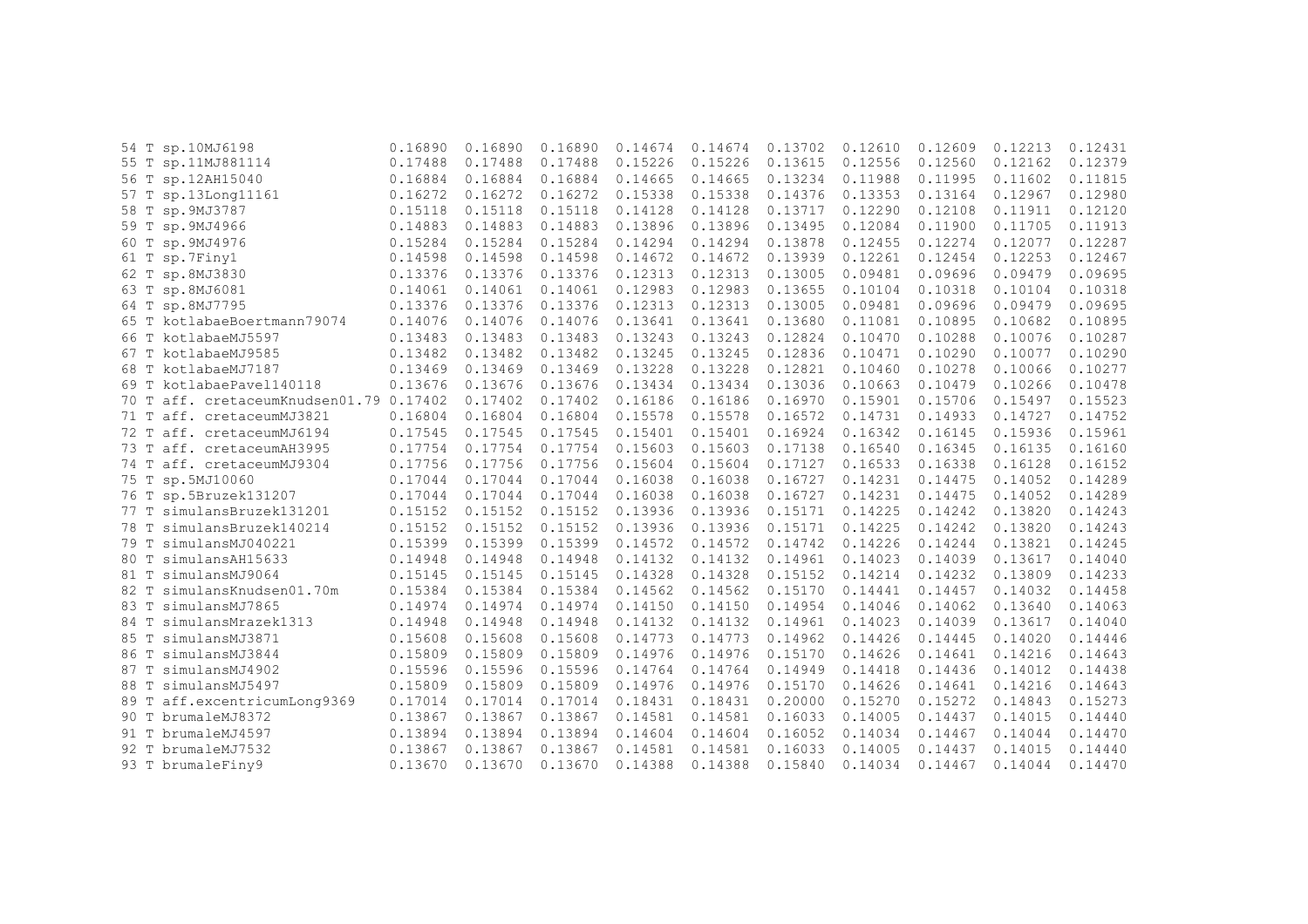|      | 54 T sp.10MJ6198                   | 0.16890 | 0.16890 | 0.16890 | 0.14674 | 0.14674 | 0.13702 | 0.12610 | 0.12609 | 0.12213 | 0.12431 |
|------|------------------------------------|---------|---------|---------|---------|---------|---------|---------|---------|---------|---------|
|      | 55 T sp.11MJ881114                 | 0.17488 | 0.17488 | 0.17488 | 0.15226 | 0.15226 | 0.13615 | 0.12556 | 0.12560 | 0.12162 | 0.12379 |
| 56 T | sp.12AH15040                       | 0.16884 | 0.16884 | 0.16884 | 0.14665 | 0.14665 | 0.13234 | 0.11988 | 0.11995 | 0.11602 | 0.11815 |
|      | 57 T sp.13Long11161                | 0.16272 | 0.16272 | 0.16272 | 0.15338 | 0.15338 | 0.14376 | 0.13353 | 0.13164 | 0.12967 | 0.12980 |
|      | 58 T sp. 9MJ3787                   | 0.15118 | 0.15118 | 0.15118 | 0.14128 | 0.14128 | 0.13717 | 0.12290 | 0.12108 | 0.11911 | 0.12120 |
|      | 59 T sp. 9MJ4966                   | 0.14883 | 0.14883 | 0.14883 | 0.13896 | 0.13896 | 0.13495 | 0.12084 | 0.11900 | 0.11705 | 0.11913 |
| 60 T | sp.9MJ4976                         | 0.15284 | 0.15284 | 0.15284 | 0.14294 | 0.14294 | 0.13878 | 0.12455 | 0.12274 | 0.12077 | 0.12287 |
|      | 61 T sp.7Finy1                     | 0.14598 | 0.14598 | 0.14598 | 0.14672 | 0.14672 | 0.13939 | 0.12261 | 0.12454 | 0.12253 | 0.12467 |
|      | 62 T sp.8MJ3830                    | 0.13376 | 0.13376 | 0.13376 | 0.12313 | 0.12313 | 0.13005 | 0.09481 | 0.09696 | 0.09479 | 0.09695 |
|      | 63 T sp.8MJ6081                    | 0.14061 | 0.14061 | 0.14061 | 0.12983 | 0.12983 | 0.13655 | 0.10104 | 0.10318 | 0.10104 | 0.10318 |
| 64 T | sp.8MJ7795                         | 0.13376 | 0.13376 | 0.13376 | 0.12313 | 0.12313 | 0.13005 | 0.09481 | 0.09696 | 0.09479 | 0.09695 |
|      | 65 T kotlabaeBoertmann79074        | 0.14076 | 0.14076 | 0.14076 | 0.13641 | 0.13641 | 0.13680 | 0.11081 | 0.10895 | 0.10682 | 0.10895 |
| 66 T | kotlabaeMJ5597                     | 0.13483 | 0.13483 | 0.13483 | 0.13243 | 0.13243 | 0.12824 | 0.10470 | 0.10288 | 0.10076 | 0.10287 |
| 67 T | kotlabaeMJ9585                     | 0.13482 | 0.13482 | 0.13482 | 0.13245 | 0.13245 | 0.12836 | 0.10471 | 0.10290 | 0.10077 | 0.10290 |
| 68 T | kotlabaeMJ7187                     | 0.13469 | 0.13469 | 0.13469 | 0.13228 | 0.13228 | 0.12821 | 0.10460 | 0.10278 | 0.10066 | 0.10277 |
| 69 T | kotlabaePavel140118                | 0.13676 | 0.13676 | 0.13676 | 0.13434 | 0.13434 | 0.13036 | 0.10663 | 0.10479 | 0.10266 | 0.10478 |
| 70 T | aff. cretaceumKnudsen01.79 0.17402 |         | 0.17402 | 0.17402 | 0.16186 | 0.16186 | 0.16970 | 0.15901 | 0.15706 | 0.15497 | 0.15523 |
| 71 T | aff. cretaceumMJ3821               | 0.16804 | 0.16804 | 0.16804 | 0.15578 | 0.15578 | 0.16572 | 0.14731 | 0.14933 | 0.14727 | 0.14752 |
| 72 T | aff. cretaceumMJ6194               | 0.17545 | 0.17545 | 0.17545 | 0.15401 | 0.15401 | 0.16924 | 0.16342 | 0.16145 | 0.15936 | 0.15961 |
|      | 73 T aff. cretaceumAH3995          | 0.17754 | 0.17754 | 0.17754 | 0.15603 | 0.15603 | 0.17138 | 0.16540 | 0.16345 | 0.16135 | 0.16160 |
|      | 74 T aff. cretaceumMJ9304          | 0.17756 | 0.17756 | 0.17756 | 0.15604 | 0.15604 | 0.17127 | 0.16533 | 0.16338 | 0.16128 | 0.16152 |
|      | 75 T sp.5MJ10060                   | 0.17044 | 0.17044 | 0.17044 | 0.16038 | 0.16038 | 0.16727 | 0.14231 | 0.14475 | 0.14052 | 0.14289 |
|      | 76 T sp.5Bruzek131207              | 0.17044 | 0.17044 | 0.17044 | 0.16038 | 0.16038 | 0.16727 | 0.14231 | 0.14475 | 0.14052 | 0.14289 |
|      | 77 T simulansBruzek131201          | 0.15152 | 0.15152 | 0.15152 | 0.13936 | 0.13936 | 0.15171 | 0.14225 | 0.14242 | 0.13820 | 0.14243 |
| 78 T | simulansBruzek140214               | 0.15152 | 0.15152 | 0.15152 | 0.13936 | 0.13936 | 0.15171 | 0.14225 | 0.14242 | 0.13820 | 0.14243 |
| 79 T | simulansMJ040221                   | 0.15399 | 0.15399 | 0.15399 | 0.14572 | 0.14572 | 0.14742 | 0.14226 | 0.14244 | 0.13821 | 0.14245 |
| 80 T | simulansAH15633                    | 0.14948 | 0.14948 | 0.14948 | 0.14132 | 0.14132 | 0.14961 | 0.14023 | 0.14039 | 0.13617 | 0.14040 |
| 81 T | simulansMJ9064                     | 0.15145 | 0.15145 | 0.15145 | 0.14328 | 0.14328 | 0.15152 | 0.14214 | 0.14232 | 0.13809 | 0.14233 |
| 82 T | simulansKnudsen01.70m              | 0.15384 | 0.15384 | 0.15384 | 0.14562 | 0.14562 | 0.15170 | 0.14441 | 0.14457 | 0.14032 | 0.14458 |
| 83 T | simulansMJ7865                     | 0.14974 | 0.14974 | 0.14974 | 0.14150 | 0.14150 | 0.14954 | 0.14046 | 0.14062 | 0.13640 | 0.14063 |
| 84 T | simulansMrazek1313                 | 0.14948 | 0.14948 | 0.14948 | 0.14132 | 0.14132 | 0.14961 | 0.14023 | 0.14039 | 0.13617 | 0.14040 |
| 85 T | simulansMJ3871                     | 0.15608 | 0.15608 | 0.15608 | 0.14773 | 0.14773 | 0.14962 | 0.14426 | 0.14445 | 0.14020 | 0.14446 |
| 86 T | simulansMJ3844                     | 0.15809 | 0.15809 | 0.15809 | 0.14976 | 0.14976 | 0.15170 | 0.14626 | 0.14641 | 0.14216 | 0.14643 |
| 87 T | simulansMJ4902                     | 0.15596 | 0.15596 | 0.15596 | 0.14764 | 0.14764 | 0.14949 | 0.14418 | 0.14436 | 0.14012 | 0.14438 |
| 88 T | simulansMJ5497                     | 0.15809 | 0.15809 | 0.15809 | 0.14976 | 0.14976 | 0.15170 | 0.14626 | 0.14641 | 0.14216 | 0.14643 |
|      | 89 T aff.excentricumLong9369       | 0.17014 | 0.17014 | 0.17014 | 0.18431 | 0.18431 | 0.20000 | 0.15270 | 0.15272 | 0.14843 | 0.15273 |
| 90 T | brumaleMJ8372                      | 0.13867 | 0.13867 | 0.13867 | 0.14581 | 0.14581 | 0.16033 | 0.14005 | 0.14437 | 0.14015 | 0.14440 |
| 91 T | brumaleMJ4597                      | 0.13894 | 0.13894 | 0.13894 | 0.14604 | 0.14604 | 0.16052 | 0.14034 | 0.14467 | 0.14044 | 0.14470 |
| 92 T | brumaleMJ7532                      | 0.13867 | 0.13867 | 0.13867 | 0.14581 | 0.14581 | 0.16033 | 0.14005 | 0.14437 | 0.14015 | 0.14440 |
|      | 93 T brumaleFiny9                  | 0.13670 | 0.13670 | 0.13670 | 0.14388 | 0.14388 | 0.15840 | 0.14034 | 0.14467 | 0.14044 | 0.14470 |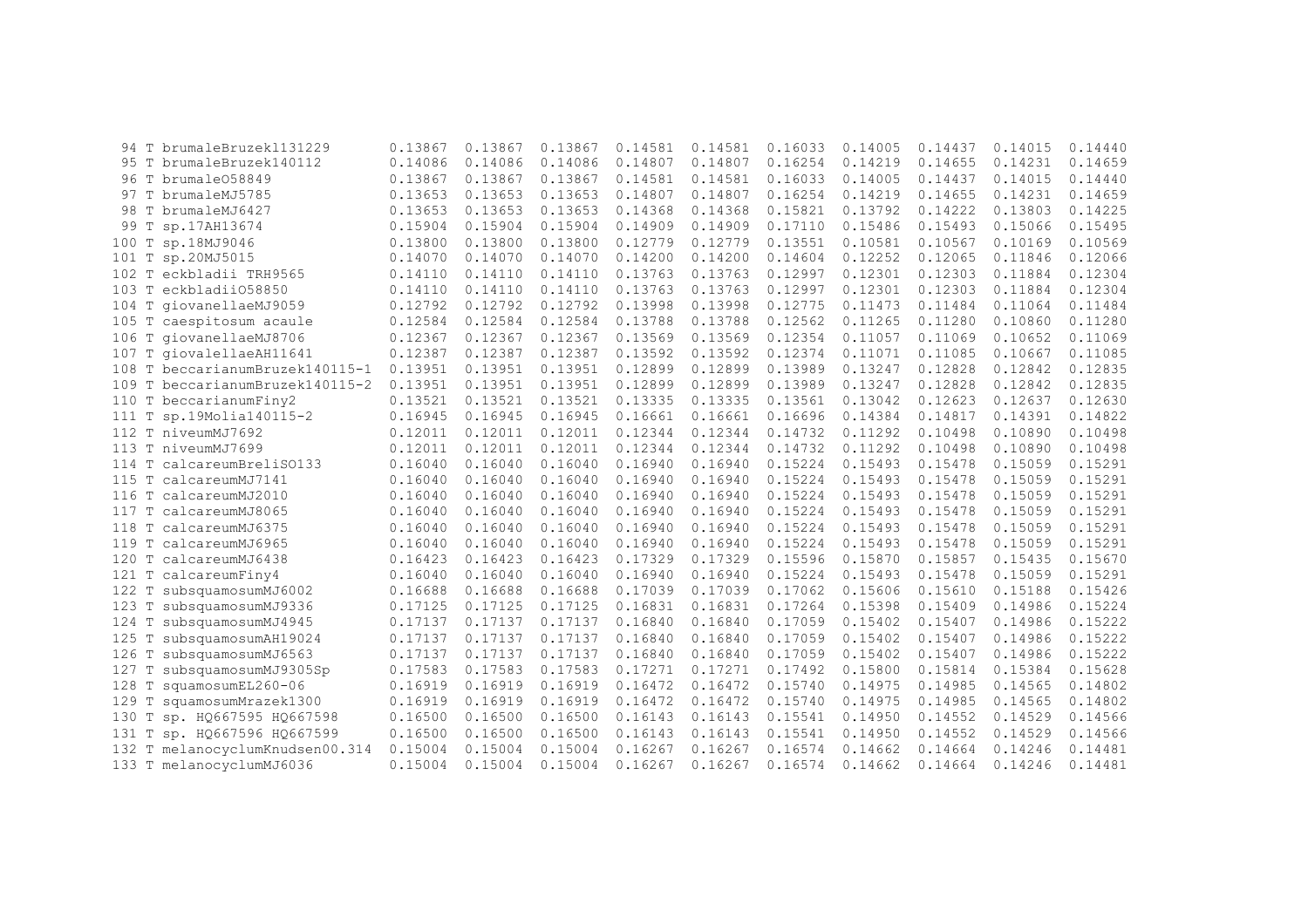|       |             | 94 T brumaleBruzek1131229 | 0.13867 | 0.13867 | 0.13867 | 0.14581 | 0.14581 | 0.16033 | 0.14005 | 0.14437 | 0.14015 | 0.14440 |
|-------|-------------|---------------------------|---------|---------|---------|---------|---------|---------|---------|---------|---------|---------|
|       |             | 95 T brumaleBruzek140112  | 0.14086 | 0.14086 | 0.14086 | 0.14807 | 0.14807 | 0.16254 | 0.14219 | 0.14655 | 0.14231 | 0.14659 |
|       |             | 96 T brumale058849        | 0.13867 | 0.13867 | 0.13867 | 0.14581 | 0.14581 | 0.16033 | 0.14005 | 0.14437 | 0.14015 | 0.14440 |
|       |             | 97 T brumaleMJ5785        | 0.13653 | 0.13653 | 0.13653 | 0.14807 | 0.14807 | 0.16254 | 0.14219 | 0.14655 | 0.14231 | 0.14659 |
|       |             | 98 T brumaleMJ6427        | 0.13653 | 0.13653 | 0.13653 | 0.14368 | 0.14368 | 0.15821 | 0.13792 | 0.14222 | 0.13803 | 0.14225 |
| 99    |             | sp.17AH13674              | 0.15904 | 0.15904 | 0.15904 | 0.14909 | 0.14909 | 0.17110 | 0.15486 | 0.15493 | 0.15066 | 0.15495 |
| 100   | T           | sp.18MJ9046               | 0.13800 | 0.13800 | 0.13800 | 0.12779 | 0.12779 | 0.13551 | 0.10581 | 0.10567 | 0.10169 | 0.10569 |
| 101   | $\mathbb T$ | sp.20MJ5015               | 0.14070 | 0.14070 | 0.14070 | 0.14200 | 0.14200 | 0.14604 | 0.12252 | 0.12065 | 0.11846 | 0.12066 |
| 102   | $\mathbb T$ | eckbladii TRH9565         | 0.14110 | 0.14110 | 0.14110 | 0.13763 | 0.13763 | 0.12997 | 0.12301 | 0.12303 | 0.11884 | 0.12304 |
| 103   | T           | eckbladii058850           | 0.14110 | 0.14110 | 0.14110 | 0.13763 | 0.13763 | 0.12997 | 0.12301 | 0.12303 | 0.11884 | 0.12304 |
| 104   | T           | qiovanellaeMJ9059         | 0.12792 | 0.12792 | 0.12792 | 0.13998 | 0.13998 | 0.12775 | 0.11473 | 0.11484 | 0.11064 | 0.11484 |
| 105 T |             | caespitosum acaule        | 0.12584 | 0.12584 | 0.12584 | 0.13788 | 0.13788 | 0.12562 | 0.11265 | 0.11280 | 0.10860 | 0.11280 |
| 106   | T           | qiovanellaeMJ8706         | 0.12367 | 0.12367 | 0.12367 | 0.13569 | 0.13569 | 0.12354 | 0.11057 | 0.11069 | 0.10652 | 0.11069 |
| 107   | $\mathbb T$ | qiovalellaeAH11641        | 0.12387 | 0.12387 | 0.12387 | 0.13592 | 0.13592 | 0.12374 | 0.11071 | 0.11085 | 0.10667 | 0.11085 |
| 108 T |             | beccarianumBruzek140115-1 | 0.13951 | 0.13951 | 0.13951 | 0.12899 | 0.12899 | 0.13989 | 0.13247 | 0.12828 | 0.12842 | 0.12835 |
| 109 T |             | beccarianumBruzek140115-2 | 0.13951 | 0.13951 | 0.13951 | 0.12899 | 0.12899 | 0.13989 | 0.13247 | 0.12828 | 0.12842 | 0.12835 |
| 110 T |             | beccarianumFiny2          | 0.13521 | 0.13521 | 0.13521 | 0.13335 | 0.13335 | 0.13561 | 0.13042 | 0.12623 | 0.12637 | 0.12630 |
| 111   | Т           | sp.19Molia140115-2        | 0.16945 | 0.16945 | 0.16945 | 0.16661 | 0.16661 | 0.16696 | 0.14384 | 0.14817 | 0.14391 | 0.14822 |
|       |             | 112 T niveumMJ7692        | 0.12011 | 0.12011 | 0.12011 | 0.12344 | 0.12344 | 0.14732 | 0.11292 | 0.10498 | 0.10890 | 0.10498 |
| 113 T |             | niveumMJ7699              | 0.12011 | 0.12011 | 0.12011 | 0.12344 | 0.12344 | 0.14732 | 0.11292 | 0.10498 | 0.10890 | 0.10498 |
| 114   | T           | calcareumBreliS0133       | 0.16040 | 0.16040 | 0.16040 | 0.16940 | 0.16940 | 0.15224 | 0.15493 | 0.15478 | 0.15059 | 0.15291 |
| 115   | T           | calcareumMJ7141           | 0.16040 | 0.16040 | 0.16040 | 0.16940 | 0.16940 | 0.15224 | 0.15493 | 0.15478 | 0.15059 | 0.15291 |
| 116   |             | calcareumMJ2010           | 0.16040 | 0.16040 | 0.16040 | 0.16940 | 0.16940 | 0.15224 | 0.15493 | 0.15478 | 0.15059 | 0.15291 |
| 117   | T           | calcareumMJ8065           | 0.16040 | 0.16040 | 0.16040 | 0.16940 | 0.16940 | 0.15224 | 0.15493 | 0.15478 | 0.15059 | 0.15291 |
| 118 T |             | calcareumMJ6375           | 0.16040 | 0.16040 | 0.16040 | 0.16940 | 0.16940 | 0.15224 | 0.15493 | 0.15478 | 0.15059 | 0.15291 |
| 119 T |             | calcareumMJ6965           | 0.16040 | 0.16040 | 0.16040 | 0.16940 | 0.16940 | 0.15224 | 0.15493 | 0.15478 | 0.15059 | 0.15291 |
| 120 T |             | calcareumMJ6438           | 0.16423 | 0.16423 | 0.16423 | 0.17329 | 0.17329 | 0.15596 | 0.15870 | 0.15857 | 0.15435 | 0.15670 |
| 121   | Т           | calcareumFiny4            | 0.16040 | 0.16040 | 0.16040 | 0.16940 | 0.16940 | 0.15224 | 0.15493 | 0.15478 | 0.15059 | 0.15291 |
| 122   | т           | subsquamosumMJ6002        | 0.16688 | 0.16688 | 0.16688 | 0.17039 | 0.17039 | 0.17062 | 0.15606 | 0.15610 | 0.15188 | 0.15426 |
| 123   | T           | subsquamosumMJ9336        | 0.17125 | 0.17125 | 0.17125 | 0.16831 | 0.16831 | 0.17264 | 0.15398 | 0.15409 | 0.14986 | 0.15224 |
| 124   |             | subsquamosumMJ4945        | 0.17137 | 0.17137 | 0.17137 | 0.16840 | 0.16840 | 0.17059 | 0.15402 | 0.15407 | 0.14986 | 0.15222 |
| 125   | Т           | subsquamosumAH19024       | 0.17137 | 0.17137 | 0.17137 | 0.16840 | 0.16840 | 0.17059 | 0.15402 | 0.15407 | 0.14986 | 0.15222 |
| 126   | Т           | subsquamosumMJ6563        | 0.17137 | 0.17137 | 0.17137 | 0.16840 | 0.16840 | 0.17059 | 0.15402 | 0.15407 | 0.14986 | 0.15222 |
| 127   | Т           | subsquamosumMJ9305Sp      | 0.17583 | 0.17583 | 0.17583 | 0.17271 | 0.17271 | 0.17492 | 0.15800 | 0.15814 | 0.15384 | 0.15628 |
| 128   | Т           | squamosumEL260-06         | 0.16919 | 0.16919 | 0.16919 | 0.16472 | 0.16472 | 0.15740 | 0.14975 | 0.14985 | 0.14565 | 0.14802 |
| 129   | т           | squamosumMrazek1300       | 0.16919 | 0.16919 | 0.16919 | 0.16472 | 0.16472 | 0.15740 | 0.14975 | 0.14985 | 0.14565 | 0.14802 |
| 130   | Т           | sp. HQ667595 HQ667598     | 0.16500 | 0.16500 | 0.16500 | 0.16143 | 0.16143 | 0.15541 | 0.14950 | 0.14552 | 0.14529 | 0.14566 |
| 131   |             | sp. HQ667596 HQ667599     | 0.16500 | 0.16500 | 0.16500 | 0.16143 | 0.16143 | 0.15541 | 0.14950 | 0.14552 | 0.14529 | 0.14566 |
| 132   |             | melanocyclumKnudsen00.314 | 0.15004 | 0.15004 | 0.15004 | 0.16267 | 0.16267 | 0.16574 | 0.14662 | 0.14664 | 0.14246 | 0.14481 |
| 133 T |             | melanocyclumMJ6036        | 0.15004 | 0.15004 | 0.15004 | 0.16267 | 0.16267 | 0.16574 | 0.14662 | 0.14664 | 0.14246 | 0.14481 |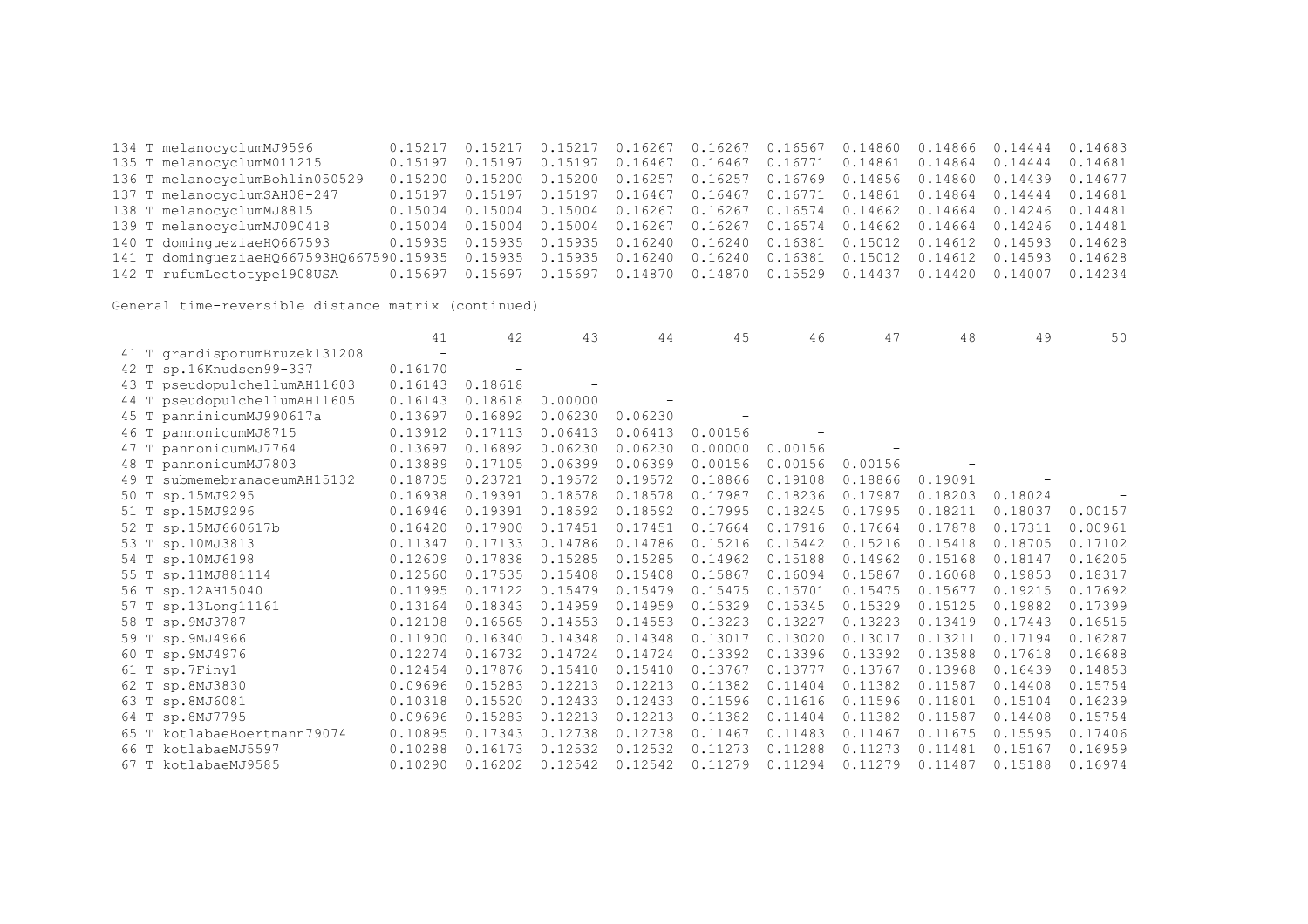134 T melanocyclumMJ9596 0.15217 0.15217 0.15217 0.16267 0.16267 0.16567 0.14860 0.14866 0.14444 0.14683 0.15197 0.15197 0.15197 0.16467 0.16467 0.16771 0.14861 0.14864 0.14444 0.14681 136 T melanocyclumBohlin050529 0.15200 0.15200 0.15200 0.16257 0.16257 0.16769 0.14856 0.14860 0.14439 0.14677 137 T melanocyclumSAH08-247 0.15197 0.15197 0.15197 0.16467 0.16467 0.16771 0.14861 0.14864 0.14444 0.14681 138 T melanocyclumMJ8815 0.15004 0.15004 0.15004 0.16267 0.16267 0.16574 0.14662 0.14664 0.14246 0.14481 139 T melanocyclumMJ090418 0.15004 0.15004 0.15004 0.16267 0.16267 0.16574 0.14662 0.14664 0.14246 0.14481 140 T domingueziaeHQ667593 0.15935 0.15935 0.15935 0.16240 0.16240 0.16381 0.15012 0.14612 0.14593 0.14628 141 T domingueziaeHQ667593HQ667590.15935 0.15935 0.15935 0.16240 0.16240 0.16381 0.15012 0.14612 0.14593 0.14628 142 T rufumLectotype1908USA 0.15697 0.15697 0.15697 0.14870 0.14870 0.15529 0.14437 0.14420 0.14007 0.14234

|                               | 41      | 42                       | 43      | 44      | 45      | 46      | 47      | 48      | 49      | 50      |
|-------------------------------|---------|--------------------------|---------|---------|---------|---------|---------|---------|---------|---------|
| 41 T grandisporumBruzek131208 |         |                          |         |         |         |         |         |         |         |         |
| 42 T sp.16Knudsen99-337       | 0.16170 | $\overline{\phantom{0}}$ |         |         |         |         |         |         |         |         |
| 43 T pseudopulchellumAH11603  | 0.16143 | 0.18618                  |         |         |         |         |         |         |         |         |
| 44 T pseudopulchellumAH11605  | 0.16143 | 0.18618                  | 0.00000 |         |         |         |         |         |         |         |
| 45 T panninicumMJ990617a      | 0.13697 | 0.16892                  | 0.06230 | 0.06230 |         |         |         |         |         |         |
| 46 T pannonicumMJ8715         | 0.13912 | 0.17113                  | 0.06413 | 0.06413 | 0.00156 |         |         |         |         |         |
| 47 T pannonicumMJ7764         | 0.13697 | 0.16892                  | 0.06230 | 0.06230 | 0.00000 | 0.00156 |         |         |         |         |
| 48 T pannonicumMJ7803         | 0.13889 | 0.17105                  | 0.06399 | 0.06399 | 0.00156 | 0.00156 | 0.00156 |         |         |         |
| 49 T submemebranaceumAH15132  | 0.18705 | 0.23721                  | 0.19572 | 0.19572 | 0.18866 | 0.19108 | 0.18866 | 0.19091 |         |         |
| 50 T sp.15MJ9295              | 0.16938 | 0.19391                  | 0.18578 | 0.18578 | 0.17987 | 0.18236 | 0.17987 | 0.18203 | 0.18024 |         |
| 51 T sp.15MJ9296              | 0.16946 | 0.19391                  | 0.18592 | 0.18592 | 0.17995 | 0.18245 | 0.17995 | 0.18211 | 0.18037 | 0.00157 |
| 52 T sp.15MJ660617b           | 0.16420 | 0.17900                  | 0.17451 | 0.17451 | 0.17664 | 0.17916 | 0.17664 | 0.17878 | 0.17311 | 0.00961 |
| 53 T sp.10MJ3813              | 0.11347 | 0.17133                  | 0.14786 | 0.14786 | 0.15216 | 0.15442 | 0.15216 | 0.15418 | 0.18705 | 0.17102 |
| 54 T sp.10MJ6198              | 0.12609 | 0.17838                  | 0.15285 | 0.15285 | 0.14962 | 0.15188 | 0.14962 | 0.15168 | 0.18147 | 0.16205 |
| 55 T sp.11MJ881114            | 0.12560 | 0.17535                  | 0.15408 | 0.15408 | 0.15867 | 0.16094 | 0.15867 | 0.16068 | 0.19853 | 0.18317 |
| 56 T sp.12AH15040             | 0.11995 | 0.17122                  | 0.15479 | 0.15479 | 0.15475 | 0.15701 | 0.15475 | 0.15677 | 0.19215 | 0.17692 |
| 57 T sp.13Long11161           | 0.13164 | 0.18343                  | 0.14959 | 0.14959 | 0.15329 | 0.15345 | 0.15329 | 0.15125 | 0.19882 | 0.17399 |
| 58 T sp. 9MJ3787              | 0.12108 | 0.16565                  | 0.14553 | 0.14553 | 0.13223 | 0.13227 | 0.13223 | 0.13419 | 0.17443 | 0.16515 |
| 59 T sp.9MJ4966               | 0.11900 | 0.16340                  | 0.14348 | 0.14348 | 0.13017 | 0.13020 | 0.13017 | 0.13211 | 0.17194 | 0.16287 |
| 60 T sp.9MJ4976               | 0.12274 | 0.16732                  | 0.14724 | 0.14724 | 0.13392 | 0.13396 | 0.13392 | 0.13588 | 0.17618 | 0.16688 |
| 61 T sp.7Finy1                | 0.12454 | 0.17876                  | 0.15410 | 0.15410 | 0.13767 | 0.13777 | 0.13767 | 0.13968 | 0.16439 | 0.14853 |
| 62 T sp.8MJ3830               | 0.09696 | 0.15283                  | 0.12213 | 0.12213 | 0.11382 | 0.11404 | 0.11382 | 0.11587 | 0.14408 | 0.15754 |
| 63 T sp.8MJ6081               | 0.10318 | 0.15520                  | 0.12433 | 0.12433 | 0.11596 | 0.11616 | 0.11596 | 0.11801 | 0.15104 | 0.16239 |
| 64 T sp.8MJ7795               | 0.09696 | 0.15283                  | 0.12213 | 0.12213 | 0.11382 | 0.11404 | 0.11382 | 0.11587 | 0.14408 | 0.15754 |
| 65 T kotlabaeBoertmann79074   | 0.10895 | 0.17343                  | 0.12738 | 0.12738 | 0.11467 | 0.11483 | 0.11467 | 0.11675 | 0.15595 | 0.17406 |
| 66 T kotlabaeMJ5597           | 0.10288 | 0.16173                  | 0.12532 | 0.12532 | 0.11273 | 0.11288 | 0.11273 | 0.11481 | 0.15167 | 0.16959 |
| 67 T kotlabaeMJ9585           | 0.10290 | 0.16202                  | 0.12542 | 0.12542 | 0.11279 | 0.11294 | 0.11279 | 0.11487 | 0.15188 | 0.16974 |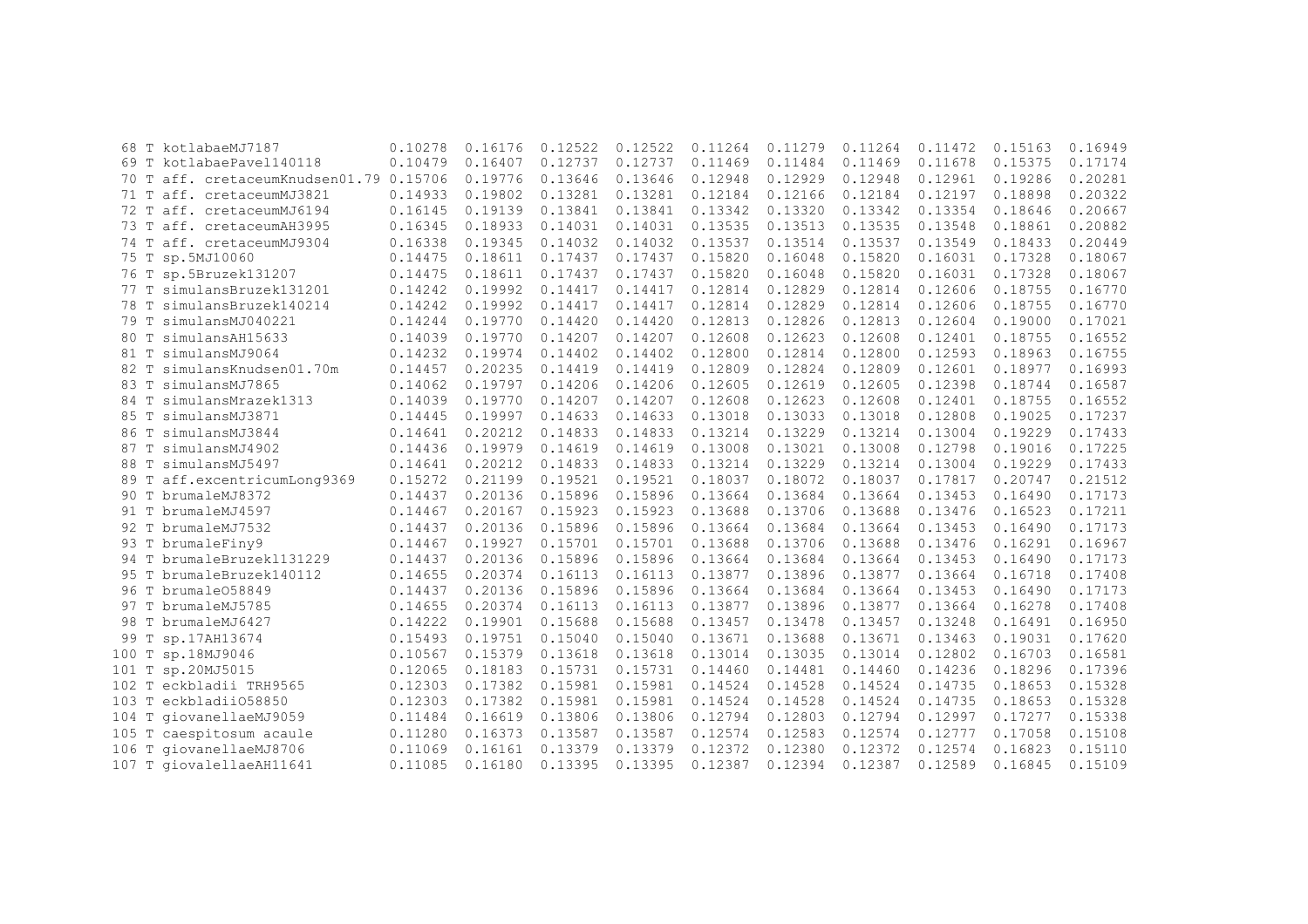|      | 68 T kotlabaeMJ7187                  | 0.10278 | 0.16176 | 0.12522 | 0.12522 | 0.11264 | 0.11279 | 0.11264 | 0.11472 | 0.15163 | 0.16949 |
|------|--------------------------------------|---------|---------|---------|---------|---------|---------|---------|---------|---------|---------|
|      | 69 T kotlabaePavel140118             | 0.10479 | 0.16407 | 0.12737 | 0.12737 | 0.11469 | 0.11484 | 0.11469 | 0.11678 | 0.15375 | 0.17174 |
| 70   | T aff. cretaceumKnudsen01.79 0.15706 |         | 0.19776 | 0.13646 | 0.13646 | 0.12948 | 0.12929 | 0.12948 | 0.12961 | 0.19286 | 0.20281 |
|      | 71 T aff. cretaceumMJ3821            | 0.14933 | 0.19802 | 0.13281 | 0.13281 | 0.12184 | 0.12166 | 0.12184 | 0.12197 | 0.18898 | 0.20322 |
|      | 72 T aff. cretaceumMJ6194            | 0.16145 | 0.19139 | 0.13841 | 0.13841 | 0.13342 | 0.13320 | 0.13342 | 0.13354 | 0.18646 | 0.20667 |
|      | 73 T aff. cretaceumAH3995            | 0.16345 | 0.18933 | 0.14031 | 0.14031 | 0.13535 | 0.13513 | 0.13535 | 0.13548 | 0.18861 | 0.20882 |
|      | 74 T aff. cretaceumMJ9304            | 0.16338 | 0.19345 | 0.14032 | 0.14032 | 0.13537 | 0.13514 | 0.13537 | 0.13549 | 0.18433 | 0.20449 |
|      | 75 T sp.5MJ10060                     | 0.14475 | 0.18611 | 0.17437 | 0.17437 | 0.15820 | 0.16048 | 0.15820 | 0.16031 | 0.17328 | 0.18067 |
|      | 76 T sp.5Bruzek131207                | 0.14475 | 0.18611 | 0.17437 | 0.17437 | 0.15820 | 0.16048 | 0.15820 | 0.16031 | 0.17328 | 0.18067 |
|      | 77 T simulansBruzek131201            | 0.14242 | 0.19992 | 0.14417 | 0.14417 | 0.12814 | 0.12829 | 0.12814 | 0.12606 | 0.18755 | 0.16770 |
|      | 78 T simulansBruzek140214            | 0.14242 | 0.19992 | 0.14417 | 0.14417 | 0.12814 | 0.12829 | 0.12814 | 0.12606 | 0.18755 | 0.16770 |
|      | 79 T simulansMJ040221                | 0.14244 | 0.19770 | 0.14420 | 0.14420 | 0.12813 | 0.12826 | 0.12813 | 0.12604 | 0.19000 | 0.17021 |
|      | 80 T simulansAH15633                 | 0.14039 | 0.19770 | 0.14207 | 0.14207 | 0.12608 | 0.12623 | 0.12608 | 0.12401 | 0.18755 | 0.16552 |
| 81 T | simulansMJ9064                       | 0.14232 | 0.19974 | 0.14402 | 0.14402 | 0.12800 | 0.12814 | 0.12800 | 0.12593 | 0.18963 | 0.16755 |
|      | 82 T simulansKnudsen01.70m           | 0.14457 | 0.20235 | 0.14419 | 0.14419 | 0.12809 | 0.12824 | 0.12809 | 0.12601 | 0.18977 | 0.16993 |
|      | 83 T simulansMJ7865                  | 0.14062 | 0.19797 | 0.14206 | 0.14206 | 0.12605 | 0.12619 | 0.12605 | 0.12398 | 0.18744 | 0.16587 |
|      | 84 T simulansMrazek1313              | 0.14039 | 0.19770 | 0.14207 | 0.14207 | 0.12608 | 0.12623 | 0.12608 | 0.12401 | 0.18755 | 0.16552 |
|      | 85 T simulansMJ3871                  | 0.14445 | 0.19997 | 0.14633 | 0.14633 | 0.13018 | 0.13033 | 0.13018 | 0.12808 | 0.19025 | 0.17237 |
|      | 86 T simulansMJ3844                  | 0.14641 | 0.20212 | 0.14833 | 0.14833 | 0.13214 | 0.13229 | 0.13214 | 0.13004 | 0.19229 | 0.17433 |
| 87 T | simulansMJ4902                       | 0.14436 | 0.19979 | 0.14619 | 0.14619 | 0.13008 | 0.13021 | 0.13008 | 0.12798 | 0.19016 | 0.17225 |
|      | 88 T simulansMJ5497                  | 0.14641 | 0.20212 | 0.14833 | 0.14833 | 0.13214 | 0.13229 | 0.13214 | 0.13004 | 0.19229 | 0.17433 |
|      | 89 T aff.excentricumLong9369         | 0.15272 | 0.21199 | 0.19521 | 0.19521 | 0.18037 | 0.18072 | 0.18037 | 0.17817 | 0.20747 | 0.21512 |
|      | 90 T brumaleMJ8372                   | 0.14437 | 0.20136 | 0.15896 | 0.15896 | 0.13664 | 0.13684 | 0.13664 | 0.13453 | 0.16490 | 0.17173 |
|      | 91 T brumaleMJ4597                   | 0.14467 | 0.20167 | 0.15923 | 0.15923 | 0.13688 | 0.13706 | 0.13688 | 0.13476 | 0.16523 | 0.17211 |
|      | 92 T brumaleMJ7532                   | 0.14437 | 0.20136 | 0.15896 | 0.15896 | 0.13664 | 0.13684 | 0.13664 | 0.13453 | 0.16490 | 0.17173 |
|      | 93 T brumaleFiny9                    | 0.14467 | 0.19927 | 0.15701 | 0.15701 | 0.13688 | 0.13706 | 0.13688 | 0.13476 | 0.16291 | 0.16967 |
|      | 94 T brumaleBruzek1131229            | 0.14437 | 0.20136 | 0.15896 | 0.15896 | 0.13664 | 0.13684 | 0.13664 | 0.13453 | 0.16490 | 0.17173 |
|      | 95 T brumaleBruzek140112             | 0.14655 | 0.20374 | 0.16113 | 0.16113 | 0.13877 | 0.13896 | 0.13877 | 0.13664 | 0.16718 | 0.17408 |
|      | 96 T brumale058849                   | 0.14437 | 0.20136 | 0.15896 | 0.15896 | 0.13664 | 0.13684 | 0.13664 | 0.13453 | 0.16490 | 0.17173 |
|      | 97 T brumaleMJ5785                   | 0.14655 | 0.20374 | 0.16113 | 0.16113 | 0.13877 | 0.13896 | 0.13877 | 0.13664 | 0.16278 | 0.17408 |
|      | 98 T brumaleMJ6427                   | 0.14222 | 0.19901 | 0.15688 | 0.15688 | 0.13457 | 0.13478 | 0.13457 | 0.13248 | 0.16491 | 0.16950 |
|      | 99 T sp.17AH13674                    | 0.15493 | 0.19751 | 0.15040 | 0.15040 | 0.13671 | 0.13688 | 0.13671 | 0.13463 | 0.19031 | 0.17620 |
|      | 100 T sp.18MJ9046                    | 0.10567 | 0.15379 | 0.13618 | 0.13618 | 0.13014 | 0.13035 | 0.13014 | 0.12802 | 0.16703 | 0.16581 |
|      | 101 T sp.20MJ5015                    | 0.12065 | 0.18183 | 0.15731 | 0.15731 | 0.14460 | 0.14481 | 0.14460 | 0.14236 | 0.18296 | 0.17396 |
|      | 102 T eckbladii TRH9565              | 0.12303 | 0.17382 | 0.15981 | 0.15981 | 0.14524 | 0.14528 | 0.14524 | 0.14735 | 0.18653 | 0.15328 |
|      | 103 T eckbladii058850                | 0.12303 | 0.17382 | 0.15981 | 0.15981 | 0.14524 | 0.14528 | 0.14524 | 0.14735 | 0.18653 | 0.15328 |
|      | 104 T giovanellaeMJ9059              | 0.11484 | 0.16619 | 0.13806 | 0.13806 | 0.12794 | 0.12803 | 0.12794 | 0.12997 | 0.17277 | 0.15338 |
|      | 105 T caespitosum acaule             | 0.11280 | 0.16373 | 0.13587 | 0.13587 | 0.12574 | 0.12583 | 0.12574 | 0.12777 | 0.17058 | 0.15108 |
|      | 106 T giovanellaeMJ8706              | 0.11069 | 0.16161 | 0.13379 | 0.13379 | 0.12372 | 0.12380 | 0.12372 | 0.12574 | 0.16823 | 0.15110 |
|      | 107 T giovalellaeAH11641             | 0.11085 | 0.16180 | 0.13395 | 0.13395 | 0.12387 | 0.12394 | 0.12387 | 0.12589 | 0.16845 | 0.15109 |
|      |                                      |         |         |         |         |         |         |         |         |         |         |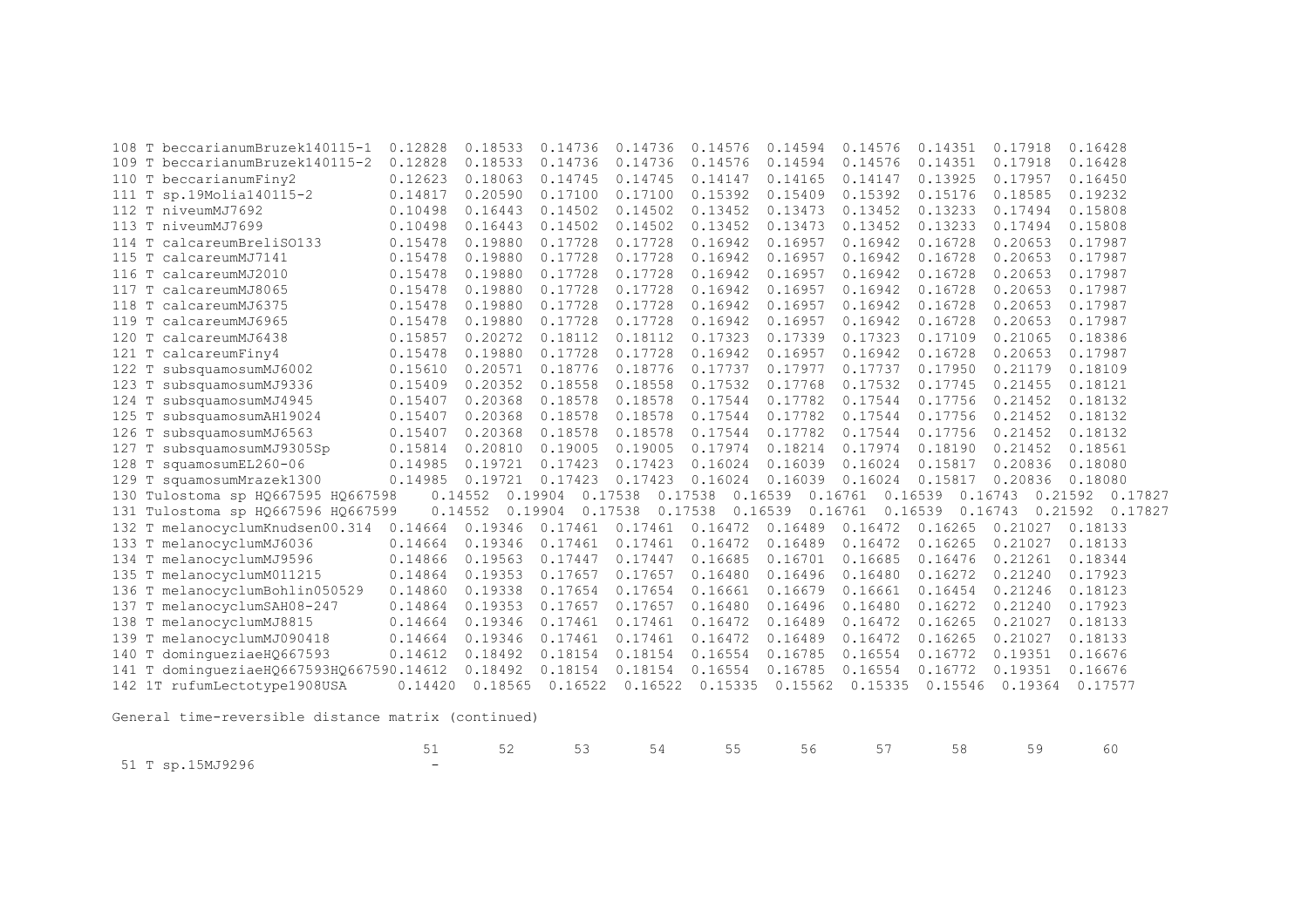| beccarianumBruzek140115-1<br>108 ፐ          | 0.12828 | 0.18533 | 0.14736            | 0.14736 | 0.14576 | 0.14594            | 0.14576 | 0.14351            | 0.17918 | 0.16428            |
|---------------------------------------------|---------|---------|--------------------|---------|---------|--------------------|---------|--------------------|---------|--------------------|
| 109 T beccarianumBruzek140115-2             | 0.12828 | 0.18533 | 0.14736            | 0.14736 | 0.14576 | 0.14594            | 0.14576 | 0.14351            | 0.17918 | 0.16428            |
| beccarianumFiny2<br>110 T                   | 0.12623 | 0.18063 | 0.14745            | 0.14745 | 0.14147 | 0.14165            | 0.14147 | 0.13925            | 0.17957 | 0.16450            |
| sp.19Molia140115-2<br>111 T                 | 0.14817 | 0.20590 | 0.17100            | 0.17100 | 0.15392 | 0.15409            | 0.15392 | 0.15176            | 0.18585 | 0.19232            |
| 112 T niveumMJ7692                          | 0.10498 | 0.16443 | 0.14502            | 0.14502 | 0.13452 | 0.13473            | 0.13452 | 0.13233            | 0.17494 | 0.15808            |
| 113 T niveumMJ7699                          | 0.10498 | 0.16443 | 0.14502            | 0.14502 | 0.13452 | 0.13473            | 0.13452 | 0.13233            | 0.17494 | 0.15808            |
| calcareumBreliS0133<br>$114$ T              | 0.15478 | 0.19880 | 0.17728            | 0.17728 | 0.16942 | 0.16957            | 0.16942 | 0.16728            | 0.20653 | 0.17987            |
| 115 T calcareumMJ7141                       | 0.15478 | 0.19880 | 0.17728            | 0.17728 | 0.16942 | 0.16957            | 0.16942 | 0.16728            | 0.20653 | 0.17987            |
| 116 T calcareumMJ2010                       | 0.15478 | 0.19880 | 0.17728            | 0.17728 | 0.16942 | 0.16957            | 0.16942 | 0.16728            | 0.20653 | 0.17987            |
| calcareumMJ8065<br>117<br>T.                | 0.15478 | 0.19880 | 0.17728            | 0.17728 | 0.16942 | 0.16957            | 0.16942 | 0.16728            | 0.20653 | 0.17987            |
| 118 T<br>calcareumMJ6375                    | 0.15478 | 0.19880 | 0.17728            | 0.17728 | 0.16942 | 0.16957            | 0.16942 | 0.16728            | 0.20653 | 0.17987            |
| calcareumMJ6965<br>119 T                    | 0.15478 | 0.19880 | 0.17728            | 0.17728 | 0.16942 | 0.16957            | 0.16942 | 0.16728            | 0.20653 | 0.17987            |
| calcareumMJ6438<br>120 T                    | 0.15857 | 0.20272 | 0.18112            | 0.18112 | 0.17323 | 0.17339            | 0.17323 | 0.17109            | 0.21065 | 0.18386            |
| 121 T<br>calcareumFiny4                     | 0.15478 | 0.19880 | 0.17728            | 0.17728 | 0.16942 | 0.16957            | 0.16942 | 0.16728            | 0.20653 | 0.17987            |
| subsquamosumMJ6002<br>122 T                 | 0.15610 | 0.20571 | 0.18776            | 0.18776 | 0.17737 | 0.17977            | 0.17737 | 0.17950            | 0.21179 | 0.18109            |
| subsquamosumMJ9336<br>123 T                 | 0.15409 | 0.20352 | 0.18558            | 0.18558 | 0.17532 | 0.17768            | 0.17532 | 0.17745            | 0.21455 | 0.18121            |
| subsquamosumMJ4945<br>$124$ T               | 0.15407 | 0.20368 | 0.18578            | 0.18578 | 0.17544 | 0.17782            | 0.17544 | 0.17756            | 0.21452 | 0.18132            |
| 125 T subsquamosumAH19024                   | 0.15407 | 0.20368 | 0.18578            | 0.18578 | 0.17544 | 0.17782            | 0.17544 | 0.17756            | 0.21452 | 0.18132            |
| subsquamosumMJ6563<br>126 T                 | 0.15407 | 0.20368 | 0.18578            | 0.18578 | 0.17544 | 0.17782            | 0.17544 | 0.17756            | 0.21452 | 0.18132            |
| subsquamosumMJ9305Sp<br>127                 | 0.15814 | 0.20810 | 0.19005            | 0.19005 | 0.17974 | 0.18214            | 0.17974 | 0.18190            | 0.21452 | 0.18561            |
| squamosumEL260-06<br>128<br>T               | 0.14985 | 0.19721 | 0.17423            | 0.17423 | 0.16024 | 0.16039            | 0.16024 | 0.15817            | 0.20836 | 0.18080            |
| 129 T squamosumMrazek1300                   | 0.14985 | 0.19721 | 0.17423            | 0.17423 | 0.16024 | 0.16039            | 0.16024 | 0.15817            | 0.20836 | 0.18080            |
| 130 Tulostoma sp H0667595 H0667598          |         | 0.14552 | 0.17538<br>0.19904 |         | 0.17538 | 0.16539            | 0.16761 | 0.16539            | 0.16743 | 0.21592<br>0.17827 |
| 131 Tulostoma sp HQ667596 HQ667599          |         | 0.14552 | 0.19904<br>0.17538 |         | 0.17538 | 0.16539<br>0.16761 |         | 0.16539<br>0.16743 |         | 0.21592<br>0.17827 |
| 132 T melanocyclumKnudsen00.314             | 0.14664 | 0.19346 | 0.17461            | 0.17461 | 0.16472 | 0.16489            | 0.16472 | 0.16265            | 0.21027 | 0.18133            |
| 133 T melanocyclumMJ6036                    | 0.14664 | 0.19346 | 0.17461            | 0.17461 | 0.16472 | 0.16489            | 0.16472 | 0.16265            | 0.21027 | 0.18133            |
| 134 T melanocyclumMJ9596                    | 0.14866 | 0.19563 | 0.17447            | 0.17447 | 0.16685 | 0.16701            | 0.16685 | 0.16476            | 0.21261 | 0.18344            |
| 135 T melanocyclumM011215                   | 0.14864 | 0.19353 | 0.17657            | 0.17657 | 0.16480 | 0.16496            | 0.16480 | 0.16272            | 0.21240 | 0.17923            |
| 136 T melanocyclumBohlin050529              | 0.14860 | 0.19338 | 0.17654            | 0.17654 | 0.16661 | 0.16679            | 0.16661 | 0.16454            | 0.21246 | 0.18123            |
| 137 T melanocyclumSAH08-247                 | 0.14864 | 0.19353 | 0.17657            | 0.17657 | 0.16480 | 0.16496            | 0.16480 | 0.16272            | 0.21240 | 0.17923            |
| 138 T melanocyclumMJ8815                    | 0.14664 | 0.19346 | 0.17461            | 0.17461 | 0.16472 | 0.16489            | 0.16472 | 0.16265            | 0.21027 | 0.18133            |
| 139 T melanocyclumMJ090418                  | 0.14664 | 0.19346 | 0.17461            | 0.17461 | 0.16472 | 0.16489            | 0.16472 | 0.16265            | 0.21027 | 0.18133            |
| 140 T<br>dominqueziaeH0667593               | 0.14612 | 0.18492 | 0.18154            | 0.18154 | 0.16554 | 0.16785            | 0.16554 | 0.16772            | 0.19351 | 0.16676            |
| dominqueziaeHQ667593HQ667590.14612<br>141 T |         | 0.18492 | 0.18154            | 0.18154 | 0.16554 | 0.16785            | 0.16554 | 0.16772            | 0.19351 | 0.16676            |
| 142 1T rufumLectotype1908USA                | 0.14420 | 0.18565 | 0.16522            | 0.16522 | 0.15335 | 0.15562            | 0.15335 | 0.15546            | 0.19364 | 0.17577            |
|                                             |         |         |                    |         |         |                    |         |                    |         |                    |

|                  |  | 51 52 53 54 55 56 57 58 59 60 |  |  |  |
|------------------|--|-------------------------------|--|--|--|
| 51 T sp.15MJ9296 |  |                               |  |  |  |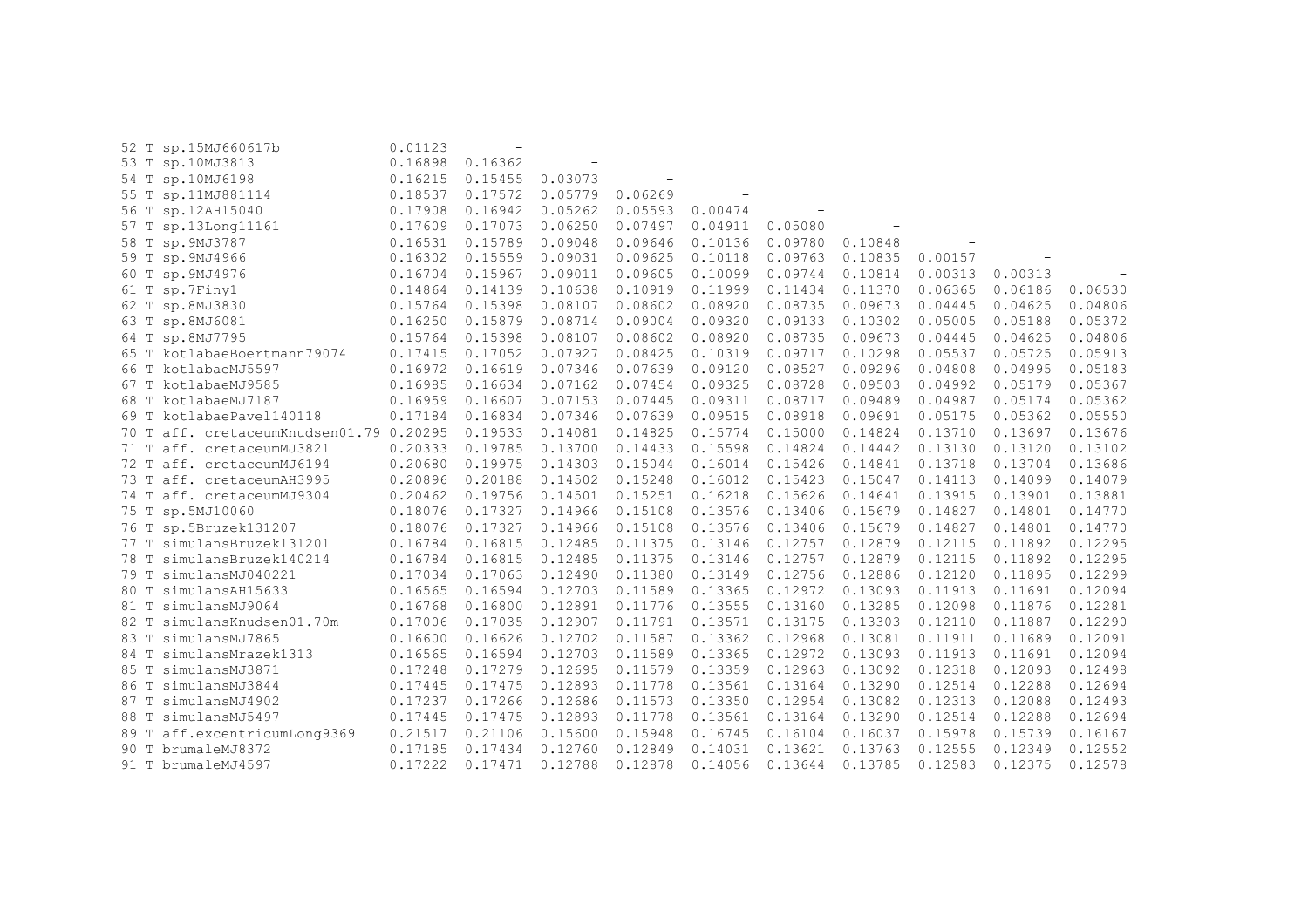|      | 52 T sp.15MJ660617b                     | 0.01123 |         |                          |         |         |         |         |                  |         |                |
|------|-----------------------------------------|---------|---------|--------------------------|---------|---------|---------|---------|------------------|---------|----------------|
|      | 53 T sp.10MJ3813                        | 0.16898 | 0.16362 | $\overline{\phantom{a}}$ |         |         |         |         |                  |         |                |
|      | 54 T sp.10MJ6198                        | 0.16215 | 0.15455 | 0.03073                  |         |         |         |         |                  |         |                |
|      | 55 T sp.11MJ881114                      | 0.18537 | 0.17572 | 0.05779                  | 0.06269 |         |         |         |                  |         |                |
|      | 56 T sp.12AH15040                       | 0.17908 | 0.16942 | 0.05262                  | 0.05593 | 0.00474 |         |         |                  |         |                |
|      | 57 T sp.13Long11161                     | 0.17609 | 0.17073 | 0.06250                  | 0.07497 | 0.04911 | 0.05080 |         |                  |         |                |
|      | 58 T sp. 9MJ3787                        | 0.16531 | 0.15789 | 0.09048                  | 0.09646 | 0.10136 | 0.09780 | 0.10848 |                  |         |                |
|      | 59 T sp. 9MJ4966                        | 0.16302 | 0.15559 | 0.09031                  | 0.09625 | 0.10118 | 0.09763 | 0.10835 | 0.00157          |         |                |
|      | 60 T sp. 9MJ4976                        | 0.16704 | 0.15967 | 0.09011                  | 0.09605 | 0.10099 | 0.09744 | 0.10814 | 0.00313          | 0.00313 | $\overline{a}$ |
|      | 61 T sp.7Finy1                          | 0.14864 | 0.14139 | 0.10638                  | 0.10919 | 0.11999 | 0.11434 | 0.11370 | 0.06365          | 0.06186 | 0.06530        |
|      | 62 T sp.8MJ3830                         | 0.15764 | 0.15398 | 0.08107                  | 0.08602 | 0.08920 | 0.08735 | 0.09673 | 0.04445          | 0.04625 | 0.04806        |
|      | 63 T sp.8MJ6081                         | 0.16250 | 0.15879 | 0.08714                  | 0.09004 | 0.09320 | 0.09133 | 0.10302 | 0.05005          | 0.05188 | 0.05372        |
|      | 64 T sp.8MJ7795                         | 0.15764 | 0.15398 | 0.08107                  | 0.08602 | 0.08920 | 0.08735 | 0.09673 | 0.04445          | 0.04625 | 0.04806        |
|      | 65 T kotlabaeBoertmann79074             | 0.17415 | 0.17052 | 0.07927                  | 0.08425 | 0.10319 | 0.09717 | 0.10298 | 0.05537          | 0.05725 | 0.05913        |
|      | 66 T kotlabaeMJ5597                     | 0.16972 | 0.16619 | 0.07346                  | 0.07639 | 0.09120 | 0.08527 | 0.09296 | 0.04808          | 0.04995 | 0.05183        |
|      | 67 T kotlabaeMJ9585                     | 0.16985 | 0.16634 | 0.07162                  | 0.07454 | 0.09325 | 0.08728 | 0.09503 | 0.04992          | 0.05179 | 0.05367        |
|      | 68 T kotlabaeMJ7187                     | 0.16959 | 0.16607 | 0.07153                  | 0.07445 | 0.09311 | 0.08717 | 0.09489 | 0.04987          | 0.05174 | 0.05362        |
|      | 69 T kotlabaePavel140118                | 0.17184 | 0.16834 | 0.07346                  | 0.07639 | 0.09515 | 0.08918 | 0.09691 | 0.05175          | 0.05362 | 0.05550        |
|      | 70 T aff. cretaceumKnudsen01.79 0.20295 |         | 0.19533 | 0.14081                  | 0.14825 | 0.15774 | 0.15000 | 0.14824 | 0.13710          | 0.13697 | 0.13676        |
|      | 71 T aff. cretaceumMJ3821               | 0.20333 | 0.19785 | 0.13700                  | 0.14433 | 0.15598 | 0.14824 | 0.14442 | 0.13130          | 0.13120 | 0.13102        |
|      | 72 T aff. cretaceumMJ6194               | 0.20680 | 0.19975 | 0.14303                  | 0.15044 | 0.16014 | 0.15426 | 0.14841 | 0.13718          | 0.13704 | 0.13686        |
|      | 73 T aff. cretaceumAH3995               | 0.20896 | 0.20188 | 0.14502                  | 0.15248 | 0.16012 | 0.15423 | 0.15047 | 0.14113          | 0.14099 | 0.14079        |
|      | 74 T aff. cretaceumMJ9304               | 0.20462 | 0.19756 | 0.14501                  | 0.15251 | 0.16218 | 0.15626 | 0.14641 | 0.13915          | 0.13901 | 0.13881        |
|      | 75 T sp.5MJ10060                        | 0.18076 | 0.17327 | 0.14966                  | 0.15108 | 0.13576 | 0.13406 | 0.15679 | 0.14827          | 0.14801 | 0.14770        |
|      | 76 T sp.5Bruzek131207                   | 0.18076 | 0.17327 | 0.14966                  | 0.15108 | 0.13576 | 0.13406 | 0.15679 | 0.14827          | 0.14801 | 0.14770        |
|      | 77 T simulansBruzek131201               | 0.16784 | 0.16815 | 0.12485                  | 0.11375 | 0.13146 | 0.12757 | 0.12879 | 0.12115          | 0.11892 | 0.12295        |
| 78 T | simulansBruzek140214                    | 0.16784 | 0.16815 | 0.12485                  | 0.11375 | 0.13146 | 0.12757 | 0.12879 | 0.12115          | 0.11892 | 0.12295        |
|      | 79 T simulansMJ040221                   | 0.17034 | 0.17063 | 0.12490                  | 0.11380 | 0.13149 | 0.12756 | 0.12886 | 0.12120          | 0.11895 | 0.12299        |
| 80 T | simulansAH15633                         | 0.16565 | 0.16594 | 0.12703                  | 0.11589 | 0.13365 | 0.12972 | 0.13093 | 0.11913          | 0.11691 | 0.12094        |
| 81 T | simulansMJ9064                          | 0.16768 | 0.16800 | 0.12891                  | 0.11776 | 0.13555 | 0.13160 | 0.13285 | 0.12098          | 0.11876 | 0.12281        |
| 82 T | simulansKnudsen01.70m                   | 0.17006 | 0.17035 | 0.12907                  | 0.11791 | 0.13571 | 0.13175 | 0.13303 | 0.12110          | 0.11887 | 0.12290        |
| 83 T | simulansMJ7865                          | 0.16600 | 0.16626 | 0.12702                  | 0.11587 | 0.13362 | 0.12968 | 0.13081 | 0.11911  0.11689 |         | 0.12091        |
| 84 T | simulansMrazek1313                      | 0.16565 | 0.16594 | 0.12703                  | 0.11589 | 0.13365 | 0.12972 | 0.13093 | 0.11913          | 0.11691 | 0.12094        |
| 85 T | simulansMJ3871                          | 0.17248 | 0.17279 | 0.12695                  | 0.11579 | 0.13359 | 0.12963 | 0.13092 | 0.12318          | 0.12093 | 0.12498        |
| 86 T | simulansMJ3844                          | 0.17445 | 0.17475 | 0.12893                  | 0.11778 | 0.13561 | 0.13164 | 0.13290 | 0.12514          | 0.12288 | 0.12694        |
|      | 87 T simulansMJ4902                     | 0.17237 | 0.17266 | 0.12686                  | 0.11573 | 0.13350 | 0.12954 | 0.13082 | 0.12313          | 0.12088 | 0.12493        |
|      | 88 T simulansMJ5497                     | 0.17445 | 0.17475 | 0.12893                  | 0.11778 | 0.13561 | 0.13164 | 0.13290 | 0.12514          | 0.12288 | 0.12694        |
|      | 89 T aff.excentricumLong9369            | 0.21517 | 0.21106 | 0.15600                  | 0.15948 | 0.16745 | 0.16104 | 0.16037 | 0.15978          | 0.15739 | 0.16167        |
|      | 90 T brumaleMJ8372                      | 0.17185 | 0.17434 | 0.12760                  | 0.12849 | 0.14031 | 0.13621 | 0.13763 | 0.12555          | 0.12349 | 0.12552        |
|      | 91 T brumaleMJ4597                      | 0.17222 | 0.17471 | 0.12788                  | 0.12878 | 0.14056 | 0.13644 | 0.13785 | 0.12583          | 0.12375 | 0.12578        |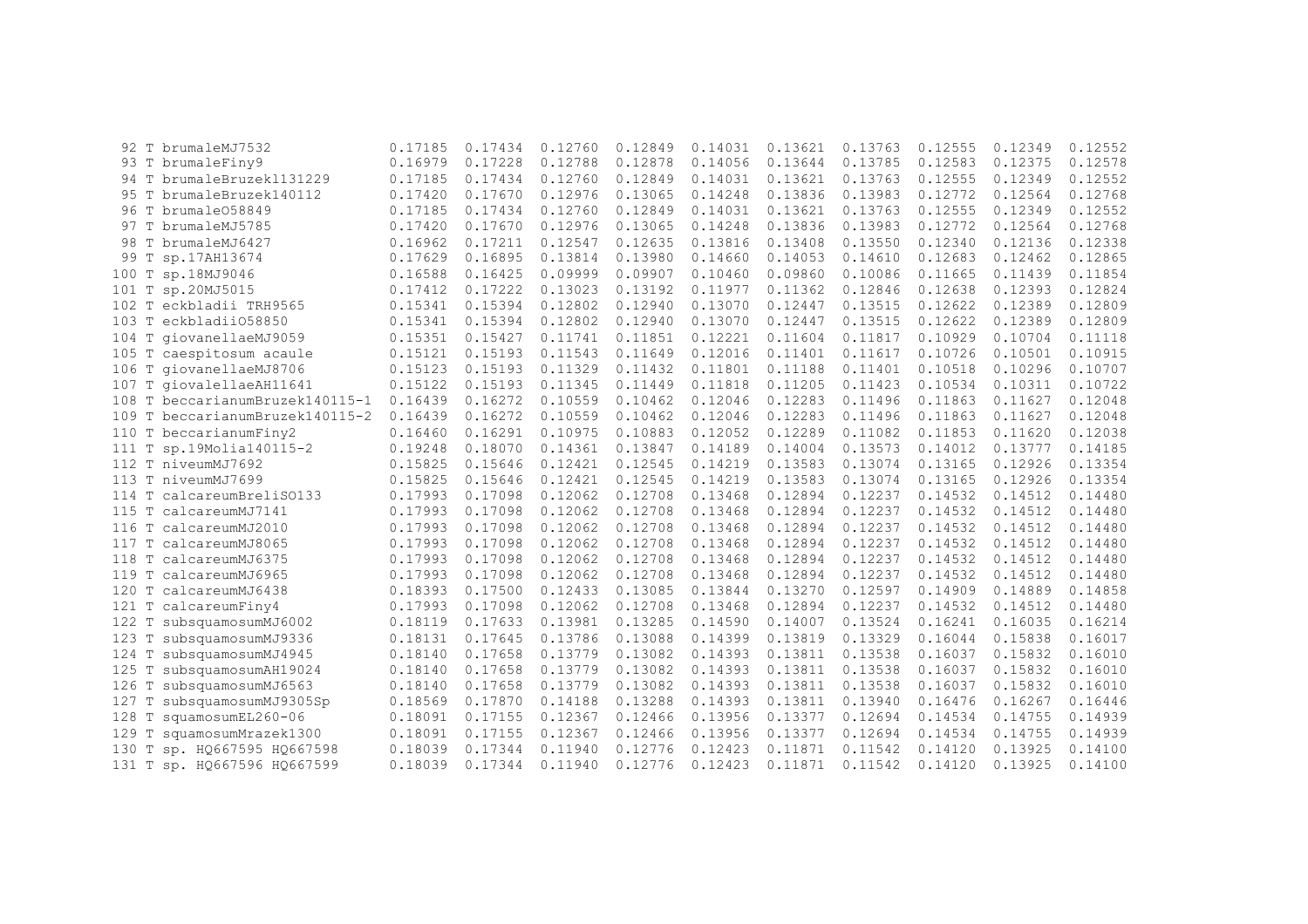|         | 92 T brumaleMJ7532              | 0.17185 | 0.17434 | 0.12760 | 0.12849 | 0.14031 | 0.13621 | 0.13763 | 0.12555 | 0.12349 | 0.12552 |
|---------|---------------------------------|---------|---------|---------|---------|---------|---------|---------|---------|---------|---------|
|         | 93 T brumaleFiny9               | 0.16979 | 0.17228 | 0.12788 | 0.12878 | 0.14056 | 0.13644 | 0.13785 | 0.12583 | 0.12375 | 0.12578 |
| 94 T    | brumaleBruzek1131229            | 0.17185 | 0.17434 | 0.12760 | 0.12849 | 0.14031 | 0.13621 | 0.13763 | 0.12555 | 0.12349 | 0.12552 |
|         | 95 T brumaleBruzek140112        | 0.17420 | 0.17670 | 0.12976 | 0.13065 | 0.14248 | 0.13836 | 0.13983 | 0.12772 | 0.12564 | 0.12768 |
|         | 96 T brumale058849              | 0.17185 | 0.17434 | 0.12760 | 0.12849 | 0.14031 | 0.13621 | 0.13763 | 0.12555 | 0.12349 | 0.12552 |
| 97 T    | brumaleMJ5785                   | 0.17420 | 0.17670 | 0.12976 | 0.13065 | 0.14248 | 0.13836 | 0.13983 | 0.12772 | 0.12564 | 0.12768 |
| 98 T    | brumaleMJ6427                   | 0.16962 | 0.17211 | 0.12547 | 0.12635 | 0.13816 | 0.13408 | 0.13550 | 0.12340 | 0.12136 | 0.12338 |
| 99 T    | sp.17AH13674                    | 0.17629 | 0.16895 | 0.13814 | 0.13980 | 0.14660 | 0.14053 | 0.14610 | 0.12683 | 0.12462 | 0.12865 |
| 100 T   | sp.18MJ9046                     | 0.16588 | 0.16425 | 0.09999 | 0.09907 | 0.10460 | 0.09860 | 0.10086 | 0.11665 | 0.11439 | 0.11854 |
| 101 T   | sp.20MJ5015                     | 0.17412 | 0.17222 | 0.13023 | 0.13192 | 0.11977 | 0.11362 | 0.12846 | 0.12638 | 0.12393 | 0.12824 |
| 102 T   | eckbladii TRH9565               | 0.15341 | 0.15394 | 0.12802 | 0.12940 | 0.13070 | 0.12447 | 0.13515 | 0.12622 | 0.12389 | 0.12809 |
| $103$ T | eckbladii058850                 | 0.15341 | 0.15394 | 0.12802 | 0.12940 | 0.13070 | 0.12447 | 0.13515 | 0.12622 | 0.12389 | 0.12809 |
| $104$ T | qiovanellaeMJ9059               | 0.15351 | 0.15427 | 0.11741 | 0.11851 | 0.12221 | 0.11604 | 0.11817 | 0.10929 | 0.10704 | 0.11118 |
| 105 T   | caespitosum acaule              | 0.15121 | 0.15193 | 0.11543 | 0.11649 | 0.12016 | 0.11401 | 0.11617 | 0.10726 | 0.10501 | 0.10915 |
| 106 T   | giovanellaeMJ8706               | 0.15123 | 0.15193 | 0.11329 | 0.11432 | 0.11801 | 0.11188 | 0.11401 | 0.10518 | 0.10296 | 0.10707 |
| 107 T   | qiovalellaeAH11641              | 0.15122 | 0.15193 | 0.11345 | 0.11449 | 0.11818 | 0.11205 | 0.11423 | 0.10534 | 0.10311 | 0.10722 |
|         | 108 T beccarianumBruzek140115-1 | 0.16439 | 0.16272 | 0.10559 | 0.10462 | 0.12046 | 0.12283 | 0.11496 | 0.11863 | 0.11627 | 0.12048 |
| 109 T   | beccarianumBruzek140115-2       | 0.16439 | 0.16272 | 0.10559 | 0.10462 | 0.12046 | 0.12283 | 0.11496 | 0.11863 | 0.11627 | 0.12048 |
|         | 110 T beccarianumFiny2          | 0.16460 | 0.16291 | 0.10975 | 0.10883 | 0.12052 | 0.12289 | 0.11082 | 0.11853 | 0.11620 | 0.12038 |
| 111 T   | sp.19Molia140115-2              | 0.19248 | 0.18070 | 0.14361 | 0.13847 | 0.14189 | 0.14004 | 0.13573 | 0.14012 | 0.13777 | 0.14185 |
|         | 112 T niveumMJ7692              | 0.15825 | 0.15646 | 0.12421 | 0.12545 | 0.14219 | 0.13583 | 0.13074 | 0.13165 | 0.12926 | 0.13354 |
| $113$ T | niveumMJ7699                    | 0.15825 | 0.15646 | 0.12421 | 0.12545 | 0.14219 | 0.13583 | 0.13074 | 0.13165 | 0.12926 | 0.13354 |
| 114 T   | calcareumBreliS0133             | 0.17993 | 0.17098 | 0.12062 | 0.12708 | 0.13468 | 0.12894 | 0.12237 | 0.14532 | 0.14512 | 0.14480 |
| 115 T   | calcareumMJ7141                 | 0.17993 | 0.17098 | 0.12062 | 0.12708 | 0.13468 | 0.12894 | 0.12237 | 0.14532 | 0.14512 | 0.14480 |
| 116 T   | calcareumMJ2010                 | 0.17993 | 0.17098 | 0.12062 | 0.12708 | 0.13468 | 0.12894 | 0.12237 | 0.14532 | 0.14512 | 0.14480 |
| 117 T   | calcareumMJ8065                 | 0.17993 | 0.17098 | 0.12062 | 0.12708 | 0.13468 | 0.12894 | 0.12237 | 0.14532 | 0.14512 | 0.14480 |
| 118 T   | calcareumMJ6375                 | 0.17993 | 0.17098 | 0.12062 | 0.12708 | 0.13468 | 0.12894 | 0.12237 | 0.14532 | 0.14512 | 0.14480 |
| 119 T   | calcareumMJ6965                 | 0.17993 | 0.17098 | 0.12062 | 0.12708 | 0.13468 | 0.12894 | 0.12237 | 0.14532 | 0.14512 | 0.14480 |
| 120 T   | calcareumMJ6438                 | 0.18393 | 0.17500 | 0.12433 | 0.13085 | 0.13844 | 0.13270 | 0.12597 | 0.14909 | 0.14889 | 0.14858 |
| 121     | calcareumFiny4                  | 0.17993 | 0.17098 | 0.12062 | 0.12708 | 0.13468 | 0.12894 | 0.12237 | 0.14532 | 0.14512 | 0.14480 |
| 122 T   | subsquamosumMJ6002              | 0.18119 | 0.17633 | 0.13981 | 0.13285 | 0.14590 | 0.14007 | 0.13524 | 0.16241 | 0.16035 | 0.16214 |
| 123 T   | subsquamosumMJ9336              | 0.18131 | 0.17645 | 0.13786 | 0.13088 | 0.14399 | 0.13819 | 0.13329 | 0.16044 | 0.15838 | 0.16017 |
| 124 T   | subsquamosumMJ4945              | 0.18140 | 0.17658 | 0.13779 | 0.13082 | 0.14393 | 0.13811 | 0.13538 | 0.16037 | 0.15832 | 0.16010 |
| 125 T   | subsquamosumAH19024             | 0.18140 | 0.17658 | 0.13779 | 0.13082 | 0.14393 | 0.13811 | 0.13538 | 0.16037 | 0.15832 | 0.16010 |
| 126 T   | subsquamosumMJ6563              | 0.18140 | 0.17658 | 0.13779 | 0.13082 | 0.14393 | 0.13811 | 0.13538 | 0.16037 | 0.15832 | 0.16010 |
| 127     | subsquamosumMJ9305Sp            | 0.18569 | 0.17870 | 0.14188 | 0.13288 | 0.14393 | 0.13811 | 0.13940 | 0.16476 | 0.16267 | 0.16446 |
| 128     | squamosumEL260-06               | 0.18091 | 0.17155 | 0.12367 | 0.12466 | 0.13956 | 0.13377 | 0.12694 | 0.14534 | 0.14755 | 0.14939 |
| 129     | squamosumMrazek1300             | 0.18091 | 0.17155 | 0.12367 | 0.12466 | 0.13956 | 0.13377 | 0.12694 | 0.14534 | 0.14755 | 0.14939 |
| 130     | sp. HQ667595 HQ667598           | 0.18039 | 0.17344 | 0.11940 | 0.12776 | 0.12423 | 0.11871 | 0.11542 | 0.14120 | 0.13925 | 0.14100 |
| 131 T   | sp. H0667596 H0667599           | 0.18039 | 0.17344 | 0.11940 | 0.12776 | 0.12423 | 0.11871 | 0.11542 | 0.14120 | 0.13925 | 0.14100 |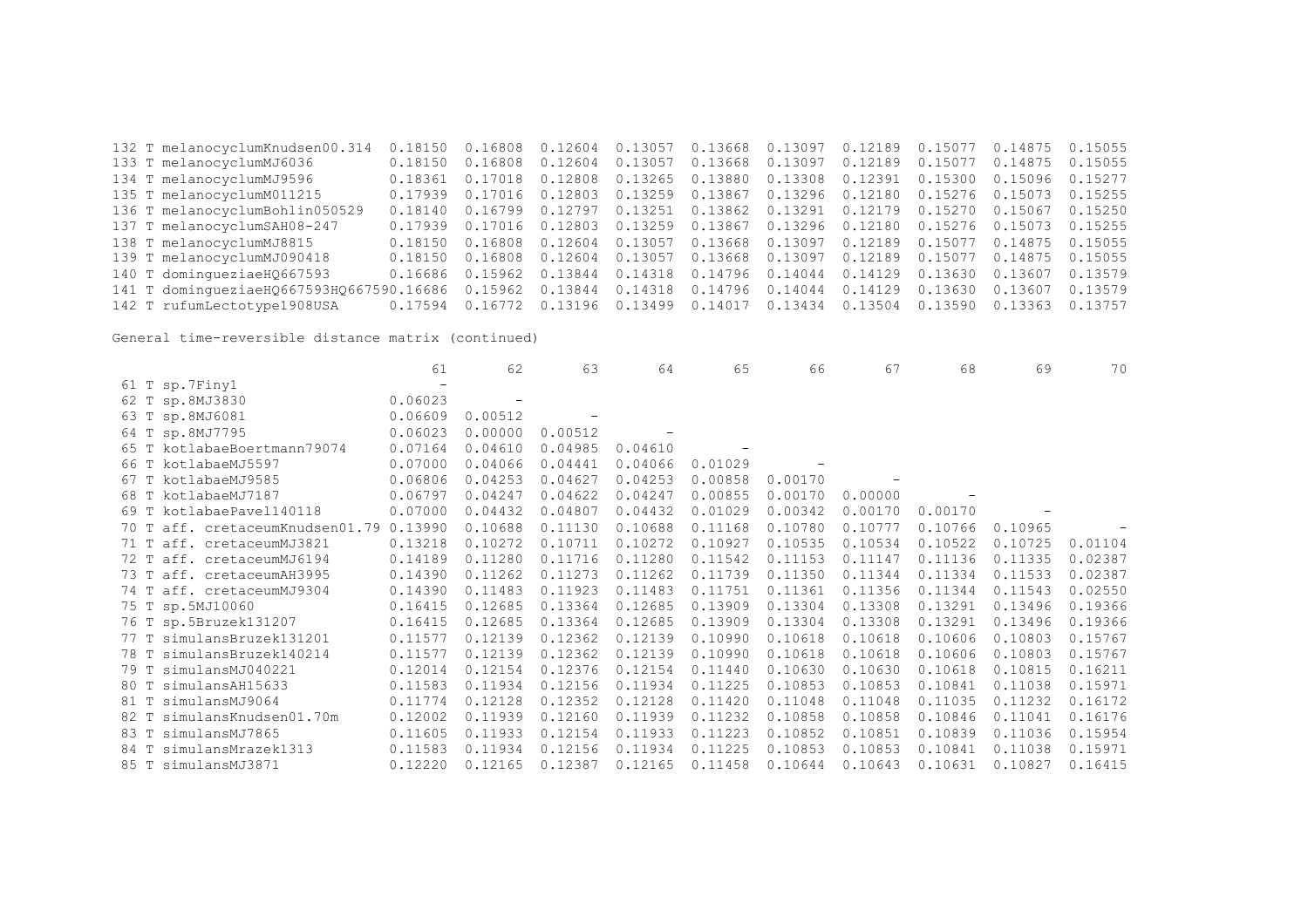132 T melanocyclumKnudsen00.314 0.18150 0.16808 0.12604 0.13057 0.13668 0.13097 0.12189 0.15077 0.14875 0.15055 133 T melanocyclumMJ6036 0.18150 0.16808 0.12604 0.13057 0.13668 0.13097 0.12189 0.15077 0.14875 0.15055 134 T melanocyclumMJ9596 0.18361 0.17018 0.12808 0.13265 0.13880 0.13308 0.12391 0.15300 0.15096 0.15277 135 T melanocyclumM011215 0.17939 0.17016 0.12803 0.13259 0.13867 0.13296 0.12180 0.15276 0.15073 0.15255 136 T melanocyclumBohlin050529 0.18140 0.16799 0.12797 0.13251 0.13862 0.13291 0.12179 0.15270 0.15067 0.15250 137 T melanocyclumSAH08-247 0.17939 0.17016 0.12803 0.13259 0.13867 0.13296 0.12180 0.15276 0.15073 0.15255 138 T melanocyclumMJ8815 0.18150 0.16808 0.12604 0.13057 0.13668 0.13097 0.12189 0.15077 0.14875 0.15055 0.18150 0.16808 0.12604 0.13057 0.13668 0.13097 0.12189 0.15077 0.14875 0.15055 140 T domingueziaeHQ667593 0.16686 0.15962 0.13844 0.14318 0.14796 0.14044 0.14129 0.13630 0.13607 0.13579 141 T domingueziaeHQ667593HQ667590.16686 0.15962 0.13844 0.14318 0.14796 0.14044 0.14129 0.13630 0.13607 0.13579 142 T rufumLectotype1908USA 0.17594 0.16772 0.13196 0.13499 0.14017 0.13434 0.13504 0.13590 0.13363 0.13757

|                                            | 61                       | 62                       | 63      | 64      | 65      | 66      | 67      | 68      | 69      | 70      |
|--------------------------------------------|--------------------------|--------------------------|---------|---------|---------|---------|---------|---------|---------|---------|
| 61 T sp.7Finy1                             | $\overline{\phantom{0}}$ |                          |         |         |         |         |         |         |         |         |
| 62 T sp.8MJ3830                            | 0.06023                  | $\overline{\phantom{m}}$ |         |         |         |         |         |         |         |         |
| 63 T sp.8MJ6081                            | 0.06609                  | 0.00512                  |         |         |         |         |         |         |         |         |
| 64 T sp.8MJ7795                            | 0.06023                  | 0.00000                  | 0.00512 |         |         |         |         |         |         |         |
| 65 T kotlabaeBoertmann79074                | 0.07164                  | 0.04610                  | 0.04985 | 0.04610 |         |         |         |         |         |         |
| 66 T kotlabaeMJ5597                        | 0.07000                  | 0.04066                  | 0.04441 | 0.04066 | 0.01029 |         |         |         |         |         |
| kotlabaeMJ9585<br>67 T                     | 0.06806                  | 0.04253                  | 0.04627 | 0.04253 | 0.00858 | 0.00170 |         |         |         |         |
| 68 T kotlabaeMJ7187                        | 0.06797                  | 0.04247                  | 0.04622 | 0.04247 | 0.00855 | 0.00170 | 0.00000 |         |         |         |
| kotlabaePavel140118<br>69 T                | 0.07000                  | 0.04432                  | 0.04807 | 0.04432 | 0.01029 | 0.00342 | 0.00170 | 0.00170 |         |         |
| aff. cretaceumKnudsen01.79 0.13990<br>70 T |                          | 0.10688                  | 0.11130 | 0.10688 | 0.11168 | 0.10780 | 0.10777 | 0.10766 | 0.10965 |         |
| 71 T aff. cretaceumMJ3821                  | 0.13218                  | 0.10272                  | 0.10711 | 0.10272 | 0.10927 | 0.10535 | 0.10534 | 0.10522 | 0.10725 | 0.01104 |
| aff. cretaceumMJ6194<br>72 T               | 0.14189                  | 0.11280                  | 0.11716 | 0.11280 | 0.11542 | 0.11153 | 0.11147 | 0.11136 | 0.11335 | 0.02387 |
| 73 T aff. cretaceumAH3995                  | 0.14390                  | 0.11262                  | 0.11273 | 0.11262 | 0.11739 | 0.11350 | 0.11344 | 0.11334 | 0.11533 | 0.02387 |
| 74 T<br>aff. cretaceumMJ9304               | 0.14390                  | 0.11483                  | 0.11923 | 0.11483 | 0.11751 | 0.11361 | 0.11356 | 0.11344 | 0.11543 | 0.02550 |
| 75 T sp.5MJ10060                           | 0.16415                  | 0.12685                  | 0.13364 | 0.12685 | 0.13909 | 0.13304 | 0.13308 | 0.13291 | 0.13496 | 0.19366 |
| 76 T sp.5Bruzek131207                      | 0.16415                  | 0.12685                  | 0.13364 | 0.12685 | 0.13909 | 0.13304 | 0.13308 | 0.13291 | 0.13496 | 0.19366 |
| simulansBruzek131201<br>77 T               | 0.11577                  | 0.12139                  | 0.12362 | 0.12139 | 0.10990 | 0.10618 | 0.10618 | 0.10606 | 0.10803 | 0.15767 |
| 78 T<br>simulansBruzek140214               | 0.11577                  | 0.12139                  | 0.12362 | 0.12139 | 0.10990 | 0.10618 | 0.10618 | 0.10606 | 0.10803 | 0.15767 |
| simulansMJ040221<br>79 T                   | 0.12014                  | 0.12154                  | 0.12376 | 0.12154 | 0.11440 | 0.10630 | 0.10630 | 0.10618 | 0.10815 | 0.16211 |
| simulansAH15633<br>80 T                    | 0.11583                  | 0.11934                  | 0.12156 | 0.11934 | 0.11225 | 0.10853 | 0.10853 | 0.10841 | 0.11038 | 0.15971 |
| simulansMJ9064<br>81 T                     | 0.11774                  | 0.12128                  | 0.12352 | 0.12128 | 0.11420 | 0.11048 | 0.11048 | 0.11035 | 0.11232 | 0.16172 |
| simulansKnudsen01.70m<br>82 T              | 0.12002                  | 0.11939                  | 0.12160 | 0.11939 | 0.11232 | 0.10858 | 0.10858 | 0.10846 | 0.11041 | 0.16176 |
| simulansMJ7865<br>83 T                     | 0.11605                  | 0.11933                  | 0.12154 | 0.11933 | 0.11223 | 0.10852 | 0.10851 | 0.10839 | 0.11036 | 0.15954 |
| simulansMrazek1313<br>84 T                 | 0.11583                  | 0.11934                  | 0.12156 | 0.11934 | 0.11225 | 0.10853 | 0.10853 | 0.10841 | 0.11038 | 0.15971 |
| 85 T simulansMJ3871                        | 0.12220                  | 0.12165                  | 0.12387 | 0.12165 | 0.11458 | 0.10644 | 0.10643 | 0.10631 | 0.10827 | 0.16415 |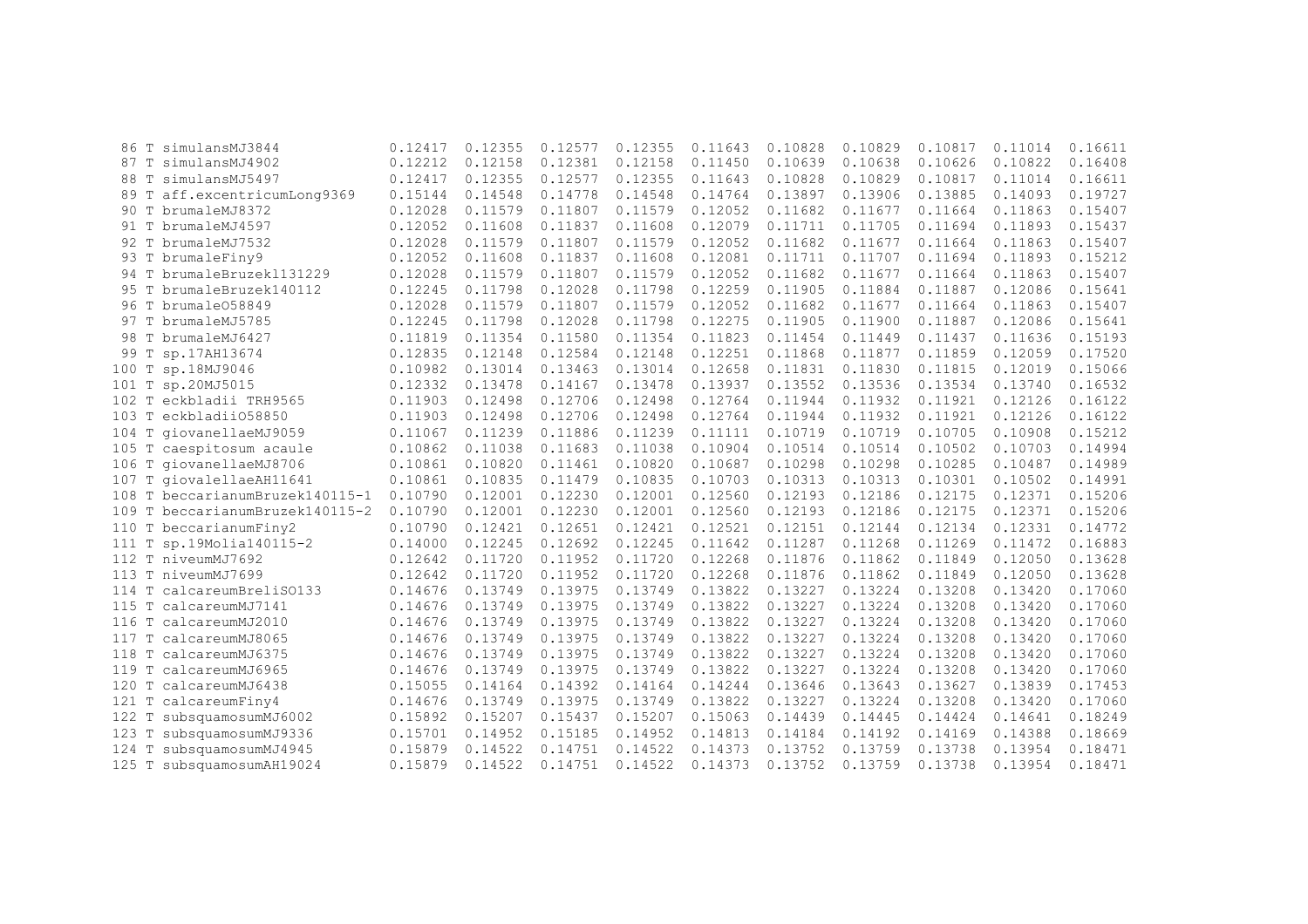| 86                 | T simulansMJ3844                | 0.12417 | 0.12355 | 0.12577 | 0.12355 | 0.11643 | 0.10828 | 0.10829 | 0.10817 | 0.11014 | 0.16611 |
|--------------------|---------------------------------|---------|---------|---------|---------|---------|---------|---------|---------|---------|---------|
|                    | 87 T simulansMJ4902             | 0.12212 | 0.12158 | 0.12381 | 0.12158 | 0.11450 | 0.10639 | 0.10638 | 0.10626 | 0.10822 | 0.16408 |
| 88                 | T simulansMJ5497                | 0.12417 | 0.12355 | 0.12577 | 0.12355 | 0.11643 | 0.10828 | 0.10829 | 0.10817 | 0.11014 | 0.16611 |
| 89                 | T aff.excentricumLong9369       | 0.15144 | 0.14548 | 0.14778 | 0.14548 | 0.14764 | 0.13897 | 0.13906 | 0.13885 | 0.14093 | 0.19727 |
| 90                 | T brumaleMJ8372                 | 0.12028 | 0.11579 | 0.11807 | 0.11579 | 0.12052 | 0.11682 | 0.11677 | 0.11664 | 0.11863 | 0.15407 |
| 91<br>T            | brumaleMJ4597                   | 0.12052 | 0.11608 | 0.11837 | 0.11608 | 0.12079 | 0.11711 | 0.11705 | 0.11694 | 0.11893 | 0.15437 |
| 92                 | T brumaleMJ7532                 | 0.12028 | 0.11579 | 0.11807 | 0.11579 | 0.12052 | 0.11682 | 0.11677 | 0.11664 | 0.11863 | 0.15407 |
| 93                 | T brumaleFiny9                  | 0.12052 | 0.11608 | 0.11837 | 0.11608 | 0.12081 | 0.11711 | 0.11707 | 0.11694 | 0.11893 | 0.15212 |
|                    | 94 T brumaleBruzek1131229       | 0.12028 | 0.11579 | 0.11807 | 0.11579 | 0.12052 | 0.11682 | 0.11677 | 0.11664 | 0.11863 | 0.15407 |
|                    | 95 T brumaleBruzek140112        | 0.12245 | 0.11798 | 0.12028 | 0.11798 | 0.12259 | 0.11905 | 0.11884 | 0.11887 | 0.12086 | 0.15641 |
| 96.                | T brumale058849                 | 0.12028 | 0.11579 | 0.11807 | 0.11579 | 0.12052 | 0.11682 | 0.11677 | 0.11664 | 0.11863 | 0.15407 |
|                    | 97 T brumaleMJ5785              | 0.12245 | 0.11798 | 0.12028 | 0.11798 | 0.12275 | 0.11905 | 0.11900 | 0.11887 | 0.12086 | 0.15641 |
| 98                 | T brumaleMJ6427                 | 0.11819 | 0.11354 | 0.11580 | 0.11354 | 0.11823 | 0.11454 | 0.11449 | 0.11437 | 0.11636 | 0.15193 |
| 99                 | T sp.17AH13674                  | 0.12835 | 0.12148 | 0.12584 | 0.12148 | 0.12251 | 0.11868 | 0.11877 | 0.11859 | 0.12059 | 0.17520 |
| 100                | T sp.18MJ9046                   | 0.10982 | 0.13014 | 0.13463 | 0.13014 | 0.12658 | 0.11831 | 0.11830 | 0.11815 | 0.12019 | 0.15066 |
|                    | 101 T sp.20MJ5015               | 0.12332 | 0.13478 | 0.14167 | 0.13478 | 0.13937 | 0.13552 | 0.13536 | 0.13534 | 0.13740 | 0.16532 |
|                    | 102 T eckbladii TRH9565         | 0.11903 | 0.12498 | 0.12706 | 0.12498 | 0.12764 | 0.11944 | 0.11932 | 0.11921 | 0.12126 | 0.16122 |
|                    | 103 T eckbladii058850           | 0.11903 | 0.12498 | 0.12706 | 0.12498 | 0.12764 | 0.11944 | 0.11932 | 0.11921 | 0.12126 | 0.16122 |
|                    | 104 T giovanellaeMJ9059         | 0.11067 | 0.11239 | 0.11886 | 0.11239 | 0.11111 | 0.10719 | 0.10719 | 0.10705 | 0.10908 | 0.15212 |
|                    | 105 T caespitosum acaule        | 0.10862 | 0.11038 | 0.11683 | 0.11038 | 0.10904 | 0.10514 | 0.10514 | 0.10502 | 0.10703 | 0.14994 |
|                    | 106 T giovanellaeMJ8706         | 0.10861 | 0.10820 | 0.11461 | 0.10820 | 0.10687 | 0.10298 | 0.10298 | 0.10285 | 0.10487 | 0.14989 |
| 107                | T giovalellaeAH11641            | 0.10861 | 0.10835 | 0.11479 | 0.10835 | 0.10703 | 0.10313 | 0.10313 | 0.10301 | 0.10502 | 0.14991 |
|                    | 108 T beccarianumBruzek140115-1 | 0.10790 | 0.12001 | 0.12230 | 0.12001 | 0.12560 | 0.12193 | 0.12186 | 0.12175 | 0.12371 | 0.15206 |
|                    | 109 T beccarianumBruzek140115-2 | 0.10790 | 0.12001 | 0.12230 | 0.12001 | 0.12560 | 0.12193 | 0.12186 | 0.12175 | 0.12371 | 0.15206 |
| 110                | T beccarianumFiny2              | 0.10790 | 0.12421 | 0.12651 | 0.12421 | 0.12521 | 0.12151 | 0.12144 | 0.12134 | 0.12331 | 0.14772 |
| 111                | T sp.19Molia140115-2            | 0.14000 | 0.12245 | 0.12692 | 0.12245 | 0.11642 | 0.11287 | 0.11268 | 0.11269 | 0.11472 | 0.16883 |
| 112                | T niveumMJ7692                  | 0.12642 | 0.11720 | 0.11952 | 0.11720 | 0.12268 | 0.11876 | 0.11862 | 0.11849 | 0.12050 | 0.13628 |
| 113                | T niveumMJ7699                  | 0.12642 | 0.11720 | 0.11952 | 0.11720 | 0.12268 | 0.11876 | 0.11862 | 0.11849 | 0.12050 | 0.13628 |
| T<br>114           | calcareumBreliS0133             | 0.14676 | 0.13749 | 0.13975 | 0.13749 | 0.13822 | 0.13227 | 0.13224 | 0.13208 | 0.13420 | 0.17060 |
|                    | 115 T calcareumMJ7141           | 0.14676 | 0.13749 | 0.13975 | 0.13749 | 0.13822 | 0.13227 | 0.13224 | 0.13208 | 0.13420 | 0.17060 |
|                    | 116 T calcareumMJ2010           | 0.14676 | 0.13749 | 0.13975 | 0.13749 | 0.13822 | 0.13227 | 0.13224 | 0.13208 | 0.13420 | 0.17060 |
| 117                | T calcareumMJ8065               | 0.14676 | 0.13749 | 0.13975 | 0.13749 | 0.13822 | 0.13227 | 0.13224 | 0.13208 | 0.13420 | 0.17060 |
| 118<br>T           | calcareumMJ6375                 | 0.14676 | 0.13749 | 0.13975 | 0.13749 | 0.13822 | 0.13227 | 0.13224 | 0.13208 | 0.13420 | 0.17060 |
| $\mathbb T$<br>119 | calcareumMJ6965                 | 0.14676 | 0.13749 | 0.13975 | 0.13749 | 0.13822 | 0.13227 | 0.13224 | 0.13208 | 0.13420 | 0.17060 |
| T<br>120           | calcareumMJ6438                 | 0.15055 | 0.14164 | 0.14392 | 0.14164 | 0.14244 | 0.13646 | 0.13643 | 0.13627 | 0.13839 | 0.17453 |
| T<br>121           | calcareumFiny4                  | 0.14676 | 0.13749 | 0.13975 | 0.13749 | 0.13822 | 0.13227 | 0.13224 | 0.13208 | 0.13420 | 0.17060 |
| 122<br>T           | subsquamosumMJ6002              | 0.15892 | 0.15207 | 0.15437 | 0.15207 | 0.15063 | 0.14439 | 0.14445 | 0.14424 | 0.14641 | 0.18249 |
| 123<br>$\mathbb T$ | subsquamosumMJ9336              | 0.15701 | 0.14952 | 0.15185 | 0.14952 | 0.14813 | 0.14184 | 0.14192 | 0.14169 | 0.14388 | 0.18669 |
| 124<br>T           | subsquamosumMJ4945              | 0.15879 | 0.14522 | 0.14751 | 0.14522 | 0.14373 | 0.13752 | 0.13759 | 0.13738 | 0.13954 | 0.18471 |
|                    | 125 T subsquamosumAH19024       | 0.15879 | 0.14522 | 0.14751 | 0.14522 | 0.14373 | 0.13752 | 0.13759 | 0.13738 | 0.13954 | 0.18471 |
|                    |                                 |         |         |         |         |         |         |         |         |         |         |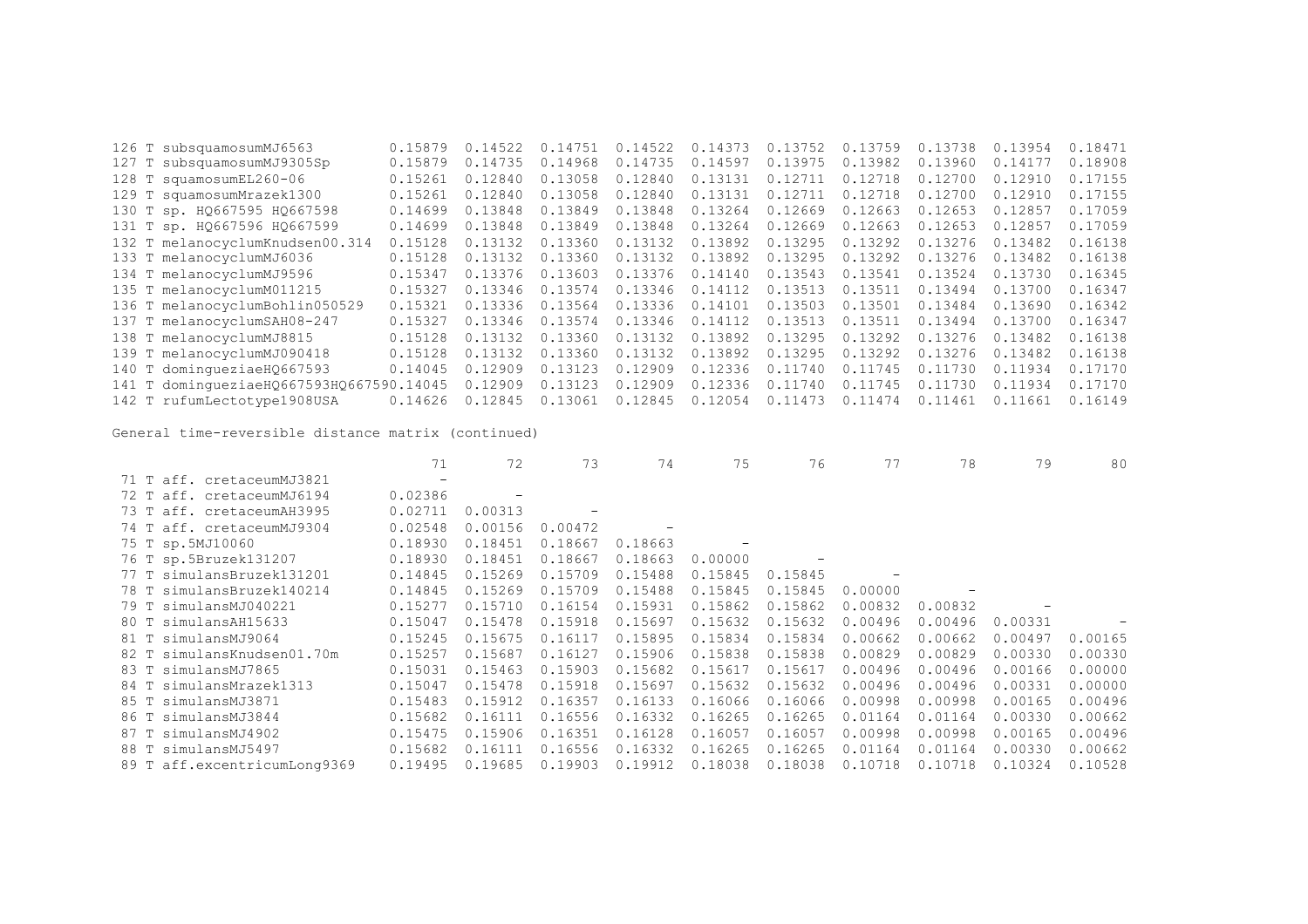| 0.15879                                                                                                                                                                                                                                                                                                                                                                                                                                                                                      | 0.14522                                  | 0.14751 | 0.14522 | 0.14373 | 0.13752 | 0.13759 | 0.13738 | 0.13954 | 0.18471 |
|----------------------------------------------------------------------------------------------------------------------------------------------------------------------------------------------------------------------------------------------------------------------------------------------------------------------------------------------------------------------------------------------------------------------------------------------------------------------------------------------|------------------------------------------|---------|---------|---------|---------|---------|---------|---------|---------|
| 0.15879                                                                                                                                                                                                                                                                                                                                                                                                                                                                                      | 0.14735                                  | 0.14968 | 0.14735 | 0.14597 | 0.13975 | 0.13982 | 0.13960 | 0.14177 | 0.18908 |
| 0.15261                                                                                                                                                                                                                                                                                                                                                                                                                                                                                      | 0.12840                                  | 0.13058 | 0.12840 | 0.13131 | 0.12711 | 0.12718 | 0.12700 | 0.12910 | 0.17155 |
| 0.15261                                                                                                                                                                                                                                                                                                                                                                                                                                                                                      | 0.12840                                  | 0.13058 | 0.12840 | 0.13131 | 0.12711 | 0.12718 | 0.12700 | 0.12910 | 0.17155 |
| 0.14699                                                                                                                                                                                                                                                                                                                                                                                                                                                                                      | 0.13848                                  | 0.13849 | 0.13848 | 0.13264 | 0.12669 | 0.12663 | 0.12653 | 0.12857 | 0.17059 |
| 0.14699                                                                                                                                                                                                                                                                                                                                                                                                                                                                                      | 0.13848                                  | 0.13849 | 0.13848 | 0.13264 | 0.12669 | 0.12663 | 0.12653 | 0.12857 | 0.17059 |
| 0.15128                                                                                                                                                                                                                                                                                                                                                                                                                                                                                      | 0.13132                                  | 0.13360 | 0.13132 | 0.13892 | 0.13295 | 0.13292 | 0.13276 | 0.13482 | 0.16138 |
| 0.15128                                                                                                                                                                                                                                                                                                                                                                                                                                                                                      | 0.13132                                  | 0.13360 | 0.13132 | 0.13892 | 0.13295 | 0.13292 | 0.13276 | 0.13482 | 0.16138 |
| 0.15347                                                                                                                                                                                                                                                                                                                                                                                                                                                                                      | 0.13376                                  | 0.13603 | 0.13376 | 0.14140 | 0.13543 | 0.13541 | 0.13524 | 0,13730 | 0.16345 |
| 0.15327                                                                                                                                                                                                                                                                                                                                                                                                                                                                                      | 0.13346                                  | 0.13574 | 0.13346 | 0.14112 | 0.13513 | 0.13511 | 0.13494 | 0.13700 | 0.16347 |
| 0.15321                                                                                                                                                                                                                                                                                                                                                                                                                                                                                      | 0.13336                                  | 0.13564 | 0.13336 | 0.14101 | 0.13503 | 0.13501 | 0.13484 | 0.13690 | 0.16342 |
| 0.15327                                                                                                                                                                                                                                                                                                                                                                                                                                                                                      | 0.13346                                  | 0.13574 | 0.13346 | 0.14112 | 0.13513 | 0.13511 | 0.13494 | 0.13700 | 0.16347 |
| 0.15128                                                                                                                                                                                                                                                                                                                                                                                                                                                                                      | 0.13132                                  | 0.13360 | 0.13132 | 0.13892 | 0.13295 | 0.13292 | 0.13276 | 0.13482 | 0.16138 |
| 0.15128                                                                                                                                                                                                                                                                                                                                                                                                                                                                                      | 0.13132                                  | 0.13360 | 0.13132 | 0.13892 | 0.13295 | 0.13292 | 0.13276 | 0.13482 | 0.16138 |
| 0.14045                                                                                                                                                                                                                                                                                                                                                                                                                                                                                      | 0.12909                                  | 0.13123 | 0.12909 | 0.12336 | 0.11740 | 0.11745 | 0.11730 | 0.11934 | 0.17170 |
|                                                                                                                                                                                                                                                                                                                                                                                                                                                                                              | 0.12909                                  | 0.13123 | 0.12909 | 0.12336 | 0.11740 | 0.11745 | 0.11730 | 0.11934 | 0.17170 |
| 0.14626                                                                                                                                                                                                                                                                                                                                                                                                                                                                                      | 0.12845                                  | 0.13061 | 0.12845 | 0.12054 | 0.11473 | 0.11474 | 0.11461 | 0.11661 | 0.16149 |
| 126 T subsquamosumMJ6563<br>127 T subsquamosumMJ9305Sp<br>128 T squamosumEL260-06<br>129 T squamosumMrazek1300<br>130 T sp. HQ667595 HQ667598<br>131 T sp. HQ667596 HQ667599<br>132 T melanocyclumKnudsen00.314<br>133 T melanocyclumMJ6036<br>134 T melanocyclumMJ9596<br>135 T melanocyclumM011215<br>136 T melanocyclumBohlin050529<br>137 T melanocyclumSAH08-247<br>138 T melanocyclumMJ8815<br>139 T melanocyclumMJ090418<br>140 T dominqueziaeH0667593<br>142 T rufumLectotype1908USA | 141 T domingueziaeH0667593H0667590.14045 |         |         |         |         |         |         |         |         |

|                              | 71                       | 72      | 73      | 74      | 75      | 76      | 77      | 78      | 79      | 80      |
|------------------------------|--------------------------|---------|---------|---------|---------|---------|---------|---------|---------|---------|
| 71 T aff. cretaceumMJ3821    | $\overline{\phantom{a}}$ |         |         |         |         |         |         |         |         |         |
| 72 T aff. cretaceumMJ6194    | 0.02386                  |         |         |         |         |         |         |         |         |         |
| aff. cretaceumAH3995<br>73 T | 0.02711                  | 0.00313 |         |         |         |         |         |         |         |         |
| 74 T aff. cretaceumMJ9304    | 0.02548                  | 0.00156 | 0.00472 |         |         |         |         |         |         |         |
| 75 T sp.5MJ10060             | 0.18930                  | 0.18451 | 0.18667 | 0.18663 |         |         |         |         |         |         |
| 76 T sp.5Bruzek131207        | 0.18930                  | 0.18451 | 0.18667 | 0.18663 | 0.00000 |         |         |         |         |         |
| 77 T simulansBruzek131201    | 0.14845                  | 0.15269 | 0.15709 | 0.15488 | 0.15845 | 0.15845 |         |         |         |         |
| 78 T simulansBruzek140214    | 0.14845                  | 0.15269 | 0.15709 | 0.15488 | 0.15845 | 0.15845 | 0.00000 |         |         |         |
| 79 T simulansMJ040221        | 0.15277                  | 0.15710 | 0.16154 | 0.15931 | 0.15862 | 0.15862 | 0.00832 | 0.00832 |         |         |
| 80 T simulansAH15633         | 0.15047                  | 0.15478 | 0.15918 | 0.15697 | 0.15632 | 0.15632 | 0.00496 | 0.00496 | 0.00331 |         |
| 81 T simulansMJ9064          | 0.15245                  | 0.15675 | 0.16117 | 0.15895 | 0.15834 | 0.15834 | 0.00662 | 0.00662 | 0.00497 | 0.00165 |
| 82 T simulansKnudsen01.70m   | 0.15257                  | 0.15687 | 0.16127 | 0.15906 | 0.15838 | 0.15838 | 0.00829 | 0.00829 | 0.00330 | 0.00330 |
| 83 T simulansMJ7865          | 0.15031                  | 0.15463 | 0.15903 | 0.15682 | 0.15617 | 0.15617 | 0.00496 | 0.00496 | 0.00166 | 0.00000 |
| 84 T simulansMrazek1313      | 0.15047                  | 0.15478 | 0.15918 | 0.15697 | 0.15632 | 0.15632 | 0.00496 | 0.00496 | 0.00331 | 0.00000 |
| 85 T simulansMJ3871          | 0.15483                  | 0.15912 | 0.16357 | 0.16133 | 0.16066 | 0.16066 | 0.00998 | 0.00998 | 0.00165 | 0.00496 |
| simulansMJ3844<br>86 T       | 0.15682                  | 0.16111 | 0.16556 | 0.16332 | 0.16265 | 0.16265 | 0.01164 | 0.01164 | 0.00330 | 0.00662 |
| simulansMJ4902<br>87 T       | 0.15475                  | 0.15906 | 0.16351 | 0.16128 | 0.16057 | 0.16057 | 0.00998 | 0.00998 | 0.00165 | 0.00496 |
| 88 T<br>simulansMJ5497       | 0.15682                  | 0.16111 | 0.16556 | 0.16332 | 0.16265 | 0.16265 | 0.01164 | 0.01164 | 0.00330 | 0.00662 |
| 89 T aff.excentricumLong9369 | 0.19495                  | 0.19685 | 0.19903 | 0.19912 | 0.18038 | 0.18038 | 0.10718 | 0.10718 | 0.10324 | 0.10528 |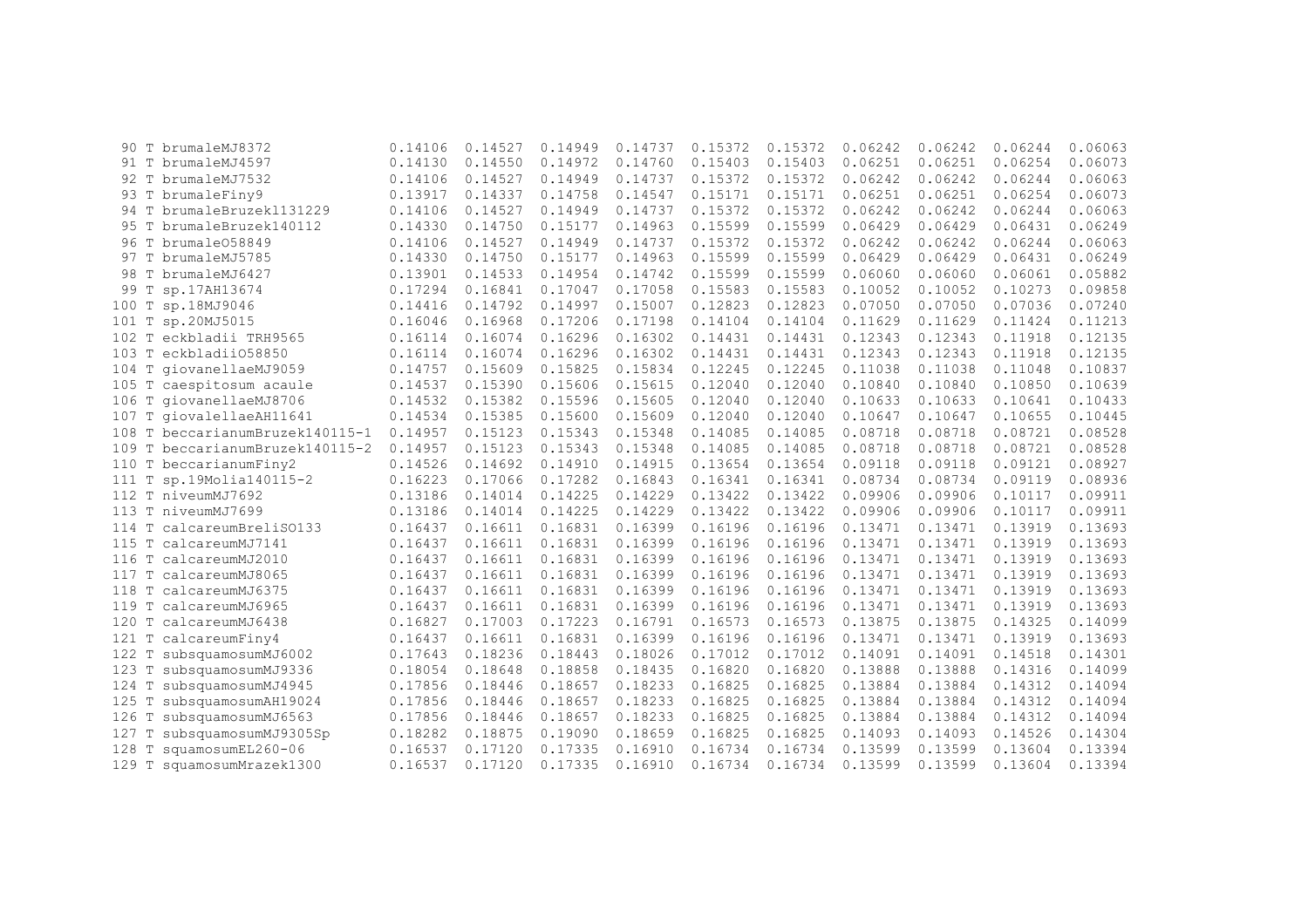|         |              | 90 T brumaleMJ8372              | 0.14106 | 0.14527 | 0.14949 | 0.14737 | 0.15372 | 0.15372 | 0.06242 | 0.06242 | 0.06244 | 0.06063 |
|---------|--------------|---------------------------------|---------|---------|---------|---------|---------|---------|---------|---------|---------|---------|
|         |              | 91 T brumaleMJ4597              | 0.14130 | 0.14550 | 0.14972 | 0.14760 | 0.15403 | 0.15403 | 0.06251 | 0.06251 | 0.06254 | 0.06073 |
|         |              | 92 T brumaleMJ7532              | 0.14106 | 0.14527 | 0.14949 | 0.14737 | 0.15372 | 0.15372 | 0.06242 | 0.06242 | 0.06244 | 0.06063 |
|         |              | 93 T brumaleFiny9               | 0.13917 | 0.14337 | 0.14758 | 0.14547 | 0.15171 | 0.15171 | 0.06251 | 0.06251 | 0.06254 | 0.06073 |
|         |              | 94 T brumaleBruzek1131229       | 0.14106 | 0.14527 | 0.14949 | 0.14737 | 0.15372 | 0.15372 | 0.06242 | 0.06242 | 0.06244 | 0.06063 |
| 95 T    |              | brumaleBruzek140112             | 0.14330 | 0.14750 | 0.15177 | 0.14963 | 0.15599 | 0.15599 | 0.06429 | 0.06429 | 0.06431 | 0.06249 |
| 96 T    |              | brumale058849                   | 0.14106 | 0.14527 | 0.14949 | 0.14737 | 0.15372 | 0.15372 | 0.06242 | 0.06242 | 0.06244 | 0.06063 |
|         |              | 97 T brumaleMJ5785              | 0.14330 | 0.14750 | 0.15177 | 0.14963 | 0.15599 | 0.15599 | 0.06429 | 0.06429 | 0.06431 | 0.06249 |
|         |              | 98 T brumaleMJ6427              | 0.13901 | 0.14533 | 0.14954 | 0.14742 | 0.15599 | 0.15599 | 0.06060 | 0.06060 | 0.06061 | 0.05882 |
| 99 T    |              | sp.17AH13674                    | 0.17294 | 0.16841 | 0.17047 | 0.17058 | 0.15583 | 0.15583 | 0.10052 | 0.10052 | 0.10273 | 0.09858 |
| 100 T   |              | sp.18MJ9046                     | 0.14416 | 0.14792 | 0.14997 | 0.15007 | 0.12823 | 0.12823 | 0.07050 | 0.07050 | 0.07036 | 0.07240 |
| 101 T   |              | sp.20MJ5015                     | 0.16046 | 0.16968 | 0.17206 | 0.17198 | 0.14104 | 0.14104 | 0.11629 | 0.11629 | 0.11424 | 0.11213 |
| $102$ T |              | eckbladii TRH9565               | 0.16114 | 0.16074 | 0.16296 | 0.16302 | 0.14431 | 0.14431 | 0.12343 | 0.12343 | 0.11918 | 0.12135 |
| $103$ T |              | eckbladii058850                 | 0.16114 | 0.16074 | 0.16296 | 0.16302 | 0.14431 | 0.14431 | 0.12343 | 0.12343 | 0.11918 | 0.12135 |
| $104$ T |              | qiovanellaeMJ9059               | 0.14757 | 0.15609 | 0.15825 | 0.15834 | 0.12245 | 0.12245 | 0.11038 | 0.11038 | 0.11048 | 0.10837 |
| 105 T   |              | caespitosum acaule              | 0.14537 | 0.15390 | 0.15606 | 0.15615 | 0.12040 | 0.12040 | 0.10840 | 0.10840 | 0.10850 | 0.10639 |
| 106 T   |              | qiovanellaeMJ8706               | 0.14532 | 0.15382 | 0.15596 | 0.15605 | 0.12040 | 0.12040 | 0.10633 | 0.10633 | 0.10641 | 0.10433 |
| 107 T   |              | qiovalellaeAH11641              | 0.14534 | 0.15385 | 0.15600 | 0.15609 | 0.12040 | 0.12040 | 0.10647 | 0.10647 | 0.10655 | 0.10445 |
| 108 T   |              | beccarianumBruzek140115-1       | 0.14957 | 0.15123 | 0.15343 | 0.15348 | 0.14085 | 0.14085 | 0.08718 | 0.08718 | 0.08721 | 0.08528 |
|         |              | 109 T beccarianumBruzek140115-2 | 0.14957 | 0.15123 | 0.15343 | 0.15348 | 0.14085 | 0.14085 | 0.08718 | 0.08718 | 0.08721 | 0.08528 |
|         |              | 110 T beccarianumFiny2          | 0.14526 | 0.14692 | 0.14910 | 0.14915 | 0.13654 | 0.13654 | 0.09118 | 0.09118 | 0.09121 | 0.08927 |
| 111 T   |              | sp.19Molia140115-2              | 0.16223 | 0.17066 | 0.17282 | 0.16843 | 0.16341 | 0.16341 | 0.08734 | 0.08734 | 0.09119 | 0.08936 |
| 112 T   |              | niveumMJ7692                    | 0.13186 | 0.14014 | 0.14225 | 0.14229 | 0.13422 | 0.13422 | 0.09906 | 0.09906 | 0.10117 | 0.09911 |
| 113 T   |              | niveumMJ7699                    | 0.13186 | 0.14014 | 0.14225 | 0.14229 | 0.13422 | 0.13422 | 0.09906 | 0.09906 | 0.10117 | 0.09911 |
| 114 T   |              | calcareumBreliS0133             | 0.16437 | 0.16611 | 0.16831 | 0.16399 | 0.16196 | 0.16196 | 0.13471 | 0.13471 | 0.13919 | 0.13693 |
| 115 T   |              | calcareumMJ7141                 | 0.16437 | 0.16611 | 0.16831 | 0.16399 | 0.16196 | 0.16196 | 0.13471 | 0.13471 | 0.13919 | 0.13693 |
| 116 T   |              | calcareumMJ2010                 | 0.16437 | 0.16611 | 0.16831 | 0.16399 | 0.16196 | 0.16196 | 0.13471 | 0.13471 | 0.13919 | 0.13693 |
|         |              | 117 T calcareumMJ8065           | 0.16437 | 0.16611 | 0.16831 | 0.16399 | 0.16196 | 0.16196 | 0.13471 | 0.13471 | 0.13919 | 0.13693 |
| 118 T   |              | calcareumMJ6375                 | 0.16437 | 0.16611 | 0.16831 | 0.16399 | 0.16196 | 0.16196 | 0.13471 | 0.13471 | 0.13919 | 0.13693 |
| 119 T   |              | calcareumMJ6965                 | 0.16437 | 0.16611 | 0.16831 | 0.16399 | 0.16196 | 0.16196 | 0.13471 | 0.13471 | 0.13919 | 0.13693 |
| 120 T   |              | calcareumMJ6438                 | 0.16827 | 0.17003 | 0.17223 | 0.16791 | 0.16573 | 0.16573 | 0.13875 | 0.13875 | 0.14325 | 0.14099 |
| 121 T   |              | calcareumFiny4                  | 0.16437 | 0.16611 | 0.16831 | 0.16399 | 0.16196 | 0.16196 | 0.13471 | 0.13471 | 0.13919 | 0.13693 |
| 122 T   |              | subsquamosumMJ6002              | 0.17643 | 0.18236 | 0.18443 | 0.18026 | 0.17012 | 0.17012 | 0.14091 | 0.14091 | 0.14518 | 0.14301 |
| 123     | $\mathbb{T}$ | subsquamosumMJ9336              | 0.18054 | 0.18648 | 0.18858 | 0.18435 | 0.16820 | 0.16820 | 0.13888 | 0.13888 | 0.14316 | 0.14099 |
| 124 T   |              | subsquamosumMJ4945              | 0.17856 | 0.18446 | 0.18657 | 0.18233 | 0.16825 | 0.16825 | 0.13884 | 0.13884 | 0.14312 | 0.14094 |
| 125     |              | subsquamosumAH19024             | 0.17856 | 0.18446 | 0.18657 | 0.18233 | 0.16825 | 0.16825 | 0.13884 | 0.13884 | 0.14312 | 0.14094 |
| 126     |              | subsquamosumMJ6563              | 0.17856 | 0.18446 | 0.18657 | 0.18233 | 0.16825 | 0.16825 | 0.13884 | 0.13884 | 0.14312 | 0.14094 |
| 127     |              | subsquamosumMJ9305Sp            | 0.18282 | 0.18875 | 0.19090 | 0.18659 | 0.16825 | 0.16825 | 0.14093 | 0.14093 | 0.14526 | 0.14304 |
| 128     |              | squamosumEL260-06               | 0.16537 | 0.17120 | 0.17335 | 0.16910 | 0.16734 | 0.16734 | 0.13599 | 0.13599 | 0.13604 | 0.13394 |
| 129 T   |              | squamosumMrazek1300             | 0.16537 | 0.17120 | 0.17335 | 0.16910 | 0.16734 | 0.16734 | 0.13599 | 0.13599 | 0.13604 | 0.13394 |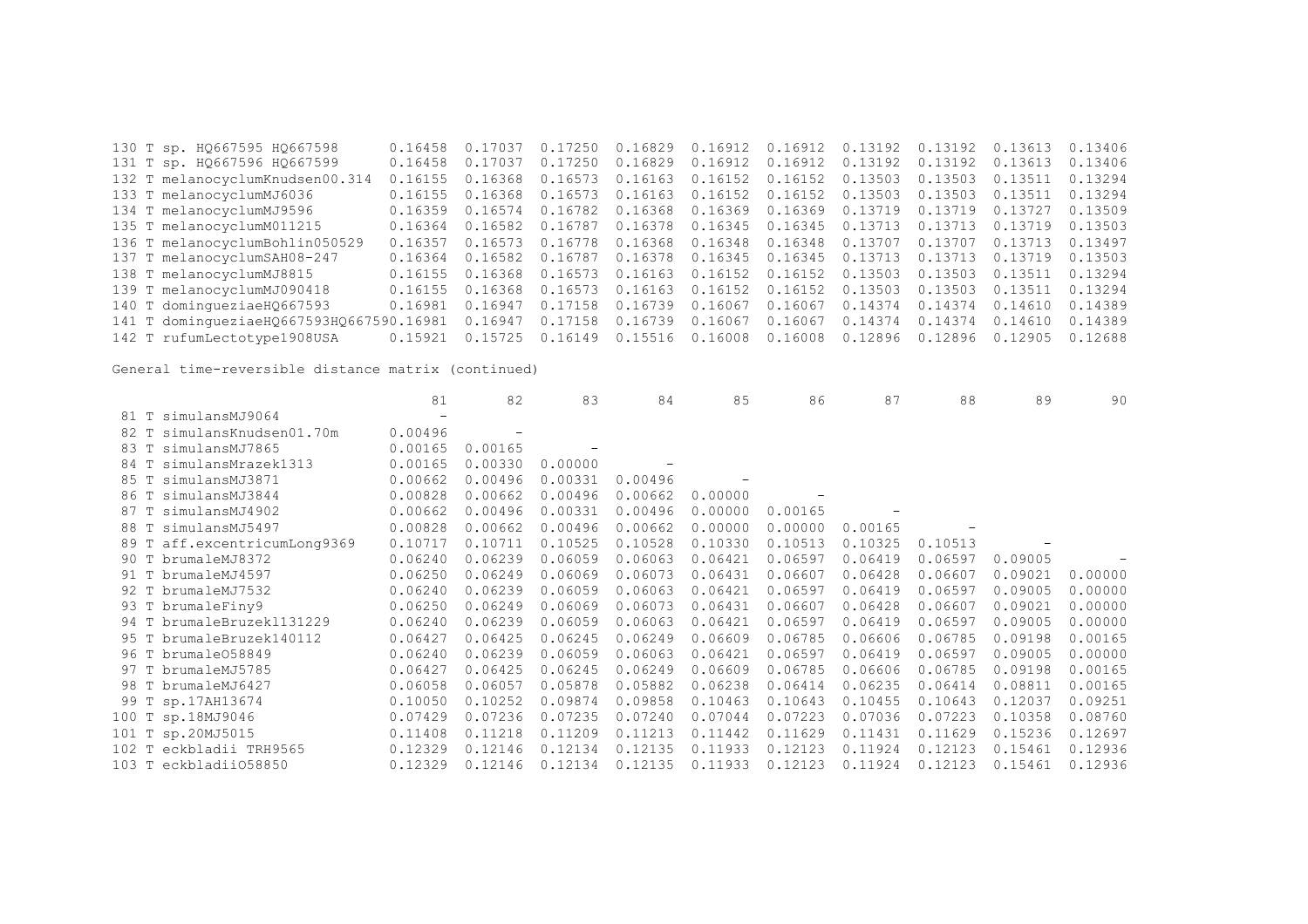| 130 T sp. H0667595 H0667598              | 0.16458 | 0.17037         | 0.17250         |                 | $0.16829$ 0.16912 0.16912 0.13192 0.13192 0.13613 |                 |         |                 |         | 0.13406 |
|------------------------------------------|---------|-----------------|-----------------|-----------------|---------------------------------------------------|-----------------|---------|-----------------|---------|---------|
| 131 T sp. HQ667596 HQ667599              | 0.16458 | 0.17037         | 0.17250         |                 | $0.16829$ $0.16912$ $0.16912$ $0.13192$ $0.13192$ |                 |         |                 | 0.13613 | 0.13406 |
| 132 T melanocyclumKnudsen00.314          | 0.16155 | 0.16368         | 0.16573         |                 | 0.16163  0.16152  0.16152                         |                 | 0.13503 | 0.13503         | 0.13511 | 0.13294 |
| 133 T melanocyclumMJ6036                 | 0.16155 |                 | 0.16368 0.16573 |                 | $0.16163$ $0.16152$ $0.16152$ $0.13503$           |                 |         | 0.13503         | 0.13511 | 0.13294 |
| 134 T melanocyclumMJ9596                 | 0.16359 |                 | 0.16574 0.16782 | 0.16368 0.16369 |                                                   | 0.16369 0.13719 |         | 0.13719 0.13727 |         | 0.13509 |
| 135 T melanocyclumM011215                | 0.16364 |                 | 0.16582 0.16787 |                 | $0.16378$ 0.16345 0.16345 0.13713 0.13713         |                 |         |                 | 0.13719 | 0.13503 |
| 136 T melanocyclumBohlin050529           | 0.16357 | 0.16573         | 0.16778         | 0.16368 0.16348 |                                                   | 0.16348 0.13707 |         | 0.13707         | 0.13713 | 0.13497 |
| 137 T melanocyclumSAH08-247              | 0.16364 |                 | 0.16582 0.16787 | 0.16378 0.16345 |                                                   | 0.16345 0.13713 |         | 0.13713         | 0.13719 | 0.13503 |
| 138 T melanocyclumMJ8815                 | 0.16155 | 0.16368 0.16573 |                 | 0.16163 0.16152 |                                                   | 0.16152         | 0.13503 | 0.13503 0.13511 |         | 0.13294 |
| 139 T melanocyclumMJ090418               | 0.16155 | 0.16368 0.16573 |                 | 0.16163         | 0.16152                                           | 0.16152         | 0.13503 | 0.13503         | 0.13511 | 0.13294 |
| 140 T dominqueziaeH0667593               | 0.16981 | 0.16947         | 0.17158         | 0.16739         | 0.16067                                           | 0.16067         | 0.14374 | 0.14374 0.14610 |         | 0.14389 |
| 141 T domingueziaeHQ667593HQ667590.16981 |         | 0.16947         | 0.17158         | 0.16739 0.16067 |                                                   | 0.16067         | 0.14374 | 0.14374         | 0.14610 | 0.14389 |
| 142 T rufumLectotype1908USA              | 0.15921 |                 | 0.15725 0.16149 | 0.15516 0.16008 |                                                   | 0.16008         | 0.12896 | 0.12896         | 0.12905 | 0.12688 |

|      |                           | 81      | 82      | 83      | 84      | 85      | 86      | 87      | 88      | 89      | 90      |
|------|---------------------------|---------|---------|---------|---------|---------|---------|---------|---------|---------|---------|
|      | 81 T simulansMJ9064       |         |         |         |         |         |         |         |         |         |         |
| 82 T | simulansKnudsen01.70m     | 0.00496 |         |         |         |         |         |         |         |         |         |
| 83 T | simulansMJ7865            | 0.00165 | 0.00165 |         |         |         |         |         |         |         |         |
| 84 T | simulansMrazek1313        | 0.00165 | 0.00330 | 0.00000 |         |         |         |         |         |         |         |
| 85 T | simulansMJ3871            | 0.00662 | 0.00496 | 0.00331 | 0.00496 |         |         |         |         |         |         |
| 86 T | simulansMJ3844            | 0.00828 | 0.00662 | 0.00496 | 0.00662 | 0.00000 |         |         |         |         |         |
| 87 T | simulansMJ4902            | 0.00662 | 0.00496 | 0.00331 | 0.00496 | 0.00000 | 0.00165 |         |         |         |         |
| 88 T | simulansMJ5497            | 0.00828 | 0.00662 | 0.00496 | 0.00662 | 0.00000 | 0.00000 | 0.00165 |         |         |         |
| 89 T | aff.excentricumLong9369   | 0.10717 | 0.10711 | 0.10525 | 0.10528 | 0.10330 | 0.10513 | 0.10325 | 0.10513 |         |         |
|      | 90 T brumaleMJ8372        | 0.06240 | 0.06239 | 0.06059 | 0.06063 | 0.06421 | 0.06597 | 0.06419 | 0.06597 | 0.09005 |         |
|      | 91 T brumaleMJ4597        | 0.06250 | 0.06249 | 0.06069 | 0.06073 | 0.06431 | 0.06607 | 0.06428 | 0.06607 | 0.09021 | 0.00000 |
|      | 92 T brumaleMJ7532        | 0.06240 | 0.06239 | 0.06059 | 0.06063 | 0.06421 | 0.06597 | 0.06419 | 0.06597 | 0.09005 | 0.00000 |
|      | 93 T brumaleFiny9         | 0.06250 | 0.06249 | 0.06069 | 0.06073 | 0.06431 | 0.06607 | 0.06428 | 0.06607 | 0.09021 | 0.00000 |
|      | 94 T brumaleBruzek1131229 | 0.06240 | 0.06239 | 0.06059 | 0.06063 | 0.06421 | 0.06597 | 0.06419 | 0.06597 | 0.09005 | 0.00000 |
| 95 T | brumaleBruzek140112       | 0.06427 | 0.06425 | 0.06245 | 0.06249 | 0.06609 | 0.06785 | 0.06606 | 0.06785 | 0.09198 | 0.00165 |
|      | 96 T brumale058849        | 0.06240 | 0.06239 | 0.06059 | 0.06063 | 0.06421 | 0.06597 | 0.06419 | 0.06597 | 0.09005 | 0.00000 |
|      | 97 T brumaleMJ5785        | 0.06427 | 0.06425 | 0.06245 | 0.06249 | 0.06609 | 0.06785 | 0.06606 | 0.06785 | 0.09198 | 0.00165 |
|      | 98 T brumaleMJ6427        | 0.06058 | 0.06057 | 0.05878 | 0.05882 | 0.06238 | 0.06414 | 0.06235 | 0.06414 | 0.08811 | 0.00165 |
|      | 99 T sp.17AH13674         | 0.10050 | 0.10252 | 0.09874 | 0.09858 | 0.10463 | 0.10643 | 0.10455 | 0.10643 | 0.12037 | 0.09251 |
|      | 100 T sp.18MJ9046         | 0.07429 | 0.07236 | 0.07235 | 0.07240 | 0.07044 | 0.07223 | 0.07036 | 0.07223 | 0.10358 | 0.08760 |
|      | 101 T sp.20MJ5015         | 0.11408 | 0.11218 | 0.11209 | 0.11213 | 0.11442 | 0.11629 | 0.11431 | 0.11629 | 0.15236 | 0.12697 |
|      | 102 T eckbladii TRH9565   | 0.12329 | 0.12146 | 0.12134 | 0.12135 | 0.11933 | 0.12123 | 0.11924 | 0.12123 | 0.15461 | 0.12936 |
|      | 103 T eckbladii058850     | 0.12329 | 0.12146 | 0.12134 | 0.12135 | 0.11933 | 0.12123 | 0.11924 | 0.12123 | 0.15461 | 0.12936 |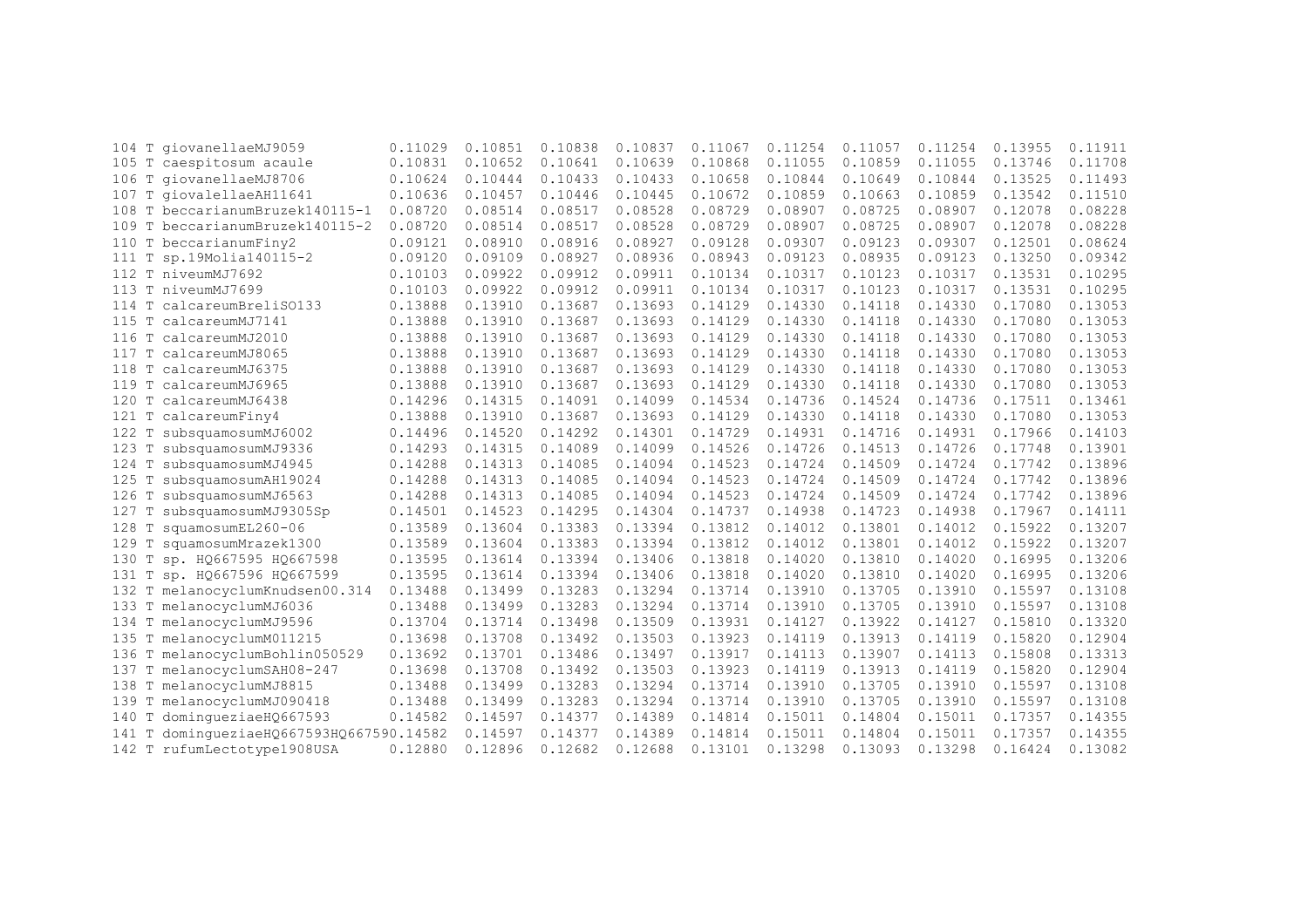|                    | 104 T giovanellaeMJ9059            | 0.11029 | 0.10851 | 0.10838 | 0.10837 | 0.11067 | 0.11254 | 0.11057 | 0.11254 | 0.13955 | 0.11911 |
|--------------------|------------------------------------|---------|---------|---------|---------|---------|---------|---------|---------|---------|---------|
|                    | 105 T caespitosum acaule           | 0.10831 | 0.10652 | 0.10641 | 0.10639 | 0.10868 | 0.11055 | 0.10859 | 0.11055 | 0.13746 | 0.11708 |
| 106                | T giovanellaeMJ8706                | 0.10624 | 0.10444 | 0.10433 | 0.10433 | 0.10658 | 0.10844 | 0.10649 | 0.10844 | 0.13525 | 0.11493 |
| $\mathbb T$<br>107 | qiovalellaeAH11641                 | 0.10636 | 0.10457 | 0.10446 | 0.10445 | 0.10672 | 0.10859 | 0.10663 | 0.10859 | 0.13542 | 0.11510 |
| 108                | T beccarianumBruzek140115-1        | 0.08720 | 0.08514 | 0.08517 | 0.08528 | 0.08729 | 0.08907 | 0.08725 | 0.08907 | 0.12078 | 0.08228 |
|                    | 109 T beccarianumBruzek140115-2    | 0.08720 | 0.08514 | 0.08517 | 0.08528 | 0.08729 | 0.08907 | 0.08725 | 0.08907 | 0.12078 | 0.08228 |
|                    | 110 T beccarianumFiny2             | 0.09121 | 0.08910 | 0.08916 | 0.08927 | 0.09128 | 0.09307 | 0.09123 | 0.09307 | 0.12501 | 0.08624 |
| 111                | T sp.19Molia140115-2               | 0.09120 | 0.09109 | 0.08927 | 0.08936 | 0.08943 | 0.09123 | 0.08935 | 0.09123 | 0.13250 | 0.09342 |
| 112                | T niveumMJ7692                     | 0.10103 | 0.09922 | 0.09912 | 0.09911 | 0.10134 | 0.10317 | 0.10123 | 0.10317 | 0.13531 | 0.10295 |
| T<br>113           | niveumMJ7699                       | 0.10103 | 0.09922 | 0.09912 | 0.09911 | 0.10134 | 0.10317 | 0.10123 | 0.10317 | 0.13531 | 0.10295 |
| T<br>114           | calcareumBreliS0133                | 0.13888 | 0.13910 | 0.13687 | 0.13693 | 0.14129 | 0.14330 | 0.14118 | 0.14330 | 0.17080 | 0.13053 |
| T<br>115           | calcareumMJ7141                    | 0.13888 | 0.13910 | 0.13687 | 0.13693 | 0.14129 | 0.14330 | 0.14118 | 0.14330 | 0.17080 | 0.13053 |
| T<br>116           | calcareumMJ2010                    | 0.13888 | 0.13910 | 0.13687 | 0.13693 | 0.14129 | 0.14330 | 0.14118 | 0.14330 | 0.17080 | 0.13053 |
| T<br>117           | calcareumMJ8065                    | 0.13888 | 0.13910 | 0.13687 | 0.13693 | 0.14129 | 0.14330 | 0.14118 | 0.14330 | 0.17080 | 0.13053 |
| $\mathbb T$<br>118 | calcareumMJ6375                    | 0.13888 | 0.13910 | 0.13687 | 0.13693 | 0.14129 | 0.14330 | 0.14118 | 0.14330 | 0.17080 | 0.13053 |
| $\mathbb T$<br>119 | calcareumMJ6965                    | 0.13888 | 0.13910 | 0.13687 | 0.13693 | 0.14129 | 0.14330 | 0.14118 | 0.14330 | 0.17080 | 0.13053 |
| $\mathbb T$<br>120 | calcareumMJ6438                    | 0.14296 | 0.14315 | 0.14091 | 0.14099 | 0.14534 | 0.14736 | 0.14524 | 0.14736 | 0.17511 | 0.13461 |
| $\mathbb T$<br>121 | calcareumFiny4                     | 0.13888 | 0.13910 | 0.13687 | 0.13693 | 0.14129 | 0.14330 | 0.14118 | 0.14330 | 0.17080 | 0.13053 |
| Т<br>122           | subsquamosumMJ6002                 | 0.14496 | 0.14520 | 0.14292 | 0.14301 | 0.14729 | 0.14931 | 0.14716 | 0.14931 | 0.17966 | 0.14103 |
| 123<br>Т           | subsquamosumMJ9336                 | 0.14293 | 0.14315 | 0.14089 | 0.14099 | 0.14526 | 0.14726 | 0.14513 | 0.14726 | 0.17748 | 0.13901 |
| 124<br>T           | subsquamosumMJ4945                 | 0.14288 | 0.14313 | 0.14085 | 0.14094 | 0.14523 | 0.14724 | 0.14509 | 0.14724 | 0.17742 | 0.13896 |
| Т<br>125           | subsquamosumAH19024                | 0.14288 | 0.14313 | 0.14085 | 0.14094 | 0.14523 | 0.14724 | 0.14509 | 0.14724 | 0.17742 | 0.13896 |
| T<br>126           | subsquamosumMJ6563                 | 0.14288 | 0.14313 | 0.14085 | 0.14094 | 0.14523 | 0.14724 | 0.14509 | 0.14724 | 0.17742 | 0.13896 |
| 127<br>T           | subsquamosumMJ9305Sp               | 0.14501 | 0.14523 | 0.14295 | 0.14304 | 0.14737 | 0.14938 | 0.14723 | 0.14938 | 0.17967 | 0.14111 |
| 128<br>Т           | squamosumEL260-06                  | 0.13589 | 0.13604 | 0.13383 | 0.13394 | 0.13812 | 0.14012 | 0.13801 | 0.14012 | 0.15922 | 0.13207 |
| 129<br>Т           | squamosumMrazek1300                | 0.13589 | 0.13604 | 0.13383 | 0.13394 | 0.13812 | 0.14012 | 0.13801 | 0.14012 | 0.15922 | 0.13207 |
| $\mathbb T$<br>130 | sp. HQ667595 HQ667598              | 0.13595 | 0.13614 | 0.13394 | 0.13406 | 0.13818 | 0.14020 | 0.13810 | 0.14020 | 0.16995 | 0.13206 |
| $\mathbb T$<br>131 | sp. HQ667596 HQ667599              | 0.13595 | 0.13614 | 0.13394 | 0.13406 | 0.13818 | 0.14020 | 0.13810 | 0.14020 | 0.16995 | 0.13206 |
| 132                | T melanocyclumKnudsen00.314        | 0.13488 | 0.13499 | 0.13283 | 0.13294 | 0.13714 | 0.13910 | 0.13705 | 0.13910 | 0.15597 | 0.13108 |
| 133                | T melanocyclumMJ6036               | 0.13488 | 0.13499 | 0.13283 | 0.13294 | 0.13714 | 0.13910 | 0.13705 | 0.13910 | 0.15597 | 0.13108 |
|                    | 134 T melanocyclumMJ9596           | 0.13704 | 0.13714 | 0.13498 | 0.13509 | 0.13931 | 0.14127 | 0.13922 | 0.14127 | 0.15810 | 0.13320 |
| 135                | T melanocyclumM011215              | 0.13698 | 0.13708 | 0.13492 | 0.13503 | 0.13923 | 0.14119 | 0.13913 | 0.14119 | 0.15820 | 0.12904 |
| 136                | T melanocyclumBohlin050529         | 0.13692 | 0.13701 | 0.13486 | 0.13497 | 0.13917 | 0.14113 | 0.13907 | 0.14113 | 0.15808 | 0.13313 |
| 137                | T melanocyclumSAH08-247            | 0.13698 | 0.13708 | 0.13492 | 0.13503 | 0.13923 | 0.14119 | 0.13913 | 0.14119 | 0.15820 | 0.12904 |
| T<br>138           | melanocyclumMJ8815                 | 0.13488 | 0.13499 | 0.13283 | 0.13294 | 0.13714 | 0.13910 | 0.13705 | 0.13910 | 0.15597 | 0.13108 |
| 139                | melanocyclumMJ090418               | 0.13488 | 0.13499 | 0.13283 | 0.13294 | 0.13714 | 0.13910 | 0.13705 | 0.13910 | 0.15597 | 0.13108 |
| 140                | domingueziaeHQ667593               | 0.14582 | 0.14597 | 0.14377 | 0.14389 | 0.14814 | 0.15011 | 0.14804 | 0.15011 | 0.17357 | 0.14355 |
| 141                | dominqueziaeHQ667593HQ667590.14582 |         | 0.14597 | 0.14377 | 0.14389 | 0.14814 | 0.15011 | 0.14804 | 0.15011 | 0.17357 | 0.14355 |
|                    | 142 T rufumLectotype1908USA        | 0.12880 | 0.12896 | 0.12682 | 0.12688 | 0.13101 | 0.13298 | 0.13093 | 0.13298 | 0.16424 | 0.13082 |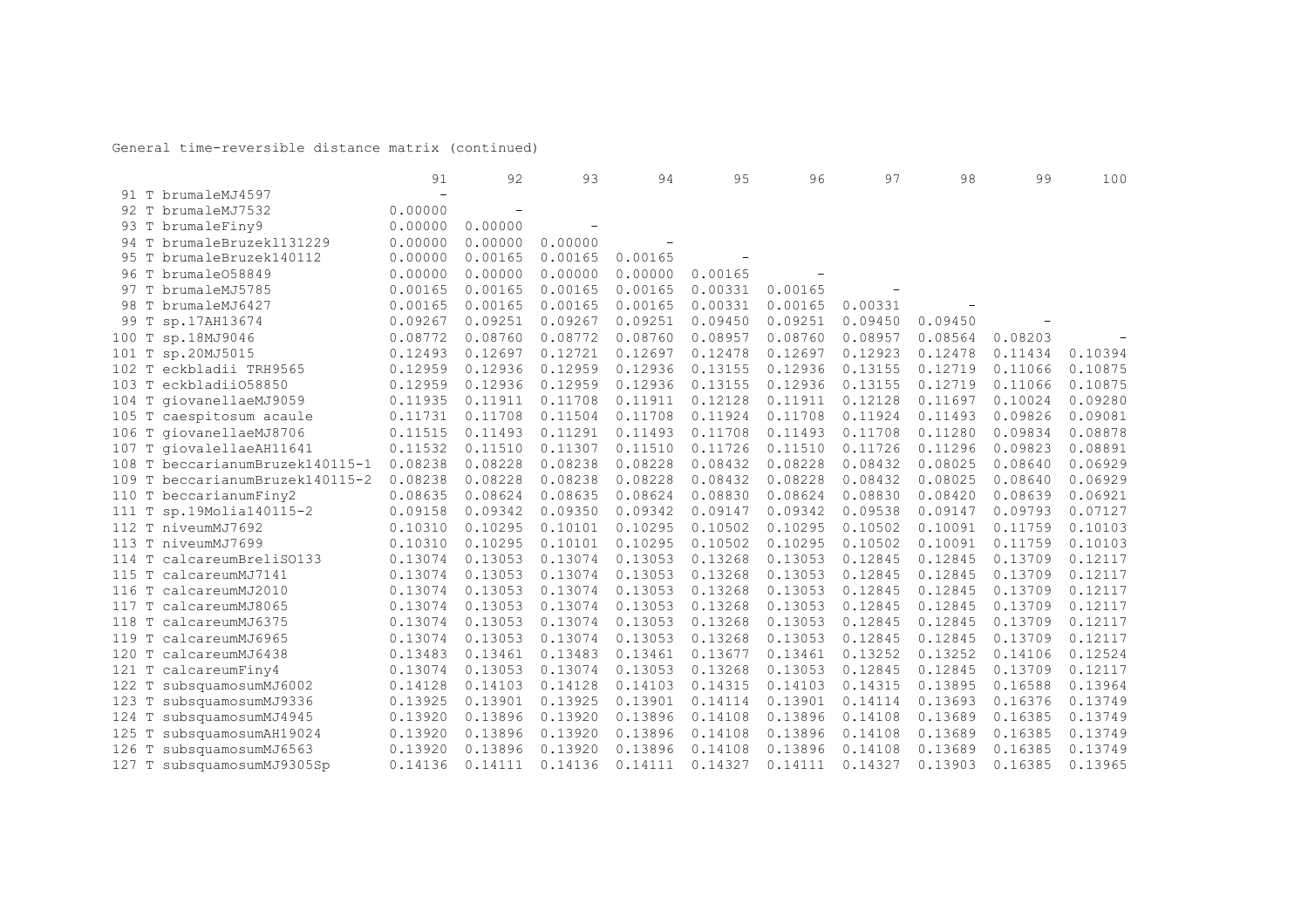|       |                                    | 91                       | 92                       | 93                       | 94      | 95      | 96      | 97      | 98      | 99      | 100     |
|-------|------------------------------------|--------------------------|--------------------------|--------------------------|---------|---------|---------|---------|---------|---------|---------|
|       | 91 T brumaleMJ4597                 | $\overline{\phantom{a}}$ |                          |                          |         |         |         |         |         |         |         |
| 92    | T brumaleMJ7532                    | 0.00000                  | $\overline{\phantom{0}}$ |                          |         |         |         |         |         |         |         |
|       | 93 T brumaleFiny9                  | 0.00000                  | 0.00000                  | $\overline{\phantom{m}}$ |         |         |         |         |         |         |         |
|       | 94 T brumaleBruzek1131229          | 0.00000                  | 0.00000                  | 0.00000                  |         |         |         |         |         |         |         |
| 95    | T brumaleBruzek140112              | 0.00000                  | 0.00165                  | 0.00165                  | 0.00165 |         |         |         |         |         |         |
| 96    | T brumale058849                    | 0.00000                  | 0.00000                  | 0.00000                  | 0.00000 | 0.00165 |         |         |         |         |         |
| 97    | T brumaleMJ5785                    | 0.00165                  | 0.00165                  | 0.00165                  | 0.00165 | 0.00331 | 0.00165 |         |         |         |         |
| 98    | T brumaleMJ6427                    | 0.00165                  | 0.00165                  | 0.00165                  | 0.00165 | 0.00331 | 0.00165 | 0.00331 |         |         |         |
| 99    | T sp.17AH13674                     | 0.09267                  | 0.09251                  | 0.09267                  | 0.09251 | 0.09450 | 0.09251 | 0.09450 | 0.09450 |         |         |
| 100   | T sp.18MJ9046                      | 0.08772                  | 0.08760                  | 0.08772                  | 0.08760 | 0.08957 | 0.08760 | 0.08957 | 0.08564 | 0.08203 |         |
|       | 101 T sp.20MJ5015                  | 0.12493                  | 0.12697                  | 0.12721                  | 0.12697 | 0.12478 | 0.12697 | 0.12923 | 0.12478 | 0.11434 | 0.10394 |
|       | 102 T eckbladii TRH9565            | 0.12959                  | 0.12936                  | 0.12959                  | 0.12936 | 0.13155 | 0.12936 | 0.13155 | 0.12719 | 0.11066 | 0.10875 |
|       | 103 T eckbladii058850              | 0.12959                  | 0.12936                  | 0.12959                  | 0.12936 | 0.13155 | 0.12936 | 0.13155 | 0.12719 | 0.11066 | 0.10875 |
| 104 T | qiovanellaeMJ9059                  | 0.11935                  | 0.11911                  | 0.11708                  | 0.11911 | 0.12128 | 0.11911 | 0.12128 | 0.11697 | 0.10024 | 0.09280 |
|       | 105 T caespitosum acaule           | 0.11731                  | 0.11708                  | 0.11504                  | 0.11708 | 0.11924 | 0.11708 | 0.11924 | 0.11493 | 0.09826 | 0.09081 |
|       | 106 T giovanellaeMJ8706            | 0.11515                  | 0.11493                  | 0.11291                  | 0.11493 | 0.11708 | 0.11493 | 0.11708 | 0.11280 | 0.09834 | 0.08878 |
|       | 107 T giovalellaeAH11641           | 0.11532                  | 0.11510                  | 0.11307                  | 0.11510 | 0.11726 | 0.11510 | 0.11726 | 0.11296 | 0.09823 | 0.08891 |
|       | 108 T beccarianumBruzek140115-1    | 0.08238                  | 0.08228                  | 0.08238                  | 0.08228 | 0.08432 | 0.08228 | 0.08432 | 0.08025 | 0.08640 | 0.06929 |
| 109   | T beccarianumBruzek140115-2        | 0.08238                  | 0.08228                  | 0.08238                  | 0.08228 | 0.08432 | 0.08228 | 0.08432 | 0.08025 | 0.08640 | 0.06929 |
|       | 110 T beccarianumFiny2             | 0.08635                  | 0.08624                  | 0.08635                  | 0.08624 | 0.08830 | 0.08624 | 0.08830 | 0.08420 | 0.08639 | 0.06921 |
| 111   | T sp.19Molia140115-2               | 0.09158                  | 0.09342                  | 0.09350                  | 0.09342 | 0.09147 | 0.09342 | 0.09538 | 0.09147 | 0.09793 | 0.07127 |
| 112   | T niveumMJ7692                     | 0.10310                  | 0.10295                  | 0.10101                  | 0.10295 | 0.10502 | 0.10295 | 0.10502 | 0.10091 | 0.11759 | 0.10103 |
| 113   | T niveumMJ7699                     | 0.10310                  | 0.10295                  | 0.10101                  | 0.10295 | 0.10502 | 0.10295 | 0.10502 | 0.10091 | 0.11759 | 0.10103 |
| 114   | T<br>calcareumBreliS0133           | 0.13074                  | 0.13053                  | 0.13074                  | 0.13053 | 0.13268 | 0.13053 | 0.12845 | 0.12845 | 0.13709 | 0.12117 |
| 115   | $\mathbb T$<br>calcareumMJ7141     | 0.13074                  | 0.13053                  | 0.13074                  | 0.13053 | 0.13268 | 0.13053 | 0.12845 | 0.12845 | 0.13709 | 0.12117 |
| 116   | T<br>calcareumMJ2010               | 0.13074                  | 0.13053                  | 0.13074                  | 0.13053 | 0.13268 | 0.13053 | 0.12845 | 0.12845 | 0.13709 | 0.12117 |
| 117   | $\mathbb T$<br>calcareumMJ8065     | 0.13074                  | 0.13053                  | 0.13074                  | 0.13053 | 0.13268 | 0.13053 | 0.12845 | 0.12845 | 0.13709 | 0.12117 |
| 118   | calcareumMJ6375<br>T               | 0.13074                  | 0.13053                  | 0.13074                  | 0.13053 | 0.13268 | 0.13053 | 0.12845 | 0.12845 | 0.13709 | 0.12117 |
| 119   | T<br>calcareumMJ6965               | 0.13074                  | 0.13053                  | 0.13074                  | 0.13053 | 0.13268 | 0.13053 | 0.12845 | 0.12845 | 0.13709 | 0.12117 |
| 120   | calcareumMJ6438                    | 0.13483                  | 0.13461                  | 0.13483                  | 0.13461 | 0.13677 | 0.13461 | 0.13252 | 0.13252 | 0.14106 | 0.12524 |
| 121 T | calcareumFiny4                     | 0.13074                  | 0.13053                  | 0.13074                  | 0.13053 | 0.13268 | 0.13053 | 0.12845 | 0.12845 | 0.13709 | 0.12117 |
| 122   | $\mathbb T$<br>subsquamosumMJ6002  | 0.14128                  | 0.14103                  | 0.14128                  | 0.14103 | 0.14315 | 0.14103 | 0.14315 | 0.13895 | 0.16588 | 0.13964 |
| 123   | Т<br>subsquamosumMJ9336            | 0.13925                  | 0.13901                  | 0.13925                  | 0.13901 | 0.14114 | 0.13901 | 0.14114 | 0.13693 | 0.16376 | 0.13749 |
| 124   | $\mathbb T$<br>subsquamosumMJ4945  | 0.13920                  | 0.13896                  | 0.13920                  | 0.13896 | 0.14108 | 0.13896 | 0.14108 | 0.13689 | 0.16385 | 0.13749 |
| 125   | $\mathbb T$<br>subsquamosumAH19024 | 0.13920                  | 0.13896                  | 0.13920                  | 0.13896 | 0.14108 | 0.13896 | 0.14108 | 0.13689 | 0.16385 | 0.13749 |
| 126   | $\mathbb T$<br>subsquamosumMJ6563  | 0.13920                  | 0.13896                  | 0.13920                  | 0.13896 | 0.14108 | 0.13896 | 0.14108 | 0.13689 | 0.16385 | 0.13749 |
|       | 127 T subsquamosumMJ9305Sp         | 0.14136                  | 0.14111                  | 0.14136                  | 0.14111 | 0.14327 | 0.14111 | 0.14327 | 0.13903 | 0.16385 | 0.13965 |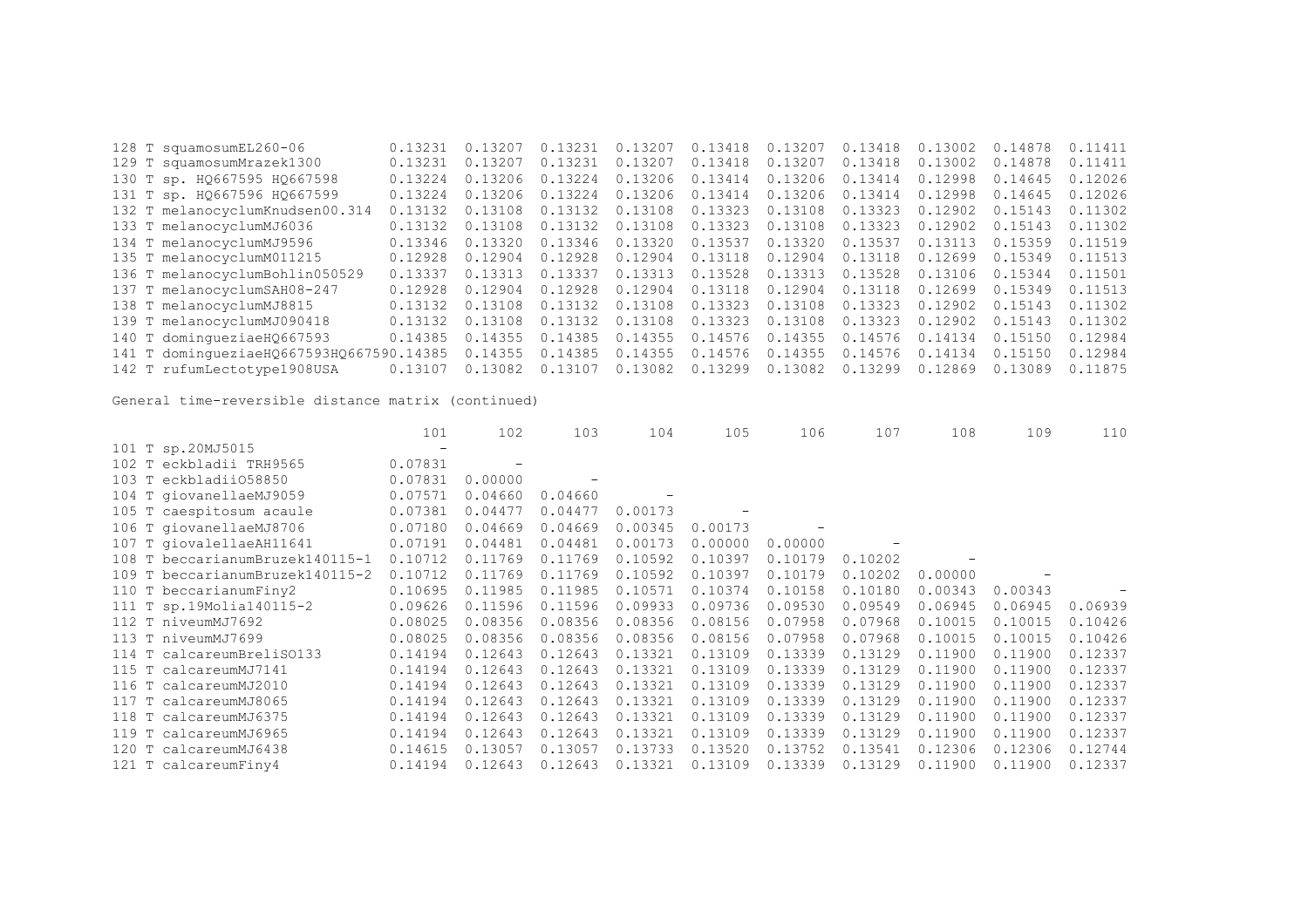| 128 T squamosumEL260-06                  | 0.13231 | 0.13207 | 0.13231 | 0.13207 | 0.13418 | 0.13207 | 0.13418 | 0.13002        | 0.14878 | 0.11411 |
|------------------------------------------|---------|---------|---------|---------|---------|---------|---------|----------------|---------|---------|
| 129 T squamosumMrazek1300                | 0.13231 | 0.13207 | 0.13231 | 0.13207 | 0.13418 | 0.13207 | 0.13418 | 0.13002        | 0.14878 | 0.11411 |
| 130 T sp. H0667595 H0667598              | 0.13224 | 0.13206 | 0.13224 | 0.13206 | 0.13414 | 0.13206 | 0.13414 | 0.12998        | 0.14645 | 0.12026 |
| 131 T sp. H0667596 H0667599              | 0.13224 | 0.13206 | 0.13224 | 0.13206 | 0.13414 | 0.13206 | 0.13414 | 0.12998        | 0.14645 | 0.12026 |
| 132 T melanocyclumKnudsen00.314          | 0.13132 | 0.13108 | 0.13132 | 0.13108 | 0.13323 | 0.13108 | 0.13323 | 0.12902        | 0.15143 | 0.11302 |
| 133 T melanocyclumMJ6036                 | 0.13132 | 0.13108 | 0.13132 | 0.13108 | 0.13323 | 0.13108 | 0.13323 | 0.12902        | 0.15143 | 0.11302 |
| 134 T melanocyclumMJ9596                 | 0.13346 | 0.13320 | 0.13346 | 0.13320 | 0.13537 | 0.13320 | 0.13537 | 0 1 3 1 1<br>3 | 0.15359 | 0.11519 |
| 135 T melanocyclumM011215                | 0.12928 | 0.12904 | 0.12928 | 0.12904 | 0.13118 | 0.12904 | 0.13118 | 0.12699        | 0.15349 | 0.11513 |
| 136 T melanocyclumBohlin050529           | 0.13337 | 0.13313 | 0.13337 | 0.13313 | 0.13528 | 0.13313 | 0.13528 | 0.13106        | 0.15344 | 0.11501 |
| 137 T melanocyclumSAH08-247              | 0.12928 | 0.12904 | 0.12928 | 0.12904 | 0.13118 | 0.12904 | 0.13118 | 0.12699        | 0.15349 | 0.11513 |
| 138 T melanocyclumMJ8815                 | 0.13132 | 0.13108 | 0.13132 | 0.13108 | 0.13323 | 0.13108 | 0.13323 | 0.12902        | 0.15143 | 0.11302 |
| 139 T melanocyclumMJ090418               | 0.13132 | 0.13108 | 0.13132 | 0.13108 | 0.13323 | 0.13108 | 0.13323 | 0.12902        | 0.15143 | 0.11302 |
| 140 T dominqueziaeH0667593               | 0.14385 | 0.14355 | 0.14385 | 0.14355 | 0.14576 | 0.14355 | 0.14576 | 0.14134        | 0.15150 | 0.12984 |
| 141 T dominqueziaeHQ667593HQ667590.14385 |         | 0.14355 | 0.14385 | 0.14355 | 0.14576 | 0.14355 | 0.14576 | 0.14134        | 0.15150 | 0.12984 |
| 142 T rufumLectotype1908USA              | 0.13107 | 0.13082 | 0.13107 | 0.13082 | 0.13299 | 0.13082 | 0.13299 | 0.12869        | 0.13089 | 0.11875 |
|                                          |         |         |         |         |         |         |         |                |         |         |

|                                 | 101                      | 102     | 103     | 104     | 105     | 106     | 107     | 108     | 109     | 110     |
|---------------------------------|--------------------------|---------|---------|---------|---------|---------|---------|---------|---------|---------|
| 101 T sp.20MJ5015               | $\overline{\phantom{m}}$ |         |         |         |         |         |         |         |         |         |
| 102 T eckbladii TRH9565         | 0.07831                  |         |         |         |         |         |         |         |         |         |
| eckbladii058850<br>103 T        | 0.07831                  | 0.00000 |         |         |         |         |         |         |         |         |
| 104 T giovanellaeMJ9059         | 0.07571                  | 0.04660 | 0.04660 |         |         |         |         |         |         |         |
| 105 T caespitosum acaule        | 0.07381                  | 0.04477 | 0.04477 | 0.00173 |         |         |         |         |         |         |
| 106 T giovanellaeMJ8706         | 0.07180                  | 0.04669 | 0.04669 | 0.00345 | 0.00173 |         |         |         |         |         |
| 107 T giovalellaeAH11641        | 0.07191                  | 0.04481 | 0.04481 | 0.00173 | 0.00000 | 0.00000 |         |         |         |         |
| 108 T beccarianumBruzek140115-1 | 0.10712                  | 0.11769 | 0.11769 | 0.10592 | 0.10397 | 0.10179 | 0.10202 |         |         |         |
| 109 T beccarianumBruzek140115-2 | 0.10712                  | 0.11769 | 0.11769 | 0.10592 | 0.10397 | 0.10179 | 0.10202 | 0.00000 |         |         |
| 110 T beccarianumFiny2          | 0.10695                  | 0.11985 | 0.11985 | 0.10571 | 0.10374 | 0.10158 | 0.10180 | 0.00343 | 0.00343 |         |
| 111 T sp.19Molia140115-2        | 0.09626                  | 0.11596 | 0.11596 | 0.09933 | 0.09736 | 0.09530 | 0.09549 | 0.06945 | 0.06945 | 0.06939 |
| 112 T niveumMJ7692              | 0.08025                  | 0.08356 | 0.08356 | 0.08356 | 0.08156 | 0.07958 | 0.07968 | 0.10015 | 0.10015 | 0.10426 |
| 113 T niveumMJ7699              | 0.08025                  | 0.08356 | 0.08356 | 0.08356 | 0.08156 | 0.07958 | 0.07968 | 0.10015 | 0.10015 | 0.10426 |
| 114 T calcareumBreliS0133       | 0.14194                  | 0.12643 | 0.12643 | 0.13321 | 0.13109 | 0.13339 | 0.13129 | 0.11900 | 0.11900 | 0.12337 |
| 115 T calcareumMJ7141           | 0.14194                  | 0.12643 | 0.12643 | 0.13321 | 0.13109 | 0.13339 | 0.13129 | 0.11900 | 0.11900 | 0.12337 |
| 116 T calcareumMJ2010           | 0.14194                  | 0.12643 | 0.12643 | 0.13321 | 0.13109 | 0.13339 | 0.13129 | 0.11900 | 0.11900 | 0.12337 |
| 117 T calcareumMJ8065           | 0.14194                  | 0.12643 | 0.12643 | 0.13321 | 0.13109 | 0.13339 | 0.13129 | 0.11900 | 0.11900 | 0.12337 |
| 118 T calcareumMJ6375           | 0.14194                  | 0.12643 | 0.12643 | 0.13321 | 0.13109 | 0.13339 | 0.13129 | 0.11900 | 0.11900 | 0.12337 |
| 119 T calcareumMJ6965           | 0.14194                  | 0.12643 | 0.12643 | 0.13321 | 0.13109 | 0.13339 | 0.13129 | 0.11900 | 0.11900 | 0.12337 |
| 120 T calcareumMJ6438           | 0.14615                  | 0.13057 | 0.13057 | 0.13733 | 0.13520 | 0.13752 | 0.13541 | 0.12306 | 0.12306 | 0.12744 |
| 121 T calcareumFiny4            | 0.14194                  | 0.12643 | 0.12643 | 0.13321 | 0.13109 | 0.13339 | 0.13129 | 0.11900 | 0.11900 | 0.12337 |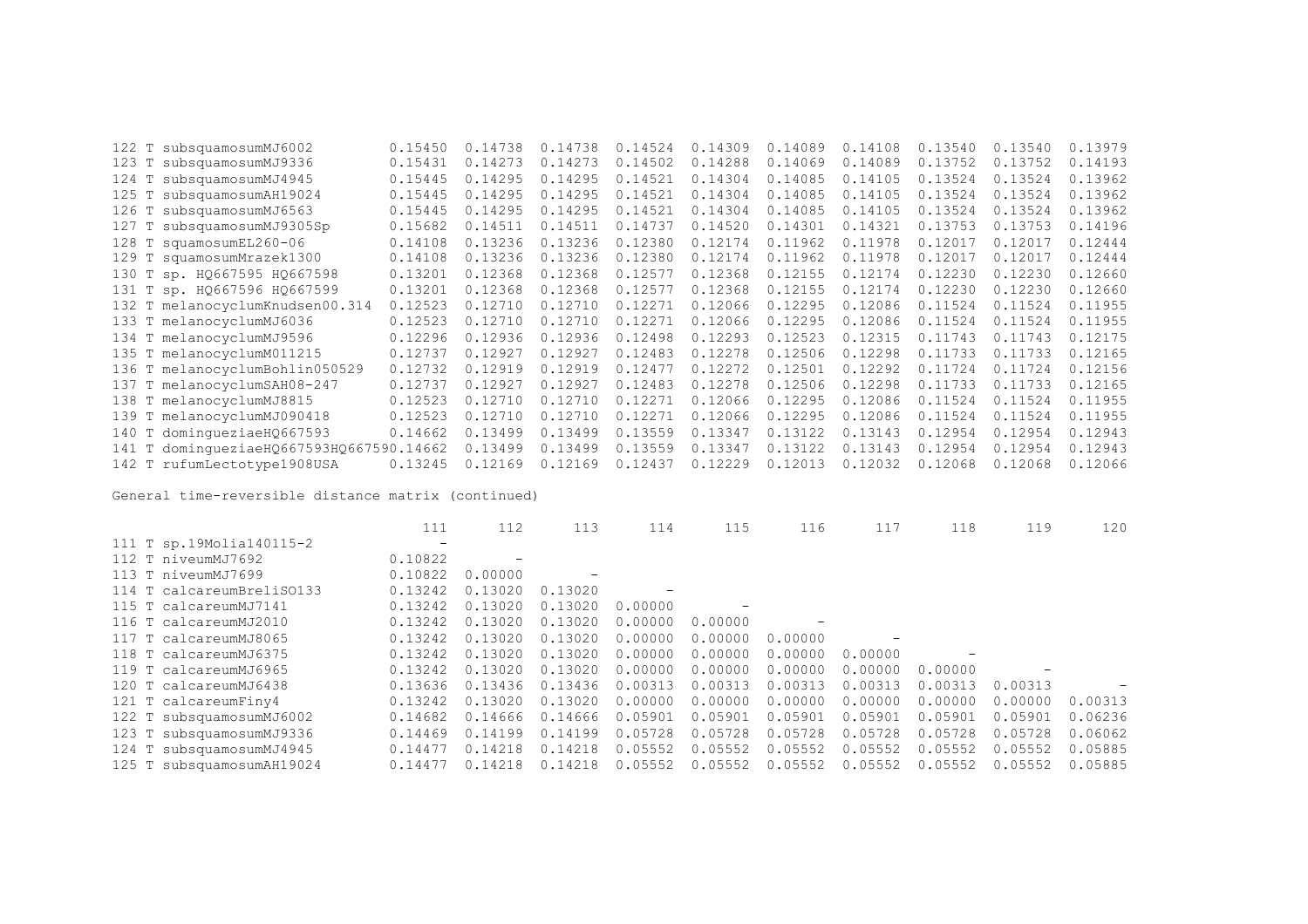|       | 122 T subsquamosumMJ6002                 | 0.15450 | 0.14738 | 0.14738 | 0.14524 | 0.14309 | 0.14089 | 0.14108 | 0.13540 | 0.13540 | 0.13979 |
|-------|------------------------------------------|---------|---------|---------|---------|---------|---------|---------|---------|---------|---------|
|       | 123 T subsquamosumMJ9336                 | 0.15431 | 0.14273 | 0.14273 | 0.14502 | 0.14288 | 0.14069 | 0.14089 | 0.13752 | 0.13752 | 0.14193 |
| 124 T | subsquamosumMJ4945                       | 0.15445 | 0.14295 | 0.14295 | 0.14521 | 0.14304 | 0.14085 | 0.14105 | 0.13524 | 0.13524 | 0.13962 |
| 125 T | subsquamosumAH19024                      | 0.15445 | 0.14295 | 0.14295 | 0.14521 | 0.14304 | 0.14085 | 0.14105 | 0.13524 | 0.13524 | 0.13962 |
|       | 126 T subsquamosumMJ6563                 | 0.15445 | 0.14295 | 0.14295 | 0.14521 | 0.14304 | 0.14085 | 0.14105 | 0.13524 | 0.13524 | 0.13962 |
|       | 127 T subsquamosumMJ9305Sp               | 0.15682 | 0.14511 | 0.14511 | 0.14737 | 0.14520 | 0.14301 | 0.14321 | 0.13753 | 0.13753 | 0.14196 |
|       | 128 T squamosumEL260-06                  | 0.14108 | 0.13236 | 0.13236 | 0.12380 | 0.12174 | 0.11962 | 0.11978 | 0.12017 | 0.12017 | 0.12444 |
|       | 129 T squamosumMrazek1300                | 0.14108 | 0.13236 | 0.13236 | 0.12380 | 0.12174 | 0.11962 | 0.11978 | 0.12017 | 0.12017 | 0.12444 |
|       | 130 T sp. HQ667595 HQ667598              | 0.13201 | 0.12368 | 0.12368 | 0.12577 | 0.12368 | 0.12155 | 0.12174 | 0.12230 | 0.12230 | 0.12660 |
|       | 131 Т sp. HQ667596 HQ667599              | 0.13201 | 0.12368 | 0.12368 | 0.12577 | 0.12368 | 0.12155 | 0.12174 | 0.12230 | 0.12230 | 0.12660 |
|       | 132 T melanocyclumKnudsen00.314          | 0.12523 | 0.12710 | 0.12710 | 0.12271 | 0.12066 | 0.12295 | 0.12086 | 0.11524 | 0.11524 | 0.11955 |
|       | 133 T melanocyclumMJ6036                 | 0.12523 | 0.12710 | 0.12710 | 0.12271 | 0.12066 | 0.12295 | 0.12086 | 0.11524 | 0.11524 | 0.11955 |
|       | 134 T melanocyclumMJ9596                 | 0.12296 | 0.12936 | 0.12936 | 0.12498 | 0.12293 | 0.12523 | 0.12315 | 0.11743 | 0.11743 | 0.12175 |
|       | 135 T melanocyclumM011215                | 0.12737 | 0.12927 | 0.12927 | 0.12483 | 0.12278 | 0.12506 | 0.12298 | 0.11733 | 0.11733 | 0.12165 |
|       | 136 T melanocyclumBohlin050529           | 0.12732 | 0.12919 | 0.12919 | 0.12477 | 0.12272 | 0.12501 | 0.12292 | 0.11724 | 0.11724 | 0.12156 |
|       | 137 T melanocyclumSAH08-247              | 0.12737 | 0.12927 | 0.12927 | 0.12483 | 0.12278 | 0.12506 | 0.12298 | 0.11733 | 0.11733 | 0.12165 |
|       | 138 T melanocyclumMJ8815                 | 0.12523 | 0.12710 | 0.12710 | 0.12271 | 0.12066 | 0.12295 | 0.12086 | 0.11524 | 0.11524 | 0.11955 |
|       | 139 T melanocyclumMJ090418               | 0.12523 | 0.12710 | 0.12710 | 0.12271 | 0.12066 | 0.12295 | 0.12086 | 0.11524 | 0.11524 | 0.11955 |
|       | 140 T dominqueziaeH0667593               | 0.14662 | 0.13499 | 0.13499 | 0.13559 | 0.13347 | 0.13122 | 0.13143 | 0.12954 | 0.12954 | 0.12943 |
|       | 141 T dominqueziaeHQ667593HQ667590.14662 |         | 0.13499 | 0.13499 | 0.13559 | 0.13347 | 0.13122 | 0.13143 | 0.12954 | 0.12954 | 0.12943 |
|       | 142 T rufumLectotype1908USA              | 0.13245 | 0.12169 | 0.12169 | 0.12437 | 0.12229 | 0.12013 | 0.12032 | 0.12068 | 0.12068 | 0.12066 |

|                           | 111               | 112     | 113     | 114     | 115     | 116     |         | 118     | 119     | 120     |
|---------------------------|-------------------|---------|---------|---------|---------|---------|---------|---------|---------|---------|
| 111 T sp.19Molia140115-2  | $\qquad \qquad -$ |         |         |         |         |         |         |         |         |         |
| 112 T niveumMJ7692        | 0.10822           |         |         |         |         |         |         |         |         |         |
| 113 T niveumMJ7699        | 0.10822           | 0.00000 |         |         |         |         |         |         |         |         |
| 114 T calcareumBreliSO133 | 0.13242           | 0.13020 | 0.13020 |         |         |         |         |         |         |         |
| 115 T calcareumMJ7141     | 0.13242           | 0.13020 | 0.13020 | 0.00000 |         |         |         |         |         |         |
| 116 T calcareumMJ2010     | 0.13242           | 0.13020 | 0.13020 | 0.00000 | 0.00000 |         |         |         |         |         |
| 117 T calcareumMJ8065     | 0.13242           | 0.13020 | 0.13020 | 0.00000 | 0.00000 | 0.00000 |         |         |         |         |
| 118 T calcareumMJ6375     | 0.13242           | 0.13020 | 0.13020 | 0.00000 | 0.00000 | 0.00000 | 0.00000 |         |         |         |
| 119 T calcareumMJ6965     | 0.13242           | 0.13020 | 0.13020 | 0.00000 | 0.00000 | 0.00000 | 0.00000 | 0.00000 |         |         |
| 120 T calcareumMJ6438     | 0.13636           | 0.13436 | 0.13436 | 0.00313 | 0.00313 | 0.00313 | 0.00313 | 0.00313 | 0.00313 |         |
| 121 T calcareumFiny4      | 0.13242           | 0.13020 | 0.13020 | 0.00000 | 0.00000 | 0.00000 | 0.00000 | 0.00000 | 0.00000 | 0.00313 |
| 122 T subsquamosumMJ6002  | 0.14682           | 0.14666 | 0.14666 | 0.05901 | 0.05901 | 0.05901 | 0.05901 | 0.05901 | 0.05901 | 0.06236 |
| 123 T subsquamosumMJ9336  | 0.14469           | 0.14199 | 0.14199 | 0.05728 | 0.05728 | 0.05728 | 0.05728 | 0.05728 | 0.05728 | 0.06062 |
| 124 T subsquamosumMJ4945  | 0.14477           | 0.14218 | 0.14218 | 0.05552 | 0.05552 | 0.05552 | 0.05552 | 0.05552 | 0.05552 | 0.05885 |
| 125 T subsquamosumAH19024 | 0.14477           | 0.14218 | 0.14218 | 0.05552 | 0.05552 | 0.05552 | 0.05552 | 0.05552 | 0.05552 | 0.05885 |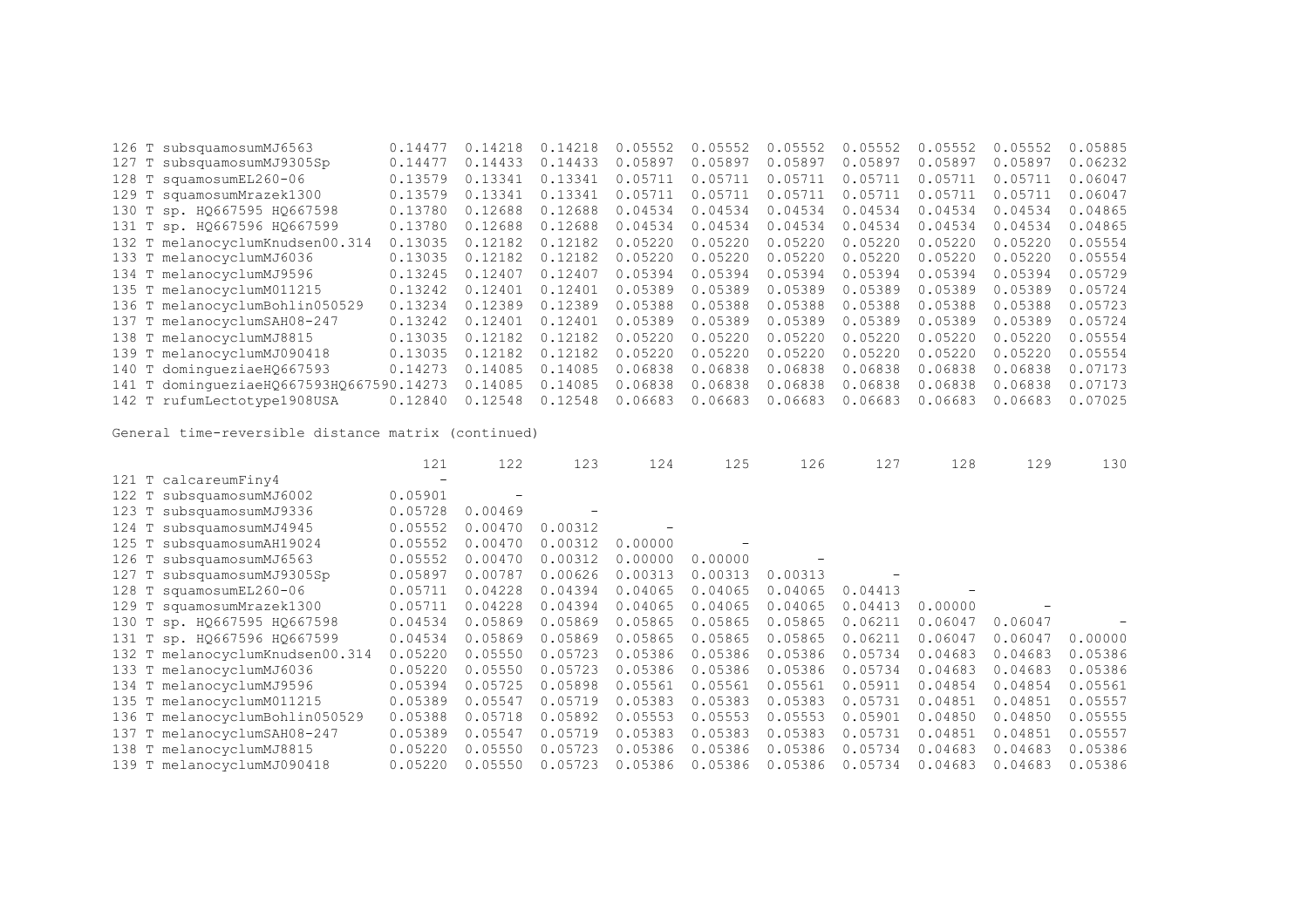| 127 T subsquamosumMJ9305Sp<br>0.14433<br>0.05897<br>0.05897<br>0.05897<br>0.05897<br>0.14477<br>0.14433<br>0.05897<br>0.05897<br>128 T squamosumEL260-06<br>0.13341<br>0.13579<br>0.05711<br>0.05711<br>0.05711<br>0.05711<br>0.05711<br>0.05711<br>0.13341<br>0.13341<br>0.05711<br>129 T squamosumMrazek1300<br>0.13579<br>0.05711<br>0.05711<br>0.05711<br>0.05711<br>0.13341<br>0.05711<br>130 T sp. HQ667595 HQ667598<br>0.12688<br>0.04534<br>0.04534<br>0.13780<br>0.12688<br>0.04534<br>0.04534<br>0.04534<br>0.04534<br>131 T sp. HQ667596 HQ667599<br>0.12688<br>0.04534<br>0.13780<br>0.04534<br>0.04534<br>0.04534<br>0.04534<br>0.04534<br>0.12688<br>132 T melanocyclumKnudsen00.314<br>0.13035<br>0.12182<br>0.12182<br>0.05220<br>0.05220<br>0.05220<br>0.05220<br>0.05220<br>0.05220<br>133 T melanocyclumMJ6036<br>0.13035<br>0.12182<br>0.05220<br>0.05220<br>0.05220<br>0.12182<br>0.05220<br>0.05220<br>0.05220<br>134 T melanocyclumMJ9596<br>0.12407<br>0.05394<br>0.05394<br>0.05394<br>0.05394<br>0.13245<br>0.05394<br>0.05394<br>0.12407<br>0.05389<br>0.05389<br>135 T melanocyclumM011215<br>0.13242<br>0.12401<br>0.12401<br>0.05389<br>0.05389<br>0.05389<br>0.05389<br>136 T melanocyclumBohlin050529<br>0.12389<br>0.05388<br>0.13234<br>0.12389<br>0.05388<br>0.05388<br>0.05388<br>0.05388<br>0.05388<br>0.05389<br>0.05389<br>0.05389<br>137 T melanocyclumSAH08-247<br>0.13242<br>0.12401<br>0.05389<br>0.05389<br>0.05389<br>0.12401<br>138 T melanocyclumMJ8815<br>0.12182<br>0.05220<br>0.05220<br>0.05220<br>0.05220<br>0.13035<br>0.12182<br>0.05220<br>0.05220<br>139 T melanocyclumMJ090418<br>0.12182<br>0.05220<br>0.05220<br>0.13035<br>0.12182<br>0.05220<br>0.05220<br>0.05220<br>0.05220<br>140 T dominqueziaeH0667593<br>0.06838<br>0.06838<br>0.14273<br>0.14085<br>0.06838<br>0.06838<br>0.06838<br>0.14085<br>0.06838<br>141 T dominqueziaeHQ667593HQ667590.14273<br>0.14085<br>0.06838<br>0.14085<br>0.06838<br>0.06838<br>0.06838<br>0.06838<br>0.06838<br>142 T rufumLectotype1908USA<br>0.06683<br>0.06683<br>0.12840<br>0.12548<br>0.12548<br>0.06683<br>0.06683<br>0.06683<br>0.06683 | 126 T subsquamosumMJ6563 | 0.14477 | 0.14218 | 0.14218 | 0.05552 | 0.05552 | 0.05552 | 0.05552 | 0.05552 | 0.05552 | 0.05885 |
|---------------------------------------------------------------------------------------------------------------------------------------------------------------------------------------------------------------------------------------------------------------------------------------------------------------------------------------------------------------------------------------------------------------------------------------------------------------------------------------------------------------------------------------------------------------------------------------------------------------------------------------------------------------------------------------------------------------------------------------------------------------------------------------------------------------------------------------------------------------------------------------------------------------------------------------------------------------------------------------------------------------------------------------------------------------------------------------------------------------------------------------------------------------------------------------------------------------------------------------------------------------------------------------------------------------------------------------------------------------------------------------------------------------------------------------------------------------------------------------------------------------------------------------------------------------------------------------------------------------------------------------------------------------------------------------------------------------------------------------------------------------------------------------------------------------------------------------------------------------------------------------------------------------------------------------------------------------------------------------------------------------------------------------------------------------------------------------------------------------------------------------------------|--------------------------|---------|---------|---------|---------|---------|---------|---------|---------|---------|---------|
|                                                                                                                                                                                                                                                                                                                                                                                                                                                                                                                                                                                                                                                                                                                                                                                                                                                                                                                                                                                                                                                                                                                                                                                                                                                                                                                                                                                                                                                                                                                                                                                                                                                                                                                                                                                                                                                                                                                                                                                                                                                                                                                                                   |                          |         |         |         |         |         |         |         |         |         | 0.06232 |
|                                                                                                                                                                                                                                                                                                                                                                                                                                                                                                                                                                                                                                                                                                                                                                                                                                                                                                                                                                                                                                                                                                                                                                                                                                                                                                                                                                                                                                                                                                                                                                                                                                                                                                                                                                                                                                                                                                                                                                                                                                                                                                                                                   |                          |         |         |         |         |         |         |         |         |         | 0.06047 |
|                                                                                                                                                                                                                                                                                                                                                                                                                                                                                                                                                                                                                                                                                                                                                                                                                                                                                                                                                                                                                                                                                                                                                                                                                                                                                                                                                                                                                                                                                                                                                                                                                                                                                                                                                                                                                                                                                                                                                                                                                                                                                                                                                   |                          |         |         |         |         |         |         |         |         |         | 0.06047 |
|                                                                                                                                                                                                                                                                                                                                                                                                                                                                                                                                                                                                                                                                                                                                                                                                                                                                                                                                                                                                                                                                                                                                                                                                                                                                                                                                                                                                                                                                                                                                                                                                                                                                                                                                                                                                                                                                                                                                                                                                                                                                                                                                                   |                          |         |         |         |         |         |         |         |         |         | 0.04865 |
|                                                                                                                                                                                                                                                                                                                                                                                                                                                                                                                                                                                                                                                                                                                                                                                                                                                                                                                                                                                                                                                                                                                                                                                                                                                                                                                                                                                                                                                                                                                                                                                                                                                                                                                                                                                                                                                                                                                                                                                                                                                                                                                                                   |                          |         |         |         |         |         |         |         |         |         | 0.04865 |
|                                                                                                                                                                                                                                                                                                                                                                                                                                                                                                                                                                                                                                                                                                                                                                                                                                                                                                                                                                                                                                                                                                                                                                                                                                                                                                                                                                                                                                                                                                                                                                                                                                                                                                                                                                                                                                                                                                                                                                                                                                                                                                                                                   |                          |         |         |         |         |         |         |         |         |         | 0.05554 |
|                                                                                                                                                                                                                                                                                                                                                                                                                                                                                                                                                                                                                                                                                                                                                                                                                                                                                                                                                                                                                                                                                                                                                                                                                                                                                                                                                                                                                                                                                                                                                                                                                                                                                                                                                                                                                                                                                                                                                                                                                                                                                                                                                   |                          |         |         |         |         |         |         |         |         |         | 0.05554 |
|                                                                                                                                                                                                                                                                                                                                                                                                                                                                                                                                                                                                                                                                                                                                                                                                                                                                                                                                                                                                                                                                                                                                                                                                                                                                                                                                                                                                                                                                                                                                                                                                                                                                                                                                                                                                                                                                                                                                                                                                                                                                                                                                                   |                          |         |         |         |         |         |         |         |         |         | 0.05729 |
|                                                                                                                                                                                                                                                                                                                                                                                                                                                                                                                                                                                                                                                                                                                                                                                                                                                                                                                                                                                                                                                                                                                                                                                                                                                                                                                                                                                                                                                                                                                                                                                                                                                                                                                                                                                                                                                                                                                                                                                                                                                                                                                                                   |                          |         |         |         |         |         |         |         |         |         | 0.05724 |
|                                                                                                                                                                                                                                                                                                                                                                                                                                                                                                                                                                                                                                                                                                                                                                                                                                                                                                                                                                                                                                                                                                                                                                                                                                                                                                                                                                                                                                                                                                                                                                                                                                                                                                                                                                                                                                                                                                                                                                                                                                                                                                                                                   |                          |         |         |         |         |         |         |         |         |         | 0.05723 |
|                                                                                                                                                                                                                                                                                                                                                                                                                                                                                                                                                                                                                                                                                                                                                                                                                                                                                                                                                                                                                                                                                                                                                                                                                                                                                                                                                                                                                                                                                                                                                                                                                                                                                                                                                                                                                                                                                                                                                                                                                                                                                                                                                   |                          |         |         |         |         |         |         |         |         |         | 0.05724 |
|                                                                                                                                                                                                                                                                                                                                                                                                                                                                                                                                                                                                                                                                                                                                                                                                                                                                                                                                                                                                                                                                                                                                                                                                                                                                                                                                                                                                                                                                                                                                                                                                                                                                                                                                                                                                                                                                                                                                                                                                                                                                                                                                                   |                          |         |         |         |         |         |         |         |         |         | 0.05554 |
|                                                                                                                                                                                                                                                                                                                                                                                                                                                                                                                                                                                                                                                                                                                                                                                                                                                                                                                                                                                                                                                                                                                                                                                                                                                                                                                                                                                                                                                                                                                                                                                                                                                                                                                                                                                                                                                                                                                                                                                                                                                                                                                                                   |                          |         |         |         |         |         |         |         |         |         | 0.05554 |
|                                                                                                                                                                                                                                                                                                                                                                                                                                                                                                                                                                                                                                                                                                                                                                                                                                                                                                                                                                                                                                                                                                                                                                                                                                                                                                                                                                                                                                                                                                                                                                                                                                                                                                                                                                                                                                                                                                                                                                                                                                                                                                                                                   |                          |         |         |         |         |         |         |         |         |         | 0.07173 |
|                                                                                                                                                                                                                                                                                                                                                                                                                                                                                                                                                                                                                                                                                                                                                                                                                                                                                                                                                                                                                                                                                                                                                                                                                                                                                                                                                                                                                                                                                                                                                                                                                                                                                                                                                                                                                                                                                                                                                                                                                                                                                                                                                   |                          |         |         |         |         |         |         |         |         |         | 0.07173 |
|                                                                                                                                                                                                                                                                                                                                                                                                                                                                                                                                                                                                                                                                                                                                                                                                                                                                                                                                                                                                                                                                                                                                                                                                                                                                                                                                                                                                                                                                                                                                                                                                                                                                                                                                                                                                                                                                                                                                                                                                                                                                                                                                                   |                          |         |         |         |         |         |         |         |         |         | 0.07025 |

|                                 | 121     | 122     | 123                      | 124     | 125     | 126     | 127     | 128     | 129     | 130     |
|---------------------------------|---------|---------|--------------------------|---------|---------|---------|---------|---------|---------|---------|
| 121 T calcareumFiny4            |         |         |                          |         |         |         |         |         |         |         |
| 122 T subsquamosumMJ6002        | 0.05901 |         |                          |         |         |         |         |         |         |         |
| 123 T subsquamosumMJ9336        | 0.05728 | 0.00469 | $\overline{\phantom{a}}$ |         |         |         |         |         |         |         |
| 124 T subsquamosumMJ4945        | 0.05552 | 0.00470 | 0.00312                  |         |         |         |         |         |         |         |
| 125 T subsquamosumAH19024       | 0.05552 | 0.00470 | 0.00312                  | 0.00000 |         |         |         |         |         |         |
| 126 T subsquamosumMJ6563        | 0.05552 | 0.00470 | 0.00312                  | 0.00000 | 0.00000 |         |         |         |         |         |
| 127 T subsquamosumMJ9305Sp      | 0.05897 | 0.00787 | 0.00626                  | 0.00313 | 0.00313 | 0.00313 |         |         |         |         |
| 128 T squamosumEL260-06         | 0.05711 | 0.04228 | 0.04394                  | 0.04065 | 0.04065 | 0.04065 | 0.04413 |         |         |         |
| 129 T squamosumMrazek1300       | 0.05711 | 0.04228 | 0.04394                  | 0.04065 | 0.04065 | 0.04065 | 0.04413 | 0.00000 |         |         |
| 130 T sp. HQ667595 HQ667598     | 0.04534 | 0.05869 | 0.05869                  | 0.05865 | 0.05865 | 0.05865 | 0.06211 | 0.06047 | 0.06047 |         |
| 131 T sp. HQ667596 HQ667599     | 0.04534 | 0.05869 | 0.05869                  | 0.05865 | 0.05865 | 0.05865 | 0.06211 | 0.06047 | 0.06047 | 0.00000 |
| 132 T melanocyclumKnudsen00.314 | 0.05220 | 0.05550 | 0.05723                  | 0.05386 | 0.05386 | 0.05386 | 0.05734 | 0.04683 | 0.04683 | 0.05386 |
| 133 T melanocyclumMJ6036        | 0.05220 | 0.05550 | 0.05723                  | 0.05386 | 0.05386 | 0.05386 | 0.05734 | 0.04683 | 0.04683 | 0.05386 |
| 134 T melanocyclumMJ9596        | 0.05394 | 0.05725 | 0.05898                  | 0.05561 | 0.05561 | 0.05561 | 0.05911 | 0.04854 | 0.04854 | 0.05561 |
| 135 T melanocyclumM011215       | 0.05389 | 0.05547 | 0.05719                  | 0.05383 | 0.05383 | 0.05383 | 0.05731 | 0.04851 | 0.04851 | 0.05557 |
| 136 T melanocyclumBohlin050529  | 0.05388 | 0.05718 | 0.05892                  | 0.05553 | 0.05553 | 0.05553 | 0.05901 | 0.04850 | 0.04850 | 0.05555 |
| 137 T melanocyclumSAH08-247     | 0.05389 | 0.05547 | 0.05719                  | 0.05383 | 0.05383 | 0.05383 | 0.05731 | 0.04851 | 0.04851 | 0.05557 |
| 138 T melanocyclumMJ8815        | 0.05220 | 0.05550 | 0.05723                  | 0.05386 | 0.05386 | 0.05386 | 0.05734 | 0.04683 | 0.04683 | 0.05386 |
| 139 T melanocyclumMJ090418      | 0.05220 | 0.05550 | 0.05723                  | 0.05386 | 0.05386 | 0.05386 | 0.05734 | 0.04683 | 0.04683 | 0.05386 |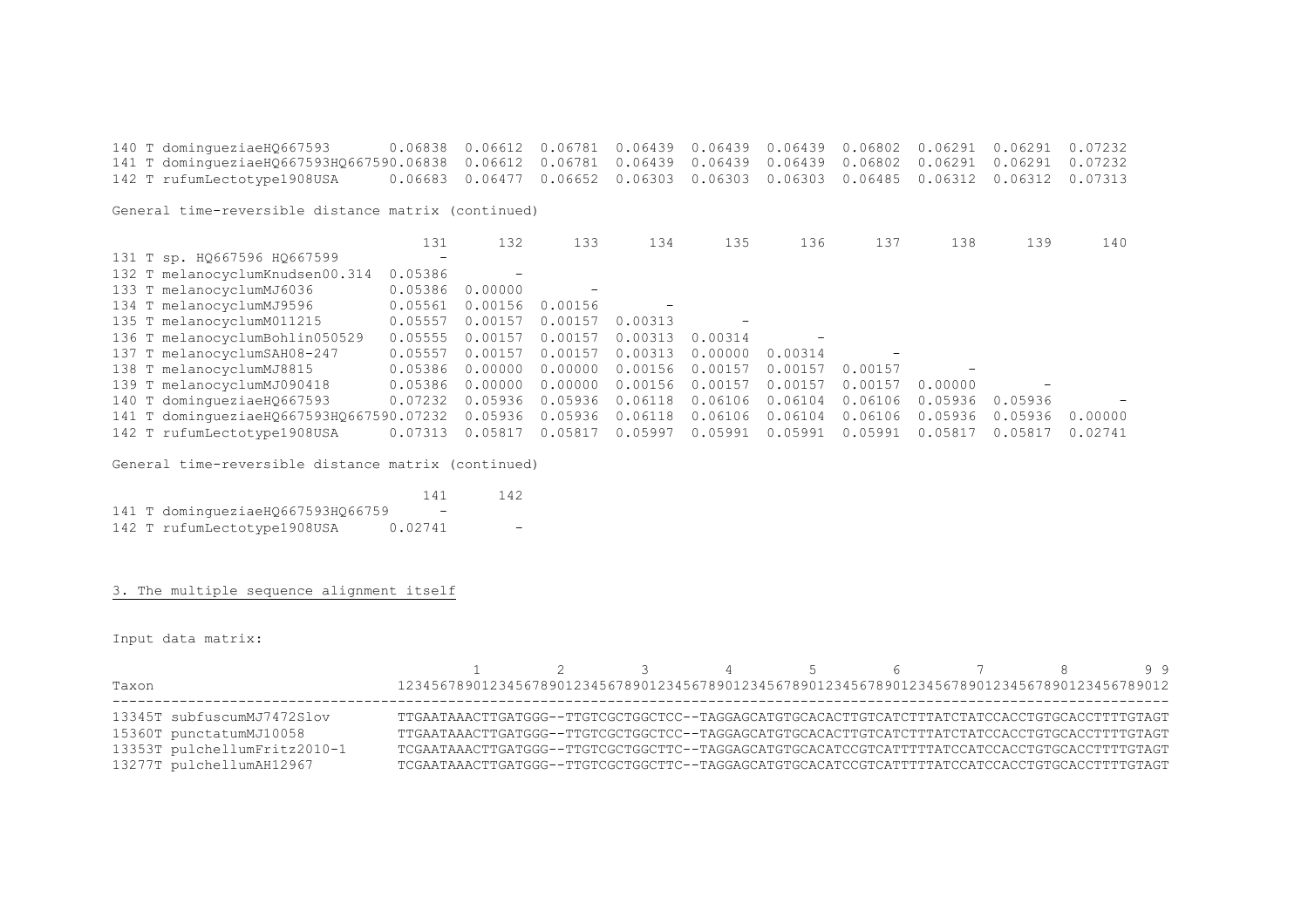140 T domingueziaeHQ667593 0.06838 0.06612 0.06781 0.06439 0.06439 0.06439 0.06802 0.06291 0.06291 0.07232 141 T domingueziaeHQ667593HQ667590.06838 0.06612 0.06781 0.06439 0.06439 0.06439 0.06802 0.06291 0.06291 0.07232 0.06683 0.06477 0.06652 0.06303 0.06303 0.06303 0.06485 0.06312 0.06312 0.07313

General time-reversible distance matrix (continued)

|                                          | 131                      | 132     | 133                      | 134     | 135               | 136     | 137     | 138     | 139     | 140     |
|------------------------------------------|--------------------------|---------|--------------------------|---------|-------------------|---------|---------|---------|---------|---------|
| 131 T sp. H0667596 H0667599              | $\overline{\phantom{a}}$ |         |                          |         |                   |         |         |         |         |         |
| 132 T melanocyclumKnudsen00.314          | 0.05386                  |         |                          |         |                   |         |         |         |         |         |
| 133 T melanocyclumMJ6036                 | 0.05386                  | 0.00000 | $\overline{\phantom{a}}$ |         |                   |         |         |         |         |         |
| 134 T melanocyclumMJ9596                 | 0.05561                  | 0.00156 | 0.00156                  |         |                   |         |         |         |         |         |
| 135 T melanocyclumM011215                | 0.05557                  | 0.00157 | 0.00157                  | 0.00313 | $\qquad \qquad -$ |         |         |         |         |         |
| 136 T melanocyclumBohlin050529           | 0.05555                  | 0.00157 | 0.00157                  | 0.00313 | 0.00314           |         |         |         |         |         |
| 137 T melanocyclumSAH08-247              | 0.05557                  | 0.00157 | 0.00157                  | 0.00313 | 0.00000           | 0.00314 |         |         |         |         |
| 138 T melanocyclumMJ8815                 | 0.05386                  | 0.00000 | 0.00000                  | 0.00156 | 0.00157           | 0.00157 | 0.00157 |         |         |         |
| 139 T melanocyclumMJ090418               | 0.05386                  | 0.00000 | 0.00000                  | 0.00156 | 0.00157           | 0.00157 | 0.00157 | 0.00000 |         |         |
| 140 T dominqueziaeHQ667593               | 0.07232                  | 0.05936 | 0.05936                  | 0.06118 | 0.06106           | 0.06104 | 0.06106 | 0.05936 | 0.05936 |         |
| 141 T domingueziaeH0667593H0667590.07232 |                          | 0.05936 | 0.05936                  | 0.06118 | 0.06106           | 0.06104 | 0.06106 | 0.05936 | 0.05936 | 0.00000 |
| 142 T rufumLectotype1908USA              | 0.07313                  | 0.05817 | 0.05817                  | 0.05997 | 0.05991           | 0.05991 | 0.05991 | 0.05817 | 0.05817 | 0.02741 |

General time-reversible distance matrix (continued)

|  |                                   | 141     | 142 |
|--|-----------------------------------|---------|-----|
|  | 141 T domingueziaeHQ667593HQ66759 | -       |     |
|  | 142 T rufumLectotype1908USA       | 0.02741 |     |

3. The multiple sequence alignment itself

Input data matrix:

| Taxon                                                                                                             | 12345678901234567890123456789012345678901234567890123456789012345678901234567890123456789012                                                                                                                                                                                                                                                                                             |  | 3 4 5 6 7 8 99 |  |  |  |
|-------------------------------------------------------------------------------------------------------------------|------------------------------------------------------------------------------------------------------------------------------------------------------------------------------------------------------------------------------------------------------------------------------------------------------------------------------------------------------------------------------------------|--|----------------|--|--|--|
| 13345T subfuscumMJ7472Slov<br>15360T punctatumMJ10058<br>13353T pulchellumFritz2010-1<br>13277T pulchellumAH12967 | TTGAATAAACTTGATGGG--TTGTCGCTGGCTCC--TAGGAGCATGTGCACACTTGTCATCTTTATCCACCTGTGCACCTTTTGTAGT<br>TTGAATAAACTTGATGGG--TTGTCGCTGGCTCC--TAGGAGCATGTGCACACTTGTCATCTTTATCTATCCACCTGTGCACCTTTTGTAGT<br>TCGAATAAACTTGATGGG--TTGTCGCTGGCTTC--TAGGAGCATGTGCACATCCGTCATTTTTATCCATCCACCTGTGCACCTTTTGTAGT<br>TCGAATAAACTTGATGGG--TTGTCGCTGGCTTC--TAGGAGCATGTGCACATCCGTCATTTTTATCCATCCACCTGTGCACCTTTTGTAGT |  |                |  |  |  |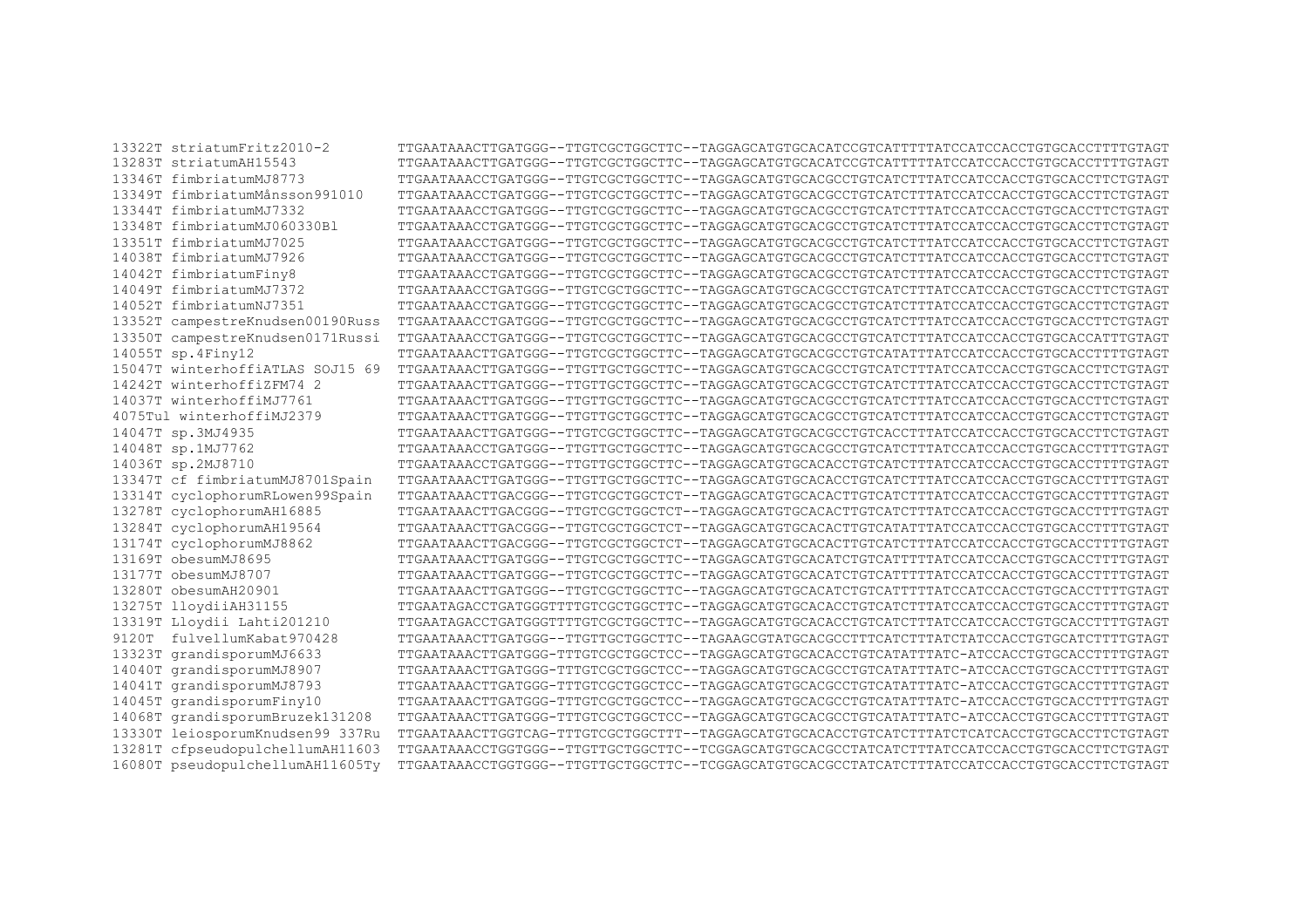$13322T$  striatumFritz2010-2 TTGAATAAACTTGATGGG--TTGTCGCTGGCTTC--TAGGAGCATGTGCACATCCGTCATTTTTATCCATCCACCTGTGCACCTTTTGTAGT 13283T striatumAH15543 TTGAATAAACTTGATGGG--TTGTCGCTGGCTTC--TAGGAGCATGTGCACATCCGTCATTTTTATCCATCCACCTGTGCACCTTTTGTAGT 13346T fimbriatumMJ8773 TTGAATAAACCTGATGGG--TTGTCGCTGGCTTC--TAGGAGCATGTGCACGCCTGTCATCTTTATCCATCCACCTGTGCACCTTCTGTAGT 13349T fimbriatumMånsson991010 TTGAATAAACCTGATGGG--TTGTCGCTGGCTTC--TAGGAGCATGTGCACGCCTGTCATCTTTATCCATCCACCTGTGCACCTTCTGTAGT 13344T fimbriatumMJ7332 TTGAATAAACCTGATGGG--TTGTCGCTGGCTTC--TAGGAGCATGTGCACGCCTGTCATCTTTATCCATCCACCTGTGCACCTTCTGTAGT 13348T fimbriatumMJ060330Bl TTGAATAAACCTGATGGG--TTGTCGCTGGCTTC--TAGGAGCATGTGCACGCCTGTCATCTTTATCCATCCACCTGTGCACCTTCTGTAGT 13351T fimbriatumMJ7025 TTGAATAAACCTGATGGG--TTGTCGCTGGCTTC--TAGGAGCATGTGCACGCCTGTCATCTTTATCCATCCACCTGTGCACCTTCTGTAGT 14038T fimbriatumMJ7926 TTGAATAAACCTGATGGG--TTGTCGCTGGCTTC--TAGGAGCATGTGCACGCCTGTCATCTTTTATCCACCTGTGCACCTTCTGTATG 14042T fimbriatumFiny8 TTGAATAAACCTGATGGG--TTGTCGCTGGCTTC--TAGGAGCATGTGCACGCCTGTCATCTTTATCCATCCACCTGTGCACCTTCTGTAGT 14049T fimbriatumMJ7372 TTGAATAAACCTGATGGG--TTGTCGCTGGCTTC--TAGGAGCATGTGCACGCCTGTCATCTTTATCCATCCACCTGTGCACCTTCTGTAGT 14052T fimbriatumNJ7351 TTGAATAAACCTGATGGG--TTGTCGCTGGCTTC--TAGGAGCATGTGCACGCCTGTCATCTTTATCCATCCACCTGTGCACCTTCTGTAGT 13352T campestreKnudsen00190Russ TTGAATAAACCTGATGGG--TTGTCGCTGGCTTC--TAGGAGCATGTGCACGCCTGTCATCTTTATCCATCCACCTGTGCACCTTCTGTAGT 13350T campestreKnudsen0171Russi TTGAATAAACCTGATGGG--TTGTCGCTGGCTTC--TAGGAGCATGTGCACGCCTGTCATCTTTATCCATCCACCTGTGCACCATTTGTAGT 14055T sp.4Finy12 TTGAATAAACTTGATGGG--TTGTCGCTGGCTTC--TAGGAGCATGTGCACGCCTGTCATATTTATCCATCCACCTGTGCACCTTTTGTAGT 15047T winterhoffiATLAS SOJ15 69 TTGAATAAACTTGATGGG--TTGTTGCTGGCTTC--TAGGAGCATGTGCACGCCTGTCATCTTTATCCATCCACCTGTGCACCTTCTGTAGT 14242T winterhoffizFM74 2 TTGAATAAACTTGATGGG--TTGTTGCTGGCTTC--TAGGAGCATGTGCACGCCTGTCATCTTTATCCATCCACCTGTGCACCTTCTGTAGT 14037T winterhoffiMJ7761 TTGAATAAACTTGATGGG--TTGTTGCTGGCTTC--TAGGAGCATGTGCACGCCTGTCATCTTTATCCATCCACCTGTGCACCTTCTGTAGT 4075Tul winterhoffiMJ2379 TTGAATAAACTTGATGGG--TTGTTGCTGCTTC--TAGGAGCATGTGCACGCCTGTCATCTTTATCCATCCACCTGTGCACCTTCTGTAGT 14047T sp.3MJ4935 TTGAATAAACTTGATGGG--TTGTCGCTGGCTTC--TAGGAGCATGTGCACGCCTGTCACCTTTATCCATCCACCTGTGCACCTTCTGTAGT 14048T sp.1MJ7762 TTGAATAAACCTGATGGG--TTGTTGCTGGCTTC--TAGGAGCATGTGCACGCCTGTCATCTTTATCCATCCACCTGTGCACCTTTTGTAGT 14036T sp.2MJ8710 TTGAATAAACCTGATGGG--TTGTTGCTGGCTTC--TAGGAGCATGTGCACACCTGTCATCTTTATCCATCCACCTGTGCACCTTTTGTAGT 13347T cf fimbriatumMJ8701Spain TTGAATAAACTTGATGGG--TTGTTGCTGGCTTC--TAGGAGCATGTGCACACCTGTCATCTTTATCCATCCACCTGTGCACCTTTTGTAGT 13314T cyclophorumRLowen99Spain TTGAATAAACTTGACGGG--TTGTCGCTGGCTCT--TAGGAGCATGTGCACACTTGTCATCTTTATCCATCCACCTGTGCACCTTTTGTAGT 13278T cyclophorumAH16885 TTGAATAAACTTGACGGG--TTGTCGCTGGCTCT--TAGGAGCATGTGCACACTTGTCATCTTTATCCATCCACCTGTGCACCTTTTGTAGT 13284T cyclophorumAH19564 TTGAATAAACTTGACGGG--TTGTCGCTGGCTCT--TAGGAGCATGTGCACACTTGTCATATTTATCCATCCACCTGTGCACCTTTTGTAGT 13174T cyclophorumMJ8862 TTGAATAAACTTGACGGG--TTGTCGCTGGCTCT--TAGGAGCATGTGCACACTTGTCATCTTTATCCATCCACCTGTGCACCTTTTGTAGT 13169T obesumMJ8695 TTGAATAAACTTGATGGG--TTGTCGCTGGCTTC--TAGGAGCATGTGCACATCTGTCATTTTTATCCATCCACCTGTGCACCTTTTGTAGT 13177T obesumMJ8707 TTGAATAAACTTGATGGG--TTGTCGCTGGCTTC--TAGGAGCATGTGCACATCTGTCATTTTTATCCATCCACCTGTGCACCTTTTGTAGT 13280T obesumAH20901 TTGAATAAACTTGATGGG--TTGTCGCTGGCTTC--TAGGAGCATGTGCACATCTGTCATTTTTATCCATCCACCTGTGCACCTTTTGTAGT 13275T lloydiiAH31155 TTGAATAGACCTGATGGGTTTTGTCGCTGGCTTC--TAGGAGCATGTGCACACCTGTCATCTTTATCCATCCACCTGTGCACCTTTTGTAGT 13319T Lloydii Lahti201210 TTGAATAGACCTGATGGGTTTTGTCGCTGGCTTC--TAGGAGCATGTGCACACCTGTCATCTTTATCCATCCACCTGTGCACCTTTTGTAGT 9120T fulvellumKabat970428 TTGAATAAACTTGATGGG--TTGTTGCTGGCTTC--TAGAAGCGTATGCACGCCTTTCATCTTTATCCACCTGTGCATCTTTTGTAGT 13323T grandisporumMJ6633 TTGAATAAACTTGATGGG-TTTGTCGCTGGCTCC--TAGGAGCATGTGCACACCTGTCATATTTATC-ATCCACCTGTGCACCTTTTGTAGT 14040T grandisporumMJ8907 TTGAATAAACTTGATGGG-TTTGTCGCTGGCTCC--TAGGAGCATGTGCACGCCTGTCATATTTATC-ATCCACCTGTGCACCTTTTGTAGT 14041T grandisporumMJ8793 TTGAATAAACTTGATGGG-TTTGTCGCTGGCTCC--TAGGAGCATGTGCACGCCTGTCATATTTATC-ATCCACCTGTGCACCTTTTGTAGT 14045T grandisporumFiny10 TTGAATAAACTTGATGGG-TTTGTCGCTGGCTCC--TAGGAGCATGTGCACGCCTGTCATATTTATC-ATCCACCTGTGCACCTTTTGTAGT 14068T grandisporumBruzek131208 TTGAATAAACTTGATGGG-TTTGTCGCTGGCTCC--TAGGAGCATGTGCACGCCTGTCATATTTATC-ATCCACCTGTGCACCTTTTGTAGT 13330T leiosporumKnudsen99 337Ru TTGAATAAACTTGGTCAG-TTTGTCGCTGGCTTT--TAGGAGCATGTGCACCCTGTCATCTTTATCTCATCACCTGTGCACCTTCTGTAGT 13281T cfpseudopulchellumAH11603 TTGAATAAACCTGGTGGG--TTGTTGCTGGCTTC--TCGGAGCATGTGCACGCCTATCATCTTTATCCATCCACCTGTGCACCTTCTGTAGT 16080T pseudopulchellumAH11605Ty TTGAATAAACCTGGTGGG--TTGTTGCTGGCTTC--TCGGAGCATGTGCACGCCTATCATCTTTATCCATCCACCTGTGCACCTTCTGTAGT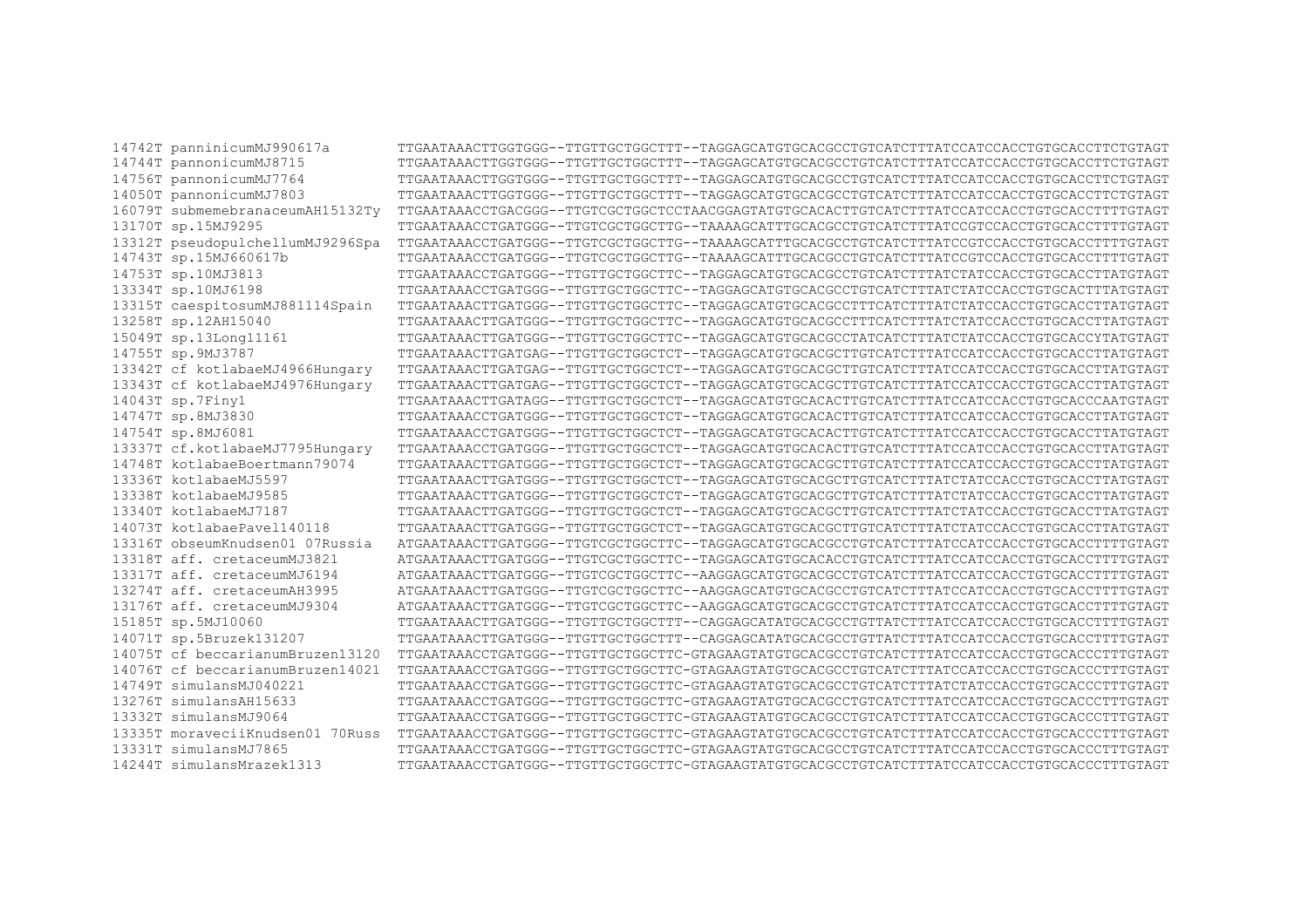14742T panninicumMJ990617a TTGAATAAACTTGGTGGG--TTGTTGCTGGCTTT--TAGGAGCATGTGCACGCCTGTCATCTTTATCCATCCACCTGTGCACCTTCTGTAGT 14744T pannonicumMJ8715 TTGAATAAACTTGGTGGG--TTGTTGCTGGCTTT--TAGGAGCATGTGCACGCCTGTCATCTTTATCCATCCACCTGTGCACCTTCTGTAGT 14756T pannonicumMJ7764 TTGAATAAACTTGGTGGG--TTGTTGCTGGCTTT--TAGGAGCATGTGCACGCCTGTCATCTTTATCCATCCACCTGTGCACCTTCTGTAGT 14050T pannonicumMJ7803 TTGAATAAACTTGGTGGG--TTGTTGCTGGCTTT--TAGGAGCATGTGCACGCCTGTCATCTTTATCCATCCACCTGTGCACCTTCTGTAGT 16079T submemebranaceumAH15132Ty TTGAATAAACCTGACGGG--TTGTCGCTGGCTCCTAACGGAGTATGTGCACACTTGTCATCTTTATCCATCCACCTGTGCACCTTTTGTAGT 13170T sp.15MJ9295 TTGAATAAACCTGATGGG--TTGTCGCTGGCTTG--TAAAAGCATTTGCACGCCTGTCATCTTTATCCGTCCACCTGTGCACCTTTTGTAGT 13312T pseudopulchellumMJ9296Spa TTGAATAAACCTGATGGG--TTGTCGCTGGCTTG--TAAAAGCATTTGCACGCCTGTCATCTTTATCCGTCCACCTGTGCACCTTTTGTAGT 14743T sp.15MJ660617b TTGAATAAACCTGATGGG--TTGTCGCTGGCTTG--TAAAAGCATTTGCACGCCTGTCATCTTTATCCGTCCACCTGTGCACCTTTTGTAGT 14753T sp.10MJ3813 TTGAATAAACCTGATGGG--TTGTTGCTGGCTTC--TAGGAGCATGTGCACGCCTGTCATCTTTATCTATCCACCTGTGCACCTTATGTAGT 13334T sp.10MJ6198 TTGAATAAACCTGATGGG--TTGTTGCTGGCTTC--TAGGAGCATGTGCACGCCTGTCATCTTTATCTATCCACCTGTGCACTTTATGTAGT 13315T caespitosumMJ881114Spain TTGAATAAACTTGATGGG--TTGTTGCTGGCTTC--TAGGAGCATGTGCACGCCTTTCATCTTTATCTATCCACCTGTGCACCTTATGTAGT 13258T sp.12AH15040 TTGAATAAACTTGATGGG--TTGTTGCTGGCTTC--TAGGAGCATGTGCACGCCTTTCATCTTTATCTATCCACCTGTGCACCTTATGTAGT 15049T sp.13Long11161 TTGAATAAACTTGATGGG--TTGTTGCTGGCTTC--TAGGAGCATGTGCACGCCTATCATCTTTATCTATCCACCTGTGCACCYTATGTAGT 14755T sp.9MJ3787 TTGAATAAACTTGATGAG--TTGTTGCTGGCTCT--TAGGAGCATGTGCACGCTTGTCATCTTTATCCATCCACCTGTGCACCTTATGTAGT 13342T cf kotlabaeMJ4966Hungary TTGAATAAACTTGATGAG--TTGTTGCTGGCTCT--TAGGAGCATGTGCACGCTTGTCATCTTTATCCATCCACCTGTGCACCTTATGTAGT 13343T cf kotlabaeMJ4976Hungary TTGAATAAACTTGATGAG--TTGTTGCTGGCTCT--TAGGAGCATGTGCACGCTTGTCATCTTTATCCATCCACCTGTGCACCTTATGTAGT 14043T sp.7Finy1 TTGAATAAACTTGATAGG--TTGTTGCTGGCTCT--TAGGAGCATGTGCACACTTGTCATCTTTATCCATCCACCTGTGCACCCAATGTAGT 14747T sp.8MJ3830 TTGAATAAACCTGATGGG--TTGTTGCTGGCTCT--TAGGAGCATGTGCACACTTGTCATCTTTATCCATCCACCTGTGCACCTTATGTAGT 14754T sp.8MJ6081 TTGAATAAACCTGATGGG--TTGTTGCTGGCTCT--TAGGAGCATGTGCACACTTGTCATCTTTATCCATCCACCTGTGCACCTTATGTAGT 13337T cf.kotlabaeMJ7795Hungary TTGAATAAACCTGATGGG--TTGTTGCTGGCTCT--TAGGAGCATGTGCACACTTGTCATCTTTATCCATCCACCTGTGCACCTTATGTAGT 14748T kotlabaeBoertmann79074 TTGAATAAACTTGATGGG--TTGTTGCTGGCTCT--TAGGAGCATGTGCACGCTTGTCATCTTTATCCATCCACCTGTGCACCTTATGTAGT 13336T kotlabaeMJ5597 TTGAATAAACTTGATGGG--TTGTTGCTGGCTCT--TAGGAGCATGTGCACGCTTGTCATCTTTATCTATCCACCTGTGCACCTTATGTAGT 13338T kotlabaeMJ9585 TTGAATAAACTTGATGGG--TTGTTGCTGGCTCT--TAGGAGCATGTGCACGCTTGTCATCTTTATCTATCCACCTGTGCACCTTATGTAGT 13340T kotlabaeMJ7187 TTGAATAAACTTGATGGG--TTGTTGCTGGCTCT--TAGGAGCATGTGCACGCTTGTCATCTTTATCTATCCACCTGTGCACCTTATGTAGT 14073T kotlabaePavel140118 TTGAATAAACTTGATGGG--TTGTTGCTGGCTCT--TAGGAGCATGTGCACGCTTGTCATCTTTATCTATCCACCTGTGCACCTTATGTAGT 13316T obseumKnudsen01 07Russia ATGAATAAACTTGATGGG--TTGTCGCTGGCTTC--TAGGAGCATGTGCACGCCTGTCATCTTTATCCATCCACCTGTGCACCTTTTGTAGT 13318T aff. cretaceumMJ3821 ATGAATAAACTTGATGGG--TTGTCGCTGGCTTC--TAGGAGCATGTGCACACCTGTCATCTTTATCCATCCACCTGTGCACCTTTTGTAGT 13317T aff. cretaceumMJ6194 ATGAATAAACTTGATGGG--TTGTCGCTGGCTTC--AAGGAGCATGTGCACGCCTGTCATCTTTATCCATCCACCTGTGCACCTTTTGTAGT 13274T aff. cretaceumAH3995 ATGAATAAACTTGATGGG--TTGTCGCTGGCTTC--AAGGAGCATGTGCACGCCTGTCATCTTTATCCATCCACCTGTGCACCTTTTGTAGT 13176T aff. cretaceumMJ9304 ATGAATAAACTTGATGGG--TTGTCGCTGGCTTC--AAGGAGCATGTGCACGCCTGTCATCTTTATCCATCCACCTGTGCACCTTTTGTAGT 15185T sp.5MJ10060 TTGAATAAACTTGATGGG--TTGTTGCTGGCTTT--CAGGAGCATATGCACGCCTGTTATCTTTATCCATCCACCTGTGCACCTTTTGTAGT 14071T sp.5Bruzek131207 TTGAATAAACTTGATGGG--TTGTTGCTGGCTTT--CAGGAGCATATGCACGCCTGTTATCTTTATCCATCCACCTGTGCACCTTTTGTAGT 14075T cf beccarianumBruzen13120 TTGAATAAACCTGATGGG--TTGTTGCTGGCTTC-GTAGAAGTATGTGCACGCCTGTCATCTTTATCCATCCACCTGTGCACCCTTTGTAGT 14076T cf beccarianumBruzen14021 TTGAATAAACCTGATGGG--TTGTTGCTGGCTTC-GTAGAAGTATGTGCACGCCTGTCATCTTTATCCATCCACCTGTGCACCCTTTGTAGT 14749T simulansMJ040221 TTGAATAAACCTGATGGG--TTGTTGCTGGCTTC-GTAGAAGTATGTGCACGCCTGTCATCTTTATCTATCCACCTGTGCACCCTTTGTAGT 13276T simulansAH15633 TTGAATAAACCTGATGGG--TTGTTGCTGGCTTC-GTAGAAGTATGTGCACGCCTGTCATCTTTATCCATCCACCTGTGCACCCTTTGTAGT 13332T simulansMJ9064 TTGAATAAACCTGATGGG--TTGTTGCTGGCTTC-GTAGAAGTATGTGCACGCCTGTCATCTTTATCCATCCACCTGTGCACCCTTTGTAGT 13335T moraveciiKnudsen01 70Russ TTGAATAAACCTGATGGG--TTGTTGCTGGCTTC-GTAGAAGTATGTGCACGCCTGTCATCTTTATCCATCCACCTGTGCACCCTTTGTAGT 13331T simulansMJ7865 TTGAATAAACCTGATGGG--TTGTTGCTGGCTTC-GTAGAAGTATGTGCACGCCTGTCATCTTTATCCATCCACCTGTGCACCCTTTGTAGT 14244T simulansMrazek1313 TTGAATAAACCTGATGGG--TTGTTGCTGGCTTC-GTAGAAGTATGTGCACGCCTGTCATCTTTATCCATCCACCTGTGCACCCTTTGTAGT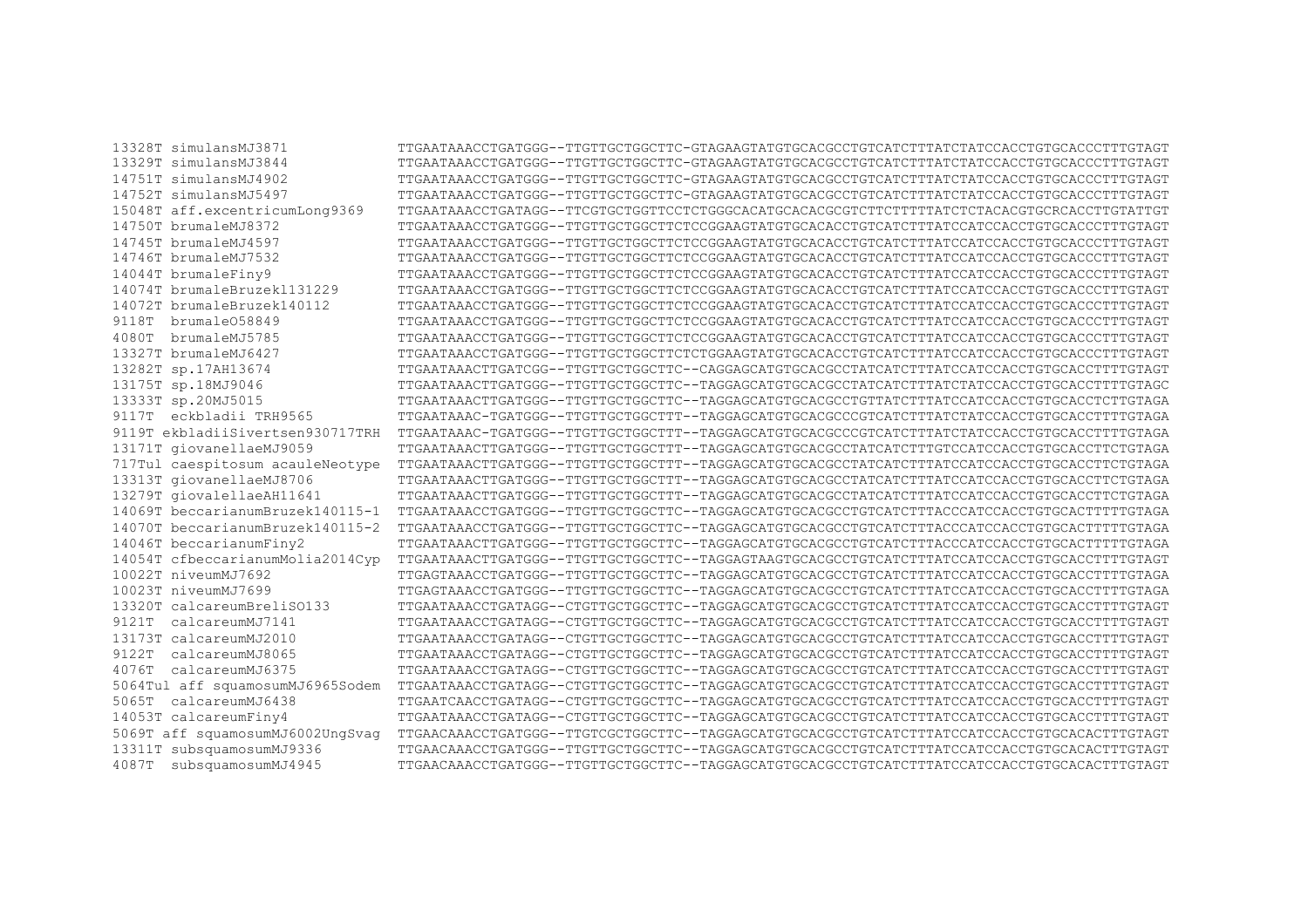13328T simulansMJ3871 TTGAATAAACCTGATGGG--TTGTTGCTGGCTTC-GTAGAAGTATGTGCACGCCTGTCATCTTTATCTATCCACCTGTGCACCCTTTGTAGT 13329T simulansMJ3844 TTGAATAAACCTGATGGG--TTGTTGCTGGCTTC-GTAGAAGTATGTGCACGCCTGTCATCTTTATCTATCCACCTGTGCACCCTTTGTAGT 14751T simulansMJ4902 TTGAATAAACCTGATGGG--TTGTTGCTGGCTTC-GTAGAAGTATGTGCACGCCTGTCATCTTTATCTATCCACCTGTGCACCCTTTGTAGT 14752T simulansMJ5497 TTGAATAAACCTGATGGG--TTGTTGCTGGCTTC-GTAGAAGTATGTGCACGCCTGTCATCTTTATCTATCCACCTGTGCACCCTTTGTAGT 15048T aff.excentricumLong9369 TTGAATAAACCTGATAGG--TTCGTGCTGGTTCCTCTGGGCACATGCACACGCGTCTTCTTTTTATCTCTACACGTGCRCACCTTGTATTGT 14750T brumaleMJ8372 TTGAATAAACCTGATGGG--TTGTTGCTGGCTTCTCCGGAAGTATGTGCACACCTGTCATCTTTATCCATCCACCTGTGCACCCTTTGTAGT 14745T brumaleMJ4597 TTGAATAAACCTGATGGG--TTGTTGCTGGCTTCTCCGGAAGTATGTGCACACCTGTCATCTTTATCCATCCACCTGTGCACCCTTTGTAGT 14746T brumaleMJ7532 TTGAATAAACCTGATGGG--TTGTTGCTGGCTTCTCCGGAAGTATGTGCACACCTGTCATCTTTATCCATCCACCTGTGCACCCTTTGTAGT 14044T brumaleFiny9 TTGAATAAACCTGATGGG--TTGTTGCTGGCTTCTCCGGAAGTATGTGCACACCTGTCATCTTTATCCATCCACCTGTGCACCCTTTGTAGT 14074T brumaleBruzekl131229 TTGAATAAACCTGATGGG--TTGTTGCTGGCTTCTCCGGAAGTATGTGCACACCTGTCATCTTTATCCATCCACCTGTGCACCCTTTGTAGT 14072T brumaleBruzek140112 TTGAATAAACCTGATGGG--TTGTTGCTGGCTTCTCCGGAAGTATGTGCACACCTGTCATCTTTATCCATCCACCTGTGCACCCTTTGTAGT 9118T brumaleO58849 TTGAATAAACCTGATGGG--TTGTTGCTGGCTTCTCCGGAAGTATGTGCACACCTGTCATCTTTATCCATCCACCTGTGCACCCTTTGTAGT 4080T brumaleMJ5785 TTGAATAAACCTGATGGG--TTGTTGCTGGCTTCTCCGGAAGTATGTGCACACCTGTCATCTTTATCCATCCACCTGTGCACCCTTTGTAGT 13327T brumaleMJ6427 TTGAATAAACCTGATGGG--TTGTTGCTGGCTTCTCTGGAAGTATGTGCACACCTGTCATCTTTATCCATCCACCTGTGCACCCTTTGTAGT 13282T sp.17AH13674 TTGAATAAACTTGATCGG--TTGTTGCTGGCTTC--CAGGAGCATGTGCACGCCTATCATCTTTATCCATCCACCTGTGCACCTTTTGTAGT 13175T sp.18MJ9046 TTGAATAAACTTGATGGG--TTGTTGCTGGCTTC--TAGGAGCATGTGCACGCCTATCATCTTTATCTATCCACCTGTGCACCTTTTGTAGC 13333T sp.20MJ5015 TTGAATAAACTTGATGGG--TTGTTGCTGGCTTC--TAGGAGCATGTGCACGCCTGTTATCTTTATCCATCCACCTGTGCACCTCTTGTAGA 9117T eckbladii TRH9565 TTGAATAAAC-TGATGGG--TTGTTGCTGGCTTT--TAGGAGCATGTGCACGCCCGTCATCTTTATCTATCCACCTGTGCACCTTTTGTAGA 9119T ekbladiiSivertsen930717TRH TTGAATAAAC-TGATGGG--TTGTTGCTGGCTTT--TAGGAGCATGTGCACGCCCGTCATCTTTATCTATCCACCTGTGCACCTTTTGTAGA 13171T giovanellaeMJ9059 TTGAATAAACTTGATGGG--TTGTTGCTGGCTTT--TAGGAGCATGTGCACGCCTATCATCTTTGTCCATCCACCTGTGCACCTTCTGTAGA 717Tul caespitosum acauleNeotype TTGAATAAACTTGATGGG--TTGTTGCTGGCTTT--TAGGAGCATGTGCACGCCTATCATCTTTATCCATCCACCTGTGCACCTTCTGTAGA 13313T giovanellaeMJ8706 TTGAATAAACTTGATGGG--TTGTTGCTGGCTTT--TAGGAGCATGTGCACGCCTATCATCTTTATCCATCCACCTGTGCACCTTCTGTAGA 13279T giovalellaeAH11641 TTGAATAAACTTGATGGG--TTGTTGCTGGCTTT--TAGGAGCATGTGCACGCCTATCATCTTTATCCATCCACCTGTGCACCTTCTGTAGA 14069T beccarianumBruzek140115-1 TTGAATAAACCTGATGGG--TTGTTGCTGGCTTC--TAGGAGCATGTGCACGCCTGTCATCTTTACCCATCCACCTGTGCACTTTTTGTAGA 14070T beccarianumBruzek140115-2 TTGAATAAACCTGATGGG--TTGTTGCTGGCTTC--TAGGAGCATGTGCACGCCTGTCATCTTTACCCATCCACCTGTGCACTTTTTGTAGA 14046T beccarianumFiny2 TTGAATAAACTTGATGGG--TTGTTGCTGGCTTC--TAGGAGCATGTGCACGCCTGTCATCTTTACCCATCCACCTGTGCACTTTTTGTAGA 14054T cfbeccarianumMolia2014Cyp TTGAATAAACTTGATGGG--TTGTTGCTGGCTTC--TAGGAGTAAGTGCACGCCTGTCATCTTTATCCATCCACCTGTGCACCTTTTGTAGT 10022T niveumMJ7692 TTGAGTAAACCTGATGGG--TTGTTGCTGGCTTC--TAGGAGCATGTGCACGCCTGTCATCTTTATCCATCCACCTGTGCACCTTTTGTAGA 10023T niveumMJ7699 TTGAGTAAACCTGATGGG--TTGTTGCTGGCTTC--TAGGAGCATGTGCACGCCTGTCATCTTTATCCATCCACCTGTGCACCTTTTGTAGA 13320T calcareumBreliSO133 TTGAATAAACCTGATAGG--CTGTTGCTGGCTTC--TAGGAGCATGTGCACGCCTGTCATCTTTATCCATCCACCTGTGCACCTTTTGTAGT 9121T calcareumMJ7141 TTGAATAAACCTGATAGG--CTGTTGCTGGCTTC--TAGGAGCATGTGCACGCCTGTCATCTTTATCCATCCACCTGTGCACCTTTTGTAGT 13173T calcareumMJ2010 TTGAATAAACCTGATAGG--CTGTTGCTGGCTTC--TAGGAGCATGTGCACGCCTGTCATCTTTATCCATCCACCTGTGCACCTTTTGTAGT 9122T calcareumMJ8065 TTGAATAAACCTGATAGG--CTGTTGCTGGCTTC--TAGGAGCATGTGCACGCCTGTCATCTTTATCCATCCACCTGTGCACCTTTTGTAGT 4076T calcareumMJ6375 TTGAATAAACCTGATAGG--CTGTTGCTGGCTTC--TAGGAGCATGTGCACGCCTGTCATCTTTATCCATCCACCTGTGCACCTTTTGTAGT 5064Tul aff squamosumMJ6965Sodem TTGAATAAACCTGATAGG--CTGTTGCTGGCTTC--TAGGAGCATGTGCACGCCTGTCATCTTTATCCATCCACCTGTGCACCTTTTGTAGT 5065T calcareumMJ6438 TTGAATCAACCTGATAGG--CTGTTGCTGGCTTC--TAGGAGCATGTGCACGCCTGTCATCTTTATCCATCCACCTGTGCACCTTTTGTAGT 14053T calcareumFiny4 TTGAATAAACCTGATAGG--CTGTTGCTGGCTTC--TAGGAGCATGTGCACGCCTGTCATCTTTATCCATCCACCTGTGCACCTTTTGTAGT 5069T aff squamosumMJ6002UngSvag TTGAACAAACCTGATGGG--TTGTCGCTGGCTTC--TAGGAGCATGTGCACGCCTGTCATCTTTATCCATCCACCTGTGCACACTTTGTAGT 13311T subsquamosumMJ9336 TTGAACAAACCTGATGGG--TTGTTGCTGGCTTC--TAGGAGCATGTGCACGCCTGTCATCTTTATCCATCCACCTGTGCACACTTTGTAGT 4087T subsquamosumMJ4945 TTGAACAAACCTGATGGG--TTGTTGCTGGCTTC--TAGGAGCATGTGCACGCCTGTCATCTTTATCCATCCACCTGTGCACACTTTGTAGT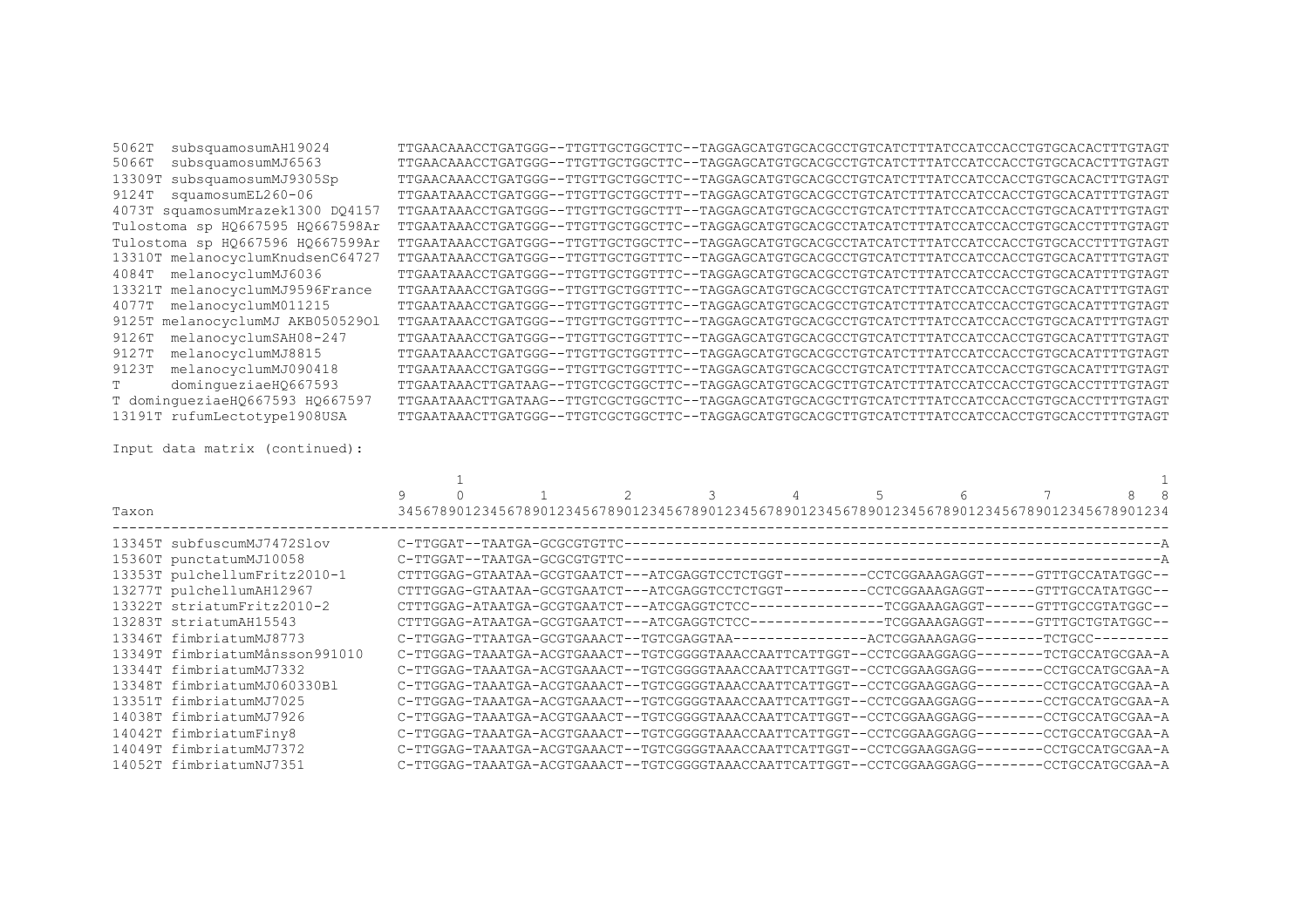| subsquamosumAH19024<br>5062T     | TTGAACAAACCTGATGGG--TTGTTGCTGGCTTC--TAGGAGCATGTGCACGCCTGTCATCTTTATCCATCCACCTGTGCACACTTTGTAGT |
|----------------------------------|----------------------------------------------------------------------------------------------|
| subsquamosumMJ6563<br>5066T      | TTGAACAAACCTGATGGG--TTGTTGCTGGCTTC--TAGGAGCATGTGCACGCCTGTCATCTTTATCCATCCACCTGTGCACACTTTGTAGT |
| subsquamosumMJ9305Sp<br>13309T   | TTGAACAAACCTGATGGG--TTGTTGCTGGCTTC--TAGGAGCATGTGCACGCCTGTCATCTTTATCCATCCACCTGTGCACACTTTGTAGT |
| squamosumEL260-06<br>9124T       | TTGAATAAACCTGATGGG--TTGTTGCTGGCTTT--TAGGAGCATGTGCACGCCTGTCATCTTTATCCATCCACCTGTGCACATTTTGTAGT |
| 4073T squamosumMrazek1300 DO4157 | TTGAATAAACCTGATGGG--TTGTTGCTGGCTTT--TAGGAGCATGTGCACGCCTGTCATCTTTATCCATCCACCTGTGCACATTTTGTAGT |
| Tulostoma sp HQ667595 HQ667598Ar | TTGAATAAACCTGATGGG--TTGTTGCTGGCTTC--TAGGAGCATGTGCACGCCTATCATCTTTATCCATCCACCTGTGCACCTTTTGTAGT |
| Tulostoma sp H0667596 H0667599Ar | TTGAATAAACCTGATGGG--TTGTTGCTGGCTTC--TAGGAGCATGTGCACGCCTATCATCTTTATCCATCCACCTGTGCACCTTTTGTAGT |
| 13310T melanocyclumKnudsenC64727 | TTGAATAAACCTGATGGG--TTGTTGCTGGTTTC--TAGGAGCATGTGCACGCCTGTCATCTTTATCCATCCACCTGTGCACATTTTGTAGT |
| 4084T melanocyclumMJ6036         | TTGAATAAACCTGATGGG--TTGTTGCTGGTTTC--TAGGAGCATGTGCACGCCTGTCATCTTTATCCATCCACCTGTGCACATTTTGTAGT |
| 13321T melanocyclumMJ9596France  | TTGAATAAACCTGATGGG--TTGTTGCTGGTTTC--TAGGAGCATGTGCACGCCTGTCATCTTTATCCATCCACCTGTGCACATTTTGTAGT |
| 4077T melanocyclumM011215        | TTGAATAAACCTGATGGG--TTGTTGCTGGTTTC--TAGGAGCATGTGCACGCCTGTCATCTTTATCCATCCACCTGTGCACATTTTGTAGT |
| 9125T melanocyclumMJ AKB05052901 | TTGAATAAACCTGATGGG--TTGTTGCTGGTTTC--TAGGAGCATGTGCACGCCTGTCATCTTTATCCATCCACCTGTGCACATTTTGTAGT |
| melanocyclumSAH08-247<br>9126T   | TTGAATAAACCTGATGGG--TTGTTGCTGGTTTC--TAGGAGCATGTGCACGCCTGTCATCTTTATCCATCCACCTGTGCACATTTTGTAGT |
| melanocyclumMJ8815<br>9127T      | TTGAATAAACCTGATGGG--TTGTTGCTGGTTTC--TAGGAGCATGTGCACGCCTGTCATCTTTATCCATCCACCTGTGCACATTTTGTAGT |
| melanocyclumMJ090418<br>9123T    | TTGAATAAACCTGATGGG--TTGTTGCTGGTTTC--TAGGAGCATGTGCACGCCTGTCATCTTTATCCATCCACCTGTGCACATTTTGTAGT |
| dominqueziaeHQ667593             | TTGAATAAACTTGATAAG--TTGTCGCTGGCTTC--TAGGAGCATGTGCACGCTTGTCATCTTTATCCATCCACCTGTGCACCTTTTGTAGT |
| T dominqueziaeHO667593 HO667597  | TTGAATAAACTTGATAAG--TTGTCGCTGGCTTC--TAGGAGCATGTGCACGCTTGTCATCTTTATCCATCCACCTGTGCACCTTTTGTAGT |
| 13191T rufumLectotype1908USA     | TTGAATAAACTTGATGGG--TTGTCGCTGGCTTC--TAGGAGCATGTGCACGCTTGTCATCTTTATCCATCCACCTGTGCACCTTTTGTAGT |

Input data matrix (continued):

|                                | 9 |                                                                                              | 2 | 3 | 4 | 5 | 6 |  |  |
|--------------------------------|---|----------------------------------------------------------------------------------------------|---|---|---|---|---|--|--|
| Taxon                          |   | 34567890123456789012345678901234567890123456789012345678901234567890123456789012345678901234 |   |   |   |   |   |  |  |
| 13345T subfuscumMJ7472Slov     |   |                                                                                              |   |   |   |   |   |  |  |
| 15360T punctatumMJ10058        |   |                                                                                              |   |   |   |   |   |  |  |
| 13353T pulchellumFritz2010-1   |   | CTTTGGAG-GTAATAA-GCGTGAATCT---ATCGAGGTCCTCTGGT---------CCTCGGAAAGAGGT------GTTTGCCATATGGC--  |   |   |   |   |   |  |  |
| 13277T pulchellumAH12967       |   | CTTTGGAG-GTAATAA-GCGTGAATCT---ATCGAGGTCCTCTGGT---------CCTCGGAAAGAGGT------GTTTGCCATATGGC--  |   |   |   |   |   |  |  |
| 13322T striatumFritz2010-2     |   |                                                                                              |   |   |   |   |   |  |  |
| 13283T striatumAH15543         |   |                                                                                              |   |   |   |   |   |  |  |
| 13346T fimbriatumMJ8773        |   |                                                                                              |   |   |   |   |   |  |  |
| 13349T fimbriatumMånsson991010 |   | C-TTGGAG-TAAATGA-ACGTGAAACT--TGTCGGGGTAAACCAATTCATTGGT--CCTCGGAAGGAGG--------TCTGCCATGCGAA-A |   |   |   |   |   |  |  |
| 13344T fimbriatumMJ7332        |   | C-TTGGAG-TAAATGA-ACGTGAAACT--TGTCGGGGTAAACCAATTCATTGGT--CCTCGGAAGGAGG--------CCTGCCATGCGAA-A |   |   |   |   |   |  |  |
| 13348T fimbriatumMJ060330Bl    |   | C-TTGGAG-TAAATGA-ACGTGAAACT--TGTCGGGGTAAACCAATTCATTGGT--CCTCGGAAGGAGG--------CCTGCCATGCGAA-A |   |   |   |   |   |  |  |
| 13351T fimbriatumMJ7025        |   | C-TTGGAG-TAAATGA-ACGTGAAACT--TGTCGGGGTAAACCAATTCATTGGT--CCTCGGAAGGAGG--------CCTGCCATGCGAA-A |   |   |   |   |   |  |  |
| 14038T fimbriatumMJ7926        |   | C-TTGGAG-TAAATGA-ACGTGAAACT--TGTCGGGGTAAACCAATTCATTGGT--CCTCGGAAGGAGG--------CCTGCCATGCGAA-A |   |   |   |   |   |  |  |
| 14042T fimbriatumFiny8         |   | C-TTGGAG-TAAATGA-ACGTGAAACT--TGTCGGGGTAAACCAATTCATTGGT--CCTCGGAAGGAGG--------CCTGCCATGCGAA-A |   |   |   |   |   |  |  |
| 14049T fimbriatumMJ7372        |   | C-TTGGAG-TAAATGA-ACGTGAAACT--TGTCGGGGTAAACCAATTCATTGGT--CCTCGGAAGGAGG--------CCTGCCATGCGAA-A |   |   |   |   |   |  |  |
| 14052T fimbriatumNJ7351        |   | C-TTGGAG-TAAATGA-ACGTGAAACT--TGTCGGGGTAAACCAATTCATTGGT--CCTCGGAAGGAGG--------CCTGCCATGCGAA-A |   |   |   |   |   |  |  |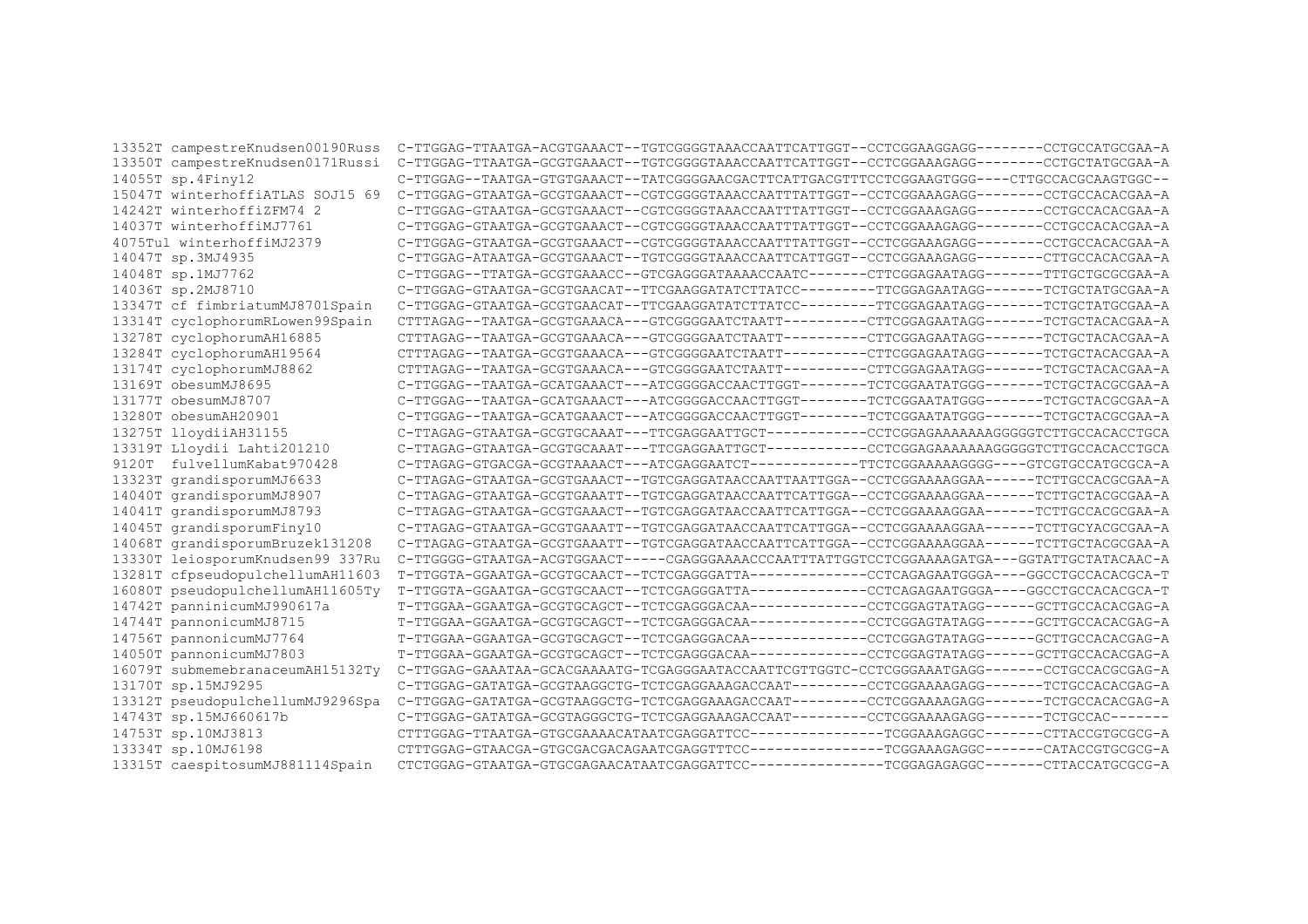| 13352T campestreKnudsen00190Russ | C-TTGGAG-TTAATGA-ACGTGAAACT--TGTCGGGGTAAACCAATTCATTGGT--CCTCGGAAGGAGG--------CCTGCCATGCGAA-A |
|----------------------------------|----------------------------------------------------------------------------------------------|
| 13350T campestreKnudsen0171Russi | C-TTGGAG-TTAATGA-GCGTGAAACT--TGTCGGGGTAAACCAATTCATTGGT--CCTCGGAAAGAGG--------CCTGCTATGCGAA-A |
| 14055T sp.4Finy12                | C-TTGGAG--TAATGA-GTGTGAAACT--TATCGGGGAACGACTTCATTGACGTTTCCTCGGAAGTGGG----CTTGCCACGCAAGTGGC-- |
| 15047T winterhoffiaTLAS SOJ15 69 | C-TTGGAG-GTAATGA-GCGTGAAACT--CGTCGGGGTAAACCAATTTATTGGT--CCTCGGAAAGAGG--------CCTGCCACACGAA-A |
| 14242T winterhoffiZFM74 2        | C-TTGGAG-GTAATGA-GCGTGAAACT--CGTCGGGGTAAACCAATTTATTGGT--CCTCGGAAAGAGG--------CCTGCCACACGAA-A |
| 14037T winterhoffiMJ7761         | C-TTGGAG-GTAATGA-GCGTGAAACT--CGTCGGGGTAAACCAATTTATTGGT--CCTCGGAAAGAGG--------CCTGCCACACGAA-A |
| 4075Tul winterhoffiMJ2379        | C-TTGGAG-GTAATGA-GCGTGAAACT--CGTCGGGGTAAACCAATTTATTGGT--CCTCGGAAAGAGG-------CCTGCCACACGAA-A  |
| 14047T sp.3MJ4935                | C-TTGGAG-ATAATGA-GCGTGAAACT--TGTCGGGGTAAACCAATTCATTGGT--CCTCGGAAAGAGG--------CTTGCCACACGAA-A |
| 14048T sp.1MJ7762                | C-TTGGAG--TTATGA-GCGTGAAACC--GTCGAGGGATAAAACCAATC-------CTTCGGAGAATAGG-------TTTGCTGCGCGAA-A |
| 14036T sp.2MJ8710                | C-TTGGAG-GTAATGA-GCGTGAACAT--TTCGAAGGATATCTTATCC--------TTCGGAGAATAGG-------TCTGCTATGCGAA-A  |
| 13347T cf fimbriatumMJ8701Spain  | C-TTGGAG-GTAATGA-GCGTGAACAT--TTCGAAGGATATCTTATCC--------TTCGGAGAATAGG-------TCTGCTATGCGAA-A  |
| 13314T cyclophorumRLowen99Spain  | CTTTAGAG--TAATGA-GCGTGAAACA---GTCGGGGAATCTAATT---------CTTCGGAGAATAGG-------TCTGCTACACGAA-A  |
| 13278T cyclophorumAH16885        | CTTTAGAG--TAATGA-GCGTGAAACA---GTCGGGGAATCTAATT---------CTTCGGAGAATAGG-------TCTGCTACACGAA-A  |
| 13284T cyclophorumAH19564        | CTTTAGAG--TAATGA-GCGTGAAACA---GTCGGGGAATCTAATT---------CTTCGGAGAATAGG-------TCTGCTACACGAA-A  |
| 13174T cyclophorumMJ8862         | CTTTAGAG--TAATGA-GCGTGAAACA---GTCGGGGAATCTAATT---------CTTCGGAGAATAGG-------TCTGCTACACGAA-A  |
| 13169T obesumMJ8695              | C-TTGGAG--TAATGA-GCATGAAACT---ATCGGGGACCAACTTGGT-------TCTCGGAATATGGG-------TCTGCTACGCGAA-A  |
| 13177T obesumMJ8707              | C-TTGGAG--TAATGA-GCATGAAACT---ATCGGGGACCAACTTGGT-------TCTCGGAATATGGG-------TCTGCTACGCGAA-A  |
| 13280T obesumAH20901             | C-TTGGAG--TAATGA-GCATGAAACT---ATCGGGGACCAACTTGGT-------TCTCGGAATATGGG-------TCTGCTACGCGAA-A  |
| 13275T lloydiiAH31155            |                                                                                              |
| 13319T Lloydii Lahti201210       |                                                                                              |
| fulvellumKabat970428<br>9120T    |                                                                                              |
| 13323T grandisporumMJ6633        | C-TTAGAG-GTAATGA-GCGTGAAACT--TGTCGAGGATAACCAATTAATTGGA--CCTCGGAAAAGGAA------TCTTGCCACGCGAA-A |
| 14040T grandisporumMJ8907        | C-TTAGAG-GTAATGA-GCGTGAAATT--TGTCGAGGATAACCAATTCATTGGA--CCTCGGAAAAGGAA------TCTTGCTACGCGAA-A |
| 14041T grandisporumMJ8793        | C-TTAGAG-GTAATGA-GCGTGAAACT--TGTCGAGGATAACCAATTCATTGGA--CCTCGGAAAAGGAA------TCTTGCCACGCGAA-A |
| 14045T grandisporumFiny10        | C-TTAGAG-GTAATGA-GCGTGAAATT--TGTCGAGGATAACCAATTCATTGGA--CCTCGGAAAAGGAA------TCTTGCYACGCGAA-A |
| 14068T grandisporumBruzek131208  | C-TTAGAG-GTAATGA-GCGTGAAATT--TGTCGAGGATAACCAATTCATTGGA--CCTCGGAAAAGGAA------TCTTGCTACGCGAA-A |
| 13330T leiosporumKnudsen99 337Ru | C-TTGGGG-GTAATGA-ACGTGGAACT-----CGAGGGAAAACCCAATTTATTGGTCCTCGGAAAAGATGA---GGTATTGCTATACAAC-A |
| 13281T cfpseudopulchellumAH11603 |                                                                                              |
| 16080T pseudopulchellumAH11605Ty |                                                                                              |
| 14742T panninicumMJ990617a       |                                                                                              |
| 14744T pannonicumMJ8715          |                                                                                              |
| 14756T pannonicumMJ7764          |                                                                                              |
| 14050T pannonicumMJ7803          |                                                                                              |
| 16079T submemebranaceumAH15132Ty | C-TTGGAG-GAAATAA-GCACGAAAATG-TCGAGGGAATACCAATTCGTTGGTC-CCTCGGGAAATGAGG-------CCTGCCACGCGAG-A |
| 13170T sp.15MJ9295               | C-TTGGAG-GATATGA-GCGTAAGGCTG-TCTCGAGGAAAGACCAAT--------CCTCGGAAAAGAGG-------TCTGCCACACGAG-A  |
| 13312T pseudopulchellumMJ9296Spa | C-TTGGAG-GATATGA-GCGTAAGGCTG-TCTCGAGGAAAGACCAAT--------CCTCGGAAAAGAGG-------TCTGCCACACGAG-A  |
| 14743T sp.15MJ660617b            | C-TTGGAG-GATATGA-GCGTAGGGCTG-TCTCGAGGAAAGACCAAT--------CCTCGGAAAAGAGG-------TCTGCCAC-------  |
| 14753T sp.10MJ3813               |                                                                                              |
| 13334T sp.10MJ6198               |                                                                                              |
| 13315T caespitosumMJ881114Spain  |                                                                                              |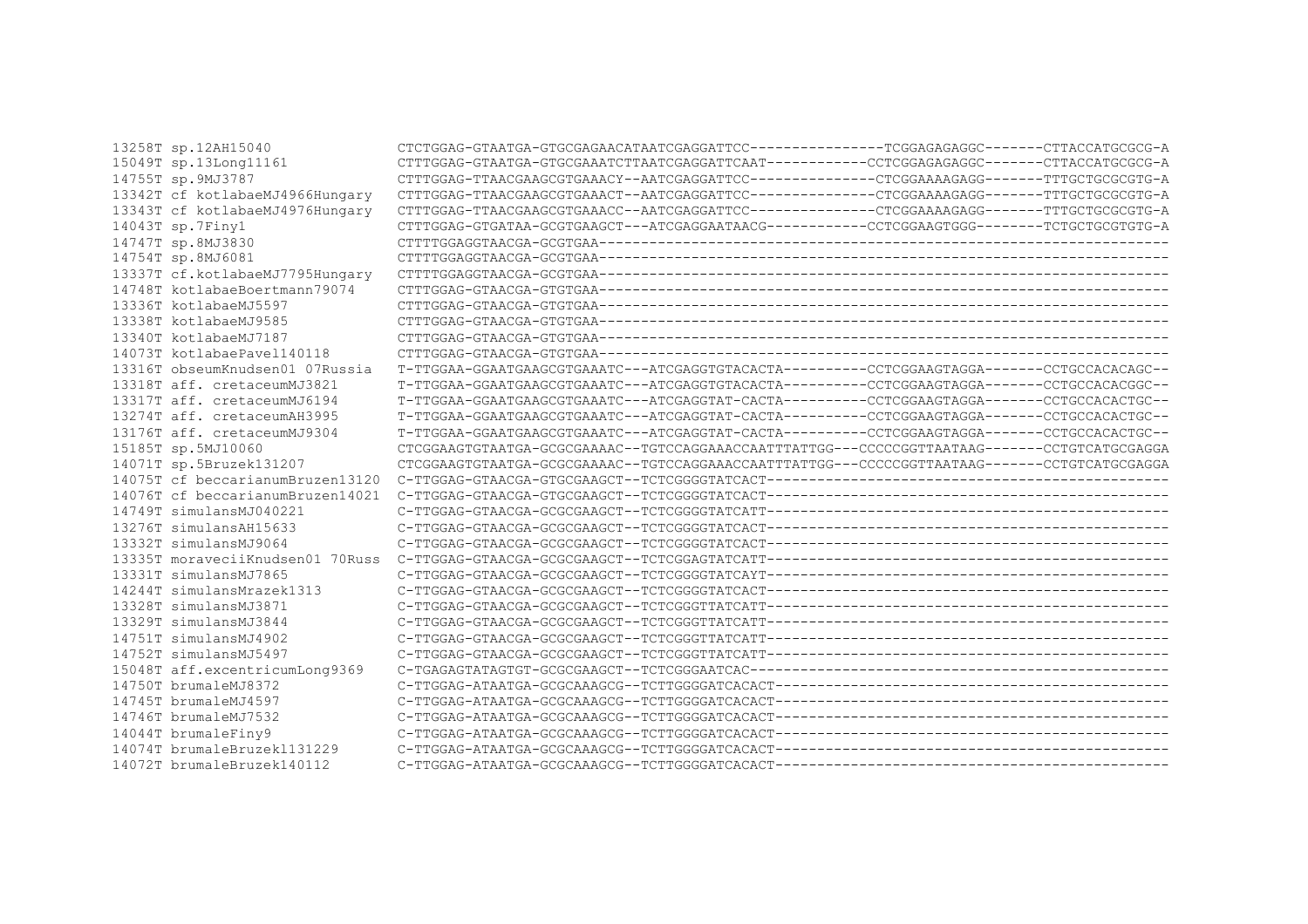| 13258T sp.12AH15040              |                                                                                              |  |
|----------------------------------|----------------------------------------------------------------------------------------------|--|
| 15049T sp.13Long11161            |                                                                                              |  |
| 14755T sp.9MJ3787                | CTTTGGAG-TTAACGAAGCGTGAAACY--AATCGAGGATTCC-------------CTCGGAAAAGAGG-------TTTGCTGCGCGTG-A   |  |
| 13342T cf kotlabaeMJ4966Hungary  |                                                                                              |  |
| 13343T cf kotlabaeMJ4976Hungary  |                                                                                              |  |
| 14043T sp.7Finy1                 |                                                                                              |  |
| 14747T sp.8MJ3830                |                                                                                              |  |
| 14754T sp.8MJ6081                |                                                                                              |  |
| 13337T cf.kotlabaeMJ7795Hungary  |                                                                                              |  |
| 14748T kotlabaeBoertmann79074    |                                                                                              |  |
| 13336T kotlabaeMJ5597            |                                                                                              |  |
| 13338T kotlabaeMJ9585            |                                                                                              |  |
| 13340T kotlabaeMJ7187            |                                                                                              |  |
| 14073T kotlabaePavel140118       |                                                                                              |  |
| 13316T obseumKnudsen01 07Russia  | T-TTGGAA-GGAATGAAGCGTGAAATC---ATCGAGGTGTACACTA---------CCTCGGAAGTAGGA-------CCTGCCACACAGC--  |  |
| 13318T aff. cretaceumMJ3821      | T-TTGGAA-GGAATGAAGCGTGAAATC---ATCGAGGTGTACACTA---------CCTCGGAAGTAGGA-------CCTGCCACACGGC--  |  |
| 13317T aff. cretaceumMJ6194      | T-TTGGAA-GGAATGAAGCGTGAAATC---ATCGAGGTAT-CACTA---------CCTCGGAAGTAGGA-------CCTGCCACACTGC--  |  |
| 13274T aff, cretaceumAH3995      | T-TTGGAA-GGAATGAAGCGTGAAATC---ATCGAGGTAT-CACTA---------CCTCGGAAGTAGGA------CCTGCCACACTGC--   |  |
| 13176T aff. cretaceumMJ9304      | T-TTGGAA-GGAATGAAGCGTGAAATC---ATCGAGGTAT-CACTA---------CCTCGGAAGTAGGA------CCTGCCACACTGC--   |  |
| 15185T sp.5MJ10060               | CTCGGAAGTGTAATGA-GCGCGAAAAC--TGTCCAGGAAACCAATTTATTGG---CCCCCGGTTAATAAG-------CCTGTCATGCGAGGA |  |
| 14071T sp.5Bruzek131207          | CTCGGAAGTGTAATGA-GCGCGAAAAC--TGTCCAGGAAACCAATTTATTGG---CCCCCGGTTAATAAG------CCTGTCATGCGAGGA  |  |
| 14075T cf beccarianumBruzen13120 |                                                                                              |  |
| 14076T cf beccarianumBruzen14021 |                                                                                              |  |
| 14749T simulansMJ040221          |                                                                                              |  |
| 13276T simulansAH15633           |                                                                                              |  |
| 13332T simulansMJ9064            |                                                                                              |  |
| 13335T moraveciiKnudsen01 70Russ |                                                                                              |  |
| 13331T simulansMJ7865            |                                                                                              |  |
| 14244T simulansMrazek1313        |                                                                                              |  |
| 13328T simulansMJ3871            |                                                                                              |  |
| 13329T simulansMJ3844            |                                                                                              |  |
| 14751T simulansMJ4902            |                                                                                              |  |
| 14752T simulansMJ5497            |                                                                                              |  |
| 15048T aff.excentricumLong9369   |                                                                                              |  |
| 14750T brumaleMJ8372             |                                                                                              |  |
| 14745T brumaleMJ4597             |                                                                                              |  |
| 14746T brumaleMJ7532             |                                                                                              |  |
| 14044T brumaleFiny9              |                                                                                              |  |
| 14074T brumaleBruzek1131229      |                                                                                              |  |
| 14072T brumaleBruzek140112       |                                                                                              |  |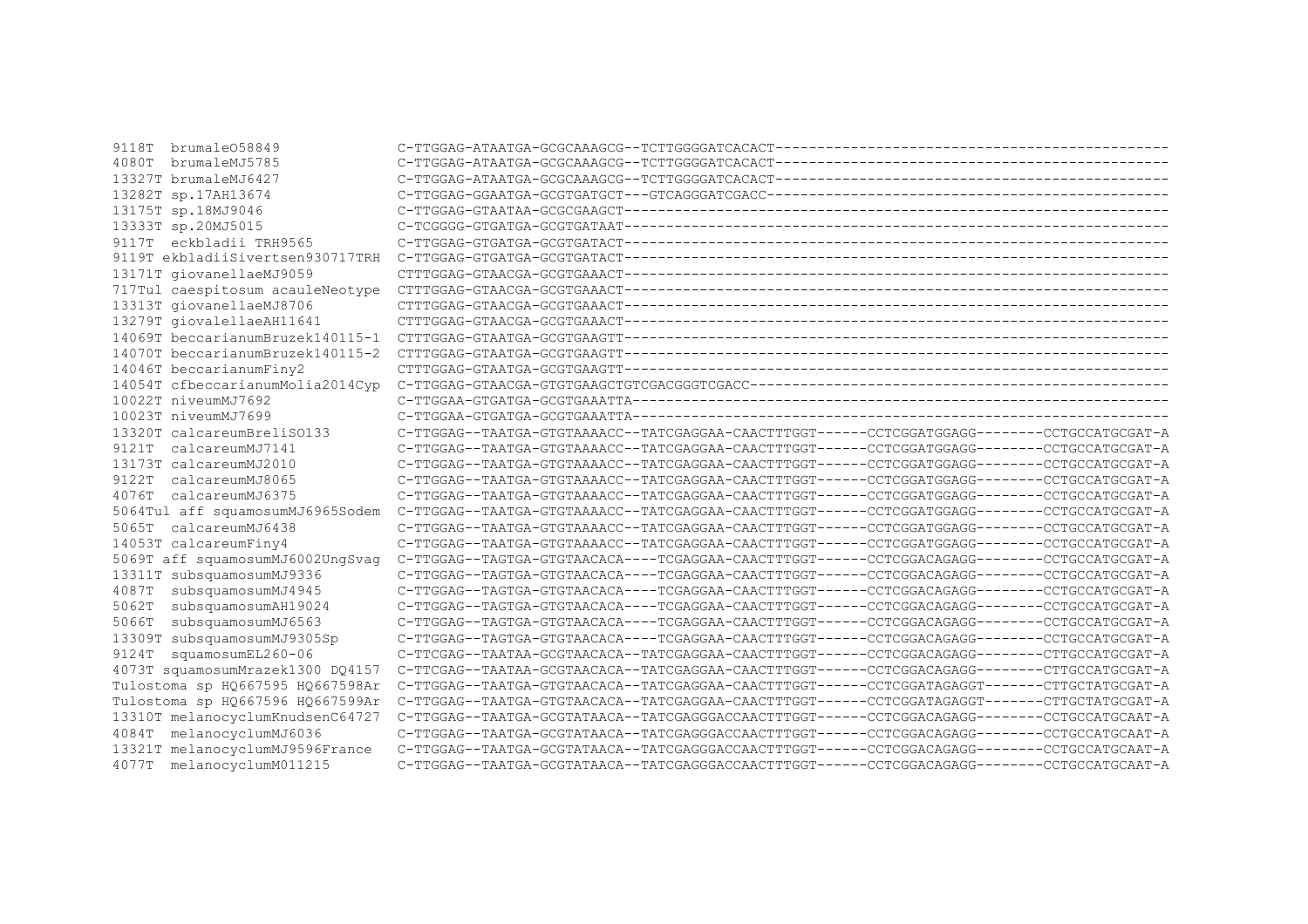| brumale058849<br>9118T           |                                                                                              |  |
|----------------------------------|----------------------------------------------------------------------------------------------|--|
| brumaleMJ5785<br>4080T           |                                                                                              |  |
| 13327T brumaleMJ6427             |                                                                                              |  |
| 13282T sp.17AH13674              |                                                                                              |  |
| 13175T sp.18MJ9046               |                                                                                              |  |
| 13333T sp.20MJ5015               |                                                                                              |  |
| eckbladii TRH9565<br>9117T       |                                                                                              |  |
| 9119T ekbladiiSivertsen930717TRH |                                                                                              |  |
| 13171T giovanellaeMJ9059         |                                                                                              |  |
| 717Tul caespitosum acauleNeotype |                                                                                              |  |
| 13313T giovanellaeMJ8706         |                                                                                              |  |
| 13279T giovalellaeAH11641        |                                                                                              |  |
| 14069T beccarianumBruzek140115-1 |                                                                                              |  |
| 14070T beccarianumBruzek140115-2 |                                                                                              |  |
| 14046T beccarianumFiny2          |                                                                                              |  |
| 14054T cfbeccarianumMolia2014Cvp |                                                                                              |  |
| 10022T niveumMJ7692              |                                                                                              |  |
| 10023T niveumMJ7699              |                                                                                              |  |
| 13320T calcareumBreliSO133       | C-TTGGAG--TAATGA-GTGTAAAACC--TATCGAGGAA-CAACTTTGGT------CCTCGGATGGAGG--------CCTGCCATGCGAT-A |  |
| 9121T calcareumMJ7141            | C-TTGGAG--TAATGA-GTGTAAAACC--TATCGAGGAA-CAACTTTGGT------CCTCGGATGGAGG-------CCTGCCATGCGAT-A  |  |
| 13173T calcareumMJ2010           | C-TTGGAG--TAATGA-GTGTAAAACC--TATCGAGGAA-CAACTTTGGT------CCTCGGATGGAGG-------CCTGCCATGCGAT-A  |  |
| calcareumMJ8065<br>9122T         | C-TTGGAG--TAATGA-GTGTAAAACC--TATCGAGGAA-CAACTTTGGT------CCTCGGATGGAGG--------CCTGCCATGCGAT-A |  |
| calcareumMJ6375<br>4076T         | C-TTGGAG--TAATGA-GTGTAAAACC--TATCGAGGAA-CAACTTTGGT------CCTCGGATGGAGG--------CCTGCCATGCGAT-A |  |
| 5064Tul aff squamosumMJ6965Sodem | C-TTGGAG--TAATGA-GTGTAAAACC--TATCGAGGAA-CAACTTTGGT------CCTCGGATGGAGG-------CCTGCCATGCGAT-A  |  |
| calcareumMJ6438<br>5065T         | C-TTGGAG--TAATGA-GTGTAAAACC--TATCGAGGAA-CAACTTTGGT------CCTCGGATGGAGG-------CCTGCCATGCGAT-A  |  |
| 14053T calcareumFiny4            | C-TTGGAG--TAATGA-GTGTAAAACC--TATCGAGGAA-CAACTTTGGT------CCTCGGATGGAGG--------CCTGCCATGCGAT-A |  |
| 5069T aff squamosumMJ6002UngSvag | C-TTGGAG--TAGTGA-GTGTAACACA----TCGAGGAA-CAACTTTGGT------CCTCGGACAGAGG-------CCTGCCATGCGAT-A  |  |
| 13311T subsquamosumMJ9336        | C-TTGGAG--TAGTGA-GTGTAACACA----TCGAGGAA-CAACTTTGGT------CCTCGGACAGAGG-------CCTGCCATGCGAT-A  |  |
| 4087T<br>subsquamosumMJ4945      | C-TTGGAG--TAGTGA-GTGTAACACA----TCGAGGAA-CAACTTTGGT------CCTCGGACAGAGG-------CCTGCCATGCGAT-A  |  |
| 5062T<br>subsquamosumAH19024     | C-TTGGAG--TAGTGA-GTGTAACACA----TCGAGGAA-CAACTTTGGT------CCTCGGACAGAGG-------CCTGCCATGCGAT-A  |  |
| subsquamosumMJ6563<br>5066T      | C-TTGGAG--TAGTGA-GTGTAACACA----TCGAGGAA-CAACTTTGGT------CCTCGGACAGAGG-------CCTGCCATGCGAT-A  |  |
| 13309T subsquamosumMJ9305Sp      | C-TTGGAG--TAGTGA-GTGTAACACA----TCGAGGAA-CAACTTTGGT------CCTCGGACAGAGG-------CCTGCCATGCGAT-A  |  |
| 9124T<br>squamosumEL260-06       | C-TTCGAG--TAATAA-GCGTAACACA--TATCGAGGAA-CAACTTTGGT------CCTCGGACAGAGG--------CTTGCCATGCGAT-A |  |
| 4073T squamosumMrazek1300 DQ4157 | C-TTCGAG--TAATAA-GCGTAACACA--TATCGAGGAA-CAACTTTGGT------CCTCGGACAGAGG-------CTTGCCATGCGAT-A  |  |
| Tulostoma sp HQ667595 HQ667598Ar | C-TTGGAG--TAATGA-GTGTAACACA--TATCGAGGAA-CAACTTTGGT------CCTCGGATAGAGGT-------CTTGCTATGCGAT-A |  |
| Tulostoma sp HQ667596 HQ667599Ar | C-TTGGAG--TAATGA-GTGTAACACA--TATCGAGGAA-CAACTTTGGT------CCTCGGATAGAGGT------CTTGCTATGCGAT-A  |  |
| 13310T melanocyclumKnudsenC64727 | C-TTGGAG--TAATGA-GCGTATAACA--TATCGAGGGACCAACTTTGGT------CCTCGGACAGAGG-------CCTGCCATGCAAT-A  |  |
| melanocyclumMJ6036<br>4084T      | C-TTGGAG--TAATGA-GCGTATAACA--TATCGAGGGACCAACTTTGGT------CCTCGGACAGAGG-------CCTGCCATGCAAT-A  |  |
| 13321T melanocyclumMJ9596France  | C-TTGGAG--TAATGA-GCGTATAACA--TATCGAGGGACCAACTTTGGT------CCTCGGACAGAGG-------CCTGCCATGCAAT-A  |  |
| 4077T melanocyclumM011215        | C-TTGGAG--TAATGA-GCGTATAACA--TATCGAGGGACCAACTTTGGT------CCTCGGACAGAGG--------CCTGCCATGCAAT-A |  |
|                                  |                                                                                              |  |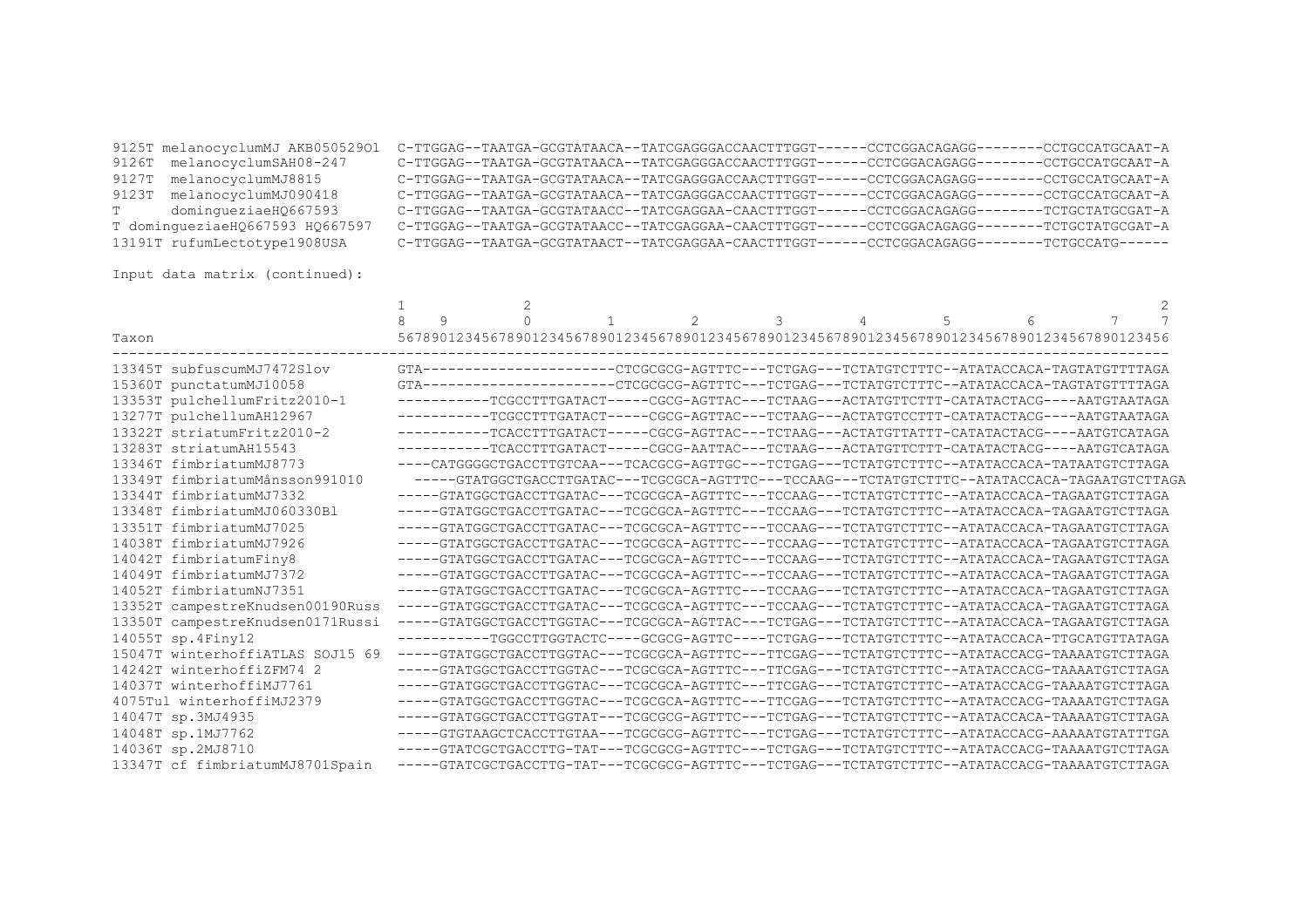|                                 | 9125T melanocyclumMJ AKB05052901 C-TTGGAG--TAATGA-GCGTATAACA--TATCGAGGGACCAACTTTGGT------CCTCGGACAGAGG--------CCTGCCATGCAAT-A |                  |
|---------------------------------|-------------------------------------------------------------------------------------------------------------------------------|------------------|
| 9126T melanocyclumSAH08-247     | C-TTGGAG--TAATGA-GCGTATAACA--TATCGAGGGACCAACTTTGGT------CCTCGGACAGAGG-------                                                  | -CCTGCCATGCAAT-A |
| 9127T melanocyclumMJ8815        | C-TTGGAG--TAATGA-GCGTATAACA--TATCGAGGGACCAACTTTGGT------CCTCGGACAGAGG--                                                       | -CCTGCCATGCAAT-A |
| 9123T melanocyclumMJ090418      | C-TTGGAG--TAATGA-GCGTATAACA--TATCGAGGGACCAACTTTGGT------CCTCGGACAGAGG---                                                      | -CCTGCCATGCAAT-A |
| dominqueziaeH0667593<br>T.      | C-TTGGAG--TAATGA-GCGTATAACC--TATCGAGGAA-CAACTTTGGT------CCTCGGACAGAGG-------                                                  | -TCTGCTATGCGAT-A |
| T dominqueziaeHQ667593 HQ667597 | C-TTGGAG--TAATGA-GCGTATAACC--TATCGAGGAA-CAACTTTGGT------CCTCGGACAGAGG-------                                                  | -TCTGCTATGCGAT-A |
| 13191T rufumLectotype1908USA    | C-TTGGAG--TAATGA-GCGTATAACT--TATCGAGGAA-CAACTTTGGT------CCTCGGACAGAGG--------TCTGCCATG------                                  |                  |
|                                 |                                                                                                                               |                  |

Input data matrix (continued):

|                                  |   | $\mathfrak{D}$ |  |   |   |                                                                                                   |   |   |  |  |
|----------------------------------|---|----------------|--|---|---|---------------------------------------------------------------------------------------------------|---|---|--|--|
| Taxon                            | 9 | $\cap$         |  | 2 | 3 | 4<br>56789012345678901234567890123456789012345678901234567890123456789012345678901234567890123456 | 5 | 6 |  |  |
| 13345T subfuscumMJ7472Slov       |   |                |  |   |   | GTA---------------------CTCGCGCG-AGTTTC---TCTGAG---TCTATGTCTTTC--ATATACCACA-TAGTATGTTTTAGA        |   |   |  |  |
| 15360T punctatumMJ10058          |   |                |  |   |   | GTA---------------------CTCGCGCG-AGTTTC---TCTGAG---TCTATGTCTTTC--ATATACCACA-TAGTATGTTTTAGA        |   |   |  |  |
| 13353T pulchellumFritz2010-1     |   |                |  |   |   | -----------TCGCCTTTGATACT-----CGCG-AGTTAC---TCTAAG---ACTATGTTCTTT-CATATACTACG----AATGTAATAGA      |   |   |  |  |
| 13277T pulchellumAH12967         |   |                |  |   |   | -----------TCGCCTTTGATACT-----CGCG-AGTTAC---TCTAAG---ACTATGTCCTTT-CATATACTACG----AATGTAATAGA      |   |   |  |  |
| 13322T striatumFritz2010-2       |   |                |  |   |   | -----------TCACCTTTGATACT-----CGCG-AGTTAC---TCTAAG---ACTATGTTATTT-CATATACTACG----AATGTCATAGA      |   |   |  |  |
| 13283T striatumAH15543           |   |                |  |   |   | -----------TCACCTTTGATACT-----CGCG-AATTAC---TCTAAG---ACTATGTTCTTT-CATATACTACG----AATGTCATAGA      |   |   |  |  |
| 13346T fimbriatumMJ8773          |   |                |  |   |   | ----CATGGGGCTGACCTTGTCAA---TCACGCG-AGTTGC---TCTGAG---TCTATGTCTTTC--ATATACCACA-TATAATGTCTTAGA      |   |   |  |  |
| 13349T fimbriatumMånsson991010   |   |                |  |   |   | -----GTATGGCTGACCTTGATAC---TCGCGCA-AGTTTC---TCCAAG---TCTATGTCTTTC--ATATACCACA-TAGAATGTCTTAGA      |   |   |  |  |
| 13344T fimbriatumMJ7332          |   |                |  |   |   | -----GTATGGCTGACCTTGATAC---TCGCGCA-AGTTTC---TCCAAG---TCTATGTCTTTC--ATATACCACA-TAGAATGTCTTAGA      |   |   |  |  |
| 13348T fimbriatumMJ060330Bl      |   |                |  |   |   | -----GTATGGCTGACCTTGATAC---TCGCGCA-AGTTTC---TCCAAG---TCTATGTCTTTC--ATATACCACA-TAGAATGTCTTAGA      |   |   |  |  |
| 13351T fimbriatumMJ7025          |   |                |  |   |   | -----GTATGGCTGACCTTGATAC---TCGCGCA-AGTTTC---TCCAAG---TCTATGTCTTTC--ATATACCACA-TAGAATGTCTTAGA      |   |   |  |  |
| 14038T fimbriatumMJ7926          |   |                |  |   |   | -----GTATGGCTGACCTTGATAC---TCGCGCA-AGTTTC---TCCAAG---TCTATGTCTTTC--ATATACCACA-TAGAATGTCTTAGA      |   |   |  |  |
| 14042T fimbriatumFiny8           |   |                |  |   |   | -----GTATGGCTGACCTTGATAC---TCGCGCA-AGTTTC---TCCAAG---TCTATGTCTTTC--ATATACCACA-TAGAATGTCTTAGA      |   |   |  |  |
| 14049T fimbriatumMJ7372          |   |                |  |   |   | -----GTATGGCTGACCTTGATAC---TCGCGCA-AGTTTC---TCCAAG---TCTATGTCTTTC--ATATACCACA-TAGAATGTCTTAGA      |   |   |  |  |
| 14052T fimbriatumNJ7351          |   |                |  |   |   | -----GTATGGCTGACCTTGATAC---TCGCGCA-AGTTTC---TCCAAG---TCTATGTCTTTC--ATATACCACA-TAGAATGTCTTAGA      |   |   |  |  |
| 13352T campestreKnudsen00190Russ |   |                |  |   |   | -----GTATGGCTGACCTTGATAC---TCGCGCA-AGTTTC---TCCAAG---TCTATGTCTTTC--ATATACCACA-TAGAATGTCTTAGA      |   |   |  |  |
| 13350T campestreKnudsen0171Russi |   |                |  |   |   | -----GTATGGCTGACCTTGGTAC---TCGCGCA-AGTTAC---TCTGAG---TCTATGTCTTTC--ATATACCACA-TAGAATGTCTTAGA      |   |   |  |  |
| 14055T sp.4Finy12                |   |                |  |   |   | -----------TGGCCTTGGTACTC----GCGCG-AGTTC----TCTGAG---TCTATGTCTTTC--ATATACCACA-TTGCATGTTATAGA      |   |   |  |  |
| 15047T winterhoffiATLAS SOJ15 69 |   |                |  |   |   | -----GTATGGCTGACCTTGGTAC---TCGCGCA-AGTTTC---TTCGAG---TCTATGTCTTTC--ATATACCACG-TAAAATGTCTTAGA      |   |   |  |  |
| 14242T winterhoffizFM74 2        |   |                |  |   |   | -----GTATGGCTGACCTTGGTAC---TCGCGCA-AGTTTC---TTCGAG---TCTATGTCTTTC--ATATACCACG-TAAAATGTCTTAGA      |   |   |  |  |
| 14037T winterhoffiMJ7761         |   |                |  |   |   | -----GTATGGCTGACCTTGGTAC---TCGCGCA-AGTTTC---TTCGAG---TCTATGTCTTTC--ATATACCACG-TAAAATGTCTTAGA      |   |   |  |  |
| 4075Tul winterhoffiMJ2379        |   |                |  |   |   | -----GTATGGCTGACCTTGGTAC---TCGCGCA-AGTTTC---TTCGAG---TCTATGTCTTTC--ATATACCACG-TAAAATGTCTTAGA      |   |   |  |  |
| 14047T sp.3MJ4935                |   |                |  |   |   | -----GTATGGCTGACCTTGGTAT---TCGCGCG-AGTTTC---TCTGAG---TCTATGTCTTTC--ATATACCACA-TAAAATGTCTTAGA      |   |   |  |  |
| 14048T sp.1MJ7762                |   |                |  |   |   | -----GTGTAAGCTCACCTTGTAA---TCGCGCG-AGTTTC---TCTGAG---TCTATGTCTTTC--ATATACCACG-AAAAATGTATTTGA      |   |   |  |  |
| 14036T sp.2MJ8710                |   |                |  |   |   | -----GTATCGCTGACCTTG-TAT---TCGCGCG-AGTTTC---TCTGAG---TCTATGTCTTTC--ATATACCACG-TAAAATGTCTTAGA      |   |   |  |  |
| 13347T cf fimbriatumMJ8701Spain  |   |                |  |   |   | -----GTATCGCTGACCTTG-TAT---TCGCGCG-AGTTTC---TCTGAG---TCTATGTCTTTC--ATATACCACG-TAAAATGTCTTAGA      |   |   |  |  |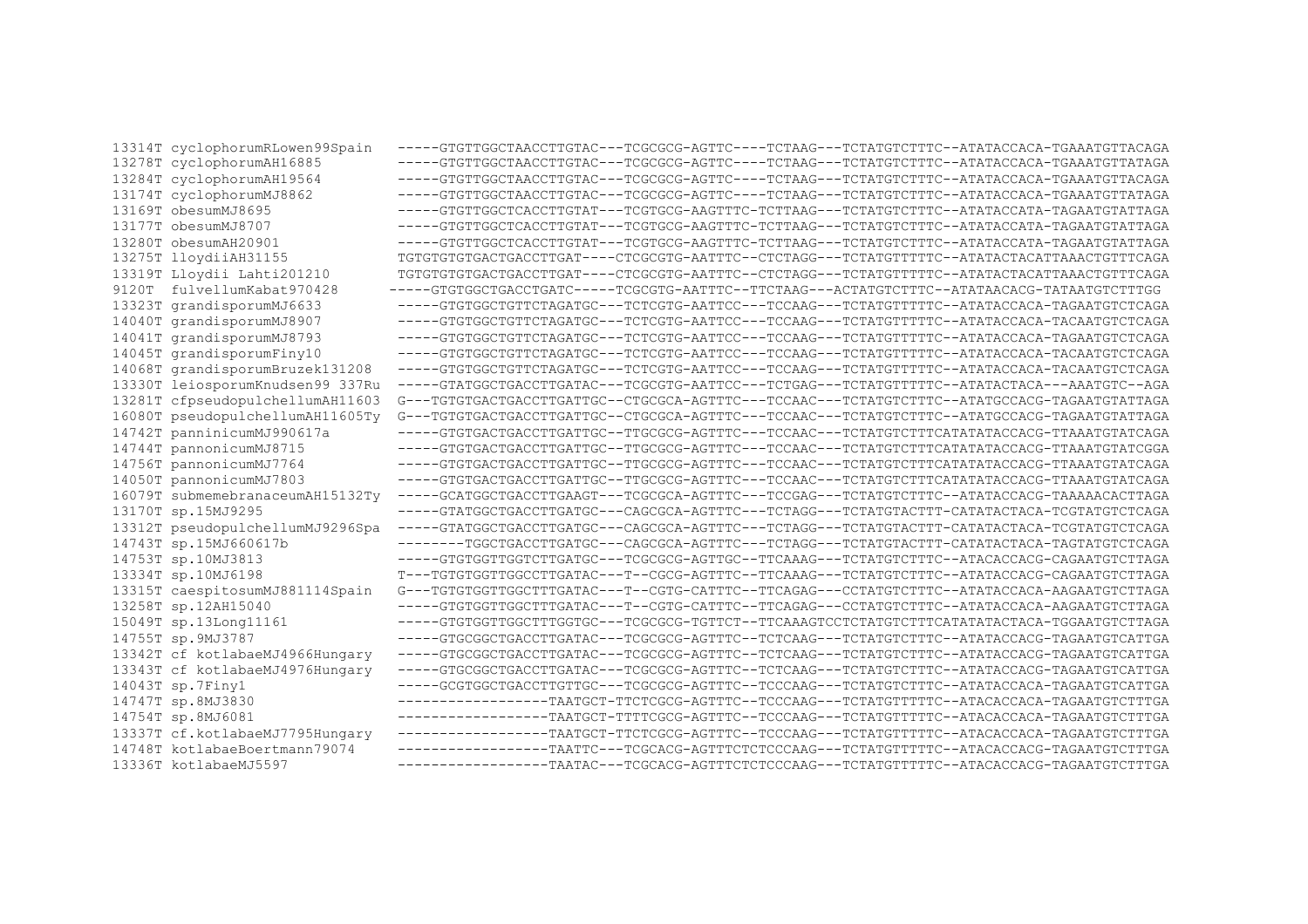| 13314T cyclophorumRLowen99Spain  | -----GTGTTGGCTAACCTTGTAC---TCGCGCG-AGTTC----TCTAAG---TCTATGTCTTTC--ATATACCACA-TGAAATGTTACAGA |
|----------------------------------|----------------------------------------------------------------------------------------------|
| 13278T cyclophorumAH16885        | -----GTGTTGGCTAACCTTGTAC---TCGCGCG-AGTTC----TCTAAG---TCTATGTCTTTC--ATATACCACA-TGAAATGTTATAGA |
| 13284T cyclophorumAH19564        | -----GTGTTGGCTAACCTTGTAC---TCGCGCG-AGTTC----TCTAAG---TCTATGTCTTTC--ATATACCACA-TGAAATGTTACAGA |
| 13174T cyclophorumMJ8862         | -----GTGTTGGCTAACCTTGTAC---TCGCGCG-AGTTC----TCTAAG---TCTATGTCTTTC--ATATACCACA-TGAAATGTTATAGA |
| 13169T obesumMJ8695              | -----GTGTTGGCTCACCTTGTAT---TCGTGCG-AAGTTTC-TCTTAAG---TCTATGTCTTTC--ATATACCATA-TAGAATGTATTAGA |
| 13177T obesumMJ8707              | -----GTGTTGGCTCACCTTGTAT---TCGTGCG-AAGTTTC-TCTTAAG---TCTATGTCTTTC--ATATACCATA-TAGAATGTATTAGA |
| 13280T obesumAH20901             | -----GTGTTGGCTCACCTTGTAT---TCGTGCG-AAGTTTC-TCTTAAG---TCTATGTCTTTC--ATATACCATA-TAGAATGTATTAGA |
| 13275T lloydiiAH31155            | TGTGTGTGTGACTGACCTTGAT----CTCGCGTG-AATTTC--CTCTAGG---TCTATGTTTTTC--ATATACTACATTAAACTGTTTCAGA |
| 13319T Lloydii Lahti201210       | TGTGTGTGTGACTGACCTTGAT----CTCGCGTG-AATTTC--CTCTAGG---TCTATGTTTTTC--ATATACTACATTAAACTGTTTCAGA |
| 9120T fulvellumKabat970428       | -----GTGTGGCTGACCTGATC-----TCGCGTG-AATTTC--TTCTAAG---ACTATGTCTTTC--ATATAACACG-TATAATGTCTTTGG |
| 13323T grandisporumMJ6633        | -----GTGTGGCTGTTCTAGATGC---TCTCGTG-AATTCC---TCCAAG---TCTATGTTTTTC--ATATACCACA-TAGAATGTCTCAGA |
| 14040T grandisporumMJ8907        | -----GTGTGGCTGTTCTAGATGC---TCTCGTG-AATTCC---TCCAAG---TCTATGTTTTTC--ATATACCACA-TACAATGTCTCAGA |
| 14041T grandisporumMJ8793        | -----GTGTGGCTGTTCTAGATGC---TCTCGTG-AATTCC---TCCAAG---TCTATGTTTTTC--ATATACCACA-TAGAATGTCTCAGA |
| 14045T grandisporumFiny10        | -----GTGTGGCTGTTCTAGATGC---TCTCGTG-AATTCC---TCCAAG---TCTATGTTTTTC--ATATACCACA-TACAATGTCTCAGA |
| 14068T grandisporumBruzek131208  | -----GTGTGGCTGTTCTAGATGC---TCTCGTG-AATTCC---TCCAAG---TCTATGTTTTTC--ATATACCACA-TACAATGTCTCAGA |
| 13330T leiosporumKnudsen99 337Ru | -----GTATGGCTGACCTTGATAC---TCGCGTG-AATTCC---TCTGAG---TCTATGTTTTTC--ATATACTACA---AAATGTC--AGA |
| 13281T cfpseudopulchellumAH11603 | G---TGTGTGACTGACCTTGATTGC--CTGCGCA-AGTTTC---TCCAAC---TCTATGTCTTTC--ATATGCCACG-TAGAATGTATTAGA |
| 16080T pseudopulchellumAH11605Ty | G---TGTGTGACTGACCTTGATTGC--CTGCGCA-AGTTTC---TCCAAC---TCTATGTCTTTC--ATATGCCACG-TAGAATGTATTAGA |
| 14742T panninicumMJ990617a       | -----GTGTGACTGACCTTGATTGC--TTGCGCG-AGTTTC---TCCAAC---TCTATGTCTTTCATATATACCACG-TTAAATGTATCAGA |
| 14744T pannonicumMJ8715          | -----GTGTGACTGACCTTGATTGC--TTGCGCG-AGTTTC---TCCAAC---TCTATGTCTTTCATATATACCACG-TTAAATGTATCGGA |
| 14756T pannonicumMJ7764          | -----GTGTGACTGACCTTGATTGC--TTGCGCG-AGTTTC---TCCAAC---TCTATGTCTTTCATATATACCACG-TTAAATGTATCAGA |
| 14050T pannonicumMJ7803          | -----GTGTGACTGACCTTGATTGC--TTGCGCG-AGTTTC---TCCAAC---TCTATGTCTTTCATATATACCACG-TTAAATGTATCAGA |
| 16079T submemebranaceumAH15132Tv | -----GCATGGCTGACCTTGAAGT---TCGCGCA-AGTTTC---TCCGAG---TCTATGTCTTTC--ATATACCACG-TAAAAACACTTAGA |
| 13170T sp.15MJ9295               | -----GTATGGCTGACCTTGATGC---CAGCGCA-AGTTTC---TCTAGG---TCTATGTACTTT-CATATACTACA-TCGTATGTCTCAGA |
| 13312T pseudopulchellumMJ9296Spa | -----GTATGGCTGACCTTGATGC---CAGCGCA-AGTTTC---TCTAGG---TCTATGTACTTT-CATATACTACA-TCGTATGTCTCAGA |
| 14743T sp.15MJ660617b            | --------TGGCTGACCTTGATGC---CAGCGCA-AGTTTC---TCTAGG---TCTATGTACTTT-CATATACTACA-TAGTATGTCTCAGA |
| 14753T sp.10MJ3813               | -----GTGTGGTTGGTCTTGATGC---TCGCGCG-AGTTGC--TTCAAAG---TCTATGTCTTTC--ATACACCACG-CAGAATGTCTTAGA |
| 13334T sp.10MJ6198               | T---TGTGTGGTTGGCCTTGATAC---T--CGCG-AGTTTC--TTCAAAG---TCTATGTCTTTC--ATATACCACG-CAGAATGTCTTAGA |
| 13315T caespitosumMJ881114Spain  | G---TGTGTGGTTGGCTTTGATAC---T--CGTG-CATTTC--TTCAGAG---CCTATGTCTTTC--ATATACCACA-AAGAATGTCTTAGA |
| 13258T sp.12AH15040              | -----GTGTGGTTGGCTTTGATAC---T--CGTG-CATTTC--TTCAGAG---CCTATGTCTTTC--ATATACCACA-AAGAATGTCTTAGA |
| 15049T sp.13Long11161            | -----GTGTGGTTGGCTTTGGTGC---TCGCGCG-TGTTCT--TTCAAAGTCCTCTATGTCTTTCATATATACTACA-TGGAATGTCTTAGA |
| 14755T sp.9MJ3787                | -----GTGCGGCTGACCTTGATAC---TCGCGCG-AGTTTC--TCTCAAG---TCTATGTCTTTC--ATATACCACG-TAGAATGTCATTGA |
| 13342T cf kotlabaeMJ4966Hungary  | -----GTGCGGCTGACCTTGATAC---TCGCGCG-AGTTTC--TCTCAAG---TCTATGTCTTTC--ATATACCACG-TAGAATGTCATTGA |
| 13343T cf kotlabaeMJ4976Hungary  | -----GTGCGGCTGACCTTGATAC---TCGCGCG-AGTTTC--TCTCAAG---TCTATGTCTTTC--ATATACCACG-TAGAATGTCATTGA |
| 14043T sp.7Finy1                 | -----GCGTGGCTGACCTTGTTGC---TCGCGCG-AGTTTC--TCCCAAG---TCTATGTCTTTC--ATATACCACA-TAGAATGTCATTGA |
| 14747T sp.8MJ3830                | -----------------TAATGCT-TTCTCGCG-AGTTTC--TCCCAAG---TCTATGTTTTTC--ATACACCACA-TAGAATGTCTTTGA  |
| 14754T sp.8MJ6081                | ------------------TAATGCT-TTTTCGCG-AGTTTC--TCCCAAG---TCTATGTTTTTC--ATACACCACA-TAGAATGTCTTTGA |
| 13337T cf.kotlabaeMJ7795Hungary  | -----------------TAATGCT-TTCTCGCG-AGTTTC--TCCCAAG---TCTATGTTTTTC--ATACACCACA-TAGAATGTCTTTGA  |
| 14748T kotlabaeBoertmann79074    | ------------------TAATTC---TCGCACG-AGTTTCTCTCCCAAG---TCTATGTTTTTC--ATACACCACG-TAGAATGTCTTTGA |
| 13336T kotlabaeMJ5597            | -----------------TAATAC---TCGCACG-AGTTTCTCTCCCAAG---TCTATGTTTTTC--ATACACCACG-TAGAATGTCTTTGA  |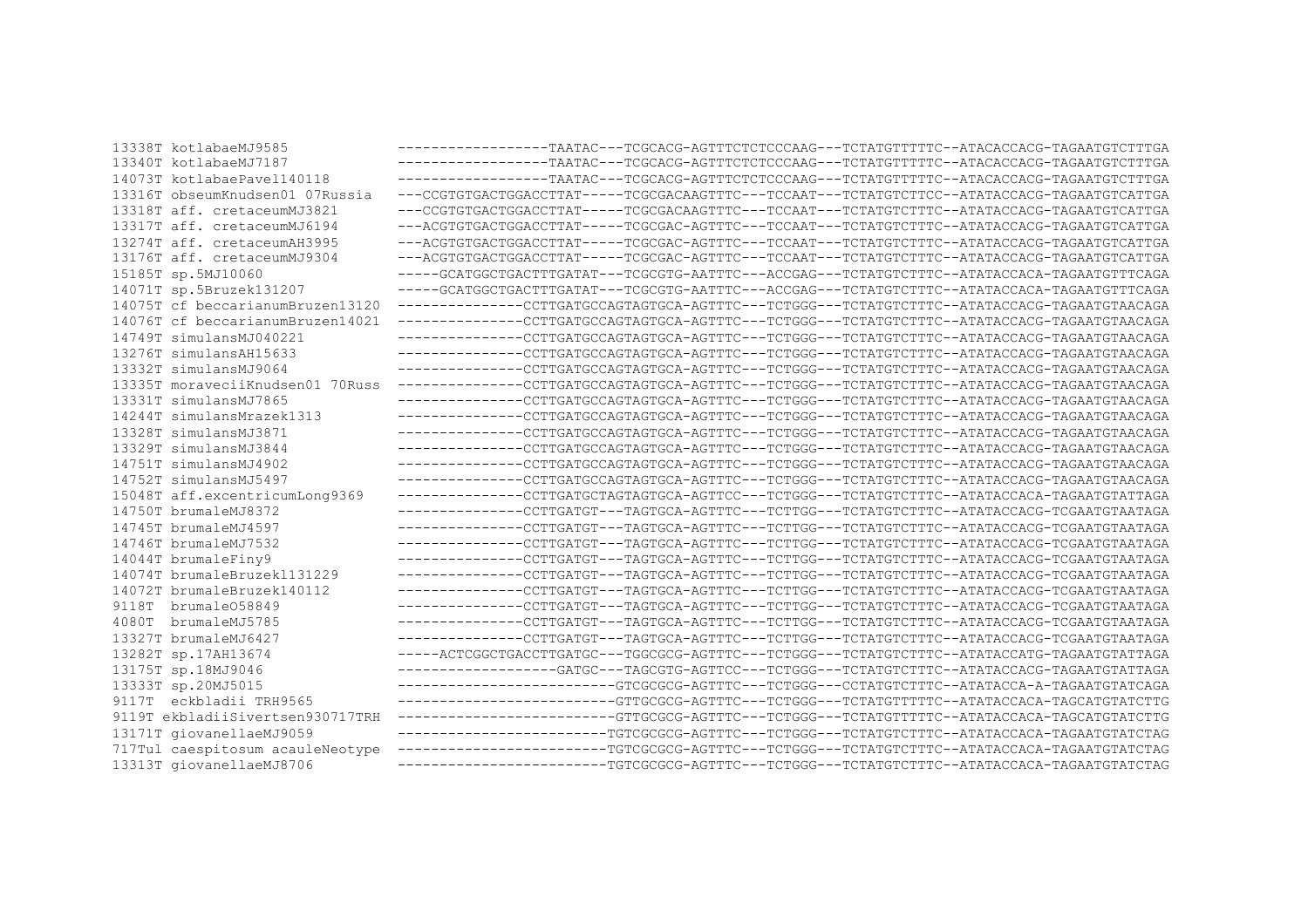| 13338T kotlabaeMJ9585            | -----------------TAATAC---TCGCACG-AGTTTCTCTCCCAAG---TCTATGTTTTTC--ATACACCACG-TAGAATGTCTTTGA                                       |
|----------------------------------|-----------------------------------------------------------------------------------------------------------------------------------|
| 13340T kotlabaeMJ7187            | -----------------TAATAC---TCGCACG-AGTTTCTCTCCCAAG---TCTATGTTTTTC--ATACACCACG-TAGAATGTCTTTGA                                       |
| 14073T kotlabaePavel140118       | -----------------TAATAC---TCGCACG-AGTTTCTCTCCCAAG---TCTATGTTTTTC--ATACACCACG-TAGAATGTCTTTGA                                       |
| 13316T obseumKnudsen01 07Russia  | ---CCGTGTGACTGGACCTTAT-----TCGCGACAAGTTTC---TCCAAT---TCTATGTCTTCC--ATATACCACG-TAGAATGTCATTGA                                      |
| 13318T aff. cretaceumMJ3821      | ---CCGTGTGACTGGACCTTAT-----TCGCGACAAGTTTC---TCCAAT---TCTATGTCTTTC--ATATACCACG-TAGAATGTCATTGA                                      |
| 13317T aff. cretaceumMJ6194      | ---ACGTGTGACTGGACCTTAT-----TCGCGAC-AGTTTC---TCCAAT---TCTATGTCTTTC--ATATACCACG-TAGAATGTCATTGA                                      |
| 13274T aff. cretaceumAH3995      | ---ACGTGTGACTGGACCTTAT-----TCGCGAC-AGTTTC---TCCAAT---TCTATGTCTTTC--ATATACCACG-TAGAATGTCATTGA                                      |
| 13176T aff. cretaceumMJ9304      | ---ACGTGTGACTGGACCTTAT-----TCGCGAC-AGTTTC---TCCAAT---TCTATGTCTTTC--ATATACCACG-TAGAATGTCATTGA                                      |
| 15185T sp.5MJ10060               | -----GCATGGCTGACTTTGATAT---TCGCGTG-AATTTC---ACCGAG---TCTATGTCTTTC--ATATACCACA-TAGAATGTTTCAGA                                      |
| 14071T sp.5Bruzek131207          | -----GCATGGCTGACTTTGATAT---TCGCGTG-AATTTC---ACCGAG---TCTATGTCTTTC--ATATACCACA-TAGAATGTTTCAGA                                      |
| 14075T cf beccarianumBruzen13120 | -------------CCTTGATGCCAGTAGTGCA-AGTTTC---TCTGGG---TCTATGTCTTTC--ATATACCACG-TAGAATGTAACAGA                                        |
| 14076T cf beccarianumBruzen14021 | -------------CCTTGATGCCAGTAGTGCA-AGTTTC---TCTGGG---TCTATGTCTTTC--ATATACCACG-TAGAATGTAACAGA                                        |
| 14749T simulansMJ040221          | --------------CCTTGATGCCAGTAGTGCA-AGTTTC---TCTGGG---TCTATGTCTTTC--ATATACCACG-TAGAATGTAACAGA                                       |
| 13276T simulansAH15633           | --------------CCTTGATGCCAGTAGTGCA-AGTTTC---TCTGGG---TCTATGTCTTTC--ATATACCACG-TAGAATGTAACAGA                                       |
| 13332T simulansMJ9064            | --------------CCTTGATGCCAGTAGTGCA-AGTTTC---TCTGGG---TCTATGTCTTTC--ATATACCACG-TAGAATGTAACAGA                                       |
| 13335T moraveciiKnudsen01 70Russ | --------------CCTTGATGCCAGTAGTGCA-AGTTTC---TCTGGG---TCTATGTCTTTC--ATATACCACG-TAGAATGTAACAGA                                       |
| 13331T simulansMJ7865            | --------------CCTTGATGCCAGTAGTGCA-AGTTTC---TCTGGG---TCTATGTCTTTC--ATATACCACG-TAGAATGTAACAGA                                       |
| 14244T simulansMrazek1313        | -------------CCTTGATGCCAGTAGTGCA-AGTTTC---TCTGGG---TCTATGTCTTTC--ATATACCACG-TAGAATGTAACAGA                                        |
| 13328T simulansMJ3871            | -------------CCTTGATGCCAGTAGTGCA-AGTTTC---TCTGGG---TCTATGTCTTTC--ATATACCACG-TAGAATGTAACAGA                                        |
| 13329T simulansMJ3844            | --------------CCTTGATGCCAGTAGTGCA-AGTTTC---TCTGGG---TCTATGTCTTTC--ATATACCACG-TAGAATGTAACAGA                                       |
| 14751T simulansMJ4902            | --------------CCTTGATGCCAGTAGTGCA-AGTTTC---TCTGGG---TCTATGTCTTTC--ATATACCACG-TAGAATGTAACAGA                                       |
| 14752T simulansMJ5497            | --------------CCTTGATGCCAGTAGTGCA-AGTTTC---TCTGGG---TCTATGTCTTTC--ATATACCACG-TAGAATGTAACAGA                                       |
| 15048T aff.excentricumLong9369   | --------------CCTTGATGCTAGTAGTGCA-AGTTCC---TCTGGG---TCTATGTCTTTC--ATATACCACA-TAGAATGTATTAGA                                       |
| 14750T brumaleMJ8372             | --------------CCTTGATGT---TAGTGCA-AGTTTC---TCTTGG---TCTATGTCTTTC--ATATACCACG-TCGAATGTAATAGA                                       |
| 14745T brumaleMJ4597             | --------------CCTTGATGT---TAGTGCA-AGTTTC---TCTTGG---TCTATGTCTTTC--ATATACCACG-TCGAATGTAATAGA                                       |
| 14746T brumaleMJ7532             | --------------CCTTGATGT---TAGTGCA-AGTTTC---TCTTGG---TCTATGTCTTTC--ATATACCACG-TCGAATGTAATAGA                                       |
| 14044T brumaleFiny9              | --------------CCTTGATGT---TAGTGCA-AGTTTC---TCTTGG---TCTATGTCTTTC--ATATACCACG-TCGAATGTAATAGA                                       |
| 14074T brumaleBruzek1131229      | --------------CCTTGATGT---TAGTGCA-AGTTTC---TCTTGG---TCTATGTCTTTC--ATATACCACG-TCGAATGTAATAGA                                       |
| 14072T brumaleBruzek140112       | --------------CCTTGATGT---TAGTGCA-AGTTTC---TCTTGG---TCTATGTCTTTC--ATATACCACG-TCGAATGTAATAGA                                       |
| 9118T brumale058849              | -------------CCTTGATGT---TAGTGCA-AGTTTC---TCTTGG---TCTATGTCTTTC--ATATACCACG-TCGAATGTAATAGA                                        |
| brumaleMJ5785<br>4080T           | -------------CCTTGATGT---TAGTGCA-AGTTTC---TCTTGG---TCTATGTCTTTC--ATATACCACG-TCGAATGTAATAGA                                        |
| 13327T brumaleMJ6427             | -------------CCTTGATGT---TAGTGCA-AGTTTC---TCTTGG---TCTATGTCTTTC--ATATACCACG-TCGAATGTAATAGA                                        |
| 13282T sp.17AH13674              | -----ACTCGGCTGACCTTGATGC---TGGCGCG-AGTTTC---TCTGGG---TCTATGTCTTTC--ATATACCATG-TAGAATGTATTAGA                                      |
| 13175T sp.18MJ9046               | -----------------GATGC---TAGCGTG-AGTTCC---TCTGGG---TCTATGTCTTTC--ATATACCACG-TAGAATGTATTAGA                                        |
| 13333T sp.20MJ5015               | ------------------------GTCGCGCG-AGTTTC---TCTGGG---CCTATGTCTTTC--ATATACCA-A-TAGAATGTATCAGA                                        |
| 9117T eckbladii TRH9565          | -----------------------GTTGCGCG-AGTTTC---TCTGGG---TCTATGTTTTTC--ATATACCACA-TAGCATGTATCTTG                                         |
| 9119T ekbladiiSivertsen930717TRH | $\verb§-----   \verb§---   \verb§---   \verb§---   \verb§GTTGCGCG-AGTTTC---TCTGGG---TCTATGTTTTTTC--ATATACCACACA-TAGCATGTATCTTG\\$ |
| 13171T giovanellaeMJ9059         | ------------------------TGTCGCGCG-AGTTTC---TCTGGG---TCTATGTCTTTC--ATATACCACA-TAGAATGTATCTAG                                       |
| 717Tul caespitosum acauleNeotype | ------------------------TGTCGCGCG-AGTTTC---TCTGGG---TCTATGTCTTTC--ATATACCACA-TAGAATGTATCTAG                                       |
| 13313T giovanellaeMJ8706         | ------------------------TGTCGCGCG-AGTTTC---TCTGGG---TCTATGTCTTTC--ATATACCACA-TAGAATGTATCTAG                                       |
|                                  |                                                                                                                                   |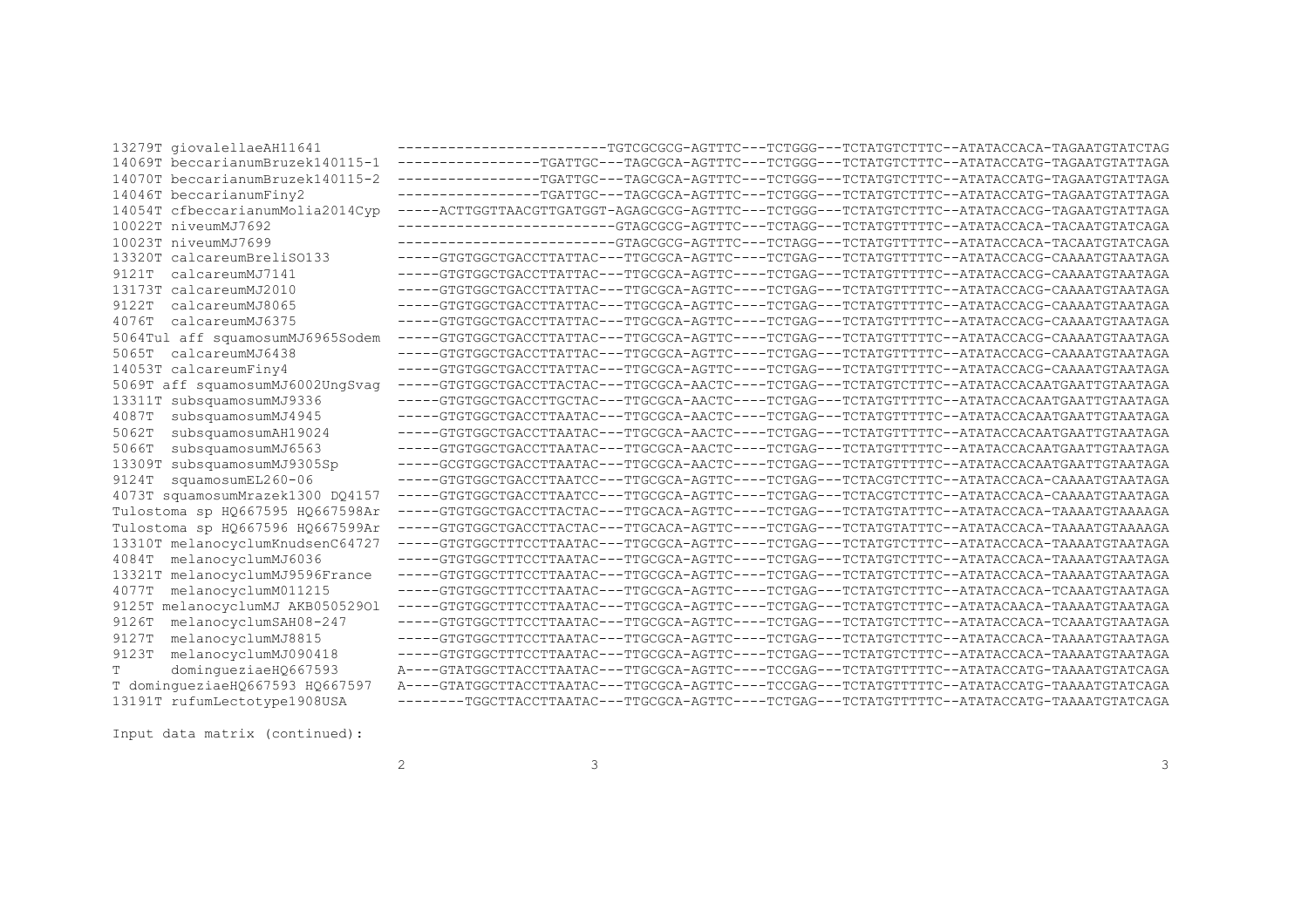| 13279T giovalellaeAH11641           | ------------------------TGTCGCGCG-AGTTTC---TCTGGG---TCTATGTCTTTC--ATATACCACA-TAGAATGTATCTAG  |
|-------------------------------------|----------------------------------------------------------------------------------------------|
| 14069T beccarianumBruzek140115-1    | -----------------TGATTGC---TAGCGCA-AGTTTC---TCTGGG---TCTATGTCTTTC--ATATACCATG-TAGAATGTATTAGA |
| 14070T beccarianumBruzek140115-2    | ----------------TGATTGC---TAGCGCA-AGTTTC---TCTGGG---TCTATGTCTTTC--ATATACCATG-TAGAATGTATTAGA  |
| 14046T beccarianumFiny2             | ----------------TGATTGC---TAGCGCA-AGTTTC---TCTGGG---TCTATGTCTTTC--ATATACCATG-TAGAATGTATTAGA  |
| 14054T cfbeccarianumMolia2014Cyp    | -----ACTTGGTTAACGTTGATGGT-AGAGCGCG-AGTTTC---TCTGGG---TCTATGTCTTTC--ATATACCACG-TAGAATGTATTAGA |
| 10022T niveumMJ7692                 | ------------------------GTAGCGCG-AGTTTC---TCTAGG---TCTATGTTTTTC--ATATACCACA-TACAATGTATCAGA   |
| 10023T niveumMJ7699                 | ------------------------GTAGCGCG-AGTTTC---TCTAGG---TCTATGTTTTC--ATATACCACA-TACAATGTATCAGA    |
| 13320T calcareumBreliSO133          | -----GTGTGGCTGACCTTATTAC---TTGCGCA-AGTTC----TCTGAG---TCTATGTTTTTC--ATATACCACG-CAAAATGTAATAGA |
| calcareumMJ7141<br>9121T            | -----GTGTGGCTGACCTTATTAC---TTGCGCA-AGTTC----TCTGAG---TCTATGTTTTTC--ATATACCACG-CAAAATGTAATAGA |
| 13173T calcareumMJ2010              | -----GTGTGGCTGACCTTATTAC---TTGCGCA-AGTTC----TCTGAG---TCTATGTTTTTC--ATATACCACG-CAAAATGTAATAGA |
| calcareumMJ8065<br>9122T            | -----GTGTGGCTGACCTTATTAC---TTGCGCA-AGTTC----TCTGAG---TCTATGTTTTTC--ATATACCACG-CAAAATGTAATAGA |
| calcareumMJ6375<br>4076T            | -----GTGTGGCTGACCTTATTAC---TTGCGCA-AGTTC----TCTGAG---TCTATGTTTTTC--ATATACCACG-CAAAATGTAATAGA |
| 5064Tul aff squamosumMJ6965Sodem    | -----GTGTGGCTGACCTTATTAC---TTGCGCA-AGTTC----TCTGAG---TCTATGTTTTTC--ATATACCACG-CAAAATGTAATAGA |
| calcareumMJ6438<br>5065T            | -----GTGTGGCTGACCTTATTAC---TTGCGCA-AGTTC----TCTGAG---TCTATGTTTTTC--ATATACCACG-CAAAATGTAATAGA |
| 14053T calcareumFiny4               | -----GTGTGGCTGACCTTATTAC---TTGCGCA-AGTTC----TCTGAG---TCTATGTTTTTC--ATATACCACG-CAAAATGTAATAGA |
| 5069T aff squamosumMJ6002UngSvag    | -----GTGTGGCTGACCTTACTAC---TTGCGCA-AACTC----TCTGAG---TCTATGTCTTTC--ATATACCACAATGAATTGTAATAGA |
| subsquamosumMJ9336<br>13311T        | -----GTGTGGCTGACCTTGCTAC---TTGCGCA-AACTC----TCTGAG---TCTATGTTTTTC--ATATACCACAATGAATTGTAATAGA |
| subsquamosumMJ4945<br>4087T         | -----GTGTGGCTGACCTTAATAC---TTGCGCA-AACTC----TCTGAG---TCTATGTTTTTC--ATATACCACAATGAATTGTAATAGA |
| subsquamosumAH19024<br>5062T        | -----GTGTGGCTGACCTTAATAC---TTGCGCA-AACTC----TCTGAG---TCTATGTTTTTC--ATATACCACAATGAATTGTAATAGA |
| subsquamosumMJ6563<br>5066T         | -----GTGTGGCTGACCTTAATAC---TTGCGCA-AACTC----TCTGAG---TCTATGTTTTTC--ATATACCACAATGAATTGTAATAGA |
| subsquamosumMJ9305Sp<br>13309T      | -----GCGTGGCTGACCTTAATAC---TTGCGCA-AACTC----TCTGAG---TCTATGTTTTTC--ATATACCACAATGAATTGTAATAGA |
| squamosumEL260-06<br>9124T          | -----GTGTGGCTGACCTTAATCC---TTGCGCA-AGTTC----TCTGAG---TCTACGTCTTTC--ATATACCACA-CAAAATGTAATAGA |
| 4073T squamosumMrazek1300 DQ4157    | -----GTGTGGCTGACCTTAATCC---TTGCGCA-AGTTC----TCTGAG---TCTACGTCTTTC--ATATACCACA-CAAAATGTAATAGA |
| Tulostoma sp HQ667595 HQ667598Ar    | -----GTGTGGCTGACCTTACTAC---TTGCACA-AGTTC----TCTGAG---TCTATGTATTTC--ATATACCACA-TAAAATGTAAAAGA |
| Tulostoma sp HQ667596 HQ667599Ar    | -----GTGTGGCTGACCTTACTAC---TTGCACA-AGTTC----TCTGAG---TCTATGTATTTC--ATATACCACA-TAAAATGTAAAAGA |
| 13310T melanocyclumKnudsenC64727    | -----GTGTGGCTTTCCTTAATAC---TTGCGCA-AGTTC----TCTGAG---TCTATGTCTTTC--ATATACCACA-TAAAATGTAATAGA |
| melanocyclumMJ6036<br>4084T         | -----GTGTGGCTTTCCTTAATAC---TTGCGCA-AGTTC----TCTGAG---TCTATGTCTTTC--ATATACCACA-TAAAATGTAATAGA |
| melanocyclumMJ9596France<br>13321T  | -----GTGTGGCTTTCCTTAATAC---TTGCGCA-AGTTC----TCTGAG---TCTATGTCTTTC--ATATACCACA-TAAAATGTAATAGA |
| melanocyclumM011215<br>4077T        | -----GTGTGGCTTTCCTTAATAC---TTGCGCA-AGTTC----TCTGAG---TCTATGTCTTTC--ATATACCACA-TCAAATGTAATAGA |
| melanocyclumMJ AKB05052901<br>9125T | -----GTGTGGCTTTCCTTAATAC---TTGCGCA-AGTTC----TCTGAG---TCTATGTCTTTC--ATATACAACA-TAAAATGTAATAGA |
| melanocyclumSAH08-247<br>9126T      | -----GTGTGGCTTTCCTTAATAC---TTGCGCA-AGTTC----TCTGAG---TCTATGTCTTTC--ATATACCACA-TCAAATGTAATAGA |
| melanocyclumMJ8815<br>9127T         | -----GTGTGGCTTTCCTTAATAC---TTGCGCA-AGTTC----TCTGAG---TCTATGTCTTTC--ATATACCACA-TAAAATGTAATAGA |
| melanocyclumMJ090418<br>9123T       | -----GTGTGGCTTTCCTTAATAC---TTGCGCA-AGTTC----TCTGAG---TCTATGTCTTTC--ATATACCACA-TAAAATGTAATAGA |
| dominqueziaeH0667593                | A----GTATGGCTTACCTTAATAC---TTGCGCA-AGTTC----TCCGAG---TCTATGTTTTTC--ATATACCATG-TAAAATGTATCAGA |
| T dominqueziaeH0667593 H0667597     | A----GTATGGCTTACCTTAATAC---TTGCGCA-AGTTC----TCCGAG---TCTATGTTTTTC--ATATACCATG-TAAAATGTATCAGA |
| 13191T rufumLectotype1908USA        | --------TGGCTTACCTTAATAC---TTGCGCA-AGTTC----TCTGAG---TCTATGTTTTTC--ATATACCATG-TAAAATGTATCAGA |

Input data matrix (continued):

 $\overline{\phantom{a}}$ 

 $\overline{c}$ 

 $\mathbf{3}$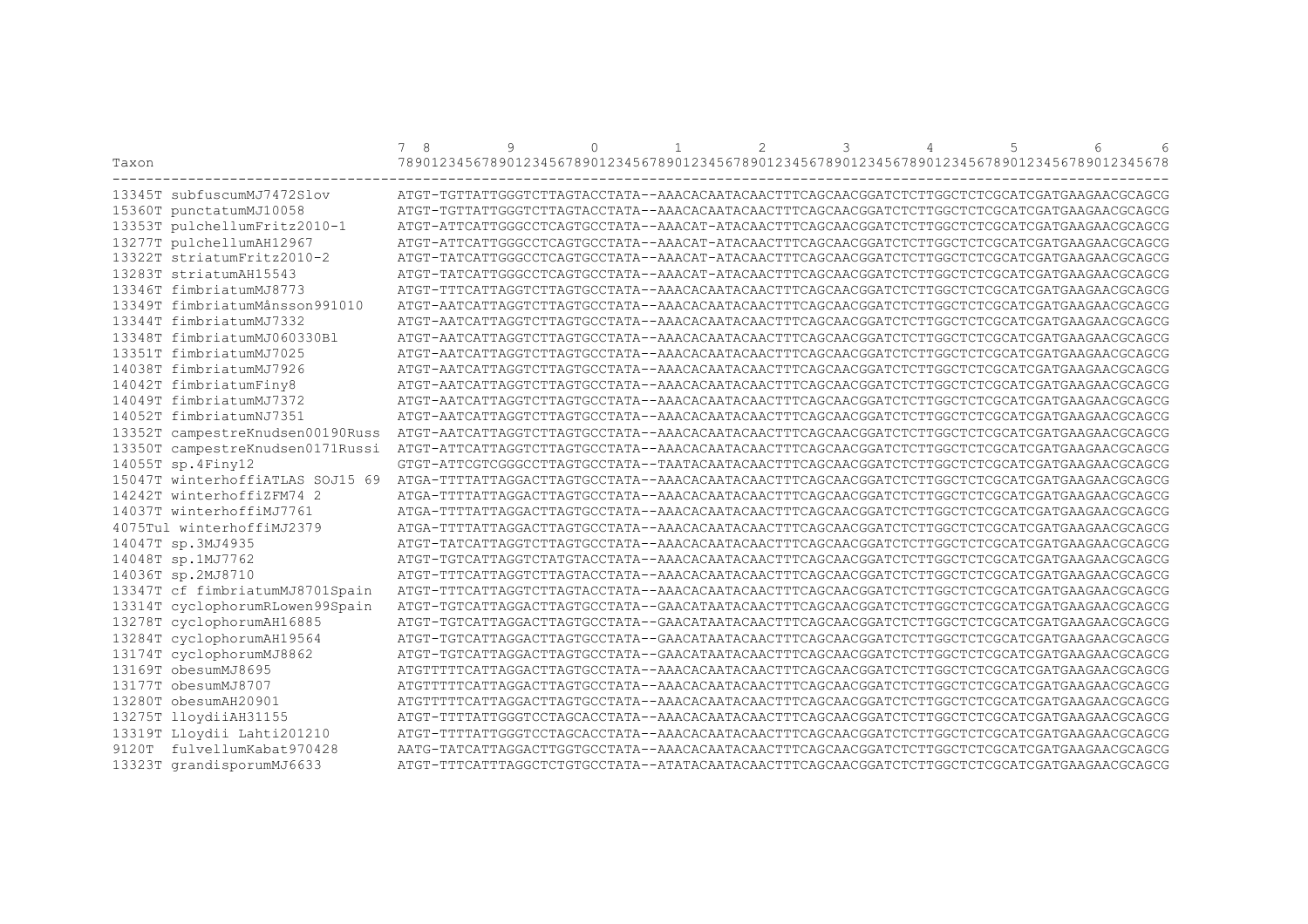|                                  | 8<br>$7^{\circ}$ | 9 | $\Omega$ | $\mathbf{1}$ | $\overline{2}$ | 3 | 4 | 5 | $\sqrt{2}$<br>$6\overline{6}$                                                                |
|----------------------------------|------------------|---|----------|--------------|----------------|---|---|---|----------------------------------------------------------------------------------------------|
| Taxon                            |                  |   |          |              |                |   |   |   | 78901234567890123456789012345678901234567890123456789012345678901234567890123456789012345678 |
| 13345T subfuscumMJ7472Slov       |                  |   |          |              |                |   |   |   | ATGT-TGTTATTGGGTCTTAGTACCTATA--AAACACAATACAACTTTCAGCAACGGATCTCTTGGCTCTCGCATCGATGAAGAACGCAGCG |
| 15360T punctatumMJ10058          |                  |   |          |              |                |   |   |   | ATGT-TGTTATTGGGTCTTAGTACCTATA--AAACACAATACAACTTTCAGCAACGGATCTCTTGGCTCTCGCATCGATGAAGAACGCAGCG |
| 13353T pulchellumFritz2010-1     |                  |   |          |              |                |   |   |   | ATGT-ATTCATTGGGCCTCAGTGCCTATA--AAACAT-ATACAACTTTCAGCAACGGATCTCTTGGCTCTCGCATCGATGAAGAACGCAGCG |
| 13277T pulchellumAH12967         |                  |   |          |              |                |   |   |   | ATGT-ATTCATTGGGCCTCAGTGCCTATA--AAACAT-ATACAACTTTCAGCAACGGATCTCTTGGCTCTCGCATCGATGAAGAACGCAGCG |
| 13322T striatumFritz2010-2       |                  |   |          |              |                |   |   |   | ATGT-TATCATTGGGCCTCAGTGCCTATA--AAACAT-ATACAACTTTCAGCAACGGATCTCTTGGCTCTCGCATCGAAGAACGCAGCG    |
| 13283T striatumAH15543           |                  |   |          |              |                |   |   |   | ATGT-TATCATTGGGCCTCAGTGCCTATA--AAACAT-ATACAACTTTCAGCAACGGATCTCTTGGCTCTCGCATCGATGAAGAACGCAGCG |
| 13346T fimbriatumMJ8773          |                  |   |          |              |                |   |   |   | ATGT-TTTCATTAGGTCTTAGTGCCTATA--AAACACAATACAACTTTCAGCAACGGATCTCTTGGCTCTCGCATCGATGAAGAACGCAGCG |
| 13349T fimbriatumMånsson991010   |                  |   |          |              |                |   |   |   | ATGT-AATCATTAGGTCTTAGTGCCTATA--AAACACAATACAACTTTCAGCAACGGATCTCTTGGCTCTCGCATCGATGAAGAACGCAGCG |
| 13344T fimbriatumMJ7332          |                  |   |          |              |                |   |   |   | ATGT-AATCATTAGGTCTTAGTGCCTATA--AAACACAATACAACTTTCAGCAACGGATCTCTTGGCTCTCGCATCGATGAAGAACGCAGCG |
| 13348T fimbriatumMJ060330Bl      |                  |   |          |              |                |   |   |   | ATGT-AATCATTAGGTCTTAGTGCCTATA--AAACACAATACAACTTTCAGCAACGGATCTCTTGGCTCTCGCATCGATGAAGAACGCAGCG |
| 13351T fimbriatumMJ7025          |                  |   |          |              |                |   |   |   | ATGT-AATCATTAGGTCTTAGTGCCTATA--AAACACAATACAACTTTCAGCAACGGATCTCTTGGCTCTCGCATCGATGAAGAACGCAGCG |
| 14038T fimbriatumMJ7926          |                  |   |          |              |                |   |   |   | ATGT-AATCATTAGGTCTTAGTGCCTATA--AAACACAATACAACTTTCAGCAACGGATCTCTTGGCTCTCGCATCGATGAAGAACGCAGCG |
| 14042T fimbriatumFiny8           |                  |   |          |              |                |   |   |   | ATGT-AATCATTAGGTCTTAGTGCCTATA--AAACACAATACAACTTTCAGCAACGGATCTCTTGGCTCTCGCATCGATGAAGAACGCAGCG |
| 14049T fimbriatumMJ7372          |                  |   |          |              |                |   |   |   | ATGT-AATCATTAGGTCTTAGTGCCTATA--AAACACAATACAACTTTCAGCAACGGATCTTTGGCTCTCGCATCGATGAAGAACGCAGCG  |
| 14052T fimbriatumNJ7351          |                  |   |          |              |                |   |   |   | ATGT-AATCATTAGGTCTTAGTGCCTATA--AAACACAATACAACTTTCAGCAACGGATCTCTTGGCTCTCGCATCGATGAAGAACGCAGCG |
| 13352T campestreKnudsen00190Russ |                  |   |          |              |                |   |   |   | ATGT-AATCATTAGGTCTTAGTGCCTATA--AAACACAATACAACTTTCAGCAACGGATCTCTTGGCTCTCGCATCGATGAAGAACGCAGCG |
| 13350T campestreKnudsen0171Russi |                  |   |          |              |                |   |   |   | ATGT-ATTCATTAGGTCTTAGTGCCTATA--AAACACAATACAACTTTCAGCAACGGATCTCTTGGCTCTCGCATCGATGAAGAACGCAGCG |
| 14055T sp.4Finy12                |                  |   |          |              |                |   |   |   |                                                                                              |
| 15047T winterhoffiATLAS SOJ15 69 |                  |   |          |              |                |   |   |   | ATGA-TTTTATTAGGACTTAGTGCCTATA--AAACACAATACAACTTTCAGCAACGGATCTTTGGCTCTCGCATCGATGAAGAACGCAGCG  |
| 14242T winterhoffiZFM74 2        |                  |   |          |              |                |   |   |   | ATGA-TTTTATTAGGACTTAGTGCCTATA--AAACACAATACAACTTTCAGCAACGGATCTCTTGGCTCTCGCATCGATGAAGAACGCAGCG |
| 14037T winterhoffiMJ7761         |                  |   |          |              |                |   |   |   | ATGA-TTTTATTAGGACTTAGTGCCTATA--AAACACAATACAACTTTCAGCAACGGATCTCTTGGCTCTCGCATCGATGAAGAACGCAGCG |
| 4075Tul winterhoffiMJ2379        |                  |   |          |              |                |   |   |   | ATGA-TTTTATTAGGACTTAGTGCCTATA--AAACACAATACAACTTTCAGCAACGGATCTCTTGGCTCTCGCATCGATGAAGAACGCAGCG |
| 14047T sp.3MJ4935                |                  |   |          |              |                |   |   |   | ATGT-TATCATTAGGTCTTAGTGCCTATA--AAACACAATACAACTTTCAGCAACGGATCTCTTGGCTCTCGCATCGATGAAGAACGCAGCG |
| 14048T sp.1MJ7762                |                  |   |          |              |                |   |   |   | ATGT-TGTCATTAGGTCTATGTACCTATA--AAACACAATACAACTTTCAGCAACGGATCTCTTGGCTCTCGCATCGATGAAGAACGCAGCG |
| 14036T sp.2MJ8710                |                  |   |          |              |                |   |   |   | ATGT-TTTCATTAGGTCTTAGTACCTATA--AAACACAATACAACTTTCAGCAACGGATCTCTTGGCTCTCGCATCGATGAAGAACGCAGCG |
| 13347T cf fimbriatumMJ8701Spain  |                  |   |          |              |                |   |   |   | ATGT-TTTCATTAGGTCTTAGTACCTATA--AAACACAATACAACTTTCAGCAACGGATCTCTTGGCTCTCGCATCGATGAAGAACGCAGCG |
| 13314T cyclophorumRLowen99Spain  |                  |   |          |              |                |   |   |   | ATGT-TGTCATTAGGACTTAGTGCCTATA--GAACATAATACAACTTTCAGCAACGGATCTCTTGGCTCTCGCATCGATGAAGAACGCAGCG |
| 13278T cyclophorumAH16885        |                  |   |          |              |                |   |   |   | ATGT-TGTCATTAGGACTTAGTGCCTATA--GAACATAATACAACTTTCAGCAACGGATCTCTTGGCTCTCGCATCGATGAAGAACGCAGCG |
| 13284T cyclophorumAH19564        |                  |   |          |              |                |   |   |   | ATGT-TGTCATTAGGACTTAGTGCCTATA--GAACATAATACAACTTTCAGCAACGGATCTCTTGGCTCTCGCATCGATGAAGAACGCAGCG |
| 13174T cyclophorumMJ8862         |                  |   |          |              |                |   |   |   | ATGT-TGTCATTAGGACTTAGTGCCTATA--GAACATAATACAACTTTCAGCAACGGATCTCTTGGCTCTCGCATCGATGAAGAACGCAGCG |
| 13169T obesumMJ8695              |                  |   |          |              |                |   |   |   | ATGTTTTTCATTAGGACTTAGTGCCTATA--AAACACAATACAACTTTCAGCAACGGATCTCTTGGCTCTCGCATCGATGAAGAACGCAGCG |
| 13177T obesumMJ8707              |                  |   |          |              |                |   |   |   | ATGTTTTTCATTAGGACTTAGTGCCTATA--AAACACAATACAACTTTCAGCAACGGATCTCTTGGCTCTCGCATCGATGAAGAACGCAGCG |
| 13280T obesumAH20901             |                  |   |          |              |                |   |   |   | ATGTTTTTCATTAGGACTTAGTGCCTATA--AAACACAATACAACTTTCAGCAACGGATCTCTTGGCTCTCGCATCGATGAAGAACGCAGCG |
| 13275T lloydiiAH31155            |                  |   |          |              |                |   |   |   | ATGT-TTTTATTGGGTCCTAGCACCTATA--AAACACAATACAACTTTCAGCAACGGATCTCTTGGCTCTCGCATCGATGAAGAACGCAGCG |
| 13319T Lloydii Lahti201210       |                  |   |          |              |                |   |   |   | ATGT-TTTTATTGGGTCCTAGCACCTATA--AAACACAATACAACTTTCAGCAACGGATCTCTTGGCTCTCGCATCGATGAAGAACGCAGCG |
| 9120T fulvellumKabat970428       |                  |   |          |              |                |   |   |   | AATG-TATCATTAGGACTTGGTGCCTATA--AAACACAATACAACTTTCAGCAACGGATCTCTTGGCTCTCGCATCGATGAAGAACGCAGCG |
| 13323T grandisporumMJ6633        |                  |   |          |              |                |   |   |   |                                                                                              |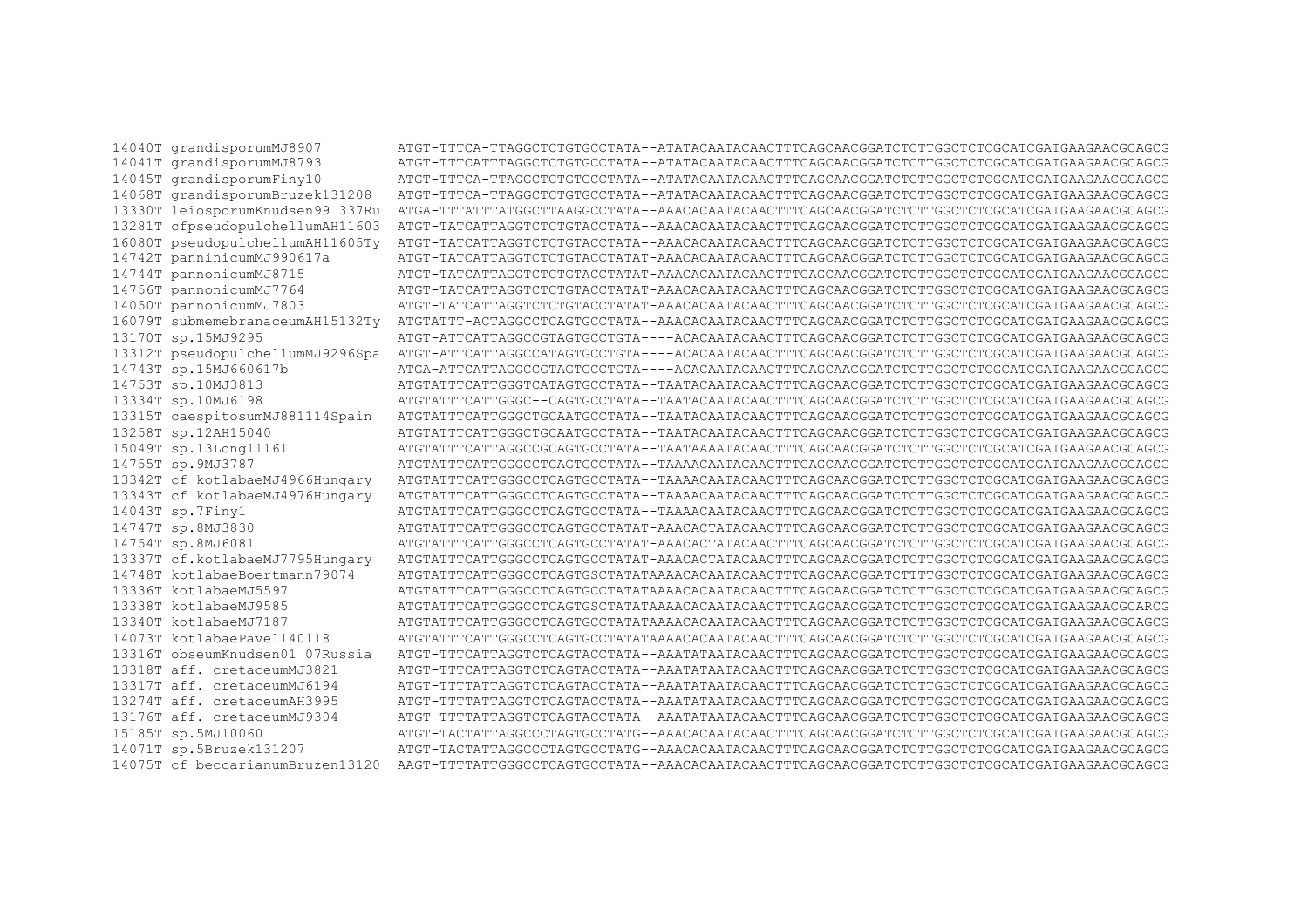14040T grandisporumMJ8907 14041T grandisporumMJ8793 14045T grandisporumFiny10 14068T grandisporumBruzek131208 13330T leiosporumKnudsen99 337Ru ATGA-TTTATTTATGGCTTAAGGCCTATA--AAACACAATACAACTTTCAGCAACGGATCTCTTGGCTCTCGCATCGATGAAGAACGCAGCG 13281T cfpseudopulchellumAH11603 ATGT-TATCATTAGGTCTCTGTACCTATA--AAACACAATACAACTTTCAGCAACGGATCTCTTGGCTCTCGCATCGAAGAACGCAGCG 16080T pseudopulchellumAH11605Tv ATGT-TATCATTAGGTCTCTGTACCTATA--AAACACAATACAACTTTCAGCAACGGATCTCTTGGCTCTCGCATCGAAGAACGCAGCG 14742T panninicumMJ990617a ATGT-TATCATTAGGTCTCTGTACCTATAT-AAACACAATACAACTTTCAGCAACGGATCTTTGGCTCTCGCATCGATGAAGAACGCAGCG 14744T pannonicumMJ8715 14756T pannonicumMJ7764 ATGT-TATCATTAGGTCTCTGTACCTATAT-AAACACAATACAACTTTCAGCAACGGATCTCTTGGCTCTCGCATCGATGAAGAACGCAGCG 14050T pannonicumMJ7803 ATGT-TATCATTAGGTCTCTGTACCTATAT-AAACACAATACAACTTTCAGCAACGGATCTTTGGCTCTCGCATCGATGAAGAACGCAGCG 16079T submemebranaceumAH15132Ty ATGTATTT-ACTAGGCCTCAGTGCCTATA--AAACACAATACAACTTTCAGCAACGGATCTCTTGGCTCTCGCATCGATGAAGAACGCAGCG 13170T sp.15MJ9295 ATGT-ATTCATTAGGCCGTAGTGCCTGTA----ACACAATACAACTTTCAGCAACGGATCTCTTGGCTCTCGCATCGAAGAACGCAGCG 13312T pseudopulchellumMJ9296Spa ATGT-ATTCATTAGGCCATAGTGCCTGTA----ACACAATACAACTTTCAGCAACGGATCTTTGGCTCTCGCATCGATGAAGAACGCAGCG 14743T sp.15MJ660617b ATGA-ATTCATTAGGCCGTAGTGCCTGTA----ACACAATACAACTTTCAGCAACGGATCTCTTGGCTCTCGCATCGATGAAGAACGCAGCG 14753T sp.10MJ3813 13334T sp.10MJ6198 13315T caespitosumMJ881114Spain 13258T sp.12AH15040 ATGTATTTCATTGGGCTGCAATGCCTATA--TAATACAATGCAACTTTCAGCAACGGATCTCTCGCATCGATGAAGAACGCAGCG 15049T sp.13Long11161 ATGTATTTCATTAGGCCGCAGTGCCTATA--TAATAAATACAACTTTCAGCAACGGATCTCTTGGCTCTCGCATCGATGAAGAACGCAGCG 14755T sp.9MJ3787 ATGTATTTCATTGGGCCTCAGTGCCTATA--TAAAACAATACAACTTTCAGCAACGGATCTCTTGGCTCTCGCATCGATGAAGAACGCAGCG 13342T cf kotlabaeMJ4966Hungary 13343T cf kotlabaeMJ4976Hungary ATGTATTTCATTGGGCCTCAGTGCCTATA--TAAAACAATACAACTTTCAGCAACGGATCTCTTGGCTCTCGCATCGATGAAGAACGCAGCG 14043T sp.7Finy1 14747T sp.8MJ3830 ATGTATTTCATTGGCCTCAGTGCCTATAT-AAACACTATACAACTTTCAGCAACGGATCTCTTGGCTCTCGCATCGATGAAGAACGCAGCG 14754T sp.8MJ6081 ATGTATTTCATTGGCCCTCAGTGCCTATAT-AAACACTATACAACTTTCAGCAACGGATCTCTTGGCTCTCGCATCGAAGAACGCAGCG 13337T cf.kotlabaeMJ7795Hungary ATGTATTTCATTGGCCTCAGTGCCTATAT-AAACACTATACAACTTTCAGCAACGGATCTCTTGGCTCTCGCATCGAAGAACGCAGCG 14748T kotlabaeBoertmann79074 ATGTATTTCATTGGCCTCAGTGSCTATATAAAACACAATACAACTTTCAGCAACGGATCTTTTGGCTCTCGCATCGATGAAGAACGCAGCG 13336T kotlabaeMJ5597 ATGTATTTCATTGGCCTCAGTGCCTATATAAAACACAATACAACTTTCAGCAACGGATCTCTTGGCTCTCGCATCGAAGAACGCAGCG 13338T kotlabaeMJ9585 ATGTATTTCATTGGGCCTCAGTGSCTATATAAAACACAATACAACTTTCAGCAACGGATCTCTTGGCTCTCGCATCGATGAAGAACGCARCG 13340T kotlabaeMJ7187 ATGTATTTCATTGGCCTCAGTGCCTATATAAAACACAATACAACTTTCAGCAACGGATCTCTTGGCTCTCGCATCGAAGAACGCAGCG 14073T kotlabaePaye1140118 ATGTATTTCATTGGCCTCAGTGCCTATATAAAACACAATACAACTTTCAGCAACGGATCTCTTGGCTCTCGCATCGAAGAACGCAGCG 13316T obseumKnudsen01 07Russia ATGT-TTTCATTAGGTCTCAGTACCTATA--AAATATACAACTTTCAGCAACGGATCTCTTGGCTCTCGCATCGAAGAACGCAGCG 13318T aff. cretaceumMJ3821 ATGT-TTTCATTAGGTCTCAGTACCTATA--AAATATAATACAACTTTCAGCAACGGATCTCTTGGCTCTCGCATCGATGAAGAACGCAGCG 13317T aff. cretaceumMJ6194 ATGT-TTTTATTAGGTCTCAGTACCTATA--AAATATAATACAACTTTCAGCAACGGATCTCTTGGCTCTCGCATCGAAGAACGCAGCG 13274T aff. cretaceumAH3995 ATGT-TTTTATTAGGTCTCAGTACCTATA--AAATATAATACAACTTTCAGCAACGGATCTCTTGGCTCTCGCATCGATGAAGAACGCAGCG 13176T aff. cretaceumMJ9304 ATGT-TTTTATTAGGTCTCAGTACCTATA--AAATATAATACAACTTTCAGCAACGGATCTCTTGGCTCTCGCATCGATGAAGAACGCAGCG 15185T sp.5MJ10060 ATGT-TACTATTAGGCCCTAGTGCCTATG--AAACACAATACAACTTTCAGCAACGGATCTTTGGCTCTCGCATCGATGAAGAACGCAGCG 14071T sp.5Bruzek131207 ATGT-TACTATRAGCCCCTAGTGCCTATG--AAACACAATACAACTTTCAGCAACGGATCTCTCGCATCGATGAAGAACGCAGCG 14075T cf beccarianumBruzen13120 AAGT-TTTTATTGGGCCTCAGTGCCTATA--AAACACAATACAACTTTCAGCAACGGATCTCTTGGCTCTCGCATCGATGAAGAACGCAGCG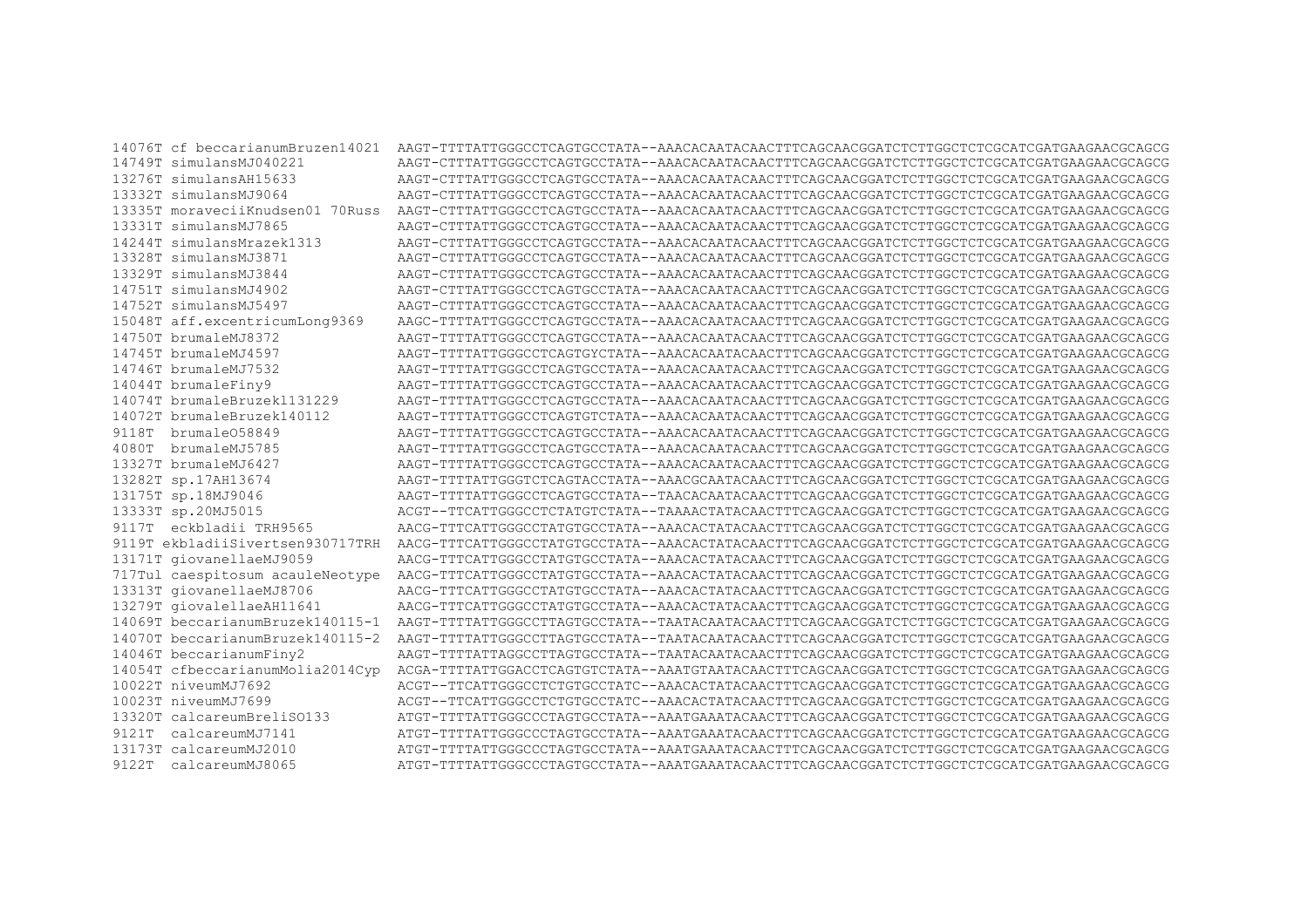14076T cf beccarianumBruzen14021 AAGT-TTTTATTGGGCCTCAGTGCCTATA--AAACACAATACAACTTTCAGCAACGGATCTCTTGGCTCTCGCATCGAAGAACGCAGCG 14749T simulansMJ040221 AAGT-CTTTATTGGGCCTCAGTGCCTATA--AAACACAATACAACTTTCAGCAACGGATCTCTTGGCTCTCGCATCGATGAAGAACGCAGCG 13276T simulansAH15633 AAGT-CTTTATTGGCCTCAGTGCCTATA--AAACACAATACAACTTTCAGCAACGGATCTCTTGGCTCTCGCATCGATGAAGAACGCAGCG 13332T simulansMJ9064 13335T moraveciiKnudsen01 70Russ AAGT-CTTTATTGGCCTCAGTGCCTATA--AAACACAATACAACTTTCAGCAACGGATCTCTTGGCTCTCGCATCGATGAAGAACGCAGCG 13331T simulansMJ7865 AAGT-CTTTATTGGGCCTCAGTGCCTATA--AAACACAATACAACTTTCAGCAACGGATCTCTTGGCTCTCGCATCGAAGAACGCAGCG 14244T simulansMrazek1313 13328T simulansMJ3871 AAGE-CTTTATIOGCCTCAGTGCCTATA--AAACAATAAGAACTTTTAGGOAACOOLITATAGGELAAGAAGAAGCAAGCA 13329T simulansMJ3844 AAGT-CTTTATTGGGCCTCAGTACTATA--AAACACAATACAAGGAAGGAACGGATCTCTCGCATCGATGAAGAAGGCAGCGCAGCG 14751T simulansMJ4902 AAGT-CTTTATTGGCCTCAGTGCCTATA--AAACACAATACAACTTTCAGCAACGGATCTCTTGGCTCTCGCATCGATGAAGAACGCAGCG 14752T simulansMJ5497 15048T aff.excentricumLong9369 AAGC-TTTTATTGGCCTCAGTGCCTATA--AAACACAATACAACTTTCAGCAACGGATCTCTTGGCTCTCGCATCGATGAAGAACGCAGCG 14750T brumaleMJ8372 AAGT-TTTTATTGGCCTCAGTGCCTATA--AAACACAATACAACTTTCAGCAACGGATCTCTTGGCTCTCGCATCGATGAAGAACGCAGCG 14745T brumaleMJ4597 AAGT-TTTTATTGGCCTCAGTGYCTATA--AAACACAATAACACAACTTTCAGAAGGAATCTCTCGCATCGATGAAGAACGCAGCG 14746T brumaleMJ7532 AAGT-TTTTATTGGCCTCAGTGCCTATA--AAACACAATACAACTTTCAGCAACGGATCTCTTGGCTCTCGCATCGATGAAGAACGCAGCG 14044T brumaleFiny9 AAGT-TTTTATTGGCCTOAGTGCTATA--AAACACAATAAGAACGGAACGGAATCTCTCGCATCGATGAAGAACGCAGCG 14074T brumaleBruzek1131229 AAGT-TTTTATTGGCCTOAGTGCTATA--AAACACAATAAGAACGGAACGGAATCTCTCGCATCGATGAAGAACGCAGCG 14072T brumaleBruzek140112 AAGT-TTTTATTGGCCTCAGTGTCTATA--AAACACAATACAACTTTCAGCAACGGATCTCTTGGCTCTCGCATCGATGAAGAACGCAGCG 9118T brumale058849 AAGT-TTTTATTGGCCTOAGTGCTATA--AAACACAATAAGAACGGAACGGAATCTCTCGCATCGATGAAGAACGCAGCG 4080T brumaleMJ5785 AAGT-TTTTATTGGCCTCAGTGCCTATA--AAACACAATACAACTTTCAGCAACGGATCTCTTGGCTCTCGCATCGATGAAGAACGCAGCG 13327T brumaleMJ6427 AAGT-TTTTATTGGGCCTCAGTGCCTATA--AAACACAATACAACTTTCAGCAACGGATCTCTTGGCTCTCGCATCGATGAAGAACGCAGCG 13282T sp.17AH13674 13175T sp.18MJ9046 AAGT-TTTTATTGGGCCTCAGTGCCTATA--TAACACAATACAACTTTCAGCAACGGATCTCTTGGCTCTCGCATCGATGAAGAACGCAGCG 13333T sp.20MJ5015 ACGT--TTCATTGGGCCTCTATGTCTATG--TAAAACTATGACAACTTTCAGCAACGGATCTCTTGGCTCTCGCATGAAGAACGCAGCG 9117T eckbladii TRH9565 AACG-TTTCATTGGCCTATGTGCCTATA--AAACACTATACAACTTTCAGCAACGGATCTCTTGGCTCTCGCATCGATGAAGAACGCAGCG 9119T ekbladiiSivertsen930717TRH AACG-TTTCATTGGCCCTATGTGCCTATA--AAACACTATACAACTTTCAGCAACGGATCTCTTGGCTCTCGCATCGATGAAGAACGCAGCG 13171T giovanellaeMJ9059 AACG-TTTCATTGGGCCTATGTGCCTATA--AAACACTATACAACTTTCAGCAACGGATCTCTTGGCTCTCGCATCGAAGAACGCAGCG 717Tul caespitosum acauleNeotvpe AACG-TTTCATTGGGCCTATGTGCCTATA--AAACACTATACAACTTTCAGCAACGGATCTCTTGGCTCTCGCATCGATGAAGAACGCAGCG AACG-TTTCATTGGCCTATGTGCCTATA--AAACACTATACAACTTTCAGCAACGGATCTCTTGGCTCTCGCATCGAAGAACGCAGCG 13313T giovanellaeMJ8706 13279T giovalellaeAH11641 AACG-TTTCATTGGGCCTATGTGCCTATA--AAACACTATACAACTTTCAGCAACGGATCTCTTGGCTCTCGCATCGATGAAGAACGCAGCG 14069T beccarianumBruzek140115-1 14070T beccarianumBruzek140115-2 14046T beccarianumFiny2 14054T cfbeccarianumMolia2014Cyp ACGA-TTTTATTGGACCTCAGTGTCTATA--AAATGTAATACAACTTTCAGCAACGGATCTCTTGGCTCTCGCATCGATGAAGAACGCAGCG 10022T niveumMJ7692 ACGT--TTCATTGGCCTCTGTGCCTATC--AAACACTATACAACTTTCAGCAACGGATCTCTTGGCTCTCGCATCGATGAAGAACGCAGCG 10023T niveumMJ7699 ACGT--TTCATTGGCCTCTGTGCCTATC--AAACACTATACAACTTTCAGCAACGGATCTCTTGGCTCTCGCATCGATGAAGAACGCAGCG 13320T calcareumBreliS0133 ATGT-TTTTATTGGGCCCTAGTGCCTATA--AAATGAAATACAACTTTCAGCAACGGATCTCTTGGCTCTCGCATCGATGAAGAACGCAGCG 9121T calcareumMJ7141 ATGT-TTTTATTGGCCCCTAGTGCCTATA--AAATGAAATACAACTTTCAGCAACGGATCTCTTGGCTCTCGCATCGATGAAGAACGCAGCG 13173T calcareumMJ2010 ATGT-TTTTATTGGCCCTAGTGCCTATATA-AAATAAATAAATACAACTTTCAGCAACGGATCTCTCGCATCGATGAAGAAACGCAGCG 9122T calcareumMJ8065 ATGT-TTTTATTGGGCCCTAGTGCCTATA--AAATGAAATACAACTTTCAGCAACGGATCTCTTGGCTCTCGCATCGATGAAGAACGCAGCG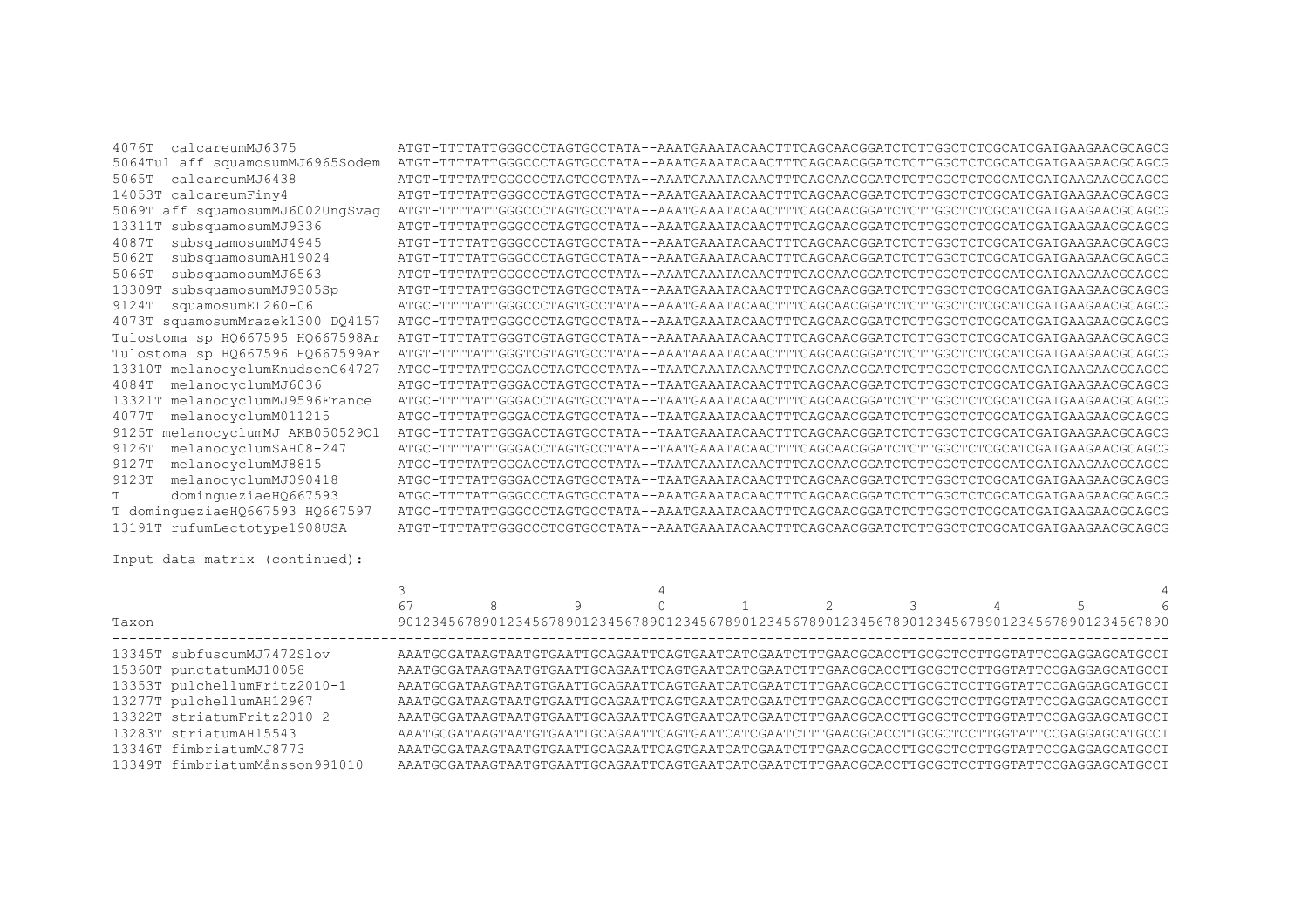| 4076T<br>calcareumMJ6375            | ATGT-TTTTATTGGGCCCTAGTGCCTATA--AAATGAAATACAACTTTCAGCAACGGATCTCTTGGCTCTCGCATCGATGAAGAACGCAGCG |
|-------------------------------------|----------------------------------------------------------------------------------------------|
| 5064Tul aff squamosumMJ6965Sodem    | ATGT-TTTTATTGGGCCCTAGTGCCTATA--AAATGAAATACAACTTTCAGCAACGGATCTTTGGCTCTCGCATCGATGAAGAACGCAGCG  |
| calcareumMJ6438<br>5065T            | ATGT-TTTTATTGGGCCCTAGTGCGTATA--AAATGAAATACAACTTTCAGCAACGGATCTCTTGGCTCTCGCATGAAGAACGCAGCG     |
| 14053T calcareumFiny4               | ATGT-TTTTATTGGGCCCTAGTGCCTATA--AAATGAAATACAACTTTCAGCAACGGATCTCTTGGCTCTCGCATCGATGAAGAACGCAGCG |
| 5069T aff squamosumMJ6002UngSvag    | ATGT-TTTTATTGGGCCCTAGTGCCTATA--AAATGAAATACAACTTTCAGCAACGGATCTTTGGCTCTCGCATCGATGAAGAACGCAGCG  |
| subsquamosumMJ9336<br>13311T        | ATGT-TTTTATTGGGCCCTAGTGCCTATA--AAATGAAATACAACTTTCAGCAACGGATCTTTGGCTCTCGCATCGATGAAGAACGCAGCG  |
| subsquamosumMJ4945<br>4087T         | ATGT-TTTTATTGGGCCCTAGTGCCTATA--AAATGAAATACAACTTTCAGCAACGGATCTCTTGGCTCTCGCATCGATGAAGAACGCAGCG |
| subsquamosumAH19024<br>5062T        | ATGT-TTTTATTGGGCCCTAGTGCCTATA--AAATGAAATACAACTTTCAGCAACGGATCTCTTGGCTCTCGCATCGATGAAGAACGCAGCG |
| subsquamosumMJ6563<br>5066T         | ATGT-TTTTATTGGGCCCTAGTGCCTATA--AAATGAAATACAACTTTCAGCAACGGATCTTTGGCTCTCGCATCGATGAAGAACGCAGCG  |
| subsquamosumMJ9305Sp<br>13309T      | ATGT-TTTTATTGGGCTCTAGTGCCTATA--AAATGAAATACAACTTTCAGCAACGGATCTTTGGCTCTCGCATCGATGAAGAACGCAGCG  |
| squamosumEL260-06<br>9124T          | ATGC-TTTTATTGGGCCCTAGTGCCTATA--AAATGAAATACAACTTTCAGCAACGGATCTCTTGGCTCTCGCATCGATGAAGAACGCAGCG |
| 4073T squamosumMrazek1300 DQ4157    | ATGC-TTTTATTGGGCCCTAGTGCCTATA--AAATGAAATACAACTTTCAGCAACGGATCTTTGGCTCTCGCATCGATGAAGAACGCAGCG  |
| Tulostoma sp HQ667595 HQ667598Ar    |                                                                                              |
| Tulostoma sp HQ667596 HQ667599Ar    |                                                                                              |
| 13310T melanocyclumKnudsenC64727    | ATGC-TTTTATTGGGACCTAGTGCCTATA--TAATGAAATACAACTTTCAGCAACGGATCTTTGGCTCTCGCATCGATGAAGAACGCAGCG  |
| melanocyclumMJ6036<br>4084T         | ATGC-TTTTATTGGGACCTAGTGCCTATA--TAATGAAATACAACTTTCAGCAACGGATCTCTTGGCTCTCGCATCGATGAAGAACGCAGCG |
| 13321T melanocyclumMJ9596France     | ATGC-TTTTATTGGGACCTAGTGCCTATA--TAATGAAATACAACTTTCAGCAACGGATCTTTGGCTCTCGCATCGATGAAGAACGCAGCG  |
| melanocyclumM011215<br>4077T        | ATGC-TTTTATTGGGACCTAGTGCCTATA--TAATGAAATACAACTTTCAGCAACGGATCTCTTGGCTCTCGCATCGATGAAGAACGCAGCG |
| melanocyclumMJ AKB05052901<br>9125T | ATGC-TTTTATTGGGACCTAGTGCCTATA--TAATGAAATACAACTTTCAGCAACGGATCTTTGGCTCTCGCATCGATGAAGAACGCAGCG  |
| melanocyclumSAH08-247<br>9126T      | ATGC-TTTTATTGGGACCTAGTGCCTATA--TAATGAAATACAACTTTCAGCAACGGATCTTTGGCTCTCGCATCGATGAAGAACGCAGCG  |
| melanocyclumMJ8815<br>9127T         | ATGC-TTTTATTGGGACCTAGTGCCTATA--TAATGAAATACAACTTTCAGCAACGGATCTTTGGCTCTCGCATCGATGAAGAACGCAGCG  |
| melanocyclumMJ090418<br>9123T       | ATGC-TTTTATTGGGACCTAGTGCCTATA--TAATGAAATACAACTTTCAGCAACGGATCTCTTGGCTCTCGCATCGATGAAGAACGCAGCG |
| dominqueziaeHQ667593                | ATGC-TTTTATTGGGCCCTAGTGCCTATA--AAATGAAATACAACTTTCAGCAACGGATCTTTGGCTCTCGCATCGATGAAGAACGCAGCG  |
| T domingueziaeHQ667593 HQ667597     | ATGC-TTTTATTGGGCCCTAGTGCCTATA--AAATGAAATACAACTTTCAGCAACGGATCTTTGGCTCTCGCATCGATGAAGAACGCAGCG  |
| 13191T rufumLectotype1908USA        | ATGT-TTTTATTGGGCCCTCGTGCCTATA--AAATGAAATACAACTTTCAGCAACGGATCTTTGGCTCTCGCATCGATGAAGAACGCAGCG  |
|                                     |                                                                                              |

Input data matrix (continued):

|       |                                | 67 |  |  |  |                                                                                              | 6 |
|-------|--------------------------------|----|--|--|--|----------------------------------------------------------------------------------------------|---|
| Taxon |                                |    |  |  |  | 90123456789012345678901234567890123456789012345678901234567890123456789012345678901234567890 |   |
|       | 13345T subfuscumMJ7472Slov     |    |  |  |  | AAATGCGATAAGTAATGTGAATTGCAGAATTCAGTGAATCATCGAATCTTTGAACGCACCTTGCGCTCCTTGGTATTCCGAGGAGCATGCCT |   |
|       | 15360T punctatumMJ10058        |    |  |  |  | AAATGCGATAAGTAATGTGAATTGCAGAATTCAGTGAATCATCGAATCTTTGAACGCACCTTGCGCTCCTTGGTATTCCGAGGAGCATGCCT |   |
|       | 13353T pulchellumFritz2010-1   |    |  |  |  | AAATGCGATAAGTAATGTGAATTGCAGAATTCAGTGAATCATCGAATCTTTGAACGCACCTTGCGCTCCTTGGTATTCCGAGGAGCATGCCT |   |
|       | 13277T pulchellumAH12967       |    |  |  |  | AAATGCGATAAGTAATGTGAATTGCAGAATTCAGTGAATCATCGAATCTTTGAACGCACCTTGCGCTCCTTGGTATTCCGAGGAGCATGCCT |   |
|       | 13322T striatumFritz2010-2     |    |  |  |  | AAATGCGATAAGTAATGTGAATTGCAGAATTCAGTGAATCATGAATCTTTGAACGCACCTTGCGCTCCTTGGTATTCCGAGGAGCATGCCT  |   |
|       | 13283T striatumAH15543         |    |  |  |  | AAATGCGATAAGTAATGTGAATTGCAGAATTCAGTGAATCATCGAATCTTTGAACGCACCTTGCGCTCCTTGGTATTCCGAGGAGCATGCCT |   |
|       | 13346T fimbriatumMJ8773        |    |  |  |  | AAATGCGATAAGTAATGTGAATTGCAGAATTCAGTGAATCATGAATCTTTGAACGCACCTTGCGCTCCTTGGTATTCCGAGGAGCATGCCT  |   |
|       | 13349T fimbriatumMånsson991010 |    |  |  |  | AAATGCGATAAGTAATGTGAATTGCAGAATTCAGTGAATCATCGAATCTTTGAACGCACCTTGCGCTCCTTGGTATTCCGAGGAGCATGCCT |   |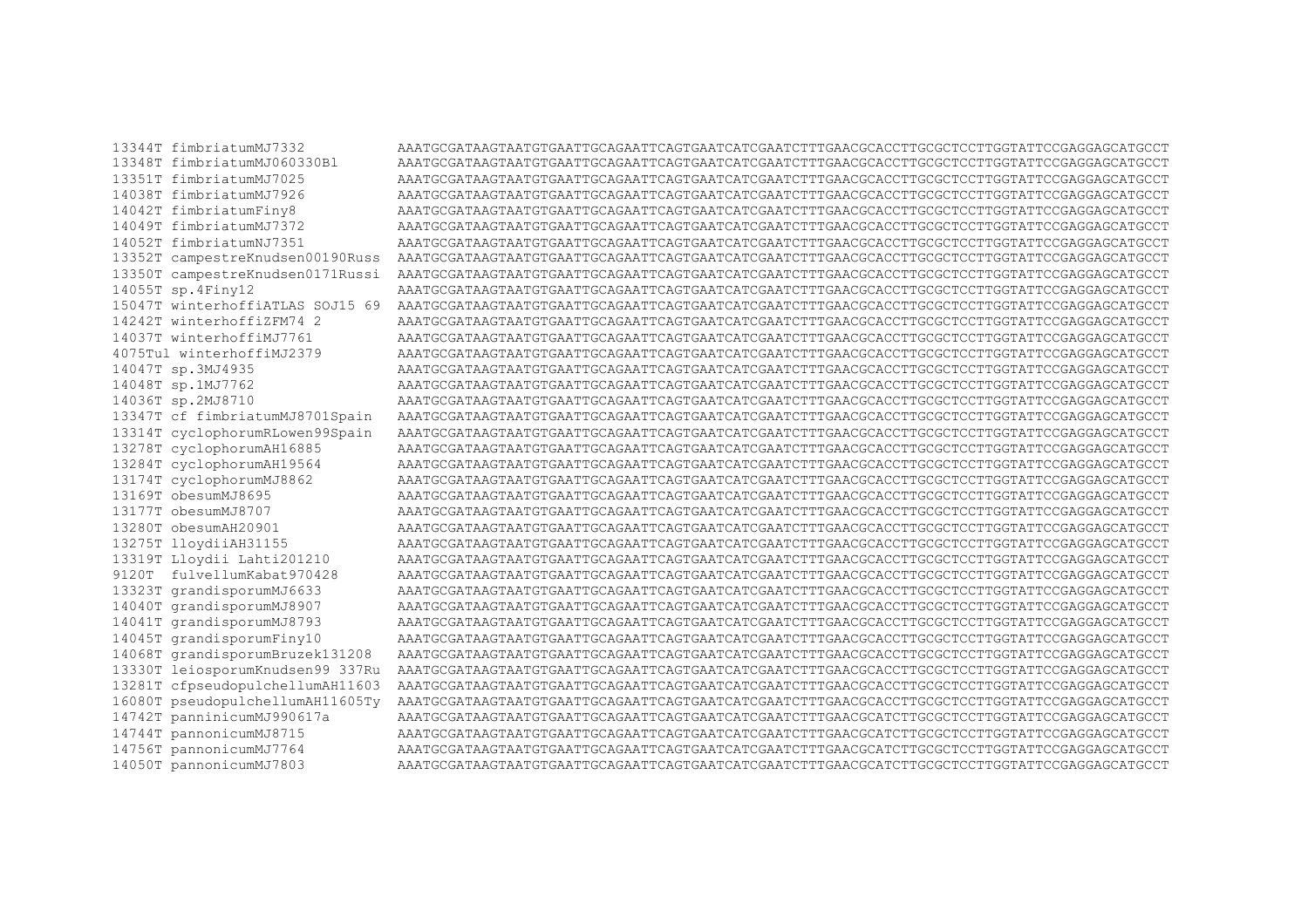13344T fimbriatumMJ7332 13348T fimbriatumMJ060330Bl 13351T fimbriatumMJ7025 14038T fimbriatumMJ7926 14042T fimbriatumFiny8 14049T fimbriatumMJ7372 14052T fimbriatumNJ7351 13352T campestreKnudsen00190Russ 13350T campestreKnudsen0171Russi 14055T sp.4Finy12 15047T winterhoffiATLAS SOJ15 69 14242T winterhoffizFM74 2 14037T winterhoffiMJ7761 4075Tul winterhoffiMJ2379 14047T sp.3MJ4935 14048T sp.1MJ7762 14036T sp.2MJ8710 13347T cf fimbriatumMJ8701Spain 13314T cyclophorumRLowen99Spain 13278T cyclophorumAH16885 13284T cyclophorumAH19564 13174T cyclophorumMJ8862 13169T obesumMJ8695 13177T obesumMJ8707 13280T obesumAH20901 13275T lloydiiAH31155 13319T Lloydii Lahti201210 9120T fulvellumKabat970428 13323T grandisporumMJ6633 14040T grandisporumMJ8907 14041T grandisporumMJ8793 14045T grandisporumFiny10 14068T grandisporumBruzek131208 13330T leiosporumKnudsen99 337Ru 13281T cfpseudopulchellumAH11603 16080T pseudopulchellumAH11605Ty 14742T panninicumMJ990617a 14744T pannonicumMJ8715 14756T pannonicumMJ7764 14050T pannonicumMJ7803

AATGCGATAAGTAATGTGAATTCAGAATTCAGTGAATCATCGAATCTTTGAACGCACCTTGCGCTCCTTGGTATTCCGAGGAGCATGCCT AAATGCGATAAGTAATGTGAATTGCAGAATTCAGTGAATCATCGAATCTTTGAACGCACCTTGCGCTCCTTGGTATTCCGAGGAGCATGCCT AAATGCGATAAGTAATGTGAATTCAGAATTCAGTGAATCATCGAATCTTTGAACGCACCTTGCGCTCCTTGGTATTCCGAGGAGCATGCCT AATGCGATAAGTAATGTGAATTCAGAATTCAGTGAATCATCGAATCTTTGAACGCACCTTGCGCTCCTTGGTATTCCGAGGAGCATGCCT AAATGCGATAAGTAATGTGAATTCAGAATTCAGTGAATCATCGAATCTTTGAACGCACCTTGCGCTCCTTGGTATTCCGAGGAGCATGCCT AATGCGATAAGTAATGTGAATTCAGAATTCAGTGAATCATCGAATCTTTGAACGCACCTTGCGCTCCTTGGTATTCCGAGGAGCATGCCT AATGCGATAAGTAATGTGAATGCAGAATTCAGTAATCAGTCATCTTTTGAACGCACCTTGCGCTCCTTGGAATTCCGAGGAGCATGCCT AAATGCGATAAGTAATGTGAATTGCAGAATTCAGTGAATCATCGAATCTTTGAACGCACCTTGCCTCCTTGGTATTCCGAGGAGCATGCCT AAATGCGATAAGTAATGTGAATTGCAGAATTCAGTGAATCATCGAATCTTTGAACGCACCTTGCCTCCTTGGTATTCCGAGGAGCATGCCT AAATGCGATAAGTAATGTGAATTCAGAATTCAGTGAATCATCGAATCTTTGAACGCACCTTGCGCTCCTTGGTATTCCGAGGAGCATGCCT AAATGCGATAAGTAATGCAATTGAATTCAGAATTCAGAATCATGAATCTTTGAACGCACCTTGCGCTCCTTGGTATTCCGAGGAGCAGCAGCC AAATGCGATAAGTAATGTGAATTCAGAATTCAGTGAATCATCGAATCTTTGAACGCACCTTGCGCTCCTTGGTATTCCGAGGAGCATGCCT AAATGCGATAAGTAATGCAATTGAATTCAGAATTCAGAATCATGAATCTTTGAACGCACCTTGCGCTCCTTGGTATTCCGAGGAGCAGCAGCC AAATGCGATAAGTAATGTGAATTCAGAATTCAGTGAATCATCGAATCTTTGAACGCACCTTGCGCTCCTTGGTATTCCGAGGAGCATGCCT AAATGCGATAAGTAATGTGAATTCAGAATTCAGTGAATCATCGAATCTTTGAACGCACCTTGCGCTCCTTGGTATTCCGAGGAGCATGCCT AAATGCGATAAGTAATGTGAATTGCAGAATTCAGTGAATCATCGAATCTTTGAACGCACCTTGCGCTCCTTGGTATTCCGAGGAGCATGCCT AAATGCGATAAGTAATGTGAATTGCAGAATTCAGTGAATCATCGAATCTTTGAACGCACCTTGCGCTCCTTGGTATTCCGAGGAGCATGCCT AAATGCGATAAGTAATGTGAATTCAGAATTCAGTGAATCATCGAATCTTTGAACGCACCTTGCGCTCCTTGGTATTCCGAGGAGCATGCCT AATGCGATAAGTAATGTGAATTCAGAATTCAGTGAATCATCGAATCTTTGAACGCACCTTGCGCTCCTTGGTATTCCGAGGAGCATGCCT AAATGCGATAAGTAATGTGAATTCAGAATTCAGTGAATCATCGAATCTTTGAACGCACCTTGCGCTCCTTGGTATTCCGAGGAGCATGCCT AAATGCGATAAGTAATGTGAATTCAGAATTCAGTGAATCATCGAATCTTTGAACGCACCTTGCGCTCCTTGGTATTCCGAGGAGCATGCCT AATGCGATAAGTAATGTGAATTCAGAATTCAGTGAATCATCGAATCTTTGAACGCACCTTGCGCTCCTTGGTATTCCGAGGAGCATGCCT AAATGCGATAAGTAATGTGAATTGCAGAATTCAGTGAATCATCGAATCTTTGAACGCACCTTGCGCTCCTTGGTATTCCGAGGAGCATGCCT AAATGCGATAAGTAATGTGAATTCAGAATTCAGTGAATCATCGAATCTTTGAACGCACCTTGCGCTCCTTGGTATTCCGAGGAGCATGCCT AAATGCGATAAGTAATGTGAATTGCAGAATTCAGTGAATCATCGAATCTTTGAACGCACCTTGCGCTCCTTGGTATTCCGAGGAGCATGCCT AAATGCGATAAGTAATGTGAATTCAGAATTCAGTGAATCATCGAATCTTTGAACGCACCTTGCGCTCCTTGGTATTCCGAGGAGCATGCCT AAATGCGATAAGTAATGTGAATTGCAGAATTCAGTGAATCATCGAATCTTTGAACGCACCTTGCGCTCCTTGGTATTCCGAGGAGCATGCCT AAATGCGATAAGTAATGTGAATTGCAGAATTCAGTGAATCATCGAATCTTTGAACGCATCTTGCGCTCCTTGGTATTCCGAGGAGCATGCCT AAATGCGATAAGTAATGTGAATTCAGAATTCAGTGAATCATCGAATCTTTGAACGCATCTTGCGCTCCTTGGTATTCCGAGGAGCATGCCT AAATGCGATAAGTAATGCAATTGAATTCAGAATTCAGAATCATCGAATCTTTGAACGCATCTTTGCGCTTCCTTGGTATTCCGAGGAGCAGCAGCCT AAATGCGATAAGTAATGTGAATTGCAGAATTCAGTGAATCATCGAATCTTTGAACGCATCTTGCGCTCCTTGGTATTCCGAGGAGCATGCCT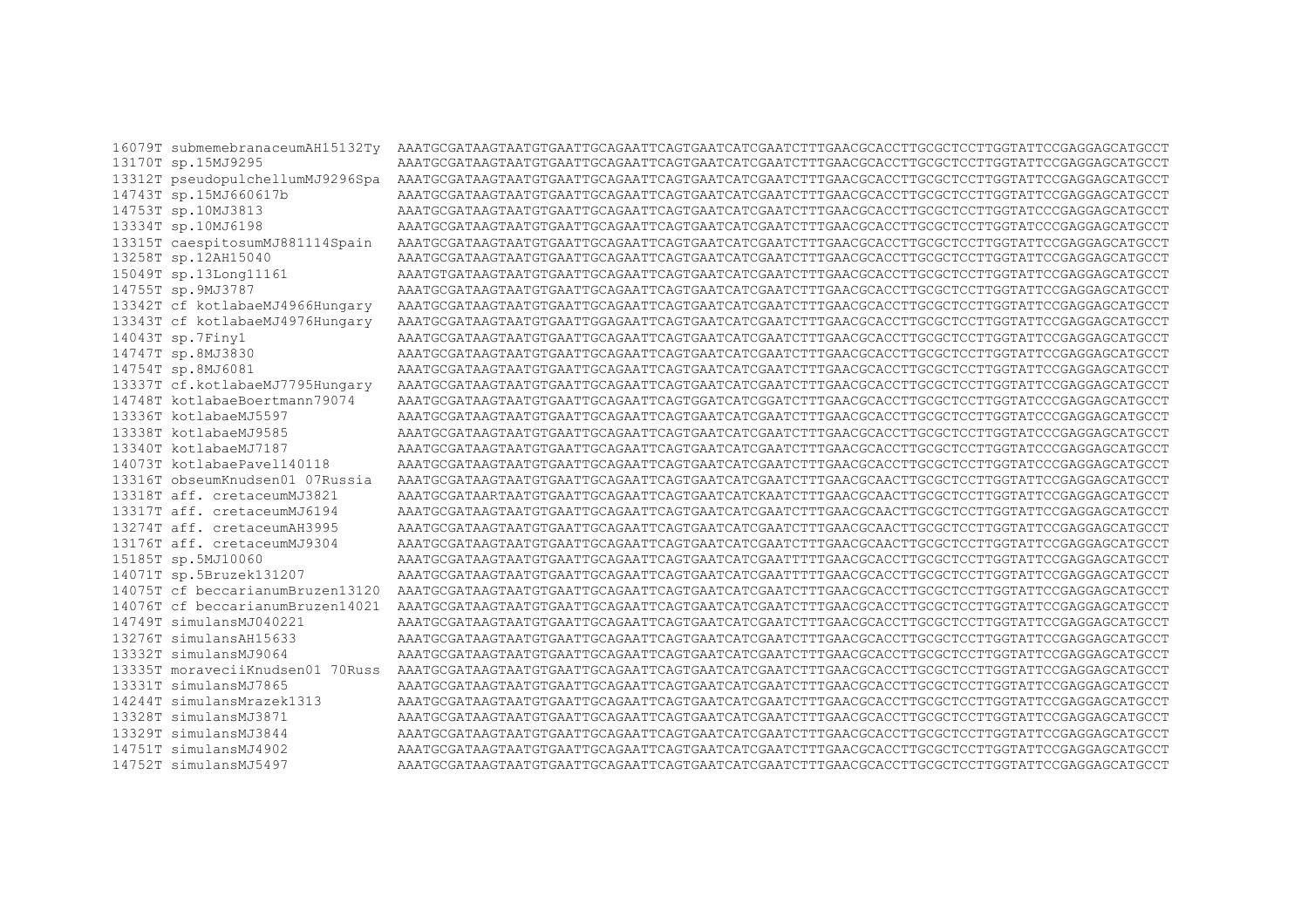16079T submemebranaceumAH15132Tv AAATGCGATAAGTAATGTGAATTCAGAATTCAGTGAATCATCGAATCTTTGAACGCACCTTGCGCTCCTTGGTATTCCGAGGAGCATGCCT 13170T sp.15MJ9295 AAATGCGATAAGTAATGTGAATTGCAGAATTCAGTGAATCATCGAATCTTTGAACGCACCTTGCGCTCCTTGGTATTCCGAGGAGCATGCCT 13312T pseudopulchellumMJ9296Spa AAATGCGATAAGTAATGTGAATTGCAGAATTCAGTGAATCATCGAATCTTTGAACGCACCTTGCGCTCCTTGGTATTCCGAGGAGCATGCCT 14743T sp.15MJ660617b 14753T sp.10MJ3813 AAATGCGATAAGTAATGTGAATTGCAGAATTCAGTGAATCATCGAATCTTTGAACGCACCTTGCGCTCCTTGGTATCCCGAGGAGCATGCCT 13334T sp.10MJ6198 AATGCGATAAGTAATGTGAATTCAGAATTCAGTGAATCATCGAATCTTTGAACGCACCTTGCGCTCCTTGGTATCCCGAGGAGCATGCCT 13315T caespitosumMJ881114Spain 13258T sp.12AH15040 15049T sp.13Long11161 AAATGTGAATGTGAATGGAATGAATGAATGAATGAATGGAATGTTGAACGCACCTTGCGCTCCTTGGTATCCGAGGAGCAGCAGCCCT 14755T sp.9MJ3787 AAATGCGATAAGTAATGTGAATTGCAGAATTCAGTGAATCATCGAATCTTTGAACGCACCTTGCCTCCTTGGTATTCCGAGGAGCATGCCT 13342T cf kotlabaeMJ4966Hungary 13343T cf kotlabaeMJ4976Hungary AAATGCGATAAGTAATGTGAATTGGAGAATTCAGTGAATCATCGAATCTTTGAACGCACCTTGCGTCCTTGGTATTCCGAGGAGCATGCCT 14043T sp.7Finy1 AAATGCGATAAGTAATGTGAATTGCAGAATTCAGTGAATCATCGAATCTTTGAACGCACCTTGCCTCCTTGGTATTCCGAGGAGCATGCCT 14747T sp.8MJ3830 14754T sp.8MJ6081 AAATGCGATAAGTAATGTGAATTGCAGAATTCAGTGAATCATCGAATCTTTGAACGCACCTTGCGCTCCTTGGTATTCCGAGGAGCATGCCT 13337T cf.kotlabaeMJ7795Hungary AAATGCGATAAGTAATGCAATTGAATTCAGAATTCAGAATCATGAATCTTTGAACGCACCTTGCGCTCCTTGGTATTCCGAGGAGCAGCAGCC 14748T kotlabaeBoertmann79074 13336T kotlabaeMJ5597 AAATGCGATAAGTAATGTGAATTGCAGAATTCAGTGAATCATCGAATCTTTGAACGCACCTTGCGCTCCTTGGTATCCCGAGGAGCATGCCT 13338T kotlabaeMJ9585 13340T kotlabaeMJ7187 AAATGCGATAAGTAATGTGAATTGCAGAATTCAGTGAATCATCGAATCTTTGAACGCACCTTGCGCTCCTTGGTATCCCGAGGAGCATGCCT 14073T kotlabaePavel140118 AAATGCGATAAGTAATGTGAATTGCAGAATTCAGTGAATCATCGAATCTTTGAACGCACCTTGCGCTCCTTGGTATCCCGAGGAGCATGCCT 13316T obseumKnudsen01 07Russia AAATGCGATAAGTAATGCAATTGAATTCAGAATTCAGAATCATCGAATCTTTGAACGCAACTTGCGCTTCCTTGGTATTCCGAGGAGCAGCAGCCT 13318T aff. cretaceumMJ3821 AAATGCGATAARTAATGTGAATTGCAGAATTCAGTGAATCATCKAATCTTTGAACGCAACTTGCGCTCCTTGGTATTCCGAGGAGCATGCCT 13317T aff. cretaceumMJ6194 AAATGCGATAAGTAATGCAATGCAAGAGAGAGAGTAATGCAAGGAGAGGAGGAGGAGGCTCCTTGGTATGCGAGGAGGAGCAGGAGCTCCTTGGAGGAGGAGGAGCTCCTT 13274T aff. cretaceumAH3995 AAATGCGATAAGTAATGTGAATTGCAGAATTCAGTGAATCATCGAATCTTTGAACGCAACTTGCGCTCCTTGGTATTCCGAGGAGCATGCCT 13176T aff. cretaceumMJ9304 AATGCGATAAGTAATGCAATAAGTAATGCAAGAATTCAGTAATGCAATCTTTTGAACGCAACTTGCGATATTCCGAAGGAGCAAGGAACT 15185T sp.5MJ10060 AAATGCGATAAGTAATGTGAATTCCAGAATTCAGTGAATCATCGAATTTTTGAACGCACCTTGCGCTCCTTGGTATTCCGAGGAGCATGCCT 14071T sp.5Bruzek131207 AAATGCGATAAGTAATGTGAATTGCAGAATTCAGTGAATCATCGAATTTTTGAACGCACCTTGCCTCCTTGGTATTCCGAGGAGCATGCCT 14075T cf beccarianumBruzen13120 AATGCGATAAGTAATGCATAATGCAGAATTCAGTAATCAGTCATCFTTTGAACGCACCTTCCTTCGTATTCCGAGGAGCATGCCT 14076T cf beccarianumBruzen14021 AAATGCGATAAGTAATGTGAATTGCAGAATTCAGTGAATCATCGAATCTTTGAACGCACCTTGCGCTCCTTGGTATTCCGAGGAGCATGCCT 14749T simulansMJ040221 AAATGCGATAAGTAAGTAAATTGCAGAATTCAGTAATCAGTAATCTTTGAACGCACCTTGCGCTCCTTGGTATTCCGAGGAGCAGCACCT 13276T simulansAH15633 13332T simulansMJ9064 AAATGCGATAAGTAATGTGAATTGCAGAATTCAGTGAATCATCGAATCTTTGAACGCACCTTGCGCTCCTTGGTATTCCGAGGAGCATGCCT 13335T moraveciiKnudsen01 70Russ AAATGCGATAAGTAATGTGAATTGCAGAATTCAGTGAATCATCGAATCTTTGAACGCACCTTGCGTCCTTGGTATTCCGAGGAGCATGCCT 13331T simulansMJ7865 AAATGCGATAAGTAATGTGAATTGCAGAATTCAGTGAATCATCGAATCTTTGAACGCACCTTGCCTCCTTGGTATTCCGAGGAGCATGCCT 14244T simulansMrazek1313 AAATGCGATAAGTAATGTGAATTGCAGAATTCAGTGAATCATCGAATCTTTGAACGCACCTTGCGCTCCTTGGTATTCCGAGGAGCATGCCT 13328T simulansMJ3871 AAATGCGATAAGTAATGTGAATTGCAGAATTCAGTGAATCATCGAATCTTTGAACGCACCTTGCGCTCCTTGGTATTCCGAGGAGCATGCCT 13329T simulansMJ3844 AAATGCGATAAGTAATGTGAATTCAGAATTCAGTGAATCATCGAATCTTTGAACGCACCTTGCGCTCCTTGGTATTCCGAGGAGCATGCCT 14751T simulansMJ4902 AAATGCGATAAGTAATGCAATTGAATTCAGAATTCAGTAATCATCAACTTTGAACGCACCTTGCGCTTCCTTGGTATTCCGAGGAGCAGCACCT 14752T simulansMJ5497 AAATGCGATAAGTAATGTGAATTGCAGAATTCAGTGAATCATCGAATCTTTGAACGCACCTTGCGCTCCTTGGTATTCCGAGGAGCATGCCT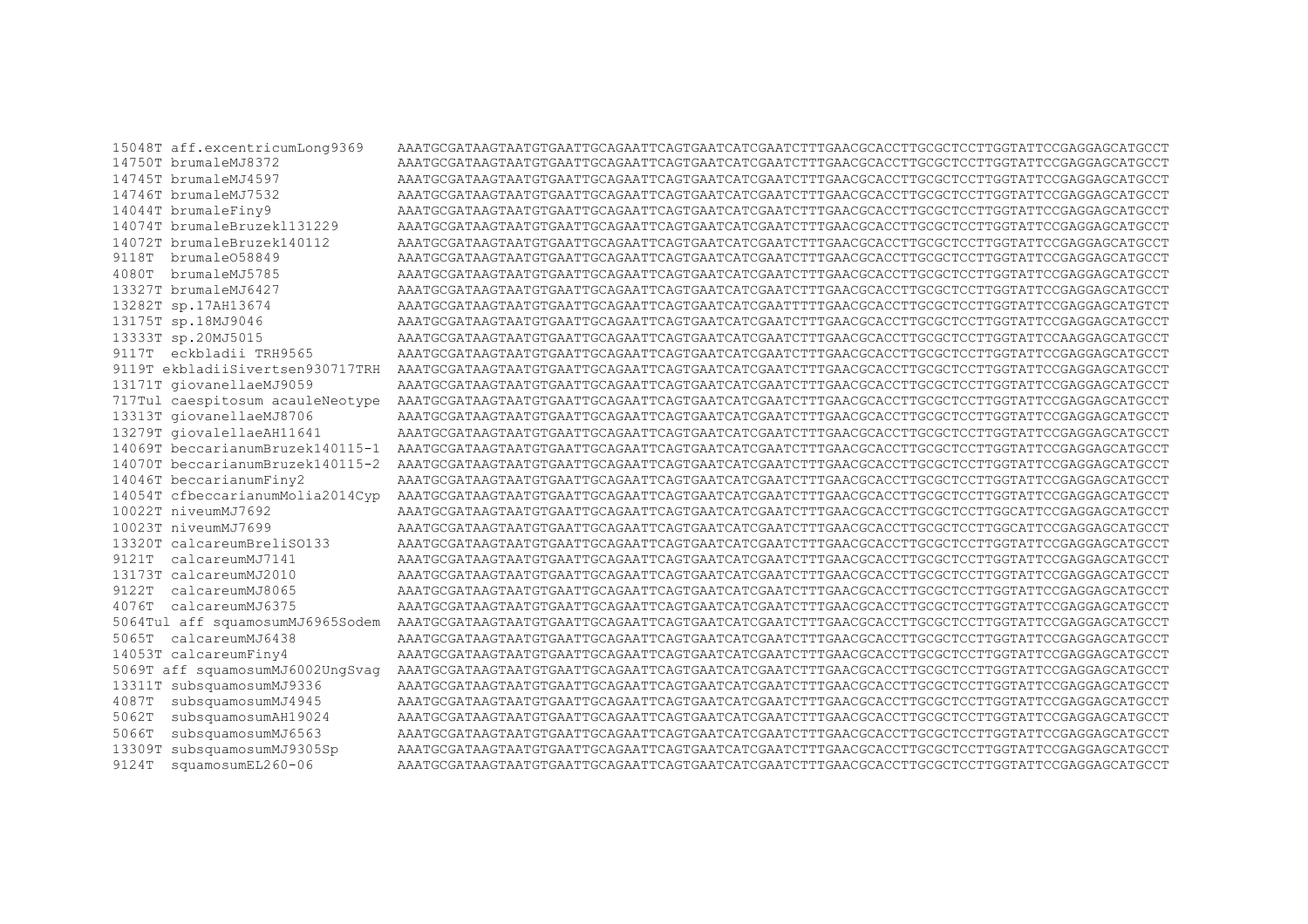15048T aff.excentricumLong9369 14750T brumaleMJ8372 14745T brumaleMJ4597 14746T brumaleMJ7532 14044T brumaleFinv9 14074T brumaleBruzek1131229 14072T brumaleBruzek140112 9118T brumale058849 4080T brumaleMJ5785 13327T brumaleMJ6427 13282T sp.17AH13674 13175T sp.18MJ9046 13333T sp.20MJ5015 9117T eckbladii TRH9565 9119T ekbladiiSivertsen930717TRH 13171T giovanellaeMJ9059 13313T giovanellaeMJ8706 13279T giovalellaeAH11641 14069T beccarianumBruzek140115-1 14070T beccarianumBruzek140115-2 14046T beccarianumFiny2 14054T cfbeccarianumMolia2014Cyp 10022T niveumMJ7692 10023T niveumMJ7699 13320T calcareumBreliSO133 9121T calcareumMJ7141 13173T calcareumMJ2010 9122T calcareumMJ8065 4076T calcareumMJ6375 5064Tul aff squamosumMJ6965Sodem 5065T calcareumMJ6438 14053T calcareumFiny4 5069T aff squamosumMJ6002UngSvag 13311T subsquamosumMJ9336 4087T subsquamosumMJ4945 5062T subsquamosumAH19024 5066T subsquamosumMJ6563 13309T subsquamosumMJ9305Sp 9124T squamosumEL260-06

AATGCGATAAGTAATGTGAATTCAGAATTCAGTGAATCATCGAATCTTTGAACGCACCTTGCGCTCCTTGGTATTCCGAGGAGCATGCCT AAATGCGATAAGTAATGTGAATTGCAGAATTCAGTGAATCATCGAATCTTTGAACGCACCTTGCGCTCCTTGGTATTCCGAGGAGCATGCCT AAATGCGATAAGTAATGTGAATTCAGAATTCAGTGAATCATCGAATCTTTGAACGCACCTTGCGCTCCTTGGTATTCCGAGGAGCATGCCT AAATGCGATAAGTAATGTGAATTCAGAATTCAGTGAATCATCGAATCTTTGAACGCACCTTGCGCTCCTTGGTATTCCGAGGAGCATGCCT AATGCGATAAGTAATGTGAATTCAGAATTCAGTGAATCATCGAATCTTTGAACGCACCTTGCGCTCCTTGGTATTCCGAGGAGCATGCCT AATGCGATAAGTAATTGAAGTAATTCAGTAATTCAGTAATTCAGAATTCAGAAGTAATTCCGAAGCATCCTTGCAAGGAAGCATGCCT AAATGCGATAAGTAATGTGAATTCAGAATTCAGTGAATCATCGAATCTTTGAACGCACCTTGCGCTCCTTGGTATTCCGAGGAGCATGCCT AAATGCGATAAGTAATGTGAATTCAGAATTCAGTGAATCATCGAATCTTTGAACGCACCTTGCGCTCCTTGGTATTCCGAGGAGCATGCCT AAATGCGATAAGTAATGTGAATTCAGAATTCAGTGAATCATCGAATCTTTGAACGCACCTTGCGCTCCTTGGTATTCCAAGGAGCATGCCT AAATGCGATAAGTAATGTGAATTGCAGAATTCAGTGAATCATCGAATCTTTGAACGCACCTTGCGCTCCTTGGTATTCCGAGGAGCATGCCT 717Tul caespitosum acauleNeotype AAATGCGATAAGTAATGTGAATTGCAGAATTCAGTGAATCGTAATCTTTGAACGCACCTTGCGCTCCTTGGTATTCCGAGGAGCATGCCT AAATGCGATAAGTAATGTGAATTCAGAATTCAGTGAATCATCGAATCTTTGAACGCACCTTGCGCTCCTTGGTATTCCGAGGAGCATGCCT AAATGCGATAAGTAATGTGAATTGCAGAATTCAGTGAATCATCGAATCTTTGAACGCACCTTGCGCTCCTTGGTATTCCGAGGAGCATGCCT AAATGCGATAAGTAATGTGAATTGCAGAATTCAGTGAATCATCGAATCTTTGAACGCACCTTGCGCTCCTTGGTATTCCGAGGAGCATGCCT AAATGCGATAAGTAATGTGAATTGCAGAATTCAGTGAATCATCGAATCTTTGAACGCACCTTGCGCTCCTTGGTATTCCGAGGAGCATGCCT AAATGCGATAAGTAAGTAAATTGCAGAATTCAGTAATCAGTAATCTTTGAACGCACCTTGCGCTCCTTGGCATTCCGAGGAGCATGCCT AAATGCGATAAGTAATGTGAATTGCAGAATTCAGTGAATCATCGAATCTTTGAACGCACCTTGCGCTCCTTGGCATTCCGAGGAGCATGCCT AATGCGATAAGTAATGCATAATGCAGAATTCAGTAATCAGTCATCFTTTGAACGCACCTTCCTTCGTATTCCGAGGAGCATGCCT AAATGCGATAAGTAATGTGAATTCAGAATTCAGTGAATCATCGAATCTTTGAACGCACCTTGCGCTCCTTGGTATTCCGAGGAGCATGCCT AAATGCGATAAGTAATGTGAATTGCAGAATTCAGTGAATCATCGAATCTTTGAACGCACCTTGCGCTCCTTGGTATTCCGAGGAGCATGCCT AATGCGATAAGTAATGCATAATGCAGAATTCAGTAATCAGTCATCFTTTGAACGCACCTTCCTTCGTATTCCGAGGAGCATGCCT AAATGCGATAAGTAATGTGAATTGCAGAATTCAGTGAATCATCGAATCTTTGAACGCACCTTGCGCTCCTTGGTATTCCGAGGAGCATGCCT AATGCGATAAGTAATGCATAATGCAGAATTCAGTAATCAGTCATCFTTTGAACGCACCTTCCTTCGTATTCCGAGGAGCATGCCT AAATGCGATAAGTAATGTGAATTGCAGAATTCAGTGAATCATCGAATCTTTGAACGCACCTTGCGCTCCTTGGTATTCCGAGGAGCATGCCT AAATGCGATAAGTAATGTGAATTGCAGAATTCAGTGAATCATCGAATCTTTGAACGCACCTTGCGTCCTTGGTATTCCGAGGAGCATGCCT AAATGCGATAAGTAATGTGAATTGCAGAATTCAGTGAATCATCGAATCTTTGAACGCACCTTGCGCTCCTTGGTATTCCGAGGAGCATGCCT AAATGCGATAAGTAATGTGAATTGCAGAATTCAGTGAATCATCGAATCTTTGAACGCACCTTGCGCTCCTTGGTATTCCGAGGAGCATGCCT AAATGCGATAAGTAATGTGAATTGCAGAATTCAGTGAATCATCGAATCTTTGAACGCACCTTGCGCTCCTTGGTATTCCGAGGAGCATGCCT AAATGCGATAAGTAATGTGAATTCAGAATTCAGTGAATCATCGAATCTTTGAACGCACCTTGCGCTCCTTGGTATTCCGAGGAGCATGCCT AAATGCGATAAGTAATGCAATTGAATTCAGAATTCAGAATCATGAATCTTTGAACGCACCTTGCGCTCCTTGGTATTCCGAGGAGCAGCAGCC AAATGCGATAAGTAATGTGAATTGCAGAATTCAGTGAATCATCGAATCTTTGAACGCACCTTGCGCTCCTTGGTATTCCGAGGAGCATGCCT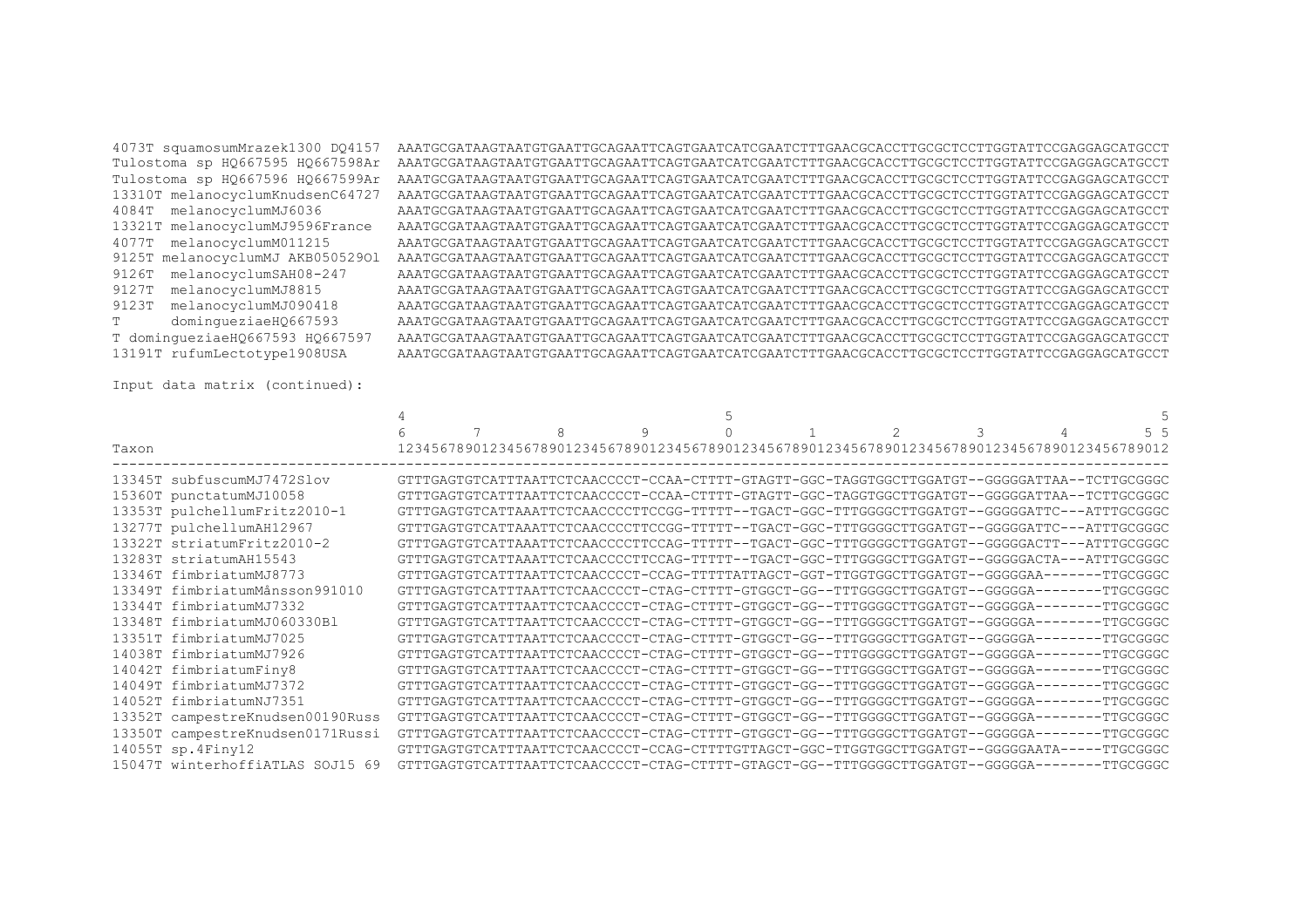Tulostoma sp HQ667595 HQ667598Ar Tulostoma sp HQ667596 HQ667599Ar 13310T melanocyclumKnudsenC64727 4084T melanocyclumMJ6036 13321T melanocyclumMJ9596France 4077T melanocyclumM011215 9125T melanocyclumMJ AKB05052901 9126T melanocyclumSAH08-247 9127T melanocyclumMJ8815 9123T melanocyclumMJ090418 dominqueziaeHQ667593  $T$ T dominqueziaeHQ667593 HQ667597 13191T rufumLectotype1908USA

4073T squamosumMrazek1300 DO4157 AAATGCGATAAGTAATGTGAATTGCAGAATTCAGTGAATCGTAATCTTTGAACGCACCTTGCGCTCCTTGGTATTCCGAGGAGCATGCCT AAATGCGATAAGTAATGTGAATTGCAGAATTCAGTGAATCATCGAATCTTTGAACGCACCTTGCGTCCTTGGTATTCCGAGGAGCATGCCT AAATGCGATAAGTAATGTGAATTGCAGAATTCAGTGAATCATCGAATCTTTGAACGCACCTTGCGTCCTTGGTATTCCGAGGAGCATGCCT AAATGCGATAAGTAATGTGAATTCAGAATTCAGTGAATCATCGAATCTTTGAACGCACCTTGCGCTCCTTGGTATTCCGAGGAGCATGCCT AAATGCGATAAGTAATGTGAATTGCAGAATTCAGTGAATCATCGAATCTTTGAACGCACCTTGCGCTCCTTGGTATTCCGAGGAGCATGCCT AAATGCGATAAGTAATGTGAATTCAGAATTCAGTGAATCATCGAATCTTTGAACGCACCTTGCGCTCCTTGGTATTCCGAGGAGCATGCCT AAATGCGATAAGTAATGTGAATTGCAGAATTCAGTGAATCATCGAATCTTTGAACGCACCTTGCGCTCCTTGGTATTCCGAGGAGCATGCCT AAATGCGATAAGTAATGTGAATTGCAGAATTCAGTGAATCATCGAATCTTTGAACGCACCTTGCGCTCCTTGGTATTCCGAGGAGCATGCCT AAATGCGATAAGTAAGTAAATTGCAGAATTCAGTAATCAGTAATCTTTGAACGCACCTTGCGCTCCTTGGTATTCCGAGGAGCAGCACCT AAATGCGATAAGTAATGTGAATTCAGAATTCAGTGAATCATCGAATCTTTGAACGCACCTTGCGCTCCTTGGTATTCCGAGGAGCATGCCT AAATGCGATAAGTAATGTGAATTCAGAATTCAGTGAATCATCGAATCTTTGAACGCACCTTGCGCTCCTTGGTATTCCGAGGAGCATGCCT AAATGCGATAAGTAATGTGAATTCAGAATTCAGTGAATCATCGAATCTTTGAACGCACCTTGCGCTCCTTGGTATTCCGAGGAGCATGCCT AAATGCGATAAGTAATGTGAATTCAGAATTCAGTGAATCATCGAATCTTTGAACGCACCTTGCGCTCCTTGGTATTCCGAGGAGCATGCCT AAATGCGATAAGTAATGTGAATTGCAGAATTCAGTGAATCATCGAATCTTTGAACGCACCTTGCGCTCCTTGGTATTCCGAGGAGCATGCCT

Input data matrix (continued):

|                                  |  | 9 |  | $\mathfrak{D}$ | 3 | 5 <sub>5</sub>                                                                               |
|----------------------------------|--|---|--|----------------|---|----------------------------------------------------------------------------------------------|
| Taxon                            |  |   |  |                |   | 12345678901234567890123456789012345678901234567890123456789012345678901234567890123456789012 |
| 13345T subfuscumMJ7472Slov       |  |   |  |                |   | GTTTGAGTGTCATTTAATTCTCAACCCCT-CCAA-CTTTT-GTAGTT-GGC-TAGGTGGCTTGGATGT--GGGGGATTAA--TCTTGCGGGC |
| 15360T punctatumMJ10058          |  |   |  |                |   | GTTTGAGTGTCATTTAATTCTCAACCCCT-CCAA-CTTTT-GTAGTT-GGC-TAGGTGGCTTGGATGT--GGGGGATTAA--TCTTGCGGGC |
| 13353T pulchellumFritz2010-1     |  |   |  |                |   | GTTTGAGTGTCATTAAATTCTCAACCCCTTCCGG-TTTTT--TGACT-GGC-TTTGGGGCTTGGATGT--GGGGGATTC---ATTTGCGGGC |
| 13277T pulchellumAH12967         |  |   |  |                |   | GTTTGAGTGTCATTAAATTCTCAACCCCTTCCGG-TTTTT--TGACT-GGC-TTTGGGGCTTGGATGT--GGGGGATTC---ATTTGCGGGC |
| 13322T striatumFritz2010-2       |  |   |  |                |   | GTTTGAGTGTCATTAAATTCTCAACCCCTTCCAG-TTTTT--TGACT-GGC-TTTGGGGCTTGGATGT--GGGGGACTT---ATTTGCGGGC |
| 13283T striatumAH15543           |  |   |  |                |   | GTTTGAGTGTCATTAAATTCTCAACCCCTTCCAG-TTTTT--TGACT-GGC-TTTGGGGCTTGGATGT--GGGGGACTA---ATTTGCGGGC |
| 13346T fimbriatumMJ8773          |  |   |  |                |   | GTTTGAGTGTCATTTAATTCTCAACCCCT-CCAG-TTTTTATTAGCT-GGT-TTGGTGGCTTGGATGT--GGGGGAA-------TTGCGGGC |
| 13349T fimbriatumMånsson991010   |  |   |  |                |   | GTTTGAGTGTCATTTAATTCTCAACCCCT-CTAG-CTTTT-GTGGCT-GG--TTTGGGGCTTGGATGT--GGGGGA-------TTGCGGGC  |
| 13344T fimbriatumMJ7332          |  |   |  |                |   | GTTTGAGTGTCATTTAATTCTCAACCCCT-CTAG-CTTTT-GTGGCT-GG--TTTGGGGCTTGGATGT--GGGGGA-------TTGCGGGC  |
| 13348T fimbriatumMJ060330Bl      |  |   |  |                |   | GTTTGAGTGTCATTTAATTCTCAACCCCT-CTAG-CTTTT-GTGGCT-GG--TTTGGGGCTTGGATGT--GGGGGA--------TTGCGGGC |
| 13351T fimbriatumMJ7025          |  |   |  |                |   | GTTTGAGTGTCATTTAATTCTCAACCCCT-CTAG-CTTTT-GTGGCT-GG--TTTGGGGCTTGGATGT--GGGGGA--------TTGCGGGC |
| 14038T fimbriatumMJ7926          |  |   |  |                |   | GTTTGAGTGTCATTTAATTCTCAACCCCT-CTAG-CTTTT-GTGGCT-GG--TTTGGGGCTTGGATGT--GGGGGA-------TTGCGGGC  |
| 14042T fimbriatumFiny8           |  |   |  |                |   | GTTTGAGTGTCATTTAATTCTCAACCCCT-CTAG-CTTTT-GTGGCT-GG--TTTGGGGCTTGGATGT--GGGGGA-------TTGCGGGC  |
| 14049T fimbriatumMJ7372          |  |   |  |                |   | GTTTGAGTGTCATTTAATTCTCAACCCCT-CTAG-CTTTT-GTGGCT-GG--TTTGGGGCTTGGATGT--GGGGGA-------TTGCGGGC  |
| 14052T fimbriatumNJ7351          |  |   |  |                |   | GTTTGAGTGTCATTTAATTCTCAACCCCT-CTAG-CTTTT-GTGGCT-GG--TTTGGGGCTTGGATGT--GGGGGA--------TTGCGGGC |
| 13352T campestreKnudsen00190Russ |  |   |  |                |   | GTTTGAGTGTCATTTAATTCTCAACCCCT-CTAG-CTTTT-GTGGCT-GG--TTTGGGGCTTGGATGT--GGGGGA--------TTGCGGGC |
| 13350T campestreKnudsen0171Russi |  |   |  |                |   | GTTTGAGTGTCATTTAATTCTCAACCCCT-CTAG-CTTTT-GTGGCT-GG--TTTGGGGCTTGGATGT--GGGGGA-------TTGCGGGC  |
| $14055T$ sp. $4Finy12$           |  |   |  |                |   | GTTTGAGTGTCATTTAATTCTCAACCCCT-CCAG-CTTTTGTTAGCT-GGC-TTGGTGGCTTGGATGT--GGGGGAATA-----TTGCGGGC |
| 15047T winterhoffiaTLAS SOJ15 69 |  |   |  |                |   | GTTTGAGTGTCATTTAATTCTCAACCCCT-CTAG-CTTTT-GTAGCT-GG--TTTGGGGCTTGGATGT--GGGGGA-------TTGCGGGC  |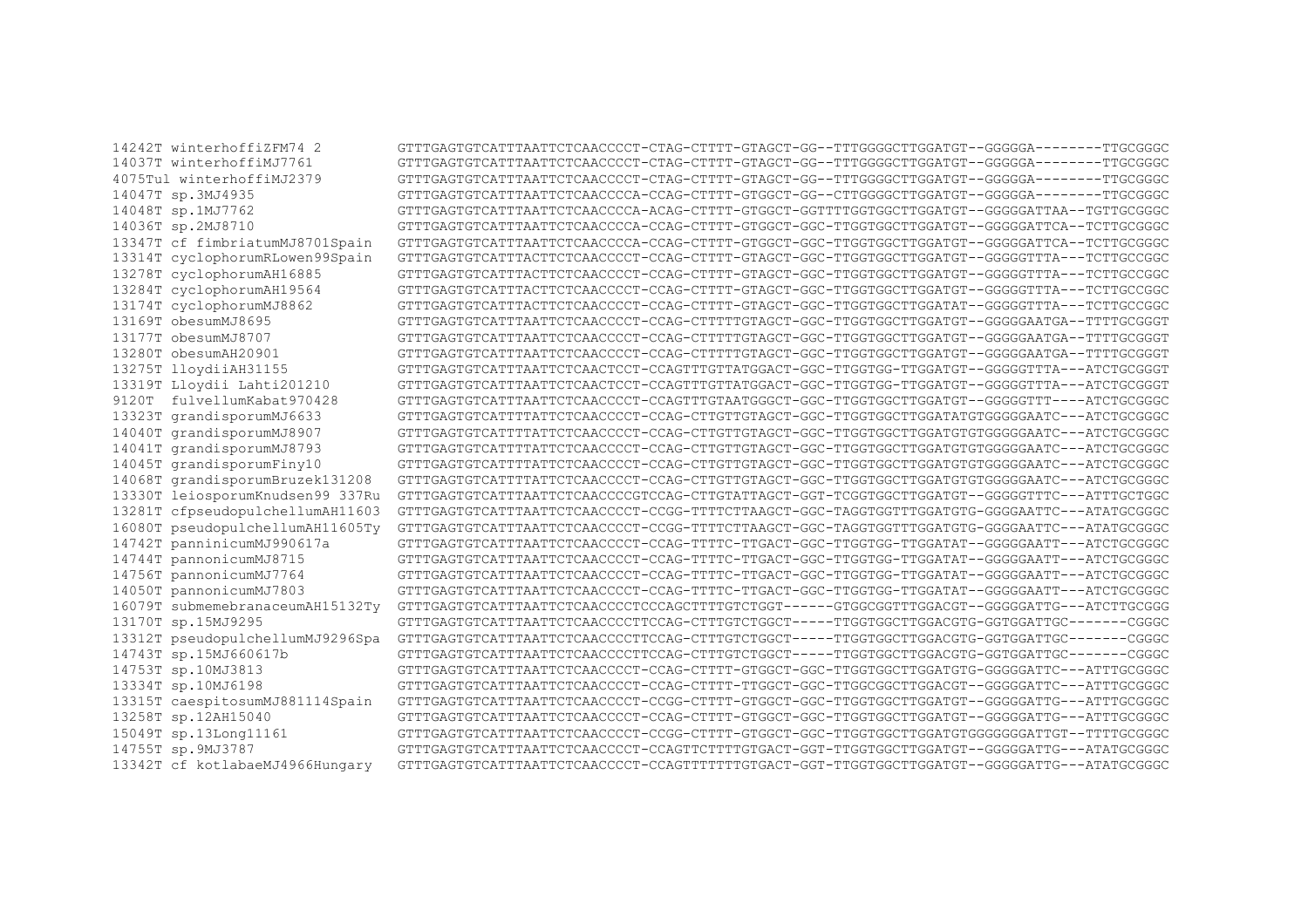|       | 14242T winterhoffizFM74 2        | GTTTGAGTGTCATTTAATTCTCAACCCCT-CTAG-CTTTT-GTAGCT-GG--TTTGGGGCTTGGATGT--GGGGGA-------TTGCGGGC  |
|-------|----------------------------------|----------------------------------------------------------------------------------------------|
|       | 14037T winterhoffiMJ7761         | GTTTGAGTGTCATTTAATTCTCAACCCCT-CTAG-CTTTT-GTAGCT-GG--TTTGGGGCTTGGATGT--GGGGGA--------TTGCGGGC |
|       | 4075Tul winterhoffiMJ2379        | GTTTGAGTGTCATTTAATTCTCAACCCCT-CTAG-CTTTT-GTAGCT-GG--TTTGGGGCTTGGATGT--GGGGGA-------TTGCGGGC  |
|       | 14047T sp.3MJ4935                | GTTTGAGTGTCATTTAATTCTCAACCCCA-CCAG-CTTTT-GTGGCT-GG--CTTGGGGCTTGGATGT--GGGGGA-------TTGCGGGC  |
|       | 14048T sp.1MJ7762                | GTTTGAGTGTCATTTAATTCTCAACCCCA-ACAG-CTTTT-GTGGCT-GGTTTTGGTGGCTTGGATGT--GGGGGATTAA--TGTTGCGGGC |
|       | 14036T sp.2MJ8710                | GTTTGAGTGTCATTTAATTCTCAACCCCA-CCAG-CTTTT-GTGGCT-GGC-TTGGTGGCTTGGATGT--GGGGGATTCA--TCTTGCGGGC |
|       | 13347T cf fimbriatumMJ8701Spain  | GTTTGAGTGTCATTTAATTCTCAACCCCA-CCAG-CTTTT-GTGGCT-GGC-TTGGTGGCTTGGATGT--GGGGGATTCA--TCTTGCGGGC |
|       | 13314T cyclophorumRLowen99Spain  | GTTTGAGTGTCATTTACTTCTCAACCCCT-CCAG-CTTTT-GTAGCT-GGC-TTGGTGGCTTGGATGT--GGGGGTTTA---TCTTGCCGGC |
|       | 13278T cyclophorumAH16885        | GTTTGAGTGTCATTTACTTCTCAACCCCT-CCAG-CTTTT-GTAGCT-GGC-TTGGTGGCTTGGATGT--GGGGGTTTA---TCTTGCCGGC |
|       | 13284T cyclophorumAH19564        | GTTTGAGTGTCATTTACTTCTCAACCCCT-CCAG-CTTTT-GTAGCT-GGC-TTGGTGGCTTGGATGT--GGGGGTTTA---TCTTGCCGGC |
|       | 13174T cyclophorumMJ8862         | GTTTGAGTGTCATTTACTTCTCAACCCCT-CCAG-CTTTT-GTAGCT-GGC-TTGGTGGCTTGGATAT--GGGGGTTTA---TCTTGCCGGC |
|       | 13169T obesumMJ8695              | GTTTGAGTGTCATTTAATTCTCAACCCCT-CCAG-CTTTTTGTAGCT-GGC-TTGGTGGCTTGGATGT--GGGGGAATGA--TTTTGCGGGT |
|       | 13177T obesumMJ8707              | GTTTGAGTGTCATTTAATTCTCAACCCCT-CCAG-CTTTTTGTAGCT-GGC-TTGGTGGCTTGGATGT--GGGGGAATGA--TTTTGCGGGT |
|       | 13280T obesumAH20901             | GTTTGAGTGTCATTTAATTCTCAACCCCT-CCAG-CTTTTTGTAGCT-GGC-TTGGTGGCTTGGATGT--GGGGGAATGA--TTTTGCGGGT |
|       | 13275T lloydiiAH31155            | GTTTGAGTGTCATTTAATTCTCAACTCCT-CCAGTTTGTTATGGACT-GGC-TTGGTGG-TTGGATGT--GGGGGTTTA---ATCTGCGGGT |
|       | 13319T Lloydii Lahti201210       | GTTTGAGTGTCATTTAATTCTCAACTCCT-CCAGTTTGTTATGGACT-GGC-TTGGTGG-TTGGATGT--GGGGGTTTA---ATCTGCGGGT |
| 9120T | fulvellumKabat970428             | GTTTGAGTGTCATTTAATTCTCAACCCCT-CCAGTTTGTAATGGGCT-GGC-TTGGTGGCTTGGATGT--GGGGGTTT----ATCTGCGGGC |
|       | 13323T grandisporumMJ6633        | GTTTGAGTGTCATTTTATTCTCAACCCCT-CCAG-CTTGTTGTAGCT-GGC-TTGGTGGCTTGGATATGTGGGGGAATC---ATCTGCGGGC |
|       | 14040T grandisporumMJ8907        | GTTTGAGTGTCATTTTATTCTCAACCCCT-CCAG-CTTGTTGTAGCT-GGC-TTGGTGGCTTGGATGTGTGGGGGAATC---ATCTGCGGGC |
|       | 14041T grandisporumMJ8793        | GTTTGAGTGTCATTTTATTCTCAACCCCT-CCAG-CTTGTTGTAGCT-GGC-TTGGTGGCTTGGATGTGTGGGGGAATC---ATCTGCGGGC |
|       | 14045T grandisporumFiny10        | GTTTGAGTGTCATTTTATTCTCAACCCCT-CCAG-CTTGTTGTAGCT-GGC-TTGGTGGCTTGGATGTGTGGGGGAATC---ATCTGCGGGC |
|       | 14068T grandisporumBruzek131208  | GTTTGAGTGTCATTTTATTCTCAACCCCT-CCAG-CTTGTTGTAGCT-GGC-TTGGTGGCTTGGATGTGTGGGGGAATC---ATCTGCGGGC |
|       | 13330T leiosporumKnudsen99 337Ru | GTTTGAGTGTCATTTAATTCTCAACCCCGTCCAG-CTTGTATTAGCT-GGT-TCGGTGGCTTGGATGT--GGGGGTTTC---ATTTGCTGGC |
|       | 13281T cfpseudopulchellumAH11603 | GTTTGAGTGTCATTTAATTCTCAACCCCT-CCGG-TTTTCTTAAGCT-GGC-TAGGTGGTTTGGATGTG-GGGGAATTC---ATATGCGGGC |
|       | 16080T pseudopulchellumAH11605Tv | GTTTGAGTGTCATTTAATTCTCAACCCCT-CCGG-TTTTCTTAAGCT-GGC-TAGGTGGTTTGGATGTG-GGGGAATTC---ATATGCGGGC |
|       | 14742T panninicumMJ990617a       | GTTTGAGTGTCATTTAATTCTCAACCCCT-CCAG-TTTTC-TTGACT-GGC-TTGGTGG-TTGGATAT--GGGGGAATT---ATCTGCGGGC |
|       | 14744T pannonicumMJ8715          | GTTTGAGTGTCATTTAATTCTCAACCCCT-CCAG-TTTTC-TTGACT-GGC-TTGGTGG-TTGGATAT--GGGGGAATT---ATCTGCGGGC |
|       | 14756T pannonicumMJ7764          | GTTTGAGTGTCATTTAATTCTCAACCCCT-CCAG-TTTTC-TTGACT-GGC-TTGGTGG-TTGGATAT--GGGGGAATT---ATCTGCGGGC |
|       | 14050T pannonicumMJ7803          | GTTTGAGTGTCATTTAATTCTCAACCCCT-CCAG-TTTTC-TTGACT-GGC-TTGGTGG-TTGGATAT--GGGGGAATT---ATCTGCGGGC |
|       | 16079T submemebranaceumAH15132Ty | GTTTGAGTGTCATTTAATTCTCAACCCCTCCCAGCTTTTGTCTGGT------GTGGCGGTTTGGACGT--GGGGGATTG---ATCTTGCGGG |
|       | 13170T sp.15MJ9295               | GTTTGAGTGTCATTTAATTCTCAACCCCTTCCAG-CTTTGTCTGGCT-----TTGGTGGCTTGGACGTG-GGTGGATTGC-------CGGGC |
|       | 13312T pseudopulchellumMJ9296Spa | GTTTGAGTGTCATTTAATTCTCAACCCCTTCCAG-CTTTGTCTGGCT-----TTGGTGGCTTGGACGTG-GGTGGATTGC-------CGGGC |
|       | 14743T sp.15MJ660617b            | GTTTGAGTGTCATTTAATTCTCAACCCCTTCCAG-CTTTGTCTGGCT-----TTGGTGGCTTGGACGTG-GGTGGATTGC-------CGGGC |
|       | 14753T sp.10MJ3813               | GTTTGAGTGTCATTTAATTCTCAACCCCT-CCAG-CTTTT-GTGGCT-GGC-TTGGTGGCTTGGATGTG-GGGGGATTC---ATTTGCGGGC |
|       | 13334T sp.10MJ6198               | GTTTGAGTGTCATTTAATTCTCAACCCCT-CCAG-CTTTT-TTGGCT-GGC-TTGGCGGCTTGGACGT--GGGGGATTC---ATTTGCGGGC |
|       | 13315T caespitosumMJ881114Spain  | GTTTGAGTGTCATTTAATTCTCAACCCCT-CCGG-CTTTT-GTGGCT-GGC-TTGGTGGCTTGGATGT--GGGGGATTG---ATTTGCGGGC |
|       | 13258T sp.12AH15040              | GTTTGAGTGTCATTTAATTCTCAACCCCT-CCAG-CTTTT-GTGGCT-GGC-TTGGTGGCTTGGATGT--GGGGGATTG---ATTTGCGGGC |
|       | 15049T sp.13Long11161            | GTTTGAGTGTCATTTAATTCTCAACCCCT-CCGG-CTTTT-GTGGCT-GGC-TTGGTGGCTTGGATGTGGGGGGGATTGT--TTTTGCGGGC |
|       | 14755T sp.9MJ3787                | GTTTGAGTGTCATTTAATTCTCAACCCCT-CCAGTTCTTTTGTGACT-GGT-TTGGTGGCTTGGATGT--GGGGGATTG---ATATGCGGGC |
|       | 13342T cf kotlabaeMJ4966Hungary  | GTTTGAGTGTCATTTAATTCTCAACCCCT-CCAGTTTTTTTGTGACT-GGT-TTGGTGGCTTGGATGT--GGGGGATTG---ATATGCGGGC |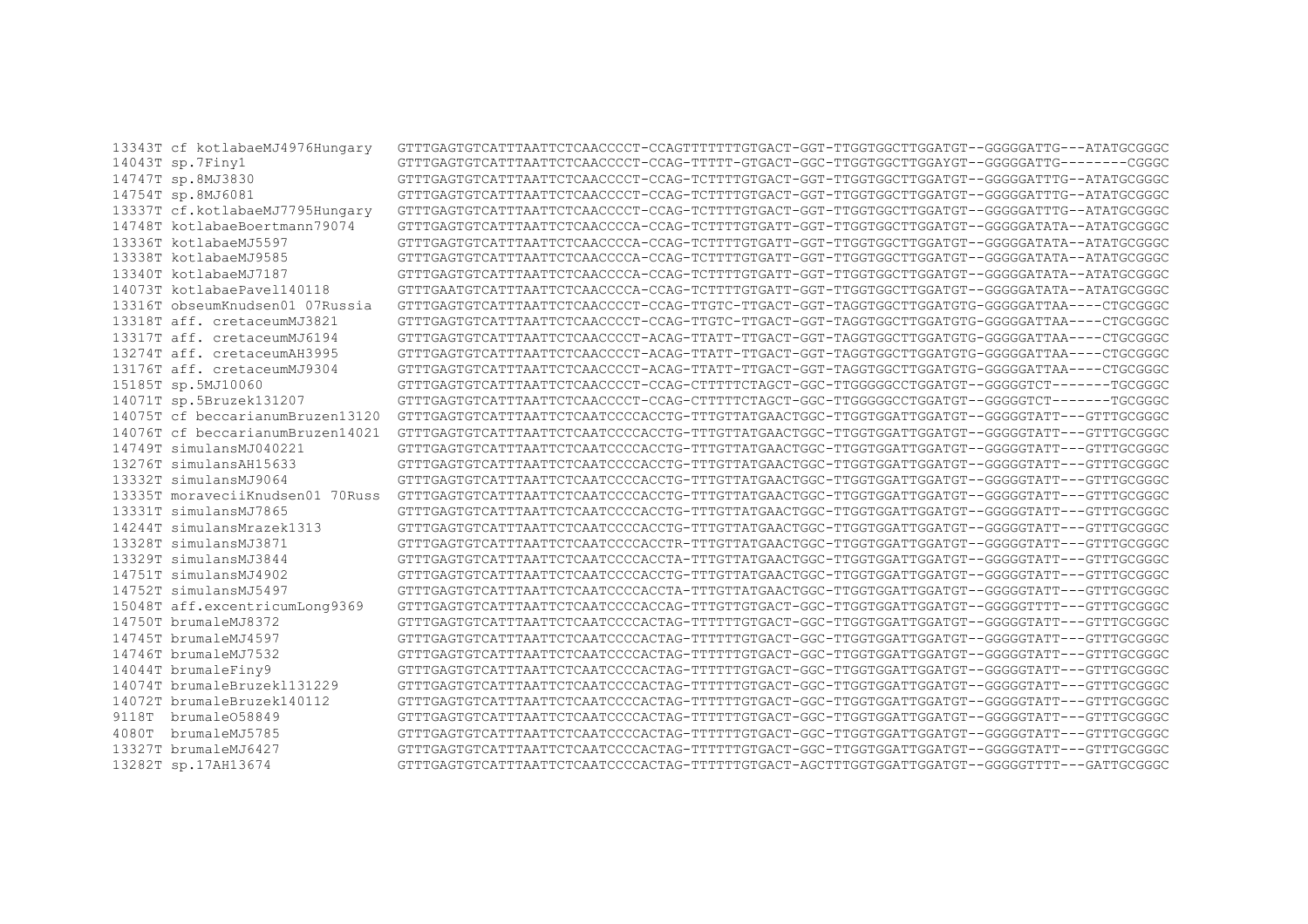|       | 13343T cf kotlabaeMJ4976Hungary  | GTTTGAGTGTCATTTAATTCTCAACCCCT-CCAGTTTTTTTGTGACT-GGT-TTGGTGGCTTGGATGT--GGGGGATTG---ATATGCGGGC |
|-------|----------------------------------|----------------------------------------------------------------------------------------------|
|       | 14043T sp.7Finy1                 | GTTTGAGTGTCATTTAATTCTCAACCCCT-CCAG-TTTTT-GTGACT-GGC-TTGGTGGCTTGGAYGT--GGGGGATTG--------CGGGC |
|       | 14747T sp.8MJ3830                | GTTTGAGTGTCATTTAATTCTCAACCCCT-CCAG-TCTTTTGTGACT-GGT-TTGGTGGCTTGGATGT--GGGGGATTTG--ATATGCGGGC |
|       | 14754T sp.8MJ6081                | GTTTGAGTGTCATTTAATTCTCAACCCCT-CCAG-TCTTTTGTGACT-GGT-TTGGTGGCTTGGATGT--GGGGGATTTG--ATATGCGGGC |
|       | 13337T cf.kotlabaeMJ7795Hungary  | GTTTGAGTGTCATTTAATTCTCAACCCCT-CCAG-TCTTTTGTGACT-GGT-TTGGTGGCTTGGATGT--GGGGGATTTG--ATATGCGGGC |
|       | 14748T kotlabaeBoertmann79074    | GTTTGAGTGTCATTTAATTCTCAACCCCA-CCAG-TCTTTTGTGATT-GGT-TTGGTGGCTTGGATGT--GGGGGATATA--ATATGCGGGC |
|       | 13336T kotlabaeMJ5597            | GTTTGAGTGTCATTTAATTCTCAACCCCA-CCAG-TCTTTTGTGATT-GGT-TTGGTGGCTTGGATGT--GGGGGATATA--ATATGCGGGC |
|       | 13338T kotlabaeMJ9585            | GTTTGAGTGTCATTTAATTCTCAACCCCA-CCAG-TCTTTTGTGATT-GGT-TTGGTGGCTTGGATGT--GGGGGATATA--ATATGCGGGC |
|       | 13340T kotlabaeMJ7187            | GTTTGAGTGTCATTTAATTCTCAACCCCA-CCAG-TCTTTTGTGATT-GGT-TTGGTGGCTTGGATGT--GGGGGATATA--ATATGCGGGC |
|       | 14073T kotlabaePavel140118       | GTTTGAATGTCATTTAATTCTCAACCCCA-CCAG-TCTTTTGTGATT-GGT-TTGGTGGCTTGGATGT--GGGGGATATA--ATATGCGGGC |
|       | 13316T obseumKnudsen01 07Russia  | GTTTGAGTGTCATTTAATTCTCAACCCCT-CCAG-TTGTC-TTGACT-GGT-TAGGTGGCTTGGATGTG-GGGGGATTAA----CTGCGGGC |
|       | 13318T aff. cretaceumMJ3821      | GTTTGAGTGTCATTTAATTCTCAACCCCT-CCAG-TTGTC-TTGACT-GGT-TAGGTGGCTTGGATGTG-GGGGGATTAA----CTGCGGGC |
|       | 13317T aff. cretaceumMJ6194      | GTTTGAGTGTCATTTAATTCTCAACCCCT-ACAG-TTATT-TTGACT-GGT-TAGGTGGCTTGGATGTG-GGGGGATTAA----CTGCGGGC |
|       | 13274T aff. cretaceumAH3995      | GTTTGAGTGTCATTTAATTCTCAACCCCT-ACAG-TTATT-TTGACT-GGT-TAGGTGGCTTGGATGTG-GGGGGATTAA----CTGCGGGC |
|       | 13176T aff. cretaceumMJ9304      | GTTTGAGTGTCATTTAATTCTCAACCCCT-ACAG-TTATT-TTGACT-GGT-TAGGTGGCTTGGATGTG-GGGGGATTAA----CTGCGGGC |
|       | 15185T sp.5MJ10060               | GTTTGAGTGTCATTTAATTCTCAACCCCT-CCAG-CTTTTTCTAGCT-GGC-TTGGGGGCCTGGATGT--GGGGGTCT-------TGCGGGC |
|       | 14071T sp.5Bruzek131207          | GTTTGAGTGTCATTTAATTCTCAACCCCT-CCAG-CTTTTTCTAGCT-GGC-TTGGGGGCCTGGATGT--GGGGGTCT-------TGCGGGC |
|       | 14075T cf beccarianumBruzen13120 |                                                                                              |
|       | 14076T cf beccarianumBruzen14021 |                                                                                              |
|       | 14749T simulansMJ040221          |                                                                                              |
|       | 13276T simulansAH15633           |                                                                                              |
|       | 13332T simulansMJ9064            |                                                                                              |
|       | 13335T moraveciiKnudsen01 70Russ |                                                                                              |
|       | 13331T simulansMJ7865            |                                                                                              |
|       | 14244T simulansMrazek1313        |                                                                                              |
|       | 13328T simulansMJ3871            | GTTTGAGTGTCATTTAATTCTCAATCCCCACCTR-TTTGTTATGAACTGGC-TTGGTGGATTGGATGT--GGGGGTATT---GTTTGCGGGC |
|       | 13329T simulansMJ3844            |                                                                                              |
|       | 14751T simulansMJ4902            |                                                                                              |
|       | 14752T simulansMJ5497            |                                                                                              |
|       | 15048T aff.excentricumLong9369   |                                                                                              |
|       | 14750T brumaleMJ8372             |                                                                                              |
|       | 14745T brumaleMJ4597             |                                                                                              |
|       | 14746T brumaleMJ7532             |                                                                                              |
|       | 14044T brumaleFiny9              |                                                                                              |
|       | 14074T brumaleBruzek1131229      |                                                                                              |
|       | 14072T brumaleBruzek140112       |                                                                                              |
| 9118T | brumale058849                    |                                                                                              |
| 4080T | brumaleMJ5785                    |                                                                                              |
|       | 13327T brumaleMJ6427             |                                                                                              |
|       | 13282T sp.17AH13674              |                                                                                              |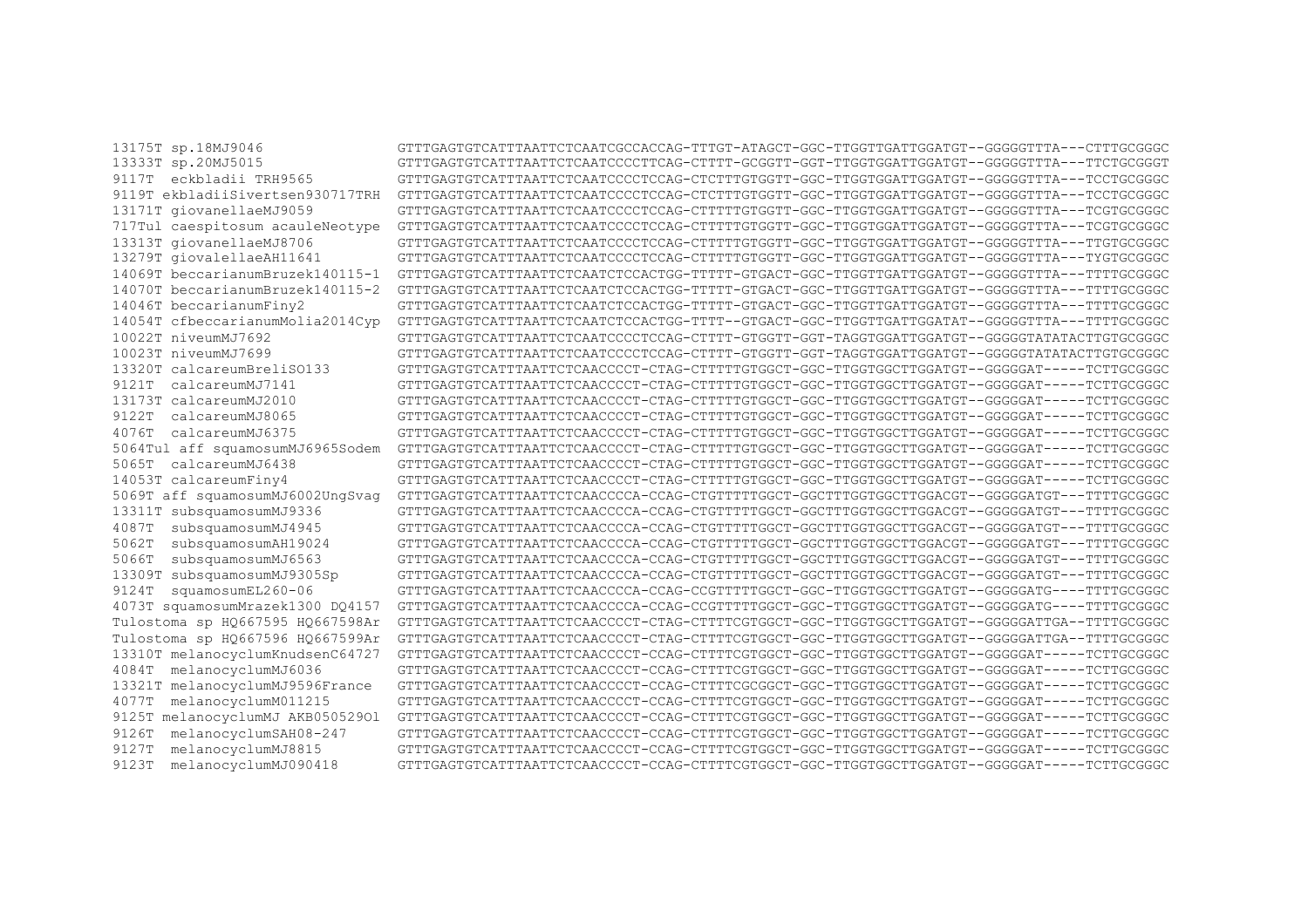| 13175T sp.18MJ9046                  | GTTTGAGTGTCATTTAATTCTCAATCGCCACCAG-TTTGT-ATAGCT-GGC-TTGGTTGATTGGATGT--GGGGGTTTA---CTTTGCGGGC |
|-------------------------------------|----------------------------------------------------------------------------------------------|
| 13333T sp.20MJ5015                  |                                                                                              |
| 9117T eckbladii TRH9565             |                                                                                              |
| 9119T ekbladiiSivertsen930717TRH    |                                                                                              |
| 13171T giovanellaeMJ9059            |                                                                                              |
| 717Tul caespitosum acauleNeotype    |                                                                                              |
| 13313T giovanellaeMJ8706            |                                                                                              |
| 13279T giovalellaeAH11641           |                                                                                              |
| 14069T beccarianumBruzek140115-1    | GTTTGAGTGTCATTTAATTCTCAATCTCCACTGG-TTTTT-GTGACT-GGC-TTGGTTGATTGGATGT--GGGGGTTTA---TTTTGCGGGC |
| 14070T beccarianumBruzek140115-2    | GTTTGAGTGTCATTTAATTCTCAATCTCCACTGG-TTTTT-GTGACT-GGC-TTGGTTGATTGGATGT--GGGGGTTTA---TTTTGCGGGC |
| 14046T beccarianumFiny2             | GTTTGAGTGTCATTTAATTCTCAATCTCCACTGG-TTTTT-GTGACT-GGC-TTGGTTGATTGAATGT--GGGGGTTTA---TTTTGCGGGC |
| 14054T cfbeccarianumMolia2014Cyp    | GTTTGAGTGTCATTTAATTCTCAATCTCCACTGG-TTTT--GTGACT-GGC-TTGGTTGATTGGATAT--GGGGGTTTA---TTTTGCGGGC |
| 10022T niveumMJ7692                 |                                                                                              |
| 10023T niveumMJ7699                 |                                                                                              |
| 13320T calcareumBreliSO133          | GTTTGAGTGTCATTTAATTCTCAACCCCT-CTAG-CTTTTTGTGGCT-GGC-TTGGTGGCTTGGATGT--GGGGGAT-----TCTTGCGGGC |
| calcareumMJ7141<br>9121T            | GTTTGAGTGTCATTTAATTCTCAACCCCT-CTAG-CTTTTTGTGGCT-GGC-TTGGTGGCTTGGATGT--GGGGGAT-----TCTTGCGGGC |
| 13173T calcareumMJ2010              | GTTTGAGTGTCATTTAATTCTCAACCCCT-CTAG-CTTTTTGTGGCT-GGC-TTGGTGGCTTGGATGT--GGGGGAT-----TCTTGCGGGC |
| calcareumMJ8065<br>9122T            | GTTTGAGTGTCATTTAATTCTCAACCCCT-CTAG-CTTTTTGTGGCT-GGC-TTGGTGGCTTGGATGT--GGGGGAT-----TCTTGCGGGC |
| calcareumMJ6375<br>4076T            | GTTTGAGTGTCATTTAATTCTCAACCCCT-CTAG-CTTTTTGTGGCT-GGC-TTGGTGGCTTGGATGT--GGGGGAT-----TCTTGCGGGC |
| 5064Tul aff squamosumMJ6965Sodem    | GTTTGAGTGTCATTTAATTCTCAACCCCT-CTAG-CTTTTTGTGGCT-GGC-TTGGTGGCTTGGATGT--GGGGGAT-----TCTTGCGGGC |
| calcareumMJ6438<br>5065T            | GTTTGAGTGTCATTTAATTCTCAACCCCT-CTAG-CTTTTTGTGGCT-GGC-TTGGTGGCTTGGATGT--GGGGGAT-----TCTTGCGGGC |
| 14053T calcareumFiny4               | GTTTGAGTGTCATTTAATTCTCAACCCCT-CTAG-CTTTTTGTGGCT-GGC-TTGGTGGCTTGGATGT--GGGGGAT-----TCTTGCGGGC |
| 5069T aff squamosumMJ6002UngSvag    | GTTTGAGTGTCATTTAATTCTCAACCCCA-CCAG-CTGTTTTTGGCT-GGCTTTGGTGGCTTGGACGT--GGGGGATGT---TTTTGCGGGC |
| 13311T subsquamosumMJ9336           | GTTTGAGTGTCATTTAATTCTCAACCCCA-CCAG-CTGTTTTTGGCT-GGCTTTGGTGGCTTGGACGT--GGGGGATGT---TTTTGCGGGC |
| subsquamosumMJ4945<br>4087T         | GTTTGAGTGTCATTTAATTCTCAACCCCA-CCAG-CTGTTTTTGGCT-GGCTTTGGTGGCTTGGACGT--GGGGGATGT---TTTTGCGGGC |
| subsquamosumAH19024<br>5062T        | GTTTGAGTGTCATTTAATTCTCAACCCCA-CCAG-CTGTTTTTGGCT-GGCTTTGGTGGCTTGGACGT--GGGGGATGT---TTTTGCGGGC |
| subsquamosumMJ6563<br>5066T         | GTTTGAGTGTCATTTAATTCTCAACCCCA-CCAG-CTGTTTTTGGCT-GGCTTTGGTGGCTTGGACGT--GGGGGATGT---TTTTGCGGGC |
| 13309T subsquamosumMJ9305Sp         | GTTTGAGTGTCATTTAATTCTCAACCCCA-CCAG-CTGTTTTTGGCT-GGCTTTGGTGGCTTGGACGT--GGGGGATGT---TTTTGCGGGC |
| squamosumEL260-06<br>9124T          | GTTTGAGTGTCATTTAATTCTCAACCCCA-CCAG-CCGTTTTTGGCT-GGC-TTGGTGGCTTGGATGT--GGGGGATG----TTTTGCGGGC |
| 4073T squamosumMrazek1300 DO4157    | GTTTGAGTGTCATTTAATTCTCAACCCCA-CCAG-CCGTTTTTGGCT-GGC-TTGGTGGCTTGGATGT--GGGGGATG----TTTTGCGGGC |
| Tulostoma sp H0667595 H0667598Ar    | GTTTGAGTGTCATTTAATTCTCAACCCCT-CTAG-CTTTTCGTGGCT-GGC-TTGGTGGCTTGGATGT--GGGGGATTGA--TTTTGCGGGC |
| Tulostoma sp HQ667596 HQ667599Ar    | GTTTGAGTGTCATTTAATTCTCAACCCCT-CTAG-CTTTTCGTGGCT-GGC-TTGGTGGCTTGGATGT--GGGGGATTGA--TTTTGCGGGC |
| 13310T melanocyclumKnudsenC64727    | GTTTGAGTGTCATTTAATTCTCAACCCCT-CCAG-CTTTTCGTGGCT-GGC-TTGGTGGCTTGGATGT--GGGGGAT-----TCTTGCGGGC |
| melanocyclumMJ6036<br>4084T         | GTTTGAGTGTCATTTAATTCTCAACCCCT-CCAG-CTTTTCGTGGCT-GGC-TTGGTGGCTTGGATGT--GGGGGAT-----TCTTGCGGGC |
| 13321T melanocyclumMJ9596France     | GTTTGAGTGTCATTTAATTCTCAACCCCT-CCAG-CTTTTCGCGGCT-GGC-TTGGTGGCTTGGATGT--GGGGGAT-----TCTTGCGGGC |
| melanocyclumM011215<br>4077T        | GTTTGAGTGTCATTTAATTCTCAACCCCT-CCAG-CTTTTCGTGGCT-GGC-TTGGTGGCTTGGATGT--GGGGGAT-----TCTTGCGGGC |
| melanocyclumMJ AKB05052901<br>9125T | GTTTGAGTGTCATTTAATTCTCAACCCCT-CCAG-CTTTTCGTGGCT-GGC-TTGGTGGCTTGGATGT--GGGGGAT-----TCTTGCGGGC |
| melanocyclumSAH08-247<br>9126T      | GTTTGAGTGTCATTTAATTCTCAACCCCT-CCAG-CTTTTCGTGGCT-GGC-TTGGTGGCTTGGATGT--GGGGGAT-----TCTTGCGGGC |
| melanocyclumMJ8815<br>9127T         | GTTTGAGTGTCATTTAATTCTCAACCCCT-CCAG-CTTTTCGTGGCT-GGC-TTGGTGGCTTGGATGT--GGGGGAT-----TCTTGCGGGC |
| melanocyclumMJ090418<br>9123T       | GTTTGAGTGTCATTTAATTCTCAACCCCT-CCAG-CTTTTCGTGGCT-GGC-TTGGTGGCTTGGATGT--GGGGGAT-----TCTTGCGGGC |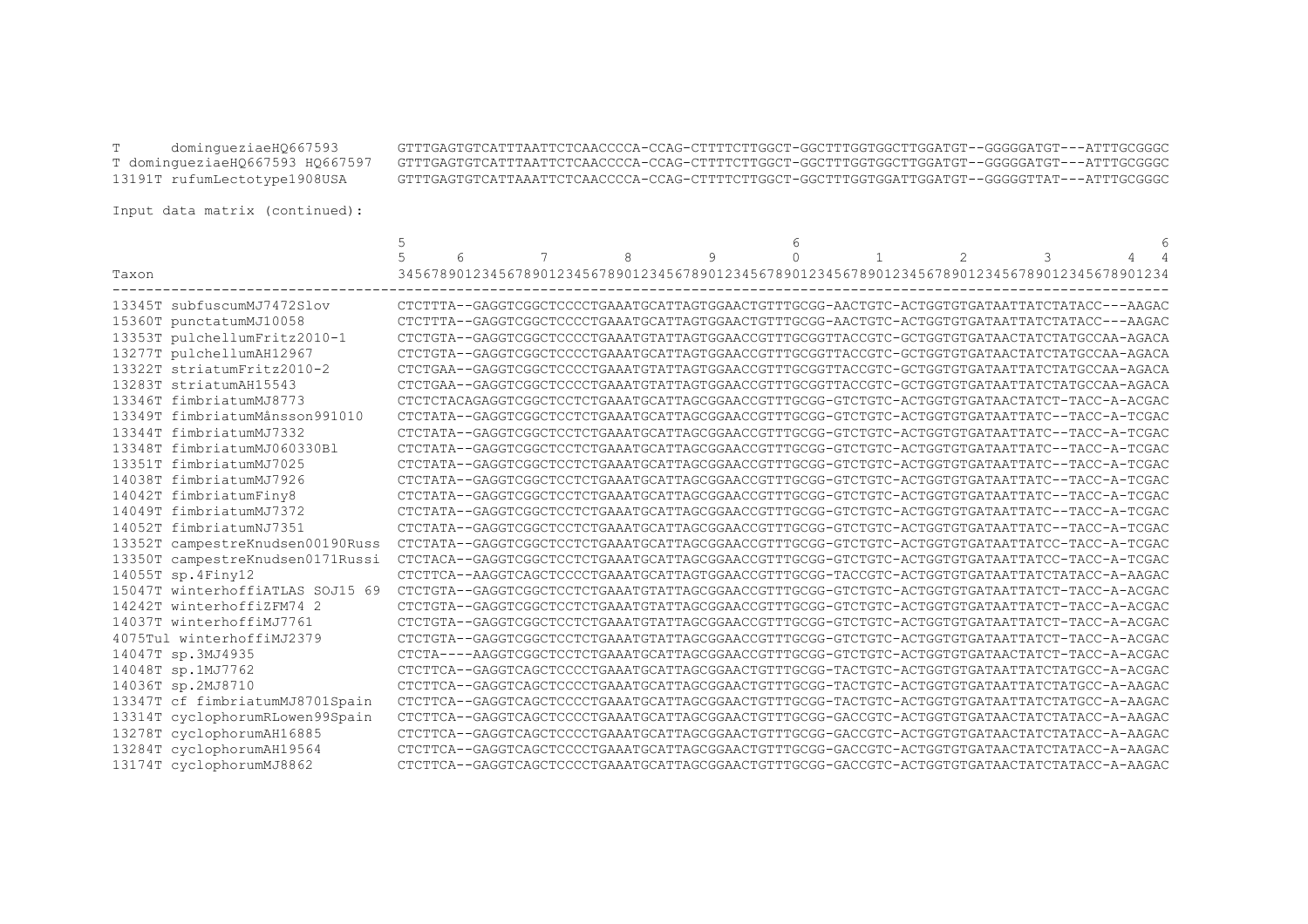T domingueziaeHQ667593 GTTTGAGTGTCATTTAATTCTCAACCCCA-CCAG-CTTTTCTTGGCT-GGCTTTGGTGGCTTGGATGT--GGGGGATGT---ATTTGCGGGC T domingueziaeHQ667593 HQ667597 GTTTGAGTGTCATTTAATTCTCAACCCCA-CCAG-CTTTTCTTGGCT-GGCTTTGGTGGCTTGGATGT--GGGGGATGT---ATTTGCGGGC 13191T rufumLectotype1908USA GTTTGAGTGTCATTAAATTCTCAACCCCA-CCAG-CTTTTCTTGGCT-GGCTTTGGTGGATTGGATGT--GGGGGTTAT---ATTTGCGGGC

Input data matrix (continued):

|                                  | 6 | 7 | 8 | 9 |  | $\mathfrak{D}$                                                                               | 3 |  |
|----------------------------------|---|---|---|---|--|----------------------------------------------------------------------------------------------|---|--|
| Taxon                            |   |   |   |   |  | 34567890123456789012345678901234567890123456789012345678901234567890123456789012345678901234 |   |  |
|                                  |   |   |   |   |  |                                                                                              |   |  |
| 13345T subfuscumMJ7472Slov       |   |   |   |   |  | CTCTTTA--GAGGTCGGCTCCCCTGAAATGCATTAGTGGAACTGTTTGCGG-AACTGTC-ACTGGTGTGATAATTATCTATACC---AAGAC |   |  |
| 15360T punctatumMJ10058          |   |   |   |   |  | CTCTTTA--GAGGTCGGCTCCCCTGAAATGCATTAGTGGAACTGTTTGCGG-AACTGTC-ACTGGTGTGATAATTATCTATACC---AAGAC |   |  |
| 13353T pulchellumFritz2010-1     |   |   |   |   |  | CTCTGTA--GAGGTCGGCTCCCCTGAAATGTATTAGTGGAACCGTTTGCGGTTACCGTC-GCTGGTGTGATAACTATCTATGCCAA-AGACA |   |  |
| 13277T pulchellumAH12967         |   |   |   |   |  | CTCTGTA--GAGGTCGGCTCCCCTGAAATGCATTAGTGGAACCGTTTGCGGTTACCGTC-GCTGGTGTGATAACTATCTATGCCAA-AGACA |   |  |
| 13322T striatumFritz2010-2       |   |   |   |   |  | CTCTGAA--GAGGTCGGCTCCCCTGAAATGTATTAGTGGAACCGTTTGCGGTTACCGTC-GCTGGTGTGATAATTATCTATGCCAA-AGACA |   |  |
| 13283T striatumAH15543           |   |   |   |   |  | CTCTGAA--GAGGTCGGCTCCCCTGAAATGTATTAGTGGAACCGTTTGCGGTTACCGTC-GCTGGTGTGATAATTATCTATGCCAA-AGACA |   |  |
| 13346T fimbriatumMJ8773          |   |   |   |   |  | CTCTCTACAGAGGTCGGCTCCTCTGAAATGCATTAGCGGAACCGTTTGCGG-GTCTGTC-ACTGGTGTGATAACTATCT-TACC-A-ACGAC |   |  |
| 13349T fimbriatumMånsson991010   |   |   |   |   |  | CTCTATA--GAGGTCGGCTCCTCTGAAATGCATTAGCGGAACCGTTTGCGG-GTCTGTC-ACTGGTGTGATAATTATC--TACC-A-TCGAC |   |  |
| 13344T fimbriatumMJ7332          |   |   |   |   |  | CTCTATA--GAGGTCGGCTCCTCTGAAATGCATTAGCGGAACCGTTTGCGG-GTCTGTC-ACTGGTGTGATAATTATC--TACC-A-TCGAC |   |  |
| 13348T fimbriatumMJ060330Bl      |   |   |   |   |  | CTCTATA--GAGGTCGGCTCCTCTGAAATGCATTAGCGGAACCGTTTGCGG-GTCTGTC-ACTGGTGTGATAATTATC--TACC-A-TCGAC |   |  |
| 13351T fimbriatumMJ7025          |   |   |   |   |  | CTCTATA--GAGGTCGGCTCCTCTGAAATGCATTAGCGGAACCGTTTGCGG-GTCTGTC-ACTGGTGTGATAATTATC--TACC-A-TCGAC |   |  |
| 14038T fimbriatumMJ7926          |   |   |   |   |  | CTCTATA--GAGGTCGGCTCCTCTGAAATGCATTAGCGGAACCGTTTGCGG-GTCTGTC-ACTGGTGTGATAATTATC--TACC-A-TCGAC |   |  |
| 14042T fimbriatumFiny8           |   |   |   |   |  | CTCTATA--GAGGTCGGCTCCTCTGAAATGCATTAGCGGAACCGTTTGCGG-GTCTGTC-ACTGGTGTGATAATTATC--TACC-A-TCGAC |   |  |
| 14049T fimbriatumMJ7372          |   |   |   |   |  | CTCTATA--GAGGTCGGCTCCTCTGAAATGCATTAGCGGAACCGTTTGCGG-GTCTGTC-ACTGGTGTGATAATTATC--TACC-A-TCGAC |   |  |
| 14052T fimbriatumNJ7351          |   |   |   |   |  | CTCTATA--GAGGTCGGCTCCTCTGAAATGCATTAGCGGAACCGTTTGCGG-GTCTGTC-ACTGGTGTGATAATTATC--TACC-A-TCGAC |   |  |
| 13352T campestreKnudsen00190Russ |   |   |   |   |  | CTCTATA--GAGGTCGGCTCCTCTGAAATGCATTAGCGGAACCGTTTGCGG-GTCTGTC-ACTGGTGTGATAATTATCC-TACC-A-TCGAC |   |  |
| 13350T campestreKnudsen0171Russi |   |   |   |   |  | CTCTACA--GAGGTCGGCTCCTCTGAAATGCATTAGCGGAACCGTTTGCGG-GTCTGTC-ACTGGTGTGATAATTATCC-TACC-A-TCGAC |   |  |
| 14055T sp.4Finy12                |   |   |   |   |  | CTCTTCA--AAGGTCAGCTCCCCTGAAATGCATTAGTGGAACCGTTTGCGG-TACCGTC-ACTGGTGTGATAATTATCTATACC-A-AAGAC |   |  |
| 15047T winterhoffiATLAS SOJ15 69 |   |   |   |   |  | CTCTGTA--GAGGTCGGCTCCTCTGAAATGTATTAGCGGAACCGTTTGCGG-GTCTGTC-ACTGGTGTGATAATTATCT-TACC-A-ACGAC |   |  |
| 14242T winterhoffiZFM74 2        |   |   |   |   |  | CTCTGTA--GAGGTCGGCTCCTCTGAAATGTATTAGCGGAACCGTTTGCGG-GTCTGTC-ACTGGTGTGATAATTATCT-TACC-A-ACGAC |   |  |
| 14037T winterhoffiMJ7761         |   |   |   |   |  | CTCTGTA--GAGGTCGGCTCCTCTGAAATGTATTAGCGGAACCGTTTGCGG-GTCTGTC-ACTGGTGTGATAATTATCT-TACC-A-ACGAC |   |  |
| 4075Tul winterhoffiMJ2379        |   |   |   |   |  | CTCTGTA--GAGGTCGGCTCCTCTGAAATGTATTAGCGGAACCGTTTGCGG-GTCTGTC-ACTGGTGTGATAATTATCT-TACC-A-ACGAC |   |  |
| 14047T sp.3MJ4935                |   |   |   |   |  | CTCTA----AAGGTCGGCTCCTCTGAAATGCATTAGCGGAACCGTTTGCGG-GTCTGTC-ACTGGTGTGATAACTATCT-TACC-A-ACGAC |   |  |
| 14048T sp.1MJ7762                |   |   |   |   |  | CTCTTCA--GAGGTCAGCTCCCCTGAAATGCATTAGCGGAACTGTTTGCGG-TACTGTC-ACTGGTGTGATAATTATCTATGCC-A-ACGAC |   |  |
| 14036T sp.2MJ8710                |   |   |   |   |  | CTCTTCA--GAGGTCAGCTCCCCTGAAATGCATTAGCGGAACTGTTTGCGG-TACTGTC-ACTGGTGTGATAATTATCTATGCC-A-AAGAC |   |  |
| 13347T cf fimbriatumMJ8701Spain  |   |   |   |   |  | CTCTTCA--GAGGTCAGCTCCCCTGAAATGCATTAGCGGAACTGTTTGCGG-TACTGTC-ACTGGTGTGATAATTATCTATGCC-A-AAGAC |   |  |
| 13314T cyclophorumRLowen99Spain  |   |   |   |   |  | CTCTTCA--GAGGTCAGCTCCCCTGAAATGCATTAGCGGAACTGTTTGCGG-GACCGTC-ACTGGTGTGATAACTATCTATACC-A-AAGAC |   |  |
| 13278T cyclophorumAH16885        |   |   |   |   |  | CTCTTCA--GAGGTCAGCTCCCCTGAAATGCATTAGCGGAACTGTTTGCGG-GACCGTC-ACTGGTGTGATAACTATCTATACC-A-AAGAC |   |  |
| 13284T cyclophorumAH19564        |   |   |   |   |  | CTCTTCA--GAGGTCAGCTCCCCTGAAATGCATTAGCGGAACTGTTTGCGG-GACCGTC-ACTGGTGTGATAACTATCTATACC-A-AAGAC |   |  |
| 13174T cyclophorumMJ8862         |   |   |   |   |  | CTCTTCA--GAGGTCAGCTCCCCTGAAATGCATTAGCGGAACTGTTTGCGG-GACCGTC-ACTGGTGTGATAACTATCTATACC-A-AAGAC |   |  |
|                                  |   |   |   |   |  |                                                                                              |   |  |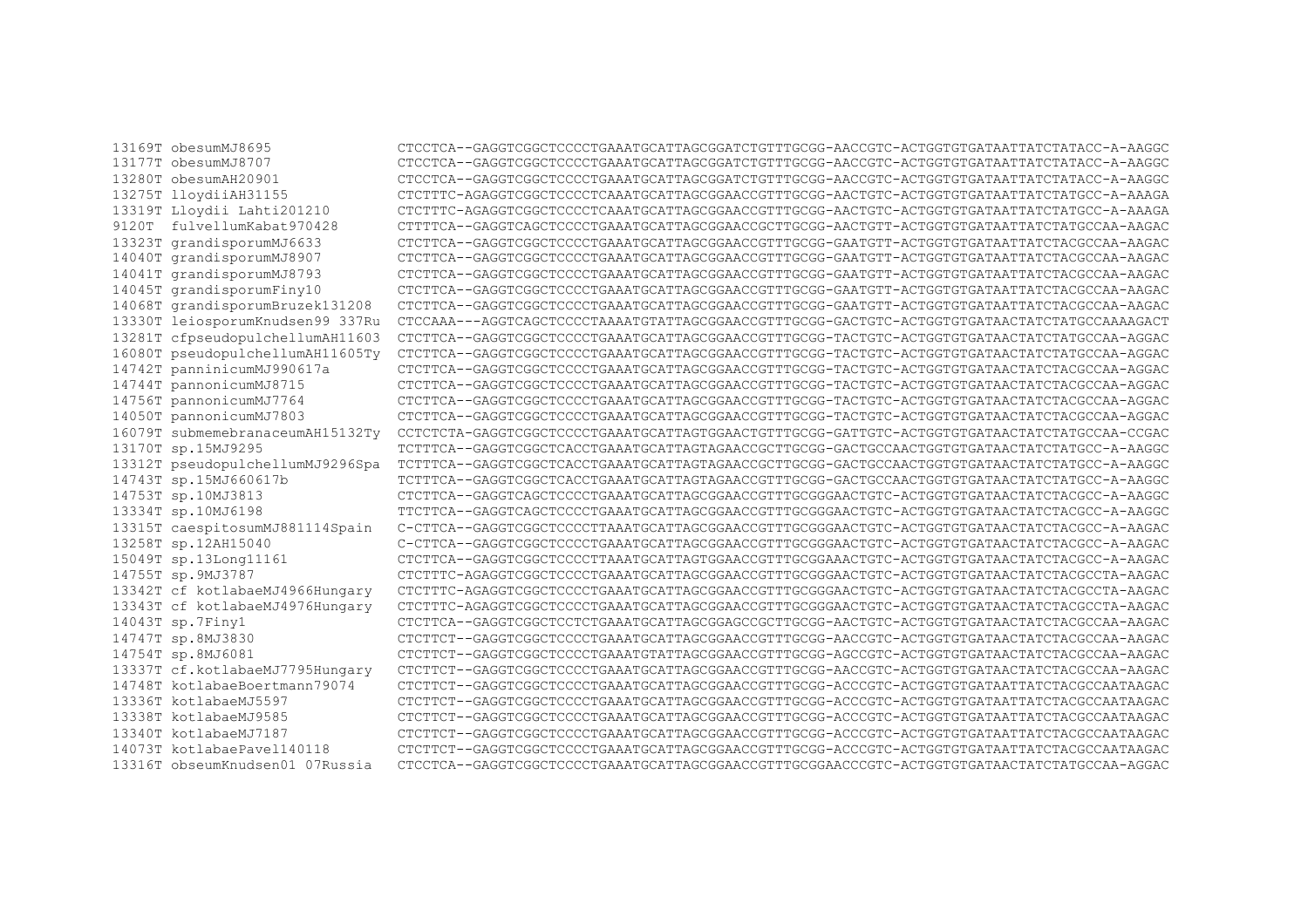13169T obesumMJ8695 13177T obesumMJ8707 13280T obesumAH20901 13275T lloydiiAH31155 13319T Llovdii Lahti201210 9120T fulvellumKabat970428 13323T grandisporumMJ6633 14040T grandisporumMJ8907 14041T grandisporumMJ8793 14045T grandisporumFiny10 14068T grandisporumBruzek131208 13330T leiosporumKnudsen99 337Ru 13281T cfpseudopulchellumAH11603 16080T pseudopulchellumAH11605Ty 14742T panninicumMJ990617a 14744T pannonicumMJ8715 14756T pannonicumMJ7764 14050T pannonicumMJ7803 16079T submemebranaceumAH15132Tv 13170T sp.15MJ9295 13312T pseudopulchellumMJ9296Spa 14743T sp.15MJ660617b 14753T sp.10MJ3813 13334T sp.10MJ6198 13315T caespitosumMJ881114Spain 13258T sp.12AH15040 15049T sp.13Long11161 14755T sp.9MJ3787 13342T cf kotlabaeMJ4966Hunqary 13343T cf kotlabaeMJ4976Hungary 14043T sp.7Finy1 14747T sp.8MJ3830 14754T sp.8MJ6081 13337T cf.kotlabaeMJ7795Hungary 14748T kotlabaeBoertmann79074 13336T kotlabaeMJ5597 13338T kotlabaeMJ9585 13340T kotlabaeMJ7187 14073T kotlabaePaye1140118 13316T obseumKnudsen01 07Russia

CTCCTCA--GAGGTCGGCTCCCCTGAAATGCATTAGCGGATCTGTTTGCGG-AACCGTC-ACTGGTGTGATAATTATCTATACC-A-AAGGC CTCCTCA--GAGGTCGGCTCCCCTGAAATGCATTAGCGGATCTGTTTGCGG-AACCGTC-ACTGGTGTGATAATTATCTATACC-A-AAGGC CTCCTCA--GAGGTCGGCTCCCCTGAAATGCATTAGCGGATCTGTTTGCGG-AACCGTC-ACTGGTGTGATAATTATCTATACC-A-AAGGC CTCTTTC-AGAGGTCGGCTCCCCCTCAAATGCATTAGCGGAACCGTTTGCGG-AACTGTC-ACTGGTGTGATAATTATCTATGCC-A-AAAGA CTCTTTC-AGAGGTCGGCTCCCCTCAAATGCATTAGCGGAACCGTTTGCGG-AACTGTC-ACTGGTGTGATAATTATCTATGCC-A-AAAGA CTTTTCA--GAGGTCAGCTCCCCTGAAATGCATTAGCGGAACCGCTTGCGG-AACTGTT-ACTGGTGTGATAATTATCTATGCCAA-AAGAC CTCTTCA--GAGGTCGGCTCCCCTGAAATGCATTAGCGGAACCGTTTGCGG-GAATGTT-ACTGGTGTGATAATTATCTACGCCAA-AAGAC CTCTTCA--GAGGTCGGCTCCCCTGAAATGCATTAGCGGAACCGTTTGCGG-GAATGTT-ACTGGTGTGATAATTATCTACGCCAA-AAGAC CTCTTCA--GAGGTCGGCTCCCCTGAAATGCATTAGCGGAACCGTTTGCGG-GAATGTT-ACTGGTGTGATAATTATCTACGCCAA-AAGAC CTCTTCA--GAGGTCGGCTCCCCTGAAATGCATTAGCGGAACCGTTTGCGG-GAATGTT-ACTGGTGTGATAATTATCTACGCCAA-AAGAC CTCTTCA--GAGGTCGGCTCCCCTGAAATGCATTAGCGGAACCGTTTGCGG-GAATGTT-ACTGGTGTGATAATTATCTACGCCAA-AAGAC CTCCAAA---AGGTCAGCTCCCCTAAAATGTATTAGCGGAACCGTTTGCGG-GACTGTC-ACTGGTGTGATAACTATCTATGCCAAAAGACT CTCTTCA--GAGGTCGGCTCCCCTGAAATGCATTAGCGGAACCGTTTGCGG-TACTGTC-ACTGGTGTGATAACTATCTATGCCAA-AGGAC CTCTTCA--GAGGTCGGCTCCCCTGAAATGCATTAGCGGAACCGTTTGCGG-TACTGTC-ACTGGTGTGATAACTATCTATGCCAA-AGGAC CTCTTCA--GAGGTCGGCTCCCCTGAAATGCATTAGCGGAACCGTTTGCGG-TACTGTC-ACTGGTGTGATAACTATCTACGCCAA-AGGAC CTCTTCA--GAGGTCGGCTCCCCTGAAATGCATTAGCGGAACCGTTTGCGG-TACTGTC-ACTGGTGTGATAACTATCTACGCCAA-AGGAC CTCTTCA--GAGGTCGGCTCCCCTGAAATGCATTAGCGGAACCGTTTGCGG-TACTGTC-ACTGGTGTGATAACTATCTACGCCAA-AGGAC CTCTTCA--GAGGTCGGCTCCCCTGAAATGCATTAGCGGAACCGTTTGCGG-TACTGTC-ACTGGTGTGATAACTATCTACGCCAA-AGGAC CCTCTCTA-GAGGTCGGCTCCCCTGAAATGCATTAGTGGAACTGTTTGCGG-GATTGTC-ACTGGTGTGATAACTATCTATGCCAA-CCGAC TCTTTCA--GAGGTCGGCTCACCTGAAATGCATTAGTAGAACCGCTTGCGG-GACTGCCAACTGGTGATAACTATCTATGCC-A-AAGGC TCTTTCA--GAGGTCGGCTCACCTGAAATGCATTAGTAGAACCGCTTGCGG-GACTGCCAACTGGTGTGATAACTATCTATGCC-A-AAGGC TCTTTCA--GAGGTCGGCTCACCTGAAATGCATTAGTAGAACCGTTTGCGG-GACTGCCAACTGGTGTGATAACTATCTATGCC-A-AAGGC CTCTTCA--GAGGTCAGCTCCCCTGAAATGCATTAGCGGAACCGTTTGCGGGAACTGTC-ACTGGTGTGATAACTATCTACGCC-A-AAGGC TTCTTCA--GAGGTCAGCTCCCCTGAAATGCATTAGCGGAACCGTTTGCGGGAACTGTC-ACTGGTGTGATAACTATCTACGCC-A-AAGGC C-CTTCA--GAGGTCGGCTCCCCTTAAATGCATTAGCGGAACCGTTTGCGGGAACTGTC-ACTGGTGTGATAACTATCTACGCC-A-AAGAC C-CTTCA--GAGGTCGGCTCCCCTGAAATGCATTAGCGGAACCGTTTGCGGGAACTGTC-ACTGGTGTGATAACTATCTACGCC-A-AAGAC CTCTTCA--GAGGTCGGCTCCCCTTAAATGCATTAGTGGAACCGTTTGCGGAAACTGTC-ACTGGTGTGATAACTATCTACGCC-A-AAGAC CTCTTTC-AGAGGTCGGCTCCCCTGAAATGCATTAGCGGAACCGTTTGCGGGAACTGTC-ACTGGTGTGATAACTATCTACGCCTA-AAGAC CTCTTTC-AGAGGTCGGCTCCCCTGAAATGCATTAGCGGAACCGTTTGCGGGAACTGTC-ACTGGTGTGATAACTATCTACGCCTA-AAGAC CTCTTTC-AGAGGTCGGCTCCCCTGAAATGCATTAGCGGAACCGTTTGCGGGAACTGTC-ACTGGTGTGATAACTATCTACGCCTA-AAGAC CTCTTCA--GAGGTCGGCTCCTCTGAAATGCATTAGCGGAGCCGCTTGCGG-AACTGTC-ACTGGTGTGATAACTATCTACGCCAA-AAGAC CTCTTCT--GAGGTCGGCTCCCCTGAAATGCATTAGCGGAACCGTTTGCGG-AACCGTC-ACTGGTGTGATAACTATCTACGCCAA-AAGAC CTCTTCT--GAGGTCGGCTCCCCTGAAATGTATTAGCGGAACCGTTTGCGG-AGCCGTC-ACTGGTGTGATAACTATCTACGCCAA-AAGAC CTCTTCT--GAGGTCGGCTCCCCTGAAATGCATTAGCGGAACCGTTTGCGG-AACCGTC-ACTGGTGTGATAACTATCTACGCCAA-AAGAC CTCTTCT--GAGGTCGGCTCCCCTGAAATGCATTAGCGGAACCGTTTGCGG-ACCCGTC-ACTGGTGTGATAATTATCTACGCCAATAAGAC CTCTTCT--GAGGTCGGCTCCCCTGAAATGCATTAGCGGAACCGTTTGCGG-ACCCGTC-ACTGGTGTGATAATTATCTACGCCAATAAGAC CTCTTCT--GAGGTCGGCTCCCCTGAAATGCATTAGCGGAACCGTTTGCGG-ACCCGTC-ACTGGTGTGATAATTATCTACGCCAATAAGAC CTCTTCT--GAGGTCGGCTCCCCTGAAATGCATTAGCGGAACCGTTTGCGG-ACCCGTC-ACTGGTGTGATAATTATCTACGCCAATAAGAC CTCTTCT--GAGGTCGGCTCCCCTGAAATGCATTAGCGGAACCGTTTGCGG-ACCCGTC-ACTGGTGTGATAATTATCTACGCCAATAAGAC CTCCTCA--GAGGTCGGCTCCCCTGAAATGCATTAGCGGAACCGTTTGCGGAACCCGTC-ACTGGTGTGATAACTATCTATGCCAA-AGGAC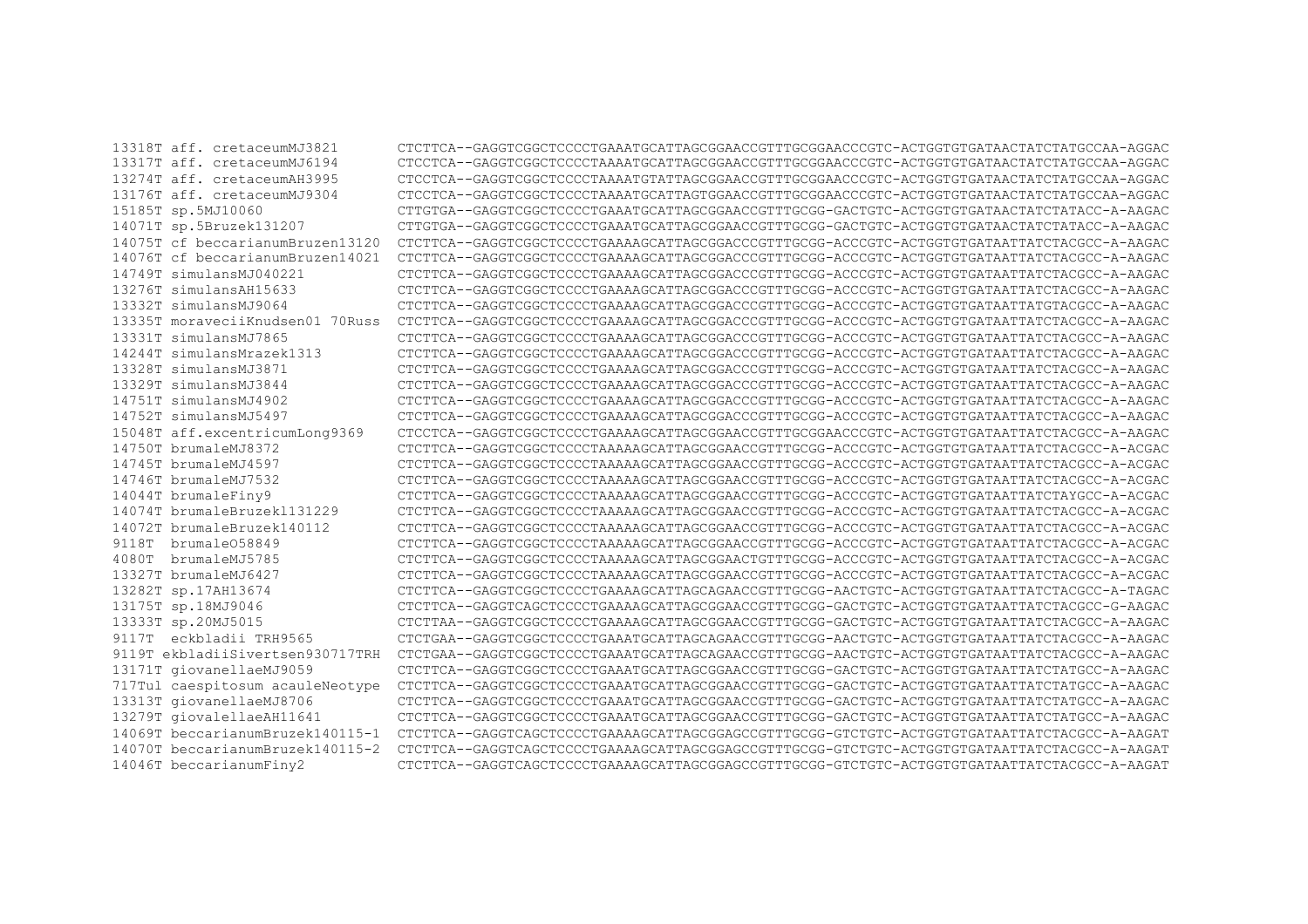13318T aff. cretaceumMJ3821 CTCTTCA--GAGGTCGGCTCCCCTGAAATGCATTAGCGGAACCGTTTGCGGAACCCGTC-ACTGGTGTGATAACTATCTATGCCAA-AGGAC 13317T aff. cretaceumMJ6194 CTCCTCA--GAGGTCGGCTCCCCTAAAATGCATTAGCGGAACCGTTTGCGGAACCCGTC-ACTGGTGTGATAACTATCTATGCCAA-AGGAC 13274T aff. cretaceumAH3995 CTCCTCA--GAGGTCGGCTCCCCTAAAATGTATTAGCGGAACCGTTTGCGGAACCCGTC-ACTGGTGTGATAACTATCTATGCCAA-AGGAC 13176T aff. cretaceumMJ9304 CTCCTCA--GAGGTCGGCTCCCCTAAAATGCATTAGTGGAACCGTTTGCGGAACCCGTC-ACTGGTGTGATAACTATCTATGCCAA-AGGAC 15185T sp.5MJ10060 CTTGTGA--GAGGTCGGCTCCCCTGAAATGCATTAGCGGAACCGTTTGCGG-GACTGTC-ACTGGTGTGATAACTATCTATACC-A-AAGAC 14071T sp.5Bruzek131207 CTTGTGA--GAGGTCGGCTCCCCTGAAATGCATTAGCGGAACCGTTTGCGG-GACTGTC-ACTGGTGTGATAACTATCTATACC-A-AAGAC 14075T cf beccarianumBruzen13120 CTCTTCA--GAGGTCGGCTCCCCTGAAAAGCATTAGCGGACCCGTTTGCGG-ACCCGTC-ACTGGTGTGATAATTATCTACGCC-A-AAGAC 14076T cf beccarianumBruzen14021 CTCTTCA--GAGGTCGGCTCCCCTGAAAAGCATTAGCGGACCCGTTTGCGG-ACCCGTC-ACTGGTGTGATAATTATCTACGCC-A-AAGAC 14749T simulansMJ040221 CTCTTCA--GAGGTCGGCTCCCCTGAAAAGCATTAGCGGACCCGTTTGCGG-ACCCGTC-ACTGGTGTGATAATTATCTACGCC-A-AAGAC 13276T simulansAH15633 CTCTTCA--GAGGTCGGCTCCCCTGAAAAGCATTAGCGGACCCGTTTGCGG-ACCCGTC-ACTGGTGTGATAATTATCTACGCC-A-AAGAC 13332T simulansMJ9064 CTCTTCA--GAGGTCGGCTCCCCTGAAAAGCATTAGCGGACCCGTTTGCGG-ACCCGTC-ACTGGTGTGATAATTATGTACGCC-A-AAGAC 13335T moraveciiKnudsen01 70Russ CTCTTCA--GAGGTCGGCTCCCCTGAAAAGCATTAGCGGACCCGTTTGCGG-ACCCGTC-ACTGGTGTGATAATTATCTACGCC-A-AAGAC 13331T simulansMJ7865 CTCTTCA--GAGGTCGGCTCCCCTGAAAAGCATTAGCGGACCCGTTTGCGG-ACCCGTC-ACTGGTGTGATAATTATCTACGCC-A-AAGAC 14244T simulansMrazek1313 CTCTTCA--GAGGTCGGCTCCCCTGAAAAGCATTAGCGGACCCGTTTGCGG-ACCCGTC-ACTGGTGTGATAATTATCTACGCC-A-AAGAC 13328T simulansMJ3871 CTCTTCA--GAGGTCGGCTCCCCTGAAAAGCATTAGCGGACCCGTTTGCGG-ACCCGTC-ACTGGTGTGATAATTATCTACGCC-A-AAGAC 13329T simulansMJ3844 CTCTTCA--GAGGTCGGCTCCCCTGAAAAGCATTAGCGGACCCGTTTGCGG-ACCCGTC-ACTGGTGTGATAATTATCTACGCC-A-AAGAC 14751T simulansMJ4902 CTCTTCA--GAGGTCGGCTCCCCTGAAAAGCATTAGCGGACCCGTTTGCGG-ACCCGTC-ACTGGTGTGATAATTATCTACGCC-A-AAGAC 14752T simulansMJ5497 CTCTTCA--GAGGTCGGCTCCCCTGAAAAGCATTAGCGGACCCGTTTGCGG-ACCCGTC-ACTGGTGTGATAATTATCTACGCC-A-AAGAC 15048T aff.excentricumLong9369 CTCCTCA--GAGGTCGGCTCCCCTGAAAAGCATTAGCGGAACCGTTTGCGGAACCCGTC-ACTGGTGTGATAATTATCTACGCC-A-AAGAC 14750T brumaleMJ8372 CTCTTCA--GAGGTCGGCTCCCCTAAAAAGCATTAGCGGAACCGTTTGCGG-ACCCGTC-ACTGGTGTGATAATTATCTACGCC-A-ACGAC 14745T brumaleMJ4597 CTCTTCA--GAGGTCGGCTCCCCTAAAAAGCATTAGCGGAACCGTTTGCGG-ACCCGTC-ACTGGTGTGATAATTATCTACGCC-A-ACGAC 14746T brumaleMJ7532 CTCTTCA--GAGGTCGGCTCCCCTAAAAAGCATTAGCGGAACCGTTTGCGG-ACCCGTC-ACTGGTGTGATAATTATCTACGCC-A-ACGAC 14044T brumaleFiny9 CTCTTCA--GAGGTCGGCTCCCCTAAAAAGCATTAGCGGAACCGTTTGCGG-ACCCGTC-ACTGGTGTGATAATTATCTAYGCC-A-ACGAC 14074T brumaleBruzekl131229 CTCTTCA--GAGGTCGGCTCCCCTAAAAAGCATTAGCGGAACCGTTTGCGG-ACCCGTC-ACTGGTGTGATAATTATCTACGCC-A-ACGAC 14072T brumaleBruzek140112 CTCTTCA--GAGGTCGGCTCCCCTAAAAAGCATTAGCGGAACCGTTTGCGG-ACCCGTC-ACTGGTGTGATAATTATCTACGCC-A-ACGAC CTCTTCA--GAGGTCGGCTCCCCTAAAAAGCATTAGCGGAACCGTTTGCGG-ACCCGTC-ACTGGTGTGATAATTATCTACGCC-A-ACGAC 4080T brumaleMJ5785 CTCTTCA--GAGGTCGGCTCCCCTAAAAAGCATTAGCGGAACTGTTTGCGG-ACCCGTC-ACTGGTGTGATAATTATCTACGCC-A-ACGAC 13327T brumaleMJ6427 CTCTTCA--GAGGTCGGCTCCCCTAAAAAGCATTAGCGGAACCGTTTGCGG-ACCCGTC-ACTGGTGTGATAATTATCTACGCC-A-ACGAC 13282T sp.17AH13674 CTCTTCA--GAGGTCGGCTCCCCTGAAAAGCATTAGCAGAACCGTTTGCGG-AACTGTC-ACTGGTGTGATAATTATCTACGCC-A-TAGAC 13175T sp.18MJ9046 CTCTTCA--GAGGTCAGCTCCCCTGAAAAGCATTAGCGGAACCGTTTGCGG-GACTGTC-ACTGGTGTGATAATTATCTACGCC-G-AAGAC 13333T sp.20MJ5015 CTCTTAA--GAGGTCGGCTCCCCTGAAAAGCATTAGCGGAACCGTTTGCGG-GACTGTC-ACTGGTGTGATAATTATCTACGCC-A-AAGAC 9117T eckbladii TRH9565 CTCTGAA--GAGGTCGGCTCCCCTGAAATGCATTAGCAGAACCGTTTGCGG-AACTGTC-ACTGGTGTGATAATTATCTACGCC-A-AAGAC 9119T ekbladiiSivertsen930717TRH CTCTGAA--GAGGTCGGCTCCCCTGAAATGCATTAGCAGAACCGTTTGCGG-AACTGTC-ACTGGTGTGATAATTATCTACGCC-A-AAGAC 13171T giovanellaeMJ9059 CTCTTCA--GAGGTCGGCTCCCCTGAAATGCATTAGCGGAACCGTTTGCGG-GACTGTC-ACTGGTGTGATAATTATCTATGCC-A-AAGAC 717Tul caespitosum acauleNeotype CTCTTCA--GAGGTCGGCTCCCCTGAAATGCATTAGCGGAACCGTTTGCGG-GACTGTC-ACTGGTGTGATAATTATCTATGCC-A-AAGAC 13313T giovanellaeMJ8706 CTCTTCA--GAGGTCGGCTCCCCTGAAATGCATTAGCGGAACCGTTTGCGG-GACTGTC-ACTGGTGTGATAATTATCTATGCC-A-AAGAC 13279T giovalellaeAH11641 CTCTTCA--GAGGTCGGCTCCCCTGAAATGCATTAGCGGAACCGTTTGCGG-GACTGTC-ACTGGTGTGATAATTATCTATGCC-A-AAGAC 14069T beccarianumBruzek140115-1 CTCTTCA--GAGGTCAGCTCCCCTGAAAAGCATTAGCGGAGCCGTTTGCGG-GTCTGTC-ACTGGTGTGATAATTATCTACGCC-A-AAGAT 14070T beccarianumBruzek140115-2 CTCTTCA--GAGGTCAGCTCCCCTGAAAAGCATTAGCGGAGCCGTTTGCGG-GTCTGTC-ACTGGTGTGATAATTATCTACGCC-A-AAGAT 14046T beccarianumFiny2 CTCTTCA--GAGGTCAGCTCCCCTGAAAAGCATTAGCGGAGCCGTTTGCGG-GTCTGTC-ACTGGTGTGATAATTATCTACGCC-A-AAGAT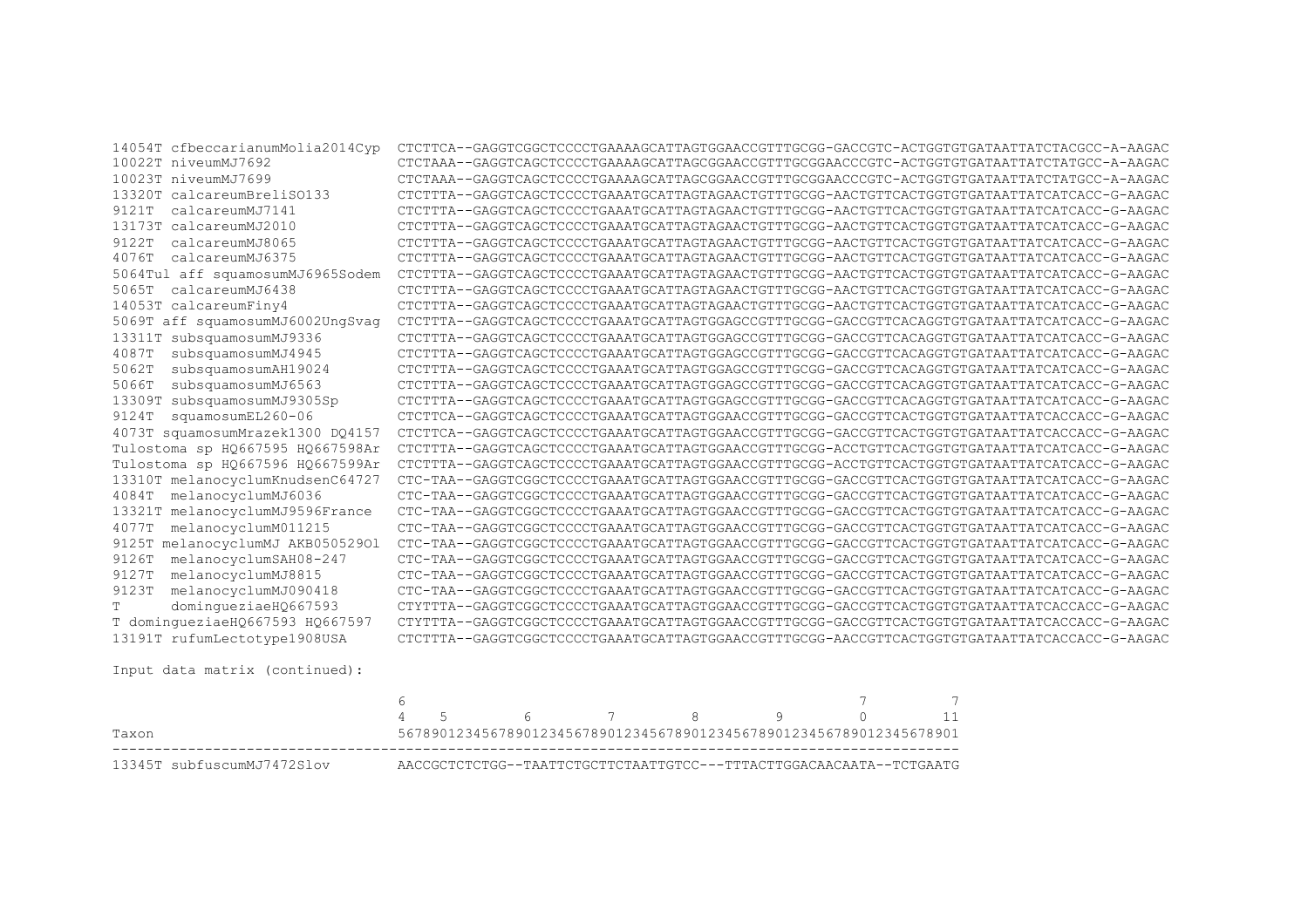| 14054T cfbeccarianumMolia2014Cyp    | CTCTTCA--GAGGTCGGCTCCCCTGAAAAGCATTAGTGGAACCGTTTGCGG-GACCGTC-ACTGGTGTGATAATTATCTACGCC-A-AAGAC |
|-------------------------------------|----------------------------------------------------------------------------------------------|
| 10022T niveumMJ7692                 | CTCTAAA--GAGGTCAGCTCCCCTGAAAAGCATTAGCGGAACCGTTTGCGGAACCCGTC-ACTGGTGTGATAATTATCTATGCC-A-AAGAC |
| 10023T niveumMJ7699                 | CTCTAAA--GAGGTCAGCTCCCCTGAAAAGCATTAGCGGAACCGTTTGCGGAACCCGTC-ACTGGTGTGATAATTATCTATGCC-A-AAGAC |
| 13320T calcareumBreliSO133          | CTCTTTA--GAGGTCAGCTCCCCTGAAATGCATTAGTAGAACTGTTTGCGG-AACTGTTCACTGGTGTGATAATTATCATCACC-G-AAGAC |
| calcareumMJ7141<br>9121T            | CTCTTTA--GAGGTCAGCTCCCCTGAAATGCATTAGTAGAACTGTTTGCGG-AACTGTTCACTGGTGTGATAATTATCATCACC-G-AAGAC |
| 13173T calcareumMJ2010              | CTCTTTA--GAGGTCAGCTCCCCTGAAATGCATTAGTAGAACTGTTTGCGG-AACTGTTCACTGGTGTGATAATTATCATCACC-G-AAGAC |
| calcareumMJ8065<br>9122T            | CTCTTTA--GAGGTCAGCTCCCCTGAAATGCATTAGTAGAACTGTTTGCGG-AACTGTTCACTGGTGTGATAATTATCATCACC-G-AAGAC |
| calcareumMJ6375<br>4076T            | CTCTTTA--GAGGTCAGCTCCCCTGAAATGCATTAGTAGAACTGTTTGCGG-AACTGTTCACTGGTGTGATAATTATCATCACC-G-AAGAC |
| 5064Tul aff squamosumMJ6965Sodem    | CTCTTTA--GAGGTCAGCTCCCCTGAAATGCATTAGTAGAACTGTTTGCGG-AACTGTTCACTGGTGTGATAATTATCATCACC-G-AAGAC |
| 5065T<br>calcareumMJ6438            | CTCTTTA--GAGGTCAGCTCCCCTGAAATGCATTAGTAGAACTGTTTGCGG-AACTGTTCACTGGTGTGATAATTATCATCACC-G-AAGAC |
| 14053T calcareumFiny4               | CTCTTTA--GAGGTCAGCTCCCCTGAAATGCATTAGTAGAACTGTTTGCGG-AACTGTTCACTGGTGTGATAATTATCATCACC-G-AAGAC |
| 5069T aff squamosumMJ6002UngSvag    | CTCTTTA--GAGGTCAGCTCCCCTGAAATGCATTAGTGGAGCCGTTTGCGG-GACCGTTCACAGGTGTGATAATTATCATCACC-G-AAGAC |
| 13311T subsquamosumMJ9336           | CTCTTTA--GAGGTCAGCTCCCCTGAAATGCATTAGTGGAGCCGTTTGCGG-GACCGTTCACAGGTGTGATAATTATCATCACC-G-AAGAC |
| subsquamosumMJ4945<br>4087T         | CTCTTTA--GAGGTCAGCTCCCCTGAAATGCATTAGTGGAGCCGTTTGCGG-GACCGTTCACAGGTGTGATAATTATCATCACC-G-AAGAC |
| subsquamosumAH19024<br>5062T        | CTCTTTA--GAGGTCAGCTCCCCTGAAATGCATTAGTGGAGCCGTTTGCGG-GACCGTTCACAGGTGTGATAATTATCATCACC-G-AAGAC |
| subsquamosumMJ6563<br>5066T         | CTCTTTA--GAGGTCAGCTCCCCTGAAATGCATTAGTGGAGCCGTTTGCGG-GACCGTTCACAGGTGTGATAATTATCATCACC-G-AAGAC |
| subsquamosumMJ9305Sp<br>13309T      | CTCTTTA--GAGGTCAGCTCCCCTGAAATGCATTAGTGGAGCCGTTTGCGG-GACCGTTCACAGGTGTGATAATTATCATCACC-G-AAGAC |
| squamosumEL260-06<br>9124T          | CTCTTCA--GAGGTCAGCTCCCCTGAAATGCATTAGTGGAACCGTTTGCGG-GACCGTTCACTGGTGTGATAATTATCACCACC-G-AAGAC |
| 4073T squamosumMrazek1300 DQ4157    | CTCTTCA--GAGGTCAGCTCCCCTGAAATGCATTAGTGGAACCGTTTGCGG-GACCGTTCACTGGTGTGATAATTATCACCACC-G-AAGAC |
| Tulostoma sp HQ667595 HQ667598Ar    | CTCTTTA--GAGGTCAGCTCCCCTGAAATGCATTAGTGGAACCGTTTGCGG-ACCTGTTCACTGGTGTGATAATTATCATCACC-G-AAGAC |
| Tulostoma sp HQ667596 HQ667599Ar    | CTCTTTA--GAGGTCAGCTCCCCTGAAATGCATTAGTGGAACCGTTTGCGG-ACCTGTTCACTGGTGTGATAATTATCATCACC-G-AAGAC |
| 13310T melanocyclumKnudsenC64727    | CTC-TAA--GAGGTCGGCTCCCCTGAAATGCATTAGTGGAACCGTTTGCGG-GACCGTTCACTGGTGTGATAATTATCATCACC-G-AAGAC |
| 4084T<br>melanocyclumMJ6036         | CTC-TAA--GAGGTCGGCTCCCCTGAAATGCATTAGTGGAACCGTTTGCGG-GACCGTTCACTGGTGTGATAATTATCATCACC-G-AAGAC |
| 13321T melanocyclumMJ9596France     | CTC-TAA--GAGGTCGGCTCCCCTGAAATGCATTAGTGGAACCGTTTGCGG-GACCGTTCACTGGTGTGATAATTATCATCACC-G-AAGAC |
| 4077T<br>melanocyclumM011215        | CTC-TAA--GAGGTCGGCTCCCCTGAAATGCATTAGTGGAACCGTTTGCGG-GACCGTTCACTGGTGTGATAATTATCATCACC-G-AAGAC |
| melanocyclumMJ AKB05052901<br>9125T | CTC-TAA--GAGGTCGGCTCCCCTGAAATGCATTAGTGGAACCGTTTGCGG-GACCGTTCACTGGTGTGATAATTATCATCACC-G-AAGAC |
| melanocyclumSAH08-247<br>9126T      | CTC-TAA--GAGGTCGGCTCCCCTGAAATGCATTAGTGGAACCGTTTGCGG-GACCGTTCACTGGTGTGATAATTATCATCACC-G-AAGAC |
| melanocyclumMJ8815<br>9127T         | CTC-TAA--GAGGTCGGCTCCCCTGAAATGCATTAGTGGAACCGTTTGCGG-GACCGTTCACTGGTGTGATAATTATCATCACC-G-AAGAC |
| melanocyclumMJ090418<br>9123T       | CTC-TAA--GAGGTCGGCTCCCCTGAAATGCATTAGTGGAACCGTTTGCGG-GACCGTTCACTGGTGTGATAATTATCATCACC-G-AAGAC |
| domingueziaeHQ667593<br>T.          | CTYTTTA--GAGGTCGGCTCCCCTGAAATGCATTAGTGGAACCGTTTGCGG-GACCGTTCACTGGTGTGATAATTATCACCACC-G-AAGAC |
| T domingueziaeHQ667593 HQ667597     | CTYTTTA--GAGGTCGGCTCCCCTGAAATGCATTAGTGGAACCGTTTGCGG-GACCGTTCACTGGTGTGATAATTATCACCACC-G-AAGAC |
| 13191T rufumLectotype1908USA        | CTCTTTA--GAGGTCGGCTCCCCTGAAATGCATTAGTGGAACCGTTTGCGG-AACCGTTCACTGGTGTGATAATTATCACCACC-G-AAGAC |
| Input data matrix (continued):      |                                                                                              |
|                                     | $\overline{7}$<br>$\epsilon$<br>$\overline{z}$                                               |

|                            |  | 4 5 6 7 8 9                                                         |  |  |  |
|----------------------------|--|---------------------------------------------------------------------|--|--|--|
| Taxon                      |  | 5678901234567890123456789012345678901234567890123456789012345678901 |  |  |  |
| 13345T subfuscumMJ7472Slov |  | AACCGCTCTCTGG--TAATTCTGCTTCTAATTGTCC---TTTACTTGGACAACAATA--TCTGAATG |  |  |  |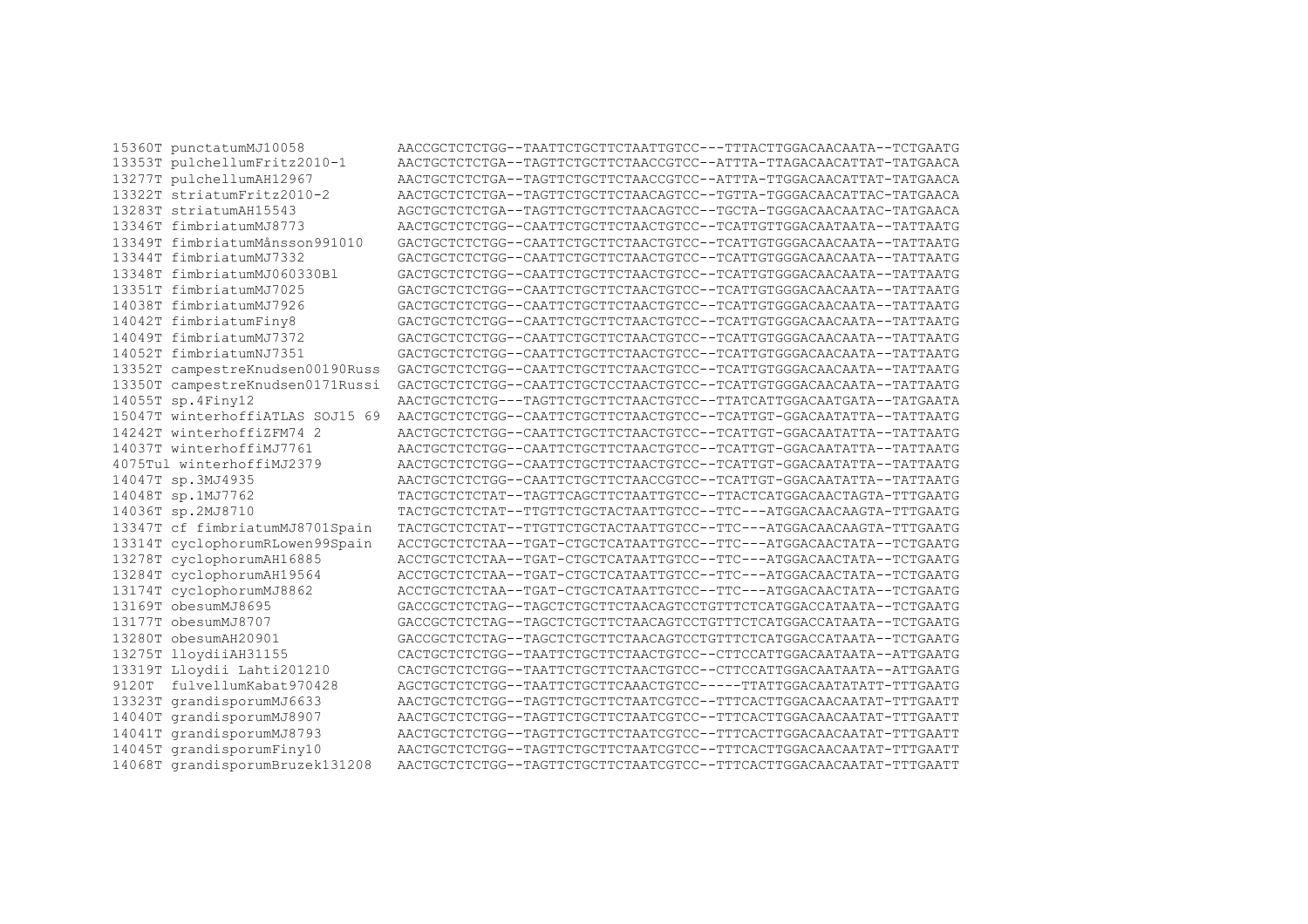| 15360T punctatumMJ10058          | AACCGCTCTCTGG--TAATTCTGCTTCTAATTGTCC---TTTACTTGGACAACAATA--TCTGAATG |
|----------------------------------|---------------------------------------------------------------------|
| 13353T pulchellumFritz2010-1     | AACTGCTCTCTGA--TAGTTCTGCTTCTAACCGTCC--ATTTA-TTAGACAACATTAT-TATGAACA |
| 13277T pulchellumAH12967         | AACTGCTCTCTGA--TAGTTCTGCTTCTAACCGTCC--ATTTA-TTGGACAACATTAT-TATGAACA |
| 13322T striatumFritz2010-2       | AACTGCTCTCTGA--TAGTTCTGCTTCTAACAGTCC--TGTTA-TGGGACAACATTAC-TATGAACA |
| 13283T striatumAH15543           | AGCTGCTCTCTGA--TAGTTCTGCTTCTAACAGTCC--TGCTA-TGGGACAACAATAC-TATGAACA |
| 13346T fimbriatumMJ8773          | AACTGCTCTCTGG--CAATTCTGCTTCTAACTGTCC--TCATTGTTGGACAATAATA--TATTAATG |
| 13349T fimbriatumMånsson991010   | GACTGCTCTCTGG--CAATTCTGCTTCTAACTGTCC--TCATTGTGGGACAACAATA--TATTAATG |
| 13344T fimbriatumMJ7332          | GACTGCTCTCTGG--CAATTCTGCTTCTAACTGTCC--TCATTGTGGGACAACAATA--TATTAATG |
| 13348T fimbriatumMJ060330Bl      | GACTGCTCTCTGG--CAATTCTGCTTCTAACTGTCC--TCATTGTGGGACAACAATA--TATTAATG |
| 13351T fimbriatumMJ7025          | GACTGCTCTCTGG--CAATTCTGCTTCTAACTGTCC--TCATTGTGGGACAACAATA--TATTAATG |
| 14038T fimbriatumMJ7926          | GACTGCTCTCTGG--CAATTCTGCTTCTAACTGTCC--TCATTGTGGGACAACAATA--TATTAATG |
| 14042T fimbriatumFiny8           | GACTGCTCTCTGG--CAATTCTGCTTCTAACTGTCC--TCATTGTGGGACAACAATA--TATTAATG |
| 14049T fimbriatumMJ7372          | GACTGCTCTCTGG--CAATTCTGCTTCTAACTGTCC--TCATTGTGGGACAACAATA--TATTAATG |
| 14052T fimbriatumNJ7351          | GACTGCTCTCTGG--CAATTCTGCTTCTAACTGTCC--TCATTGTGGGACAACAATA--TATTAATG |
| 13352T campestreKnudsen00190Russ | GACTGCTCTCTGG--CAATTCTGCTTCTAACTGTCC--TCATTGTGGGACAACAATA--TATTAATG |
| 13350T campestreKnudsen0171Russi | GACTGCTCTCTGG--CAATTCTGCTCCTAACTGTCC--TCATTGTGGGACAACAATA--TATTAATG |
| 14055T sp.4Finy12                | AACTGCTCTCTG---TAGTTCTGCTTCTAACTGTCC--TTATCATTGGACAATGATA--TATGAATA |
| 15047T winterhoffiATLAS SOJ15 69 | AACTGCTCTCGG--CAATTCTGCTTCTAACTGTCC--TCATTGT-GGACAATATTA--TATTAATG  |
| 14242T winterhoffiZFM74 2        | AACTGCTCTCTGG--CAATTCTGCTTCTAACTGTCC--TCATTGT-GGACAATATTA--TATTAATG |
| 14037T winterhoffiMJ7761         | AACTGCTCTCTGG--CAATTCTGCTTCTAACTGTCC--TCATTGT-GGACAATATTA--TATTAATG |
| 4075Tul winterhoffiMJ2379        | AACTGCTCTCTGG--CAATTCTGCTTCTAACTGTCC--TCATTGT-GGACAATATTA--TATTAATG |
| 14047T sp.3MJ4935                | AACTGCTCTCTGG--CAATTCTGCTTCTAACCGTCC--TCATTGT-GGACAATATTA--TATTAATG |
| 14048T sp.1MJ7762                | TACTGCTCTCTAT--TAGTTCAGCTTCTAATTGTCC--TTACTCATGGACAACTAGTA-TTTGAATG |
| 14036T sp.2MJ8710                | TACTGCTCTCTAT--TTGTTCTGCTACTAATTGTCC--TTC---ATGGACAACAAGTA-TTTGAATG |
| 13347T cf fimbriatumMJ8701Spain  | TACTGCTCTCTAT--TTGTTCTGCTACTAATTGTCC--TTC---ATGGACAACAAGTA-TTTGAATG |
| 13314T cyclophorumRLowen99Spain  | ACCTGCTCTCTAA--TGAT-CTGCTCATAATTGTCC--TTC---ATGGACAACTATA--TCTGAATG |
| 13278T cyclophorumAH16885        | ACCTGCTCTCTAA--TGAT-CTGCTCATAATTGTCC--TTC---ATGGACAACTATA--TCTGAATG |
| 13284T cyclophorumAH19564        | ACCTGCTCTCTAA--TGAT-CTGCTCATAATTGTCC--TTC---ATGGACAACTATA--TCTGAATG |
| 13174T cyclophorumMJ8862         | ACCTGCTCTCTAA--TGAT-CTGCTCATAATTGTCC--TTC---ATGGACAACTATA--TCTGAATG |
| 13169T obesumMJ8695              | GACCGCTCTCTAG--TAGCTCTGCTTCTAACAGTCCTGTTTCTCATGGACCATAATA--TCTGAATG |
| 13177T obesumMJ8707              | GACCGCTCTCTAG--TAGCTCTGCTTCTAACAGTCCTGTTTCTCATGGACCATAATA--TCTGAATG |
| 13280T obesumAH20901             | GACCGCTCTCTAG--TAGCTCTGCTTCTAACAGTCCTGTTTCTCATGGACCATAATA--TCTGAATG |
| 13275T lloydiiAH31155            | CACTGCTCTCTGG--TAATTCTGCTTCTAACTGTCC--CTTCCATTGGACAATAATA--ATTGAATG |
| 13319T Lloydii Lahti201210       | CACTGCTCTCTGG--TAATTCTGCTTCTAACTGTCC--CTTCCATTGGACAATAATA--ATTGAATG |
| 9120T fulvellumKabat970428       | AGCTGCTCTCTGG--TAATTCTGCTTCAAACTGTCC-----TTATTGGACAATATATT-TTTGAATG |
| 13323T grandisporumMJ6633        | AACTGCTCTCTGG--TAGTTCTGCTTCTAATCGTCC--TTTCACTTGGACAACAATAT-TTTGAATT |
| 14040T grandisporumMJ8907        | AACTGCTCTCTGG--TAGTTCTGCTTCTAATCGTCC--TTTCACTTGGACAACAATAT-TTTGAATT |
| 14041T grandisporumMJ8793        | AACTGCTCTCTGG--TAGTTCTGCTTCTAATCGTCC--TTTCACTTGGACAACAATAT-TTTGAATT |
| 14045T grandisporumFiny10        | AACTGCTCTCTGG--TAGTTCTGCTTCTAATCGTCC--TTTCACTTGGACAACAATAT-TTTGAATT |
| 14068T grandisporumBruzek131208  | AACTGCTCTCTGG--TAGTTCTGCTTCTAATCGTCC--TTTCACTTGGACAACAATAT-TTTGAATT |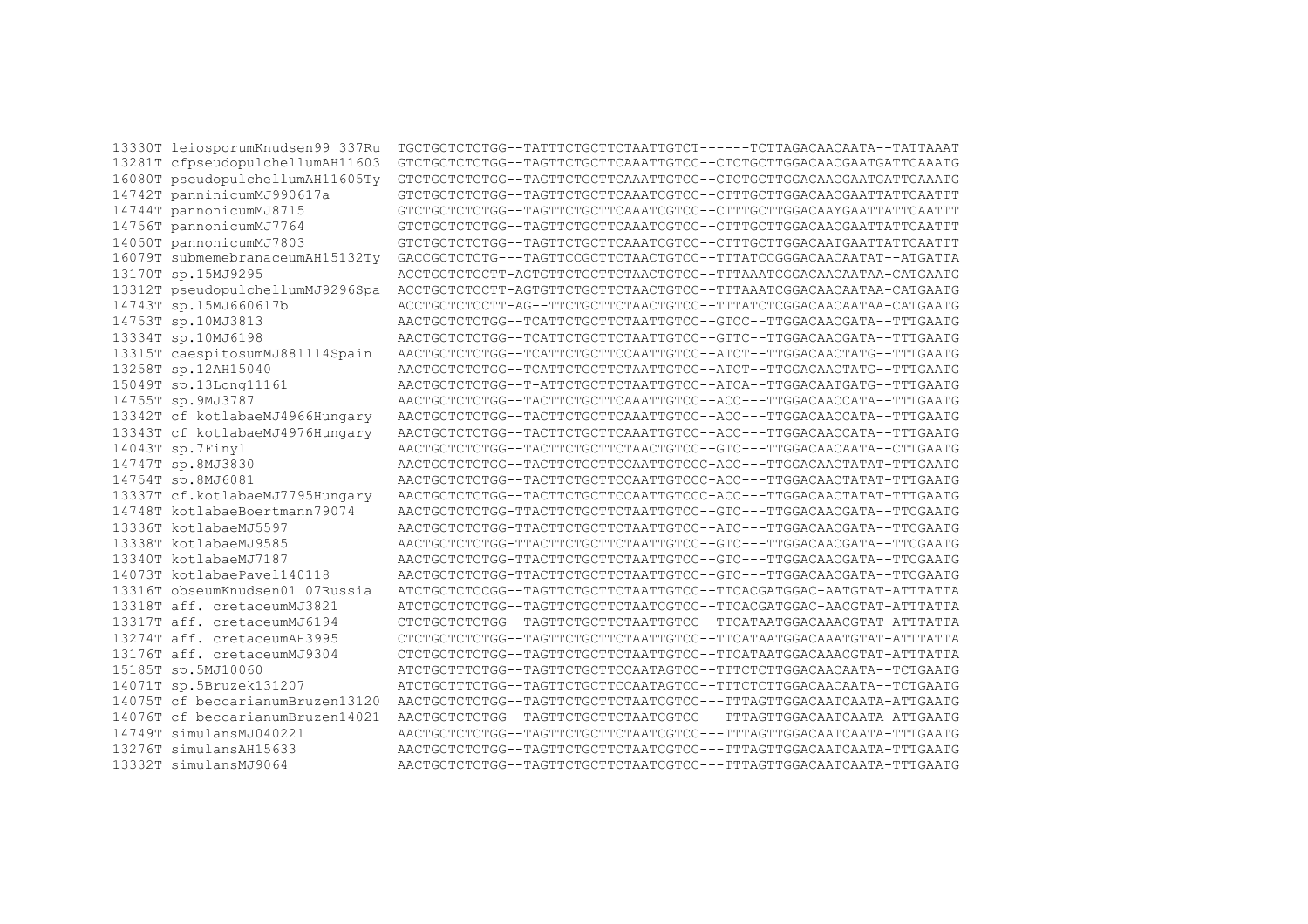13330T leiosporumKnudsen99 337Ru TGCTGCTCTCTGG--TATTTCTGCTTCTAATTGTCT------TCTTAGACAACAATA--TATTAAAT 13281T cfpseudopulchellumAH11603 GTCTGCTCTCTGG--TAGTTCTGCTTCAAATTGTCC--CTCTGCTTGGACAACGAATGATTCAAATG 16080T pseudopulchellumAH11605Tv GTCTGCTCTCTGG--TAGTTCTGCTTCAAATTGTCC--CTCTGCTTGGACAACGAATGATTCAAATG GTCTGCTCTCTGG--TAGTTCTGCTTCAAATCGTCC--CTTTGCTTGGACAACGAATTATTCAATTT 14742T panninicumMJ990617a 14744T pannonicumMJ8715 GTCTGCTCTCTGG--TAGTTCTGCTTCAAATCGTCC--CTTTGCTTGGACAAYGAATTATTCAATTT 14756T pannonicumMJ7764 GTCTGCTCTCTGG--TAGTTCTGCTTCAAATCGTCC--CTTTGCTTGGACAACGAATTATTCAATTT 14050T pannonicumMJ7803 GTCTGCTCTCTGG--TAGTTCTGCTTCAAATCGTCC--CTTTGCTTGGACAATGAATTATTCAATTT 16079T submemebranaceumAH15132Tv GACCGCTCTCTG---TAGTTCCGCTTCTAACTGTCC--TTTATCCGGGACAACAATAT--ATGATTA 13170T sp.15MJ9295 ACCTGCTCTCCTT-AGTGTTCTGCTTCTAACTGTCC--TTTAAATCGGACAACAATAA-CATGAATG 13312T pseudopulchellumMJ9296Spa ACCTGCTCTCCTT-AGTGTTCTGCTTCTAACTGTCC--TTTAAATCGGACAACAATAA-CATGAATG 14743T sp.15MJ660617b ACCTGCTCTCCTT-AG--TTCTGCTTCTAACTGTCC--TTTATCTCGGACAACAATAA-CATGAATG 14753T sp.10MJ3813 AACTGCTCTCTGG--TCATTCTGCTTCTAATTGTCC--GTCC--TTGGACAACGATA--TTTGAATG 13334T sp.10MJ6198 AACTGCTCTCTGG--TCATTCTGCTTCTAATTGTCC--GTTC--TTGGACAACGATA--TTTGAATG 13315T caespitosumMJ881114Spain AACTGCTCTCTGG--TCATTCTGCTTCCAATTGTCC--ATCT--TTGGACAACTATG--TTTGAATG 13258T sp.12AH15040 AACTGCTCTCTGG--TCATTCTGCTTCTAATTGTCC--ATCT--TTGGACAACTATG--TTTGAATG 15049T sp.13Long11161 AACTGCTCTCTGG--T-ATTCTGCTTCTAATTGTCC--ATCA--TTGGACAATGATG--TTTGAATG 14755T sp.9MJ3787 AACTGCTCTCTGG--TACTTCTGCTTCAAATTGTCC--ACC---TTGGACAACCATA--TTTGAATG 13342T cf kotlabaeMJ4966Hungary AACTGCTCTCTGG--TACTTCTGCTTCAAATTGTCC--ACC---TTGGACAACCATA--TTTGAATG 13343T cf kotlabaeMJ4976Hungary AACTGCTCTCGG--TACTTCTGCTTCAAATTGTCC--ACC---TTGGACAACCATA--TTTGAATG AACTGCTCTCGG--TACTTCTGCTTCTAACTGTCC--GTC---TTGGACAACAATA--CTTGAATG 14043T sp.7Finy1 14747T sp.8MJ3830 AACTGCTCTCTGG--TACTTCTGCTTCCAATTGTCCC-ACC---TTGGACAACTATAT-TTTGAATG 14754T sp.8MJ6081 AACTGCTCTCTGG--TACTTCTGCTTCCAATTGTCCC-ACC---TTGGACAACTATAT-TTTGAATG 13337T cf.kotlabaeMJ7795Hungary AACTGCTCTCGG--TACTTCTGCTTCCAATTGTCCC-ACC---TTGGACAACTATAT-TTTGAATG 14748T kotlabaeBoertmann79074 AACTGCTCTCTGG-TTACTTCTGCTTCTAATTGTCC--GTC---TTGGACAACGATA--TTCGAATG 13336T kotlabaeMJ5597 AACTGCTCTCTGG-TTACTTCTGCTTCTAATTGTCC--ATC---TTGGACAACGATA--TTCGAATG 13338T kotlabaeMJ9585 AACTGCTCTCTGG-TTACTTCTGCTTCTAATTGTCC--GTC---TTGGACAACGATA--TTCGAATG 13340T kotlabaeMJ7187 AACTGCTCTCTGG-TTACTTCTGCTTCTAATTGTCC--GTC---TTGGACAACGATA--TTCGAATG AACTGCTCTCG-TTACTTCTGCTTCTAATTGTCC--GTC---TTGGACAACGATA--TTCGAATG 14073T kotlabaePavel140118 13316T obseumKnudsen01 07Russia ATCTGCTCTCCGG--TAGTTCTGCTTCTAATTGTCC--TTCACGATGGAC-AATGTAT-ATTTATTA 13318T aff. cretaceumMJ3821 ATCTGCTCTCTGG--TAGTTCTGCTTCTAATCGTCC--TTCACGATGGAC-AACGTAT-ATTTATTA 13317T aff. cretaceumMJ6194 CTCTGCTCTCTGG--TAGTTCTGCTTCTAATTGTCC--TTCATAATGGACAAACGTAT-ATTTATTA 13274T aff cretaceumAH3995 CTCTGCTCTCTGG--TAGTTCTGCTTCTAATTGTCC--TTCATAATGGACAAATGTAT-ATTTATTA 13176T aff. cretaceumMJ9304 CTCTGCTCTCTGG--TAGTTCTGCTTCTAATTGTCC--TTCATAATGGACAAACGTAT-ATTTATTA 15185T sp.5MJ10060 ATCTGCTTTCTGG--TAGTTCTGCTTCCAATAGTCC--TTTCTCTTGGACAACAATA--TCTGAATG 14071T sp.5Bruzek131207 ATCTGCTTTCTGG--TAGTTCTGCTTCCAATAGTCC--TTTCTCTTGGACAACAATA--TCTGAATG 14075T cf beccarianumBruzen13120 AACTGCTCTCTGG--TAGTTCTGCTTCTAATCGTCC---TTTAGTTGGACAATCAATA-ATTGAATG 14076T cf beccarianumBruzen14021 AACTGCTCTCTGG--TAGTTCTGCTTCTAATCGTCC---TTTAGTTGGACAATCAATA-ATTGAATG 14749T simulansMJ040221 AACTGCTCTCTGG--TAGTTCTGCTTCTAATCGTCC---TTTAGTTGGACAATCAATA-TTTGAATG 13276T simulansAH15633 AACTGCTCTCTGG--TAGTTCTGCTTCTAATCGTCC---TTTAGTTGGACAATCAATA-TTTGAATG 13332T simulansMJ9064 AACTGCTCTCTGG--TAGTTCTGCTTCTAATCGTCC---TTTAGTTGGACAATCAATA-TTTGAATG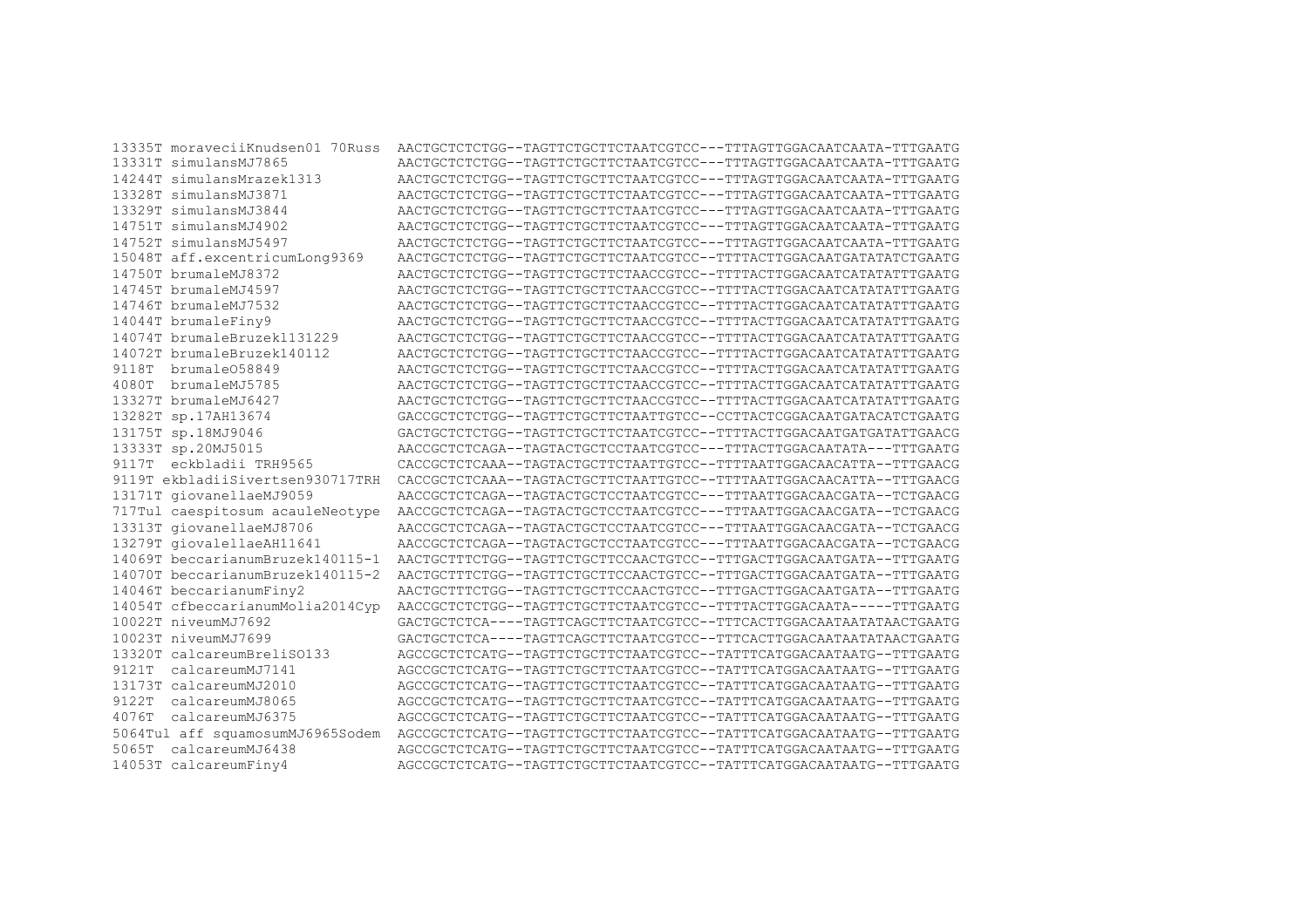| 13335T moraveciiKnudsen01 70Russ | AACTGCTCTCTGG--TAGTTCTGCTTCTAATCGTCC---TTTAGTTGGACAATCAATA-TTTGAATG |
|----------------------------------|---------------------------------------------------------------------|
| 13331T simulansMJ7865            | AACTGCTCTCTGG--TAGTTCTGCTTCTAATCGTCC---TTTAGTTGGACAATCAATA-TTTGAATG |
| 14244T simulansMrazek1313        | AACTGCTCTCTGG--TAGTTCTGCTTCTAATCGTCC---TTTAGTTGGACAATCAATA-TTTGAATG |
| 13328T simulansMJ3871            | AACTGCTCTCTGG--TAGTTCTGCTTCTAATCGTCC---TTTAGTTGGACAATCAATA-TTTGAATG |
| 13329T simulansMJ3844            | AACTGCTCTCTGG--TAGTTCTGCTTCTAATCGTCC---TTTAGTTGGACAATCAATA-TTTGAATG |
| 14751T simulansMJ4902            | AACTGCTCTCTGG--TAGTTCTGCTTCTAATCGTCC---TTTAGTTGGACAATCAATA-TTTGAATG |
| 14752T simulansMJ5497            | AACTGCTCTCTGG--TAGTTCTGCTTCTAATCGTCC---TTTAGTTGGACAATCAATA-TTTGAATG |
| 15048T aff.excentricumLong9369   | AACTGCTCTCTGG--TAGTTCTGCTTCTAATCGTCC--TTTTACTTGGACAATGATATATCTGAATG |
| 14750T brumaleMJ8372             | AACTGCTCTCTGG--TAGTTCTGCTTCTAACCGTCC--TTTTACTTGGACAATCATATATTTGAATG |
| 14745T brumaleMJ4597             | AACTGCTCTCTGG--TAGTTCTGCTTCTAACCGTCC--TTTTACTTGGACAATCATATATTTGAATG |
| 14746T brumaleMJ7532             | AACTGCTCTCTGG--TAGTTCTGCTTCTAACCGTCC--TTTTACTTGGACAATCATATATTTGAATG |
| 14044T brumaleFiny9              | AACTGCTCTCTGG--TAGTTCTGCTTCTAACCGTCC--TTTTACTTGGACAATCATATATTTGAATG |
| 14074T brumaleBruzek1131229      | AACTGCTCTCTGG--TAGTTCTGCTTCTAACCGTCC--TTTTACTTGGACAATCATATATTTGAATG |
| 14072T brumaleBruzek140112       | AACTGCTCTCTGG--TAGTTCTGCTTCTAACCGTCC--TTTTACTTGGACAATCATATATTTGAATG |
| 9118T brumale058849              | AACTGCTCTCTGG--TAGTTCTGCTTCTAACCGTCC--TTTTACTTGGACAATCATATATTTGAATG |
| 4080T brumaleMJ5785              | AACTGCTCTCTGG--TAGTTCTGCTTCTAACCGTCC--TTTTACTTGGACAATCATATATTTGAATG |
| 13327T brumaleMJ6427             | AACTGCTCTCTGG--TAGTTCTGCTTCTAACCGTCC--TTTTACTTGGACAATCATATATTTGAATG |
| 13282T sp.17AH13674              | GACCGCTCTCTGG--TAGTTCTGCTTCTAATTGTCC--CCTTACTCGGACAATGATACATCTGAATG |
| 13175T sp.18MJ9046               | GACTGCTCTCTGG--TAGTTCTGCTTCTAATCGTCC--TTTTACTTGGACAATGATGATATTGAACG |
| 13333T sp.20MJ5015               | AACCGCTCTCAGA--TAGTACTGCTCCTAATCGTCC---TTTACTTGGACAATATA---TTTGAATG |
| 9117T eckbladii TRH9565          | CACCGCTCTCAAA--TAGTACTGCTTCTAATTGTCC--TTTTAATTGGACAACATTA--TTTGAACG |
| 9119T ekbladiiSivertsen930717TRH | CACCGCTCTCAAA--TAGTACTGCTTCTAATTGTCC--TTTTAATTGGACAACATTA--TTTGAACG |
| 13171T giovanellaeMJ9059         | AACCGCTCTCAGA--TAGTACTGCTCCTAATCGTCC---TTTAATTGGACAACGATA--TCTGAACG |
| 717Tul caespitosum acauleNeotype | AACCGCTCTCAGA--TAGTACTGCTCCTAATCGTCC---TTTAATTGGACAACGATA--TCTGAACG |
| 13313T giovanellaeMJ8706         | AACCGCTCTCAGA--TAGTACTGCTCCTAATCGTCC---TTTAATTGGACAACGATA--TCTGAACG |
| 13279T giovalellaeAH11641        | AACCGCTCTCAGA--TAGTACTGCTCCTAATCGTCC---TTTAATTGGACAACGATA--TCTGAACG |
| 14069T beccarianumBruzek140115-1 | AACTGCTTTCTGG--TAGTTCTGCTTCCAACTGTCC--TTTGACTTGGACAATGATA--TTTGAATG |
| 14070T beccarianumBruzek140115-2 | AACTGCTTTCTGG--TAGTTCTGCTTCCAACTGTCC--TTTGACTTGGACAATGATA--TTTGAATG |
| 14046T beccarianumFiny2          | AACTGCTTTCTGG--TAGTTCTGCTTCCAACTGTCC--TTTGACTTGGACAATGATA--TTTGAATG |
| 14054T cfbeccarianumMolia2014Cyp | AACCGCTCTCTGG--TAGTTCTGCTTCTAATCGTCC--TTTTACTTGGACAATA-----TTTGAATG |
| 10022T niveumMJ7692              | GACTGCTCTCA----TAGTTCAGCTTCTAATCGTCC--TTTCACTTGGACAATAATATAACTGAATG |
| 10023T niveumMJ7699              | GACTGCTCTCA----TAGTTCAGCTTCTAATCGTCC--TTTCACTTGGACAATAATATAACTGAATG |
| 13320T calcareumBreliSO133       | AGCCGCTCTCATG--TAGTTCTGCTTCTAATCGTCC--TATTTCATGGACAATAATG--TTTGAATG |
| 9121T<br>calcareumMJ7141         | AGCCGCTCTCATG--TAGTTCTGCTTCTAATCGTCC--TATTTCATGGACAATAATG--TTTGAATG |
| 13173T calcareumMJ2010           | AGCCGCTCTCATG--TAGTTCTGCTTCTAATCGTCC--TATTTCATGGACAATAATG--TTTGAATG |
| 9122T<br>calcareumMJ8065         | AGCCGCTCTCATG--TAGTTCTGCTTCTAATCGTCC--TATTTCATGGACAATAATG--TTTGAATG |
| 4076T<br>calcareumMJ6375         | AGCCGCTCTCATG--TAGTTCTGCTTCTAATCGTCC--TATTTCATGGACAATAATG--TTTGAATG |
| 5064Tul aff squamosumMJ6965Sodem | AGCCGCTCTCATG--TAGTTCTGCTTCTAATCGTCC--TATTTCATGGACAATAATG--TTTGAATG |
| calcareumMJ6438<br>5065T         | AGCCGCTCTCATG--TAGTTCTGCTTCTAATCGTCC--TATTTCATGGACAATAATG--TTTGAATG |
| 14053T calcareumFiny4            | AGCCGCTCTCATG--TAGTTCTGCTTCTAATCGTCC--TATTTCATGGACAATAATG--TTTGAATG |